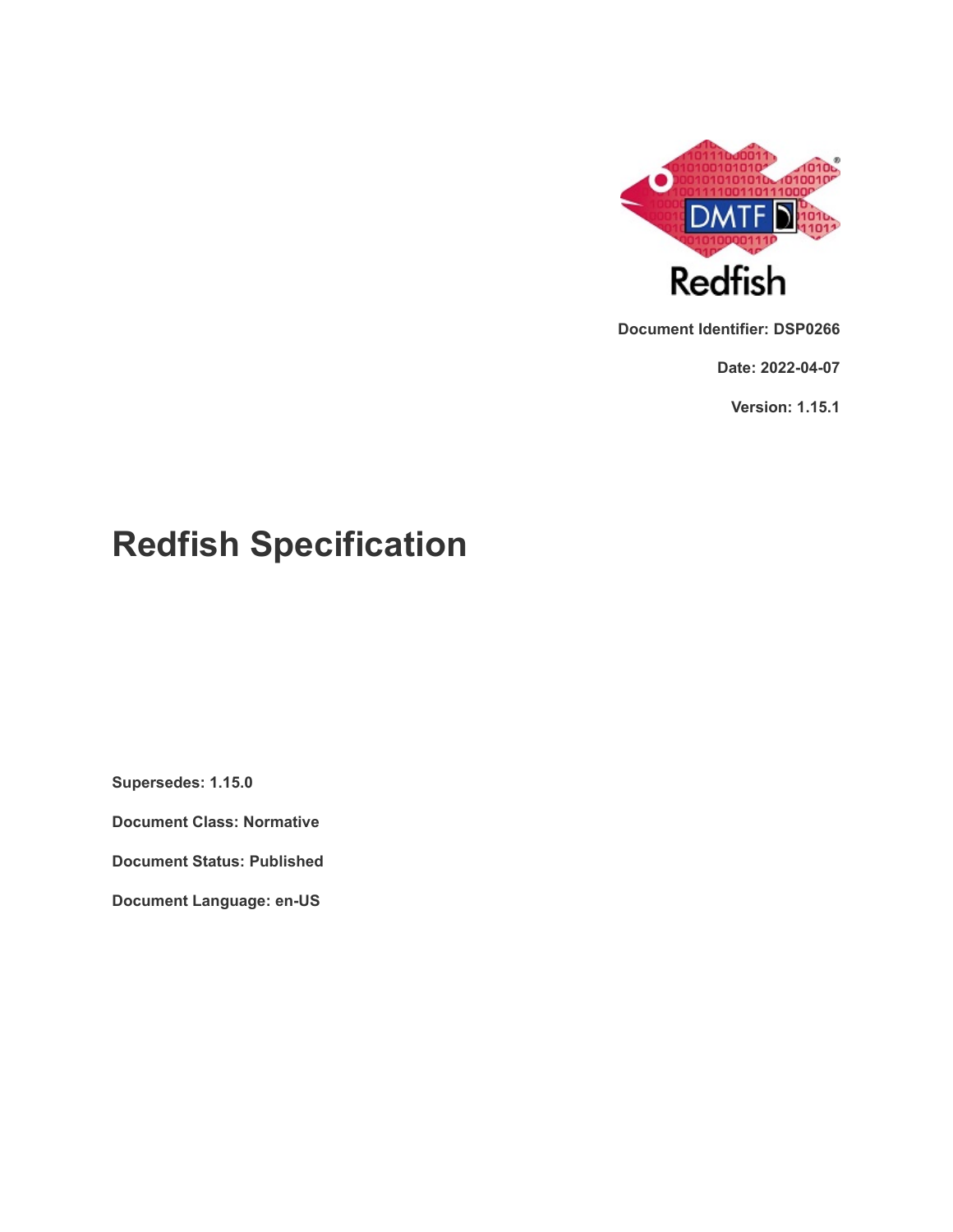

**Document Identifier: DSP0266**

**Date: 2022-04-07**

**Version: 1.15.1**

# **Redfish Specification**

**Supersedes: 1.15.0**

**Document Class: Normative**

**Document Status: Published**

**Document Language: en-US**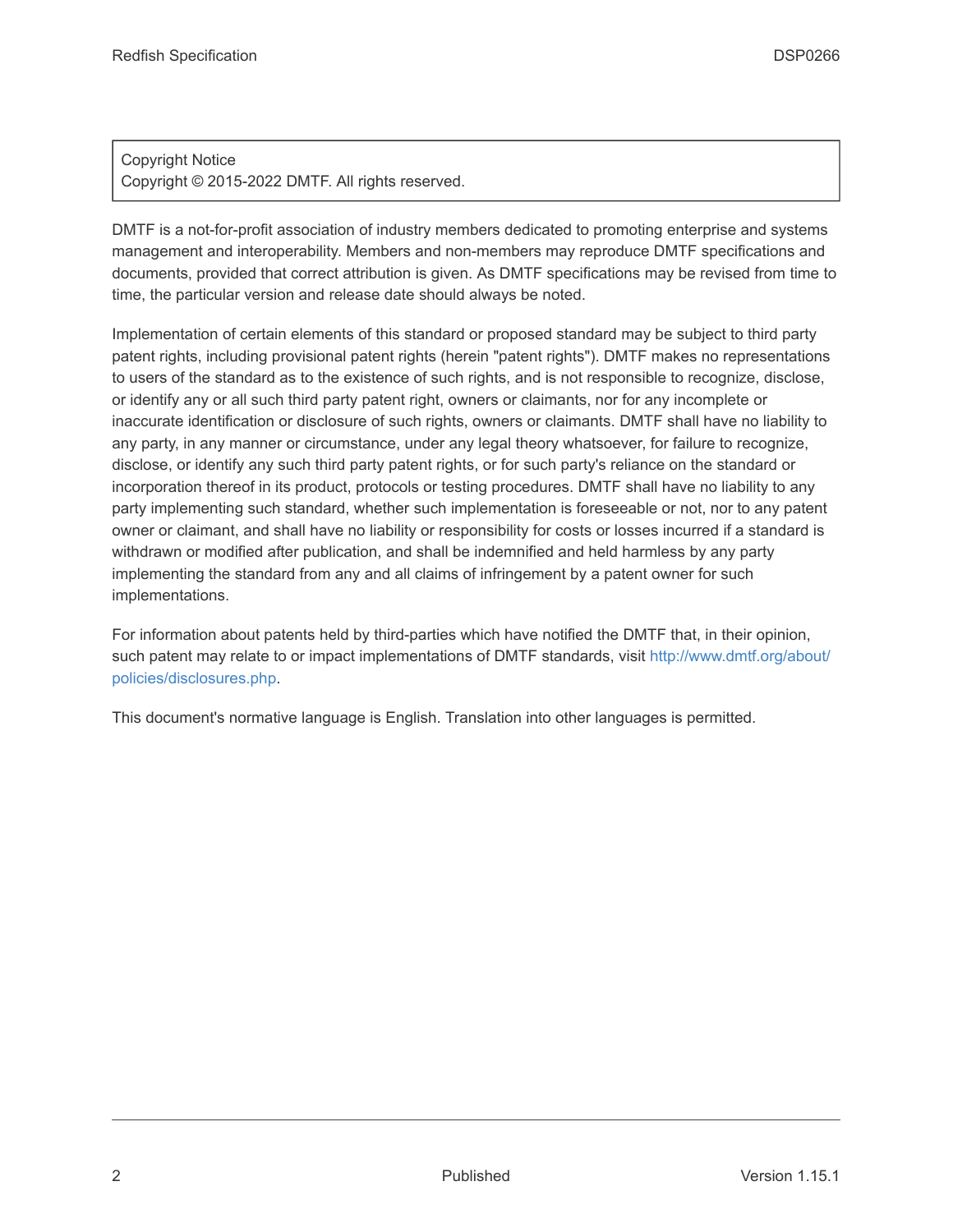### Copyright Notice Copyright © 2015-2022 DMTF. All rights reserved.

DMTF is a not-for-profit association of industry members dedicated to promoting enterprise and systems management and interoperability. Members and non-members may reproduce DMTF specifications and documents, provided that correct attribution is given. As DMTF specifications may be revised from time to time, the particular version and release date should always be noted.

Implementation of certain elements of this standard or proposed standard may be subject to third party patent rights, including provisional patent rights (herein "patent rights"). DMTF makes no representations to users of the standard as to the existence of such rights, and is not responsible to recognize, disclose, or identify any or all such third party patent right, owners or claimants, nor for any incomplete or inaccurate identification or disclosure of such rights, owners or claimants. DMTF shall have no liability to any party, in any manner or circumstance, under any legal theory whatsoever, for failure to recognize, disclose, or identify any such third party patent rights, or for such party's reliance on the standard or incorporation thereof in its product, protocols or testing procedures. DMTF shall have no liability to any party implementing such standard, whether such implementation is foreseeable or not, nor to any patent owner or claimant, and shall have no liability or responsibility for costs or losses incurred if a standard is withdrawn or modified after publication, and shall be indemnified and held harmless by any party implementing the standard from any and all claims of infringement by a patent owner for such implementations.

For information about patents held by third-parties which have notified the DMTF that, in their opinion, such patent may relate to or impact implementations of DMTF standards, visit [http://www.dmtf.org/about/](http://www.dmtf.org/about/policies/disclosures.php) [policies/disclosures.php.](http://www.dmtf.org/about/policies/disclosures.php)

This document's normative language is English. Translation into other languages is permitted.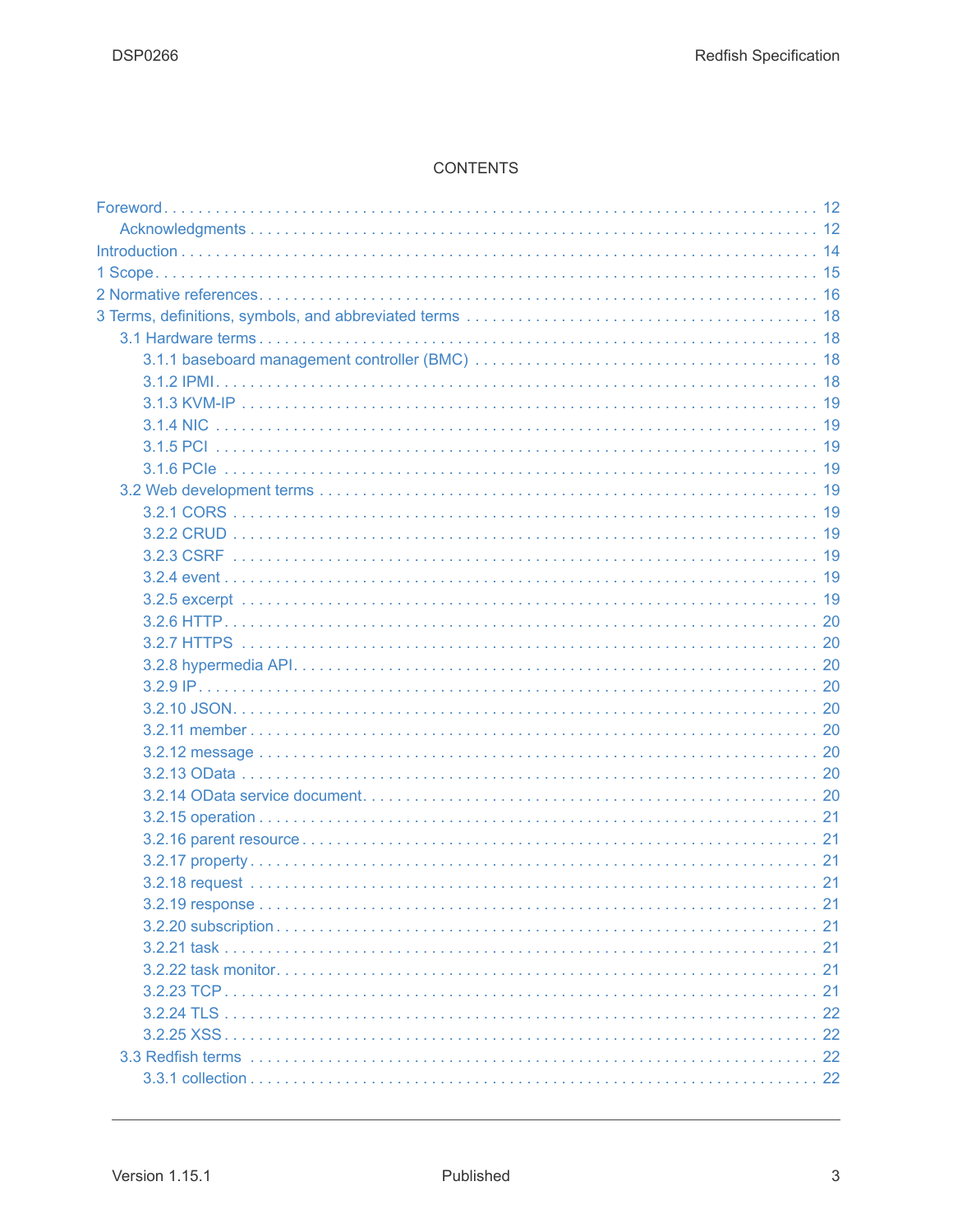#### **CONTENTS**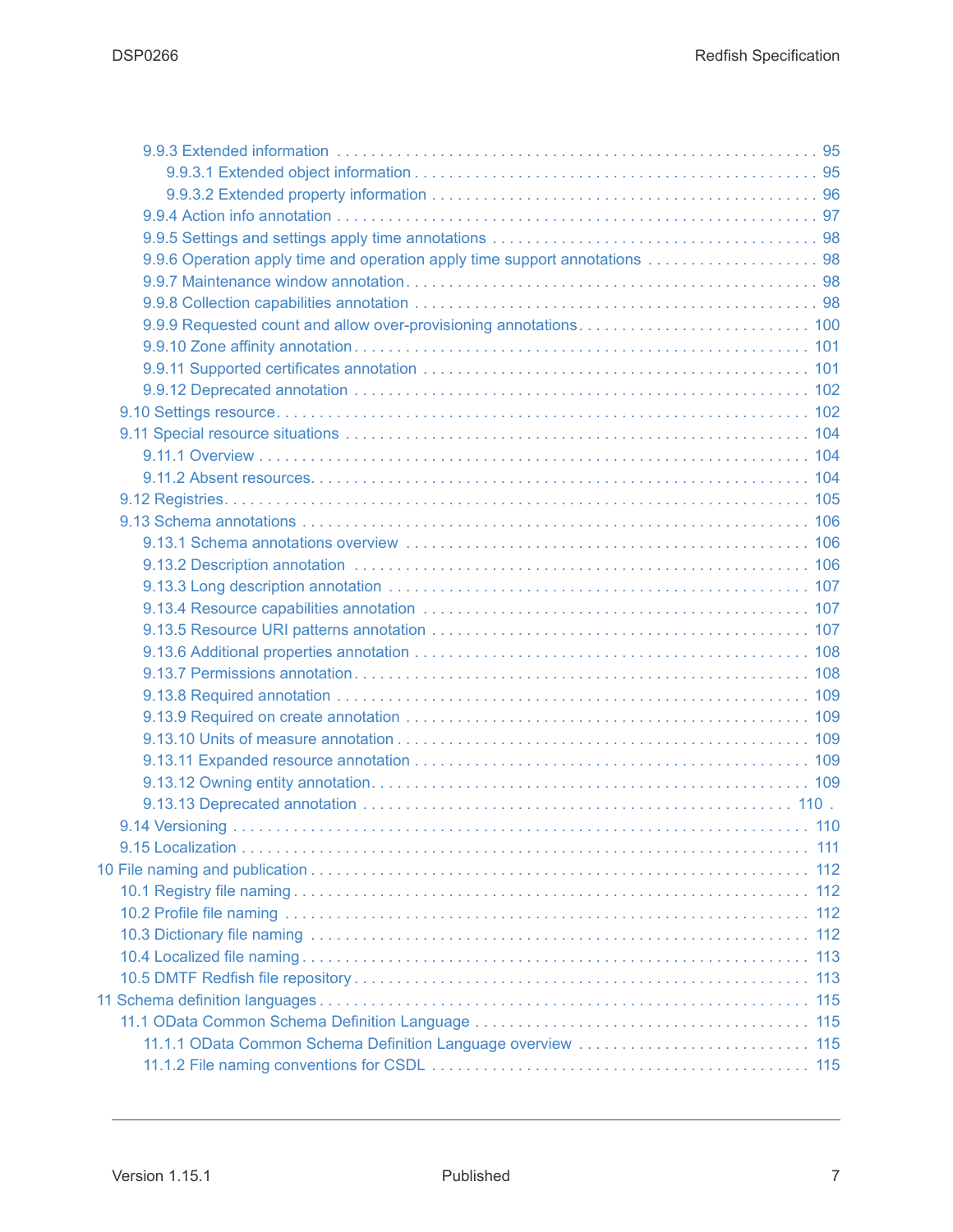| 9.9.6 Operation apply time and operation apply time support annotations  98 |
|-----------------------------------------------------------------------------|
|                                                                             |
|                                                                             |
|                                                                             |
|                                                                             |
|                                                                             |
|                                                                             |
|                                                                             |
|                                                                             |
|                                                                             |
|                                                                             |
|                                                                             |
|                                                                             |
|                                                                             |
|                                                                             |
|                                                                             |
|                                                                             |
|                                                                             |
|                                                                             |
|                                                                             |
|                                                                             |
|                                                                             |
|                                                                             |
|                                                                             |
|                                                                             |
|                                                                             |
|                                                                             |
|                                                                             |
|                                                                             |
|                                                                             |
|                                                                             |
|                                                                             |
|                                                                             |
|                                                                             |
|                                                                             |
|                                                                             |
|                                                                             |
|                                                                             |
|                                                                             |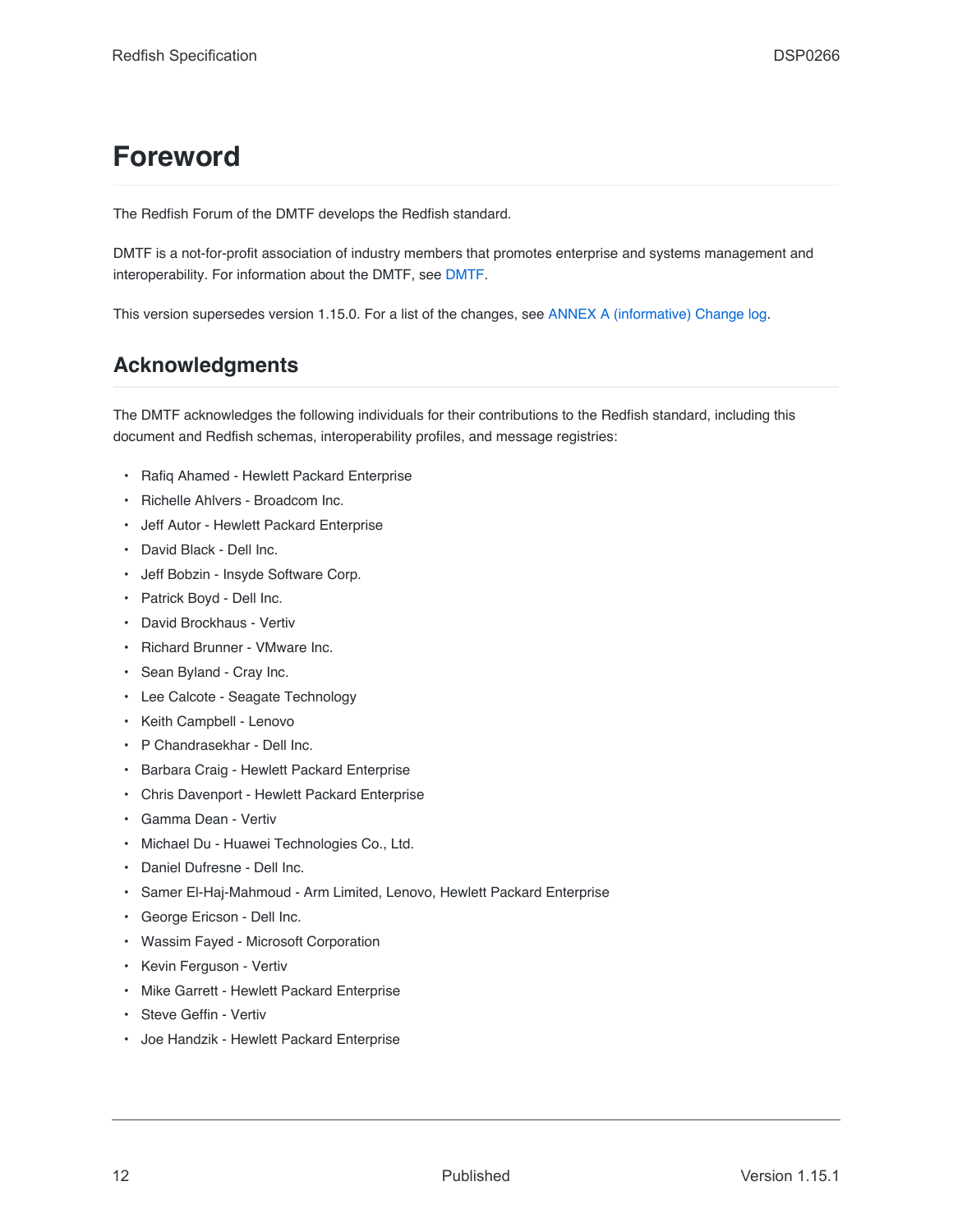# <span id="page-11-0"></span>**Foreword**

The Redfish Forum of the DMTF develops the Redfish standard.

DMTF is a not-for-profit association of industry members that promotes enterprise and systems management and interoperability. For information about the DMTF, see [DMTF](https://www.dmtf.org/).

This version supersedes version 1.15.0. For a list of the changes, see [ANNEX A \(informative\) Change log.](#page-185-0)

# <span id="page-11-1"></span>**Acknowledgments**

The DMTF acknowledges the following individuals for their contributions to the Redfish standard, including this document and Redfish schemas, interoperability profiles, and message registries:

- Rafiq Ahamed Hewlett Packard Enterprise
- Richelle Ahlvers Broadcom Inc.
- Jeff Autor Hewlett Packard Enterprise
- David Black Dell Inc.
- Jeff Bobzin Insyde Software Corp.
- Patrick Boyd Dell Inc.
- David Brockhaus Vertiv
- Richard Brunner VMware Inc.
- Sean Byland Cray Inc.
- Lee Calcote Seagate Technology
- Keith Campbell Lenovo
- P Chandrasekhar Dell Inc.
- Barbara Craig Hewlett Packard Enterprise
- Chris Davenport Hewlett Packard Enterprise
- Gamma Dean Vertiv
- Michael Du Huawei Technologies Co., Ltd.
- Daniel Dufresne Dell Inc.
- Samer El-Haj-Mahmoud Arm Limited, Lenovo, Hewlett Packard Enterprise
- George Ericson Dell Inc.
- Wassim Fayed Microsoft Corporation
- Kevin Ferguson Vertiv
- Mike Garrett Hewlett Packard Enterprise
- Steve Geffin Vertiv
- Joe Handzik Hewlett Packard Enterprise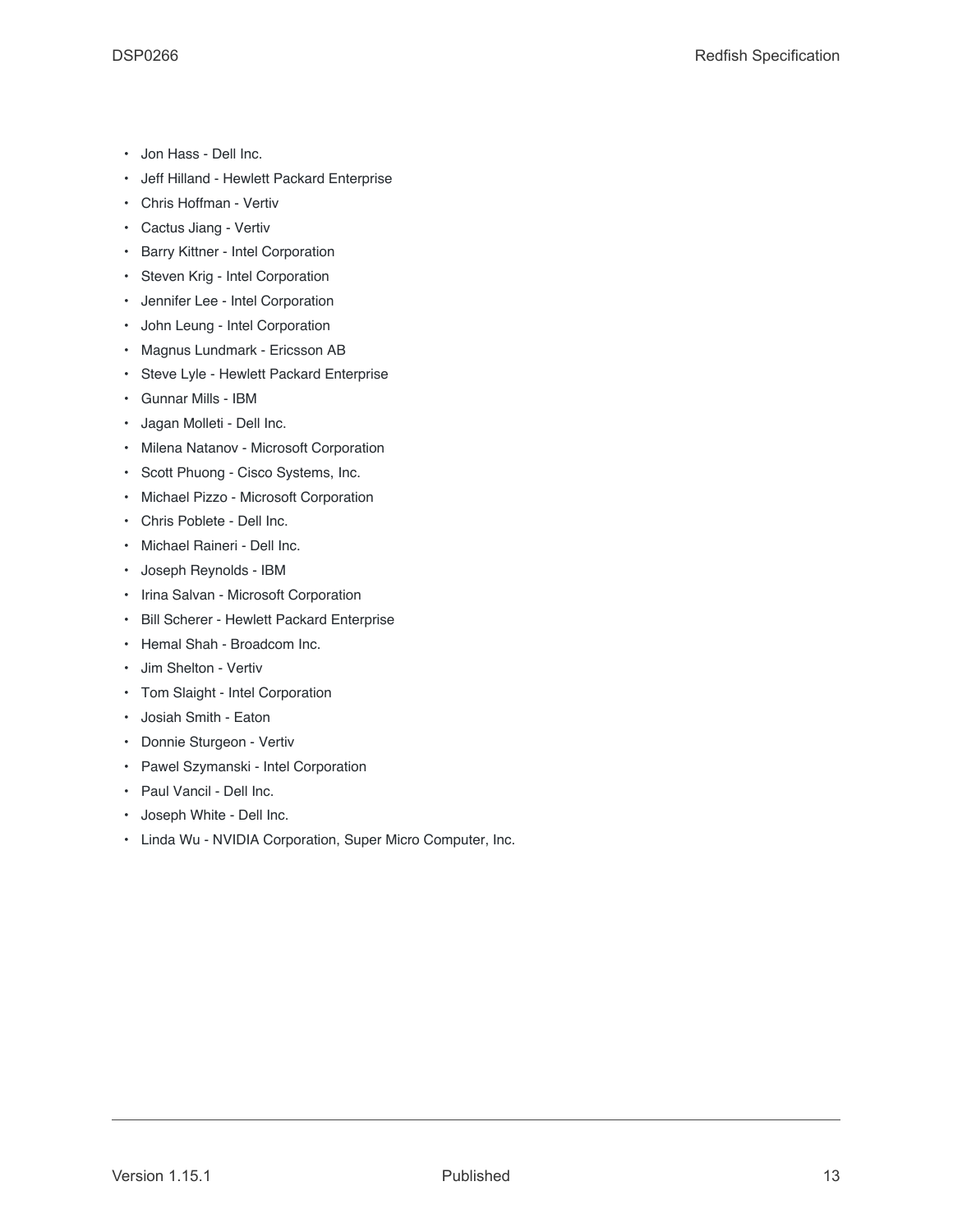- Jon Hass Dell Inc.
- Jeff Hilland Hewlett Packard Enterprise
- Chris Hoffman Vertiv
- Cactus Jiang Vertiv
- Barry Kittner Intel Corporation
- Steven Krig Intel Corporation
- Jennifer Lee Intel Corporation
- John Leung Intel Corporation
- Magnus Lundmark Ericsson AB
- Steve Lyle Hewlett Packard Enterprise
- Gunnar Mills IBM
- Jagan Molleti Dell Inc.
- Milena Natanov Microsoft Corporation
- Scott Phuong Cisco Systems, Inc.
- Michael Pizzo Microsoft Corporation
- Chris Poblete Dell Inc.
- Michael Raineri Dell Inc.
- Joseph Reynolds IBM
- Irina Salvan Microsoft Corporation
- Bill Scherer Hewlett Packard Enterprise
- Hemal Shah Broadcom Inc.
- Jim Shelton Vertiv
- Tom Slaight Intel Corporation
- Josiah Smith Eaton
- Donnie Sturgeon Vertiv
- Pawel Szymanski Intel Corporation
- Paul Vancil Dell Inc.
- Joseph White Dell Inc.
- Linda Wu NVIDIA Corporation, Super Micro Computer, Inc.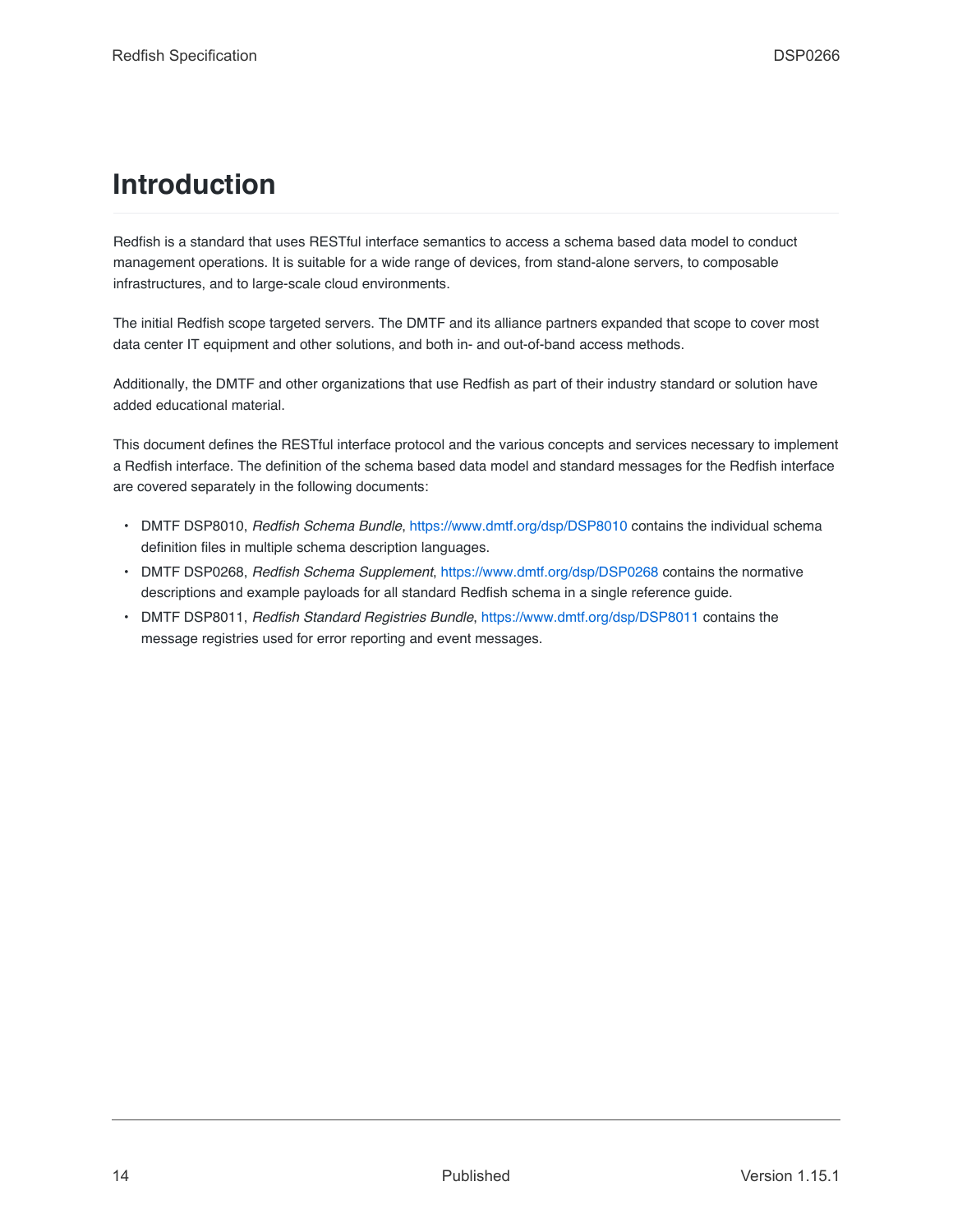# <span id="page-13-0"></span>**Introduction**

Redfish is a standard that uses RESTful interface semantics to access a schema based data model to conduct management operations. It is suitable for a wide range of devices, from stand-alone servers, to composable infrastructures, and to large-scale cloud environments.

The initial Redfish scope targeted servers. The DMTF and its alliance partners expanded that scope to cover most data center IT equipment and other solutions, and both in- and out-of-band access methods.

Additionally, the DMTF and other organizations that use Redfish as part of their industry standard or solution have added educational material.

This document defines the RESTful interface protocol and the various concepts and services necessary to implement a Redfish interface. The definition of the schema based data model and standard messages for the Redfish interface are covered separately in the following documents:

- DMTF DSP8010, *Redfish Schema Bundle*, <https://www.dmtf.org/dsp/DSP8010> contains the individual schema definition files in multiple schema description languages.
- DMTF DSP0268, *Redfish Schema Supplement*, <https://www.dmtf.org/dsp/DSP0268> contains the normative descriptions and example payloads for all standard Redfish schema in a single reference guide.
- DMTF DSP8011, *Redfish Standard Registries Bundle*, <https://www.dmtf.org/dsp/DSP8011> contains the message registries used for error reporting and event messages.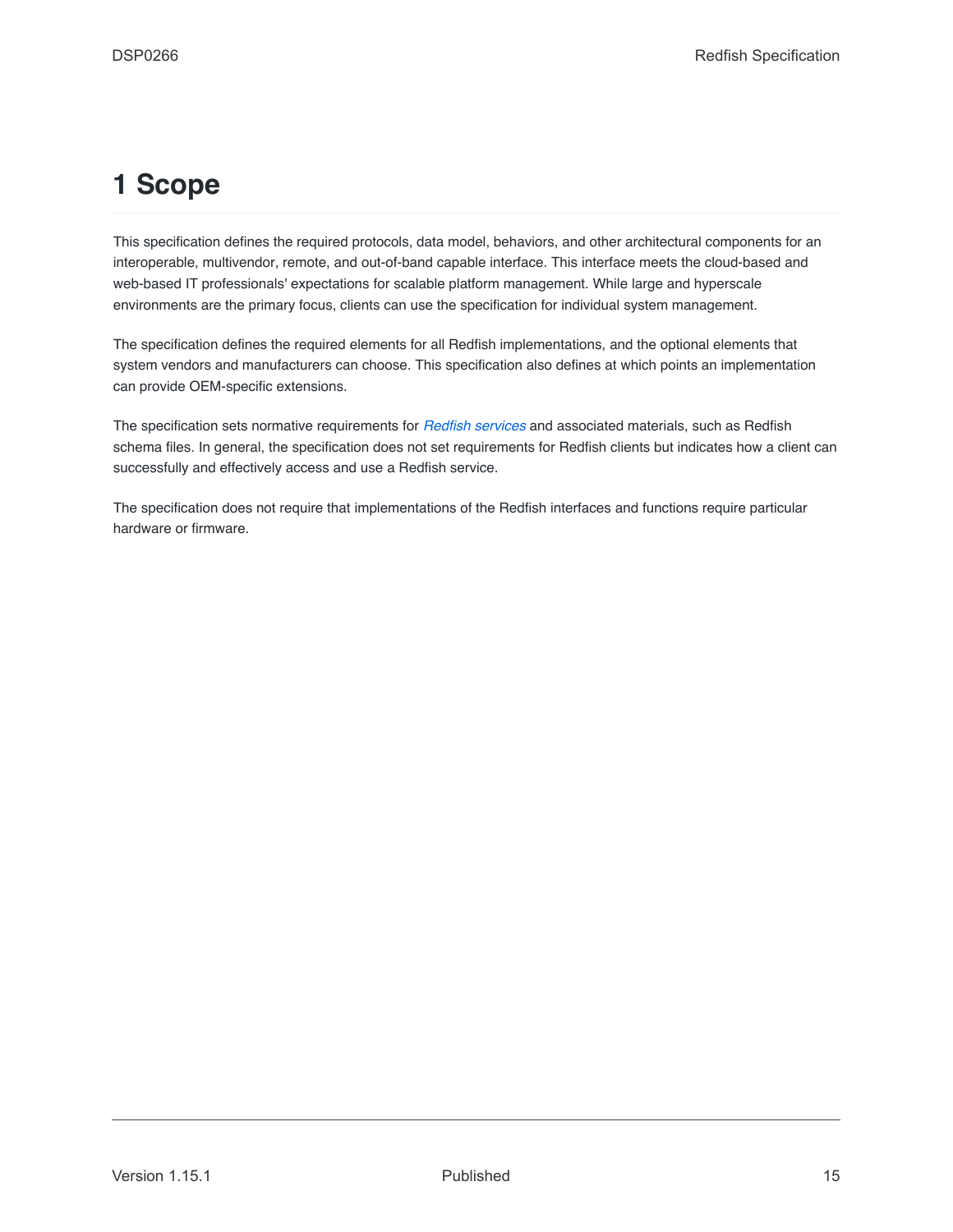# <span id="page-14-0"></span>**1 Scope**

This specification defines the required protocols, data model, behaviors, and other architectural components for an interoperable, multivendor, remote, and out-of-band capable interface. This interface meets the cloud-based and web-based IT professionals' expectations for scalable platform management. While large and hyperscale environments are the primary focus, clients can use the specification for individual system management.

The specification defines the required elements for all Redfish implementations, and the optional elements that system vendors and manufacturers can choose. This specification also defines at which points an implementation can provide OEM-specific extensions.

The specification sets normative requirements for *[Redfish services](#page-21-7)* and associated materials, such as Redfish schema files. In general, the specification does not set requirements for Redfish clients but indicates how a client can successfully and effectively access and use a Redfish service.

The specification does not require that implementations of the Redfish interfaces and functions require particular hardware or firmware.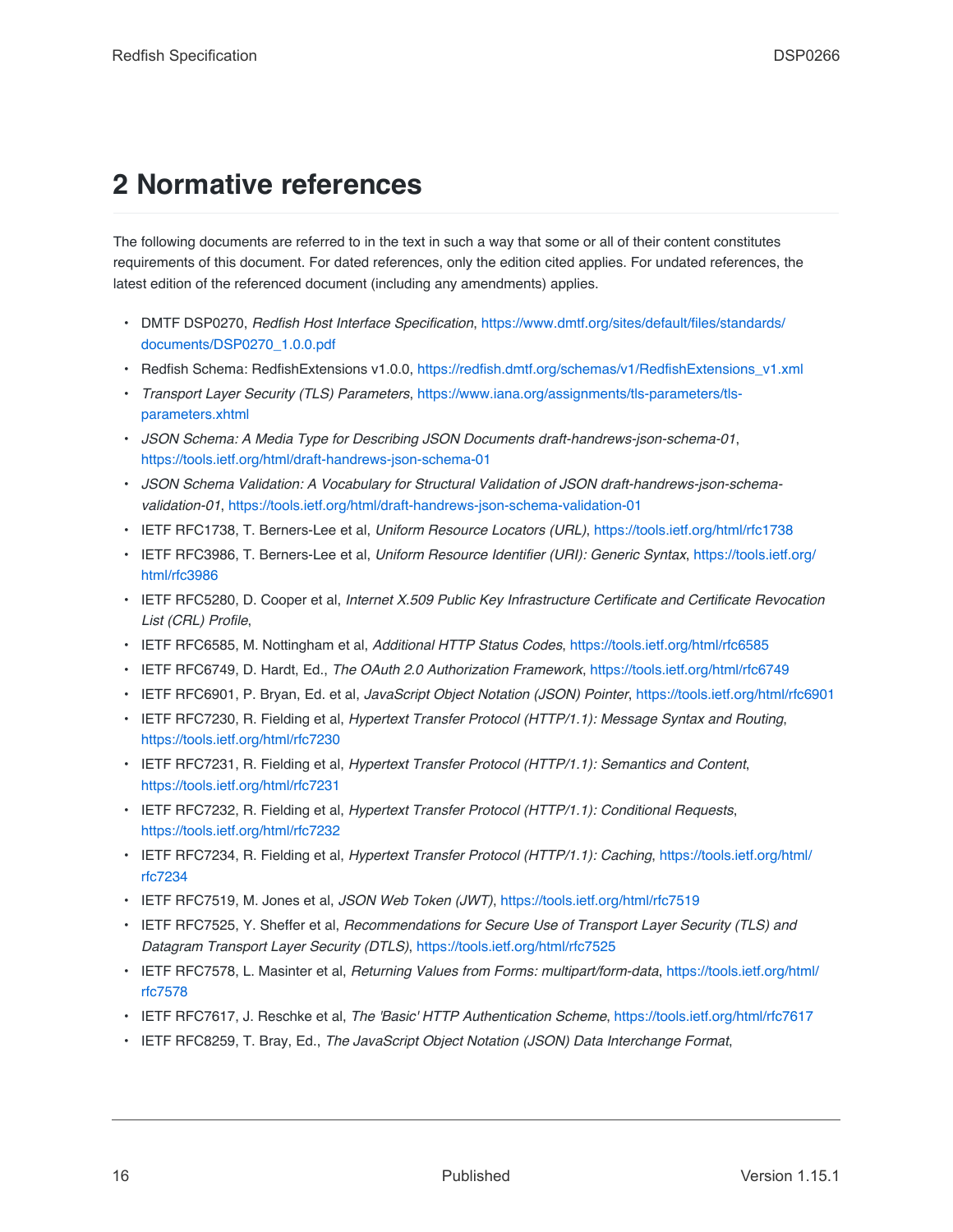# <span id="page-15-0"></span>**2 Normative references**

The following documents are referred to in the text in such a way that some or all of their content constitutes requirements of this document. For dated references, only the edition cited applies. For undated references, the latest edition of the referenced document (including any amendments) applies.

- DMTF DSP0270, *Redfish Host Interface Specification*, [https://www.dmtf.org/sites/default/files/standards/](https://www.dmtf.org/sites/default/files/standards/documents/DSP0270_1.0.0.pdf) [documents/DSP0270\\_1.0.0.pdf](https://www.dmtf.org/sites/default/files/standards/documents/DSP0270_1.0.0.pdf)
- Redfish Schema: RedfishExtensions v1.0.0, [https://redfish.dmtf.org/schemas/v1/RedfishExtensions\\_v1.xml](https://redfish.dmtf.org/schemas/v1/RedfishExtensions_v1.xml)
- *Transport Layer Security (TLS) Parameters*, [https://www.iana.org/assignments/tls-parameters/tls](https://www.iana.org/assignments/tls-parameters/tls-parameters.xhtml)[parameters.xhtml](https://www.iana.org/assignments/tls-parameters/tls-parameters.xhtml)
- *JSON Schema: A Media Type for Describing JSON Documents draft-handrews-json-schema-01*, <https://tools.ietf.org/html/draft-handrews-json-schema-01>
- *JSON Schema Validation: A Vocabulary for Structural Validation of JSON draft-handrews-json-schemavalidation-01*, <https://tools.ietf.org/html/draft-handrews-json-schema-validation-01>
- <span id="page-15-4"></span>• IETF RFC1738, T. Berners-Lee et al, *Uniform Resource Locators (URL)*, <https://tools.ietf.org/html/rfc1738>
- <span id="page-15-5"></span>• IETF RFC3986, T. Berners-Lee et al, *Uniform Resource Identifier (URI): Generic Syntax*, [https://tools.ietf.org/](https://tools.ietf.org/html/rfc3986) [html/rfc3986](https://tools.ietf.org/html/rfc3986)
- IETF RFC5280, D. Cooper et al, *Internet X.509 Public Key Infrastructure Certificate and Certificate Revocation List (CRL) Profile*,
- <span id="page-15-8"></span>• IETF RFC6585, M. Nottingham et al, *Additional HTTP Status Codes*, <https://tools.ietf.org/html/rfc6585>
- IETF RFC6749, D. Hardt, Ed., *The OAuth 2.0 Authorization Framework*, <https://tools.ietf.org/html/rfc6749>
- <span id="page-15-6"></span>• IETF RFC6901, P. Bryan, Ed. et al, *JavaScript Object Notation (JSON) Pointer*, <https://tools.ietf.org/html/rfc6901>
- <span id="page-15-1"></span>• IETF RFC7230, R. Fielding et al, *Hypertext Transfer Protocol (HTTP/1.1): Message Syntax and Routing*, <https://tools.ietf.org/html/rfc7230>
- <span id="page-15-2"></span>• IETF RFC7231, R. Fielding et al, *Hypertext Transfer Protocol (HTTP/1.1): Semantics and Content*, <https://tools.ietf.org/html/rfc7231>
- <span id="page-15-3"></span>• IETF RFC7232, R. Fielding et al, *Hypertext Transfer Protocol (HTTP/1.1): Conditional Requests*, <https://tools.ietf.org/html/rfc7232>
- IETF RFC7234, R. Fielding et al, *Hypertext Transfer Protocol (HTTP/1.1): Caching*, [https://tools.ietf.org/html/](https://tools.ietf.org/html/rfc7234) [rfc7234](https://tools.ietf.org/html/rfc7234)
- IETF RFC7519, M. Jones et al, *JSON Web Token (JWT)*, <https://tools.ietf.org/html/rfc7519>
- IETF RFC7525, Y. Sheffer et al, *Recommendations for Secure Use of Transport Layer Security (TLS) and Datagram Transport Layer Security (DTLS)*, <https://tools.ietf.org/html/rfc7525>
- IETF RFC7578, L. Masinter et al, *Returning Values from Forms: multipart/form-data*, [https://tools.ietf.org/html/](https://tools.ietf.org/html/rfc7578) [rfc7578](https://tools.ietf.org/html/rfc7578)
- IETF RFC7617, J. Reschke et al, *The 'Basic' HTTP Authentication Scheme*, <https://tools.ietf.org/html/rfc7617>
- <span id="page-15-7"></span>• IETF RFC8259, T. Bray, Ed., *The JavaScript Object Notation (JSON) Data Interchange Format*,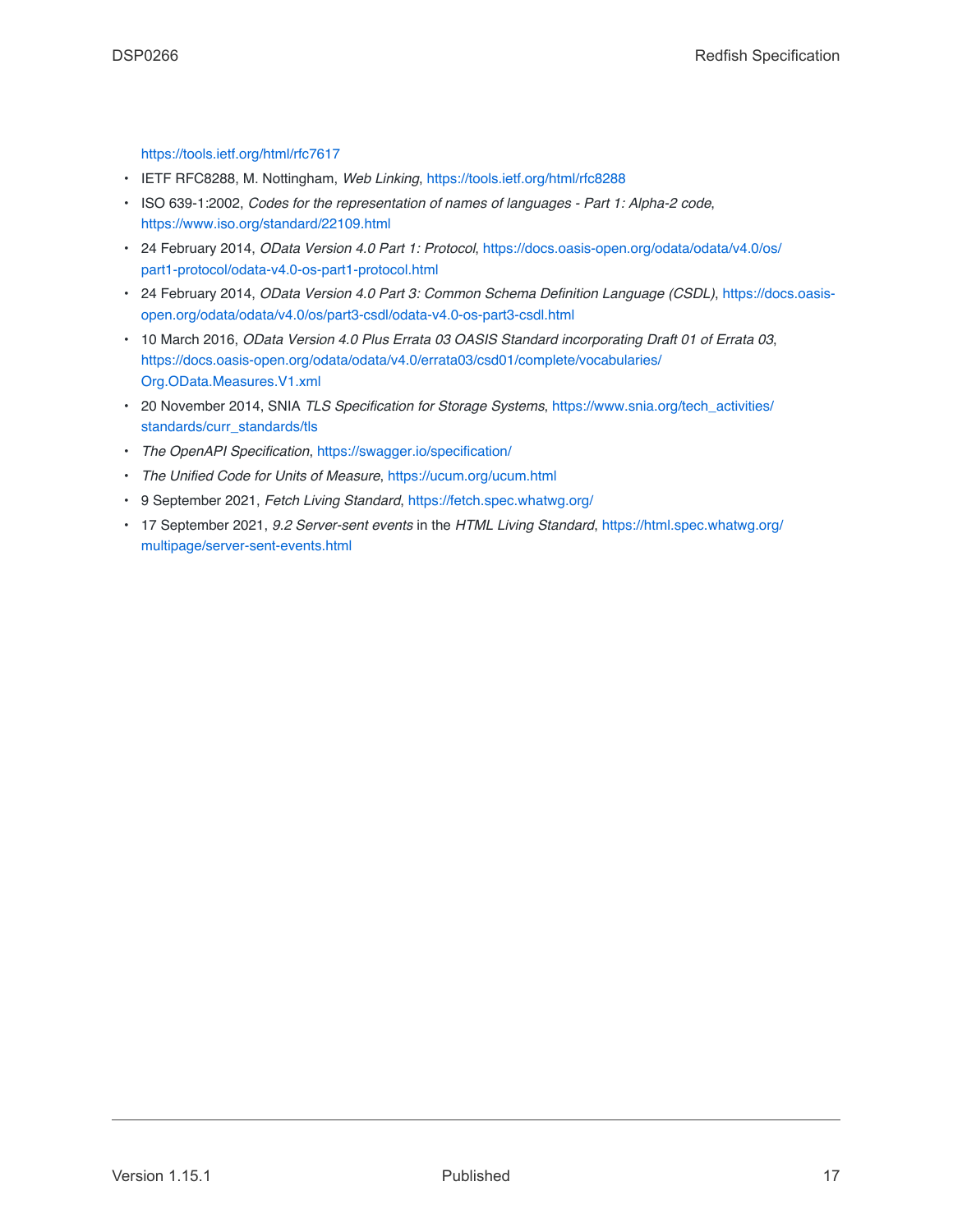[https://tools.ietf.org/html/rfc7617](https://tools.ietf.org/html/rfc8259)

- IETF RFC8288, M. Nottingham, *Web Linking*, <https://tools.ietf.org/html/rfc8288>
- ISO 639-1:2002, *Codes for the representation of names of languages Part 1: Alpha-2 code*, <https://www.iso.org/standard/22109.html>
- <span id="page-16-0"></span>• 24 February 2014, *OData Version 4.0 Part 1: Protocol*, [https://docs.oasis-open.org/odata/odata/v4.0/os/](https://docs.oasis-open.org/odata/odata/v4.0/os/part1-protocol/odata-v4.0-os-part1-protocol.html) [part1-protocol/odata-v4.0-os-part1-protocol.html](https://docs.oasis-open.org/odata/odata/v4.0/os/part1-protocol/odata-v4.0-os-part1-protocol.html)
- 24 February 2014, *OData Version 4.0 Part 3: Common Schema Definition Language (CSDL)*, [https://docs.oasis](https://docs.oasis-open.org/odata/odata/v4.0/os/part3-csdl/odata-v4.0-os-part3-csdl.html)[open.org/odata/odata/v4.0/os/part3-csdl/odata-v4.0-os-part3-csdl.html](https://docs.oasis-open.org/odata/odata/v4.0/os/part3-csdl/odata-v4.0-os-part3-csdl.html)
- 10 March 2016, *OData Version 4.0 Plus Errata 03 OASIS Standard incorporating Draft 01 of Errata 03*, [https://docs.oasis-open.org/odata/odata/v4.0/errata03/csd01/complete/vocabularies/](https://docs.oasis-open.org/odata/odata/v4.0/errata03/csd01/complete/vocabularies/Org.OData.Measures.V1.xml) [Org.OData.Measures.V1.xml](https://docs.oasis-open.org/odata/odata/v4.0/errata03/csd01/complete/vocabularies/Org.OData.Measures.V1.xml)
- 20 November 2014, SNIA *TLS Specification for Storage Systems*, [https://www.snia.org/tech\\_activities/](https://www.snia.org/tech_activities/standards/curr_standards/tls) [standards/curr\\_standards/tls](https://www.snia.org/tech_activities/standards/curr_standards/tls)
- <span id="page-16-1"></span>• *The OpenAPI Specification*, <https://swagger.io/specification/>
- *The Unified Code for Units of Measure*, <https://ucum.org/ucum.html>
- 9 September 2021, *Fetch Living Standard*, <https://fetch.spec.whatwg.org/>
- 17 September 2021, *9.2 Server-sent events* in the *HTML Living Standard*, [https://html.spec.whatwg.org/](https://html.spec.whatwg.org/multipage/server-sent-events.html) [multipage/server-sent-events.html](https://html.spec.whatwg.org/multipage/server-sent-events.html)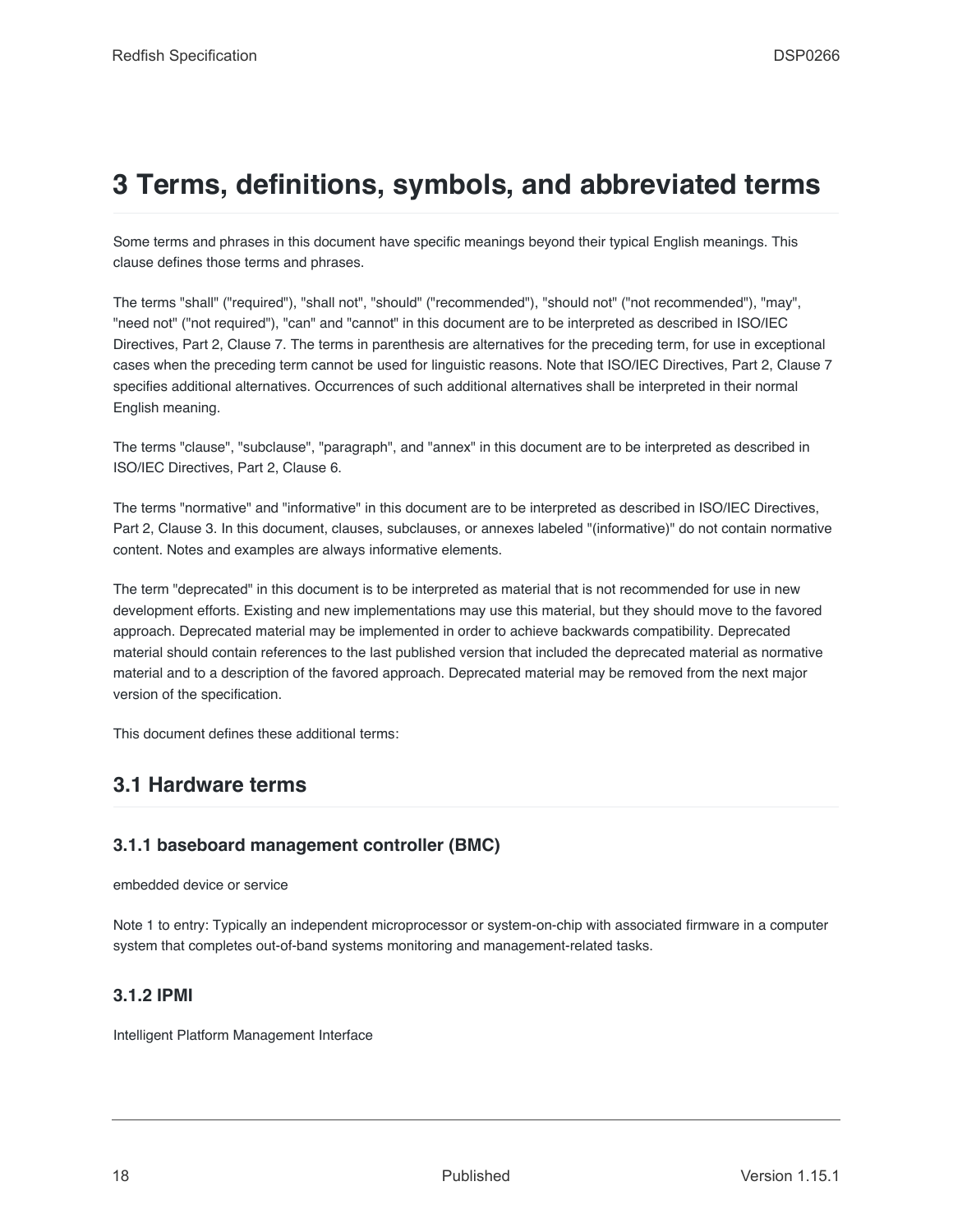# <span id="page-17-0"></span>**3 Terms, definitions, symbols, and abbreviated terms**

Some terms and phrases in this document have specific meanings beyond their typical English meanings. This clause defines those terms and phrases.

The terms "shall" ("required"), "shall not", "should" ("recommended"), "should not" ("not recommended"), "may", "need not" ("not required"), "can" and "cannot" in this document are to be interpreted as described in ISO/IEC Directives, Part 2, Clause 7. The terms in parenthesis are alternatives for the preceding term, for use in exceptional cases when the preceding term cannot be used for linguistic reasons. Note that ISO/IEC Directives, Part 2, Clause 7 specifies additional alternatives. Occurrences of such additional alternatives shall be interpreted in their normal English meaning.

The terms "clause", "subclause", "paragraph", and "annex" in this document are to be interpreted as described in ISO/IEC Directives, Part 2, Clause 6.

The terms "normative" and "informative" in this document are to be interpreted as described in ISO/IEC Directives, Part 2, Clause 3. In this document, clauses, subclauses, or annexes labeled "(informative)" do not contain normative content. Notes and examples are always informative elements.

The term "deprecated" in this document is to be interpreted as material that is not recommended for use in new development efforts. Existing and new implementations may use this material, but they should move to the favored approach. Deprecated material may be implemented in order to achieve backwards compatibility. Deprecated material should contain references to the last published version that included the deprecated material as normative material and to a description of the favored approach. Deprecated material may be removed from the next major version of the specification.

This document defines these additional terms:

## <span id="page-17-1"></span>**3.1 Hardware terms**

### <span id="page-17-2"></span>**3.1.1 baseboard management controller (BMC)**

embedded device or service

Note 1 to entry: Typically an independent microprocessor or system-on-chip with associated firmware in a computer system that completes out-of-band systems monitoring and management-related tasks.

#### <span id="page-17-3"></span>**3.1.2 IPMI**

Intelligent Platform Management Interface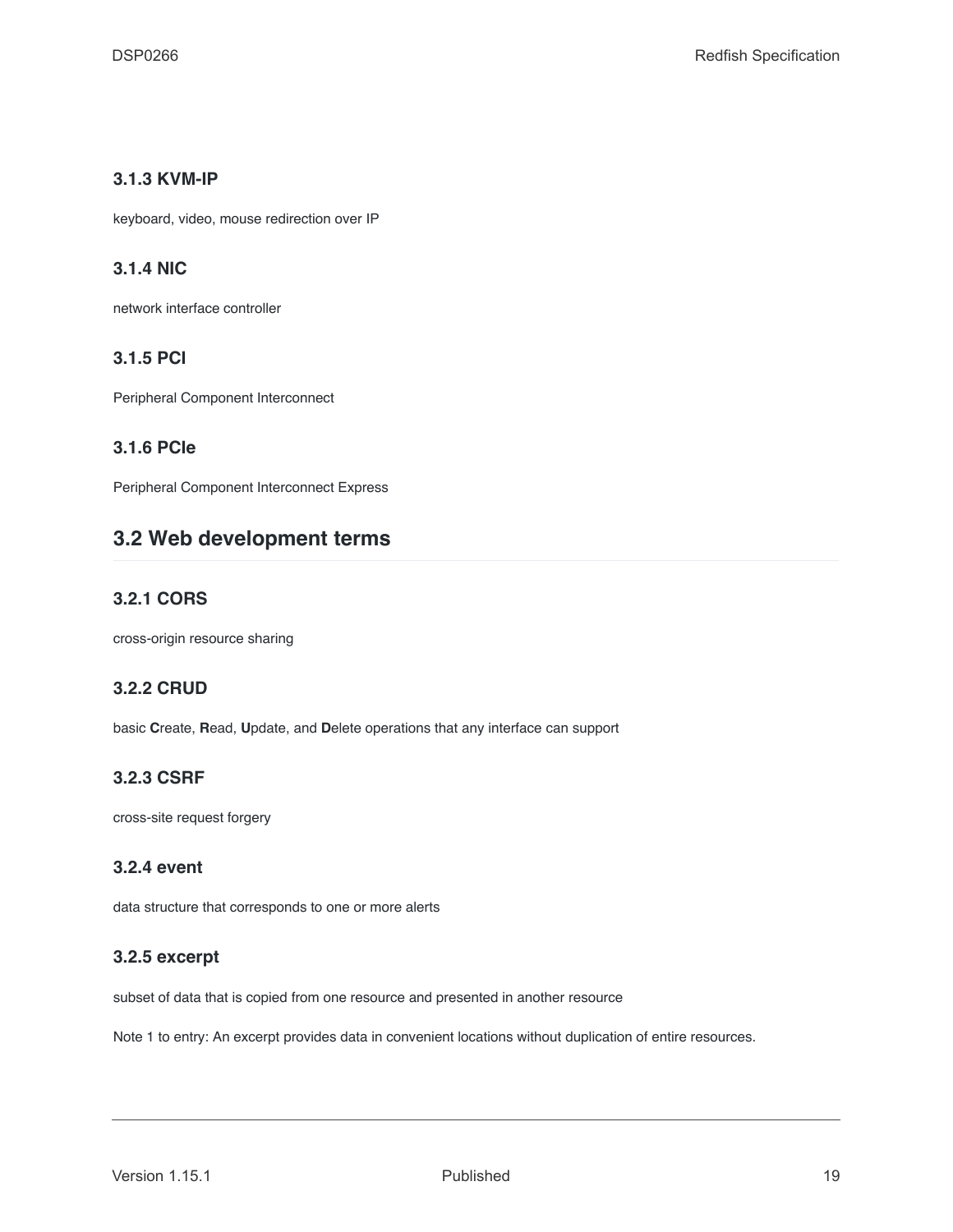#### <span id="page-18-0"></span>**3.1.3 KVM-IP**

keyboard, video, mouse redirection over IP

#### <span id="page-18-1"></span>**3.1.4 NIC**

network interface controller

#### <span id="page-18-2"></span>**3.1.5 PCI**

Peripheral Component Interconnect

## <span id="page-18-3"></span>**3.1.6 PCIe**

Peripheral Component Interconnect Express

## <span id="page-18-4"></span>**3.2 Web development terms**

### <span id="page-18-5"></span>**3.2.1 CORS**

cross-origin resource sharing

#### <span id="page-18-6"></span>**3.2.2 CRUD**

basic **C**reate, **R**ead, **U**pdate, and **D**elete operations that any interface can support

### <span id="page-18-7"></span>**3.2.3 CSRF**

cross-site request forgery

#### <span id="page-18-8"></span>**3.2.4 event**

data structure that corresponds to one or more alerts

#### <span id="page-18-9"></span>**3.2.5 excerpt**

subset of data that is copied from one resource and presented in another resource

Note 1 to entry: An excerpt provides data in convenient locations without duplication of entire resources.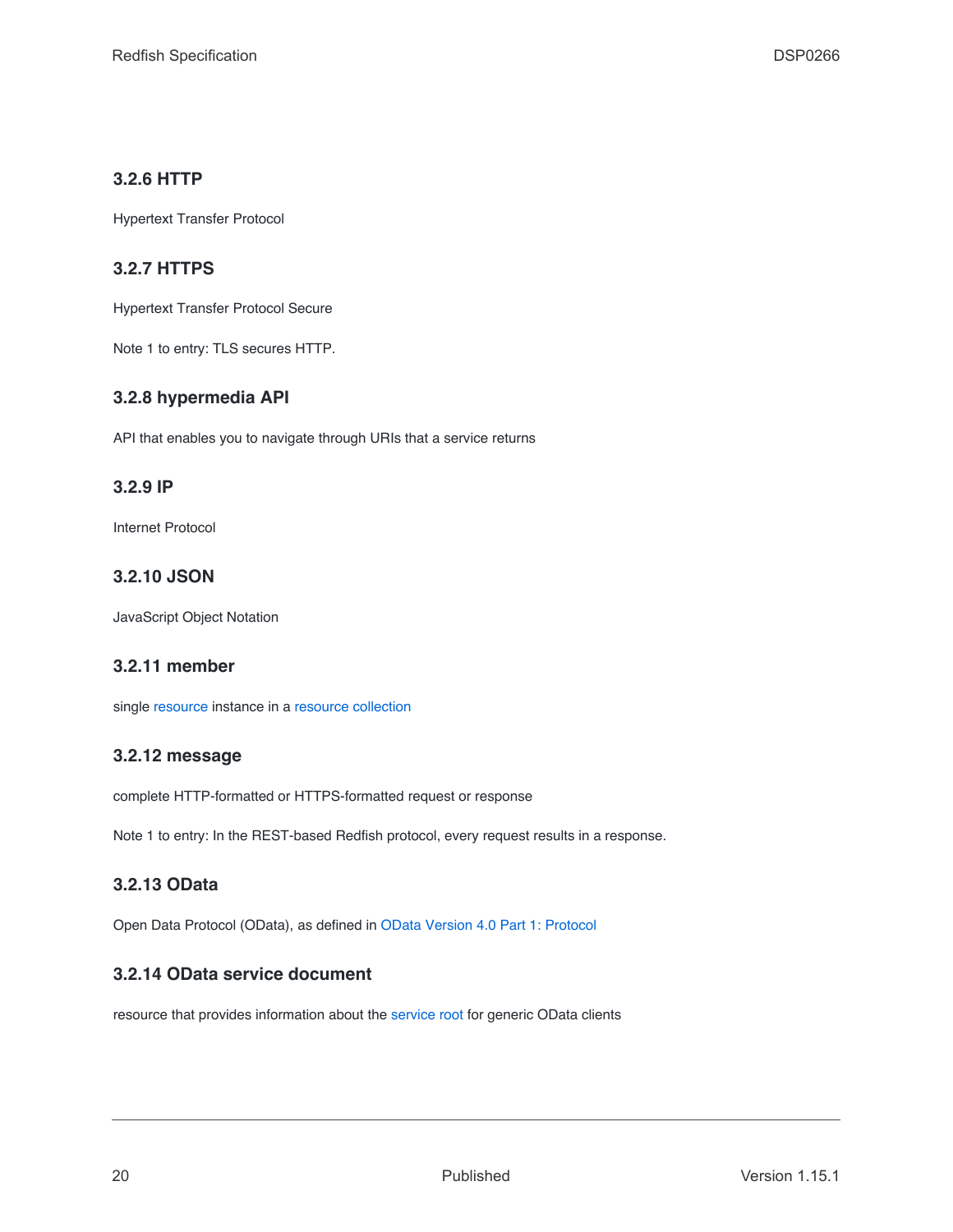### <span id="page-19-0"></span>**3.2.6 HTTP**

Hypertext Transfer Protocol

### <span id="page-19-1"></span>**3.2.7 HTTPS**

Hypertext Transfer Protocol Secure

Note 1 to entry: TLS secures HTTP.

### <span id="page-19-2"></span>**3.2.8 hypermedia API**

API that enables you to navigate through URIs that a service returns

#### <span id="page-19-3"></span>**3.2.9 IP**

Internet Protocol

#### <span id="page-19-4"></span>**3.2.10 JSON**

JavaScript Object Notation

#### <span id="page-19-5"></span>**3.2.11 member**

single [resource](#page-21-8) instance in a [resource collection](#page-22-0)

#### <span id="page-19-6"></span>**3.2.12 message**

complete HTTP-formatted or HTTPS-formatted request or response

Note 1 to entry: In the REST-based Redfish protocol, every request results in a response.

#### <span id="page-19-7"></span>**3.2.13 OData**

Open Data Protocol (OData), as defined in [OData Version 4.0 Part 1: Protocol](#page-16-0)

### <span id="page-19-8"></span>**3.2.14 OData service document**

resource that provides information about the [service root](#page-22-3) for generic OData clients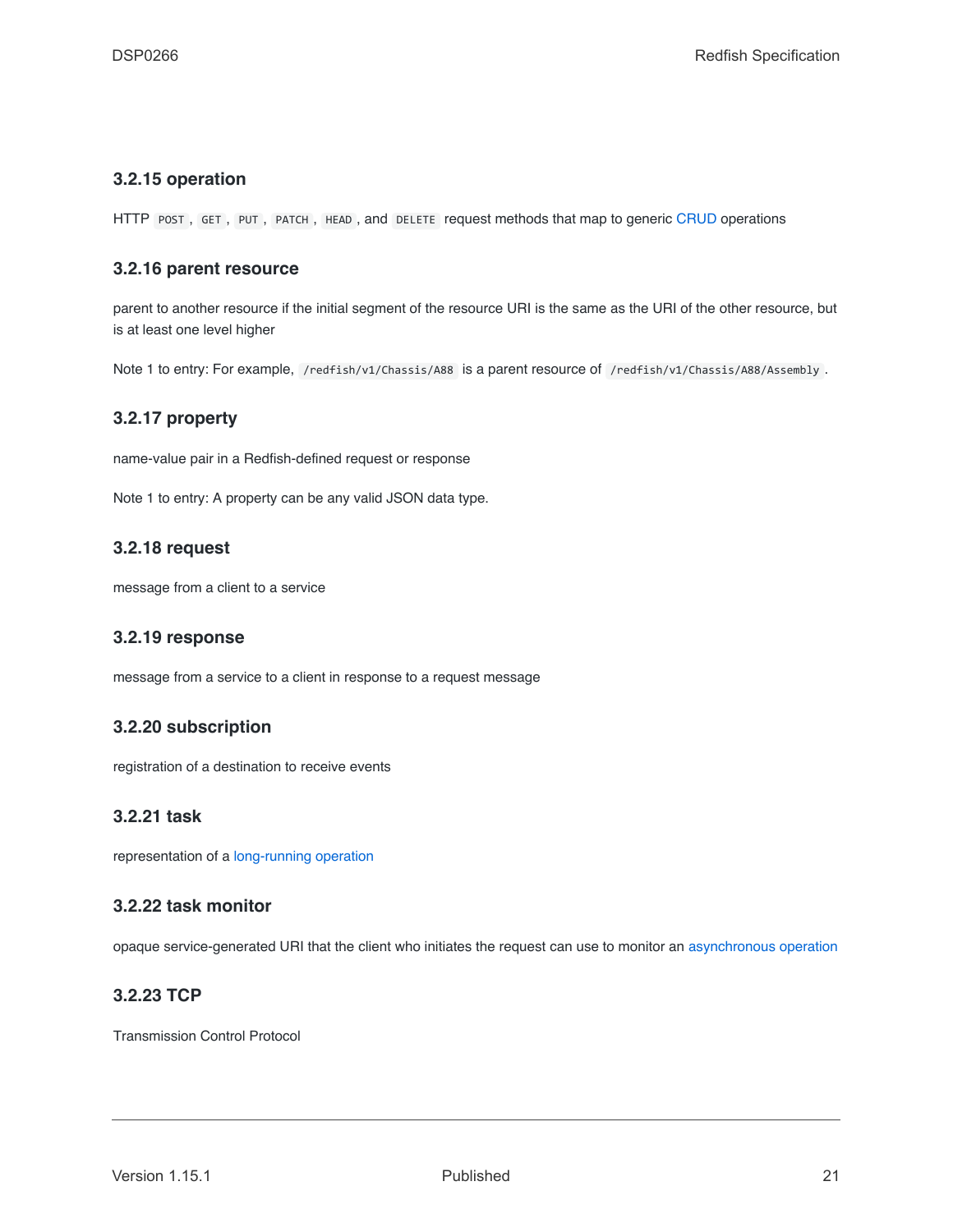#### <span id="page-20-0"></span>**3.2.15 operation**

HTTP POST, GET, PUT, PATCH, HEAD, and DELETE request methods that map to generic [CRUD](#page-18-6) operations

#### <span id="page-20-1"></span>**3.2.16 parent resource**

parent to another resource if the initial segment of the resource URI is the same as the URI of the other resource, but is at least one level higher

Note 1 to entry: For example, /redfish/v1/Chassis/A88 is a parent resource of /redfish/v1/Chassis/A88/Assembly .

#### <span id="page-20-2"></span>**3.2.17 property**

name-value pair in a Redfish-defined request or response

Note 1 to entry: A property can be any valid JSON data type.

#### <span id="page-20-3"></span>**3.2.18 request**

message from a client to a service

#### <span id="page-20-4"></span>**3.2.19 response**

message from a service to a client in response to a request message

#### <span id="page-20-5"></span>**3.2.20 subscription**

registration of a destination to receive events

### <span id="page-20-6"></span>**3.2.21 task**

representation of a [long-running operation](#page-145-1)

#### <span id="page-20-7"></span>**3.2.22 task monitor**

opaque service-generated URI that the client who initiates the request can use to monitor an [asynchronous operation](#page-145-1)

#### <span id="page-20-8"></span>**3.2.23 TCP**

Transmission Control Protocol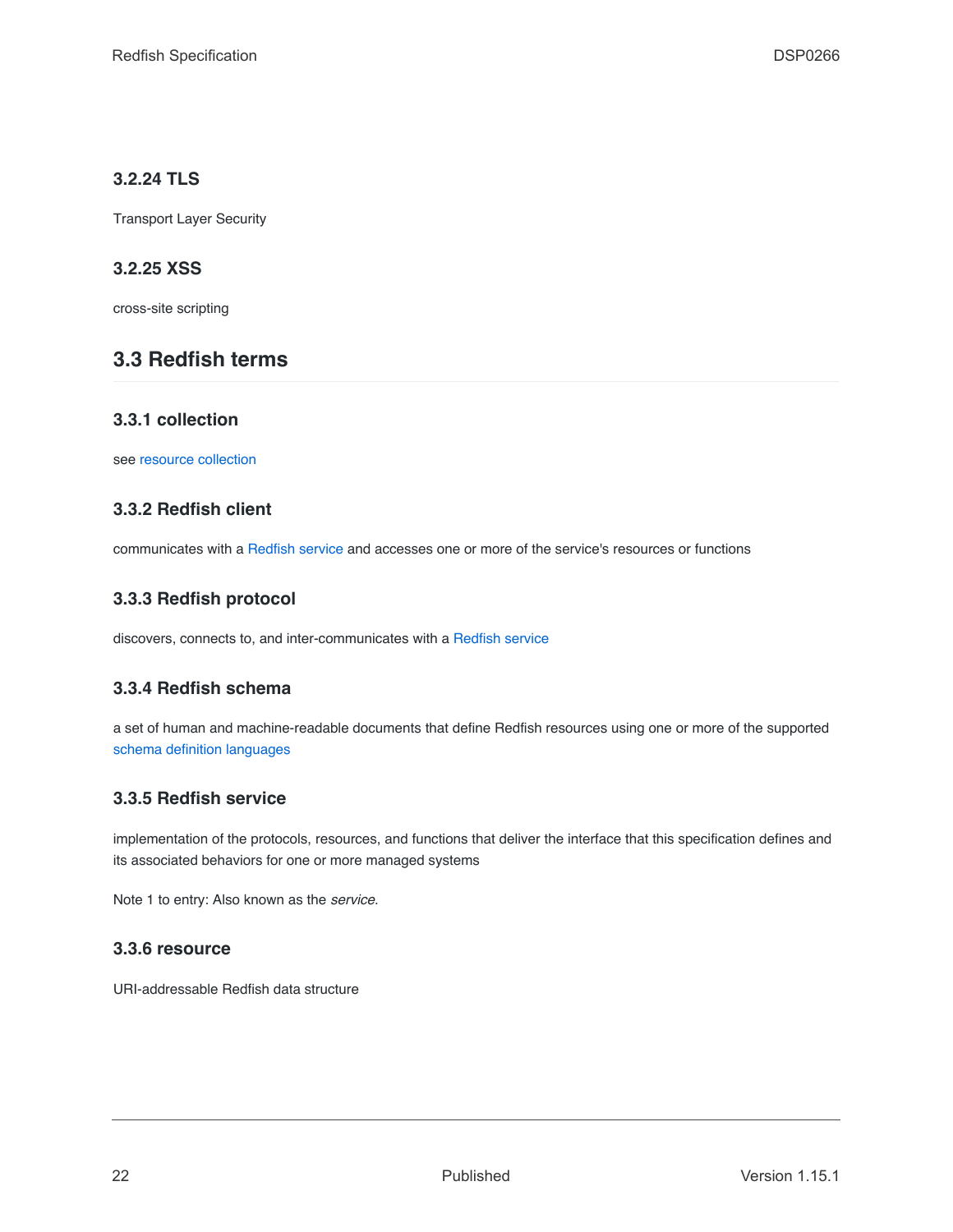## <span id="page-21-0"></span>**3.2.24 TLS**

Transport Layer Security

## <span id="page-21-1"></span>**3.2.25 XSS**

cross-site scripting

## <span id="page-21-2"></span>**3.3 Redfish terms**

### <span id="page-21-3"></span>**3.3.1 collection**

see [resource collection](#page-22-0)

## <span id="page-21-4"></span>**3.3.2 Redfish client**

communicates with a [Redfish service](#page-21-7) and accesses one or more of the service's resources or functions

## <span id="page-21-5"></span>**3.3.3 Redfish protocol**

discovers, connects to, and inter-communicates with a [Redfish service](#page-21-7)

### <span id="page-21-6"></span>**3.3.4 Redfish schema**

a set of human and machine-readable documents that define Redfish resources using one or more of the supported [schema definition languages](#page-114-0)

### <span id="page-21-7"></span>**3.3.5 Redfish service**

implementation of the protocols, resources, and functions that deliver the interface that this specification defines and its associated behaviors for one or more managed systems

Note 1 to entry: Also known as the *service*.

#### <span id="page-21-8"></span>**3.3.6 resource**

URI-addressable Redfish data structure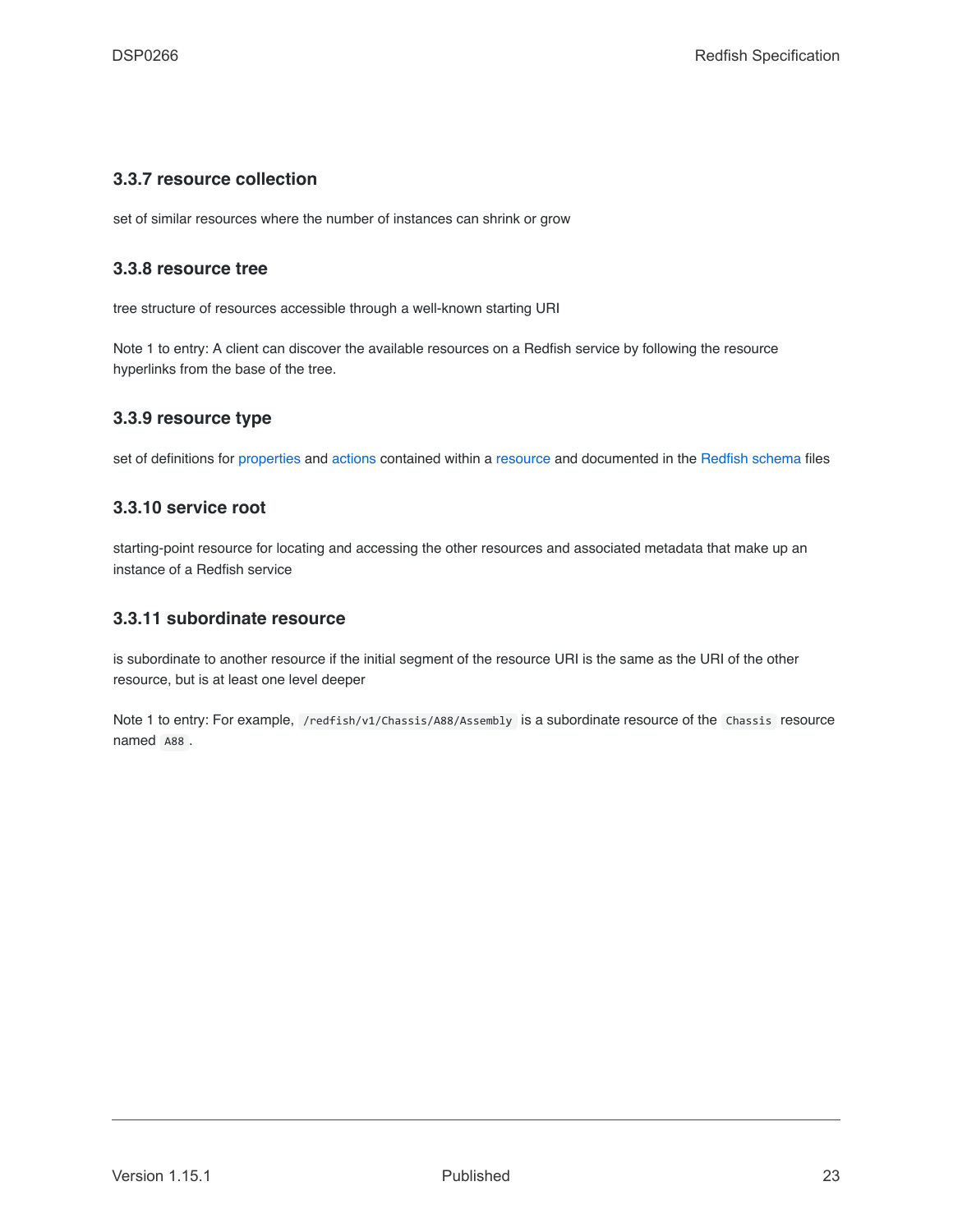#### <span id="page-22-0"></span>**3.3.7 resource collection**

set of similar resources where the number of instances can shrink or grow

#### <span id="page-22-1"></span>**3.3.8 resource tree**

tree structure of resources accessible through a well-known starting URI

Note 1 to entry: A client can discover the available resources on a Redfish service by following the resource hyperlinks from the base of the tree.

#### <span id="page-22-2"></span>**3.3.9 resource type**

set of definitions for [properties](#page-20-2) and [actions](#page-28-0) contained within a [resource](#page-21-8) and documented in the [Redfish schema](#page-21-6) files

### <span id="page-22-3"></span>**3.3.10 service root**

starting-point resource for locating and accessing the other resources and associated metadata that make up an instance of a Redfish service

#### <span id="page-22-4"></span>**3.3.11 subordinate resource**

is subordinate to another resource if the initial segment of the resource URI is the same as the URI of the other resource, but is at least one level deeper

Note 1 to entry: For example, /redfish/v1/Chassis/A88/Assembly is a subordinate resource of the Chassis resource named A88 .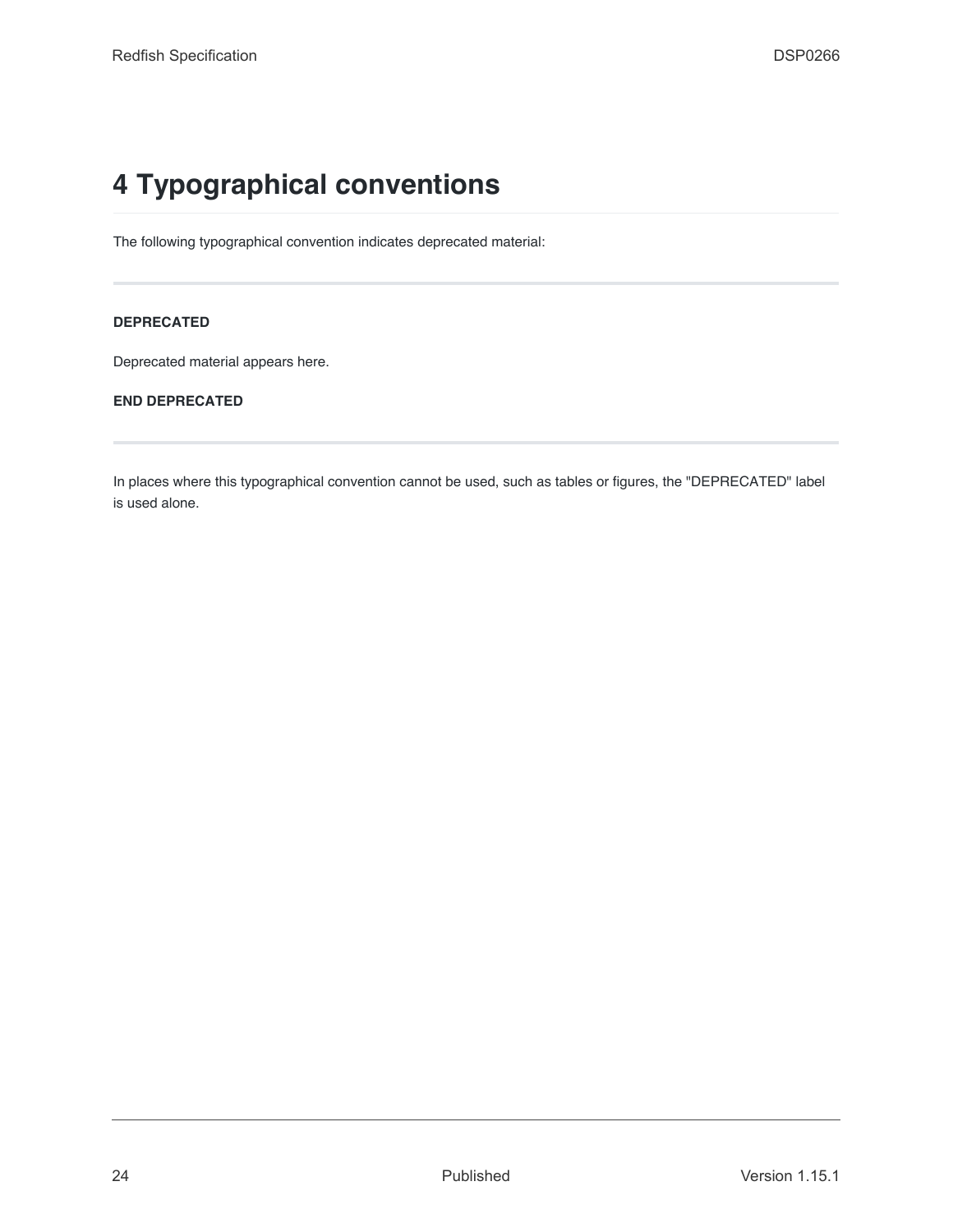# <span id="page-23-0"></span>**4 Typographical conventions**

The following typographical convention indicates deprecated material:

#### **DEPRECATED**

Deprecated material appears here.

#### **END DEPRECATED**

In places where this typographical convention cannot be used, such as tables or figures, the "DEPRECATED" label is used alone.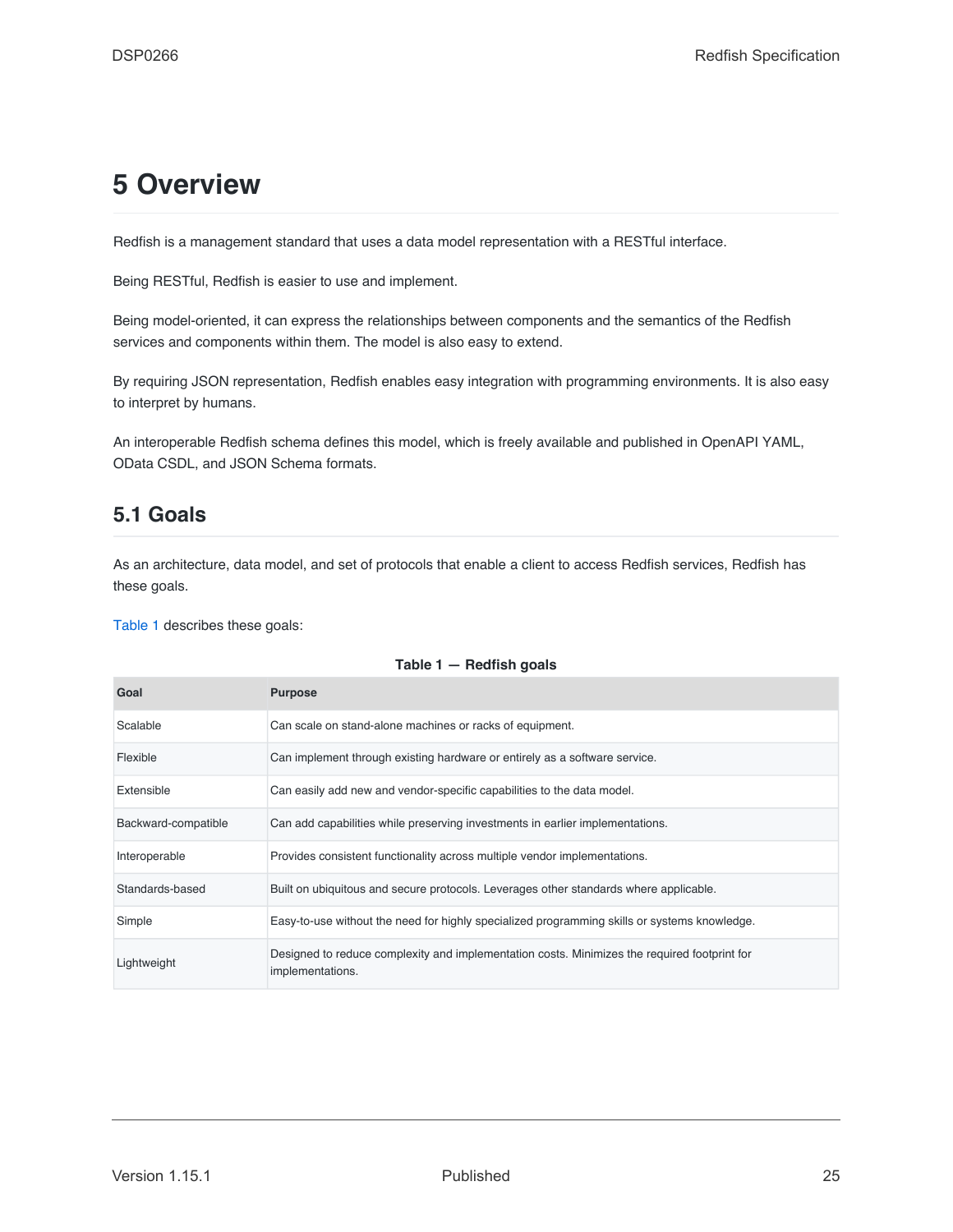# <span id="page-24-0"></span>**5 Overview**

Redfish is a management standard that uses a data model representation with a RESTful interface.

Being RESTful, Redfish is easier to use and implement.

Being model-oriented, it can express the relationships between components and the semantics of the Redfish services and components within them. The model is also easy to extend.

By requiring JSON representation, Redfish enables easy integration with programming environments. It is also easy to interpret by humans.

An interoperable Redfish schema defines this model, which is freely available and published in OpenAPI YAML, OData CSDL, and JSON Schema formats.

## <span id="page-24-1"></span>**5.1 Goals**

As an architecture, data model, and set of protocols that enable a client to access Redfish services, Redfish has these goals.

[Table 1](#page-24-2) describes these goals:

<span id="page-24-2"></span>

| Goal                | <b>Purpose</b>                                                                                                   |
|---------------------|------------------------------------------------------------------------------------------------------------------|
| Scalable            | Can scale on stand-alone machines or racks of equipment.                                                         |
| Flexible            | Can implement through existing hardware or entirely as a software service.                                       |
| Extensible          | Can easily add new and vendor-specific capabilities to the data model.                                           |
| Backward-compatible | Can add capabilities while preserving investments in earlier implementations.                                    |
| Interoperable       | Provides consistent functionality across multiple vendor implementations.                                        |
| Standards-based     | Built on ubiquitous and secure protocols. Leverages other standards where applicable.                            |
| Simple              | Easy-to-use without the need for highly specialized programming skills or systems knowledge.                     |
| Lightweight         | Designed to reduce complexity and implementation costs. Minimizes the required footprint for<br>implementations. |

#### **Table 1 — Redfish goals**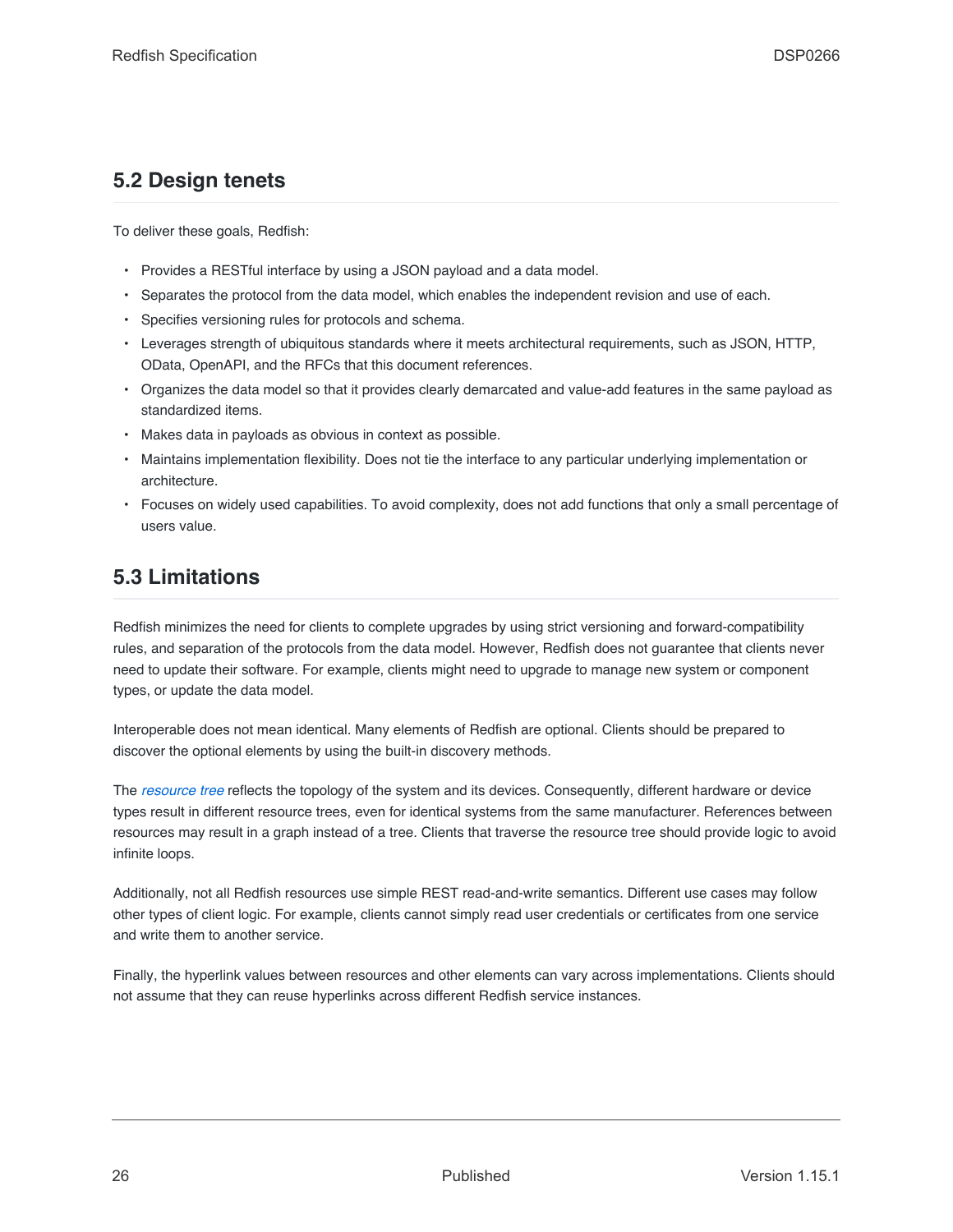## <span id="page-25-0"></span>**5.2 Design tenets**

To deliver these goals, Redfish:

- Provides a RESTful interface by using a JSON payload and a data model.
- Separates the protocol from the data model, which enables the independent revision and use of each.
- Specifies versioning rules for protocols and schema.
- Leverages strength of ubiquitous standards where it meets architectural requirements, such as JSON, HTTP, OData, OpenAPI, and the RFCs that this document references.
- Organizes the data model so that it provides clearly demarcated and value-add features in the same payload as standardized items.
- Makes data in payloads as obvious in context as possible.
- Maintains implementation flexibility. Does not tie the interface to any particular underlying implementation or architecture.
- Focuses on widely used capabilities. To avoid complexity, does not add functions that only a small percentage of users value.

# <span id="page-25-1"></span>**5.3 Limitations**

Redfish minimizes the need for clients to complete upgrades by using strict versioning and forward-compatibility rules, and separation of the protocols from the data model. However, Redfish does not guarantee that clients never need to update their software. For example, clients might need to upgrade to manage new system or component types, or update the data model.

Interoperable does not mean identical. Many elements of Redfish are optional. Clients should be prepared to discover the optional elements by using the built-in discovery methods.

The *[resource tree](#page-22-1)* reflects the topology of the system and its devices. Consequently, different hardware or device types result in different resource trees, even for identical systems from the same manufacturer. References between resources may result in a graph instead of a tree. Clients that traverse the resource tree should provide logic to avoid infinite loops.

Additionally, not all Redfish resources use simple REST read-and-write semantics. Different use cases may follow other types of client logic. For example, clients cannot simply read user credentials or certificates from one service and write them to another service.

Finally, the hyperlink values between resources and other elements can vary across implementations. Clients should not assume that they can reuse hyperlinks across different Redfish service instances.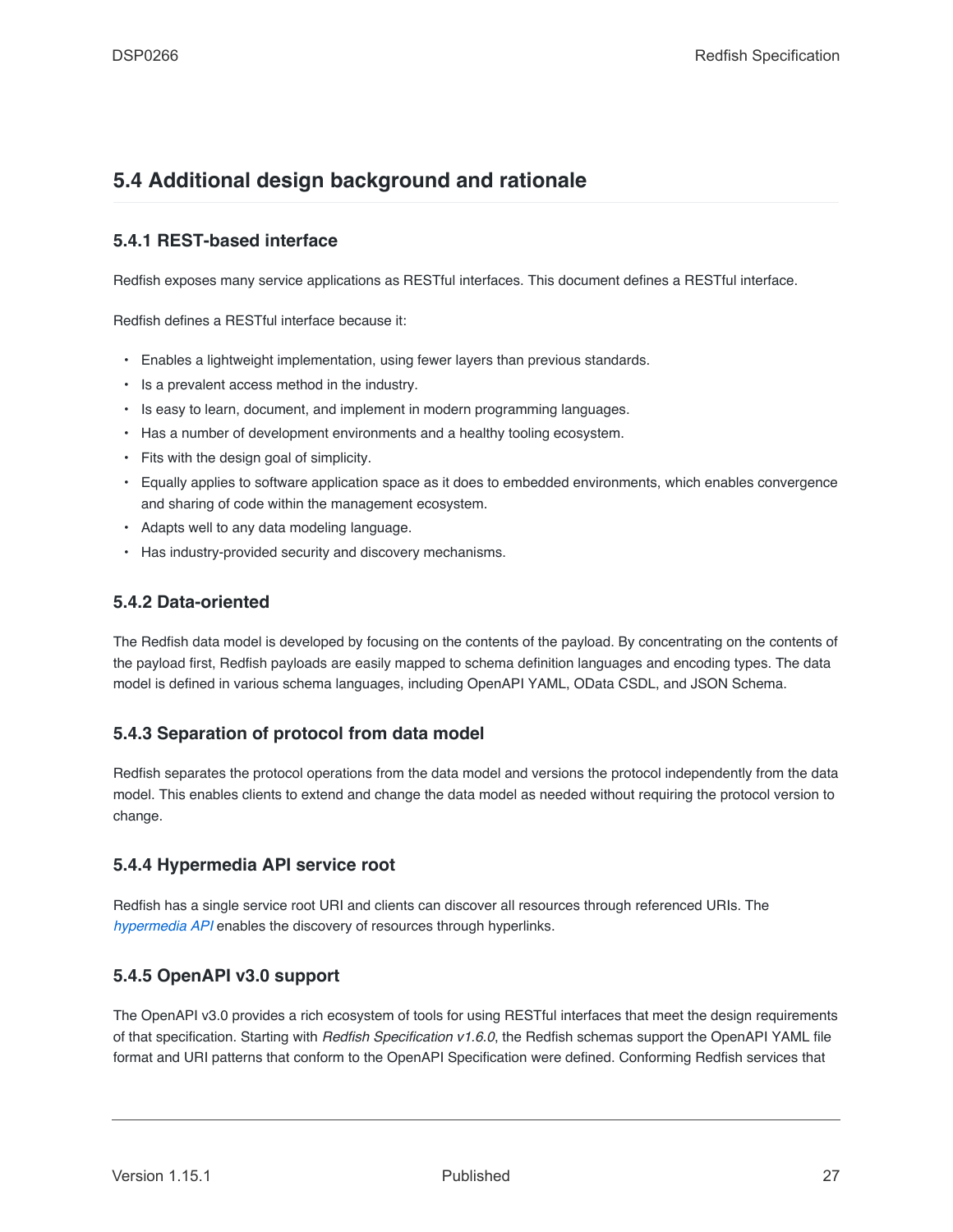## <span id="page-26-0"></span>**5.4 Additional design background and rationale**

## <span id="page-26-1"></span>**5.4.1 REST-based interface**

Redfish exposes many service applications as RESTful interfaces. This document defines a RESTful interface.

Redfish defines a RESTful interface because it:

- Enables a lightweight implementation, using fewer layers than previous standards.
- Is a prevalent access method in the industry.
- Is easy to learn, document, and implement in modern programming languages.
- Has a number of development environments and a healthy tooling ecosystem.
- Fits with the design goal of simplicity.
- Equally applies to software application space as it does to embedded environments, which enables convergence and sharing of code within the management ecosystem.
- Adapts well to any data modeling language.
- Has industry-provided security and discovery mechanisms.

#### <span id="page-26-2"></span>**5.4.2 Data-oriented**

The Redfish data model is developed by focusing on the contents of the payload. By concentrating on the contents of the payload first, Redfish payloads are easily mapped to schema definition languages and encoding types. The data model is defined in various schema languages, including OpenAPI YAML, OData CSDL, and JSON Schema.

#### <span id="page-26-3"></span>**5.4.3 Separation of protocol from data model**

Redfish separates the protocol operations from the data model and versions the protocol independently from the data model. This enables clients to extend and change the data model as needed without requiring the protocol version to change.

### <span id="page-26-4"></span>**5.4.4 Hypermedia API service root**

Redfish has a single service root URI and clients can discover all resources through referenced URIs. The *[hypermedia API](#page-19-2)* enables the discovery of resources through hyperlinks.

### <span id="page-26-5"></span>**5.4.5 OpenAPI v3.0 support**

The OpenAPI v3.0 provides a rich ecosystem of tools for using RESTful interfaces that meet the design requirements of that specification. Starting with *Redfish Specification v1.6.0*, the Redfish schemas support the OpenAPI YAML file format and URI patterns that conform to the OpenAPI Specification were defined. Conforming Redfish services that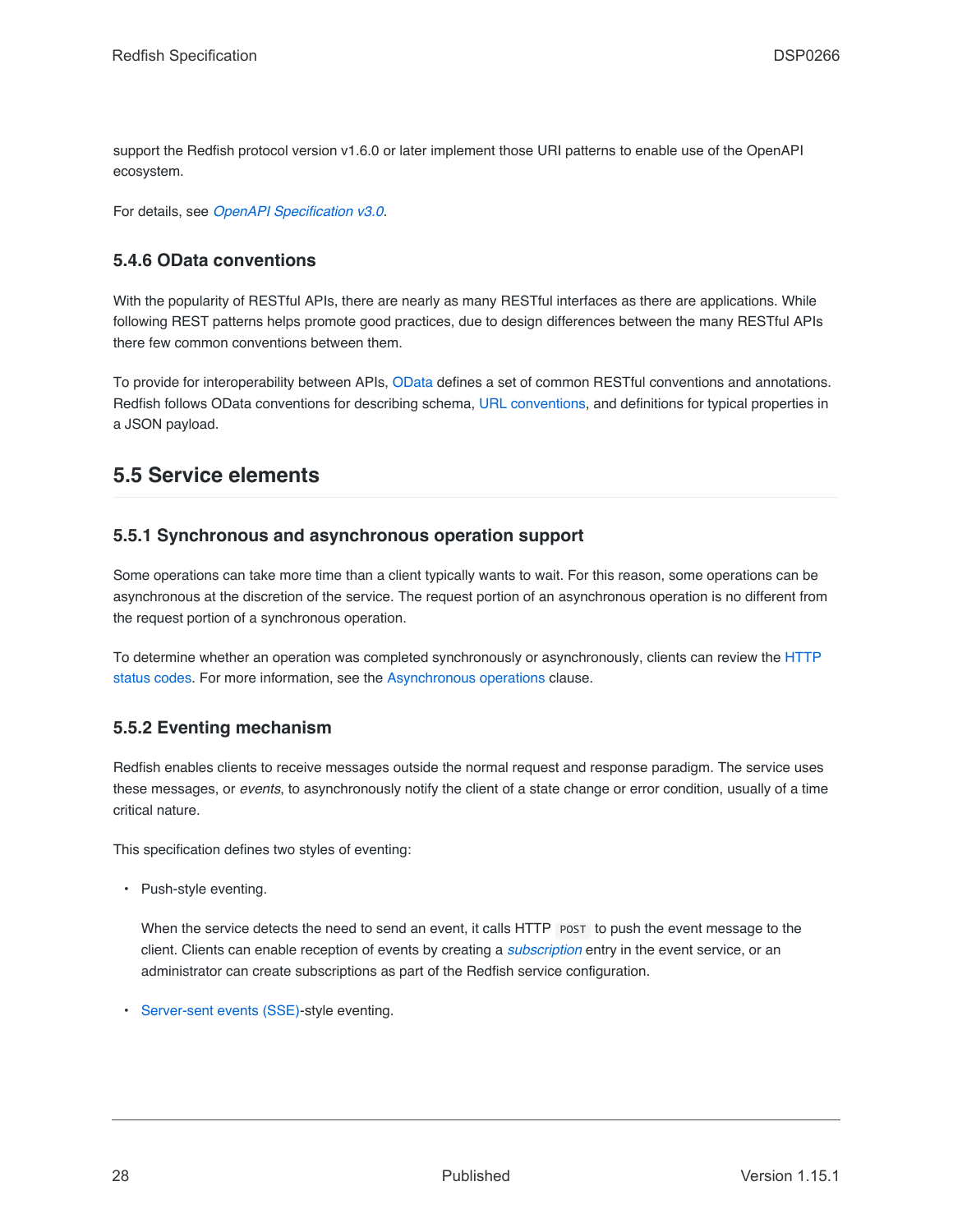support the Redfish protocol version v1.6.0 or later implement those URI patterns to enable use of the OpenAPI ecosystem.

For details, see *[OpenAPI Specification v3.0](#page-16-1)*.

#### <span id="page-27-0"></span>**5.4.6 OData conventions**

With the popularity of RESTful APIs, there are nearly as many RESTful interfaces as there are applications. While following REST patterns helps promote good practices, due to design differences between the many RESTful APIs there few common conventions between them.

To provide for interoperability between APIs, [OData](#page-16-0) defines a set of common RESTful conventions and annotations. Redfish follows OData conventions for describing schema, [URL conventions](#page-201-1), and definitions for typical properties in a JSON payload.

## <span id="page-27-1"></span>**5.5 Service elements**

#### <span id="page-27-2"></span>**5.5.1 Synchronous and asynchronous operation support**

Some operations can take more time than a client typically wants to wait. For this reason, some operations can be asynchronous at the discretion of the service. The request portion of an asynchronous operation is no different from the request portion of a synchronous operation.

To determine whether an operation was completed synchronously or asynchronously, clients can review the [HTTP](#page-65-1) [status codes](#page-65-1). For more information, see the [Asynchronous operations](#page-145-1) clause.

### <span id="page-27-3"></span>**5.5.2 Eventing mechanism**

Redfish enables clients to receive messages outside the normal request and response paradigm. The service uses these messages, or *events*, to asynchronously notify the client of a state change or error condition, usually of a time critical nature.

This specification defines two styles of eventing:

• Push-style eventing.

When the service detects the need to send an event, it calls HTTP POST to push the event message to the client. Clients can enable reception of events by creating a *[subscription](#page-20-5)* entry in the event service, or an administrator can create subscriptions as part of the Redfish service configuration.

• [Server-sent events \(SSE\)-](#page-150-0)style eventing.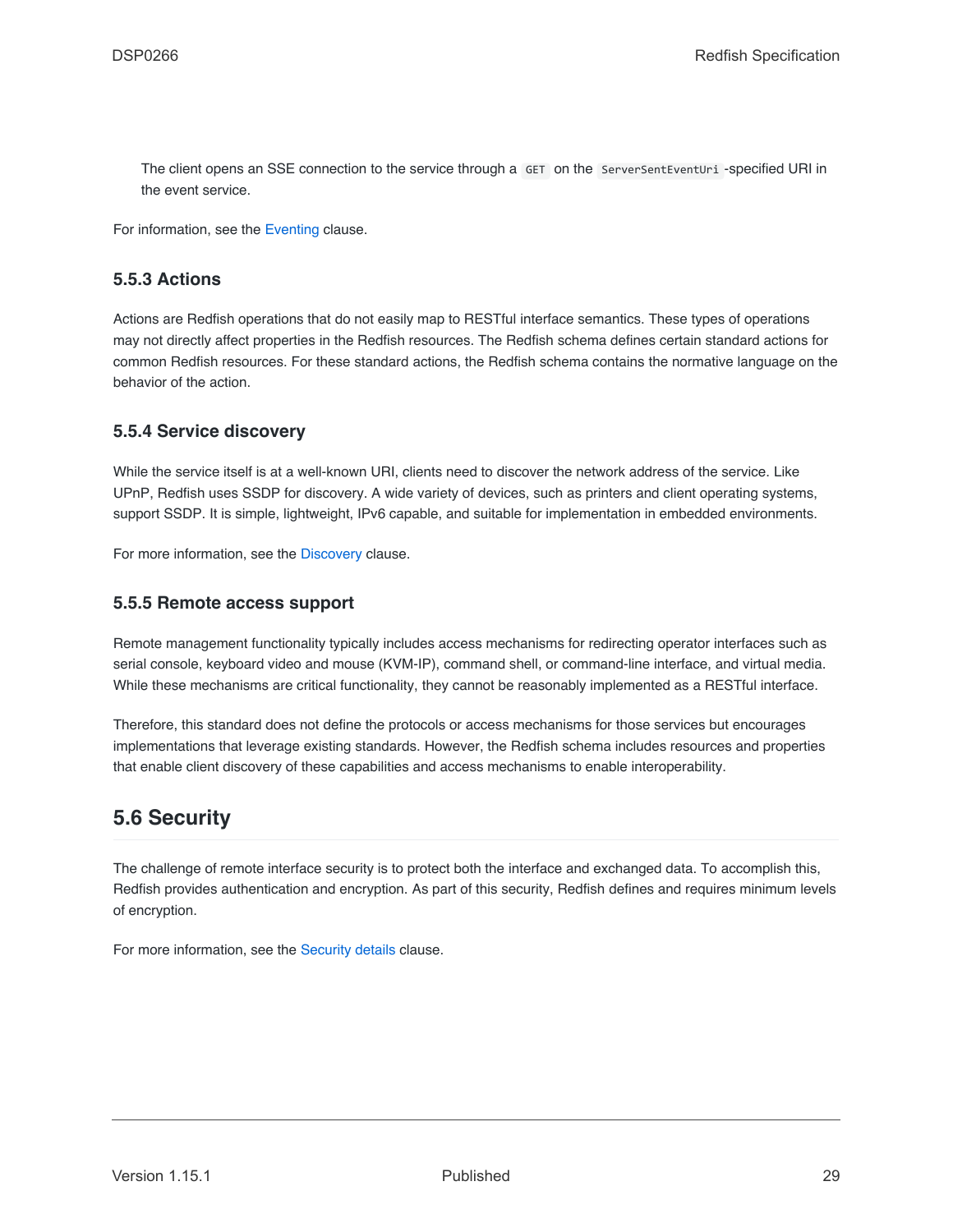The client opens an SSE connection to the service through a GET on the ServerSentEventUri -specified URI in the event service.

For information, see the [Eventing](#page-140-1) clause.

#### <span id="page-28-0"></span>**5.5.3 Actions**

Actions are Redfish operations that do not easily map to RESTful interface semantics. These types of operations may not directly affect properties in the Redfish resources. The Redfish schema defines certain standard actions for common Redfish resources. For these standard actions, the Redfish schema contains the normative language on the behavior of the action.

#### <span id="page-28-1"></span>**5.5.4 Service discovery**

While the service itself is at a well-known URI, clients need to discover the network address of the service. Like UPnP, Redfish uses SSDP for discovery. A wide variety of devices, such as printers and client operating systems, support SSDP. It is simple, lightweight, IPv6 capable, and suitable for implementation in embedded environments.

For more information, see the [Discovery](#page-147-1) clause.

#### <span id="page-28-2"></span>**5.5.5 Remote access support**

Remote management functionality typically includes access mechanisms for redirecting operator interfaces such as serial console, keyboard video and mouse (KVM-IP), command shell, or command-line interface, and virtual media. While these mechanisms are critical functionality, they cannot be reasonably implemented as a RESTful interface.

Therefore, this standard does not define the protocols or access mechanisms for those services but encourages implementations that leverage existing standards. However, the Redfish schema includes resources and properties that enable client discovery of these capabilities and access mechanisms to enable interoperability.

### <span id="page-28-3"></span>**5.6 Security**

The challenge of remote interface security is to protect both the interface and exchanged data. To accomplish this, Redfish provides authentication and encryption. As part of this security, Redfish defines and requires minimum levels of encryption.

For more information, see the [Security details](#page-157-0) clause.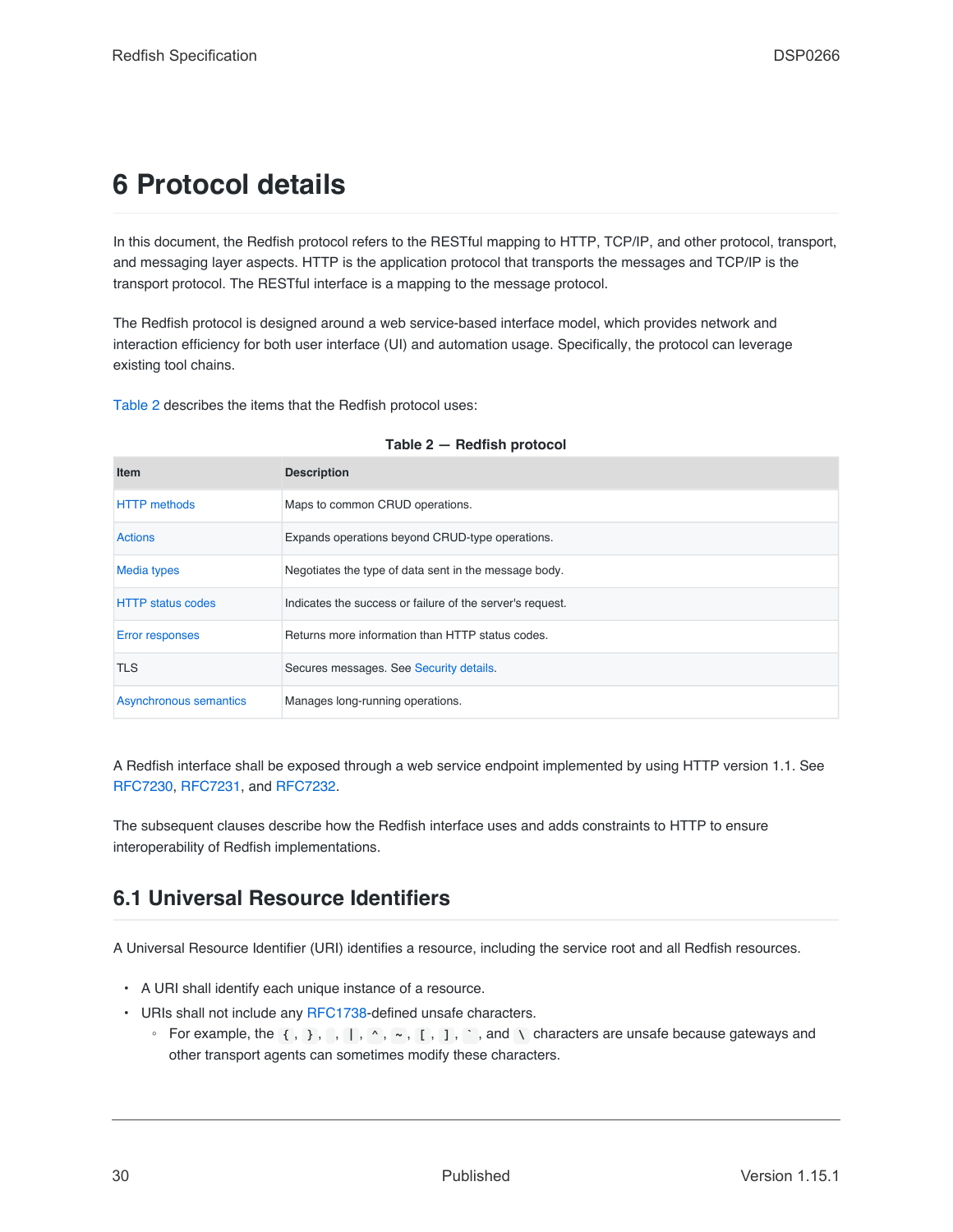# <span id="page-29-0"></span>**6 Protocol details**

In this document, the Redfish protocol refers to the RESTful mapping to HTTP, TCP/IP, and other protocol, transport, and messaging layer aspects. HTTP is the application protocol that transports the messages and TCP/IP is the transport protocol. The RESTful interface is a mapping to the message protocol.

The Redfish protocol is designed around a web service-based interface model, which provides network and interaction efficiency for both user interface (UI) and automation usage. Specifically, the protocol can leverage existing tool chains.

[Table 2](#page-29-2) describes the items that the Redfish protocol uses:

<span id="page-29-2"></span>

| <b>Item</b>              | <b>Description</b>                                        |
|--------------------------|-----------------------------------------------------------|
| <b>HTTP</b> methods      | Maps to common CRUD operations.                           |
| <b>Actions</b>           | Expands operations beyond CRUD-type operations.           |
| <b>Media types</b>       | Negotiates the type of data sent in the message body.     |
| <b>HTTP</b> status codes | Indicates the success or failure of the server's request. |
| <b>Error responses</b>   | Returns more information than HTTP status codes.          |
| <b>TLS</b>               | Secures messages. See Security details.                   |
| Asynchronous semantics   | Manages long-running operations.                          |

#### **Table 2 — Redfish protocol**

A Redfish interface shall be exposed through a web service endpoint implemented by using HTTP version 1.1. See [RFC7230](#page-15-1), [RFC7231,](#page-15-2) and [RFC7232.](#page-15-3)

The subsequent clauses describe how the Redfish interface uses and adds constraints to HTTP to ensure interoperability of Redfish implementations.

# <span id="page-29-1"></span>**6.1 Universal Resource Identifiers**

A Universal Resource Identifier (URI) identifies a resource, including the service root and all Redfish resources.

- A URI shall identify each unique instance of a resource.
- URIs shall not include any [RFC1738-](#page-15-4)defined unsafe characters.
	- For example, the **{** , **}** , , **|** , **^** , **~** , **[** , **]** , **`** , and **\** characters are unsafe because gateways and other transport agents can sometimes modify these characters.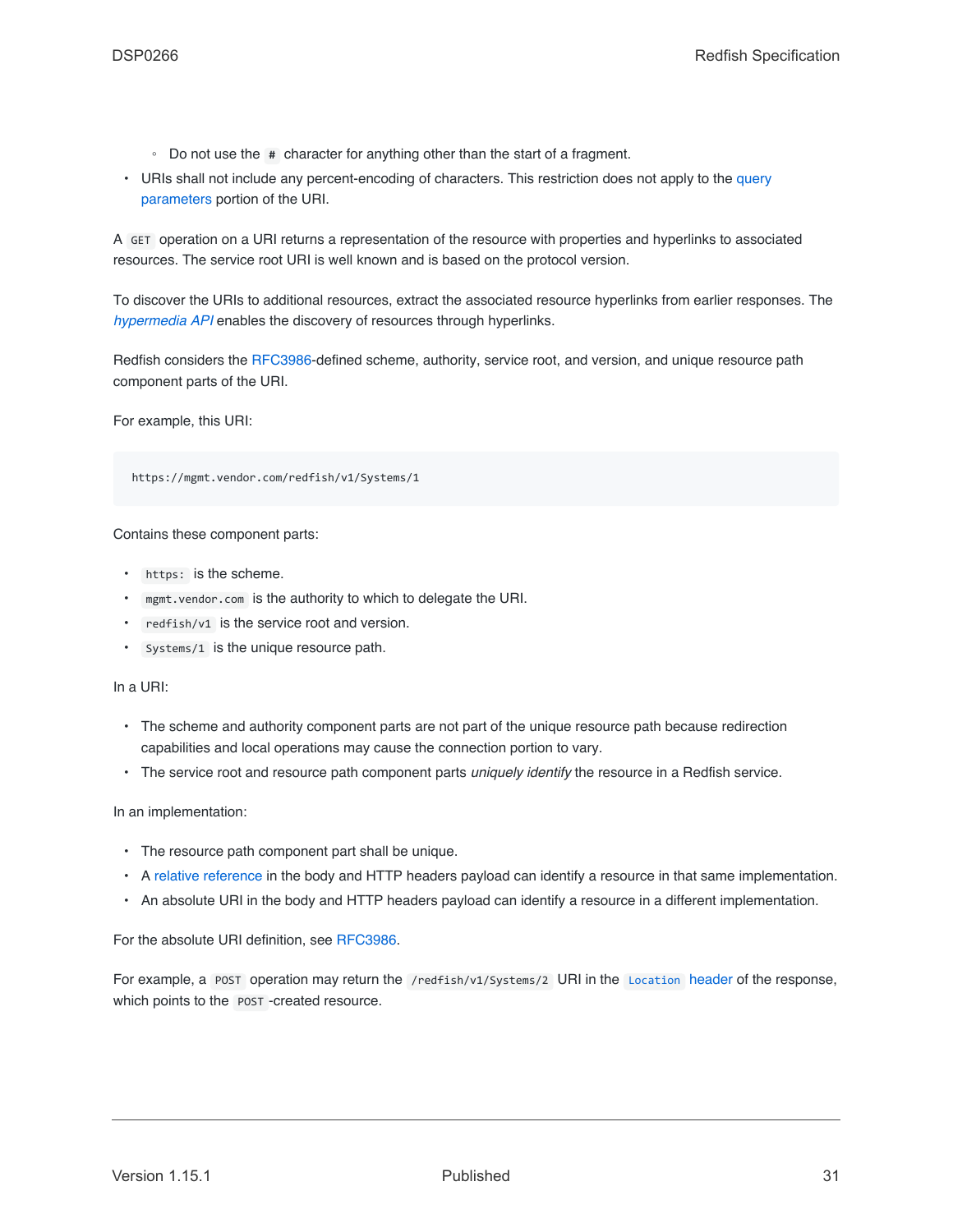- Do not use the **#** character for anything other than the start of a fragment.
- URIs shall not include any percent-encoding of characters. This restriction does not apply to the [query](#page-41-2) [parameters](#page-41-2) portion of the URI.

A GET operation on a URI returns a representation of the resource with properties and hyperlinks to associated resources. The service root URI is well known and is based on the protocol version.

To discover the URIs to additional resources, extract the associated resource hyperlinks from earlier responses. The *[hypermedia API](#page-19-2)* enables the discovery of resources through hyperlinks.

Redfish considers the [RFC3986](#page-15-5)-defined scheme, authority, service root, and version, and unique resource path component parts of the URI.

For example, this URI:

https://mgmt.vendor.com/redfish/v1/Systems/1

Contains these component parts:

- https: is the scheme.
- mgmt.vendor.com is the authority to which to delegate the URI.
- redfish/v1 is the service root and version.
- Systems/1 is the unique resource path.

In a URI:

- The scheme and authority component parts are not part of the unique resource path because redirection capabilities and local operations may cause the connection portion to vary.
- The service root and resource path component parts *uniquely identify* the resource in a Redfish service.

In an implementation:

- The resource path component part shall be unique.
- A [relative reference](#page-34-0) in the body and HTTP headers payload can identify a resource in that same implementation.
- An absolute URI in the body and HTTP headers payload can identify a resource in a different implementation.

For the absolute URI definition, see [RFC3986.](#page-15-5)

For example, a POST operation may return the /redfish/v1/Systems/2 URI in the [Location](#page-64-0) header of the response, which points to the **POST** -created resource.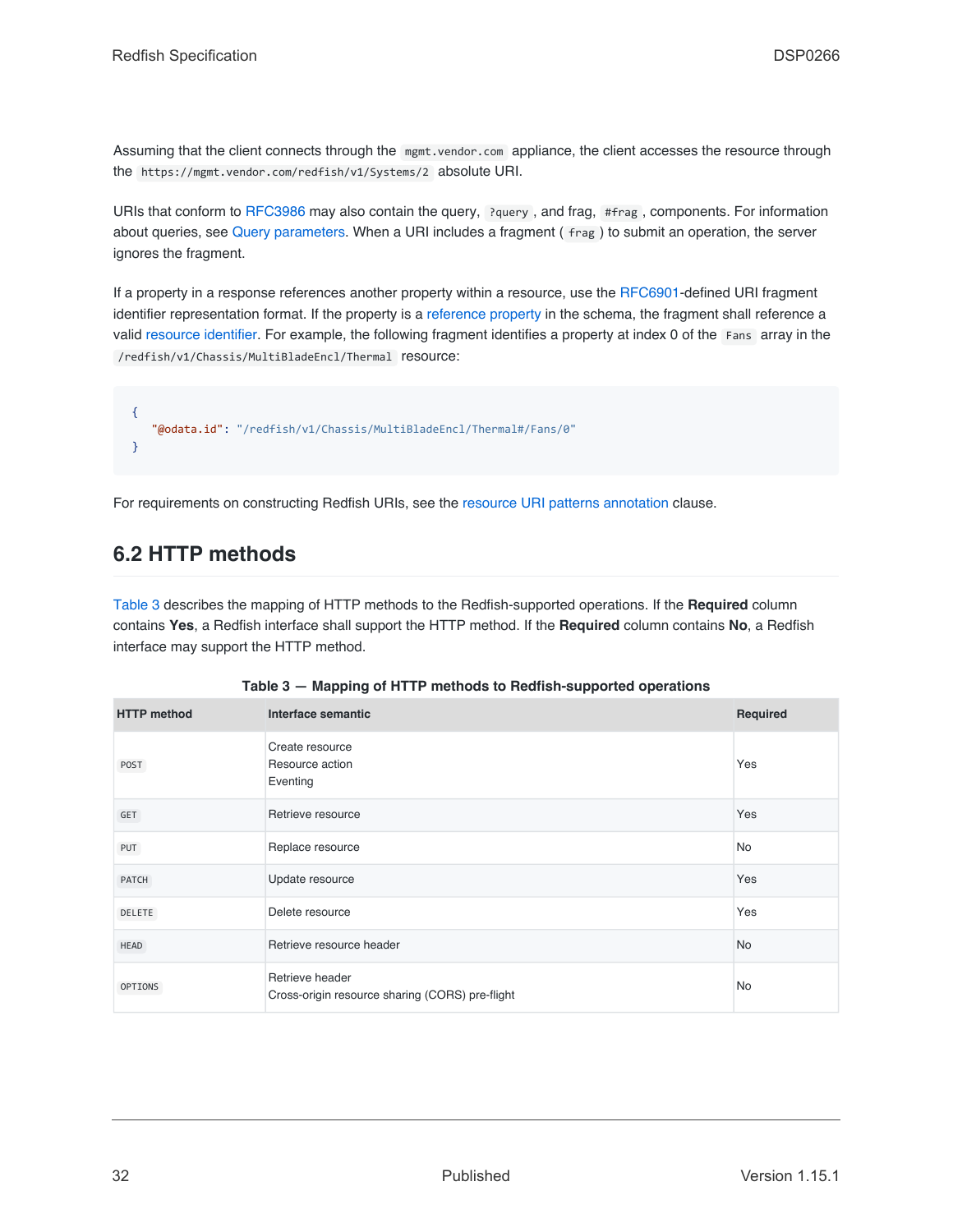Assuming that the client connects through the mgmt.vendor.com appliance, the client accesses the resource through the https://mgmt.vendor.com/redfish/v1/Systems/2 absolute URI.

URIs that conform to [RFC3986](#page-15-5) may also contain the query, ?query, and frag, #frag, components. For information about queries, see [Query parameters.](#page-41-2) When a URI includes a fragment (frag) to submit an operation, the server ignores the fragment.

If a property in a response references another property within a resource, use the [RFC6901-](#page-15-6)defined URI fragment identifier representation format. If the property is a [reference property](#page-78-0) in the schema, the fragment shall reference a valid [resource identifier](#page-82-0). For example, the following fragment identifies a property at index 0 of the Fans array in the /redfish/v1/Chassis/MultiBladeEncl/Thermal resource:

```
{
   "@odata.id": "/redfish/v1/Chassis/MultiBladeEncl/Thermal#/Fans/0"
}
```
For requirements on constructing Redfish URIs, see the [resource URI patterns annotation](#page-106-2) clause.

# <span id="page-31-0"></span>**6.2 HTTP methods**

[Table 3](#page-31-1) describes the mapping of HTTP methods to the Redfish-supported operations. If the **Required** column contains **Yes**, a Redfish interface shall support the HTTP method. If the **Required** column contains **No**, a Redfish interface may support the HTTP method.

<span id="page-31-1"></span>

| <b>HTTP</b> method | Interface semantic                                                 | Required  |
|--------------------|--------------------------------------------------------------------|-----------|
| POST               | Create resource<br>Resource action<br>Eventing                     | Yes       |
| GET                | Retrieve resource                                                  | Yes       |
| PUT                | Replace resource                                                   | No        |
| PATCH              | Update resource                                                    | Yes       |
| DELETE             | Delete resource                                                    | Yes       |
| HEAD               | Retrieve resource header                                           | <b>No</b> |
| OPTIONS            | Retrieve header<br>Cross-origin resource sharing (CORS) pre-flight | No        |

|  | Table 3 – Mapping of HTTP methods to Redfish-supported operations |
|--|-------------------------------------------------------------------|
|--|-------------------------------------------------------------------|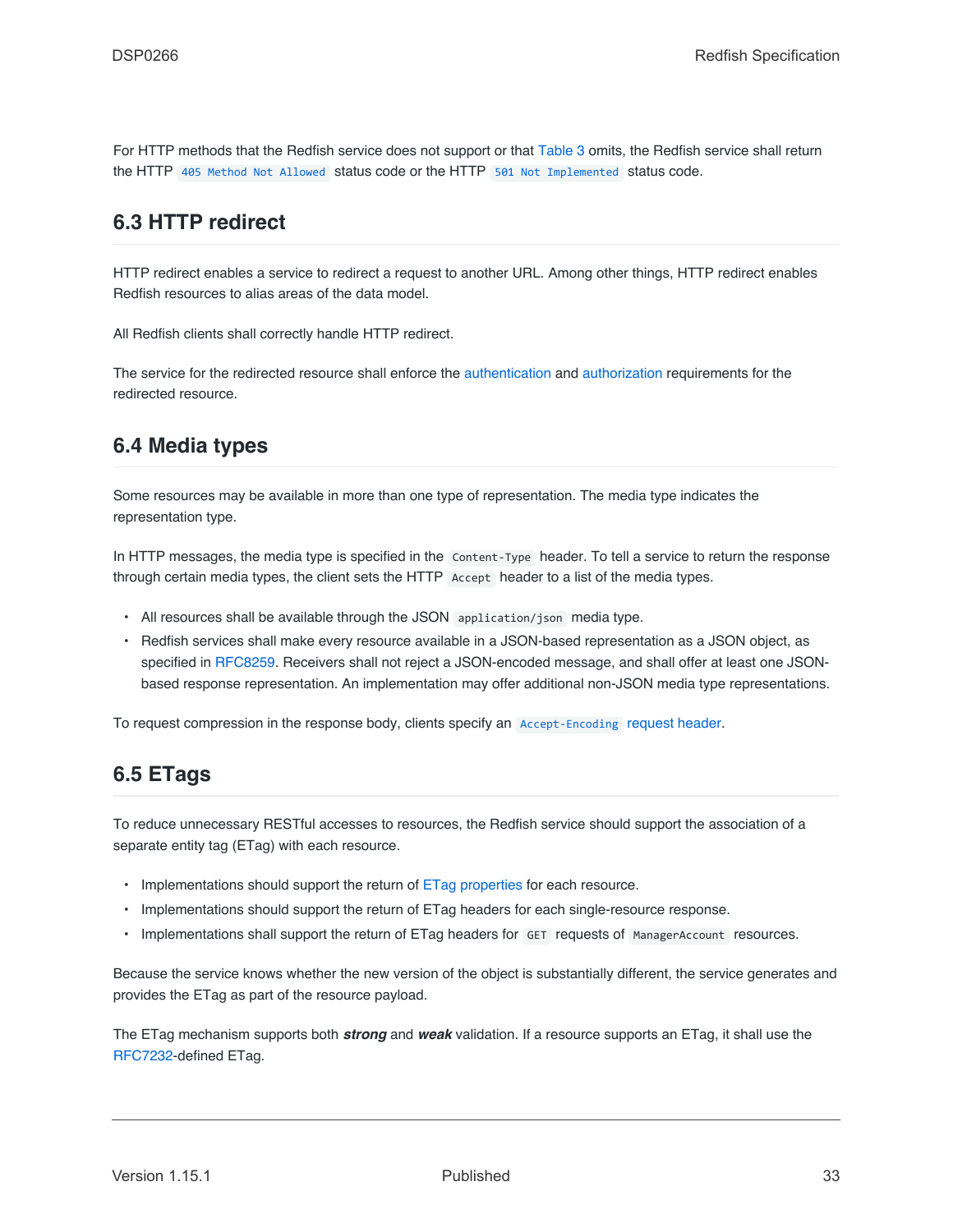For HTTP methods that the Redfish service does not support or that [Table 3](#page-31-1) omits, the Redfish service shall return the HTTP [405 Method Not Allowed](#page-67-0) status code or the HTTP [501 Not Implemented](#page-68-3) status code.

## <span id="page-32-0"></span>**6.3 HTTP redirect**

HTTP redirect enables a service to redirect a request to another URL. Among other things, HTTP redirect enables Redfish resources to alias areas of the data model.

All Redfish clients shall correctly handle HTTP redirect.

The service for the redirected resource shall enforce the [authentication](#page-159-0) and [authorization](#page-162-2) requirements for the redirected resource.

## <span id="page-32-1"></span>**6.4 Media types**

Some resources may be available in more than one type of representation. The media type indicates the representation type.

In HTTP messages, the media type is specified in the Content-Type header. To tell a service to return the response through certain media types, the client sets the HTTP Accept header to a list of the media types.

- All resources shall be available through the JSON application/json media type.
- Redfish services shall make every resource available in a JSON-based representation as a JSON object, as specified in [RFC8259.](#page-15-7) Receivers shall not reject a JSON-encoded message, and shall offer at least one JSONbased response representation. An implementation may offer additional non-JSON media type representations.

To request compression in the response body, clients specify an [Accept-Encoding](#page-36-1) [request header.](#page-36-1)

## <span id="page-32-2"></span>**6.5 ETags**

To reduce unnecessary RESTful accesses to resources, the Redfish service should support the association of a separate entity tag (ETag) with each resource.

- Implementations should support the return of [ETag properties](#page-82-2) for each resource.
- Implementations should support the return of ETag headers for each single-resource response.
- Implementations shall support the return of ETag headers for GET requests of ManagerAccount resources.

Because the service knows whether the new version of the object is substantially different, the service generates and provides the ETag as part of the resource payload.

The ETag mechanism supports both *strong* and *weak* validation. If a resource supports an ETag, it shall use the [RFC7232](#page-15-3)-defined ETag.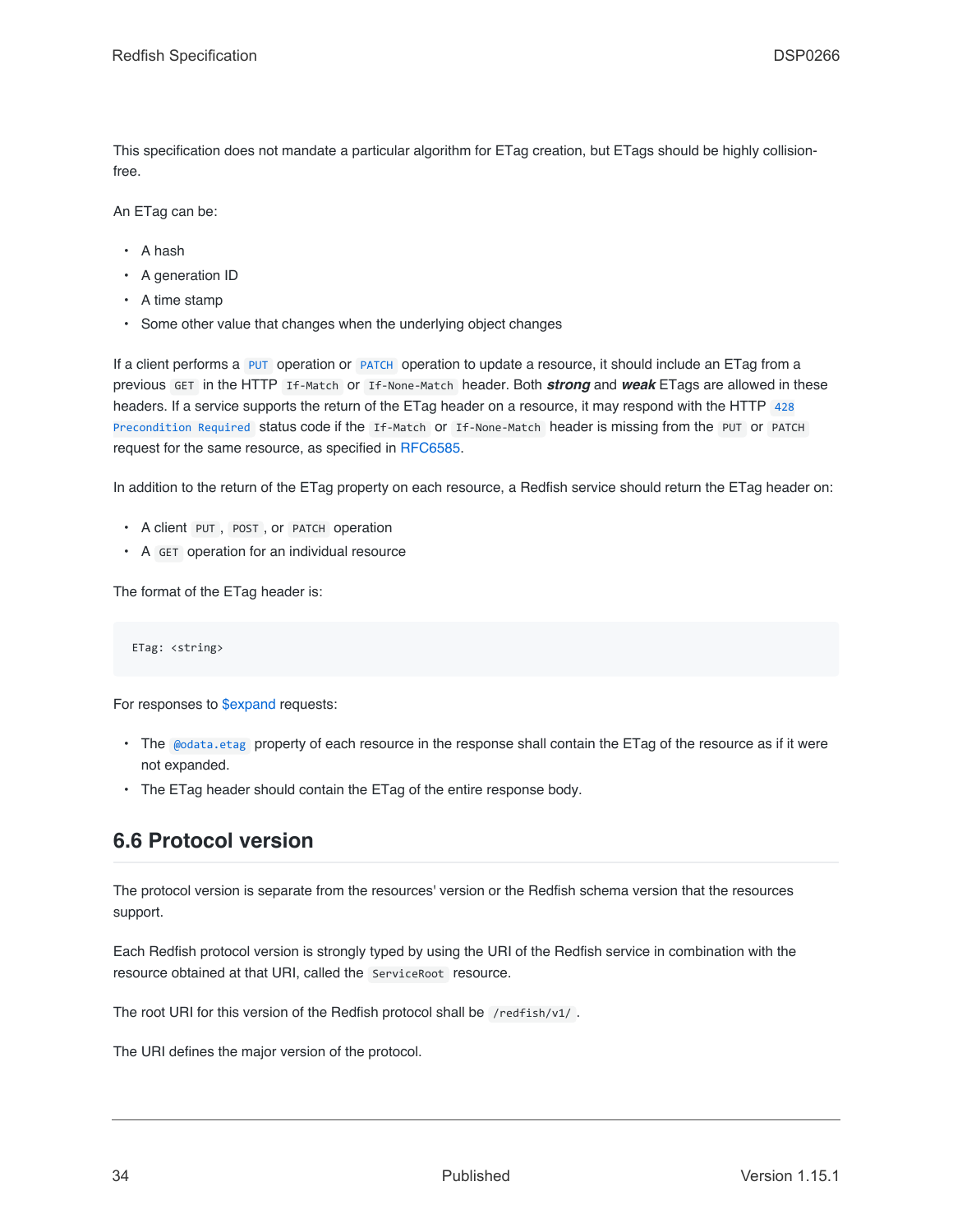This specification does not mandate a particular algorithm for ETag creation, but ETags should be highly collisionfree.

An ETag can be:

- A hash
- A generation ID
- A time stamp
- Some other value that changes when the underlying object changes

If a client performs a [PUT](#page-52-0) operation or [PATCH](#page-50-1) operation to update a resource, it should include an ETag from a previous GET in the HTTP If-Match or If-None-Match header. Both *strong* and *weak* ETags are allowed in these headers. If a service supports the return of the ETag header on a resource, it may respond with the HTTP [428](#page-67-1) [Precondition Required](#page-67-1) status code if the If-Match or If-None-Match header is missing from the PUT or PATCH request for the same resource, as specified in [RFC6585.](#page-15-8)

In addition to the return of the ETag property on each resource, a Redfish service should return the ETag header on:

- A client PUT , POST , or PATCH operation
- A GET operation for an individual resource

The format of the ETag header is:

ETag: <string>

For responses to [\\$expand](#page-44-0) requests:

- The [@odata.etag](#page-82-2) property of each resource in the response shall contain the ETag of the resource as if it were not expanded.
- The ETag header should contain the ETag of the entire response body.

# <span id="page-33-0"></span>**6.6 Protocol version**

The protocol version is separate from the resources' version or the Redfish schema version that the resources support.

Each Redfish protocol version is strongly typed by using the URI of the Redfish service in combination with the resource obtained at that URI, called the ServiceRoot resource.

The root URI for this version of the Redfish protocol shall be /redfish/v1/.

The URI defines the major version of the protocol.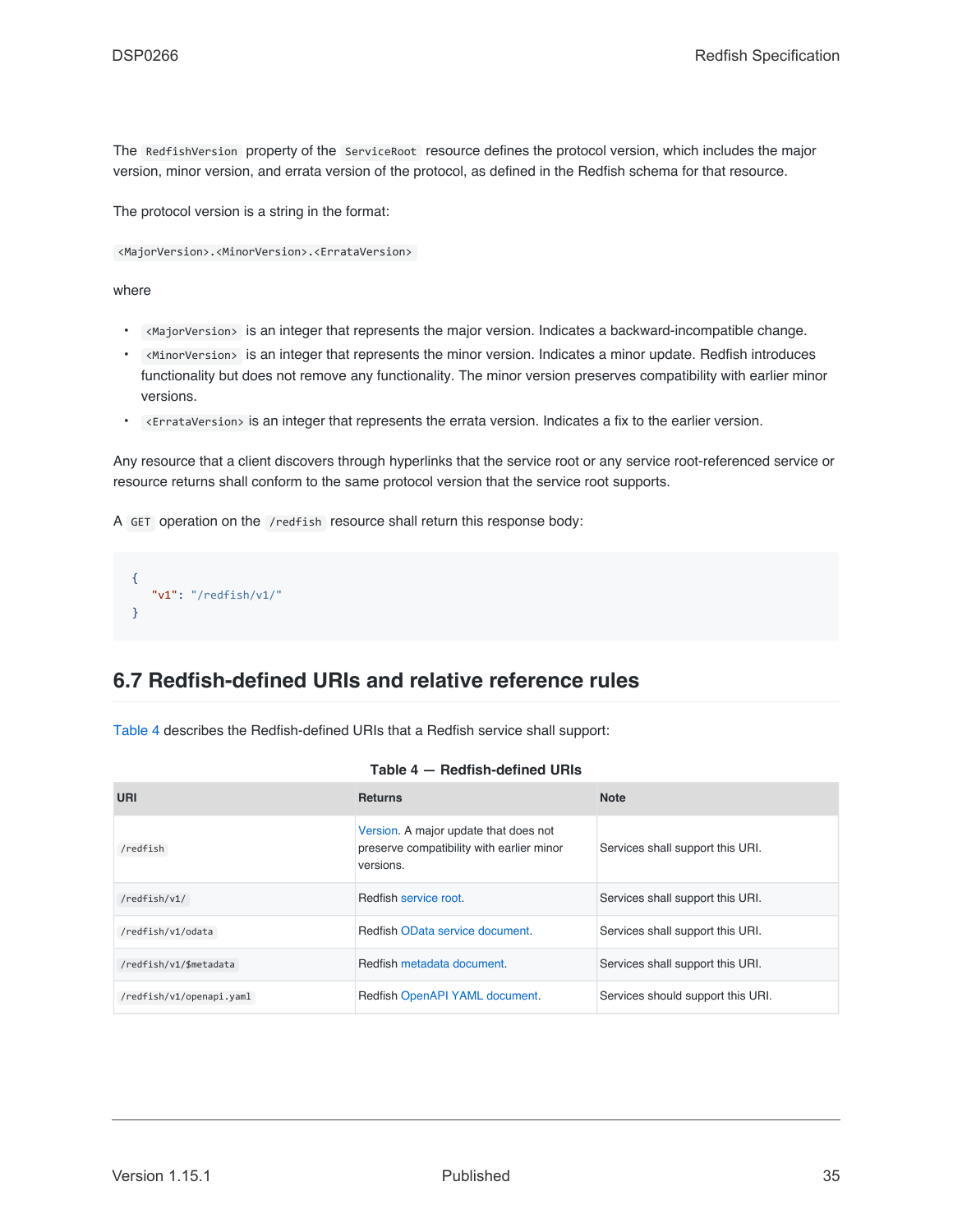The RedfishVersion property of the ServiceRoot resource defines the protocol version, which includes the major version, minor version, and errata version of the protocol, as defined in the Redfish schema for that resource.

The protocol version is a string in the format:

<MajorVersion>.<MinorVersion>.<ErrataVersion>

where

- <MajorVersion> is an integer that represents the major version. Indicates a backward-incompatible change.
- <MinorVersion> is an integer that represents the minor version. Indicates a minor update. Redfish introduces functionality but does not remove any functionality. The minor version preserves compatibility with earlier minor versions.
- <ErrataVersion> is an integer that represents the errata version. Indicates a fix to the earlier version.

Any resource that a client discovers through hyperlinks that the service root or any service root-referenced service or resource returns shall conform to the same protocol version that the service root supports.

A GET operation on the /redfish resource shall return this response body:

```
{
   "v1": "/redfish/v1/"
}
```
## <span id="page-34-0"></span>**6.7 Redfish-defined URIs and relative reference rules**

[Table 4](#page-34-1) describes the Redfish-defined URIs that a Redfish service shall support:

<span id="page-34-1"></span>

| URI                      | <b>Returns</b>                                                                                  | <b>Note</b>                       |
|--------------------------|-------------------------------------------------------------------------------------------------|-----------------------------------|
| /redfish                 | Version. A major update that does not<br>preserve compatibility with earlier minor<br>versions. | Services shall support this URI.  |
| /redfish/v1/             | Redfish service root.                                                                           | Services shall support this URI.  |
| /redfish/v1/odata        | Redfish OData service document.                                                                 | Services shall support this URI.  |
| /redfish/v1/\$metadata   | Redfish metadata document.                                                                      | Services shall support this URI.  |
| /redfish/v1/openapi.yaml | Redfish OpenAPI YAML document.                                                                  | Services should support this URI. |

**Table 4 — Redfish-defined URIs**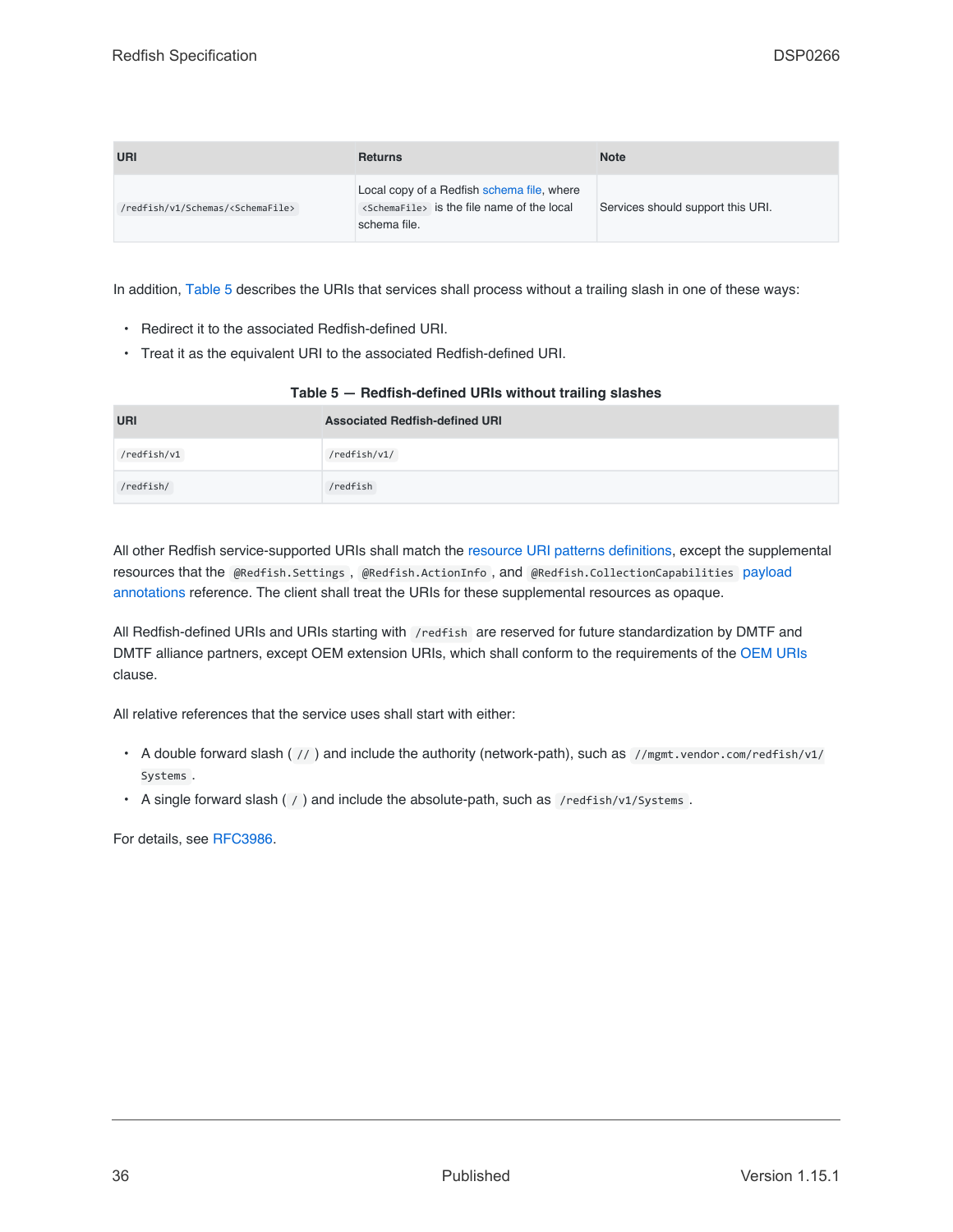| URI                                            | <b>Returns</b>                                                                                                         | <b>Note</b>                       |
|------------------------------------------------|------------------------------------------------------------------------------------------------------------------------|-----------------------------------|
| /redfish/v1/Schemas/ <schemafile></schemafile> | Local copy of a Redfish schema file, where<br><schemafile> is the file name of the local<br/>schema file.</schemafile> | Services should support this URI. |

In addition, [Table 5](#page-35-0) describes the URIs that services shall process without a trailing slash in one of these ways:

- Redirect it to the associated Redfish-defined URI.
- Treat it as the equivalent URI to the associated Redfish-defined URI.

<span id="page-35-0"></span>

| Table 5 - Redfish-defined URIs without trailing slashes |                                       |  |
|---------------------------------------------------------|---------------------------------------|--|
| URI                                                     | <b>Associated Redfish-defined URI</b> |  |
| /redfish/v1                                             | /redfish/v1/                          |  |
| /redfish/                                               | /redfish                              |  |

All other Redfish service-supported URIs shall match the [resource URI patterns definitions,](#page-106-2) except the supplemental resources that the @Redfish.Settings , @Redfish.ActionInfo , and @Redfish.CollectionCapabilities [payload](#page-93-0)

[annotations](#page-93-0) reference. The client shall treat the URIs for these supplemental resources as opaque.

All Redfish-defined URIs and URIs starting with /redfish are reserved for future standardization by DMTF and DMTF alliance partners, except OEM extension URIs, which shall conform to the requirements of the [OEM URIs](#page-91-1) clause.

All relative references that the service uses shall start with either:

- A double forward slash ( // ) and include the authority (network-path), such as //mgmt.vendor.com/redfish/v1/ Systems .
- A single forward slash ( / ) and include the absolute-path, such as /redfish/v1/Systems.

For details, see [RFC3986](#page-15-5).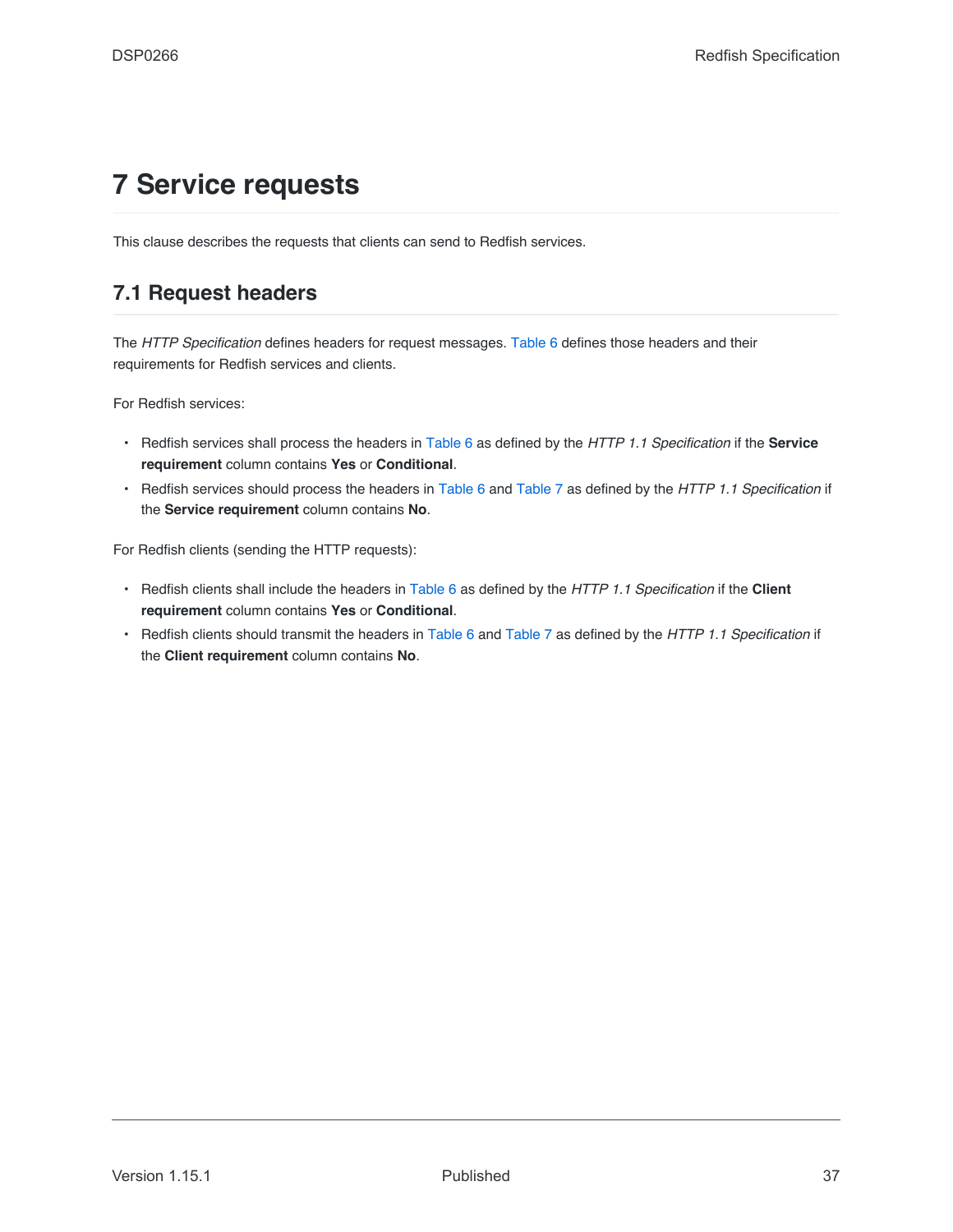# **7 Service requests**

This clause describes the requests that clients can send to Redfish services.

# <span id="page-36-0"></span>**7.1 Request headers**

The *HTTP Specification* defines headers for request messages. [Table 6](#page-37-0) defines those headers and their requirements for Redfish services and clients.

For Redfish services:

- Redfish services shall process the headers in [Table 6](#page-37-0) as defined by the *HTTP 1.1 Specification* if the **Service requirement** column contains **Yes** or **Conditional**.
- Redfish services should process the headers in [Table 6](#page-37-0) and [Table 7](#page-39-0) as defined by the *HTTP 1.1 Specification* if the **Service requirement** column contains **No**.

For Redfish clients (sending the HTTP requests):

- Redfish clients shall include the headers in [Table 6](#page-37-0) as defined by the *HTTP 1.1 Specification* if the **Client requirement** column contains **Yes** or **Conditional**.
- Redfish clients should transmit the headers in [Table 6](#page-37-0) and [Table 7](#page-39-0) as defined by the *HTTP 1.1 Specification* if the **Client requirement** column contains **No**.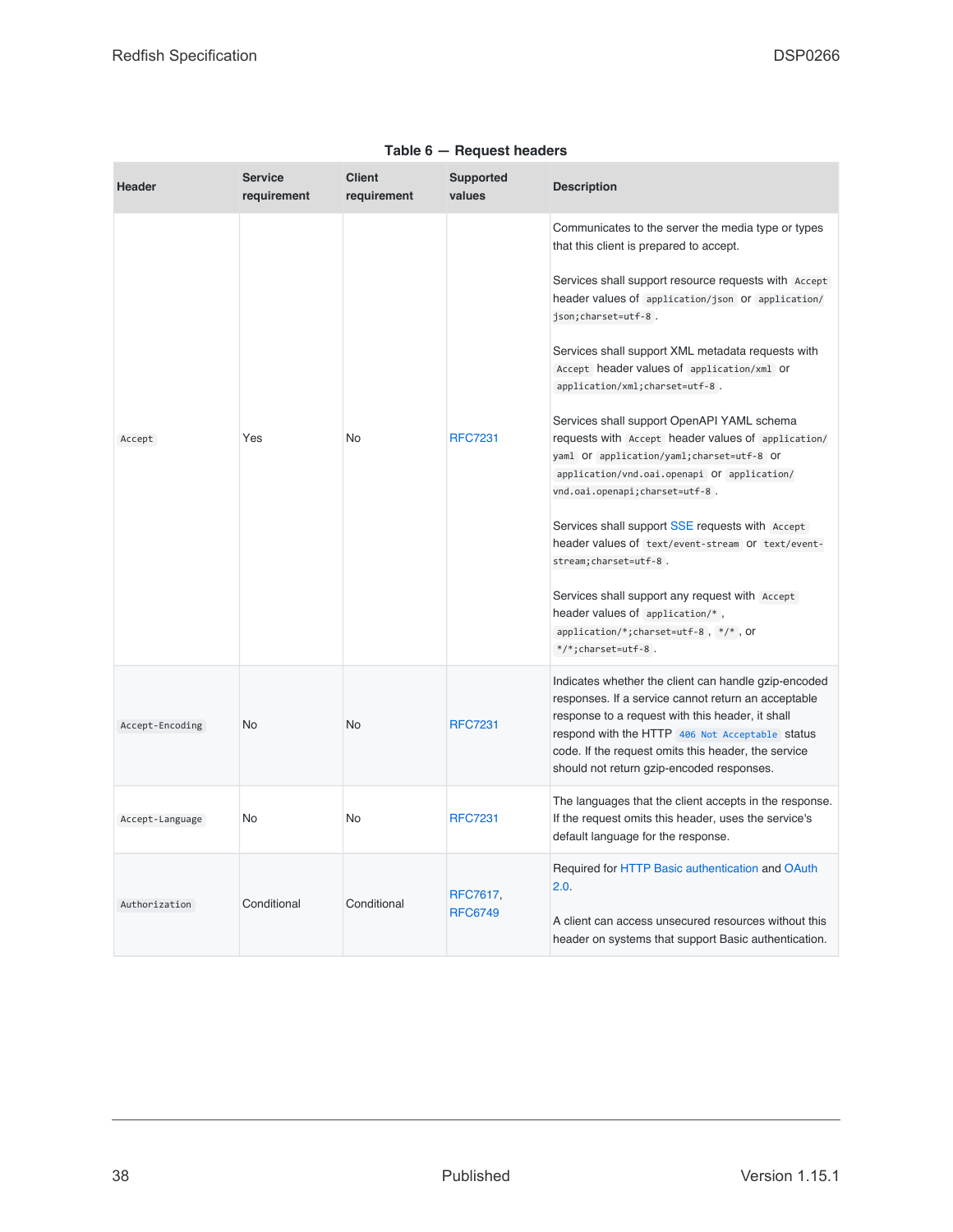<span id="page-37-0"></span>

| <b>Header</b>   | <b>Service</b><br>requirement | <b>Client</b><br>requirement | <b>Supported</b><br>values | <b>Description</b>                                                                                                                                                                                                                                                                                                                                                                                                                                                                                                                                                                                                                                                                                                                                                                                                                                                                                   |
|-----------------|-------------------------------|------------------------------|----------------------------|------------------------------------------------------------------------------------------------------------------------------------------------------------------------------------------------------------------------------------------------------------------------------------------------------------------------------------------------------------------------------------------------------------------------------------------------------------------------------------------------------------------------------------------------------------------------------------------------------------------------------------------------------------------------------------------------------------------------------------------------------------------------------------------------------------------------------------------------------------------------------------------------------|
| Accept          | Yes                           | No                           | <b>RFC7231</b>             | Communicates to the server the media type or types<br>that this client is prepared to accept.<br>Services shall support resource requests with Accept<br>header values of application/json Or application/<br>json; charset=utf-8.<br>Services shall support XML metadata requests with<br>Accept header values of application/xml Or<br>application/xml; charset=utf-8.<br>Services shall support OpenAPI YAML schema<br>requests with Accept header values of application/<br>yaml Or application/yaml; charset=utf-8 Or<br>application/vnd.oai.openapi Of application/<br>vnd.oai.openapi;charset=utf-8.<br>Services shall support SSE requests with Accept<br>header values of text/event-stream Or text/event-<br>stream; charset=utf-8.<br>Services shall support any request with Accept<br>header values of application/*,<br>application/*;charset=utf-8, */*, Or<br>$*/*$ ; charset=utf-8. |
| Accept-Encoding | No                            | No                           | <b>RFC7231</b>             | Indicates whether the client can handle gzip-encoded<br>responses. If a service cannot return an acceptable<br>response to a request with this header, it shall<br>respond with the HTTP 406 Not Acceptable status<br>code. If the request omits this header, the service<br>should not return gzip-encoded responses.                                                                                                                                                                                                                                                                                                                                                                                                                                                                                                                                                                               |
| Accept-Language | No                            | No                           | <b>RFC7231</b>             | The languages that the client accepts in the response.<br>If the request omits this header, uses the service's<br>default language for the response.                                                                                                                                                                                                                                                                                                                                                                                                                                                                                                                                                                                                                                                                                                                                                 |
| Authorization   | Conditional                   | Conditional                  | RFC7617,<br><b>RFC6749</b> | Required for HTTP Basic authentication and OAuth<br>2.0.<br>A client can access unsecured resources without this<br>header on systems that support Basic authentication.                                                                                                                                                                                                                                                                                                                                                                                                                                                                                                                                                                                                                                                                                                                             |

#### **Table 6 — Request headers**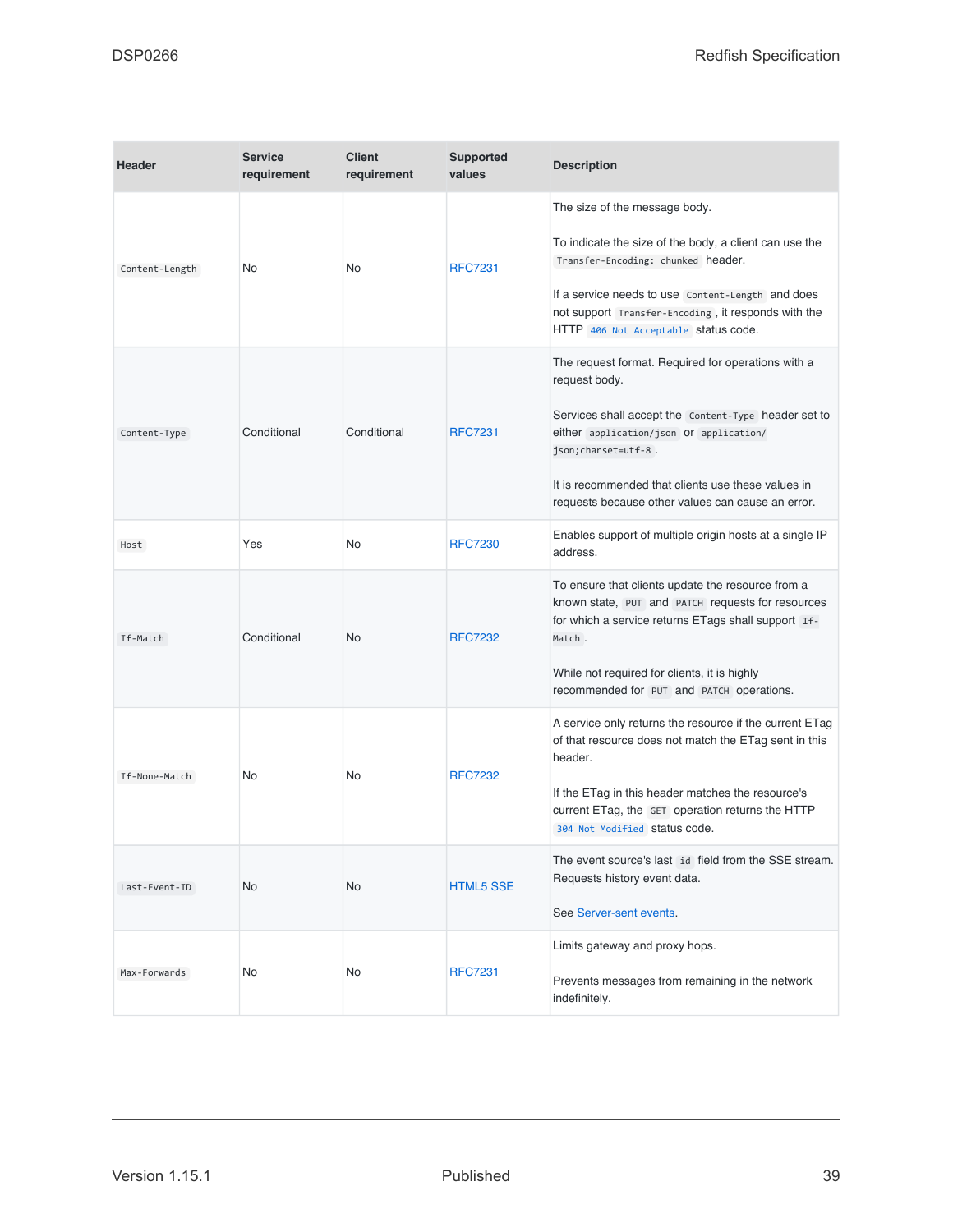| <b>Header</b>  | <b>Service</b><br>requirement | <b>Client</b><br>requirement | <b>Supported</b><br>values | <b>Description</b>                                                                                                                                                                                                                                                                                        |
|----------------|-------------------------------|------------------------------|----------------------------|-----------------------------------------------------------------------------------------------------------------------------------------------------------------------------------------------------------------------------------------------------------------------------------------------------------|
| Content-Length | No.                           | No                           | <b>RFC7231</b>             | The size of the message body.<br>To indicate the size of the body, a client can use the<br>Transfer-Encoding: chunked header.<br>If a service needs to use Content-Length and does<br>not support Transfer-Encoding, it responds with the<br>HTTP 406 Not Acceptable status code.                         |
| Content-Type   | Conditional                   | Conditional                  | <b>RFC7231</b>             | The request format. Required for operations with a<br>request body.<br>Services shall accept the Content-Type header set to<br>either application/json Or application/<br>json; charset=utf-8.<br>It is recommended that clients use these values in<br>requests because other values can cause an error. |
| Host           | Yes                           | No                           | <b>RFC7230</b>             | Enables support of multiple origin hosts at a single IP<br>address.                                                                                                                                                                                                                                       |
| If-Match       | Conditional                   | No.                          | <b>RFC7232</b>             | To ensure that clients update the resource from a<br>known state, PUT and PATCH requests for resources<br>for which a service returns ETags shall support If-<br>Match.<br>While not required for clients, it is highly<br>recommended for PUT and PATCH operations.                                      |
| If-None-Match  | No.                           | No                           | <b>RFC7232</b>             | A service only returns the resource if the current ETag<br>of that resource does not match the ETag sent in this<br>header.<br>If the ETag in this header matches the resource's<br>current ETag, the GET operation returns the HTTP<br>304 Not Modified Status code.                                     |
| Last-Event-ID  | No.                           | <b>No</b>                    | <b>HTML5 SSE</b>           | The event source's last id field from the SSE stream.<br>Requests history event data.<br>See Server-sent events.                                                                                                                                                                                          |
| Max-Forwards   | No                            | No                           | <b>RFC7231</b>             | Limits gateway and proxy hops.<br>Prevents messages from remaining in the network<br>indefinitely.                                                                                                                                                                                                        |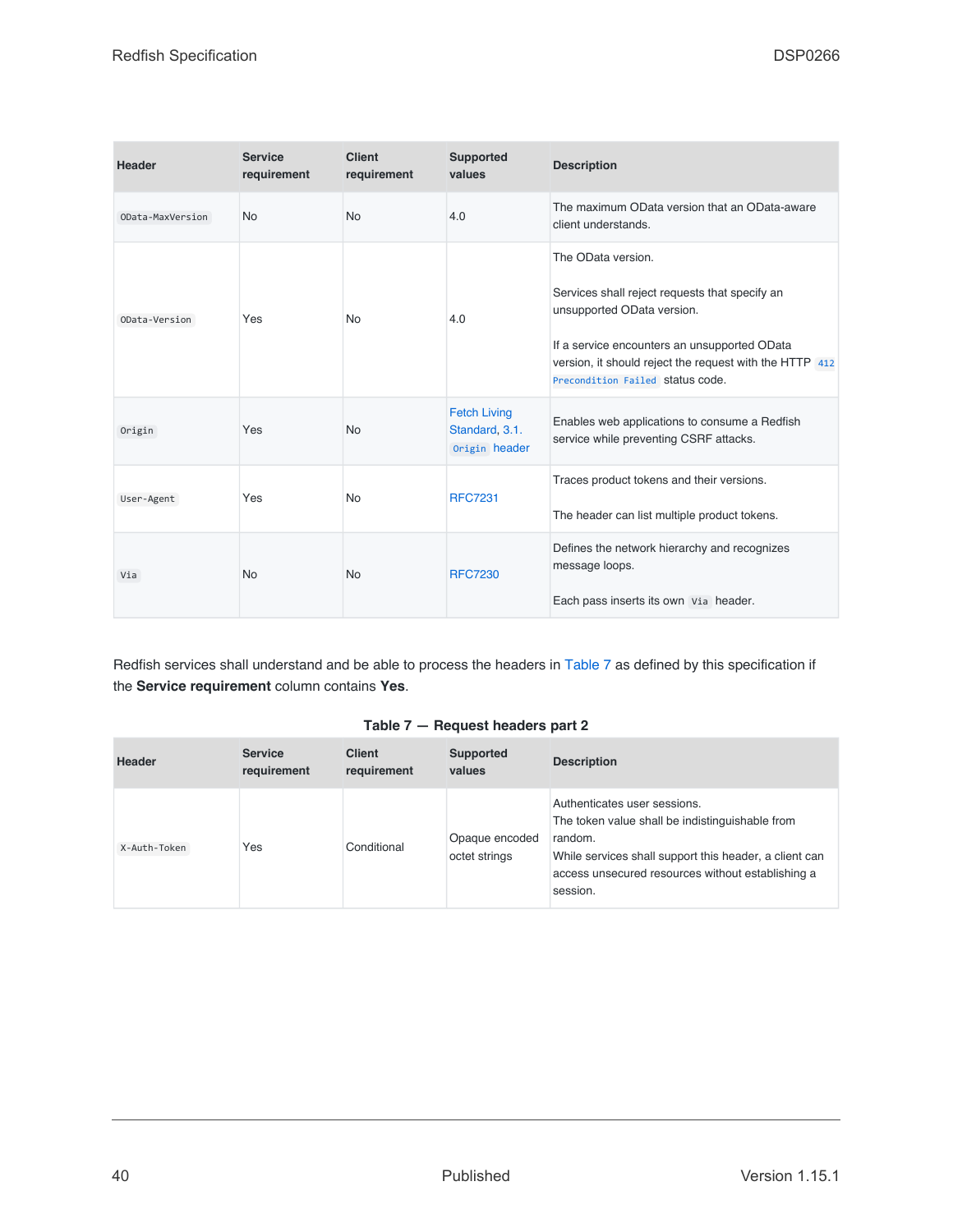| <b>Header</b>    | <b>Service</b><br>requirement | <b>Client</b><br>requirement | <b>Supported</b><br>values                             | <b>Description</b>                                                                                                                                                                                                                                |
|------------------|-------------------------------|------------------------------|--------------------------------------------------------|---------------------------------------------------------------------------------------------------------------------------------------------------------------------------------------------------------------------------------------------------|
| OData-MaxVersion | <b>No</b>                     | <b>No</b>                    | 4.0                                                    | The maximum OData version that an OData-aware<br>client understands.                                                                                                                                                                              |
| OData-Version    | Yes                           | <b>No</b>                    | 4.0                                                    | The OData version.<br>Services shall reject requests that specify an<br>unsupported OData version.<br>If a service encounters an unsupported OData<br>version, it should reject the request with the HTTP 412<br>Precondition Failed status code. |
| Origin           | Yes                           | <b>No</b>                    | <b>Fetch Living</b><br>Standard, 3.1.<br>Origin header | Enables web applications to consume a Redfish<br>service while preventing CSRF attacks.                                                                                                                                                           |
| User-Agent       | Yes                           | <b>No</b>                    | <b>RFC7231</b>                                         | Traces product tokens and their versions.<br>The header can list multiple product tokens.                                                                                                                                                         |
| Via              | <b>No</b>                     | <b>No</b>                    | <b>RFC7230</b>                                         | Defines the network hierarchy and recognizes<br>message loops.<br>Each pass inserts its own Via header.                                                                                                                                           |

Redfish services shall understand and be able to process the headers in [Table 7](#page-39-0) as defined by this specification if the **Service requirement** column contains **Yes**.

#### **Table 7 — Request headers part 2**

<span id="page-39-0"></span>

| <b>Header</b> | <b>Service</b><br>requirement | <b>Client</b><br>requirement | Supported<br>values             | <b>Description</b>                                                                                                                                                                                                    |
|---------------|-------------------------------|------------------------------|---------------------------------|-----------------------------------------------------------------------------------------------------------------------------------------------------------------------------------------------------------------------|
| X-Auth-Token  | Yes                           | Conditional                  | Opaque encoded<br>octet strings | Authenticates user sessions.<br>The token value shall be indistinguishable from<br>random.<br>While services shall support this header, a client can<br>access unsecured resources without establishing a<br>session. |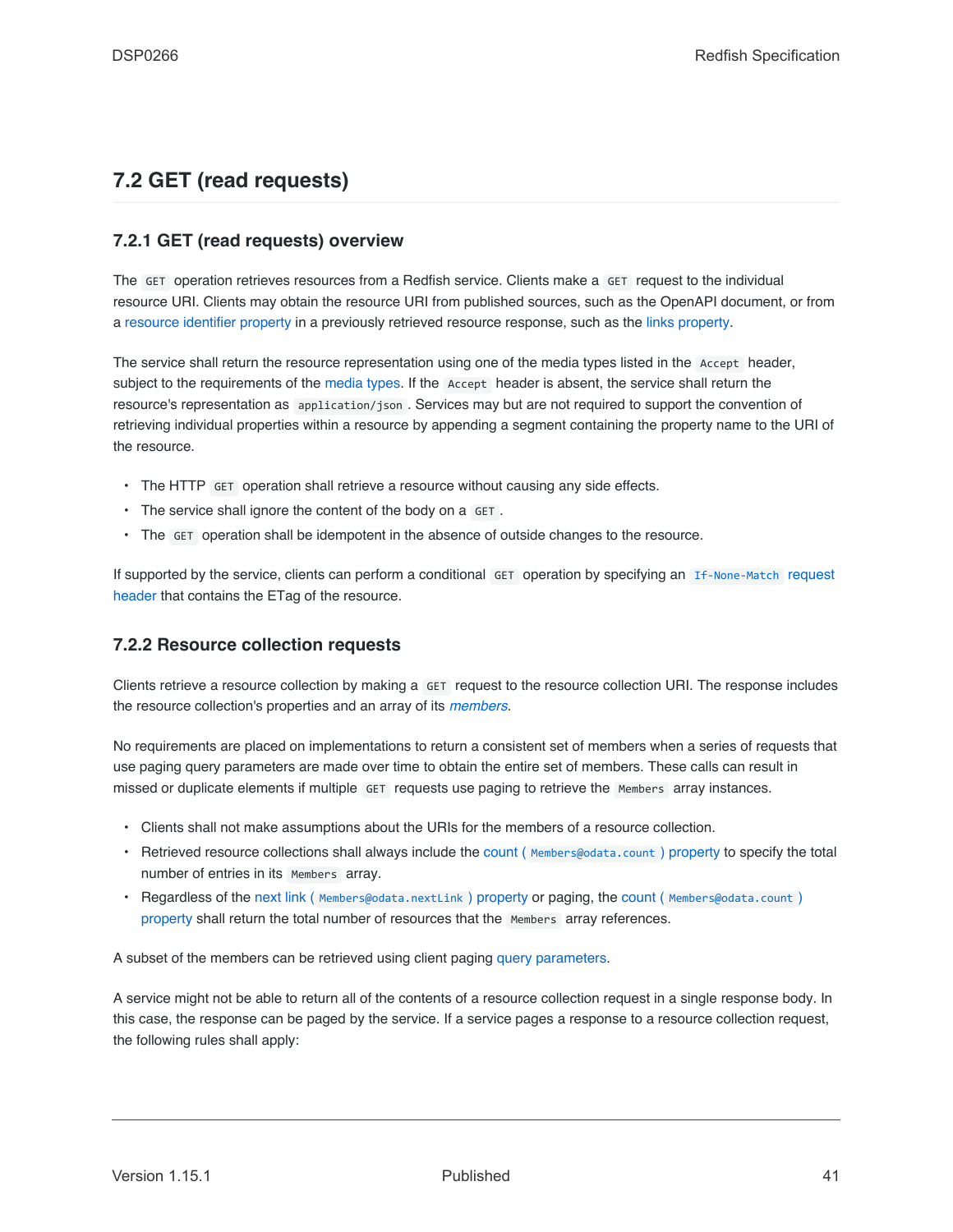### **7.2 GET (read requests)**

### **7.2.1 GET (read requests) overview**

The GET operation retrieves resources from a Redfish service. Clients make a GET request to the individual resource URI. Clients may obtain the resource URI from published sources, such as the OpenAPI document, or from a [resource identifier property](#page-82-0) in a previously retrieved resource response, such as the [links property.](#page-84-0)

The service shall return the resource representation using one of the media types listed in the Accept header, subject to the requirements of the [media types](#page-32-0). If the Accept header is absent, the service shall return the resource's representation as application/json . Services may but are not required to support the convention of retrieving individual properties within a resource by appending a segment containing the property name to the URI of the resource.

- The HTTP GET operation shall retrieve a resource without causing any side effects.
- The service shall ignore the content of the body on a GET.
- The GET operation shall be idempotent in the absence of outside changes to the resource.

If supported by the service, clients can perform a conditional GET operation by specifying an [If-None-Match](#page-36-0) request [header](#page-36-0) that contains the ETag of the resource.

### **7.2.2 Resource collection requests**

Clients retrieve a resource collection by making a GET request to the resource collection URI. The response includes the resource collection's properties and an array of its *[members](#page-19-0)*.

No requirements are placed on implementations to return a consistent set of members when a series of requests that use paging query parameters are made over time to obtain the entire set of members. These calls can result in missed or duplicate elements if multiple GET requests use paging to retrieve the Members array instances.

- Clients shall not make assumptions about the URIs for the members of a resource collection.
- Retrieved resource collections shall always include the count ([Members@odata.count](#page-84-1)) property to specify the total number of entries in its Members array.
- Regardless of the next link ( [Members@odata.nextLink](#page-84-2) ) property or paging, the count ( [Members@odata.count](#page-84-1) ) [property](#page-84-1) shall return the total number of resources that the Members array references.

A subset of the members can be retrieved using client paging [query parameters.](#page-41-0)

A service might not be able to return all of the contents of a resource collection request in a single response body. In this case, the response can be paged by the service. If a service pages a response to a resource collection request, the following rules shall apply: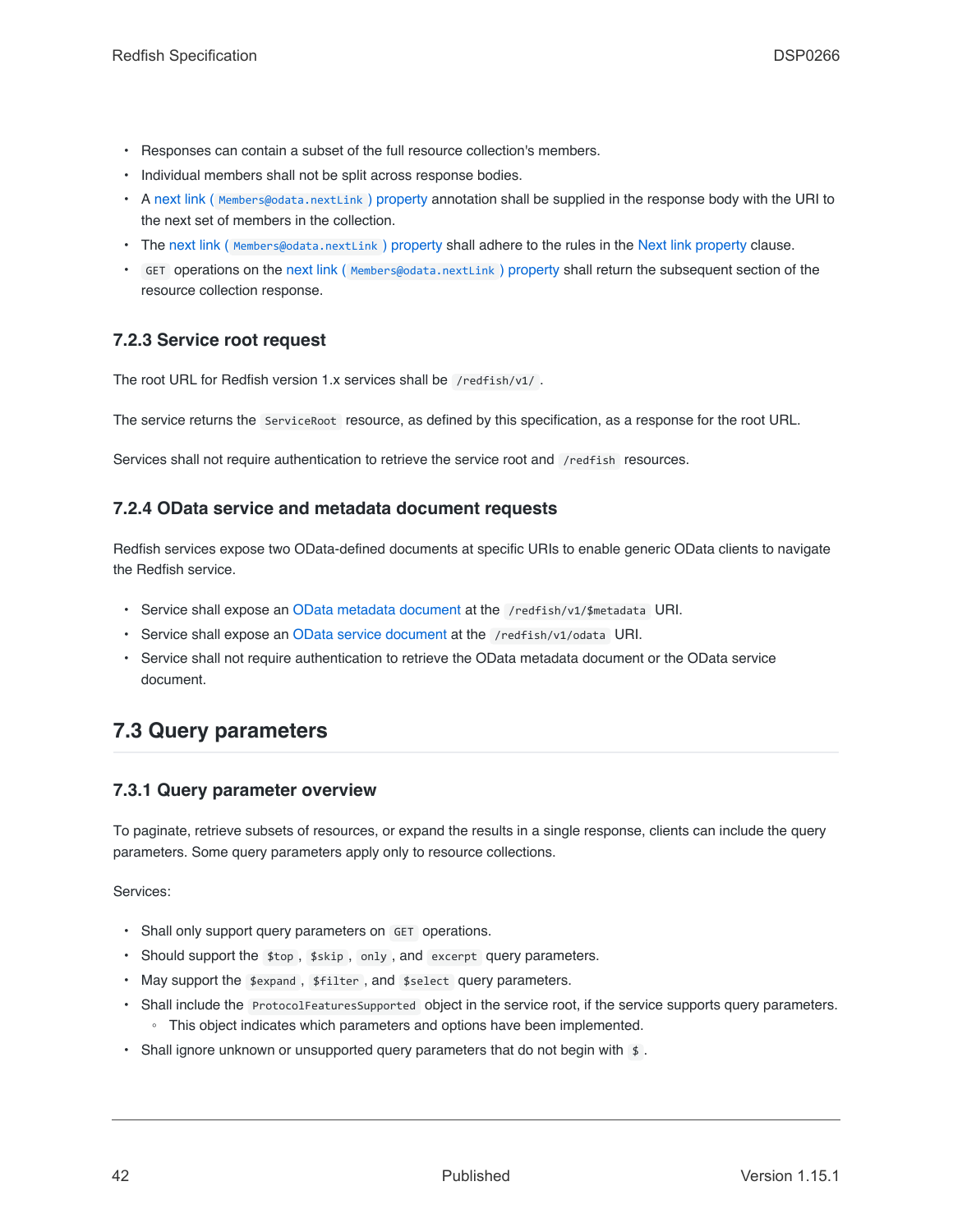- Responses can contain a subset of the full resource collection's members.
- Individual members shall not be split across response bodies.
- A next link ([Members@odata.nextLink](#page-84-2)) property annotation shall be supplied in the response body with the URI to the next set of members in the collection.
- The next link ( [Members@odata.nextLink](#page-84-2) ) property shall adhere to the rules in the [Next link property](#page-84-2) clause.
- GET operations on the next link ( [Members@odata.nextLink](#page-84-2) ) property shall return the subsequent section of the resource collection response.

### <span id="page-41-2"></span>**7.2.3 Service root request**

The root URL for Redfish version 1.x services shall be /redfish/v1/ .

The service returns the ServiceRoot resource, as defined by this specification, as a response for the root URL.

Services shall not require authentication to retrieve the service root and /redfish resources.

#### <span id="page-41-1"></span>**7.2.4 OData service and metadata document requests**

Redfish services expose two OData-defined documents at specific URIs to enable generic OData clients to navigate the Redfish service.

- Service shall expose an [OData metadata document](#page-68-0) at the /redfish/v1/\$metadata URI.
- Service shall expose an [OData service document](#page-19-1) at the /redfish/v1/odata URI.
- Service shall not require authentication to retrieve the OData metadata document or the OData service document.

### <span id="page-41-0"></span>**7.3 Query parameters**

#### **7.3.1 Query parameter overview**

To paginate, retrieve subsets of resources, or expand the results in a single response, clients can include the query parameters. Some query parameters apply only to resource collections.

Services:

- Shall only support query parameters on GET operations.
- Should support the \$top, \$skip, only, and excerpt query parameters.
- May support the \$expand, \$filter, and \$select query parameters.
- Shall include the ProtocolFeaturesSupported object in the service root, if the service supports query parameters. ◦ This object indicates which parameters and options have been implemented.
- Shall ignore unknown or unsupported query parameters that do not begin with  $\frac{1}{2}$ .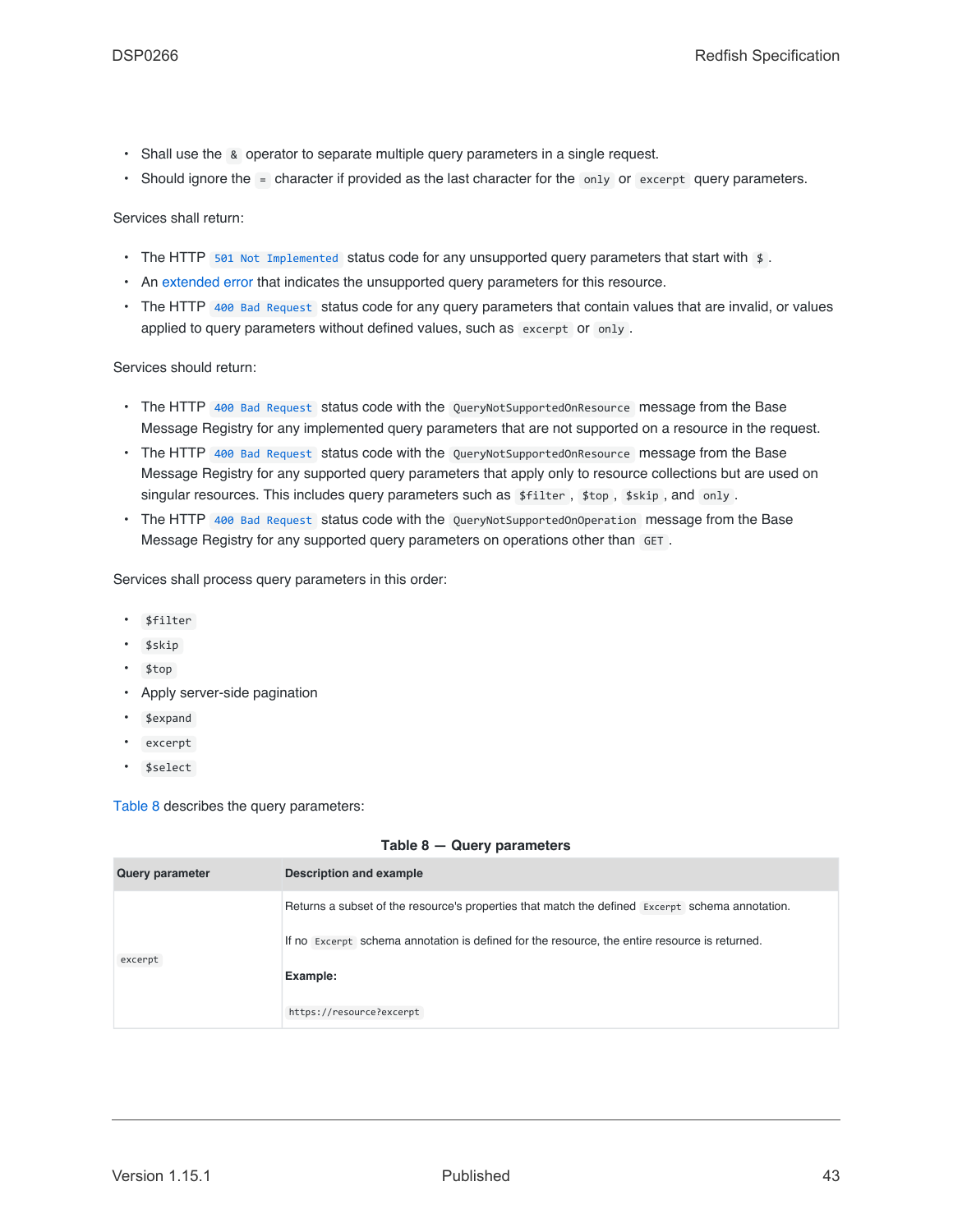- Shall use the & operator to separate multiple query parameters in a single request.
- Should ignore the = character if provided as the last character for the only or excerpt query parameters.

Services shall return:

- The HTTP [501 Not Implemented](#page-68-1) status code for any unsupported query parameters that start with \$.
- An [extended error](#page-71-0) that indicates the unsupported query parameters for this resource.
- The HTTP [400 Bad Request](#page-67-3) status code for any query parameters that contain values that are invalid, or values applied to query parameters without defined values, such as excerpt or only .

Services should return:

- The HTTP [400 Bad Request](#page-67-3) status code with the QueryNotSupportedOnResource message from the Base Message Registry for any implemented query parameters that are not supported on a resource in the request.
- The HTTP [400 Bad Request](#page-67-3) status code with the QueryNotSupportedOnResource message from the Base Message Registry for any supported query parameters that apply only to resource collections but are used on singular resources. This includes query parameters such as \$filter, \$top, \$skip, and only.
- The HTTP [400 Bad Request](#page-67-3) status code with the QueryNotSupportedOnOperation message from the Base Message Registry for any supported query parameters on operations other than GET.

Services shall process query parameters in this order:

- \$filter
- \$skip
- \$top
- Apply server-side pagination
- \$expand
- excerpt
- \$select

[Table 8](#page-42-0) describes the query parameters:

|  |  | Table $8 -$ Query parameters |
|--|--|------------------------------|
|--|--|------------------------------|

<span id="page-42-0"></span>

| <b>Query parameter</b> | Description and example                                                                         |
|------------------------|-------------------------------------------------------------------------------------------------|
|                        | Returns a subset of the resource's properties that match the defined Excerpt schema annotation. |
| excerpt                | If no Excerpt schema annotation is defined for the resource, the entire resource is returned.   |
|                        | Example:                                                                                        |
|                        | https://resource?excerpt                                                                        |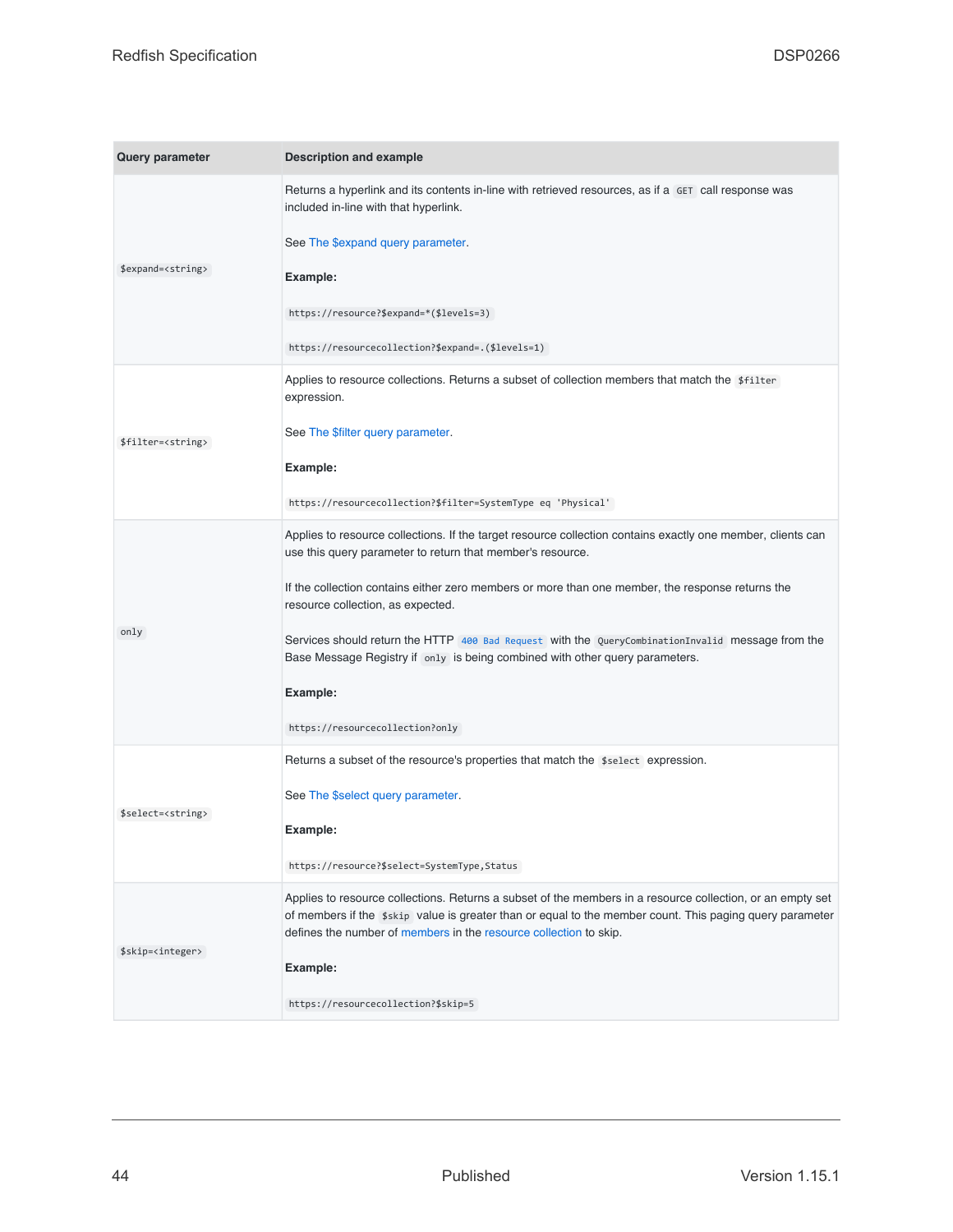| <b>Query parameter</b>      | <b>Description and example</b>                                                                                                                                                                                                                                                              |
|-----------------------------|---------------------------------------------------------------------------------------------------------------------------------------------------------------------------------------------------------------------------------------------------------------------------------------------|
|                             | Returns a hyperlink and its contents in-line with retrieved resources, as if a GET call response was<br>included in-line with that hyperlink.                                                                                                                                               |
|                             | See The \$expand query parameter.                                                                                                                                                                                                                                                           |
| \$expand= <string></string> | Example:                                                                                                                                                                                                                                                                                    |
|                             | https://resource?\$expand=*(\$levels=3)                                                                                                                                                                                                                                                     |
|                             | https://resourcecollection?\$expand=.(\$levels=1)                                                                                                                                                                                                                                           |
|                             | Applies to resource collections. Returns a subset of collection members that match the \$filter<br>expression.                                                                                                                                                                              |
| \$filter= <string></string> | See The \$filter query parameter.                                                                                                                                                                                                                                                           |
|                             | Example:                                                                                                                                                                                                                                                                                    |
|                             | https://resourcecollection?\$filter=SystemType eq 'Physical'                                                                                                                                                                                                                                |
|                             | Applies to resource collections. If the target resource collection contains exactly one member, clients can<br>use this query parameter to return that member's resource.                                                                                                                   |
|                             | If the collection contains either zero members or more than one member, the response returns the<br>resource collection, as expected.                                                                                                                                                       |
| only                        | Services should return the HTTP 400 Bad Request with the QueryCombinationInvalid message from the<br>Base Message Registry if only is being combined with other query parameters.                                                                                                           |
|                             | Example:                                                                                                                                                                                                                                                                                    |
|                             | https://resourcecollection?only                                                                                                                                                                                                                                                             |
|                             | Returns a subset of the resource's properties that match the \$select expression.                                                                                                                                                                                                           |
| \$select= <string></string> | See The \$select query parameter.                                                                                                                                                                                                                                                           |
|                             | Example:                                                                                                                                                                                                                                                                                    |
|                             | https://resource?\$select=SystemType,Status                                                                                                                                                                                                                                                 |
|                             | Applies to resource collections. Returns a subset of the members in a resource collection, or an empty set<br>of members if the \$skip value is greater than or equal to the member count. This paging query parameter<br>defines the number of members in the resource collection to skip. |
| \$skip= <integer></integer> | Example:                                                                                                                                                                                                                                                                                    |
|                             | https://resourcecollection?\$skip=5                                                                                                                                                                                                                                                         |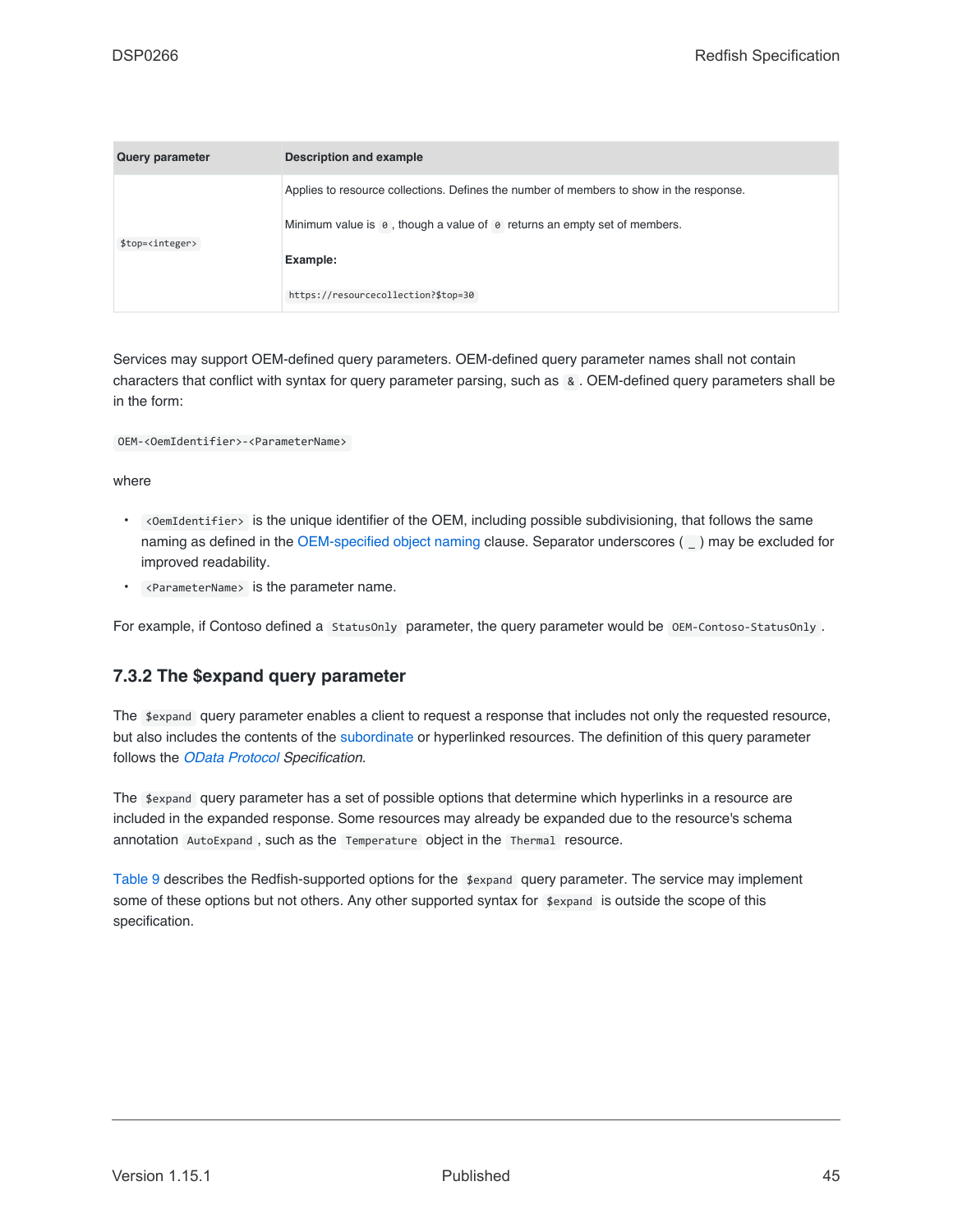| <b>Query parameter</b>     | Description and example                                                                 |
|----------------------------|-----------------------------------------------------------------------------------------|
|                            | Applies to resource collections. Defines the number of members to show in the response. |
| \$top= <integer></integer> | Minimum value is $\theta$ , though a value of $\theta$ returns an empty set of members. |
|                            | Example:                                                                                |
|                            | https://resourcecollection?\$top=30                                                     |

Services may support OEM-defined query parameters. OEM-defined query parameter names shall not contain characters that conflict with syntax for query parameter parsing, such as & . OEM-defined query parameters shall be in the form:

#### OEM-<OemIdentifier>-<ParameterName>

where

- <OemIdentifier> is the unique identifier of the OEM, including possible subdivisioning, that follows the same naming as defined in the [OEM-specified object naming](#page-90-0) clause. Separator underscores () may be excluded for improved readability.
- <ParameterName> is the parameter name.

For example, if Contoso defined a StatusOnly parameter, the query parameter would be OEM-Contoso-StatusOnly.

#### <span id="page-44-0"></span>**7.3.2 The \$expand query parameter**

The \$expand query parameter enables a client to request a response that includes not only the requested resource, but also includes the contents of the [subordinate](#page-22-0) or hyperlinked resources. The definition of this query parameter follows the *[OData Protocol](#page-16-2) Specification*.

The \$expand query parameter has a set of possible options that determine which hyperlinks in a resource are included in the expanded response. Some resources may already be expanded due to the resource's schema annotation AutoExpand , such as the Temperature object in the Thermal resource.

[Table 9](#page-45-0) describes the Redfish-supported options for the \$expand query parameter. The service may implement some of these options but not others. Any other supported syntax for \$expand is outside the scope of this specification.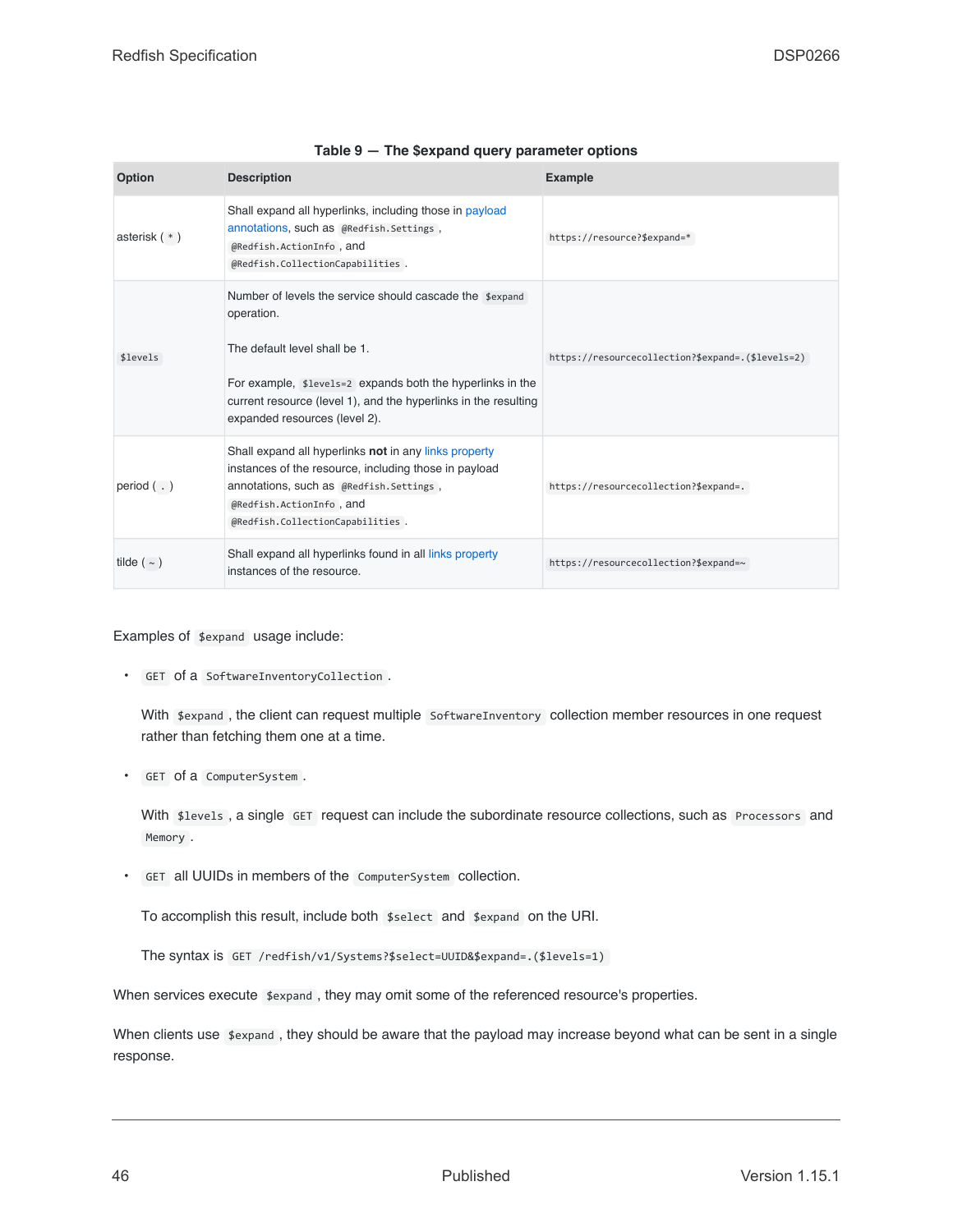<span id="page-45-0"></span>

| <b>Option</b>    | <b>Description</b>                                                                                                                                                                                                                                                       | <b>Example</b>                                    |
|------------------|--------------------------------------------------------------------------------------------------------------------------------------------------------------------------------------------------------------------------------------------------------------------------|---------------------------------------------------|
| asterisk $(*)$   | Shall expand all hyperlinks, including those in payload<br>annotations, such as @Redfish.Settings,<br>@Redfish.ActionInfo, and<br>@Redfish.CollectionCapabilities.                                                                                                       | https://resource?\$expand=*                       |
| \$levels         | Number of levels the service should cascade the sexpand<br>operation.<br>The default level shall be 1.<br>For example, \$1eve1s=2 expands both the hyperlinks in the<br>current resource (level 1), and the hyperlinks in the resulting<br>expanded resources (level 2). | https://resourcecollection?\$expand=.(\$levels=2) |
| period $($ .)    | Shall expand all hyperlinks not in any links property<br>instances of the resource, including those in payload<br>annotations, such as @Redfish.Settings,<br>@Redfish.ActionInfo, and<br>@Redfish.CollectionCapabilities.                                                | https://resourcecollection?\$expand=.             |
| tilde ( $\sim$ ) | Shall expand all hyperlinks found in all links property<br>instances of the resource.                                                                                                                                                                                    | https://resourcecollection?\$expand=~             |

|  | Table 9 - The \$expand query parameter options |  |  |  |
|--|------------------------------------------------|--|--|--|
|--|------------------------------------------------|--|--|--|

Examples of \$expand usage include:

• GET of a SoftwareInventoryCollection .

With \$expand, the client can request multiple SoftwareInventory collection member resources in one request rather than fetching them one at a time.

• GET of a ComputerSystem .

With \$levels, a single GET request can include the subordinate resource collections, such as Processors and Memory .

• GET all UUIDs in members of the ComputerSystem collection.

To accomplish this result, include both \$select and \$expand on the URI.

The syntax is GET /redfish/v1/Systems?\$select=UUID&\$expand=.(\$levels=1)

When services execute  $x$ <sub>expand</sub>, they may omit some of the referenced resource's properties.

When clients use  $x$ <sub>expand</sub>, they should be aware that the payload may increase beyond what can be sent in a single response.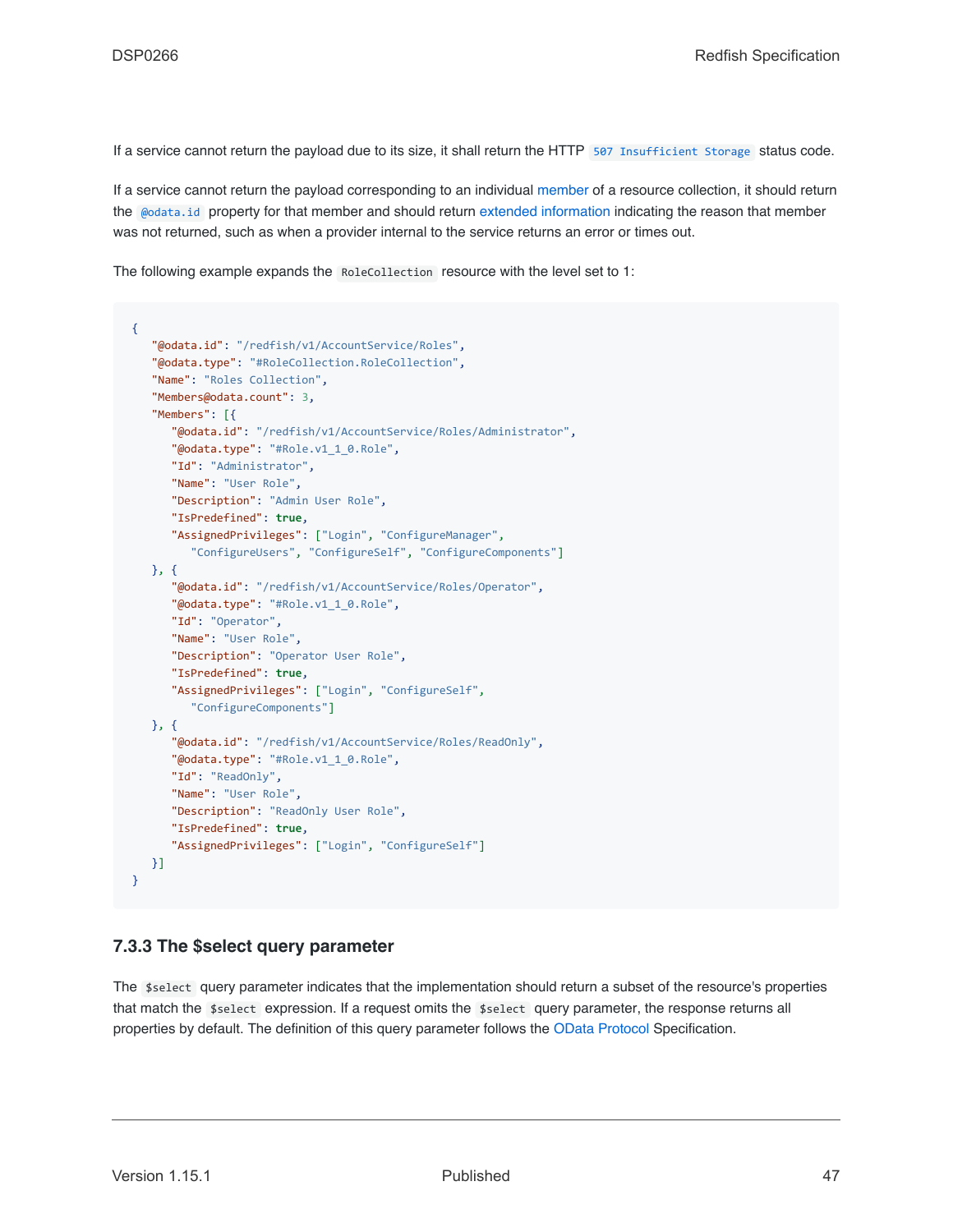If a service cannot return the payload due to its size, it shall return the HTTP [507 Insufficient Storage](#page-68-2) status code.

If a service cannot return the payload corresponding to an individual [member](#page-19-0) of a resource collection, it should return the [@odata.id](#page-82-0) property for that member and should return [extended information](#page-94-0) indicating the reason that member was not returned, such as when a provider internal to the service returns an error or times out.

The following example expands the RoleCollection resource with the level set to 1:

```
{
   "@odata.id": "/redfish/v1/AccountService/Roles",
   "@odata.type": "#RoleCollection.RoleCollection",
   "Name": "Roles Collection",
   "Members@odata.count": 3,
   "Members": [{
      "@odata.id": "/redfish/v1/AccountService/Roles/Administrator",
      "@odata.type": "#Role.v1_1_0.Role",
      "Id": "Administrator",
      "Name": "User Role",
      "Description": "Admin User Role",
      "IsPredefined": true,
      "AssignedPrivileges": ["Login", "ConfigureManager",
         "ConfigureUsers", "ConfigureSelf", "ConfigureComponents"]
   }, {
      "@odata.id": "/redfish/v1/AccountService/Roles/Operator",
      "@odata.type": "#Role.v1_1_0.Role",
      "Id": "Operator",
      "Name": "User Role",
      "Description": "Operator User Role",
      "IsPredefined": true,
      "AssignedPrivileges": ["Login", "ConfigureSelf",
         "ConfigureComponents"]
   }, {
      "@odata.id": "/redfish/v1/AccountService/Roles/ReadOnly",
      "@odata.type": "#Role.v1_1_0.Role",
      "Id": "ReadOnly",
      "Name": "User Role",
      "Description": "ReadOnly User Role",
      "IsPredefined": true,
      "AssignedPrivileges": ["Login", "ConfigureSelf"]
  }]
}
```
#### <span id="page-46-0"></span>**7.3.3 The \$select query parameter**

The \$select query parameter indicates that the implementation should return a subset of the resource's properties that match the \$select expression. If a request omits the \$select query parameter, the response returns all properties by default. The definition of this query parameter follows the [OData Protocol](#page-16-2) Specification.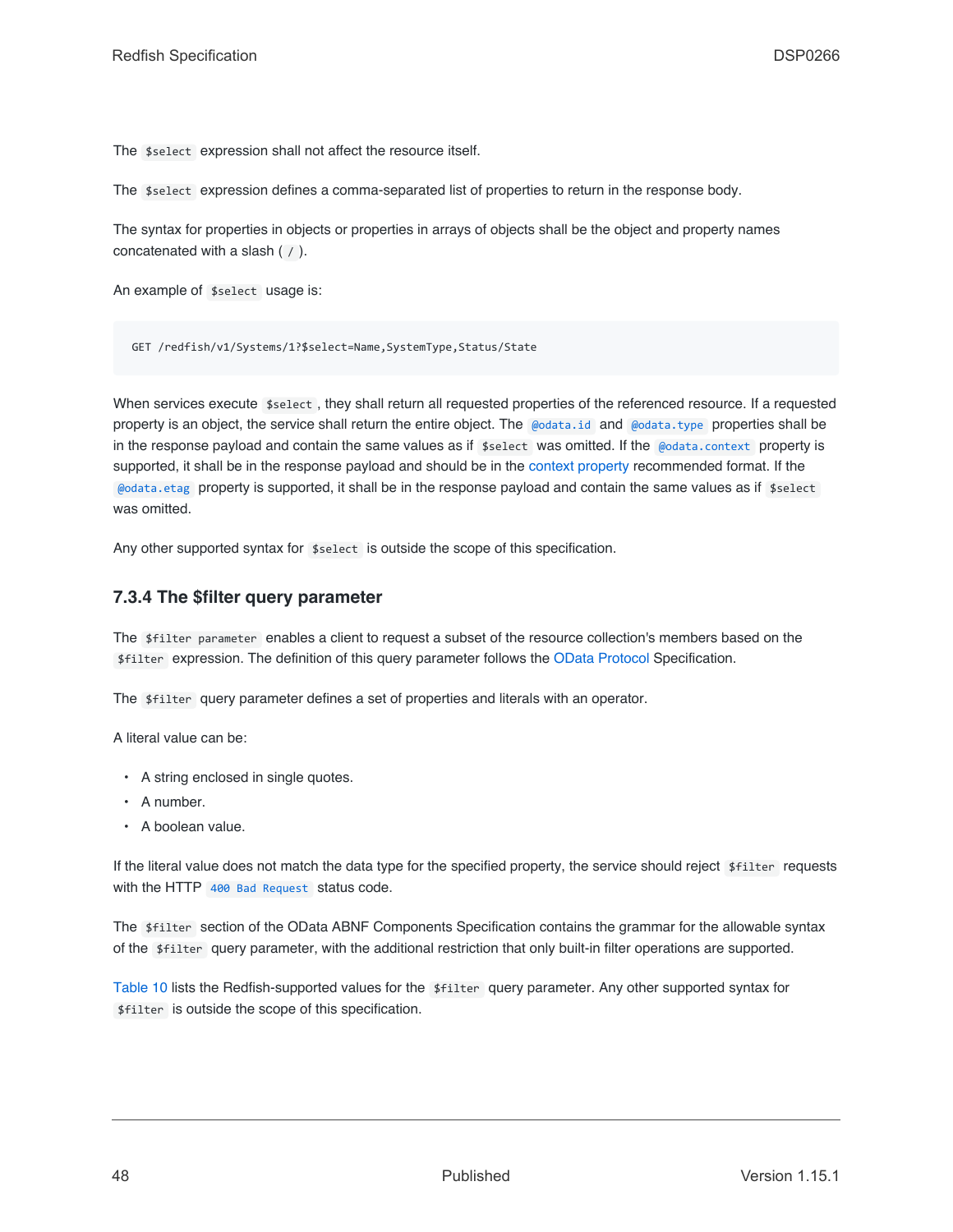The \$select expression shall not affect the resource itself.

The \$select expression defines a comma-separated list of properties to return in the response body.

The syntax for properties in objects or properties in arrays of objects shall be the object and property names concatenated with a slash ( / ).

An example of \$select usage is:

GET /redfish/v1/Systems/1?\$select=Name,SystemType,Status/State

When services execute  $$select, they shall return all requested properties of the referenced resource. If a requested$ property is an object, the service shall return the entire object. The [@odata.id](#page-82-0) and [@odata.type](#page-82-1) properties shall be in the response payload and contain the same values as if \$select was omitted. If the [@odata.context](#page-83-0) property is supported, it shall be in the response payload and should be in the [context property](#page-83-0) recommended format. If the [@odata.etag](#page-82-2) property is supported, it shall be in the response payload and contain the same values as if \$select was omitted.

Any other supported syntax for  $$select$  is outside the scope of this specification.

#### <span id="page-47-0"></span>**7.3.4 The \$filter query parameter**

The \$filter parameter enables a client to request a subset of the resource collection's members based on the \$filter expression. The definition of this query parameter follows the [OData Protocol](#page-16-2) Specification.

The \$filter query parameter defines a set of properties and literals with an operator.

A literal value can be:

- A string enclosed in single quotes.
- A number.
- A boolean value.

If the literal value does not match the data type for the specified property, the service should reject \$filter requests with the HTTP [400 Bad Request](#page-67-3) status code.

The \$filter section of the OData ABNF Components Specification contains the grammar for the allowable syntax of the \$filter query parameter, with the additional restriction that only built-in filter operations are supported.

[Table 10](#page-48-0) lists the Redfish-supported values for the \$filter query parameter. Any other supported syntax for \$filter is outside the scope of this specification.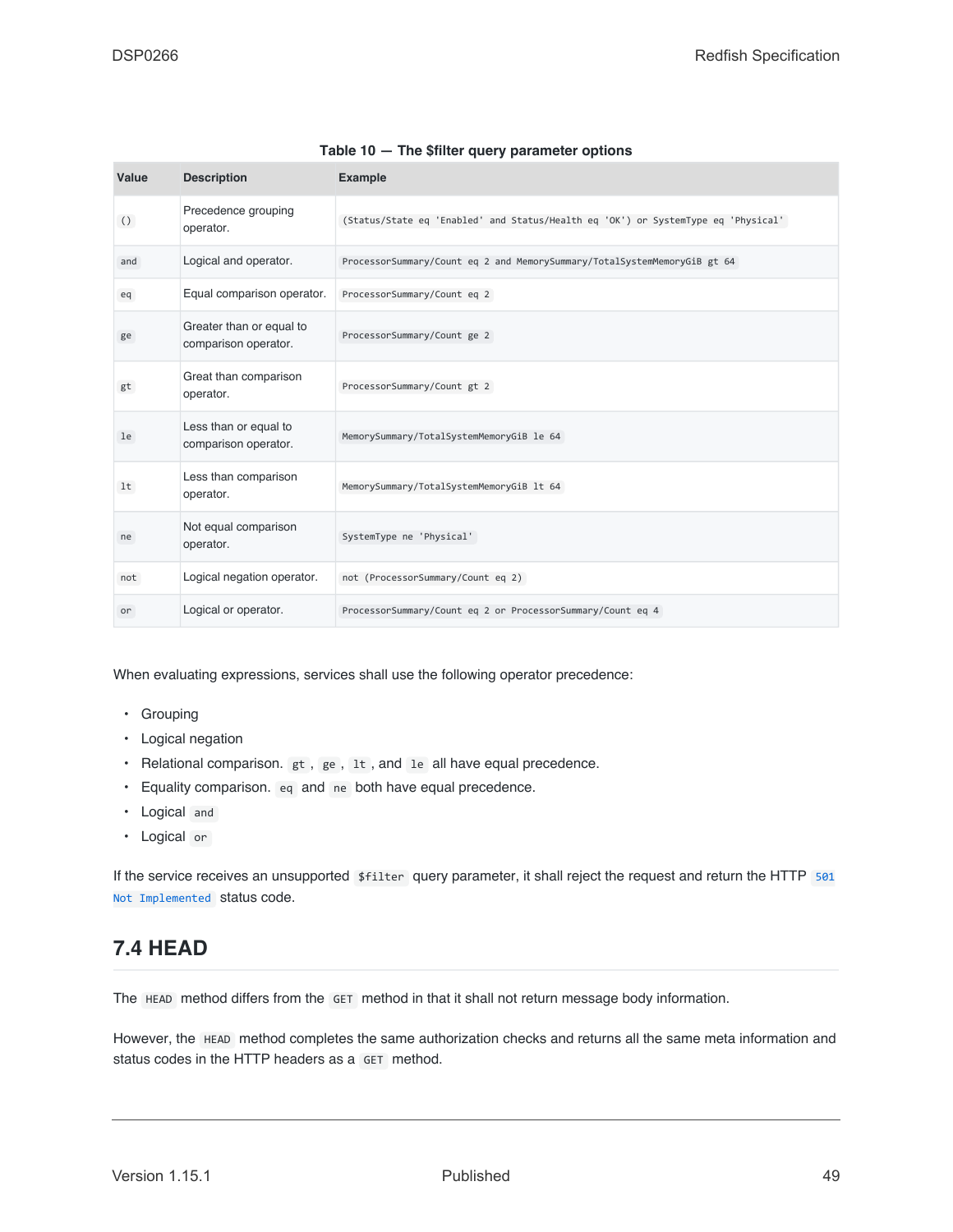<span id="page-48-0"></span>

| Value            | <b>Description</b>                               | <b>Example</b>                                                                    |
|------------------|--------------------------------------------------|-----------------------------------------------------------------------------------|
| $\left( \right)$ | Precedence grouping<br>operator.                 | (Status/State eq 'Enabled' and Status/Health eq 'OK') or SystemType eq 'Physical' |
| and              | Logical and operator.                            | ProcessorSummary/Count eq 2 and MemorySummary/TotalSystemMemoryGiB gt 64          |
| eq               | Equal comparison operator.                       | ProcessorSummary/Count eq 2                                                       |
| ge               | Greater than or equal to<br>comparison operator. | ProcessorSummary/Count ge 2                                                       |
| gt               | Great than comparison<br>operator.               | ProcessorSummary/Count gt 2                                                       |
| le               | Less than or equal to<br>comparison operator.    | MemorySummary/TotalSystemMemoryGiB le 64                                          |
| lt               | Less than comparison<br>operator.                | MemorySummary/TotalSystemMemoryGiB lt 64                                          |
| ne               | Not equal comparison<br>operator.                | SystemType ne 'Physical'                                                          |
| not              | Logical negation operator.                       | not (ProcessorSummary/Count eq 2)                                                 |
| or               | Logical or operator.                             | ProcessorSummary/Count eq 2 or ProcessorSummary/Count eq 4                        |

#### **Table 10 — The \$filter query parameter options**

When evaluating expressions, services shall use the following operator precedence:

- Grouping
- Logical negation
- Relational comparison. gt, ge, 1t, and 1e all have equal precedence.
- Equality comparison. eq and ne both have equal precedence.
- Logical and
- Logical or

If the service receives an unsupported \$filter query parameter, it shall reject the request and return the HTTP [501](#page-68-1) [Not Implemented](#page-68-1) status code.

# **7.4 HEAD**

The HEAD method differs from the GET method in that it shall not return message body information.

However, the HEAD method completes the same authorization checks and returns all the same meta information and status codes in the HTTP headers as a GET method.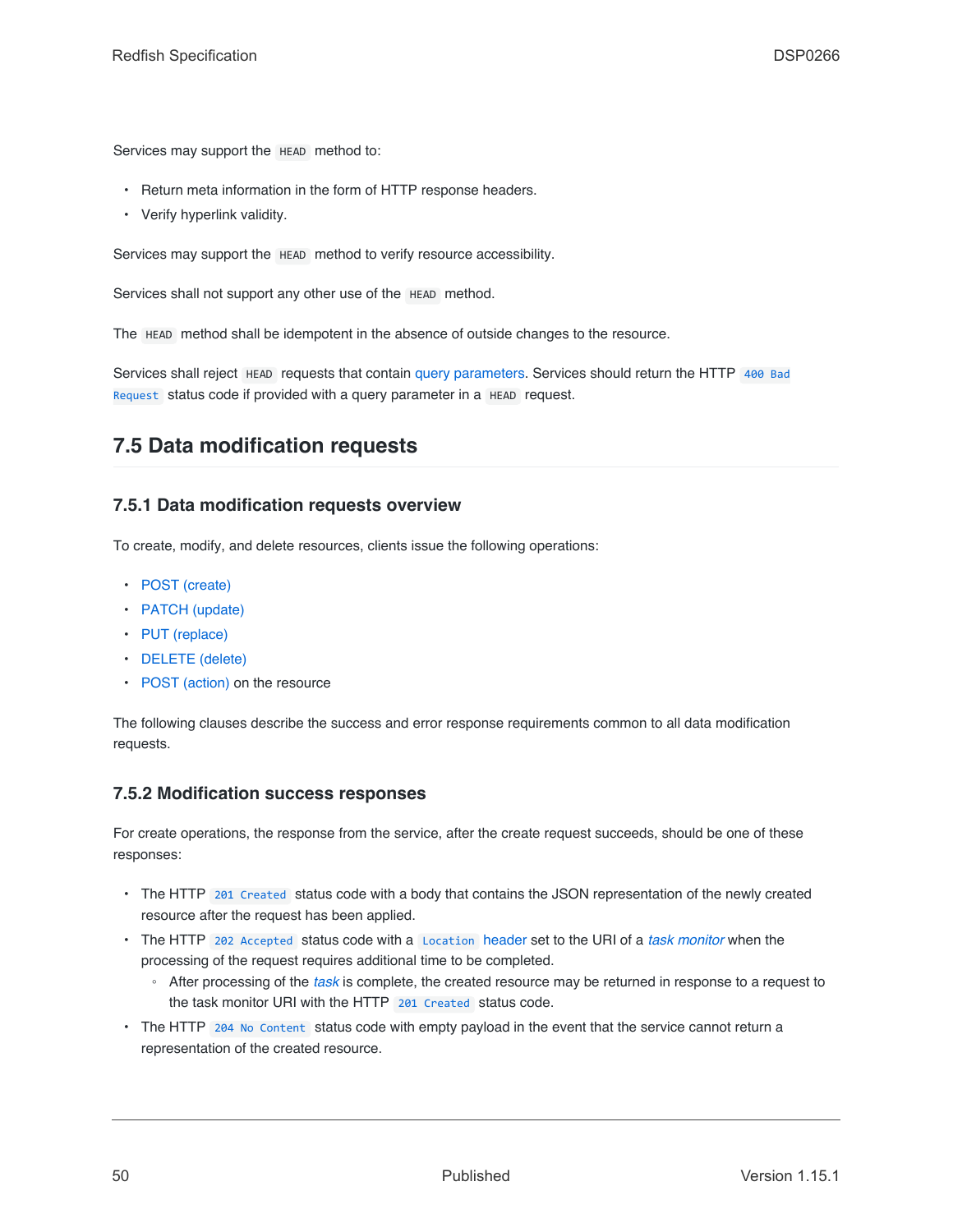Services may support the HEAD method to:

- Return meta information in the form of HTTP response headers.
- Verify hyperlink validity.

Services may support the HEAD method to verify resource accessibility.

Services shall not support any other use of the HEAD method.

The HEAD method shall be idempotent in the absence of outside changes to the resource.

Services shall reject HEAD requests that contain [query parameters](#page-41-0). Services should return the HTTP [400 Bad](#page-67-3) [Request](#page-67-3) status code if provided with a query parameter in a HEAD request.

### <span id="page-49-1"></span>**7.5 Data modification requests**

#### **7.5.1 Data modification requests overview**

To create, modify, and delete resources, clients issue the following operations:

- [POST \(create\)](#page-52-0)
- [PATCH \(update\)](#page-50-0)
- [PUT \(replace\)](#page-52-1)
- [DELETE \(delete\)](#page-53-0)
- [POST \(action\)](#page-53-1) on the resource

The following clauses describe the success and error response requirements common to all data modification requests.

#### <span id="page-49-0"></span>**7.5.2 Modification success responses**

For create operations, the response from the service, after the create request succeeds, should be one of these responses:

- The HTTP [201 Created](#page-66-0) status code with a body that contains the JSON representation of the newly created resource after the request has been applied.
- The HTTP [202 Accepted](#page-66-1) status code with a [Location](#page-64-0) header set to the URI of a *[task monitor](#page-20-0)* when the processing of the request requires additional time to be completed.
	- After processing of the *[task](#page-20-1)* is complete, the created resource may be returned in response to a request to the task monitor URI with the HTTP [201 Created](#page-66-0) status code.
- The HTTP [204 No Content](#page-66-2) status code with empty payload in the event that the service cannot return a representation of the created resource.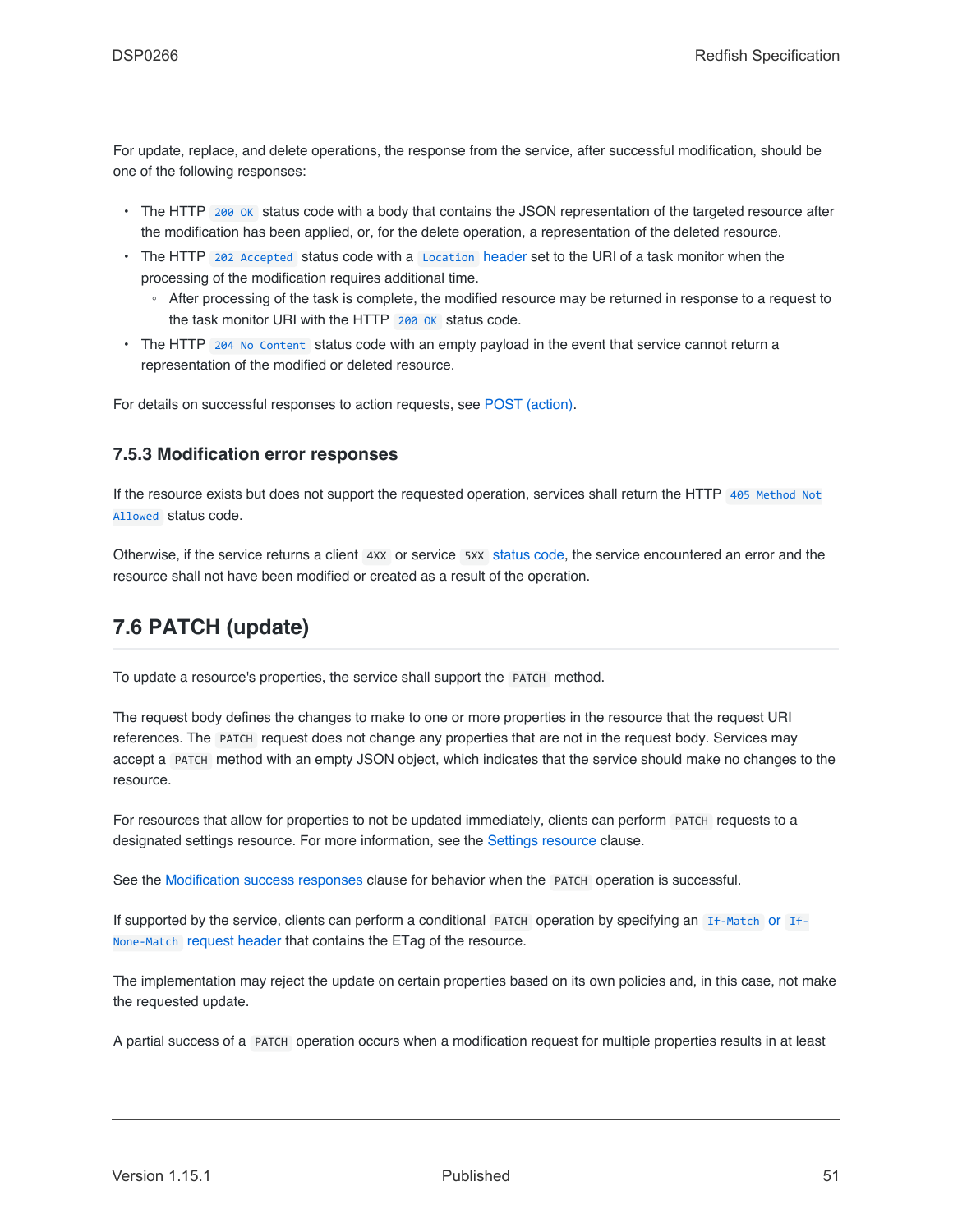For update, replace, and delete operations, the response from the service, after successful modification, should be one of the following responses:

- The HTTP 200 ok status code with a body that contains the JSON representation of the targeted resource after the modification has been applied, or, for the delete operation, a representation of the deleted resource.
- The HTTP [202 Accepted](#page-66-1) status code with a [Location](#page-64-0) header set to the URI of a task monitor when the processing of the modification requires additional time.
	- After processing of the task is complete, the modified resource may be returned in response to a request to the task monitor URI with the HTTP [200 OK](#page-66-3) status code.
- The HTTP [204 No Content](#page-66-2) status code with an empty payload in the event that service cannot return a representation of the modified or deleted resource.

For details on successful responses to action requests, see [POST \(action\)](#page-53-1).

#### **7.5.3 Modification error responses**

If the resource exists but does not support the requested operation, services shall return the HTTP [405 Method Not](#page-67-4) [Allowed](#page-67-4) status code.

Otherwise, if the service returns a client 4xx or service 5xx [status code,](#page-65-0) the service encountered an error and the resource shall not have been modified or created as a result of the operation.

## <span id="page-50-0"></span>**7.6 PATCH (update)**

To update a resource's properties, the service shall support the PATCH method.

The request body defines the changes to make to one or more properties in the resource that the request URI references. The PATCH request does not change any properties that are not in the request body. Services may accept a PATCH method with an empty JSON object, which indicates that the service should make no changes to the resource.

For resources that allow for properties to not be updated immediately, clients can perform PATCH requests to a designated settings resource. For more information, see the [Settings resource](#page-101-0) clause.

See the [Modification success responses](#page-49-0) clause for behavior when the PATCH operation is successful.

If supported by the service, clients can perform a conditional PATCH operation by specifying an [If-Match](#page-36-0) or [If-](#page-36-0)[None-Match](#page-36-0) [request header](#page-36-0) that contains the ETag of the resource.

The implementation may reject the update on certain properties based on its own policies and, in this case, not make the requested update.

A partial success of a PATCH operation occurs when a modification request for multiple properties results in at least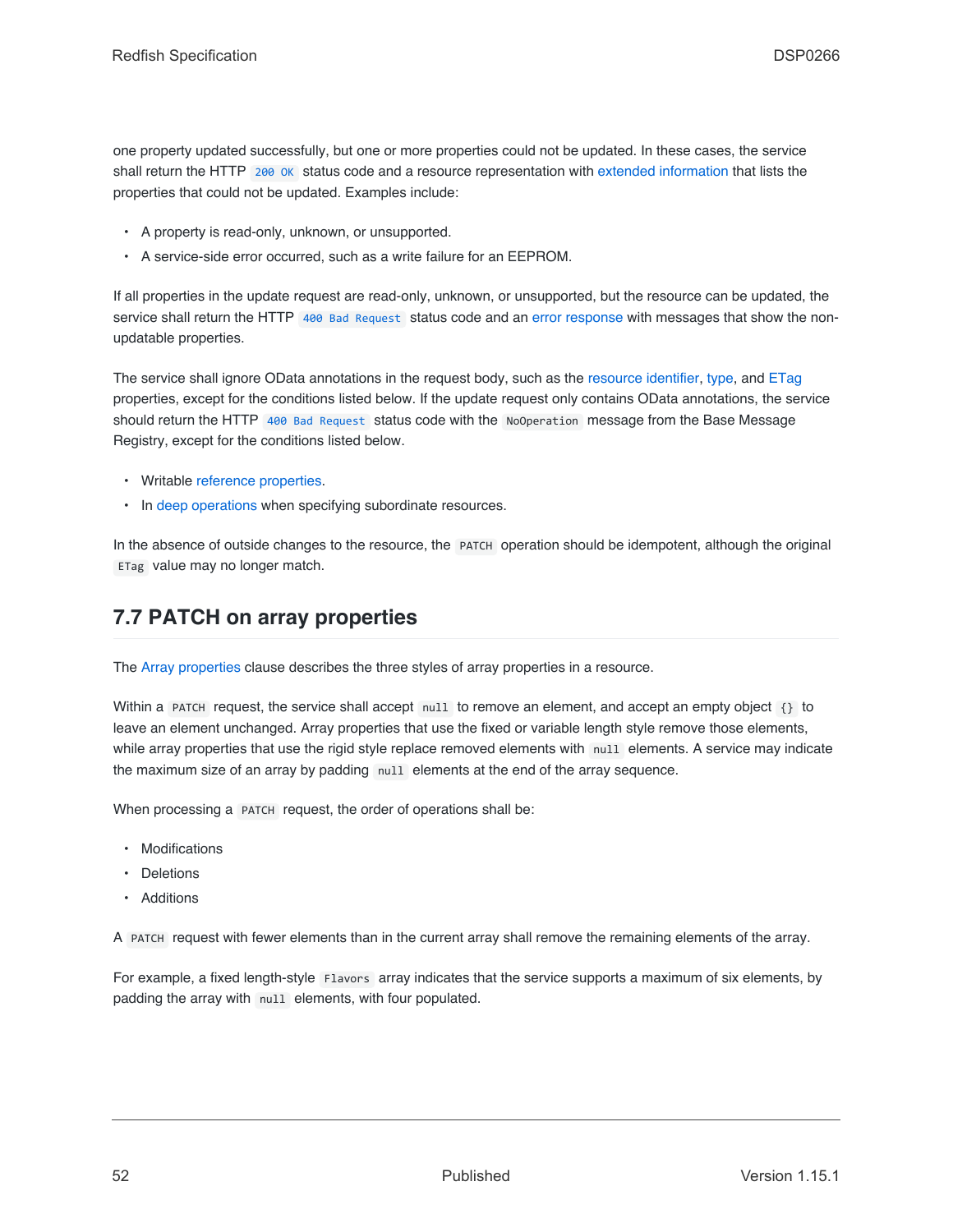one property updated successfully, but one or more properties could not be updated. In these cases, the service shall return the HTTP 200 ok status code and a resource representation with [extended information](#page-94-0) that lists the properties that could not be updated. Examples include:

- A property is read-only, unknown, or unsupported.
- A service-side error occurred, such as a write failure for an EEPROM.

If all properties in the update request are read-only, unknown, or unsupported, but the resource can be updated, the service shall return the HTTP [400 Bad Request](#page-67-3) status code and an [error response](#page-71-0) with messages that show the nonupdatable properties.

The service shall ignore OData annotations in the request body, such as the [resource identifier](#page-82-0), [type](#page-82-1), and [ETag](#page-82-2) properties, except for the conditions listed below. If the update request only contains OData annotations, the service should return the HTTP [400 Bad Request](#page-67-3) status code with the NoOperation message from the Base Message Registry, except for the conditions listed below.

- Writable [reference properties.](#page-78-0)
- In [deep operations](#page-58-0) when specifying subordinate resources.

In the absence of outside changes to the resource, the PATCH operation should be idempotent, although the original ETag value may no longer match.

## **7.7 PATCH on array properties**

The [Array properties](#page-78-1) clause describes the three styles of array properties in a resource.

Within a PATCH request, the service shall accept null to remove an element, and accept an empty object {} to leave an element unchanged. Array properties that use the fixed or variable length style remove those elements, while array properties that use the rigid style replace removed elements with null elements. A service may indicate the maximum size of an array by padding null elements at the end of the array sequence.

When processing a PATCH request, the order of operations shall be:

- Modifications
- **Deletions**
- Additions

A PATCH request with fewer elements than in the current array shall remove the remaining elements of the array.

For example, a fixed length-style Flavors array indicates that the service supports a maximum of six elements, by padding the array with null elements, with four populated.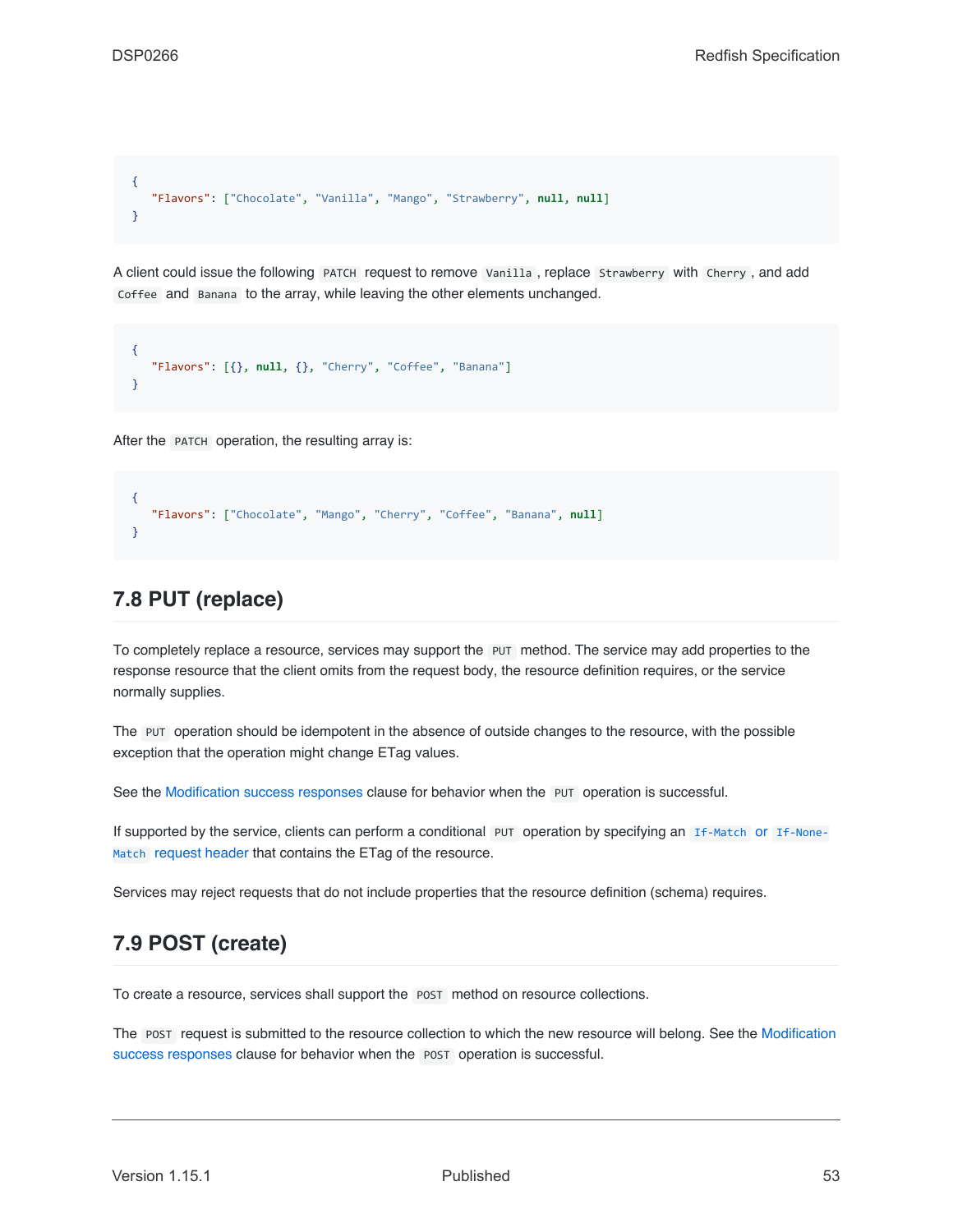```
{
   "Flavors": ["Chocolate", "Vanilla", "Mango", "Strawberry", null, null]
}
```
A client could issue the following PATCH request to remove Vanilla , replace Strawberry with Cherry , and add Coffee and Banana to the array, while leaving the other elements unchanged.

```
{
   "Flavors": [{}, null, {}, "Cherry", "Coffee", "Banana"]
}
```
After the PATCH operation, the resulting array is:

```
{
   "Flavors": ["Chocolate", "Mango", "Cherry", "Coffee", "Banana", null]
}
```
### <span id="page-52-1"></span>**7.8 PUT (replace)**

To completely replace a resource, services may support the PUT method. The service may add properties to the response resource that the client omits from the request body, the resource definition requires, or the service normally supplies.

The PUT operation should be idempotent in the absence of outside changes to the resource, with the possible exception that the operation might change ETag values.

See the [Modification success responses](#page-49-0) clause for behavior when the PUT operation is successful.

If supported by the service, clients can perform a conditional PUT operation by specifying an [If-Match](#page-36-0) or [If-None-](#page-36-0)[Match](#page-36-0) [request header](#page-36-0) that contains the ETag of the resource.

Services may reject requests that do not include properties that the resource definition (schema) requires.

## <span id="page-52-0"></span>**7.9 POST (create)**

To create a resource, services shall support the POST method on resource collections.

The POST request is submitted to the resource collection to which the new resource will belong. See the [Modification](#page-49-0) [success responses](#page-49-0) clause for behavior when the POST operation is successful.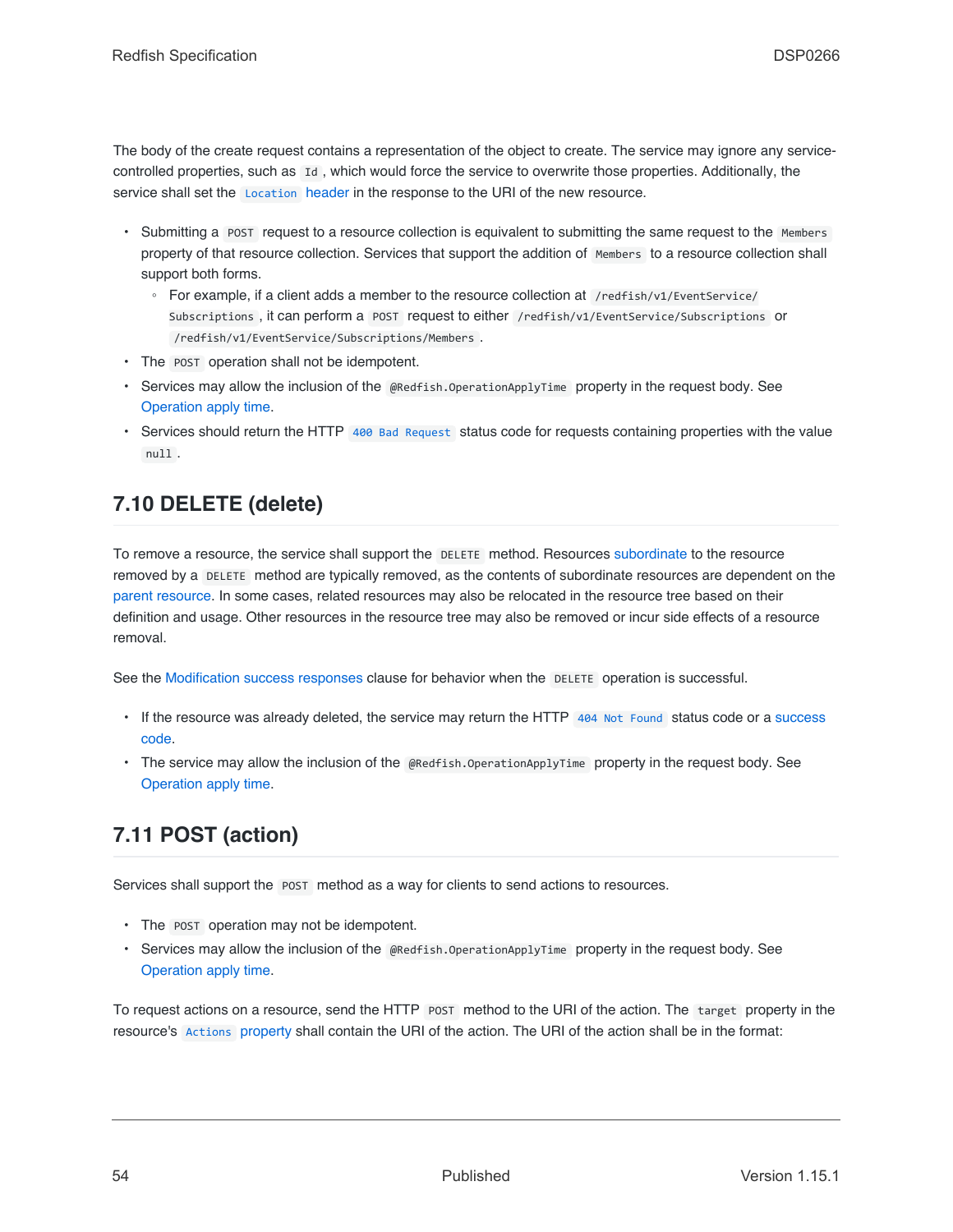The body of the create request contains a representation of the object to create. The service may ignore any servicecontrolled properties, such as Id , which would force the service to overwrite those properties. Additionally, the service shall set the [Location](#page-64-0) header in the response to the URI of the new resource.

- Submitting a POST request to a resource collection is equivalent to submitting the same request to the Members property of that resource collection. Services that support the addition of Members to a resource collection shall support both forms.
	- For example, if a client adds a member to the resource collection at /redfish/v1/EventService/ Subscriptions , it can perform a POST request to either /redfish/v1/EventService/Subscriptions or /redfish/v1/EventService/Subscriptions/Members .
- The POST operation shall not be idempotent.
- Services may allow the inclusion of the @Redfish.OperationApplyTime property in the request body. See [Operation apply time.](#page-55-0)
- Services should return the HTTP [400 Bad Request](#page-67-3) status code for requests containing properties with the value null .

# <span id="page-53-0"></span>**7.10 DELETE (delete)**

To remove a resource, the service shall support the DELETE method. Resources [subordinate](#page-22-0) to the resource removed by a DELETE method are typically removed, as the contents of subordinate resources are dependent on the [parent resource.](#page-20-2) In some cases, related resources may also be relocated in the resource tree based on their definition and usage. Other resources in the resource tree may also be removed or incur side effects of a resource removal.

See the [Modification success responses](#page-49-0) clause for behavior when the DELETE operation is successful.

- If the resource was already deleted, the service may return the HTTP [404 Not Found](#page-67-5) status code or a [success](#page-49-0) [code](#page-49-0).
- The service may allow the inclusion of the @Redfish.OperationApplyTime property in the request body. See [Operation apply time.](#page-55-0)

# <span id="page-53-1"></span>**7.11 POST (action)**

Services shall support the POST method as a way for clients to send actions to resources.

- The POST operation may not be idempotent.
- Services may allow the inclusion of the @Redfish.OperationApplyTime property in the request body. See [Operation apply time.](#page-55-0)

To request actions on a resource, send the HTTP POST method to the URI of the action. The target property in the resource's [Actions](#page-85-0) [property](#page-85-0) shall contain the URI of the action. The URI of the action shall be in the format: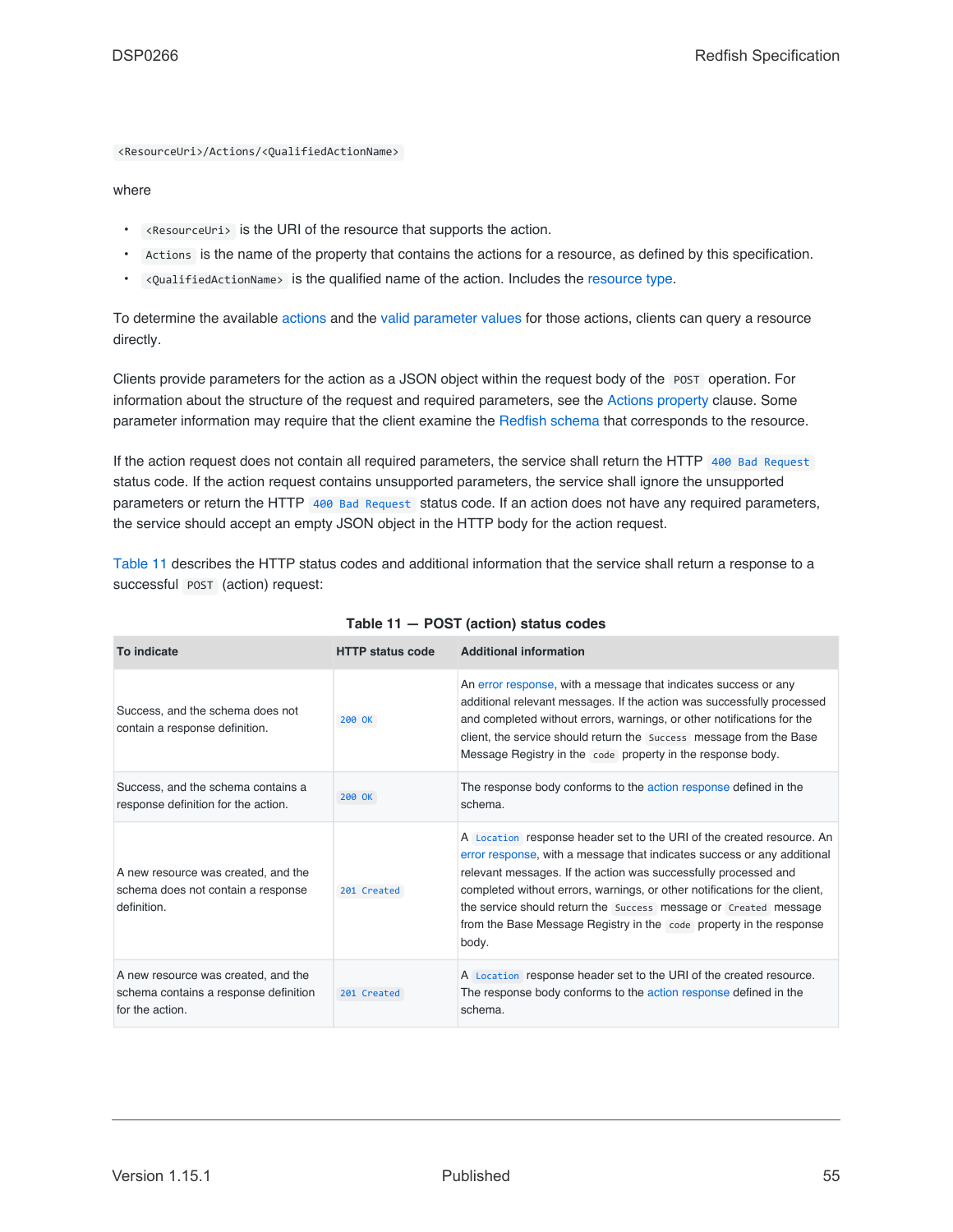<ResourceUri>/Actions/<QualifiedActionName>

#### where

- <ResourceUri> is the URI of the resource that supports the action.
- Actions is the name of the property that contains the actions for a resource, as defined by this specification.
- <QualifiedActionName> is the qualified name of the action. Includes the [resource type](#page-22-1).

To determine the available [actions](#page-85-0) and the [valid parameter values](#page-94-1) for those actions, clients can query a resource directly.

Clients provide parameters for the action as a JSON object within the request body of the POST operation. For information about the structure of the request and required parameters, see the [Actions property](#page-85-0) clause. Some parameter information may require that the client examine the [Redfish schema](#page-114-0) that corresponds to the resource.

If the action request does not contain all required parameters, the service shall return the HTTP [400 Bad Request](#page-67-3) status code. If the action request contains unsupported parameters, the service shall ignore the unsupported parameters or return the HTTP [400 Bad Request](#page-67-3) status code. If an action does not have any required parameters, the service should accept an empty JSON object in the HTTP body for the action request.

[Table 11](#page-54-0) describes the HTTP status codes and additional information that the service shall return a response to a successful **POST** (action) request:

<span id="page-54-0"></span>

| To indicate                                                                                     | <b>HTTP status code</b> | <b>Additional information</b>                                                                                                                                                                                                                                                                                                                                                                                                                         |
|-------------------------------------------------------------------------------------------------|-------------------------|-------------------------------------------------------------------------------------------------------------------------------------------------------------------------------------------------------------------------------------------------------------------------------------------------------------------------------------------------------------------------------------------------------------------------------------------------------|
| Success, and the schema does not<br>contain a response definition.                              | 200 OK                  | An error response, with a message that indicates success or any<br>additional relevant messages. If the action was successfully processed<br>and completed without errors, warnings, or other notifications for the<br>client, the service should return the Success message from the Base<br>Message Registry in the code property in the response body.                                                                                             |
| Success, and the schema contains a<br>response definition for the action.                       | 200 OK                  | The response body conforms to the action response defined in the<br>schema.                                                                                                                                                                                                                                                                                                                                                                           |
| A new resource was created, and the<br>schema does not contain a response<br>definition.        | 201 Created             | A Location response header set to the URI of the created resource. An<br>error response, with a message that indicates success or any additional<br>relevant messages. If the action was successfully processed and<br>completed without errors, warnings, or other notifications for the client,<br>the service should return the Success message or Created message<br>from the Base Message Registry in the code property in the response<br>body. |
| A new resource was created, and the<br>schema contains a response definition<br>for the action. | 201 Created             | A Location response header set to the URI of the created resource.<br>The response body conforms to the action response defined in the<br>schema.                                                                                                                                                                                                                                                                                                     |

| Table 11 - POST (action) status codes |  |  |  |  |  |
|---------------------------------------|--|--|--|--|--|
|---------------------------------------|--|--|--|--|--|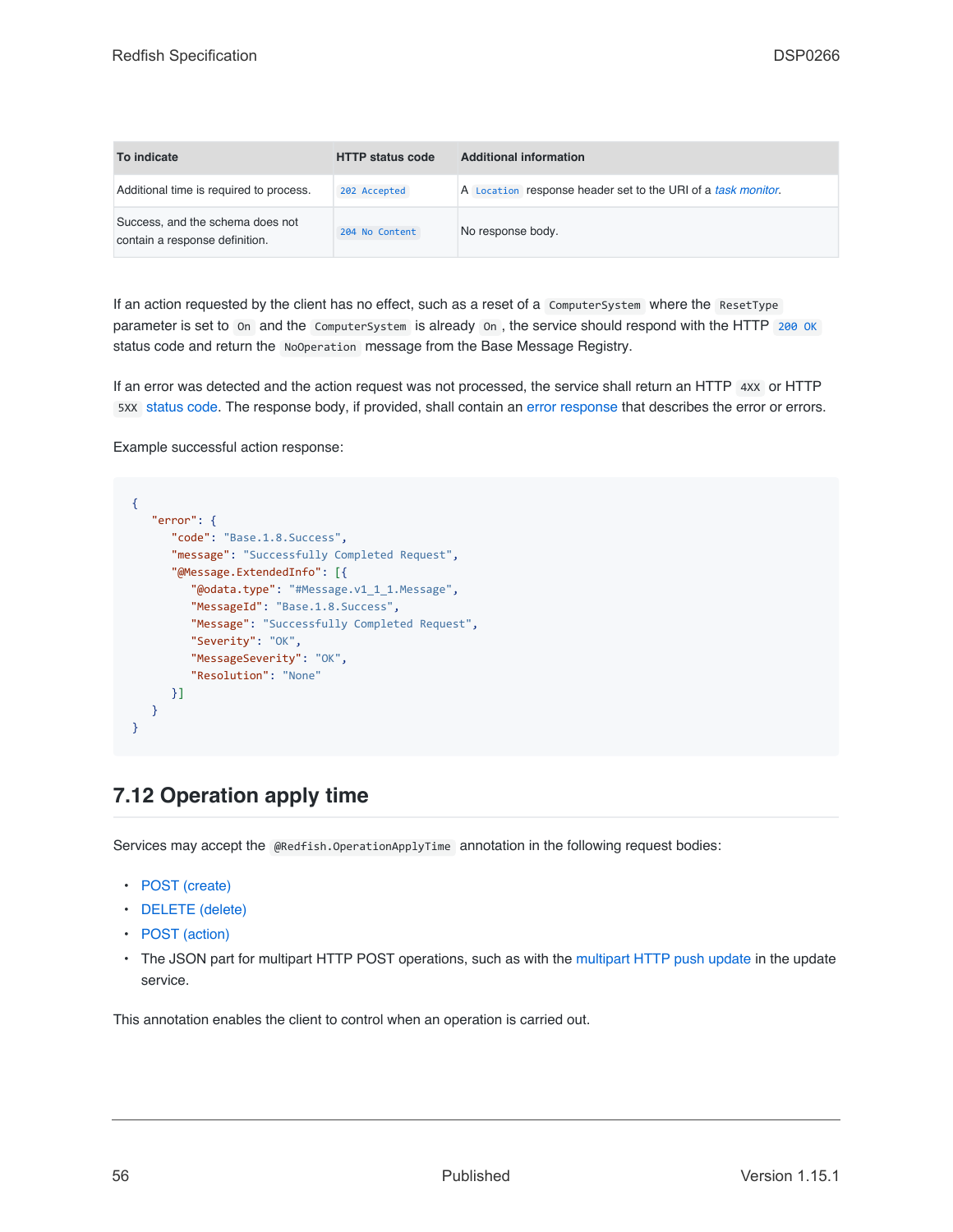| To indicate                                                        | <b>HTTP status code</b> | <b>Additional information</b>                                |
|--------------------------------------------------------------------|-------------------------|--------------------------------------------------------------|
| Additional time is required to process.                            | 202 Accepted            | A Location response header set to the URI of a task monitor. |
| Success, and the schema does not<br>contain a response definition. | 204 No Content          | No response body.                                            |

If an action requested by the client has no effect, such as a reset of a ComputerSystem where the ResetType parameter is set to on and the ComputerSystem is already on, the service should respond with the HTTP [200 OK](#page-66-3) status code and return the NoOperation message from the Base Message Registry.

If an error was detected and the action request was not processed, the service shall return an HTTP 4xx or HTTP 5XX [status code](#page-65-0). The response body, if provided, shall contain an [error response](#page-71-0) that describes the error or errors.

Example successful action response:

```
{
   "error": {
     "code": "Base.1.8.Success",
     "message": "Successfully Completed Request",
      "@Message.ExtendedInfo": [{
         "@odata.type": "#Message.v1_1_1.Message",
         "MessageId": "Base.1.8.Success",
         "Message": "Successfully Completed Request",
         "Severity": "OK",
         "MessageSeverity": "OK",
         "Resolution": "None"
     }]
  }
}
```
## <span id="page-55-0"></span>**7.12 Operation apply time**

Services may accept the @Redfish.OperationApplyTime annotation in the following request bodies:

- [POST \(create\)](#page-52-0)
- [DELETE \(delete\)](#page-53-0)
- [POST \(action\)](#page-53-1)
- The JSON part for multipart HTTP POST operations, such as with the [multipart HTTP push update](#page-154-0) in the update service.

This annotation enables the client to control when an operation is carried out.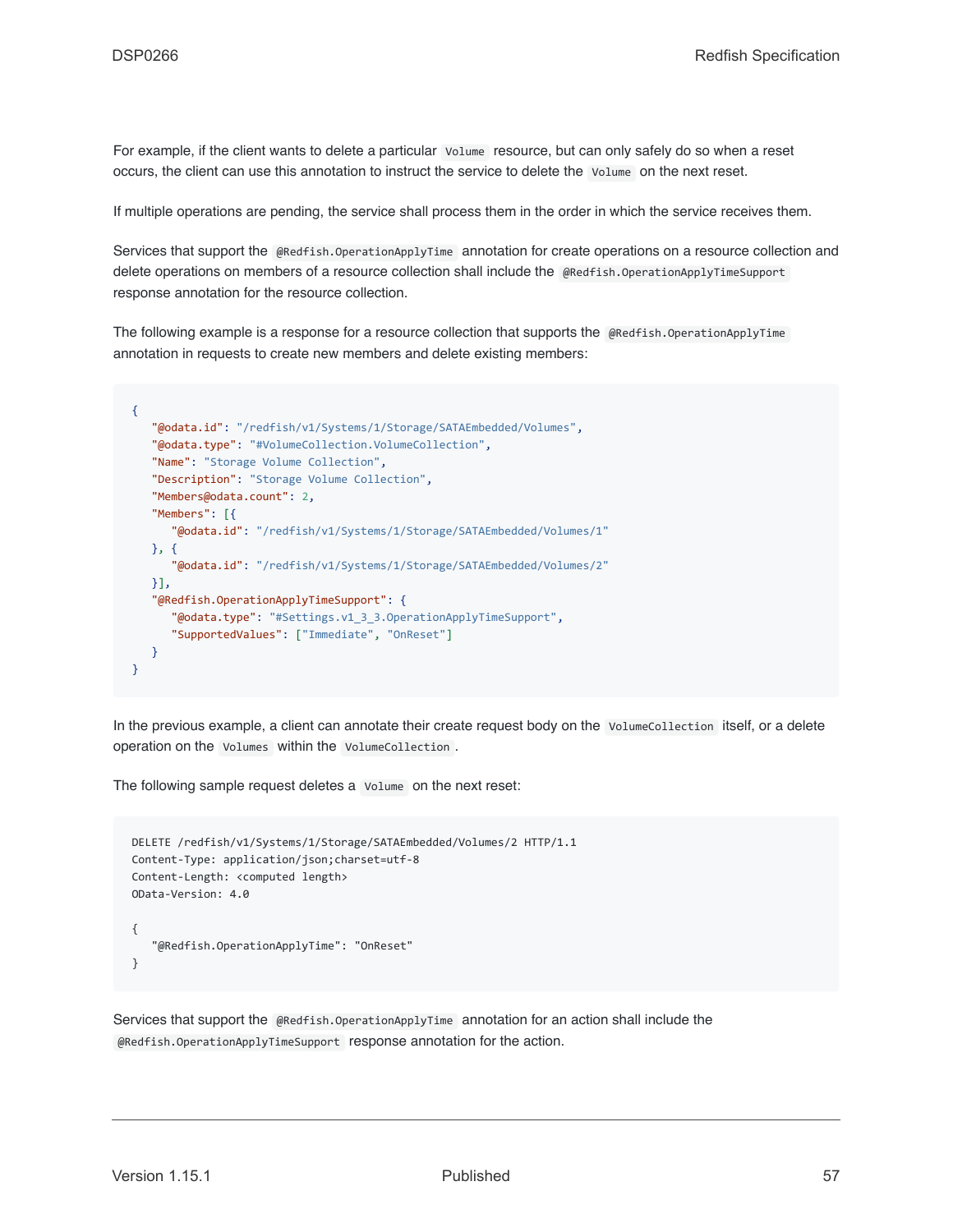For example, if the client wants to delete a particular Volume resource, but can only safely do so when a reset occurs, the client can use this annotation to instruct the service to delete the Volume on the next reset.

If multiple operations are pending, the service shall process them in the order in which the service receives them.

Services that support the @Redfish.OperationApplyTime annotation for create operations on a resource collection and delete operations on members of a resource collection shall include the @Redfish.OperationApplyTimeSupport response annotation for the resource collection.

The following example is a response for a resource collection that supports the @Redfish.OperationApplyTime annotation in requests to create new members and delete existing members:

```
{
   "@odata.id": "/redfish/v1/Systems/1/Storage/SATAEmbedded/Volumes",
   "@odata.type": "#VolumeCollection.VolumeCollection",
   "Name": "Storage Volume Collection",
   "Description": "Storage Volume Collection",
   "Members@odata.count": 2,
   "Members": [{
      "@odata.id": "/redfish/v1/Systems/1/Storage/SATAEmbedded/Volumes/1"
   }, {
      "@odata.id": "/redfish/v1/Systems/1/Storage/SATAEmbedded/Volumes/2"
   }],
   "@Redfish.OperationApplyTimeSupport": {
      "@odata.type": "#Settings.v1_3_3.OperationApplyTimeSupport",
      "SupportedValues": ["Immediate", "OnReset"]
   }
}
```
In the previous example, a client can annotate their create request body on the VolumeCollection itself, or a delete operation on the Volumes within the VolumeCollection .

The following sample request deletes a Volume on the next reset:

```
DELETE /redfish/v1/Systems/1/Storage/SATAEmbedded/Volumes/2 HTTP/1.1
Content-Type: application/json;charset=utf-8
Content-Length: <computed length>
OData-Version: 4.0
{
   "@Redfish.OperationApplyTime": "OnReset"
}
```
Services that support the @Redfish.OperationApplyTime annotation for an action shall include the @Redfish.OperationApplyTimeSupport response annotation for the action.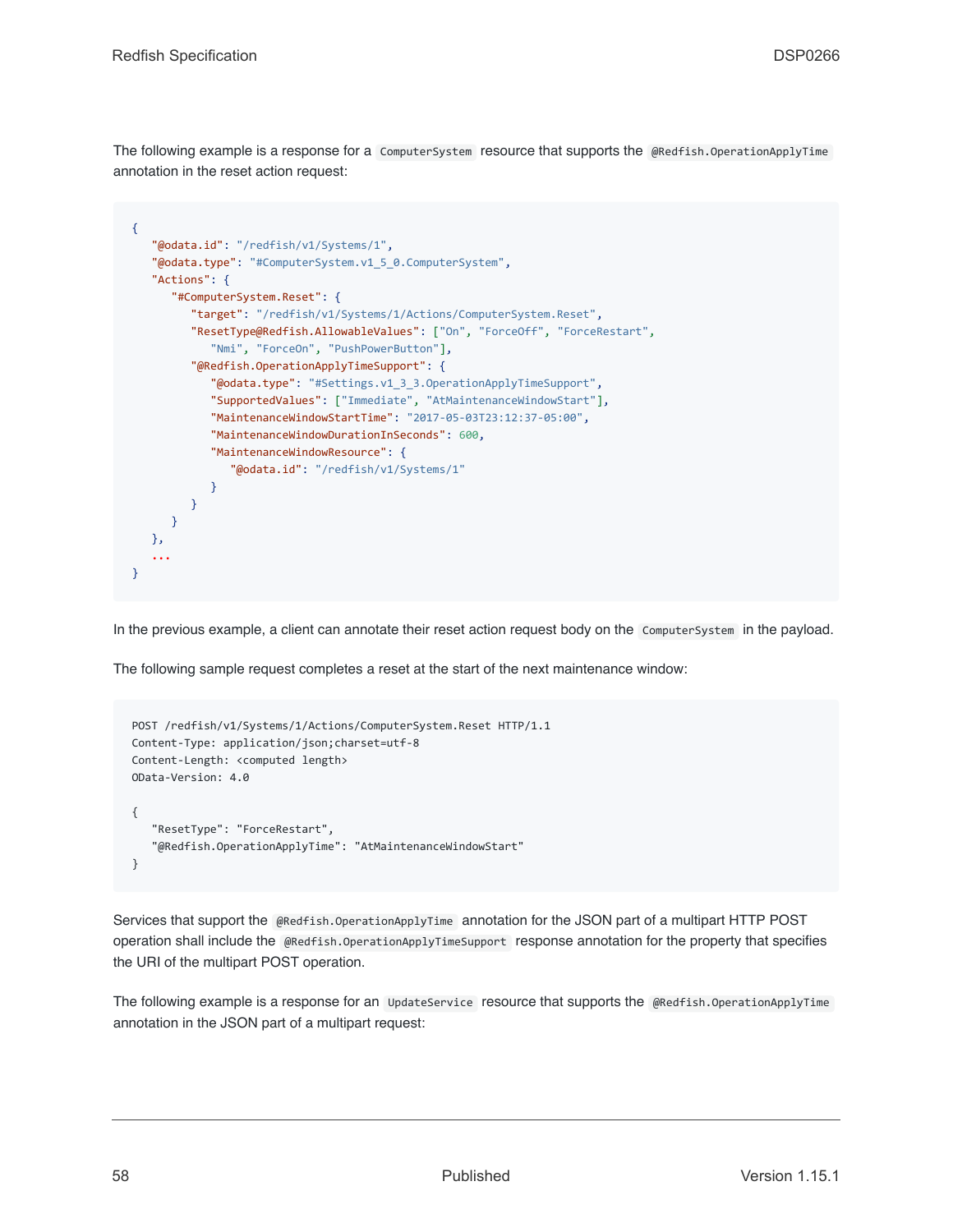The following example is a response for a ComputerSystem resource that supports the @Redfish.OperationApplyTime annotation in the reset action request:

```
{
   "@odata.id": "/redfish/v1/Systems/1",
   "@odata.type": "#ComputerSystem.v1_5_0.ComputerSystem",
   "Actions": {
      "#ComputerSystem.Reset": {
         "target": "/redfish/v1/Systems/1/Actions/ComputerSystem.Reset",
         "ResetType@Redfish.AllowableValues": ["On", "ForceOff", "ForceRestart",
            "Nmi", "ForceOn", "PushPowerButton"],
         "@Redfish.OperationApplyTimeSupport": {
            "@odata.type": "#Settings.v1_3_3.OperationApplyTimeSupport",
            "SupportedValues": ["Immediate", "AtMaintenanceWindowStart"],
            "MaintenanceWindowStartTime": "2017-05-03T23:12:37-05:00",
            "MaintenanceWindowDurationInSeconds": 600,
            "MaintenanceWindowResource": {
               "@odata.id": "/redfish/v1/Systems/1"
            }
        }
      }
   },
   ...
}
```
In the previous example, a client can annotate their reset action request body on the ComputerSystem in the payload.

The following sample request completes a reset at the start of the next maintenance window:

```
POST /redfish/v1/Systems/1/Actions/ComputerSystem.Reset HTTP/1.1
Content-Type: application/json;charset=utf-8
Content-Length: <computed length>
OData-Version: 4.0
{
   "ResetType": "ForceRestart",
   "@Redfish.OperationApplyTime": "AtMaintenanceWindowStart"
}
```
Services that support the @Redfish.OperationApplyTime annotation for the JSON part of a multipart HTTP POST operation shall include the @Redfish.OperationApplyTimeSupport response annotation for the property that specifies the URI of the multipart POST operation.

The following example is a response for an UpdateService resource that supports the @Redfish.OperationApplyTime annotation in the JSON part of a multipart request: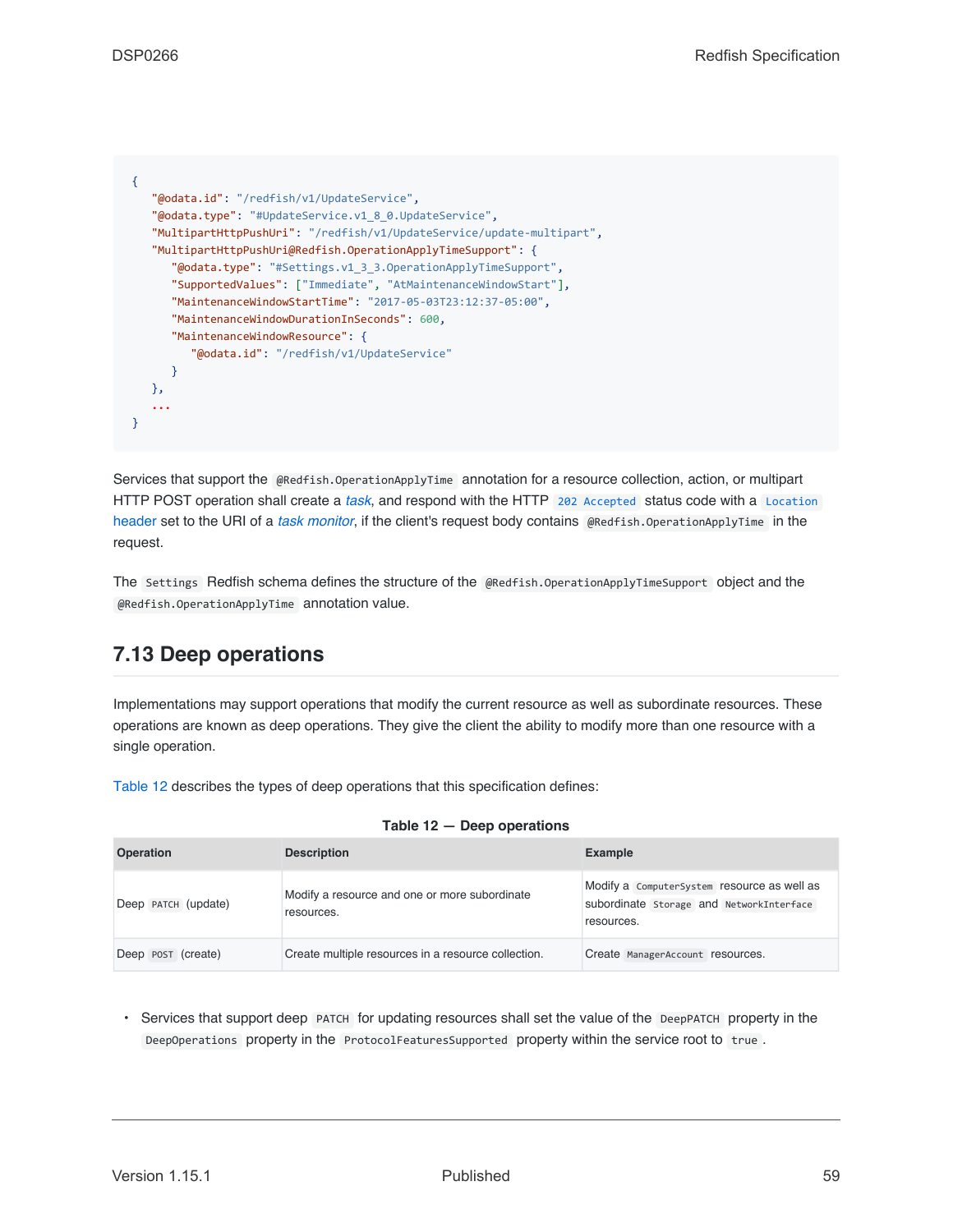| "@odata.id": "/redfish/v1/UpdateService",                             |  |
|-----------------------------------------------------------------------|--|
| "@odata.type": "#UpdateService.v1 8 0.UpdateService",                 |  |
| "MultipartHttpPushUri": "/redfish/v1/UpdateService/update-multipart", |  |
| "MultipartHttpPushUri@Redfish.OperationApplyTimeSupport": {           |  |
| "@odata.type": "#Settings.v1 3 3.OperationApplyTimeSupport",          |  |
| "SupportedValues": ["Immediate", "AtMaintenanceWindowStart"],         |  |
| "MaintenanceWindowStartTime": "2017-05-03T23:12:37-05:00",            |  |
| "MaintenanceWindowDurationInSeconds": 600,                            |  |
| "MaintenanceWindowResource": {                                        |  |
| "@odata.id": "/redfish/v1/UpdateService"                              |  |
|                                                                       |  |
| },                                                                    |  |
|                                                                       |  |
|                                                                       |  |

Services that support the @Redfish.OperationApplyTime annotation for a resource collection, action, or multipart HTTP POST operation shall create a *[task](#page-20-1)*, and respond with the HTTP [202 Accepted](#page-66-1) status code with a [Location](#page-64-0) [header](#page-64-0) set to the URI of a *[task monitor](#page-20-0)*, if the client's request body contains @Redfish.OperationApplyTime in the request.

The Settings Redfish schema defines the structure of the @Redfish.OperationApplyTimeSupport object and the @Redfish.OperationApplyTime annotation value.

### <span id="page-58-0"></span>**7.13 Deep operations**

Implementations may support operations that modify the current resource as well as subordinate resources. These operations are known as deep operations. They give the client the ability to modify more than one resource with a single operation.

[Table 12](#page-58-1) describes the types of deep operations that this specification defines:

<span id="page-58-1"></span>

| <b>Operation</b>    | <b>Description</b>                                          | <b>Example</b>                                                                                        |
|---------------------|-------------------------------------------------------------|-------------------------------------------------------------------------------------------------------|
| Deep PATCH (update) | Modify a resource and one or more subordinate<br>resources. | Modify a ComputerSystem resource as well as<br>subordinate Storage and NetworkInterface<br>resources. |
| Deep POST (create)  | Create multiple resources in a resource collection.         | Create ManagerAccount resources.                                                                      |

|  | Table 12 - Deep operations |
|--|----------------------------|
|--|----------------------------|

• Services that support deep PATCH for updating resources shall set the value of the DeepPATCH property in the DeepOperations property in the ProtocolFeaturesSupported property within the service root to true.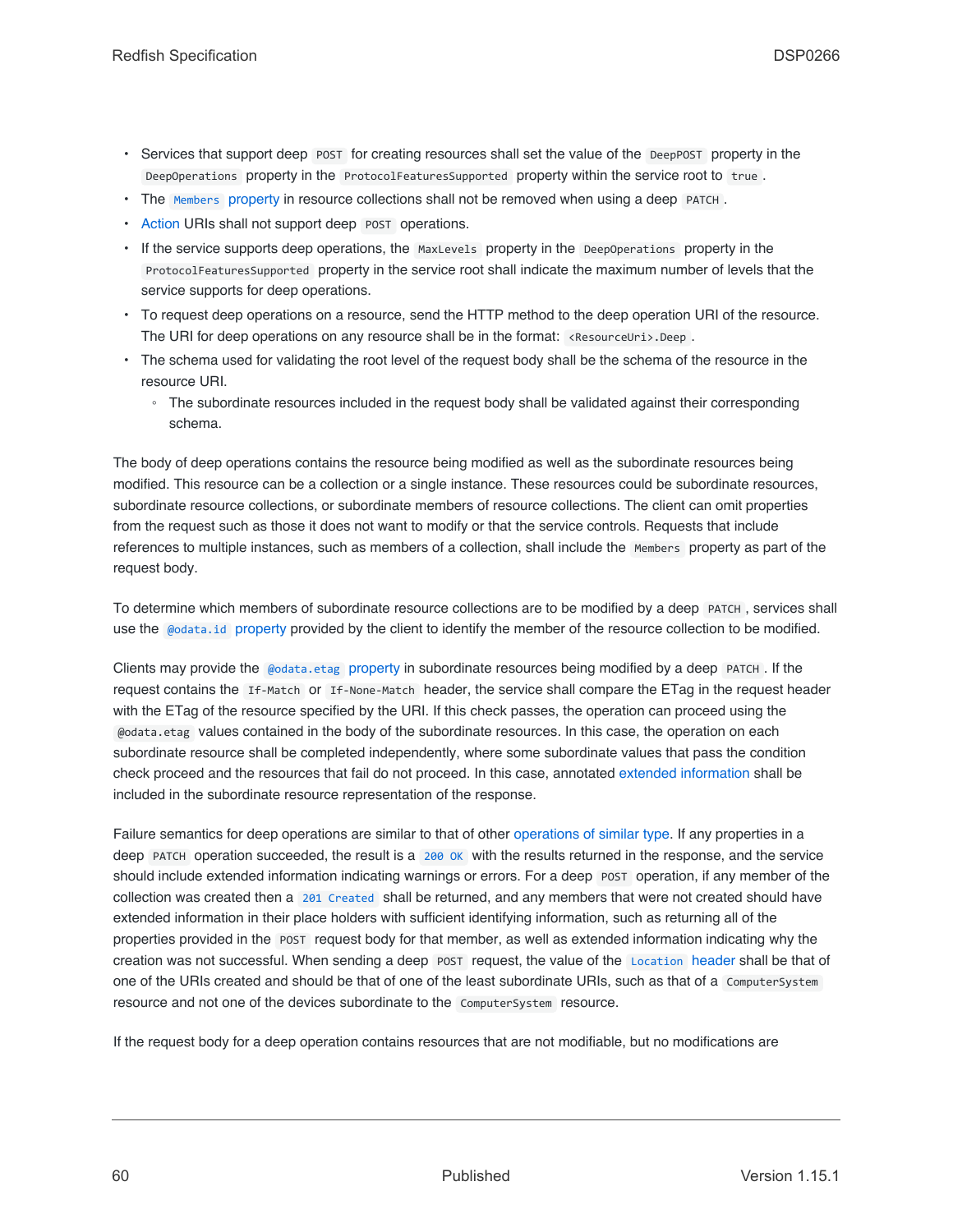- Services that support deep POST for creating resources shall set the value of the DeepPOST property in the DeepOperations property in the ProtocolFeaturesSupported property within the service root to true .
- The [Members](#page-84-3) [property](#page-84-3) in resource collections shall not be removed when using a deep PATCH.
- [Action](#page-53-1) URIs shall not support deep POST operations.
- If the service supports deep operations, the MaxLevels property in the DeepOperations property in the ProtocolFeaturesSupported property in the service root shall indicate the maximum number of levels that the service supports for deep operations.
- To request deep operations on a resource, send the HTTP method to the deep operation URI of the resource. The URI for deep operations on any resource shall be in the format:  $\kappa$  esourceUri>.Deep.
- The schema used for validating the root level of the request body shall be the schema of the resource in the resource URI.
	- The subordinate resources included in the request body shall be validated against their corresponding schema.

The body of deep operations contains the resource being modified as well as the subordinate resources being modified. This resource can be a collection or a single instance. These resources could be subordinate resources, subordinate resource collections, or subordinate members of resource collections. The client can omit properties from the request such as those it does not want to modify or that the service controls. Requests that include references to multiple instances, such as members of a collection, shall include the Members property as part of the request body.

To determine which members of subordinate resource collections are to be modified by a deep PATCH , services shall use the [@odata.id](#page-82-0) [property](#page-82-0) provided by the client to identify the member of the resource collection to be modified.

Clients may provide the [@odata.etag](#page-82-2) property in subordinate resources being modified by a deep PATCH. If the request contains the If-Match or If-None-Match header, the service shall compare the ETag in the request header with the ETag of the resource specified by the URI. If this check passes, the operation can proceed using the @odata.etag values contained in the body of the subordinate resources. In this case, the operation on each subordinate resource shall be completed independently, where some subordinate values that pass the condition check proceed and the resources that fail do not proceed. In this case, annotated [extended information](#page-94-0) shall be included in the subordinate resource representation of the response.

Failure semantics for deep operations are similar to that of other [operations of similar type](#page-49-1). If any properties in a deep PATCH operation succeeded, the result is a [200 OK](#page-66-3) with the results returned in the response, and the service should include extended information indicating warnings or errors. For a deep POST operation, if any member of the collection was created then a [201 Created](#page-66-0) shall be returned, and any members that were not created should have extended information in their place holders with sufficient identifying information, such as returning all of the properties provided in the POST request body for that member, as well as extended information indicating why the creation was not successful. When sending a deep POST request, the value of the [Location](#page-64-0) header shall be that of one of the URIs created and should be that of one of the least subordinate URIs, such as that of a ComputerSystem resource and not one of the devices subordinate to the ComputerSystem resource.

If the request body for a deep operation contains resources that are not modifiable, but no modifications are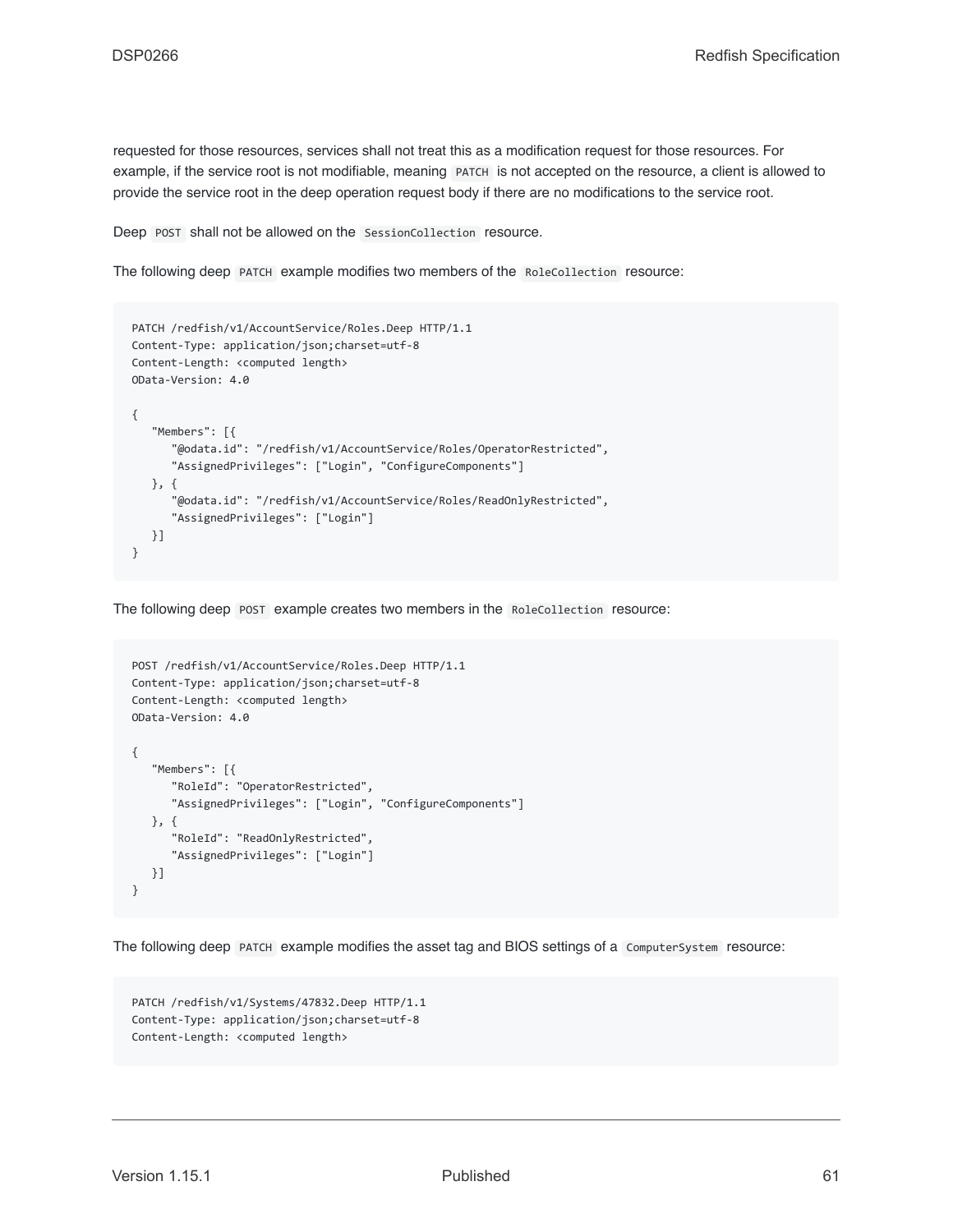requested for those resources, services shall not treat this as a modification request for those resources. For example, if the service root is not modifiable, meaning PATCH is not accepted on the resource, a client is allowed to provide the service root in the deep operation request body if there are no modifications to the service root.

Deep POST shall not be allowed on the SessionCollection resource.

The following deep PATCH example modifies two members of the RoleCollection resource:

```
PATCH /redfish/v1/AccountService/Roles.Deep HTTP/1.1
Content-Type: application/json;charset=utf-8
Content-Length: <computed length>
OData-Version: 4.0
{
   "Members": [{
      "@odata.id": "/redfish/v1/AccountService/Roles/OperatorRestricted",
      "AssignedPrivileges": ["Login", "ConfigureComponents"]
   }, {
      "@odata.id": "/redfish/v1/AccountService/Roles/ReadOnlyRestricted",
      "AssignedPrivileges": ["Login"]
   }]
}
```
The following deep POST example creates two members in the RoleCollection resource:

```
POST /redfish/v1/AccountService/Roles.Deep HTTP/1.1
Content-Type: application/json;charset=utf-8
Content-Length: <computed length>
OData-Version: 4.0
{
   "Members": [{
      "RoleId": "OperatorRestricted",
      "AssignedPrivileges": ["Login", "ConfigureComponents"]
   }, {
      "RoleId": "ReadOnlyRestricted",
      "AssignedPrivileges": ["Login"]
   }]
}
```
The following deep PATCH example modifies the asset tag and BIOS settings of a ComputerSystem resource:

```
PATCH /redfish/v1/Systems/47832.Deep HTTP/1.1
Content-Type: application/json;charset=utf-8
Content-Length: <computed length>
```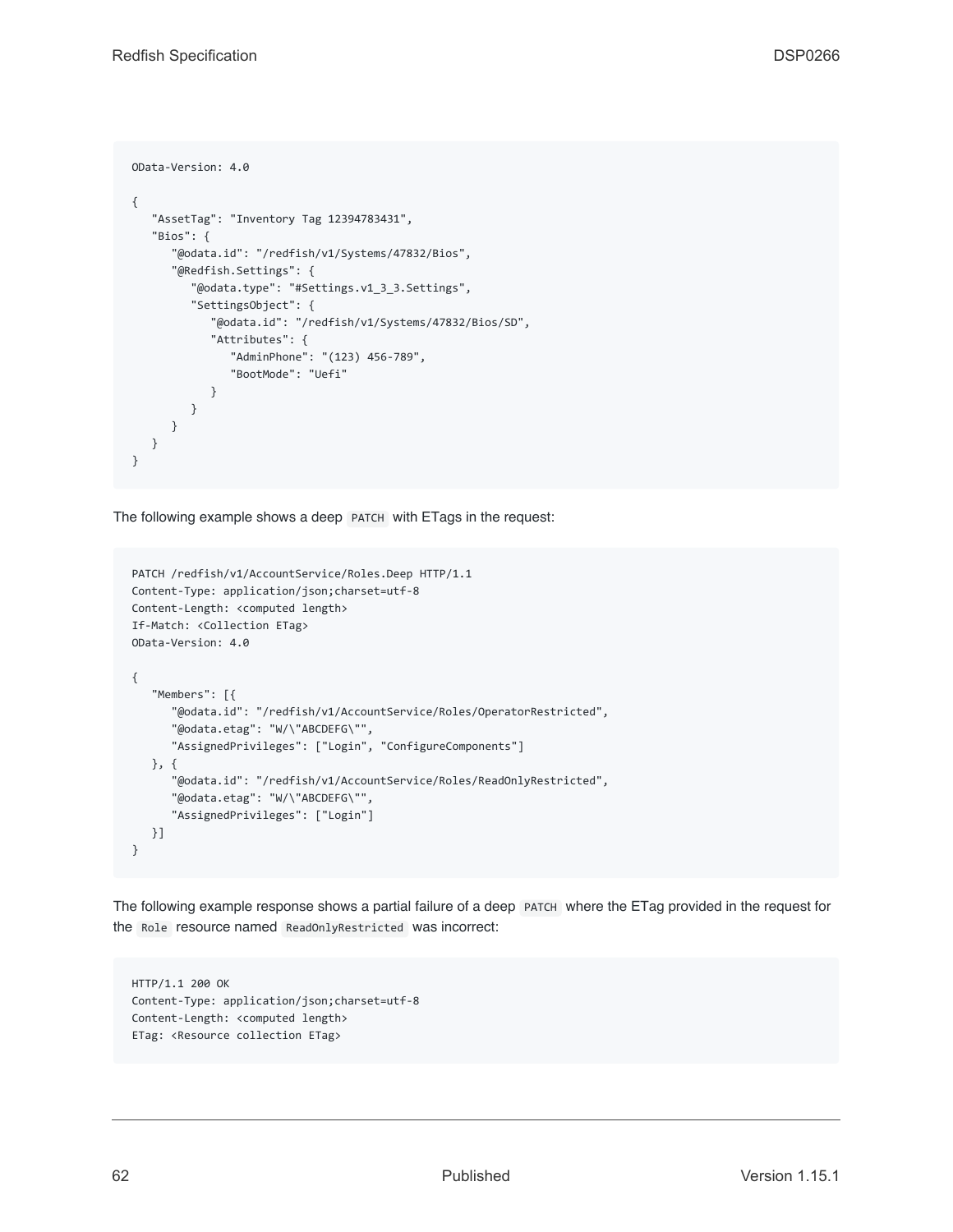```
OData-Version: 4.0
{
   "AssetTag": "Inventory Tag 12394783431",
   "Bios": {
      "@odata.id": "/redfish/v1/Systems/47832/Bios",
      "@Redfish.Settings": {
         "@odata.type": "#Settings.v1_3_3.Settings",
         "SettingsObject": {
            "@odata.id": "/redfish/v1/Systems/47832/Bios/SD",
            "Attributes": {
               "AdminPhone": "(123) 456-789",
               "BootMode": "Uefi"
            }
         }
      }
  }
}
```
The following example shows a deep PATCH with ETags in the request:

```
PATCH /redfish/v1/AccountService/Roles.Deep HTTP/1.1
Content-Type: application/json;charset=utf-8
Content-Length: <computed length>
If-Match: <Collection ETag>
OData-Version: 4.0
{
   "Members": [{
      "@odata.id": "/redfish/v1/AccountService/Roles/OperatorRestricted",
      "@odata.etag": "W/\"ABCDEFG\"",
      "AssignedPrivileges": ["Login", "ConfigureComponents"]
  }, {
      "@odata.id": "/redfish/v1/AccountService/Roles/ReadOnlyRestricted",
      "@odata.etag": "W/\"ABCDEFG\"",
      "AssignedPrivileges": ["Login"]
  }]
}
```
The following example response shows a partial failure of a deep PATCH where the ETag provided in the request for the Role resource named ReadOnlyRestricted was incorrect:

HTTP/1.1 200 OK Content-Type: application/json;charset=utf-8 Content-Length: <computed length> ETag: <Resource collection ETag>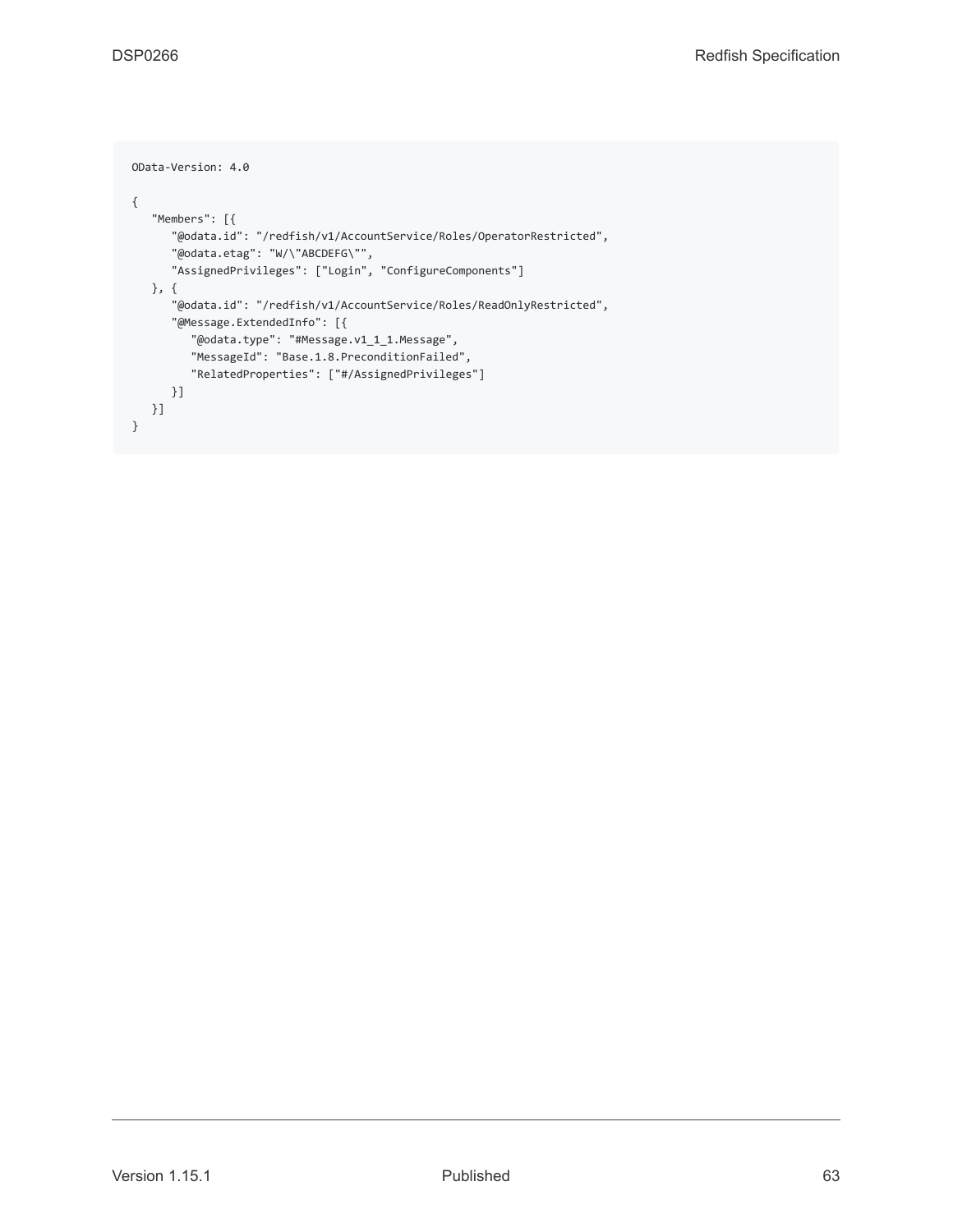```
OData-Version: 4.0
{
   "Members": [{
      "@odata.id": "/redfish/v1/AccountService/Roles/OperatorRestricted",
      "@odata.etag": "W/\"ABCDEFG\"",
      "AssignedPrivileges": ["Login", "ConfigureComponents"]
  }, {
      "@odata.id": "/redfish/v1/AccountService/Roles/ReadOnlyRestricted",
      "@Message.ExtendedInfo": [{
        "@odata.type": "#Message.v1_1_1.Message",
        "MessageId": "Base.1.8.PreconditionFailed",
        "RelatedProperties": ["#/AssignedPrivileges"]
     }]
  }]
}
```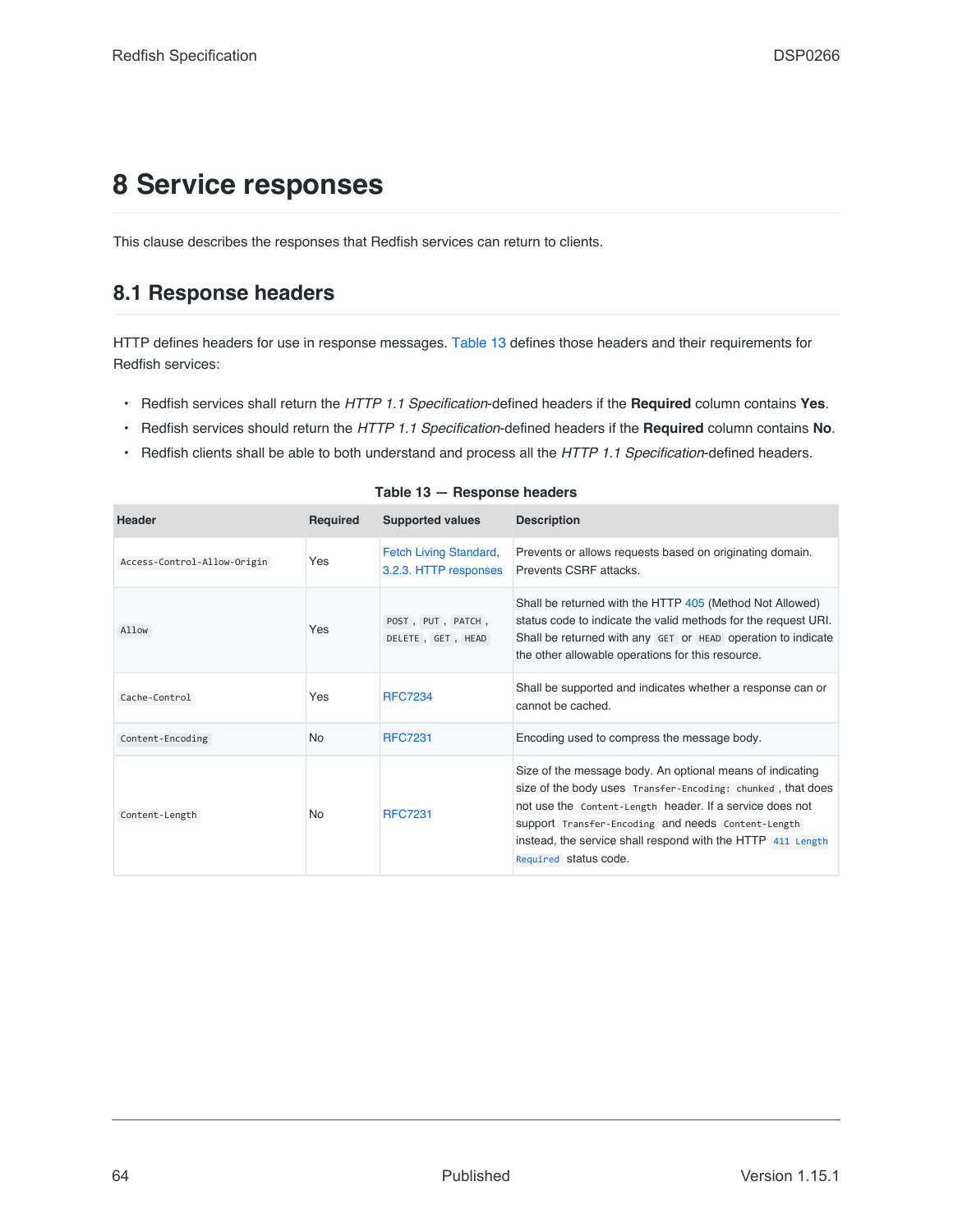# **8 Service responses**

This clause describes the responses that Redfish services can return to clients.

### **8.1 Response headers**

HTTP defines headers for use in response messages. [Table 13](#page-63-0) defines those headers and their requirements for Redfish services:

- Redfish services shall return the *HTTP 1.1 Specification*-defined headers if the **Required** column contains **Yes**.
- Redfish services should return the *HTTP 1.1 Specification*-defined headers if the **Required** column contains **No**.
- Redfish clients shall be able to both understand and process all the *HTTP 1.1 Specification*-defined headers.

<span id="page-63-0"></span>

| Header                      | Required  | <b>Supported values</b>                         | <b>Description</b>                                                                                                                                                                                                                                                                                                                 |
|-----------------------------|-----------|-------------------------------------------------|------------------------------------------------------------------------------------------------------------------------------------------------------------------------------------------------------------------------------------------------------------------------------------------------------------------------------------|
| Access-Control-Allow-Origin | Yes       | Fetch Living Standard,<br>3.2.3. HTTP responses | Prevents or allows requests based on originating domain.<br>Prevents CSRF attacks.                                                                                                                                                                                                                                                 |
| Allow                       | Yes       | POST, PUT, PATCH,<br>DELETE, GET, HEAD          | Shall be returned with the HTTP 405 (Method Not Allowed)<br>status code to indicate the valid methods for the request URI.<br>Shall be returned with any GET or HEAD operation to indicate<br>the other allowable operations for this resource.                                                                                    |
| Cache-Control               | Yes       | <b>RFC7234</b>                                  | Shall be supported and indicates whether a response can or<br>cannot be cached.                                                                                                                                                                                                                                                    |
| Content-Encoding            | <b>No</b> | <b>RFC7231</b>                                  | Encoding used to compress the message body.                                                                                                                                                                                                                                                                                        |
| Content-Length              | No        | <b>RFC7231</b>                                  | Size of the message body. An optional means of indicating<br>size of the body uses Transfer-Encoding: chunked, that does<br>not use the Content-Length header. If a service does not<br>support Transfer-Encoding and needs Content-Length<br>instead, the service shall respond with the HTTP 411 Length<br>Required status code. |

| Table 13 - Response headers |  |  |
|-----------------------------|--|--|
|-----------------------------|--|--|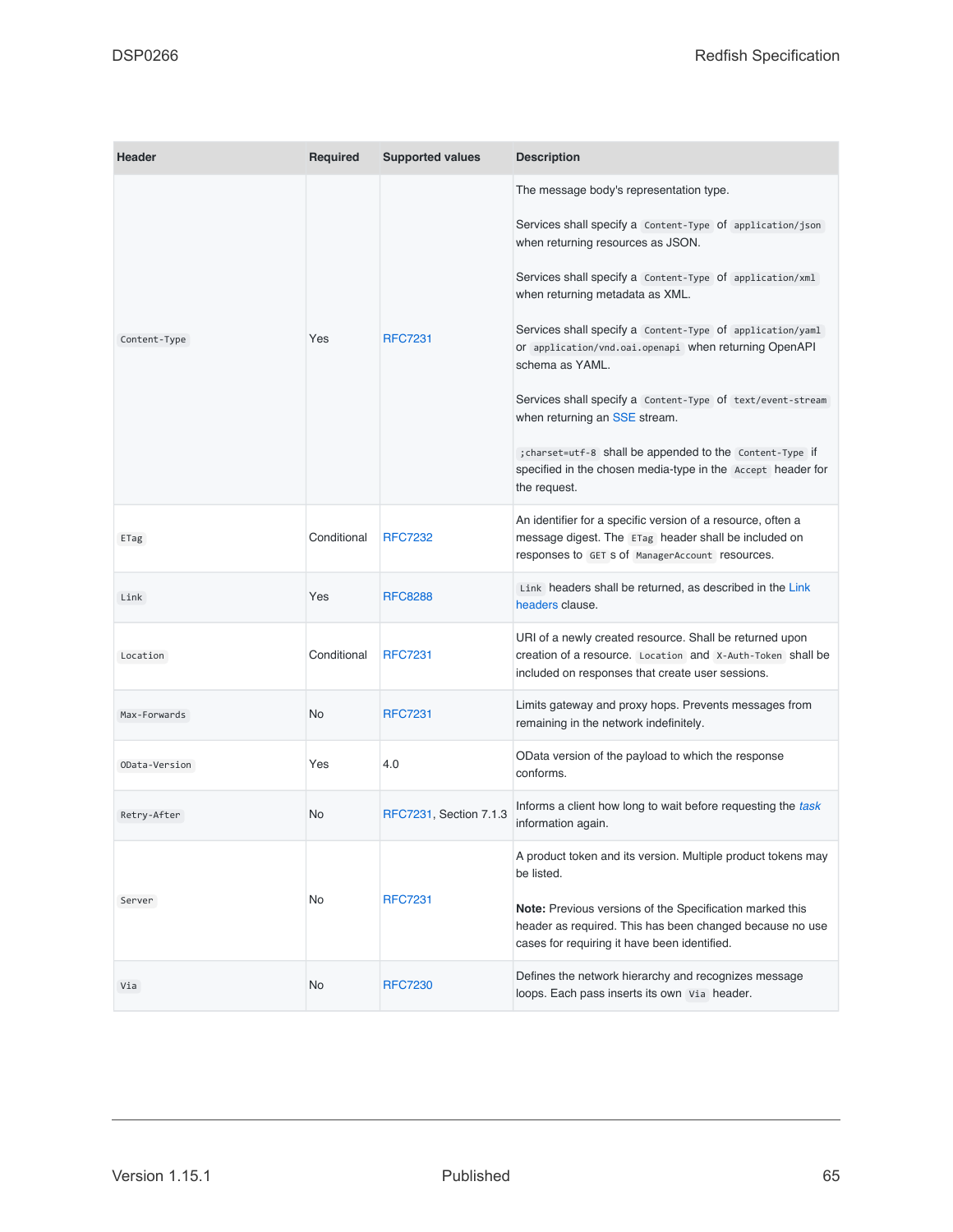<span id="page-64-1"></span><span id="page-64-0"></span>

| <b>Header</b> | <b>Required</b> | <b>Supported values</b> | <b>Description</b>                                                                                                                                                                                                                                                                                                                                                                                                                                                                                                                                                                                                          |
|---------------|-----------------|-------------------------|-----------------------------------------------------------------------------------------------------------------------------------------------------------------------------------------------------------------------------------------------------------------------------------------------------------------------------------------------------------------------------------------------------------------------------------------------------------------------------------------------------------------------------------------------------------------------------------------------------------------------------|
| Content-Type  | Yes             | <b>RFC7231</b>          | The message body's representation type.<br>Services shall specify a Content-Type of application/json<br>when returning resources as JSON.<br>Services shall specify a Content-Type Of application/xml<br>when returning metadata as XML.<br>Services shall specify a Content-Type of application/yaml<br>Of application/vnd.oai.openapi when returning OpenAPI<br>schema as YAML.<br>Services shall specify a Content-Type of text/event-stream<br>when returning an SSE stream.<br>; charset=utf-8 shall be appended to the Content-Type if<br>specified in the chosen media-type in the Accept header for<br>the request. |
| ETag          | Conditional     | <b>RFC7232</b>          | An identifier for a specific version of a resource, often a<br>message digest. The ETag header shall be included on<br>responses to GET S of ManagerAccount resources.                                                                                                                                                                                                                                                                                                                                                                                                                                                      |
| Link          | Yes             | <b>RFC8288</b>          | Link headers shall be returned, as described in the Link<br>headers clause.                                                                                                                                                                                                                                                                                                                                                                                                                                                                                                                                                 |
| Location      | Conditional     | <b>RFC7231</b>          | URI of a newly created resource. Shall be returned upon<br>creation of a resource. Location and X-Auth-Token shall be<br>included on responses that create user sessions.                                                                                                                                                                                                                                                                                                                                                                                                                                                   |
| Max-Forwards  | <b>No</b>       | <b>RFC7231</b>          | Limits gateway and proxy hops. Prevents messages from<br>remaining in the network indefinitely.                                                                                                                                                                                                                                                                                                                                                                                                                                                                                                                             |
| OData-Version | Yes             | 4.0                     | OData version of the payload to which the response<br>conforms.                                                                                                                                                                                                                                                                                                                                                                                                                                                                                                                                                             |
| Retry-After   | No              | RFC7231, Section 7.1.3  | Informs a client how long to wait before requesting the task<br>information again.                                                                                                                                                                                                                                                                                                                                                                                                                                                                                                                                          |
| Server        | No              | <b>RFC7231</b>          | A product token and its version. Multiple product tokens may<br>be listed.<br>Note: Previous versions of the Specification marked this<br>header as required. This has been changed because no use<br>cases for requiring it have been identified.                                                                                                                                                                                                                                                                                                                                                                          |
| Via           | No              | <b>RFC7230</b>          | Defines the network hierarchy and recognizes message<br>loops. Each pass inserts its own via header.                                                                                                                                                                                                                                                                                                                                                                                                                                                                                                                        |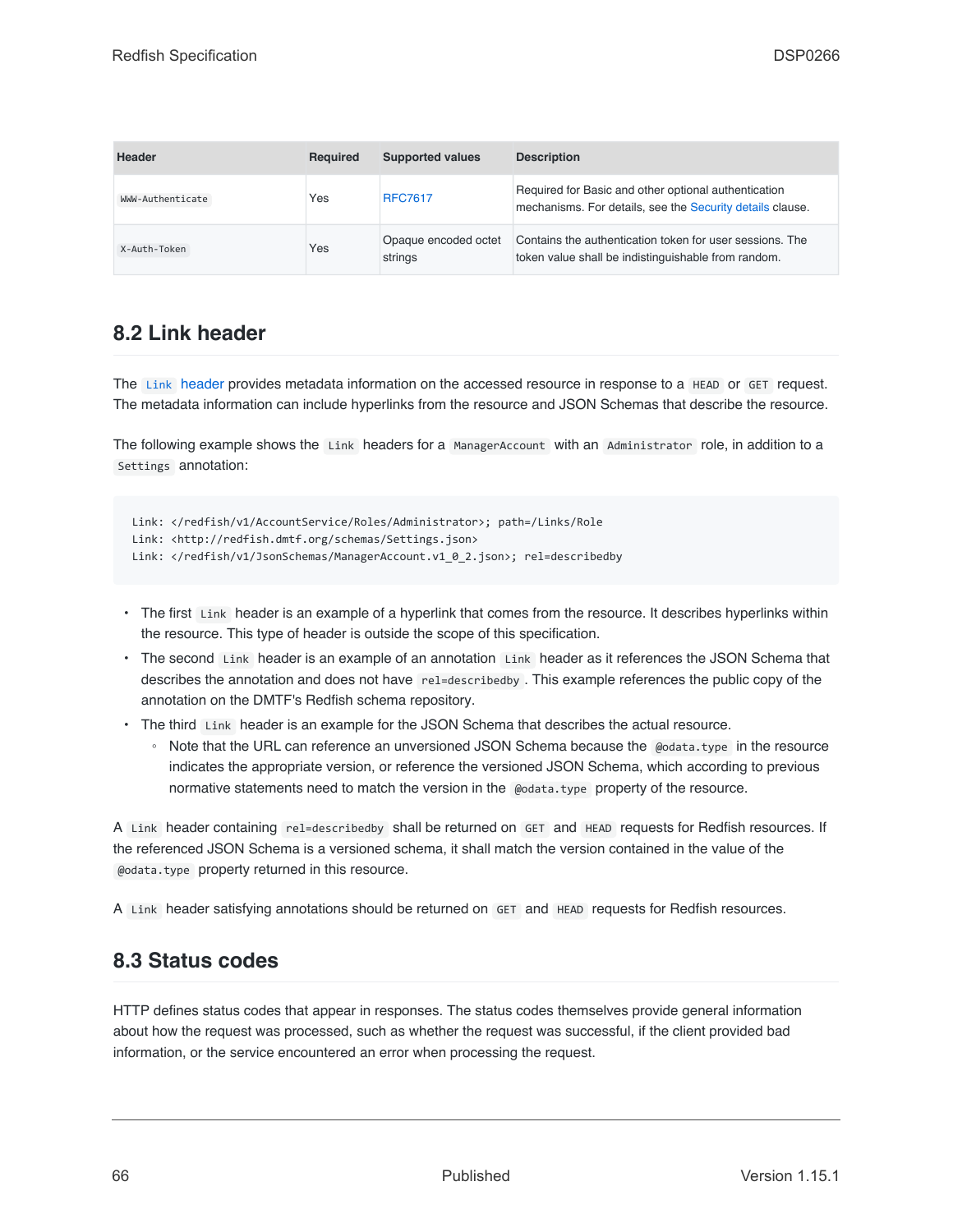| <b>Header</b>    | Required | <b>Supported values</b>         | <b>Description</b>                                                                                                |
|------------------|----------|---------------------------------|-------------------------------------------------------------------------------------------------------------------|
| WWW-Authenticate | Yes      | <b>RFC7617</b>                  | Required for Basic and other optional authentication<br>mechanisms. For details, see the Security details clause. |
| X-Auth-Token     | Yes      | Opaque encoded octet<br>strings | Contains the authentication token for user sessions. The<br>token value shall be indistinguishable from random.   |

### <span id="page-65-1"></span>**8.2 Link header**

The [Link](#page-64-1) [header](#page-64-1) provides metadata information on the accessed resource in response to a HEAD or GET request. The metadata information can include hyperlinks from the resource and JSON Schemas that describe the resource.

The following example shows the Link headers for a ManagerAccount with an Administrator role, in addition to a Settings annotation:

```
Link: </redfish/v1/AccountService/Roles/Administrator>; path=/Links/Role
Link: <http://redfish.dmtf.org/schemas/Settings.json>
Link: </redfish/v1/JsonSchemas/ManagerAccount.v1_0_2.json>; rel=describedby
```
- The first Link header is an example of a hyperlink that comes from the resource. It describes hyperlinks within the resource. This type of header is outside the scope of this specification.
- The second Link header is an example of an annotation Link header as it references the JSON Schema that describes the annotation and does not have rel=describedby . This example references the public copy of the annotation on the DMTF's Redfish schema repository.
- The third Link header is an example for the JSON Schema that describes the actual resource.
	- Note that the URL can reference an unversioned JSON Schema because the @odata.type in the resource indicates the appropriate version, or reference the versioned JSON Schema, which according to previous normative statements need to match the version in the @odata.type property of the resource.

A Link header containing rel=describedby shall be returned on GET and HEAD requests for Redfish resources. If the referenced JSON Schema is a versioned schema, it shall match the version contained in the value of the @odata.type property returned in this resource.

A Link header satisfying annotations should be returned on GET and HEAD requests for Redfish resources.

### <span id="page-65-0"></span>**8.3 Status codes**

HTTP defines status codes that appear in responses. The status codes themselves provide general information about how the request was processed, such as whether the request was successful, if the client provided bad information, or the service encountered an error when processing the request.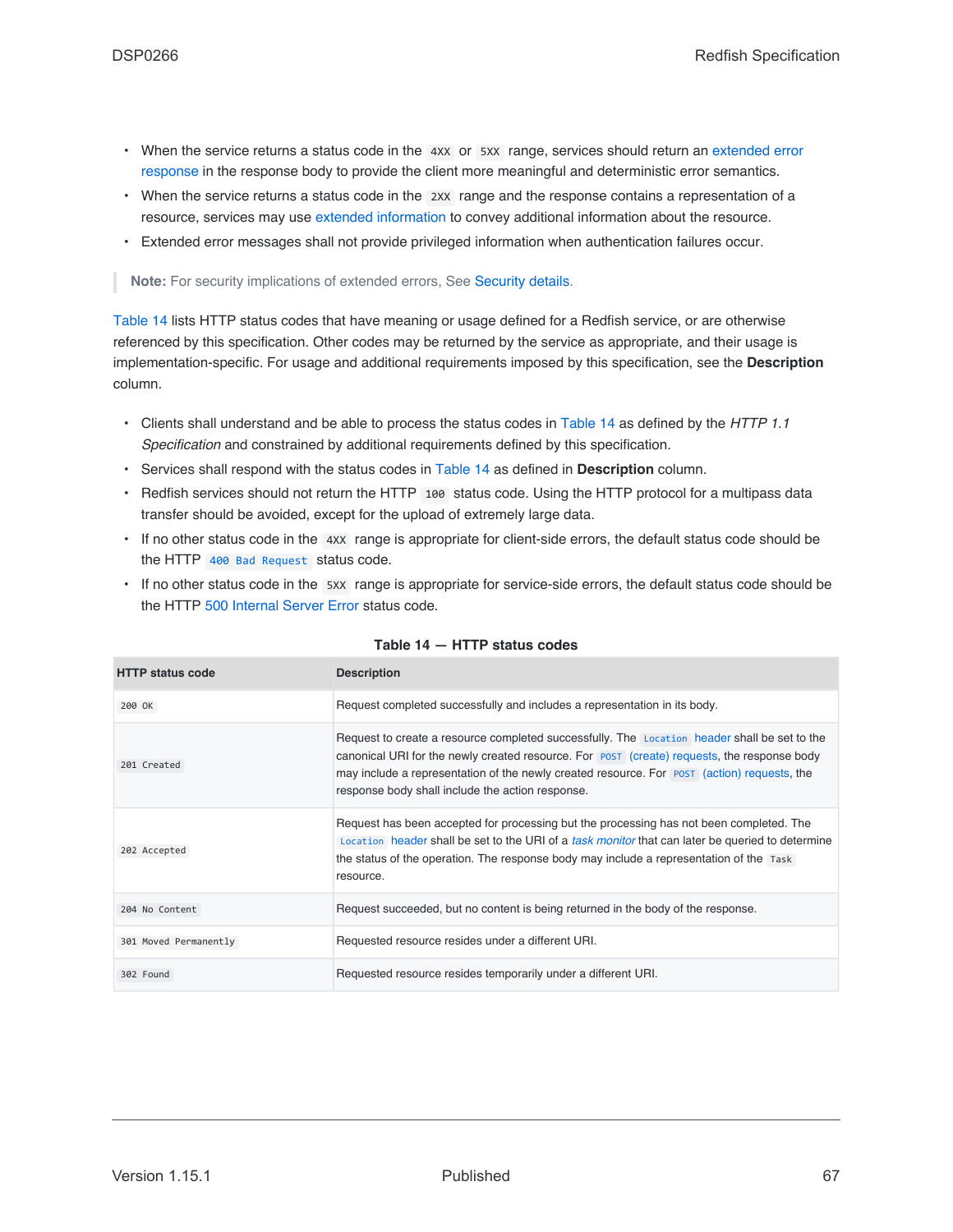- When the service returns a status code in the 4XX or 5XX range, services should return an [extended error](#page-71-0) [response](#page-71-0) in the response body to provide the client more meaningful and deterministic error semantics.
- When the service returns a status code in the 2xx range and the response contains a representation of a resource, services may use [extended information](#page-94-0) to convey additional information about the resource.
- Extended error messages shall not provide privileged information when authentication failures occur.

**Note:** For security implications of extended errors, See [Security details](#page-157-0).

[Table 14](#page-66-4) lists HTTP status codes that have meaning or usage defined for a Redfish service, or are otherwise referenced by this specification. Other codes may be returned by the service as appropriate, and their usage is implementation-specific. For usage and additional requirements imposed by this specification, see the **Description** column.

- Clients shall understand and be able to process the status codes in [Table 14](#page-66-4) as defined by the *HTTP 1.1 Specification* and constrained by additional requirements defined by this specification.
- Services shall respond with the status codes in [Table 14](#page-66-4) as defined in **Description** column.
- Redfish services should not return the HTTP 100 status code. Using the HTTP protocol for a multipass data transfer should be avoided, except for the upload of extremely large data.
- If no other status code in the 4XX range is appropriate for client-side errors, the default status code should be the HTTP [400 Bad Request](#page-67-3) status code.
- If no other status code in the 5XX range is appropriate for service-side errors, the default status code should be the HTTP [500 Internal Server Error](#page-68-3) status code.

<span id="page-66-4"></span><span id="page-66-3"></span><span id="page-66-2"></span><span id="page-66-1"></span><span id="page-66-0"></span>

| <b>HTTP status code</b> | <b>Description</b>                                                                                                                                                                                                                                                                                                                             |
|-------------------------|------------------------------------------------------------------------------------------------------------------------------------------------------------------------------------------------------------------------------------------------------------------------------------------------------------------------------------------------|
| 200 OK                  | Request completed successfully and includes a representation in its body.                                                                                                                                                                                                                                                                      |
| 201 Created             | Request to create a resource completed successfully. The Location header shall be set to the<br>canonical URI for the newly created resource. For post (create) requests, the response body<br>may include a representation of the newly created resource. For post (action) requests, the<br>response body shall include the action response. |
| 202 Accepted            | Request has been accepted for processing but the processing has not been completed. The<br>Location header shall be set to the URI of a task monitor that can later be queried to determine<br>the status of the operation. The response body may include a representation of the Task<br>resource.                                            |
| 204 No Content          | Request succeeded, but no content is being returned in the body of the response.                                                                                                                                                                                                                                                               |
| 301 Moved Permanently   | Requested resource resides under a different URI.                                                                                                                                                                                                                                                                                              |
| 302 Found               | Requested resource resides temporarily under a different URI.                                                                                                                                                                                                                                                                                  |

#### **Table 14 — HTTP status codes**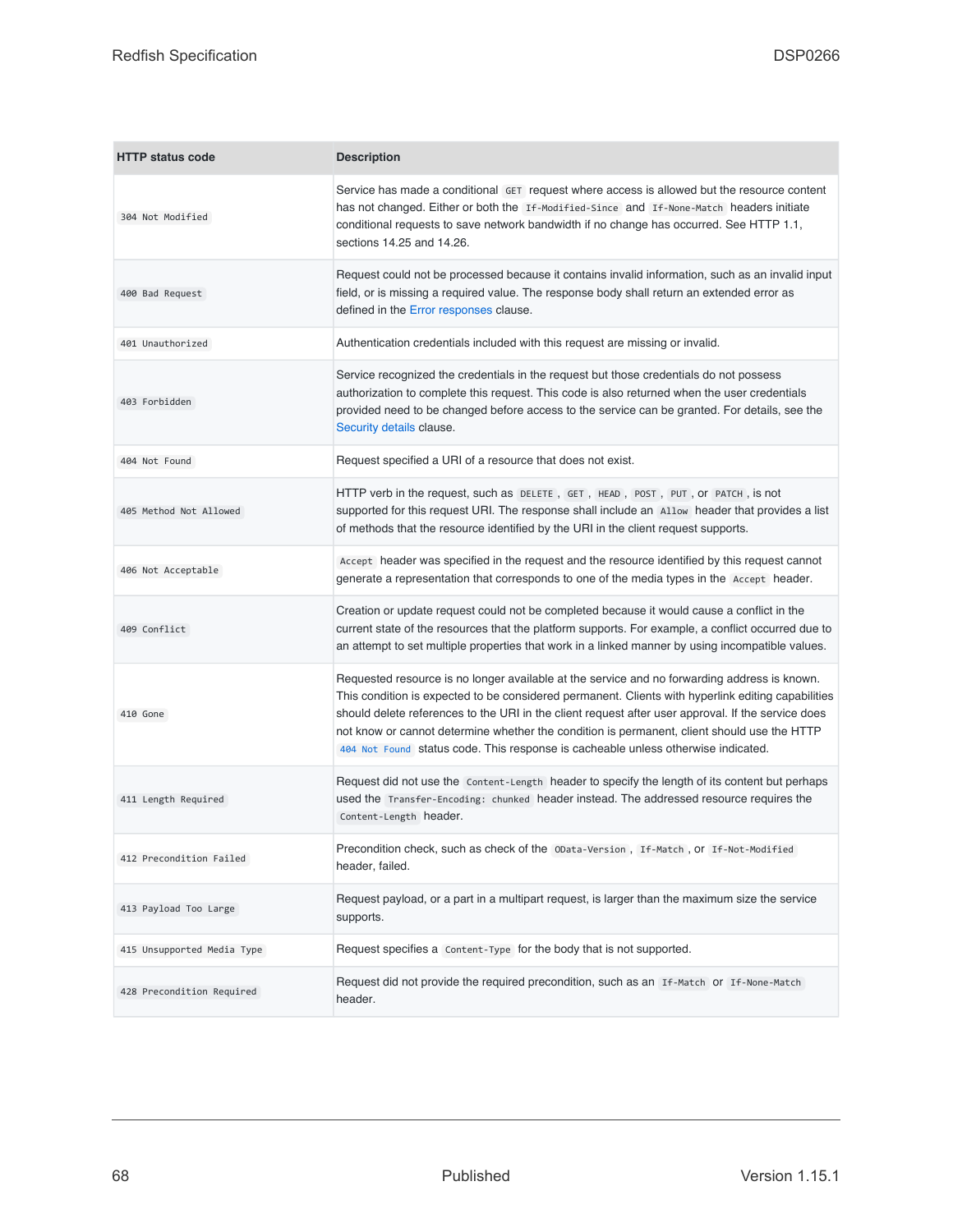<span id="page-67-6"></span><span id="page-67-5"></span><span id="page-67-4"></span><span id="page-67-3"></span><span id="page-67-2"></span><span id="page-67-1"></span><span id="page-67-0"></span>

| <b>HTTP status code</b>    | <b>Description</b>                                                                                                                                                                                                                                                                                                                                                                                                                                                                           |
|----------------------------|----------------------------------------------------------------------------------------------------------------------------------------------------------------------------------------------------------------------------------------------------------------------------------------------------------------------------------------------------------------------------------------------------------------------------------------------------------------------------------------------|
| 304 Not Modified           | Service has made a conditional GET request where access is allowed but the resource content<br>has not changed. Either or both the If-Modified-Since and If-None-Match headers initiate<br>conditional requests to save network bandwidth if no change has occurred. See HTTP 1.1,<br>sections 14.25 and 14.26.                                                                                                                                                                              |
| 400 Bad Request            | Request could not be processed because it contains invalid information, such as an invalid input<br>field, or is missing a required value. The response body shall return an extended error as<br>defined in the Error responses clause.                                                                                                                                                                                                                                                     |
| 401 Unauthorized           | Authentication credentials included with this request are missing or invalid.                                                                                                                                                                                                                                                                                                                                                                                                                |
| 403 Forbidden              | Service recognized the credentials in the request but those credentials do not possess<br>authorization to complete this request. This code is also returned when the user credentials<br>provided need to be changed before access to the service can be granted. For details, see the<br>Security details clause.                                                                                                                                                                          |
| 404 Not Found              | Request specified a URI of a resource that does not exist.                                                                                                                                                                                                                                                                                                                                                                                                                                   |
| 405 Method Not Allowed     | HTTP verb in the request, such as DELETE, GET, HEAD, POST, PUT, Or PATCH, is not<br>supported for this request URI. The response shall include an Allow header that provides a list<br>of methods that the resource identified by the URI in the client request supports.                                                                                                                                                                                                                    |
| 406 Not Acceptable         | Accept header was specified in the request and the resource identified by this request cannot<br>generate a representation that corresponds to one of the media types in the Accept header.                                                                                                                                                                                                                                                                                                  |
| 409 Conflict               | Creation or update request could not be completed because it would cause a conflict in the<br>current state of the resources that the platform supports. For example, a conflict occurred due to<br>an attempt to set multiple properties that work in a linked manner by using incompatible values.                                                                                                                                                                                         |
| 410 Gone                   | Requested resource is no longer available at the service and no forwarding address is known.<br>This condition is expected to be considered permanent. Clients with hyperlink editing capabilities<br>should delete references to the URI in the client request after user approval. If the service does<br>not know or cannot determine whether the condition is permanent, client should use the HTTP<br>404 Not Found status code. This response is cacheable unless otherwise indicated. |
| 411 Length Required        | Request did not use the Content-Length header to specify the length of its content but perhaps<br>used the Transfer-Encoding: chunked header instead. The addressed resource requires the<br>Content-Length header.                                                                                                                                                                                                                                                                          |
| 412 Precondition Failed    | Precondition check, such as check of the OData-Version, If-Match, Or If-Not-Modified<br>header, failed.                                                                                                                                                                                                                                                                                                                                                                                      |
| 413 Payload Too Large      | Request payload, or a part in a multipart request, is larger than the maximum size the service<br>supports.                                                                                                                                                                                                                                                                                                                                                                                  |
| 415 Unsupported Media Type | Request specifies a Content-Type for the body that is not supported.                                                                                                                                                                                                                                                                                                                                                                                                                         |
| 428 Precondition Required  | Request did not provide the required precondition, such as an If-Match or If-None-Match<br>header.                                                                                                                                                                                                                                                                                                                                                                                           |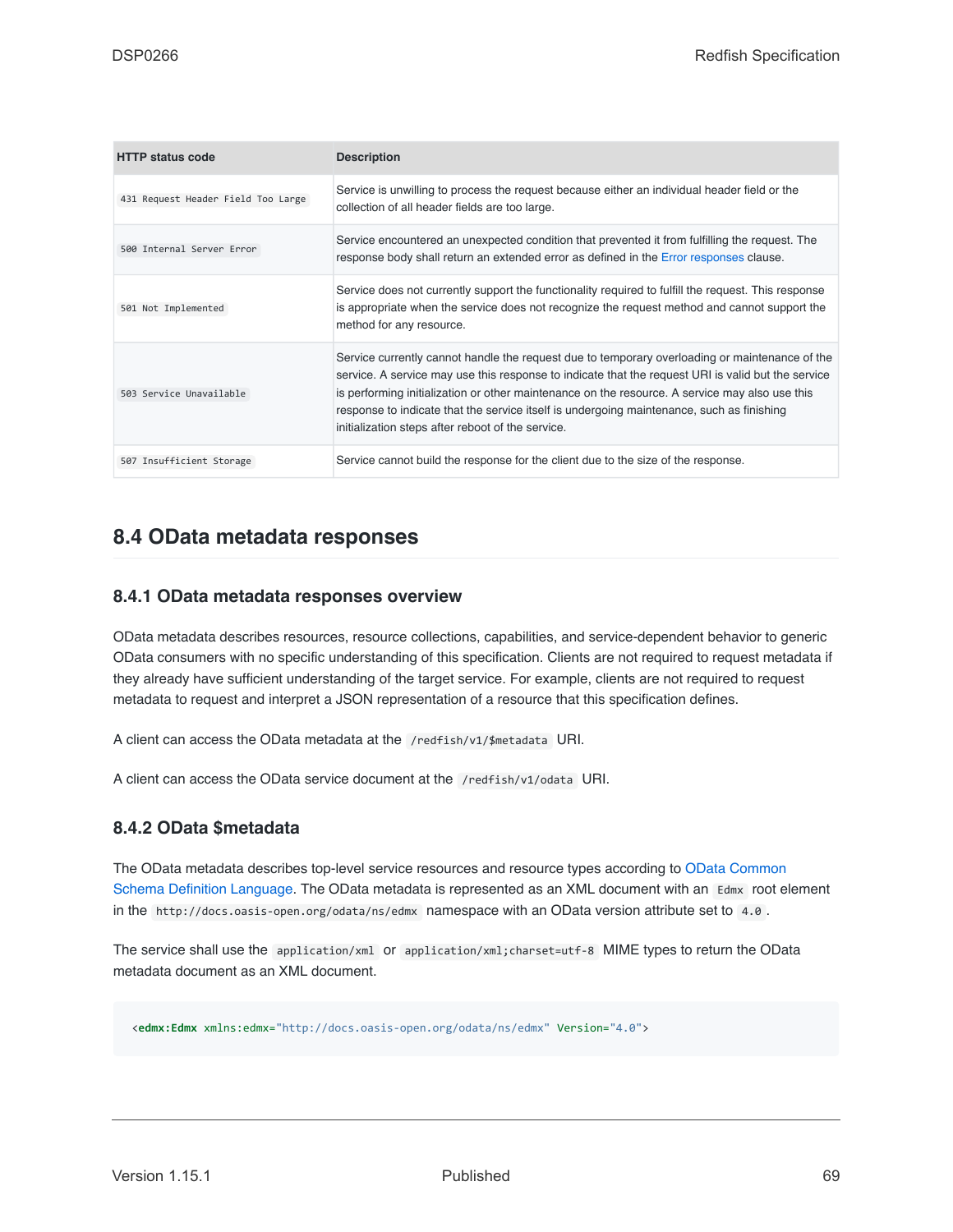<span id="page-68-3"></span><span id="page-68-1"></span>

| <b>HTTP status code</b>            | <b>Description</b>                                                                                                                                                                                                                                                                                                                                                                                                                                       |
|------------------------------------|----------------------------------------------------------------------------------------------------------------------------------------------------------------------------------------------------------------------------------------------------------------------------------------------------------------------------------------------------------------------------------------------------------------------------------------------------------|
| 431 Request Header Field Too Large | Service is unwilling to process the request because either an individual header field or the<br>collection of all header fields are too large.                                                                                                                                                                                                                                                                                                           |
| 500 Internal Server Error          | Service encountered an unexpected condition that prevented it from fulfilling the request. The<br>response body shall return an extended error as defined in the Error responses clause.                                                                                                                                                                                                                                                                 |
| 501 Not Implemented                | Service does not currently support the functionality required to fulfill the request. This response<br>is appropriate when the service does not recognize the request method and cannot support the<br>method for any resource.                                                                                                                                                                                                                          |
| 503 Service Unavailable            | Service currently cannot handle the request due to temporary overloading or maintenance of the<br>service. A service may use this response to indicate that the request URI is valid but the service<br>is performing initialization or other maintenance on the resource. A service may also use this<br>response to indicate that the service itself is undergoing maintenance, such as finishing<br>initialization steps after reboot of the service. |
| 507 Insufficient Storage           | Service cannot build the response for the client due to the size of the response.                                                                                                                                                                                                                                                                                                                                                                        |

### <span id="page-68-2"></span>**8.4 OData metadata responses**

#### **8.4.1 OData metadata responses overview**

OData metadata describes resources, resource collections, capabilities, and service-dependent behavior to generic OData consumers with no specific understanding of this specification. Clients are not required to request metadata if they already have sufficient understanding of the target service. For example, clients are not required to request metadata to request and interpret a JSON representation of a resource that this specification defines.

A client can access the OData metadata at the /redfish/v1/\$metadata URI.

A client can access the OData service document at the /redfish/v1/odata URI.

### <span id="page-68-0"></span>**8.4.2 OData \$metadata**

The OData metadata describes top-level service resources and resource types according to [OData Common](#page-16-4) [Schema Definition Language](#page-16-4). The OData metadata is represented as an XML document with an Edmx root element in the http://docs.oasis-open.org/odata/ns/edmx namespace with an OData version attribute set to 4.0 .

The service shall use the application/xml or application/xml;charset=utf-8 MIME types to return the OData metadata document as an XML document.

<**edmx:Edmx** xmlns:edmx="http://docs.oasis-open.org/odata/ns/edmx" Version="4.0">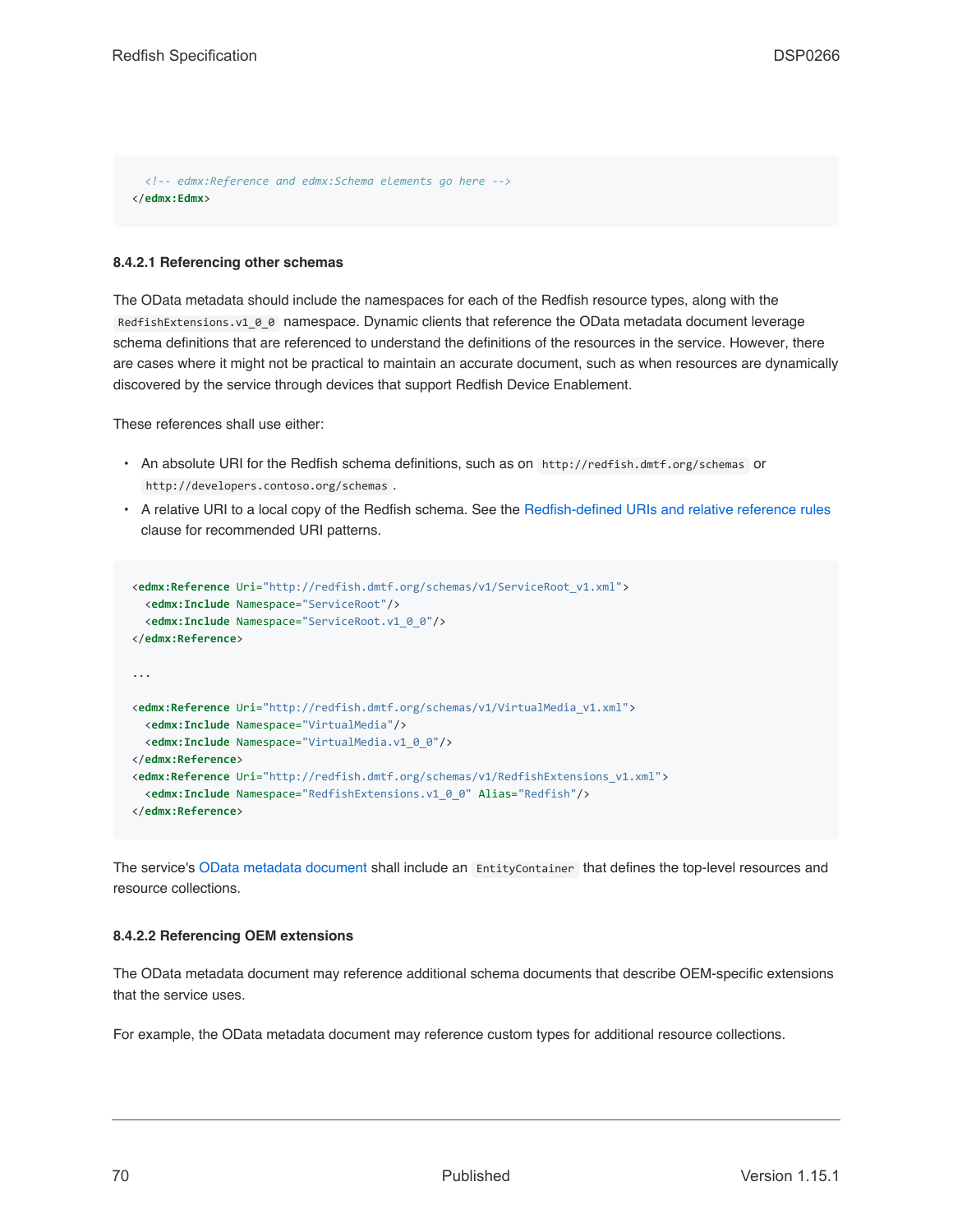*<!-- edmx:Reference and edmx:Schema elements go here -->* </**edmx:Edmx**>

#### **8.4.2.1 Referencing other schemas**

The OData metadata should include the namespaces for each of the Redfish resource types, along with the RedfishExtensions.v1\_0\_0 namespace. Dynamic clients that reference the OData metadata document leverage schema definitions that are referenced to understand the definitions of the resources in the service. However, there are cases where it might not be practical to maintain an accurate document, such as when resources are dynamically discovered by the service through devices that support Redfish Device Enablement.

These references shall use either:

- An absolute URI for the Redfish schema definitions, such as on http://redfish.dmtf.org/schemas or http://developers.contoso.org/schemas .
- A relative URI to a local copy of the Redfish schema. See the [Redfish-defined URIs and relative reference rules](#page-34-0) clause for recommended URI patterns.

```
<edmx:Reference Uri="http://redfish.dmtf.org/schemas/v1/ServiceRoot_v1.xml">
 <edmx:Include Namespace="ServiceRoot"/>
 <edmx:Include Namespace="ServiceRoot.v1_0_0"/>
</edmx:Reference>
...
<edmx:Reference Uri="http://redfish.dmtf.org/schemas/v1/VirtualMedia_v1.xml">
 <edmx:Include Namespace="VirtualMedia"/>
 <edmx:Include Namespace="VirtualMedia.v1_0_0"/>
</edmx:Reference>
<edmx:Reference Uri="http://redfish.dmtf.org/schemas/v1/RedfishExtensions_v1.xml">
  <edmx:Include Namespace="RedfishExtensions.v1_0_0" Alias="Redfish"/>
</edmx:Reference>
```
The service's [OData metadata document](#page-41-1) shall include an EntityContainer that defines the top-level resources and resource collections.

#### **8.4.2.2 Referencing OEM extensions**

The OData metadata document may reference additional schema documents that describe OEM-specific extensions that the service uses.

For example, the OData metadata document may reference custom types for additional resource collections.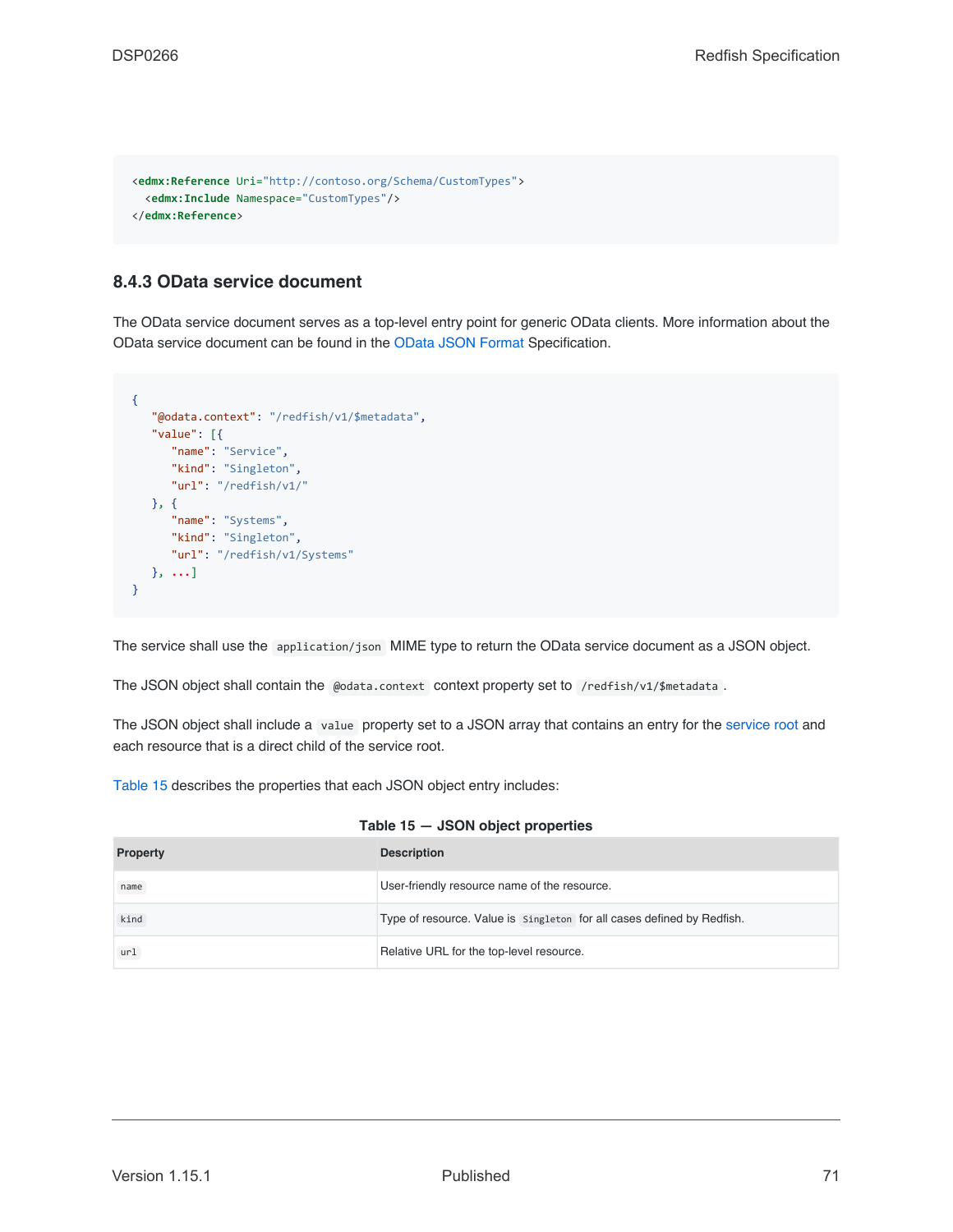```
<edmx:Reference Uri="http://contoso.org/Schema/CustomTypes">
  <edmx:Include Namespace="CustomTypes"/>
</edmx:Reference>
```
#### **8.4.3 OData service document**

The OData service document serves as a top-level entry point for generic OData clients. More information about the OData service document can be found in the [OData JSON Format](#page-201-0) Specification.

```
{
   "@odata.context": "/redfish/v1/$metadata",
   "value": [{
     "name": "Service",
      "kind": "Singleton",
      "url": "/redfish/v1/"
  }, {
      "name": "Systems",
     "kind": "Singleton",
     "url": "/redfish/v1/Systems"
  }, ...]
}
```
The service shall use the application/json MIME type to return the OData service document as a JSON object.

The JSON object shall contain the @odata.context context property set to /redfish/v1/\$metadata.

The JSON object shall include a value property set to a JSON array that contains an entry for the [service root](#page-41-2) and each resource that is a direct child of the service root.

[Table 15](#page-70-0) describes the properties that each JSON object entry includes:

<span id="page-70-0"></span>

| <b>Property</b> | <b>Description</b>                                                     |
|-----------------|------------------------------------------------------------------------|
| name            | User-friendly resource name of the resource.                           |
| kind            | Type of resource. Value is singleton for all cases defined by Redfish. |
| ur1             | Relative URL for the top-level resource.                               |

| Table 15 — JSON object properties |  |  |  |
|-----------------------------------|--|--|--|
|-----------------------------------|--|--|--|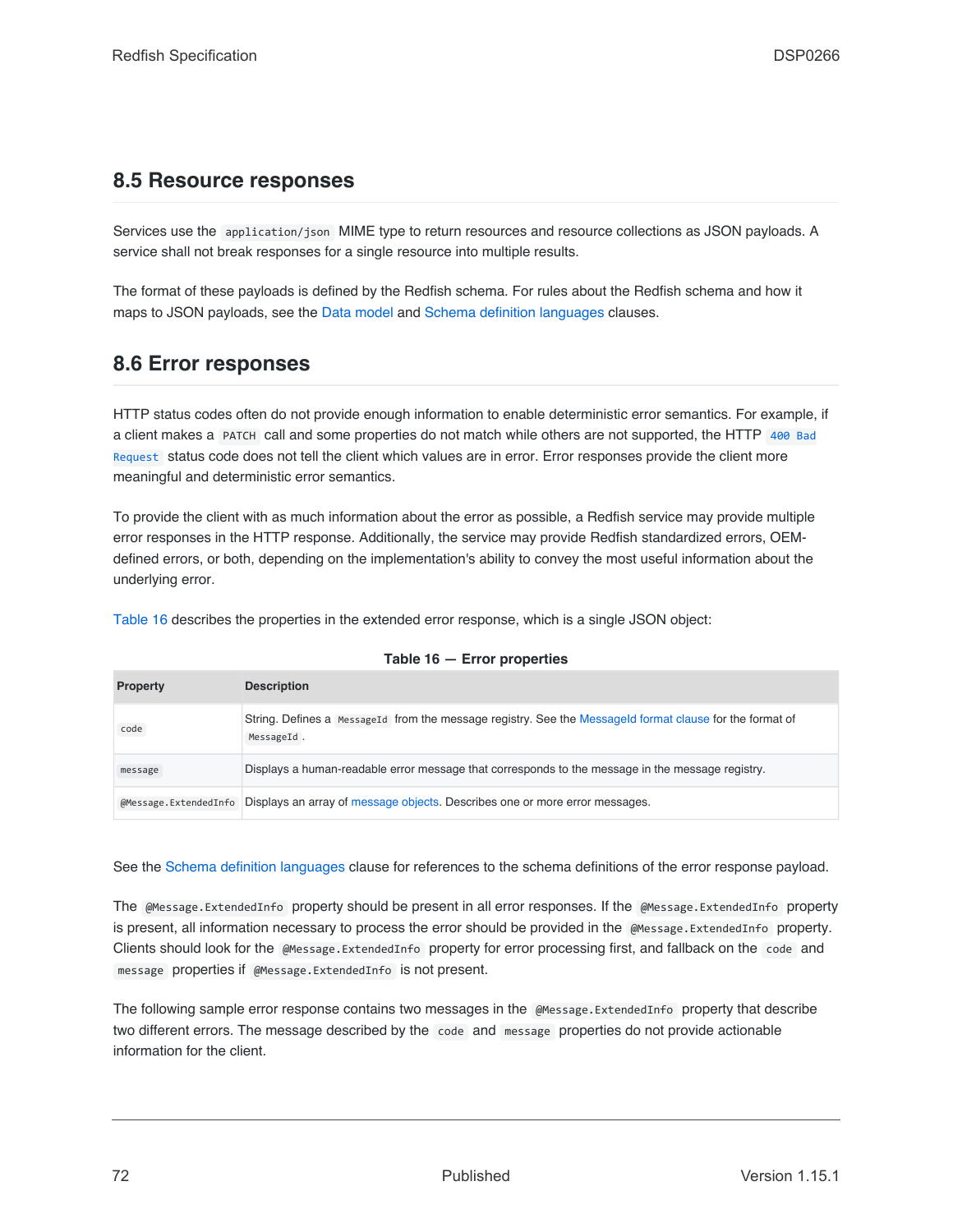### **8.5 Resource responses**

Services use the application/json MIME type to return resources and resource collections as JSON payloads. A service shall not break responses for a single resource into multiple results.

The format of these payloads is defined by the Redfish schema. For rules about the Redfish schema and how it maps to JSON payloads, see the [Data model](#page-73-0) and [Schema definition languages](#page-114-0) clauses.

### <span id="page-71-0"></span>**8.6 Error responses**

HTTP status codes often do not provide enough information to enable deterministic error semantics. For example, if a client makes a PATCH call and some properties do not match while others are not supported, the HTTP [400 Bad](#page-67-3) [Request](#page-67-3) status code does not tell the client which values are in error. Error responses provide the client more meaningful and deterministic error semantics.

To provide the client with as much information about the error as possible, a Redfish service may provide multiple error responses in the HTTP response. Additionally, the service may provide Redfish standardized errors, OEMdefined errors, or both, depending on the implementation's ability to convey the most useful information about the underlying error.

[Table 16](#page-71-1) describes the properties in the extended error response, which is a single JSON object:

<span id="page-71-1"></span>

| <b>Property</b>       | <b>Description</b>                                                                                                     |
|-----------------------|------------------------------------------------------------------------------------------------------------------------|
| code                  | String. Defines a MessageId from the message registry. See the MessageId format clause for the format of<br>MessageId. |
| message               | Displays a human-readable error message that corresponds to the message in the message registry.                       |
| @Message.ExtendedInfo | Displays an array of message objects. Describes one or more error messages.                                            |

#### **Table 16 — Error properties**

See the [Schema definition languages](#page-114-0) clause for references to the schema definitions of the error response payload.

The @Message.ExtendedInfo property should be present in all error responses. If the @Message.ExtendedInfo property is present, all information necessary to process the error should be provided in the @Message.ExtendedInfo property. Clients should look for the @Message.ExtendedInfo property for error processing first, and fallback on the code and message properties if @Message.ExtendedInfo is not present.

The following sample error response contains two messages in the @Message.ExtendedInfo property that describe two different errors. The message described by the code and message properties do not provide actionable information for the client.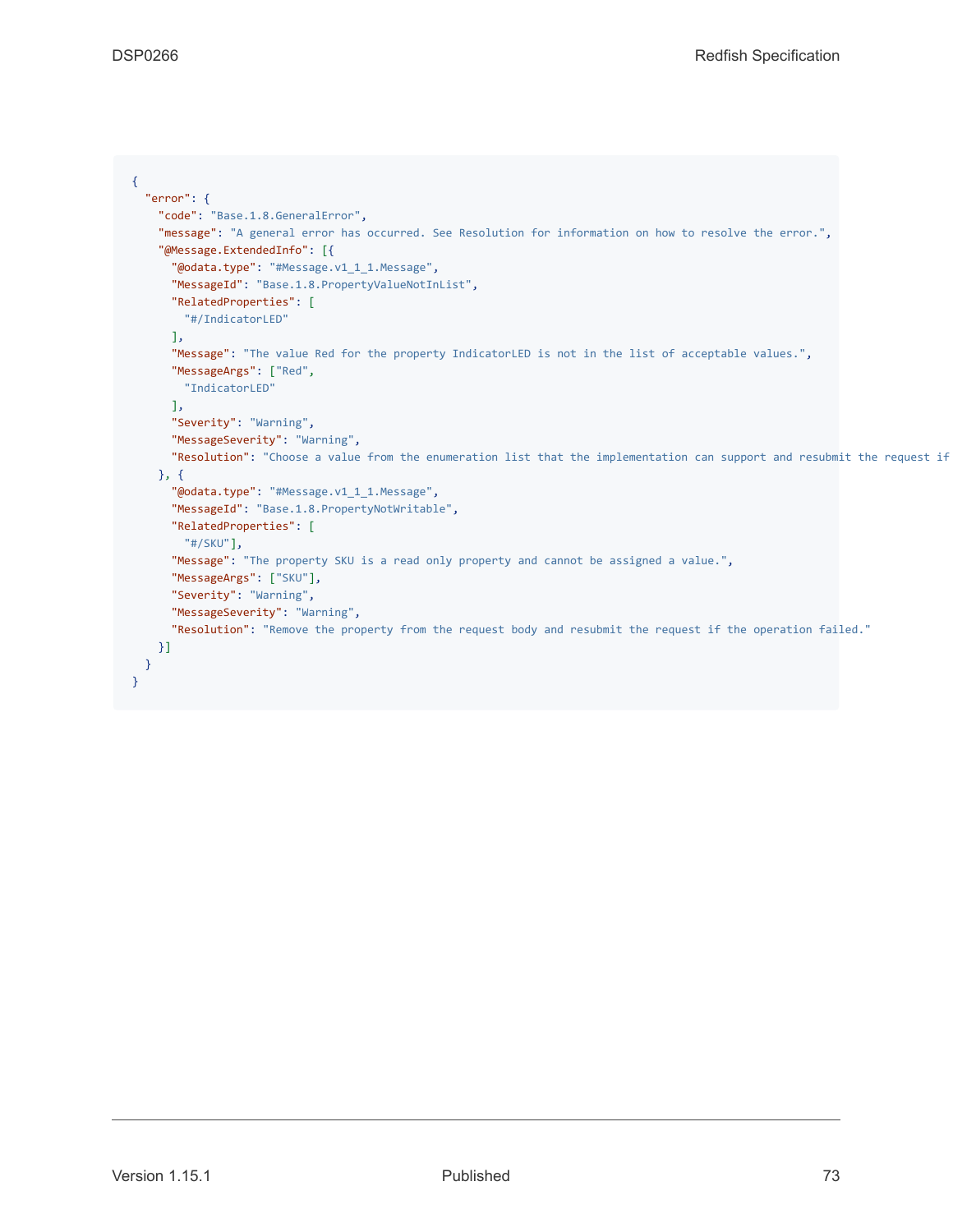```
{
 "error": {
   "code": "Base.1.8.GeneralError",
   "message": "A general error has occurred. See Resolution for information on how to resolve the error.",
    "@Message.ExtendedInfo": [{
      "@odata.type": "#Message.v1_1_1.Message",
      "MessageId": "Base.1.8.PropertyValueNotInList",
      "RelatedProperties": [
        "#/IndicatorLED"
      ],
      "Message": "The value Red for the property IndicatorLED is not in the list of acceptable values.",
      "MessageArgs": ["Red",
        "IndicatorLED"
     ],
      "Severity": "Warning",
      "MessageSeverity": "Warning",
      "Resolution": "Choose a value from the enumeration list that the implementation can support and resubmit the request if
   }, {
      "@odata.type": "#Message.v1_1_1.Message",
      "MessageId": "Base.1.8.PropertyNotWritable",
      "RelatedProperties": [
       "#/SKU"],
      "Message": "The property SKU is a read only property and cannot be assigned a value.",
      "MessageArgs": ["SKU"],
      "Severity": "Warning",
      "MessageSeverity": "Warning",
      "Resolution": "Remove the property from the request body and resubmit the request if the operation failed."
   }]
  }
}
```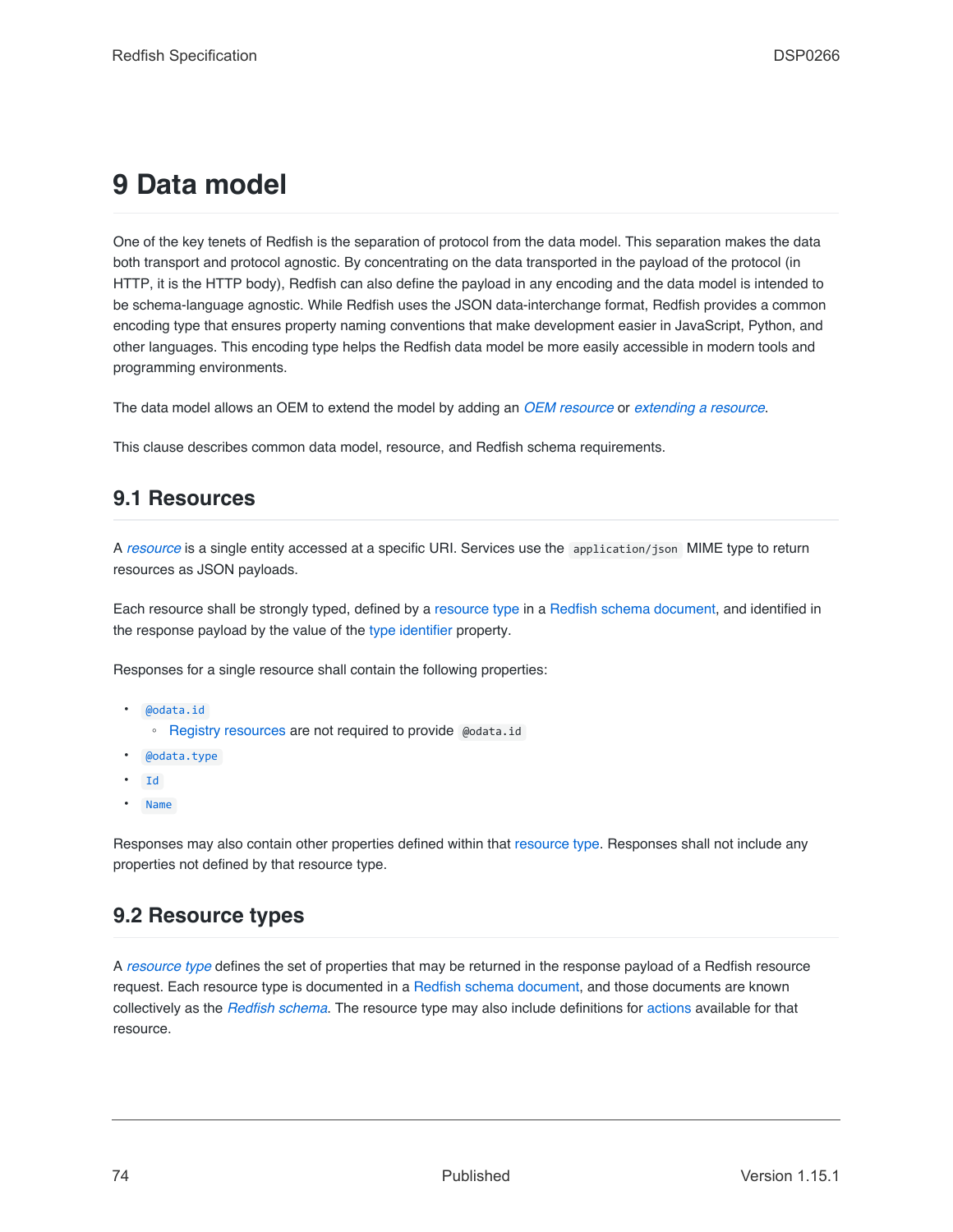# **9 Data model**

One of the key tenets of Redfish is the separation of protocol from the data model. This separation makes the data both transport and protocol agnostic. By concentrating on the data transported in the payload of the protocol (in HTTP, it is the HTTP body), Redfish can also define the payload in any encoding and the data model is intended to be schema-language agnostic. While Redfish uses the JSON data-interchange format, Redfish provides a common encoding type that ensures property naming conventions that make development easier in JavaScript, Python, and other languages. This encoding type helps the Redfish data model be more easily accessible in modern tools and programming environments.

The data model allows an OEM to extend the model by adding an *[OEM resource](#page-74-0)* or *[extending a resource](#page-89-0)*.

This clause describes common data model, resource, and Redfish schema requirements.

# <span id="page-73-0"></span>**9.1 Resources**

A *[resource](#page-21-0)* is a single entity accessed at a specific URI. Services use the application/json MIME type to return resources as JSON payloads.

Each resource shall be strongly typed, defined by a [resource type](#page-22-0) in a [Redfish schema document,](#page-114-0) and identified in the response payload by the value of the [type identifier](#page-82-0) property.

Responses for a single resource shall contain the following properties:

- [@odata.id](#page-82-1)
	- [Registry resources](#page-104-0) are not required to provide @odata.id
- [@odata.type](#page-82-0)
- [Id](#page-83-0)
- [Name](#page-83-1)

Responses may also contain other properties defined within that [resource type](#page-82-0). Responses shall not include any properties not defined by that resource type.

# **9.2 Resource types**

A *[resource type](#page-22-0)* defines the set of properties that may be returned in the response payload of a Redfish resource request. Each resource type is documented in a [Redfish schema document](#page-114-0), and those documents are known collectively as the *[Redfish schema](#page-21-1)*. The resource type may also include definitions for [actions](#page-28-0) available for that resource.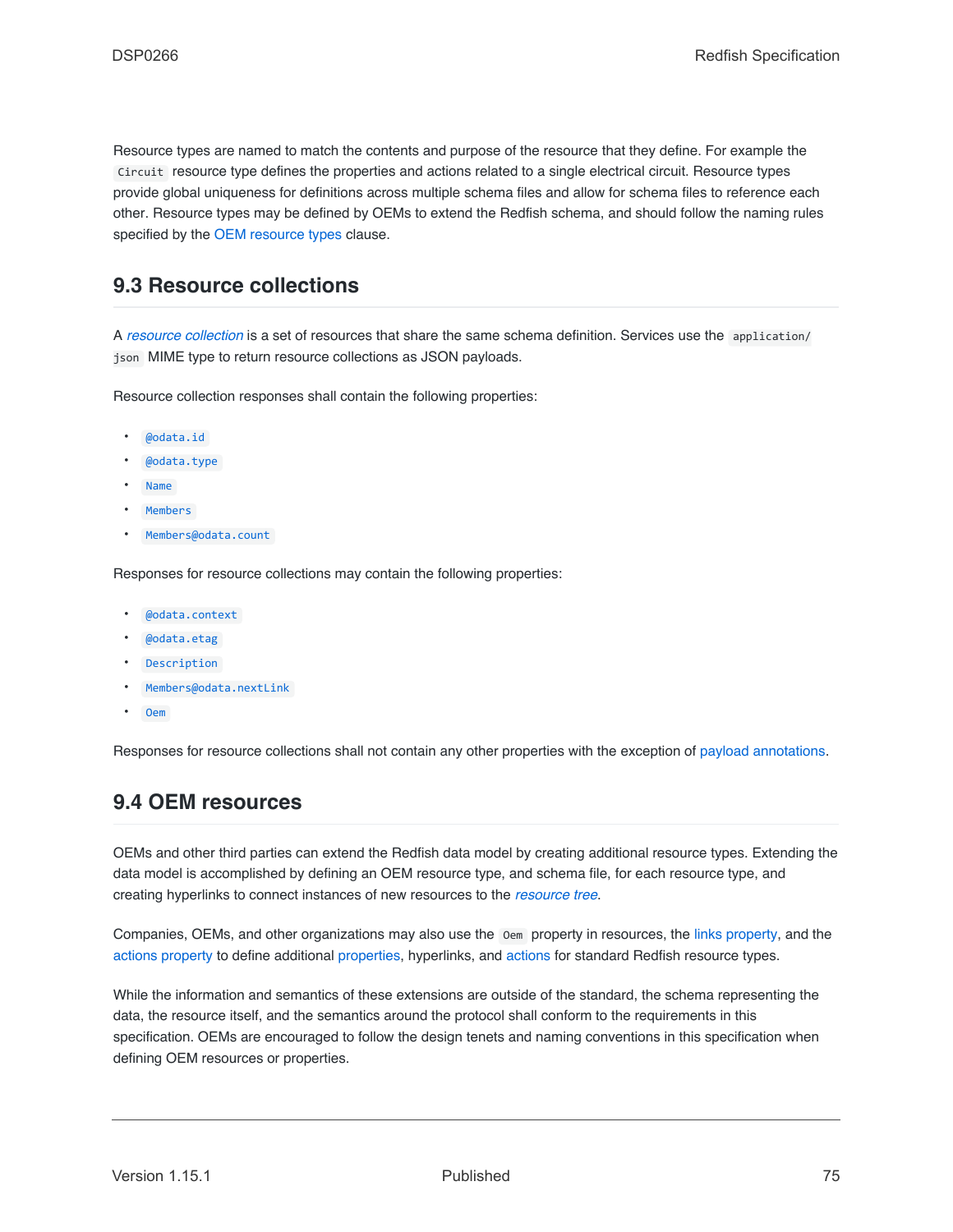Resource types are named to match the contents and purpose of the resource that they define. For example the Circuit resource type defines the properties and actions related to a single electrical circuit. Resource types provide global uniqueness for definitions across multiple schema files and allow for schema files to reference each other. Resource types may be defined by OEMs to extend the Redfish schema, and should follow the naming rules specified by the [OEM resource types](#page-90-0) clause.

# <span id="page-74-1"></span>**9.3 Resource collections**

A *[resource collection](#page-22-1)* is a set of resources that share the same schema definition. Services use the application/ json MIME type to return resource collections as JSON payloads.

Resource collection responses shall contain the following properties:

- [@odata.id](#page-82-1)
- [@odata.type](#page-82-0)
- [Name](#page-83-1)
- **[Members](#page-84-0)**
- [Members@odata.count](#page-84-1)

Responses for resource collections may contain the following properties:

- [@odata.context](#page-83-2)
- [@odata.etag](#page-82-2)
- [Description](#page-83-3)
- [Members@odata.nextLink](#page-84-2)
- [Oem](#page-87-0)

Responses for resource collections shall not contain any other properties with the exception of [payload annotations.](#page-93-0)

# <span id="page-74-0"></span>**9.4 OEM resources**

OEMs and other third parties can extend the Redfish data model by creating additional resource types. Extending the data model is accomplished by defining an OEM resource type, and schema file, for each resource type, and creating hyperlinks to connect instances of new resources to the *[resource tree](#page-22-2)*.

Companies, OEMs, and other organizations may also use the Oem property in resources, the [links property,](#page-84-3) and the [actions property](#page-85-0) to define additional [properties](#page-89-0), hyperlinks, and [actions](#page-92-0) for standard Redfish resource types.

While the information and semantics of these extensions are outside of the standard, the schema representing the data, the resource itself, and the semantics around the protocol shall conform to the requirements in this specification. OEMs are encouraged to follow the design tenets and naming conventions in this specification when defining OEM resources or properties.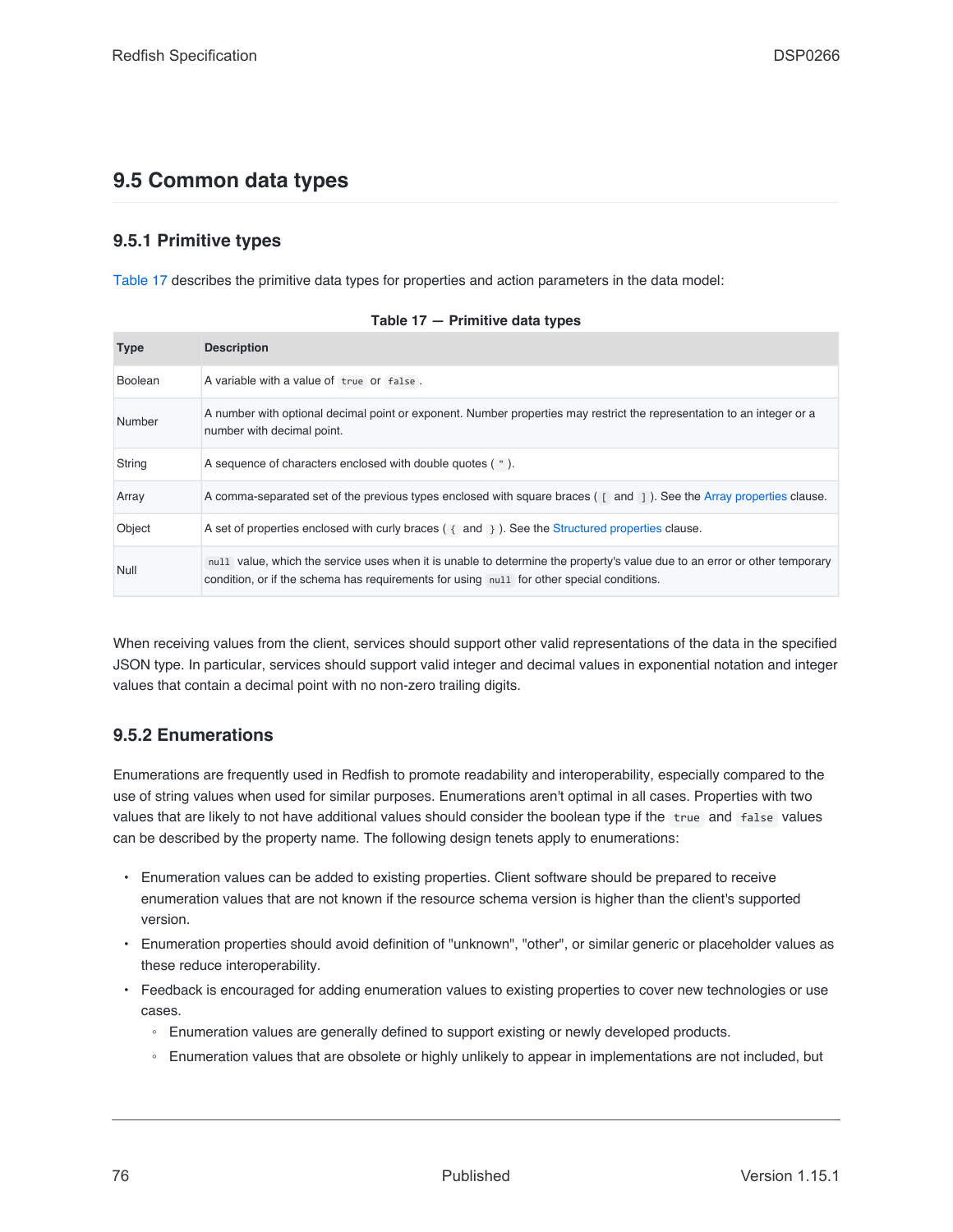# **9.5 Common data types**

# **9.5.1 Primitive types**

[Table 17](#page-75-0) describes the primitive data types for properties and action parameters in the data model:

<span id="page-75-0"></span>

| <b>Type</b>    | <b>Description</b>                                                                                                                                                                                                     |
|----------------|------------------------------------------------------------------------------------------------------------------------------------------------------------------------------------------------------------------------|
| <b>Boolean</b> | A variable with a value of true or false.                                                                                                                                                                              |
| Number         | A number with optional decimal point or exponent. Number properties may restrict the representation to an integer or a<br>number with decimal point.                                                                   |
| String         | A sequence of characters enclosed with double quotes (").                                                                                                                                                              |
| Array          | A comma-separated set of the previous types enclosed with square braces ([and ]). See the Array properties clause.                                                                                                     |
| Object         | A set of properties enclosed with curly braces $($ $\{$ and $\}$ ). See the Structured properties clause.                                                                                                              |
| Null           | null value, which the service uses when it is unable to determine the property's value due to an error or other temporary<br>condition, or if the schema has requirements for using null for other special conditions. |

|  | Table 17 - Primitive data types |  |
|--|---------------------------------|--|
|--|---------------------------------|--|

When receiving values from the client, services should support other valid representations of the data in the specified JSON type. In particular, services should support valid integer and decimal values in exponential notation and integer values that contain a decimal point with no non-zero trailing digits.

# **9.5.2 Enumerations**

Enumerations are frequently used in Redfish to promote readability and interoperability, especially compared to the use of string values when used for similar purposes. Enumerations aren't optimal in all cases. Properties with two values that are likely to not have additional values should consider the boolean type if the true and false values can be described by the property name. The following design tenets apply to enumerations:

- Enumeration values can be added to existing properties. Client software should be prepared to receive enumeration values that are not known if the resource schema version is higher than the client's supported version.
- Enumeration properties should avoid definition of "unknown", "other", or similar generic or placeholder values as these reduce interoperability.
- Feedback is encouraged for adding enumeration values to existing properties to cover new technologies or use cases.
	- Enumeration values are generally defined to support existing or newly developed products.
	- Enumeration values that are obsolete or highly unlikely to appear in implementations are not included, but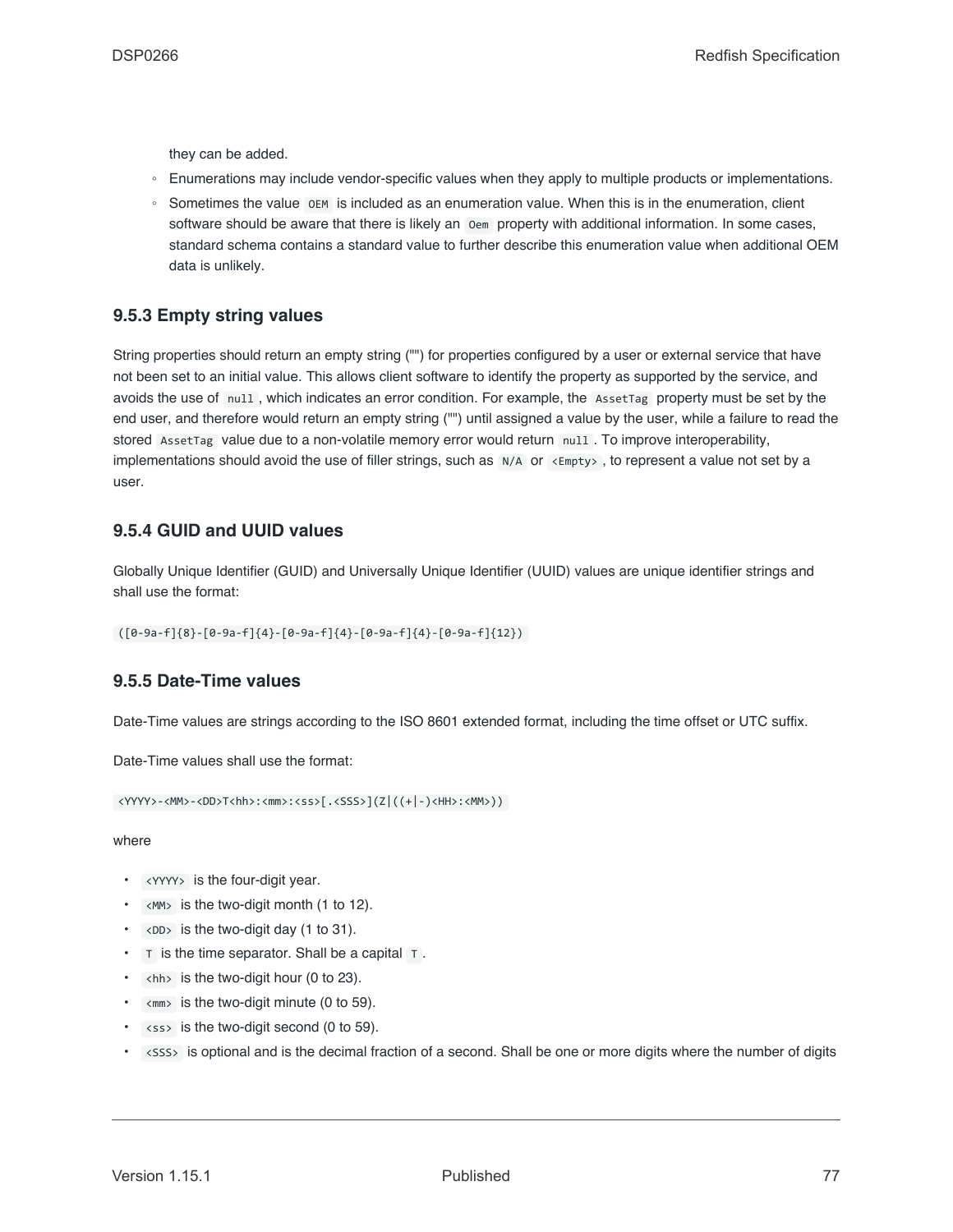they can be added.

- Enumerations may include vendor-specific values when they apply to multiple products or implementations.
- Sometimes the value OEM is included as an enumeration value. When this is in the enumeration, client software should be aware that there is likely an oem property with additional information. In some cases, standard schema contains a standard value to further describe this enumeration value when additional OEM data is unlikely.

### **9.5.3 Empty string values**

String properties should return an empty string ("") for properties configured by a user or external service that have not been set to an initial value. This allows client software to identify the property as supported by the service, and avoids the use of null , which indicates an error condition. For example, the AssetTag property must be set by the end user, and therefore would return an empty string ("") until assigned a value by the user, while a failure to read the stored AssetTag value due to a non-volatile memory error would return null . To improve interoperability, implementations should avoid the use of filler strings, such as N/A or <Empty> , to represent a value not set by a user.

### **9.5.4 GUID and UUID values**

Globally Unique Identifier (GUID) and Universally Unique Identifier (UUID) values are unique identifier strings and shall use the format:

([0-9a-f]{8}-[0-9a-f]{4}-[0-9a-f]{4}-[0-9a-f]{4}-[0-9a-f]{12})

### **9.5.5 Date-Time values**

Date-Time values are strings according to the ISO 8601 extended format, including the time offset or UTC suffix.

Date-Time values shall use the format:

 $\langle$ YYYY>-<MM>-<DD>T<hh>:<mm>:<ss>[.<SSS>](Z|((+|-)<HH>:<MM>))

where

- <YYYY> is the four-digit year.
- $\cdot$  < MM> is the two-digit month (1 to 12).
- $\cdot$  <DD> is the two-digit day (1 to 31).
- $\cdot$  T is the time separator. Shall be a capital  $\top$ .
- $\cdot$  <hh> is the two-digit hour (0 to 23).
- $\cdot$   $\leq$   $\text{mm}$  is the two-digit minute (0 to 59).
- $\cdot$  <ss> is the two-digit second (0 to 59).
- <SSS> is optional and is the decimal fraction of a second. Shall be one or more digits where the number of digits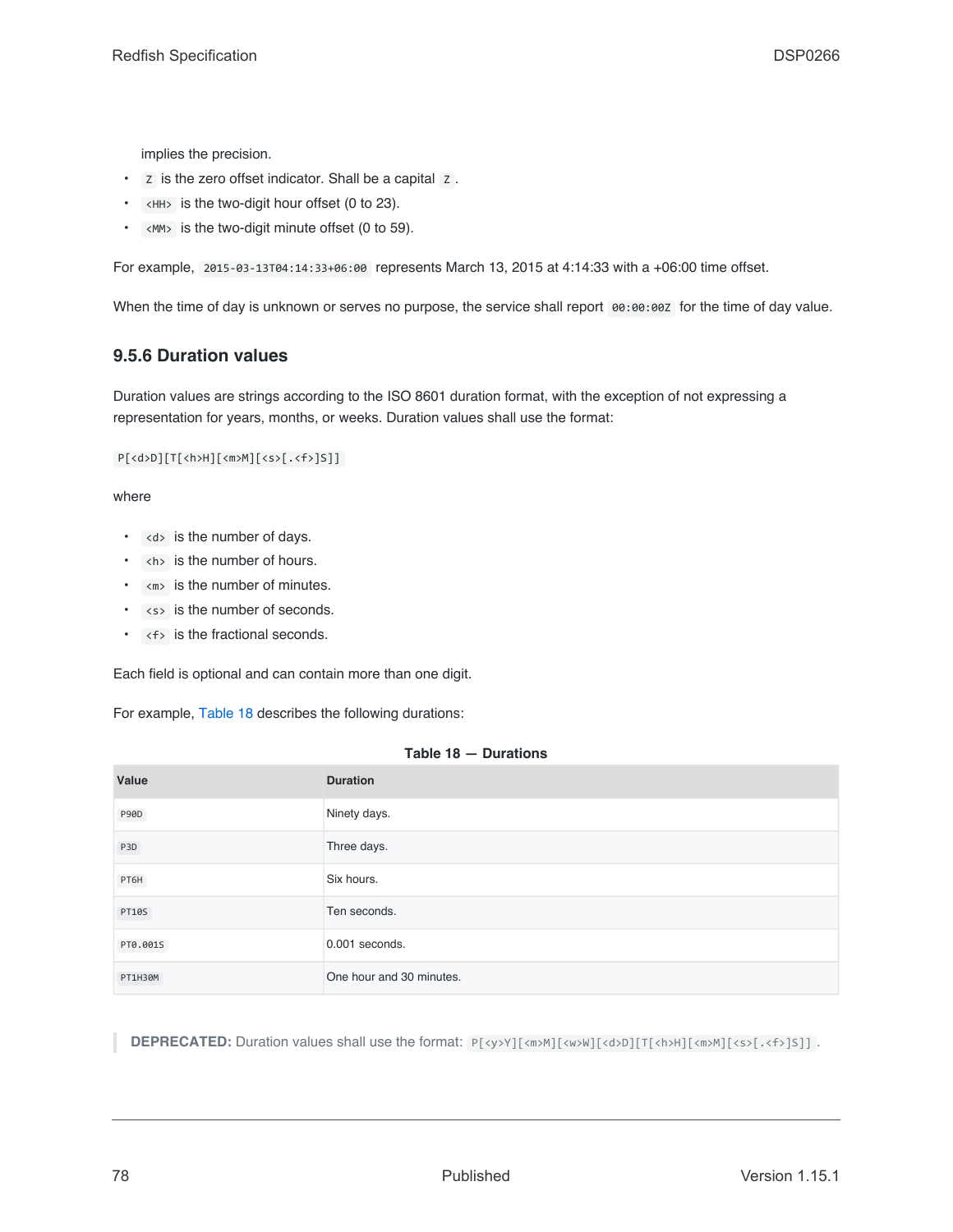implies the precision.

- Z is the zero offset indicator. Shall be a capital Z .
- <HH> is the two-digit hour offset (0 to 23).
- $\cdot$  <MM> is the two-digit minute offset (0 to 59).

For example, 2015-03-13T04:14:33+06:00 represents March 13, 2015 at 4:14:33 with a +06:00 time offset.

When the time of day is unknown or serves no purpose, the service shall report 00:00:00Z for the time of day value.

## **9.5.6 Duration values**

Duration values are strings according to the ISO 8601 duration format, with the exception of not expressing a representation for years, months, or weeks. Duration values shall use the format:

P[<d>D][T[<h>H][<m>M][<s>[.<f>]S]]

#### where

- <d> is the number of days.
- <h> is the number of hours.
- $\cdot$   $\leq m$  is the number of minutes.
- <s> is the number of seconds.
- $\cdot$  <f> is the fractional seconds.

Each field is optional and can contain more than one digit.

For example, [Table 18](#page-77-0) describes the following durations:

<span id="page-77-0"></span>

| Value            | <b>Duration</b>          |
|------------------|--------------------------|
| P90D             | Ninety days.             |
| P <sub>3</sub> D | Three days.              |
| PT6H             | Six hours.               |
| <b>PT10S</b>     | Ten seconds.             |
| PT0.001S         | $0.001$ seconds.         |
| PT1H30M          | One hour and 30 minutes. |

#### **Table 18 — Durations**

**DEPRECATED:** Duration values shall use the format:  $P[\langle y \rangle Y][\langle m \rangle M][\langle u \rangle W][\langle d \rangle D][T[\langle h \rangle M][\langle m \rangle M][\langle s \rangle [\langle s \rangle [A \rangle M][\langle s \rangle M][\langle s \rangle M][\langle s \rangle M][\langle s \rangle M][\langle s \rangle M][\langle s \rangle M][\langle s \rangle M][\langle s \rangle M][\langle s \rangle M][\langle s \rangle M][\langle s \rangle M][\langle s \rangle M][\langle s \rangle M][\langle s \rangle M][\langle s \rangle M][\langle s \$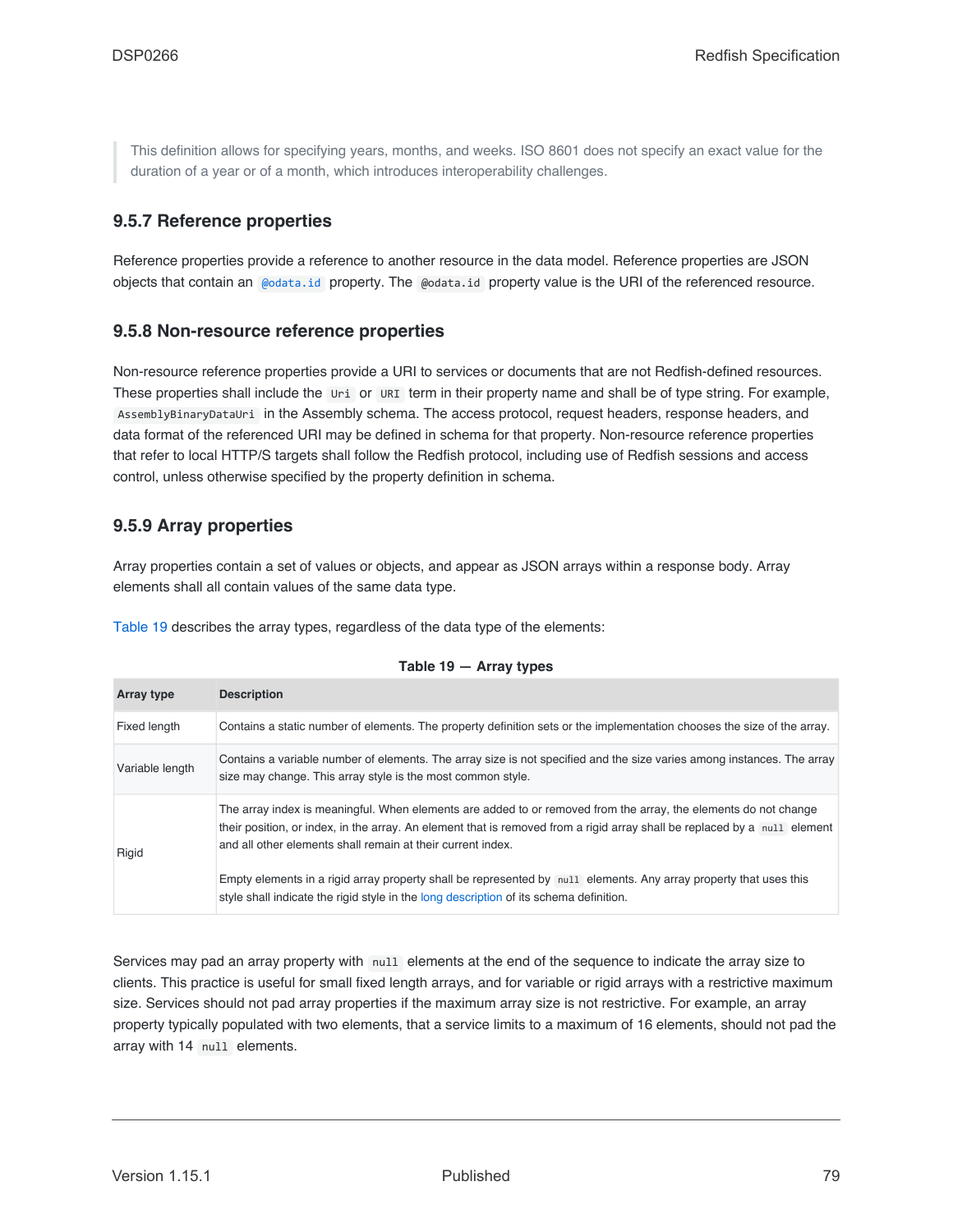This definition allows for specifying years, months, and weeks. ISO 8601 does not specify an exact value for the duration of a year or of a month, which introduces interoperability challenges.

## <span id="page-78-2"></span>**9.5.7 Reference properties**

Reference properties provide a reference to another resource in the data model. Reference properties are JSON objects that contain an [@odata.id](#page-82-1) property. The @odata.id property value is the URI of the referenced resource.

### **9.5.8 Non-resource reference properties**

Non-resource reference properties provide a URI to services or documents that are not Redfish-defined resources. These properties shall include the Uri or URI term in their property name and shall be of type string. For example, AssemblyBinaryDataUri in the Assembly schema. The access protocol, request headers, response headers, and data format of the referenced URI may be defined in schema for that property. Non-resource reference properties that refer to local HTTP/S targets shall follow the Redfish protocol, including use of Redfish sessions and access control, unless otherwise specified by the property definition in schema.

### <span id="page-78-0"></span>**9.5.9 Array properties**

Array properties contain a set of values or objects, and appear as JSON arrays within a response body. Array elements shall all contain values of the same data type.

[Table 19](#page-78-1) describes the array types, regardless of the data type of the elements:

<span id="page-78-1"></span>

| <b>Array type</b> | <b>Description</b>                                                                                                                                                                                                                                                                                          |
|-------------------|-------------------------------------------------------------------------------------------------------------------------------------------------------------------------------------------------------------------------------------------------------------------------------------------------------------|
| Fixed length      | Contains a static number of elements. The property definition sets or the implementation chooses the size of the array.                                                                                                                                                                                     |
| Variable length   | Contains a variable number of elements. The array size is not specified and the size varies among instances. The array<br>size may change. This array style is the most common style.                                                                                                                       |
| Rigid             | The array index is meaningful. When elements are added to or removed from the array, the elements do not change<br>their position, or index, in the array. An element that is removed from a rigid array shall be replaced by a null element<br>and all other elements shall remain at their current index. |
|                   | Empty elements in a rigid array property shall be represented by null elements. Any array property that uses this<br>style shall indicate the rigid style in the long description of its schema definition.                                                                                                 |

#### **Table 19 — Array types**

Services may pad an array property with null elements at the end of the sequence to indicate the array size to clients. This practice is useful for small fixed length arrays, and for variable or rigid arrays with a restrictive maximum size. Services should not pad array properties if the maximum array size is not restrictive. For example, an array property typically populated with two elements, that a service limits to a maximum of 16 elements, should not pad the array with 14 null elements.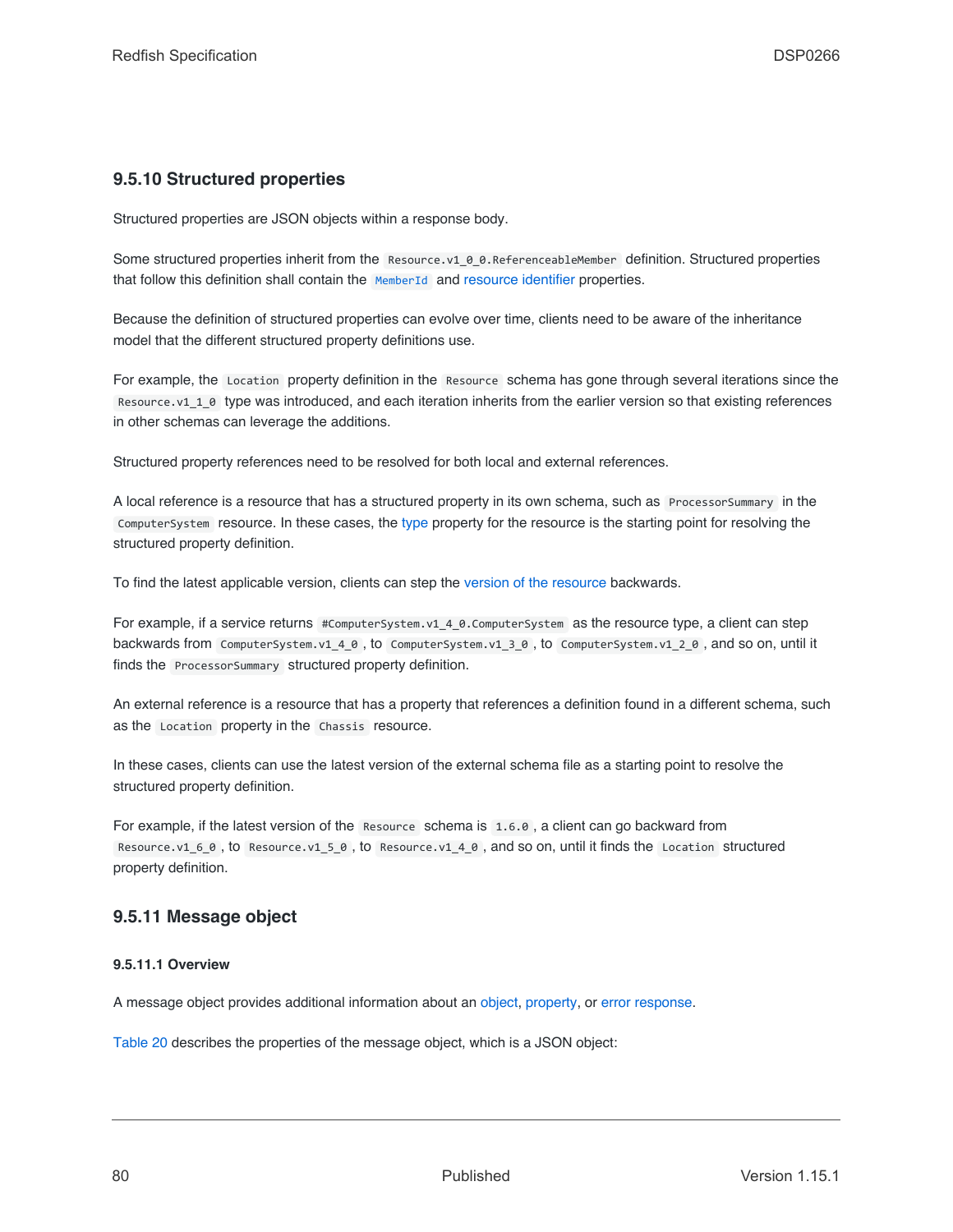# <span id="page-79-0"></span>**9.5.10 Structured properties**

Structured properties are JSON objects within a response body.

Some structured properties inherit from the Resource.v1 0 0.ReferenceableMember definition. Structured properties that follow this definition shall contain the [MemberId](#page-84-4) and [resource identifier](#page-82-1) properties.

Because the definition of structured properties can evolve over time, clients need to be aware of the inheritance model that the different structured property definitions use.

For example, the Location property definition in the Resource schema has gone through several iterations since the Resource.v1\_1\_0 type was introduced, and each iteration inherits from the earlier version so that existing references in other schemas can leverage the additions.

Structured property references need to be resolved for both local and external references.

A local reference is a resource that has a structured property in its own schema, such as ProcessorSummary in the ComputerSystem resource. In these cases, the [type](#page-82-0) property for the resource is the starting point for resolving the structured property definition.

To find the latest applicable version, clients can step the [version of the resource](#page-109-0) backwards.

For example, if a service returns #ComputerSystem.v1\_4\_0.ComputerSystem as the resource type, a client can step backwards from ComputerSystem.v1\_4\_0 , to ComputerSystem.v1\_3\_0 , to ComputerSystem.v1\_2\_0 , and so on, until it finds the ProcessorSummary structured property definition.

An external reference is a resource that has a property that references a definition found in a different schema, such as the Location property in the Chassis resource.

In these cases, clients can use the latest version of the external schema file as a starting point to resolve the structured property definition.

For example, if the latest version of the Resource schema is 1.6.0 , a client can go backward from Resource.v1\_6\_0 , to Resource.v1\_5\_0 , to Resource.v1\_4\_0 , and so on, until it finds the Location structured property definition.

# <span id="page-79-1"></span>**9.5.11 Message object**

#### **9.5.11.1 Overview**

A message object provides additional information about an [object,](#page-94-0) [property,](#page-95-0) or [error response.](#page-71-0)

[Table 20](#page-80-0) describes the properties of the message object, which is a JSON object: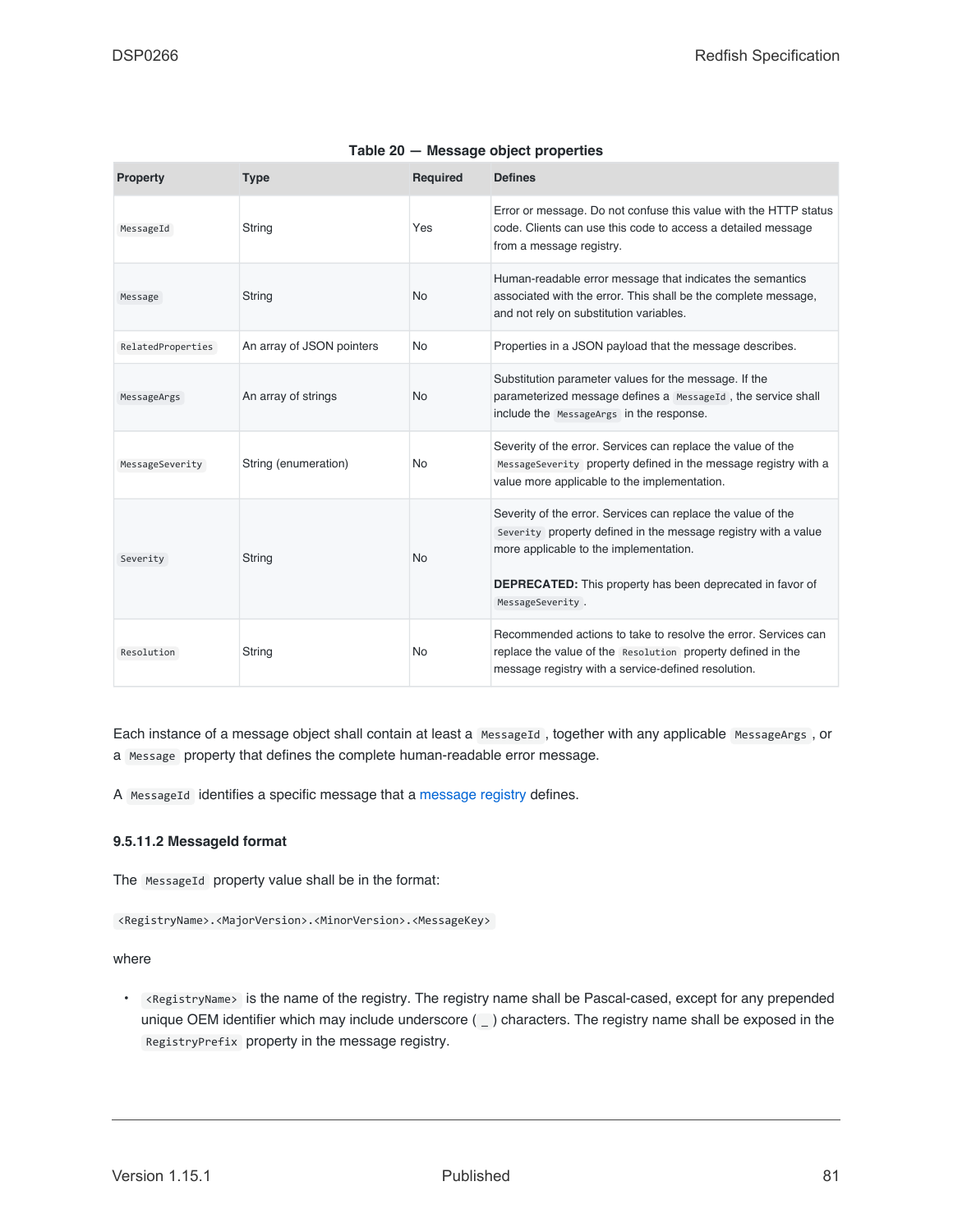<span id="page-80-0"></span>

| <b>Property</b>   | <b>Type</b>               | <b>Required</b> | <b>Defines</b>                                                                                                                                                                                                                                                   |
|-------------------|---------------------------|-----------------|------------------------------------------------------------------------------------------------------------------------------------------------------------------------------------------------------------------------------------------------------------------|
| MessageId         | String                    | Yes             | Error or message. Do not confuse this value with the HTTP status<br>code. Clients can use this code to access a detailed message<br>from a message registry.                                                                                                     |
| Message           | String                    | No              | Human-readable error message that indicates the semantics<br>associated with the error. This shall be the complete message,<br>and not rely on substitution variables.                                                                                           |
| RelatedProperties | An array of JSON pointers | <b>No</b>       | Properties in a JSON payload that the message describes.                                                                                                                                                                                                         |
| MessageArgs       | An array of strings       | <b>No</b>       | Substitution parameter values for the message. If the<br>parameterized message defines a MessageId, the service shall<br>include the MessageArgs in the response.                                                                                                |
| MessageSeverity   | String (enumeration)      | No              | Severity of the error. Services can replace the value of the<br>MessageSeverity property defined in the message registry with a<br>value more applicable to the implementation.                                                                                  |
| Severity          | String                    | <b>No</b>       | Severity of the error. Services can replace the value of the<br>Severity property defined in the message registry with a value<br>more applicable to the implementation.<br><b>DEPRECATED:</b> This property has been deprecated in favor of<br>MessageSeverity. |
| Resolution        | String                    | No              | Recommended actions to take to resolve the error. Services can<br>replace the value of the Resolution property defined in the<br>message registry with a service-defined resolution.                                                                             |

| Table 20 - Message object properties |
|--------------------------------------|
|--------------------------------------|

Each instance of a message object shall contain at least a MessageId, together with any applicable MessageArgs, or a Message property that defines the complete human-readable error message.

A MessageId identifies a specific message that a [message registry](#page-104-0) defines.

#### **9.5.11.2 MessageId format**

The MessageId property value shall be in the format:

<RegistryName>.<MajorVersion>.<MinorVersion>.<MessageKey>

where

• <RegistryName> is the name of the registry. The registry name shall be Pascal-cased, except for any prepended unique OEM identifier which may include underscore  $($  ) characters. The registry name shall be exposed in the RegistryPrefix property in the message registry.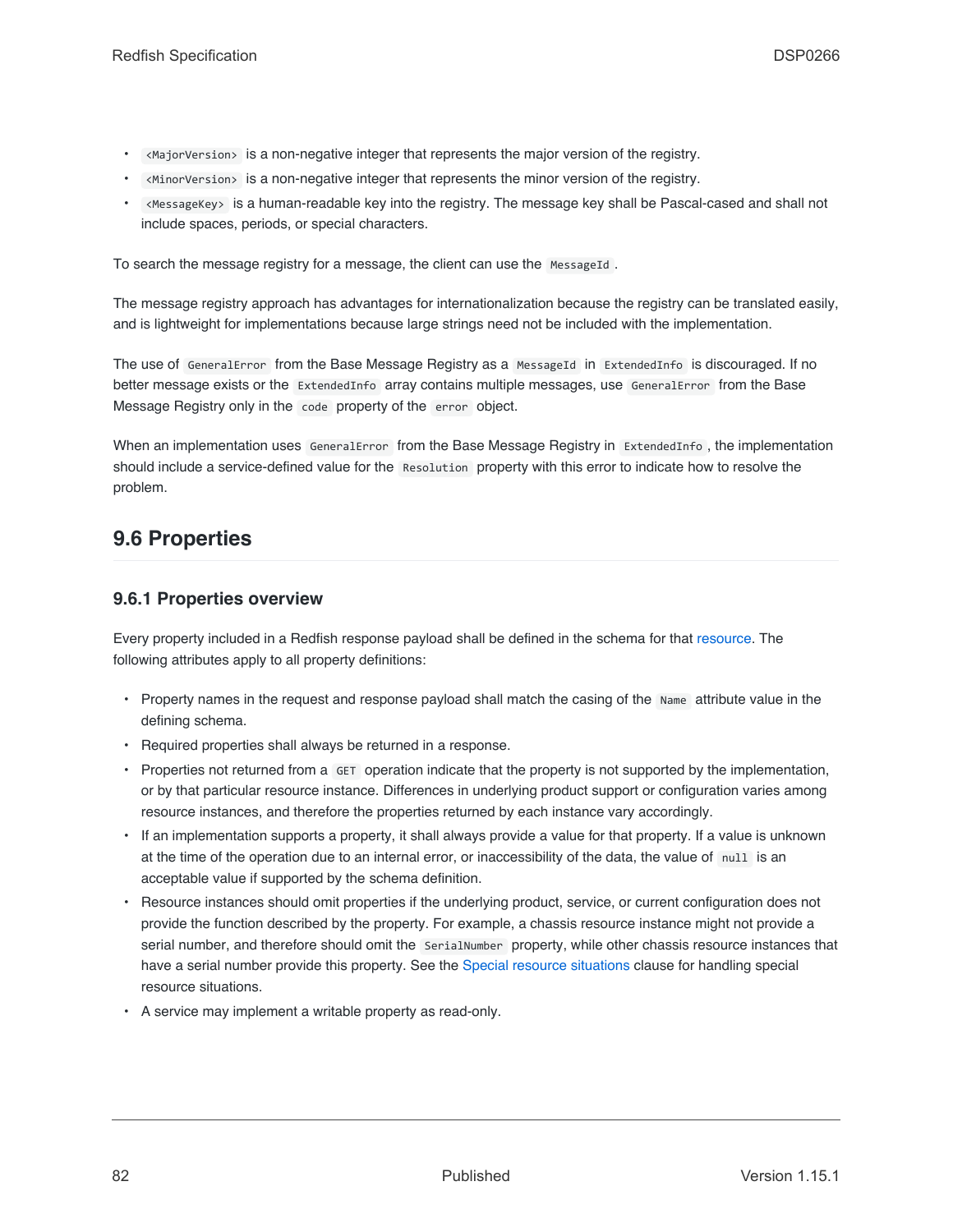- <MajorVersion> is a non-negative integer that represents the major version of the registry.
- <MinorVersion> is a non-negative integer that represents the minor version of the registry.
- <MessageKey> is a human-readable key into the registry. The message key shall be Pascal-cased and shall not include spaces, periods, or special characters.

To search the message registry for a message, the client can use the MessageId.

The message registry approach has advantages for internationalization because the registry can be translated easily, and is lightweight for implementations because large strings need not be included with the implementation.

The use of GeneralError from the Base Message Registry as a MessageId in ExtendedInfo is discouraged. If no better message exists or the ExtendedInfo array contains multiple messages, use GeneralError from the Base Message Registry only in the code property of the error object.

When an implementation uses GeneralError from the Base Message Registry in ExtendedInfo , the implementation should include a service-defined value for the Resolution property with this error to indicate how to resolve the problem.

# <span id="page-81-0"></span>**9.6 Properties**

## **9.6.1 Properties overview**

Every property included in a Redfish response payload shall be defined in the schema for that [resource.](#page-73-0) The following attributes apply to all property definitions:

- Property names in the request and response payload shall match the casing of the Name attribute value in the defining schema.
- Required properties shall always be returned in a response.
- Properties not returned from a GET operation indicate that the property is not supported by the implementation, or by that particular resource instance. Differences in underlying product support or configuration varies among resource instances, and therefore the properties returned by each instance vary accordingly.
- If an implementation supports a property, it shall always provide a value for that property. If a value is unknown at the time of the operation due to an internal error, or inaccessibility of the data, the value of null is an acceptable value if supported by the schema definition.
- Resource instances should omit properties if the underlying product, service, or current configuration does not provide the function described by the property. For example, a chassis resource instance might not provide a serial number, and therefore should omit the SerialNumber property, while other chassis resource instances that have a serial number provide this property. See the [Special resource situations](#page-103-0) clause for handling special resource situations.
- A service may implement a writable property as read-only.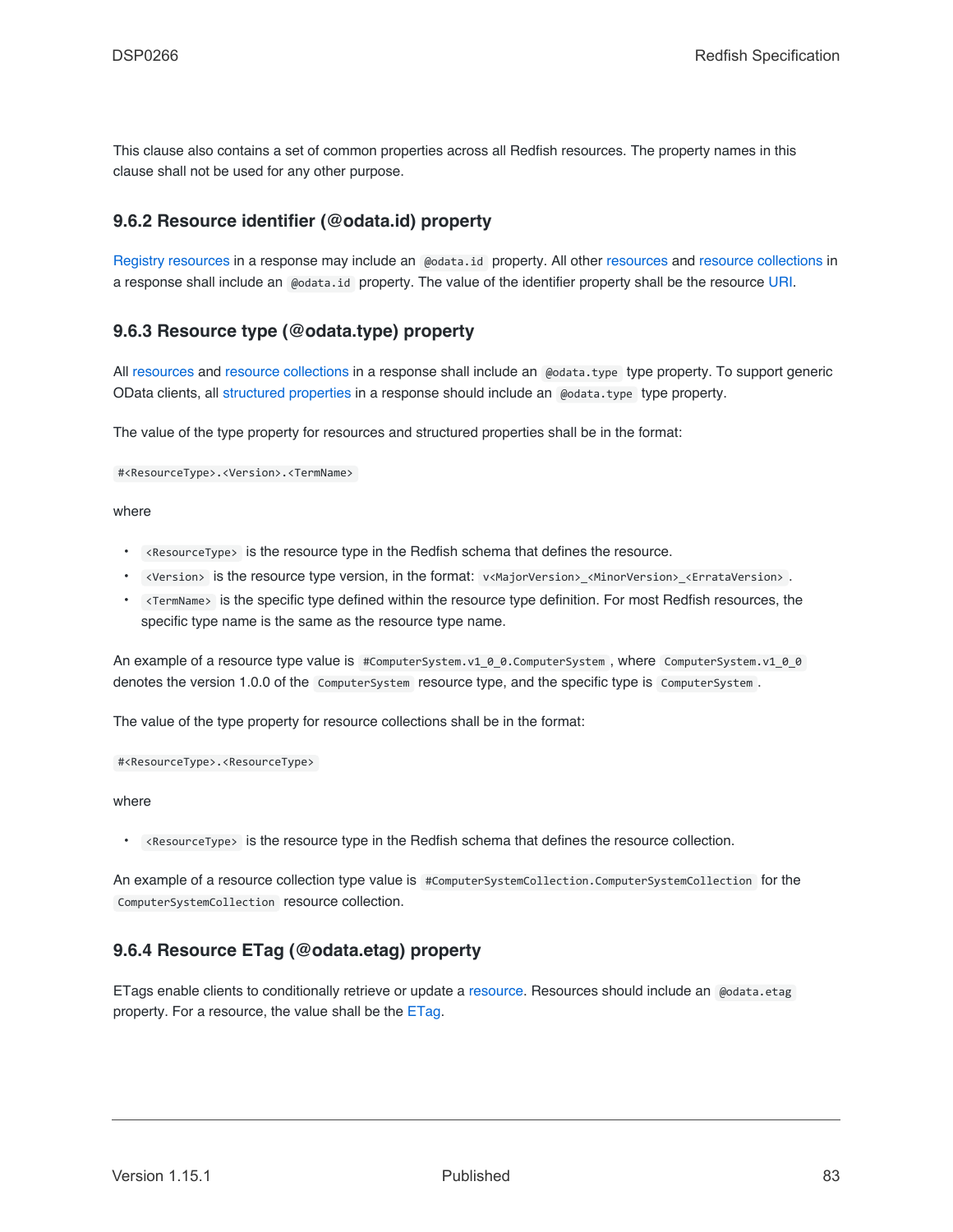This clause also contains a set of common properties across all Redfish resources. The property names in this clause shall not be used for any other purpose.

## <span id="page-82-1"></span>**9.6.2 Resource identifier (@odata.id) property**

[Registry resources](#page-104-0) in a response may include an @odata.id property. All other [resources](#page-73-0) and [resource collections](#page-74-1) in a response shall include an @odata.id property. The value of the identifier property shall be the resource [URI](#page-29-0).

## <span id="page-82-0"></span>**9.6.3 Resource type (@odata.type) property**

All [resources](#page-73-0) and [resource collections](#page-74-1) in a response shall include an @odata.type type property. To support generic OData clients, all [structured properties](#page-79-0) in a response should include an @odata.type type property.

The value of the type property for resources and structured properties shall be in the format:

#<ResourceType>.<Version>.<TermName>

where

- <ResourceType> is the resource type in the Redfish schema that defines the resource.
- <Version> is the resource type version, in the format: v<MajorVersion>\_<MinorVersion>\_<ErrataVersion> .
- <TermName> is the specific type defined within the resource type definition. For most Redfish resources, the specific type name is the same as the resource type name.

An example of a resource type value is #ComputerSystem.v1\_0\_0.ComputerSystem, where ComputerSystem.v1\_0\_0 denotes the version 1.0.0 of the ComputerSystem resource type, and the specific type is ComputerSystem .

The value of the type property for resource collections shall be in the format:

#<ResourceType>.<ResourceType>

where

• <ResourceType> is the resource type in the Redfish schema that defines the resource collection.

An example of a resource collection type value is #ComputerSystemCollection.ComputerSystemCollection for the ComputerSystemCollection resource collection.

# <span id="page-82-2"></span>**9.6.4 Resource ETag (@odata.etag) property**

ETags enable clients to conditionally retrieve or update a [resource](#page-73-0). Resources should include an @odata.etag property. For a resource, the value shall be the [ETag](#page-32-0).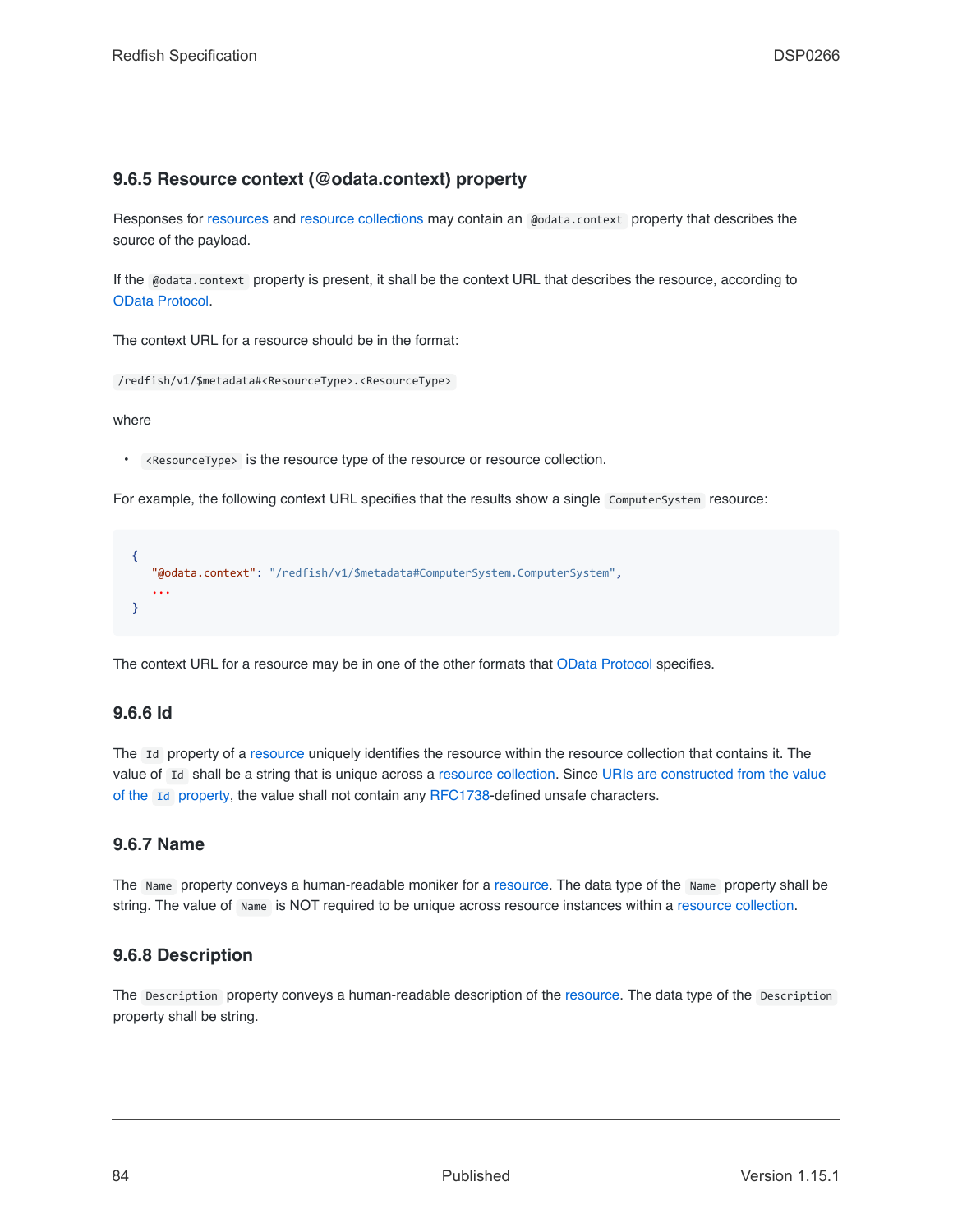# <span id="page-83-2"></span>**9.6.5 Resource context (@odata.context) property**

Responses for [resources](#page-73-0) and [resource collections](#page-74-1) may contain an @odata.context property that describes the source of the payload.

If the @odata.context property is present, it shall be the context URL that describes the resource, according to [OData Protocol](#page-16-0).

The context URL for a resource should be in the format:

/redfish/v1/\$metadata#<ResourceType>.<ResourceType>

where

• <ResourceType> is the resource type of the resource or resource collection.

For example, the following context URL specifies that the results show a single ComputerSystem resource:

{ "@odata.context": "/redfish/v1/\$metadata#ComputerSystem.ComputerSystem", **...** }

The context URL for a resource may be in one of the other formats that [OData Protocol](#page-16-0) specifies.

### <span id="page-83-0"></span>**9.6.6 Id**

The Id property of a [resource](#page-73-0) uniquely identifies the resource within the resource collection that contains it. The value of Id shall be a string that is unique across a [resource collection.](#page-74-1) Since [URIs are constructed from the value](#page-106-1) of the [Id](#page-106-1) [property,](#page-106-1) the value shall not contain any [RFC1738-](#page-15-0)defined unsafe characters.

### <span id="page-83-1"></span>**9.6.7 Name**

The Name property conveys a human-readable moniker for a [resource.](#page-73-0) The data type of the Name property shall be string. The value of Name is NOT required to be unique across resource instances within a [resource collection](#page-74-1).

### <span id="page-83-3"></span>**9.6.8 Description**

The Description property conveys a human-readable description of the [resource](#page-73-0). The data type of the Description property shall be string.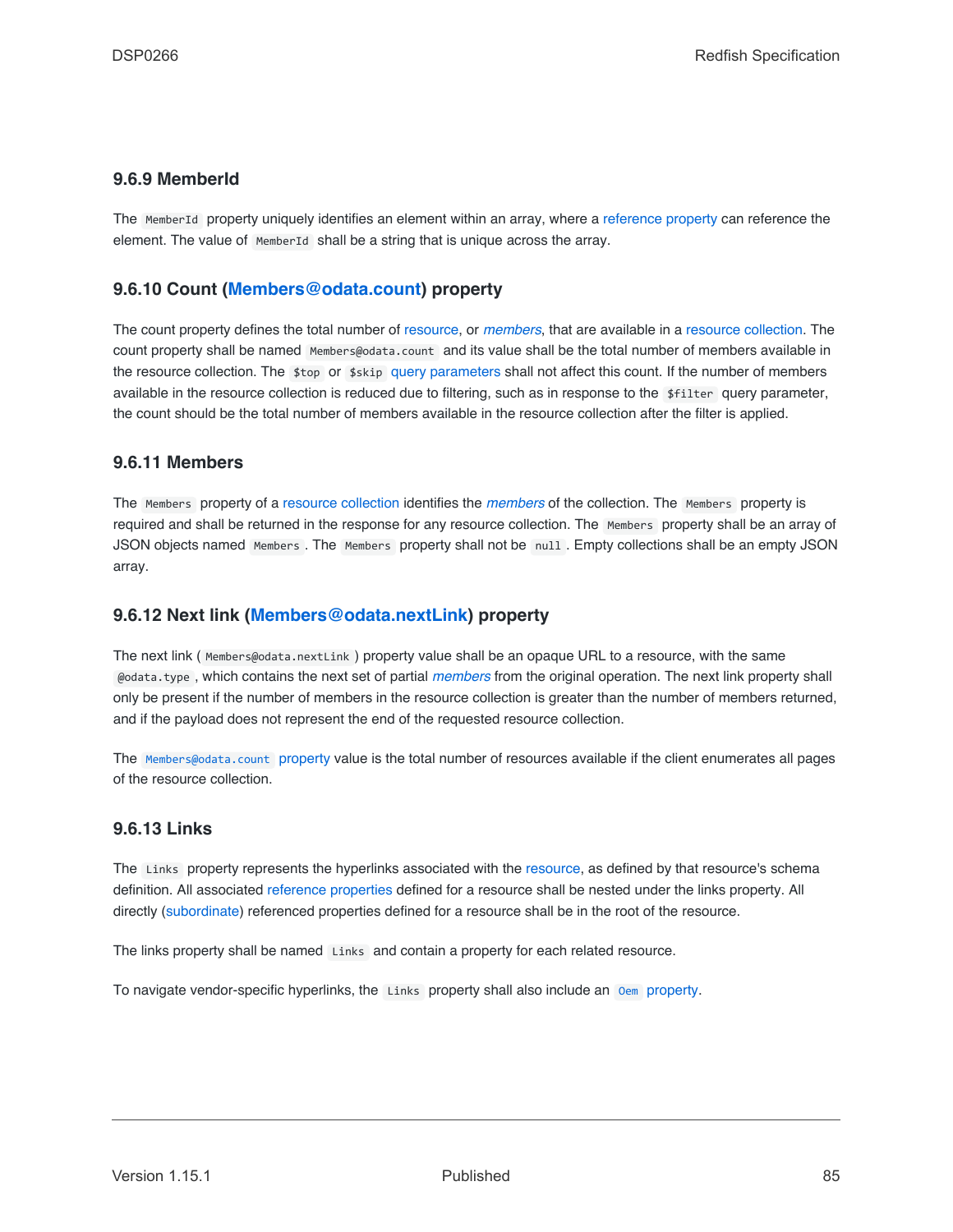## <span id="page-84-4"></span>**9.6.9 MemberId**

The MemberId property uniquely identifies an element within an array, where a [reference property](#page-78-2) can reference the element. The value of MemberId shall be a string that is unique across the array.

## <span id="page-84-1"></span>**9.6.10 Count ([Members@odata.count\)](mailto:Members@odata.count) property**

The count property defines the total number of [resource,](#page-73-0) or *[members](#page-19-0)*, that are available in a [resource collection.](#page-74-1) The count property shall be named Members@odata.count and its value shall be the total number of members available in the resource collection. The \$top or \$skip [query parameters](#page-41-0) shall not affect this count. If the number of members available in the resource collection is reduced due to filtering, such as in response to the \$filter query parameter, the count should be the total number of members available in the resource collection after the filter is applied.

### <span id="page-84-0"></span>**9.6.11 Members**

The Members property of a [resource collection](#page-74-1) identifies the *[members](#page-19-0)* of the collection. The Members property is required and shall be returned in the response for any resource collection. The Members property shall be an array of JSON objects named Members . The Members property shall not be null . Empty collections shall be an empty JSON array.

### <span id="page-84-2"></span>**9.6.12 Next link ([Members@odata.nextLink\)](mailto:Members@odata.nextLink) property**

The next link ( Members@odata.nextLink ) property value shall be an opaque URL to a resource, with the same @odata.type , which contains the next set of partial *[members](#page-19-0)* from the original operation. The next link property shall only be present if the number of members in the resource collection is greater than the number of members returned, and if the payload does not represent the end of the requested resource collection.

The [Members@odata.count](#page-84-1) property value is the total number of resources available if the client enumerates all pages of the resource collection.

### <span id="page-84-3"></span>**9.6.13 Links**

The Links property represents the hyperlinks associated with the [resource](#page-73-0), as defined by that resource's schema definition. All associated [reference properties](#page-78-2) defined for a resource shall be nested under the links property. All directly ([subordinate\)](#page-22-3) referenced properties defined for a resource shall be in the root of the resource.

The links property shall be named Links and contain a property for each related resource.

To navigate vendor-specific hyperlinks, the Links property shall also include an [Oem](#page-87-0) [property.](#page-87-0)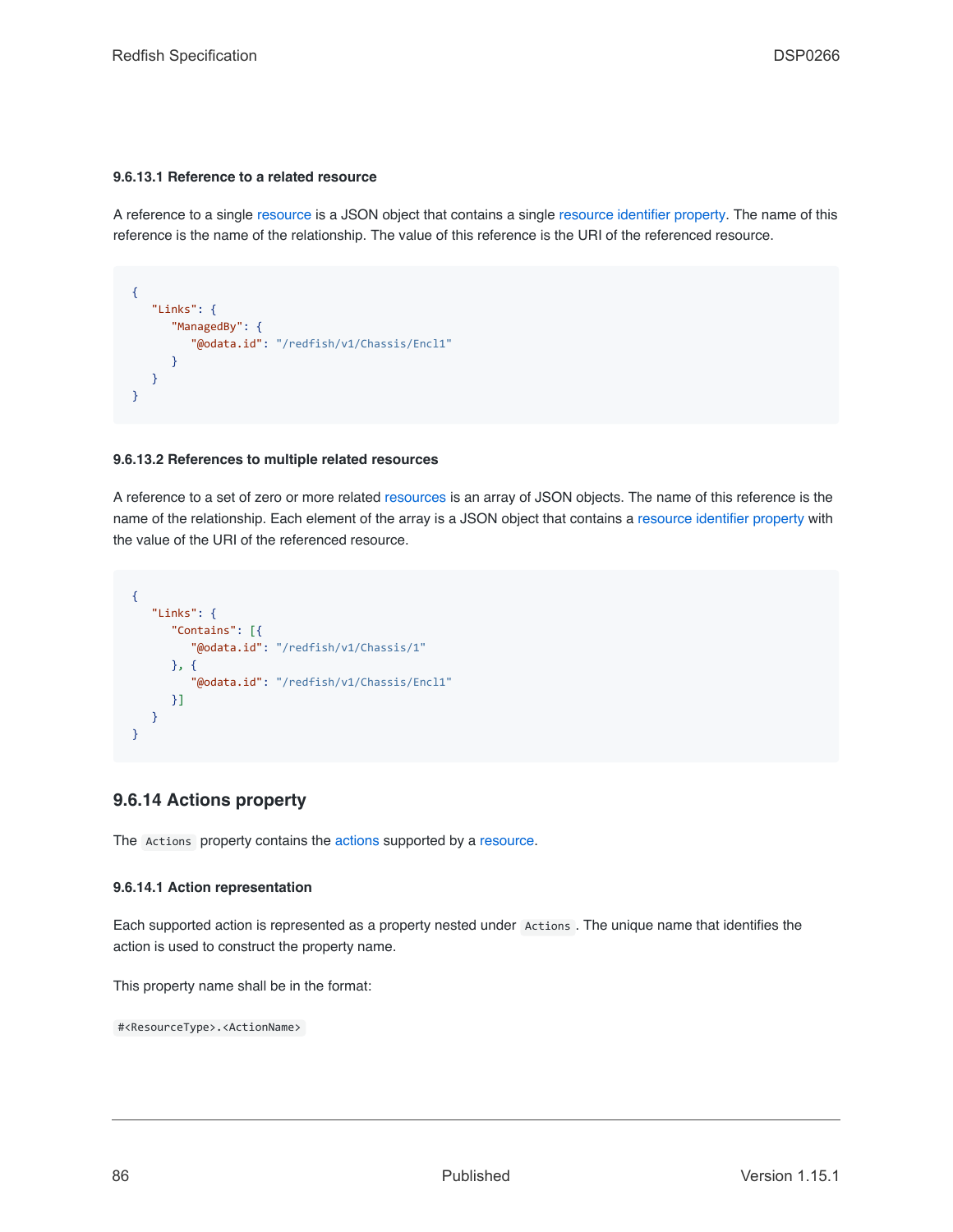#### **9.6.13.1 Reference to a related resource**

A reference to a single [resource](#page-73-0) is a JSON object that contains a single [resource identifier property](#page-82-1). The name of this reference is the name of the relationship. The value of this reference is the URI of the referenced resource.

```
{
   "Links": {
      "ManagedBy": {
         "@odata.id": "/redfish/v1/Chassis/Encl1"
     }
  }
}
```
#### **9.6.13.2 References to multiple related resources**

A reference to a set of zero or more related [resources](#page-73-0) is an array of JSON objects. The name of this reference is the name of the relationship. Each element of the array is a JSON object that contains a [resource identifier property](#page-82-1) with the value of the URI of the referenced resource.

```
{
   "Links": {
      "Contains": [{
         "@odata.id": "/redfish/v1/Chassis/1"
     }, {
         "@odata.id": "/redfish/v1/Chassis/Encl1"
     }]
  }
}
```
# <span id="page-85-0"></span>**9.6.14 Actions property**

The Actions property contains the [actions](#page-53-0) supported by a [resource](#page-73-0).

#### **9.6.14.1 Action representation**

Each supported action is represented as a property nested under Actions . The unique name that identifies the action is used to construct the property name.

This property name shall be in the format:

#<ResourceType>.<ActionName>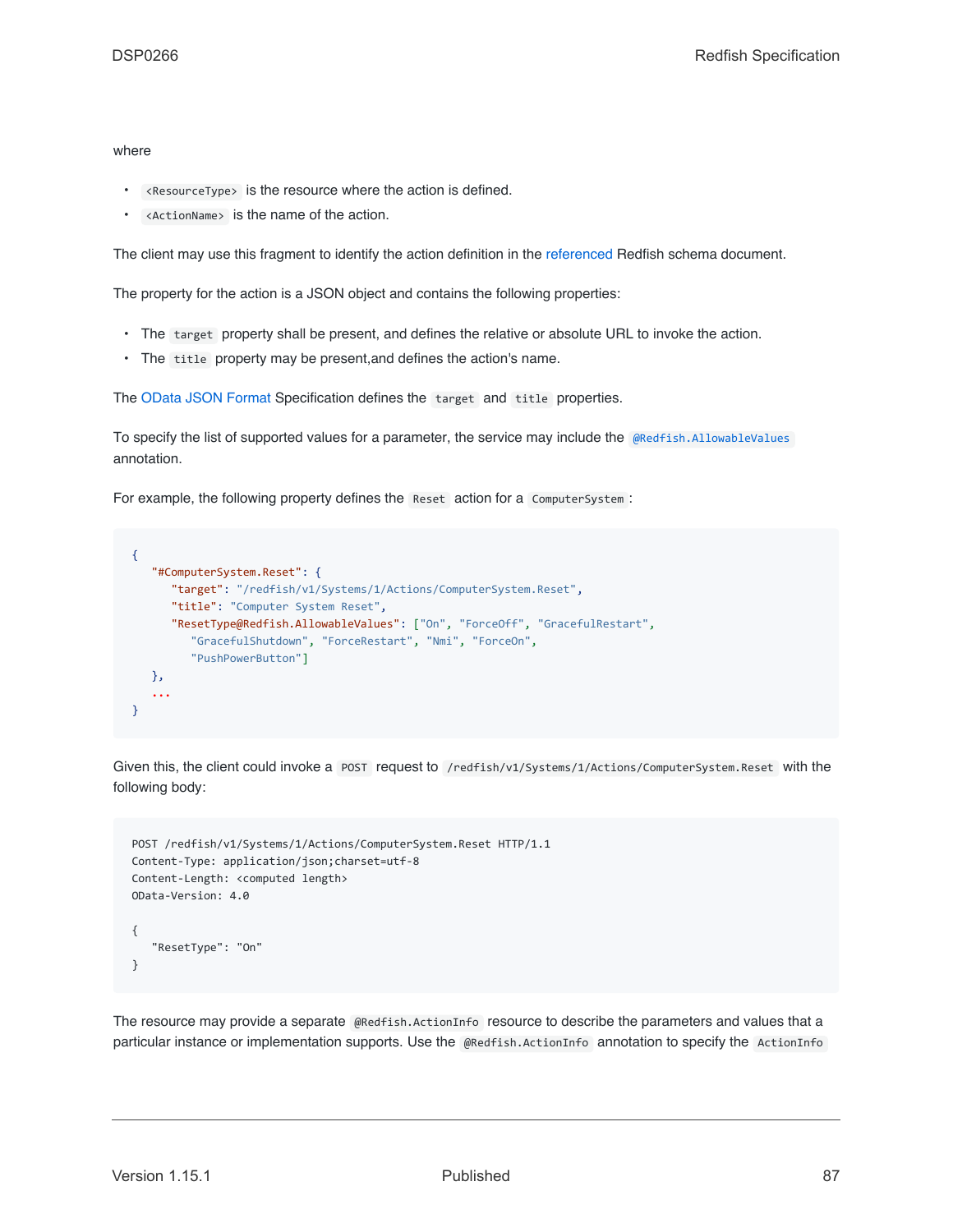#### where

- <ResourceType> is the resource where the action is defined.
- <ActionName> is the name of the action.

The client may use this fragment to identify the action definition in the [referenced](#page-69-0) Redfish schema document.

The property for the action is a JSON object and contains the following properties:

- The target property shall be present, and defines the relative or absolute URL to invoke the action.
- The title property may be present,and defines the action's name.

The [OData JSON Format](#page-201-0) Specification defines the target and title properties.

To specify the list of supported values for a parameter, the service may include the [@Redfish.AllowableValues](#page-94-1) annotation.

For example, the following property defines the Reset action for a ComputerSystem :

```
{
   "#ComputerSystem.Reset": {
      "target": "/redfish/v1/Systems/1/Actions/ComputerSystem.Reset",
      "title": "Computer System Reset",
      "ResetType@Redfish.AllowableValues": ["On", "ForceOff", "GracefulRestart",
         "GracefulShutdown", "ForceRestart", "Nmi", "ForceOn",
        "PushPowerButton"]
  },
   ...
}
```
Given this, the client could invoke a POST request to /redfish/v1/Systems/1/Actions/ComputerSystem.Reset with the following body:

```
POST /redfish/v1/Systems/1/Actions/ComputerSystem.Reset HTTP/1.1
Content-Type: application/json;charset=utf-8
Content-Length: <computed length>
OData-Version: 4.0
{
   "ResetType": "On"
}
```
The resource may provide a separate @Redfish.ActionInfo resource to describe the parameters and values that a particular instance or implementation supports. Use the @Redfish.ActionInfo annotation to specify the ActionInfo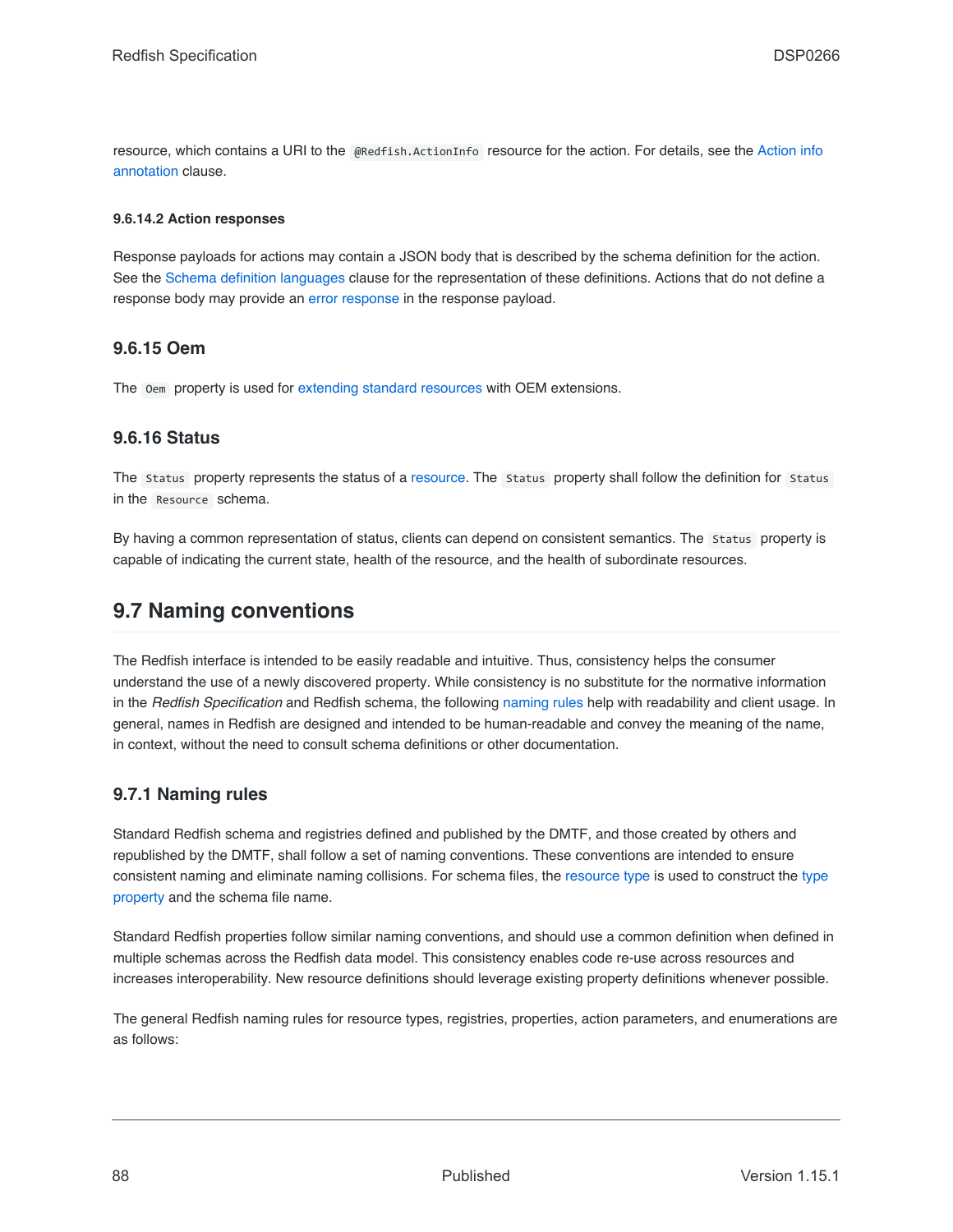resource, which contains a URI to the @Redfish.ActionInfo resource for the action. For details, see the [Action info](#page-96-0) [annotation](#page-96-0) clause.

#### **9.6.14.2 Action responses**

Response payloads for actions may contain a JSON body that is described by the schema definition for the action. See the [Schema definition languages](#page-114-0) clause for the representation of these definitions. Actions that do not define a response body may provide an [error response](#page-71-0) in the response payload.

### <span id="page-87-0"></span>**9.6.15 Oem**

The Oem property is used for [extending standard resources](#page-89-0) with OEM extensions.

### **9.6.16 Status**

The Status property represents the status of a [resource](#page-73-0). The Status property shall follow the definition for Status in the Resource schema.

By having a common representation of status, clients can depend on consistent semantics. The Status property is capable of indicating the current state, health of the resource, and the health of subordinate resources.

# **9.7 Naming conventions**

The Redfish interface is intended to be easily readable and intuitive. Thus, consistency helps the consumer understand the use of a newly discovered property. While consistency is no substitute for the normative information in the *Redfish Specification* and Redfish schema, the following [naming rules](#page-87-1) help with readability and client usage. In general, names in Redfish are designed and intended to be human-readable and convey the meaning of the name, in context, without the need to consult schema definitions or other documentation.

# <span id="page-87-1"></span>**9.7.1 Naming rules**

Standard Redfish schema and registries defined and published by the DMTF, and those created by others and republished by the DMTF, shall follow a set of naming conventions. These conventions are intended to ensure consistent naming and eliminate naming collisions. For schema files, the [resource type](#page-22-0) is used to construct the [type](#page-82-0) [property](#page-82-0) and the schema file name.

Standard Redfish properties follow similar naming conventions, and should use a common definition when defined in multiple schemas across the Redfish data model. This consistency enables code re-use across resources and increases interoperability. New resource definitions should leverage existing property definitions whenever possible.

The general Redfish naming rules for resource types, registries, properties, action parameters, and enumerations are as follows: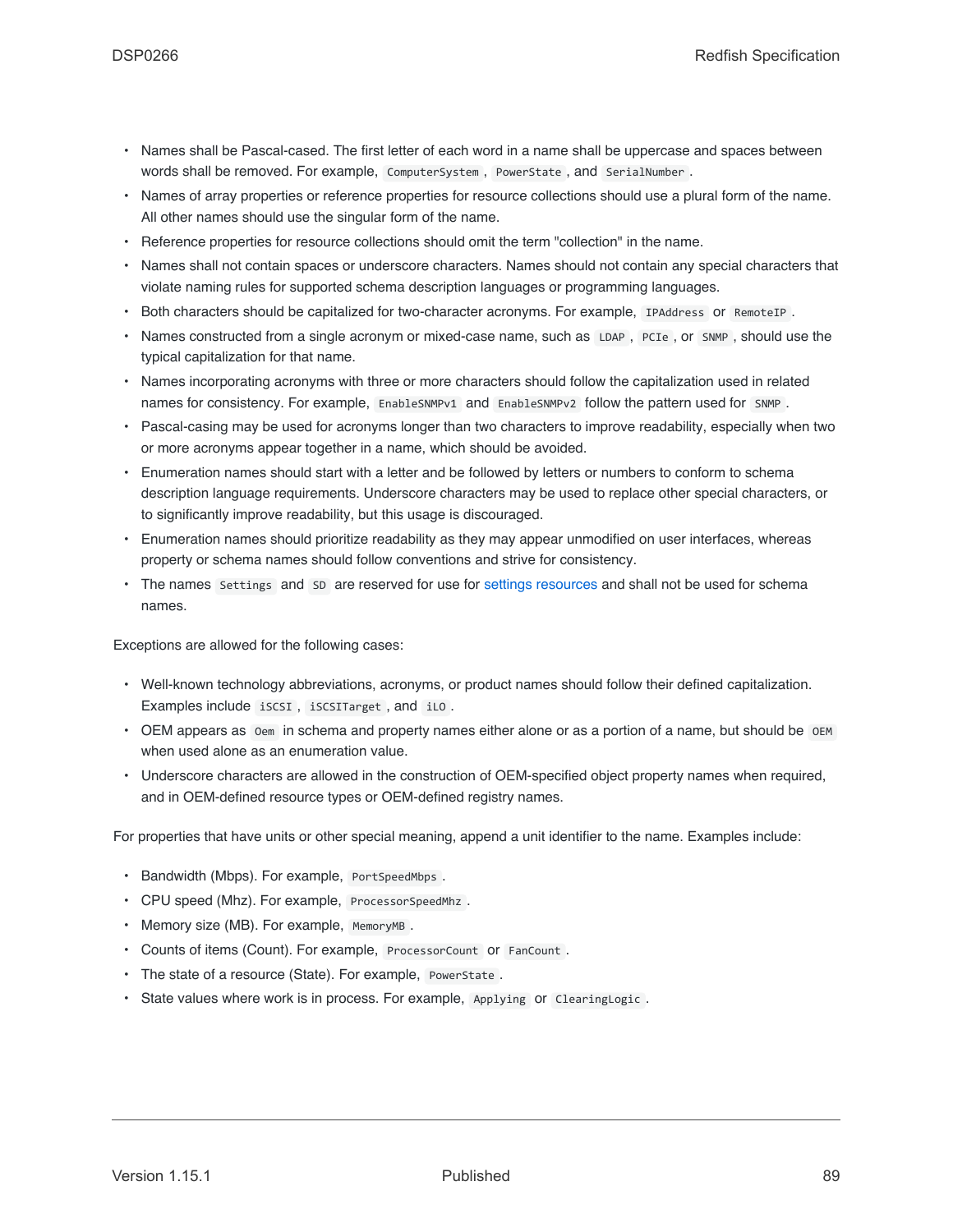- Names shall be Pascal-cased. The first letter of each word in a name shall be uppercase and spaces between words shall be removed. For example, ComputerSystem, PowerState, and SerialNumber.
- Names of array properties or reference properties for resource collections should use a plural form of the name. All other names should use the singular form of the name.
- Reference properties for resource collections should omit the term "collection" in the name.
- Names shall not contain spaces or underscore characters. Names should not contain any special characters that violate naming rules for supported schema description languages or programming languages.
- Both characters should be capitalized for two-character acronyms. For example, IPAddress or RemoteIP .
- Names constructed from a single acronym or mixed-case name, such as LDAP, PCIe, or SNMP, should use the typical capitalization for that name.
- Names incorporating acronyms with three or more characters should follow the capitalization used in related names for consistency. For example, EnableSNMPv1 and EnableSNMPv2 follow the pattern used for SNMP.
- Pascal-casing may be used for acronyms longer than two characters to improve readability, especially when two or more acronyms appear together in a name, which should be avoided.
- Enumeration names should start with a letter and be followed by letters or numbers to conform to schema description language requirements. Underscore characters may be used to replace other special characters, or to significantly improve readability, but this usage is discouraged.
- Enumeration names should prioritize readability as they may appear unmodified on user interfaces, whereas property or schema names should follow conventions and strive for consistency.
- The names Settings and SD are reserved for use for [settings resources](#page-101-0) and shall not be used for schema names.

Exceptions are allowed for the following cases:

- Well-known technology abbreviations, acronyms, or product names should follow their defined capitalization. Examples include iSCSI , iSCSITarget , and iLO .
- OEM appears as oem in schema and property names either alone or as a portion of a name, but should be oem when used alone as an enumeration value.
- Underscore characters are allowed in the construction of OEM-specified object property names when required, and in OEM-defined resource types or OEM-defined registry names.

For properties that have units or other special meaning, append a unit identifier to the name. Examples include:

- Bandwidth (Mbps). For example, PortSpeedMbps .
- CPU speed (Mhz). For example, ProcessorSpeedMhz .
- Memory size (MB). For example, MemoryMB.
- Counts of items (Count). For example, ProcessorCount or FanCount .
- The state of a resource (State). For example, PowerState .
- State values where work is in process. For example, Applying or ClearingLogic .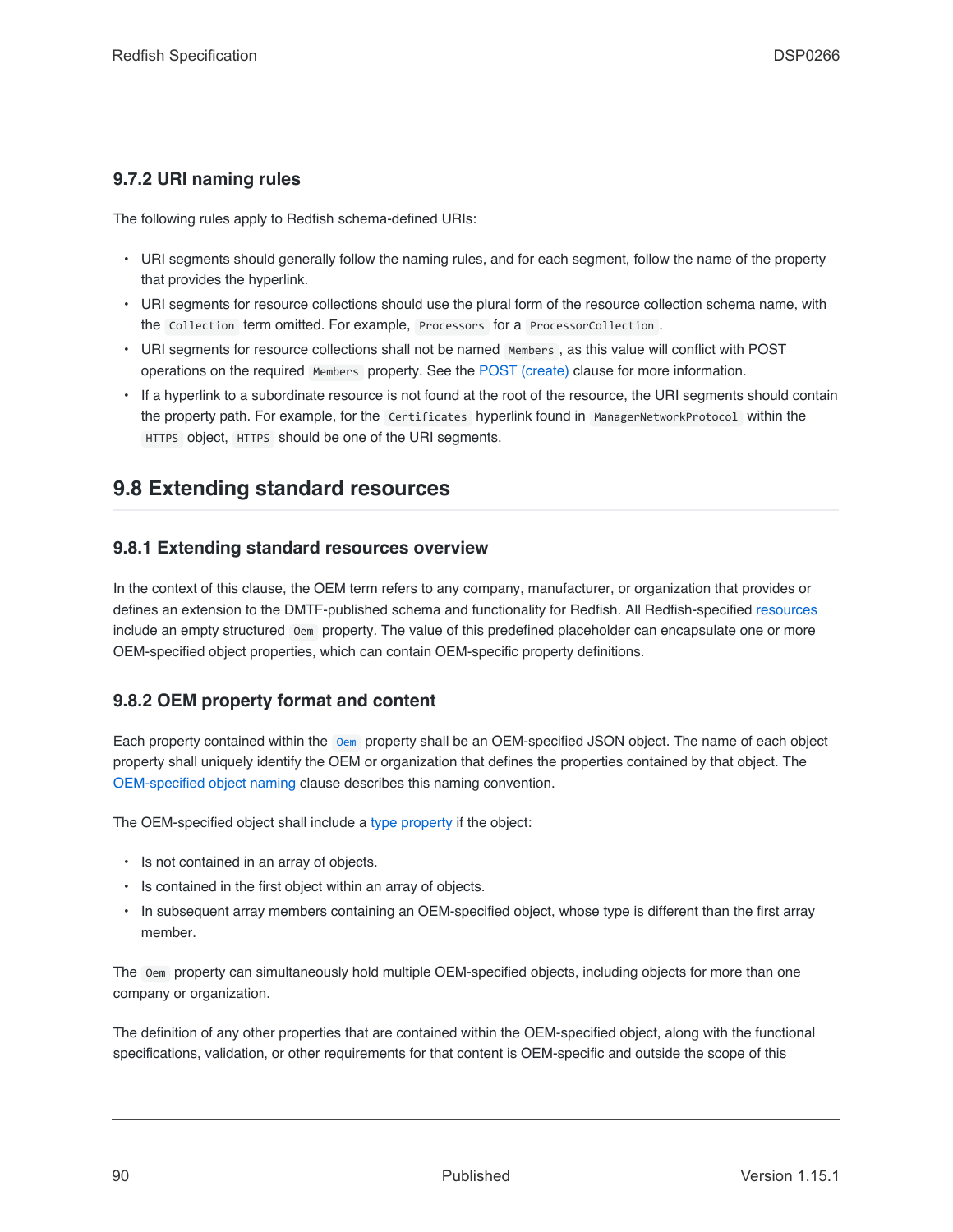# <span id="page-89-1"></span>**9.7.2 URI naming rules**

The following rules apply to Redfish schema-defined URIs:

- URI segments should generally follow the naming rules, and for each segment, follow the name of the property that provides the hyperlink.
- URI segments for resource collections should use the plural form of the resource collection schema name, with the Collection term omitted. For example, Processors for a ProcessorCollection .
- URI segments for resource collections shall not be named Members, as this value will conflict with POST operations on the required Members property. See the [POST \(create\)](#page-52-0) clause for more information.
- If a hyperlink to a subordinate resource is not found at the root of the resource, the URI segments should contain the property path. For example, for the Certificates hyperlink found in ManagerNetworkProtocol within the HTTPS object, HTTPS should be one of the URI segments.

# <span id="page-89-0"></span>**9.8 Extending standard resources**

# **9.8.1 Extending standard resources overview**

In the context of this clause, the OEM term refers to any company, manufacturer, or organization that provides or defines an extension to the DMTF-published schema and functionality for Redfish. All Redfish-specified [resources](#page-73-0) include an empty structured Oem property. The value of this predefined placeholder can encapsulate one or more OEM-specified object properties, which can contain OEM-specific property definitions.

# **9.8.2 OEM property format and content**

Each property contained within the [Oem](#page-87-0) property shall be an OEM-specified JSON object. The name of each object property shall uniquely identify the OEM or organization that defines the properties contained by that object. The [OEM-specified object naming](#page-90-1) clause describes this naming convention.

The OEM-specified object shall include a [type property](#page-82-0) if the object:

- Is not contained in an array of objects.
- Is contained in the first object within an array of objects.
- In subsequent array members containing an OEM-specified object, whose type is different than the first array member.

The Oem property can simultaneously hold multiple OEM-specified objects, including objects for more than one company or organization.

The definition of any other properties that are contained within the OEM-specified object, along with the functional specifications, validation, or other requirements for that content is OEM-specific and outside the scope of this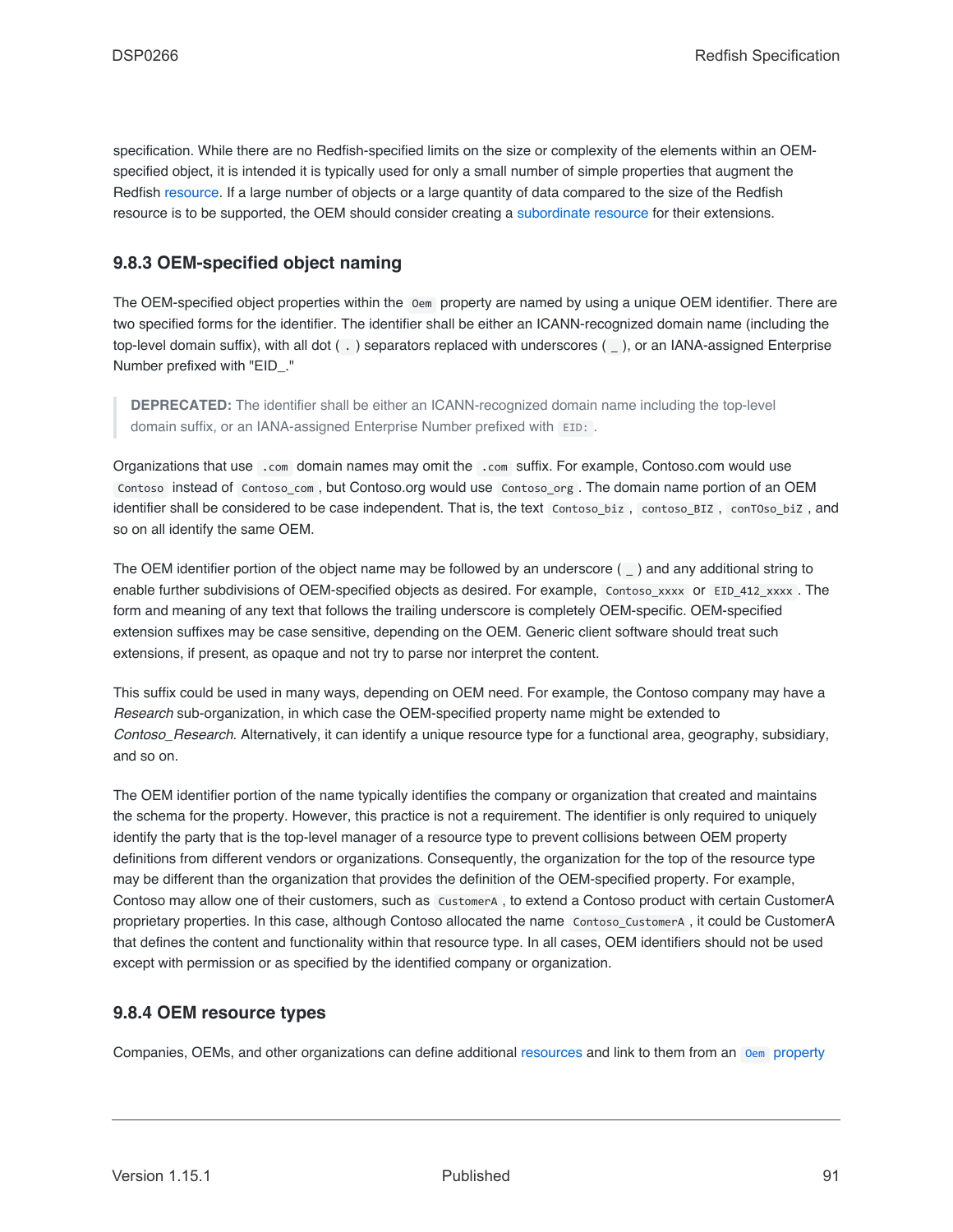specification. While there are no Redfish-specified limits on the size or complexity of the elements within an OEMspecified object, it is intended it is typically used for only a small number of simple properties that augment the Redfish [resource.](#page-73-0) If a large number of objects or a large quantity of data compared to the size of the Redfish resource is to be supported, the OEM should consider creating a [subordinate resource](#page-22-3) for their extensions.

# <span id="page-90-1"></span>**9.8.3 OEM-specified object naming**

The OEM-specified object properties within the Oem property are named by using a unique OEM identifier. There are two specified forms for the identifier. The identifier shall be either an ICANN-recognized domain name (including the top-level domain suffix), with all dot ( . ) separators replaced with underscores ( \_ ), or an IANA-assigned Enterprise Number prefixed with "EID\_."

**DEPRECATED:** The identifier shall be either an ICANN-recognized domain name including the top-level domain suffix, or an IANA-assigned Enterprise Number prefixed with EID: .

Organizations that use .com domain names may omit the .com suffix. For example, Contoso.com would use Contoso instead of Contoso\_com , but Contoso.org would use Contoso\_org . The domain name portion of an OEM identifier shall be considered to be case independent. That is, the text Contoso biz, contoso BIZ, conTOso biZ, and so on all identify the same OEM.

The OEM identifier portion of the object name may be followed by an underscore ( \_ ) and any additional string to enable further subdivisions of OEM-specified objects as desired. For example, Contoso\_xxxx or EID\_412\_xxxx . The form and meaning of any text that follows the trailing underscore is completely OEM-specific. OEM-specified extension suffixes may be case sensitive, depending on the OEM. Generic client software should treat such extensions, if present, as opaque and not try to parse nor interpret the content.

This suffix could be used in many ways, depending on OEM need. For example, the Contoso company may have a *Research* sub-organization, in which case the OEM-specified property name might be extended to *Contoso\_Research*. Alternatively, it can identify a unique resource type for a functional area, geography, subsidiary, and so on.

The OEM identifier portion of the name typically identifies the company or organization that created and maintains the schema for the property. However, this practice is not a requirement. The identifier is only required to uniquely identify the party that is the top-level manager of a resource type to prevent collisions between OEM property definitions from different vendors or organizations. Consequently, the organization for the top of the resource type may be different than the organization that provides the definition of the OEM-specified property. For example, Contoso may allow one of their customers, such as CustomerA , to extend a Contoso product with certain CustomerA proprietary properties. In this case, although Contoso allocated the name Contoso\_CustomerA , it could be CustomerA that defines the content and functionality within that resource type. In all cases, OEM identifiers should not be used except with permission or as specified by the identified company or organization.

### <span id="page-90-0"></span>**9.8.4 OEM resource types**

Companies, OEMs, and other organizations can define additional [resources](#page-73-0) and link to them from an [Oem](#page-87-0) [property](#page-87-0)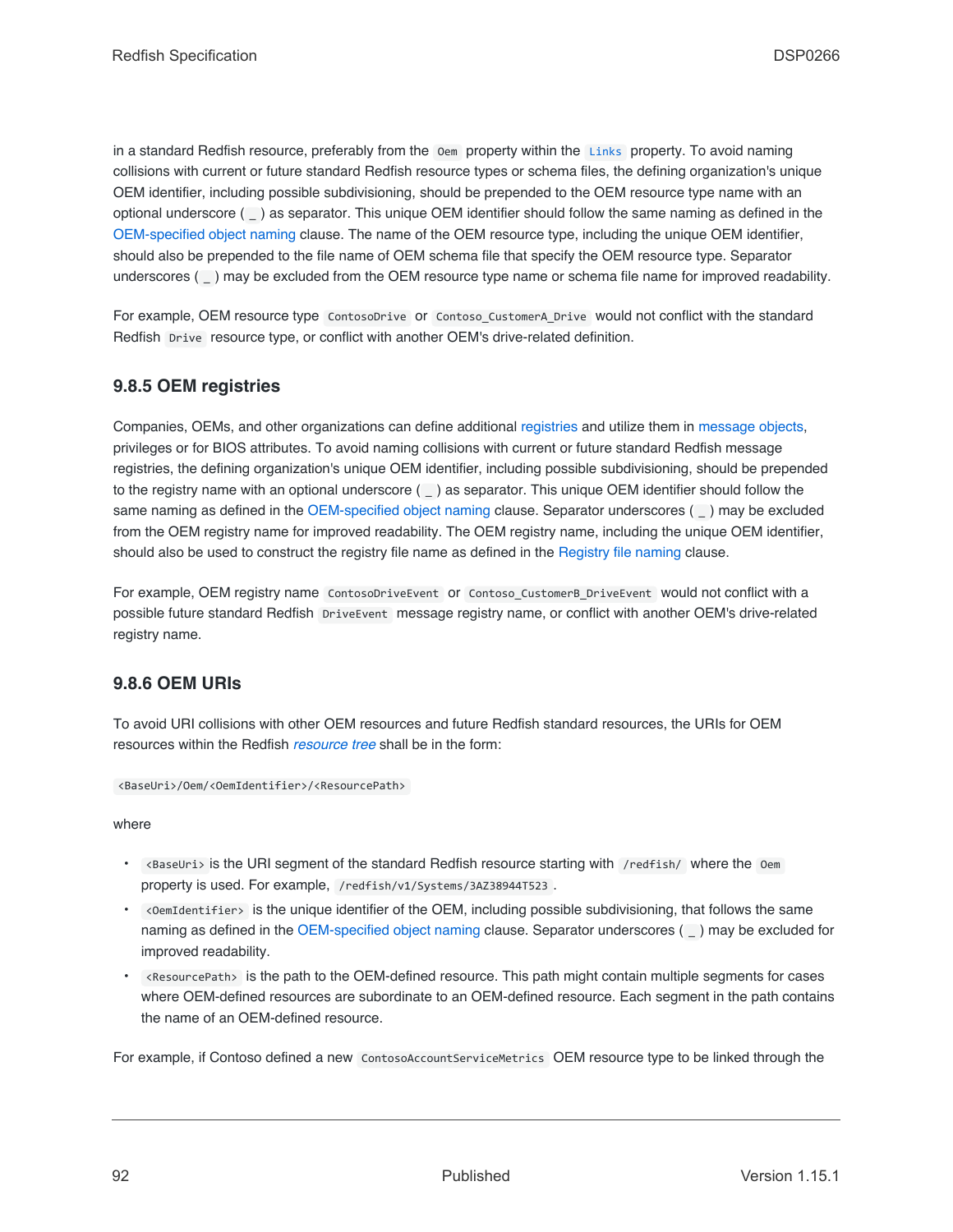in a standard Redfish resource, preferably from the Oem property within the [Links](#page-84-3) property. To avoid naming collisions with current or future standard Redfish resource types or schema files, the defining organization's unique OEM identifier, including possible subdivisioning, should be prepended to the OEM resource type name with an optional underscore ( \_ ) as separator. This unique OEM identifier should follow the same naming as defined in the [OEM-specified object naming](#page-90-1) clause. The name of the OEM resource type, including the unique OEM identifier, should also be prepended to the file name of OEM schema file that specify the OEM resource type. Separator underscores () may be excluded from the OEM resource type name or schema file name for improved readability.

For example, OEM resource type ContosoDrive or Contoso\_CustomerA\_Drive would not conflict with the standard Redfish Drive resource type, or conflict with another OEM's drive-related definition.

# **9.8.5 OEM registries**

Companies, OEMs, and other organizations can define additional [registries](#page-104-0) and utilize them in [message objects](#page-79-1), privileges or for BIOS attributes. To avoid naming collisions with current or future standard Redfish message registries, the defining organization's unique OEM identifier, including possible subdivisioning, should be prepended to the registry name with an optional underscore (  $\angle$  ) as separator. This unique OEM identifier should follow the same naming as defined in the [OEM-specified object naming](#page-90-1) clause. Separator underscores ( \_) may be excluded from the OEM registry name for improved readability. The OEM registry name, including the unique OEM identifier, should also be used to construct the registry file name as defined in the [Registry file naming](#page-111-0) clause.

For example, OEM registry name ContosoDriveEvent or Contoso\_CustomerB\_DriveEvent would not conflict with a possible future standard Redfish DriveEvent message registry name, or conflict with another OEM's drive-related registry name.

### **9.8.6 OEM URIs**

To avoid URI collisions with other OEM resources and future Redfish standard resources, the URIs for OEM resources within the Redfish *[resource tree](#page-22-2)* shall be in the form:

```
<BaseUri>/Oem/<OemIdentifier>/<ResourcePath>
```
where

- <BaseUri> is the URI segment of the standard Redfish resource starting with /redfish/ where the Oem property is used. For example, /redfish/v1/Systems/3AZ38944T523 .
- <OemIdentifier> is the unique identifier of the OEM, including possible subdivisioning, that follows the same naming as defined in the [OEM-specified object naming](#page-90-1) clause. Separator underscores ( \_ ) may be excluded for improved readability.
- <ResourcePath> is the path to the OEM-defined resource. This path might contain multiple segments for cases where OEM-defined resources are subordinate to an OEM-defined resource. Each segment in the path contains the name of an OEM-defined resource.

For example, if Contoso defined a new ContosoAccountServiceMetrics OEM resource type to be linked through the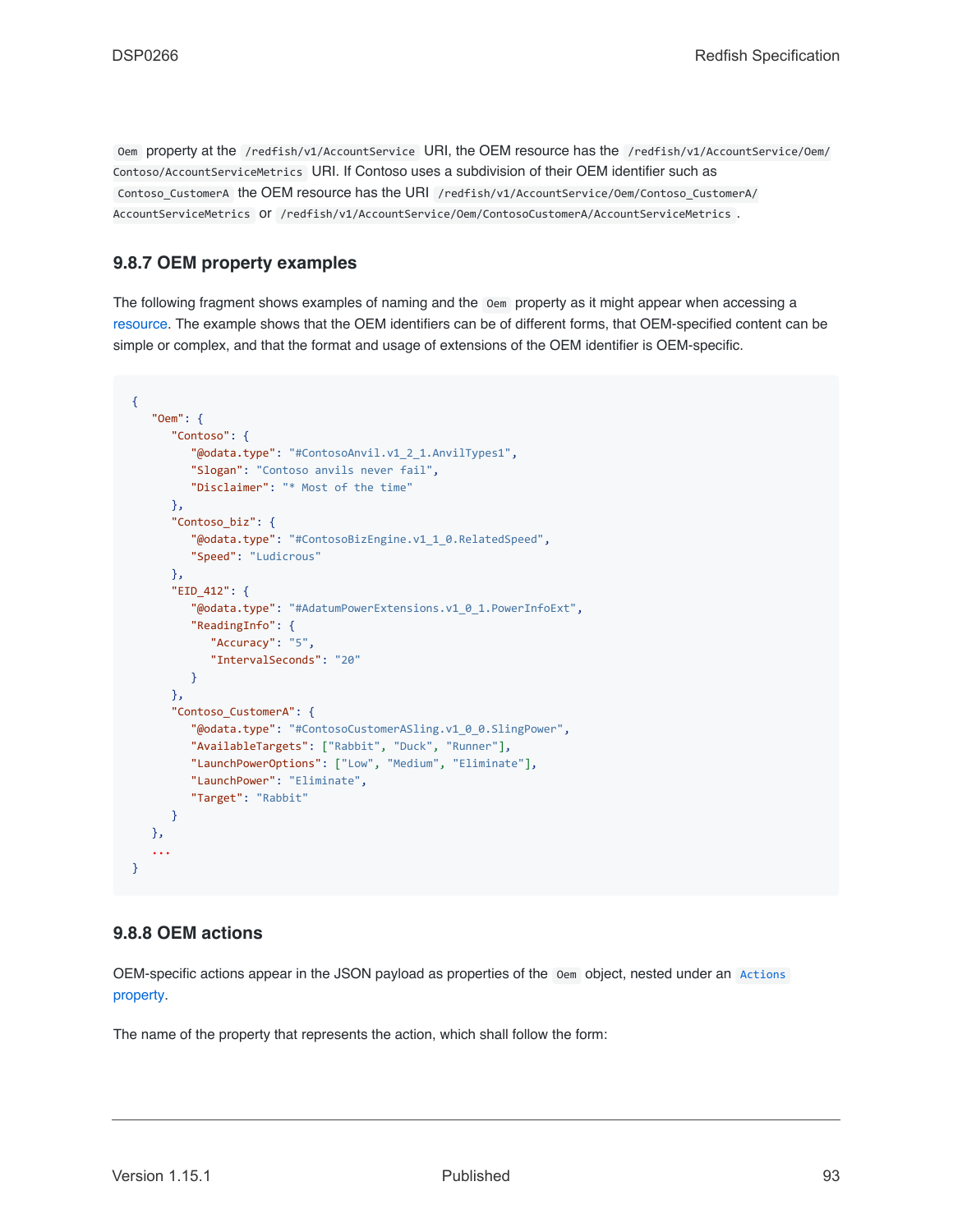Oem property at the /redfish/v1/AccountService URI, the OEM resource has the /redfish/v1/AccountService/Oem/ Contoso/AccountServiceMetrics URI. If Contoso uses a subdivision of their OEM identifier such as Contoso CustomerA the OEM resource has the URI /redfish/v1/AccountService/Oem/Contoso CustomerA/ AccountServiceMetrics or /redfish/v1/AccountService/Oem/ContosoCustomerA/AccountServiceMetrics .

# **9.8.7 OEM property examples**

The following fragment shows examples of naming and the Oem property as it might appear when accessing a [resource.](#page-73-0) The example shows that the OEM identifiers can be of different forms, that OEM-specified content can be simple or complex, and that the format and usage of extensions of the OEM identifier is OEM-specific.

```
{
   "Oem": {
      "Contoso": {
         "@odata.type": "#ContosoAnvil.v1_2_1.AnvilTypes1",
         "Slogan": "Contoso anvils never fail",
        "Disclaimer": "* Most of the time"
     },
      "Contoso_biz": {
         "@odata.type": "#ContosoBizEngine.v1_1_0.RelatedSpeed",
         "Speed": "Ludicrous"
      },
      "EID_412": {
         "@odata.type": "#AdatumPowerExtensions.v1_0_1.PowerInfoExt",
         "ReadingInfo": {
           "Accuracy": "5",
            "IntervalSeconds": "20"
        }
      },
      "Contoso_CustomerA": {
         "@odata.type": "#ContosoCustomerASling.v1_0_0.SlingPower",
         "AvailableTargets": ["Rabbit", "Duck", "Runner"],
         "LaunchPowerOptions": ["Low", "Medium", "Eliminate"],
         "LaunchPower": "Eliminate",
         "Target": "Rabbit"
      }
   },
   ...
}
```
### <span id="page-92-0"></span>**9.8.8 OEM actions**

OEM-specific actions appear in the JSON payload as properties of the Oem object, nested under an [Actions](#page-85-0) [property.](#page-85-0)

The name of the property that represents the action, which shall follow the form: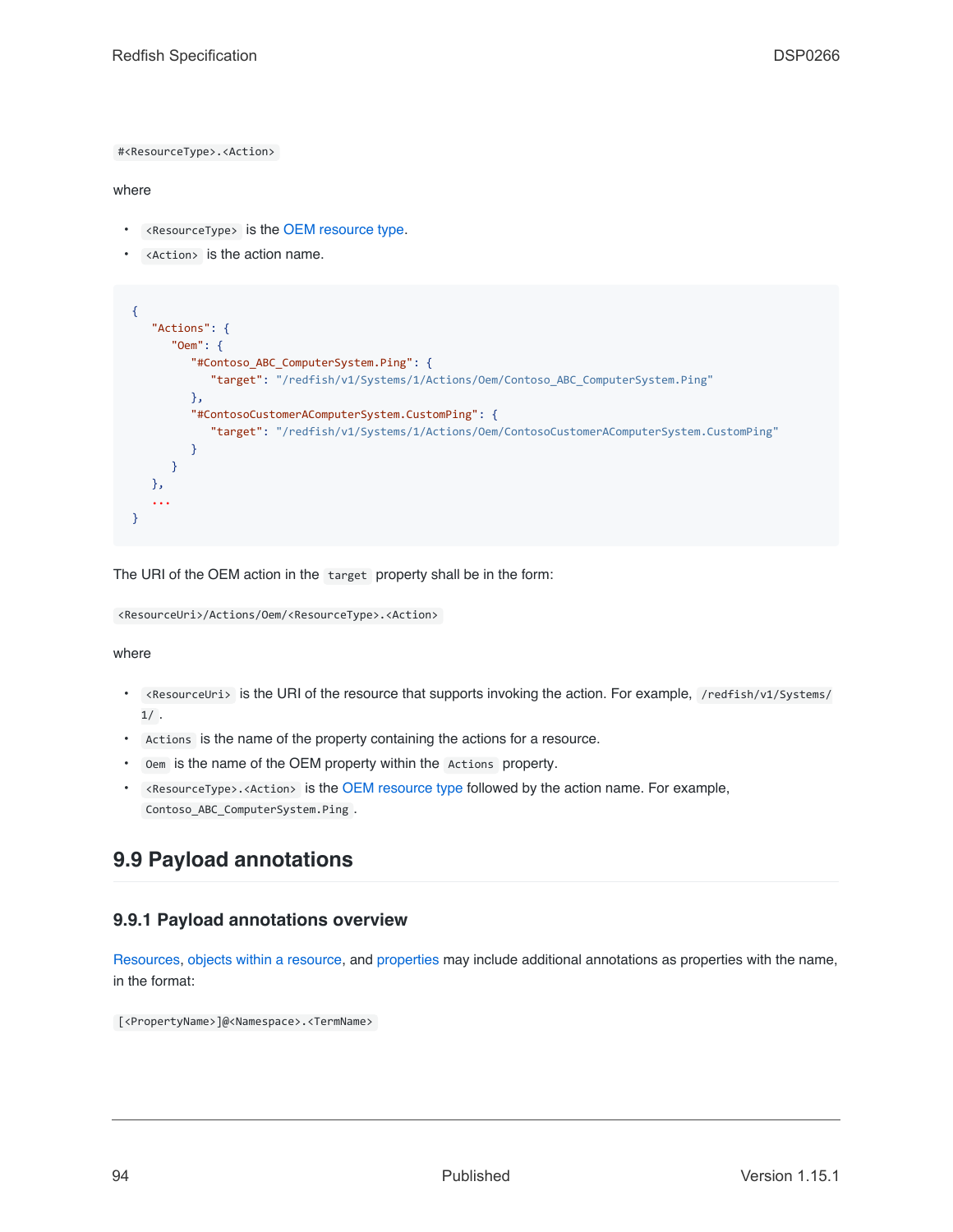#<ResourceType>.<Action>

#### where

- <ResourceType> is the [OEM resource type.](#page-90-0)
- <Action> is the action name.

```
{
   "Actions": {
      "Oem": {
         "#Contoso_ABC_ComputerSystem.Ping": {
            "target": "/redfish/v1/Systems/1/Actions/Oem/Contoso_ABC_ComputerSystem.Ping"
         },
         "#ContosoCustomerAComputerSystem.CustomPing": {
            "target": "/redfish/v1/Systems/1/Actions/Oem/ContosoCustomerAComputerSystem.CustomPing"
         }
      }
   },
   ...
}
```
The URI of the OEM action in the target property shall be in the form:

<ResourceUri>/Actions/Oem/<ResourceType>.<Action>

where

- <ResourceUri> is the URI of the resource that supports invoking the action. For example, /redfish/v1/Systems/  $1/$ .
- Actions is the name of the property containing the actions for a resource.
- Oem is the name of the OEM property within the Actions property.
- <ResourceType>.<Action> is the [OEM resource type](#page-90-0) followed by the action name. For example, Contoso\_ABC\_ComputerSystem.Ping .

# <span id="page-93-0"></span>**9.9 Payload annotations**

### **9.9.1 Payload annotations overview**

[Resources,](#page-73-0) [objects within a resource,](#page-79-0) and [properties](#page-81-0) may include additional annotations as properties with the name, in the format:

[<PropertyName>]@<Namespace>.<TermName>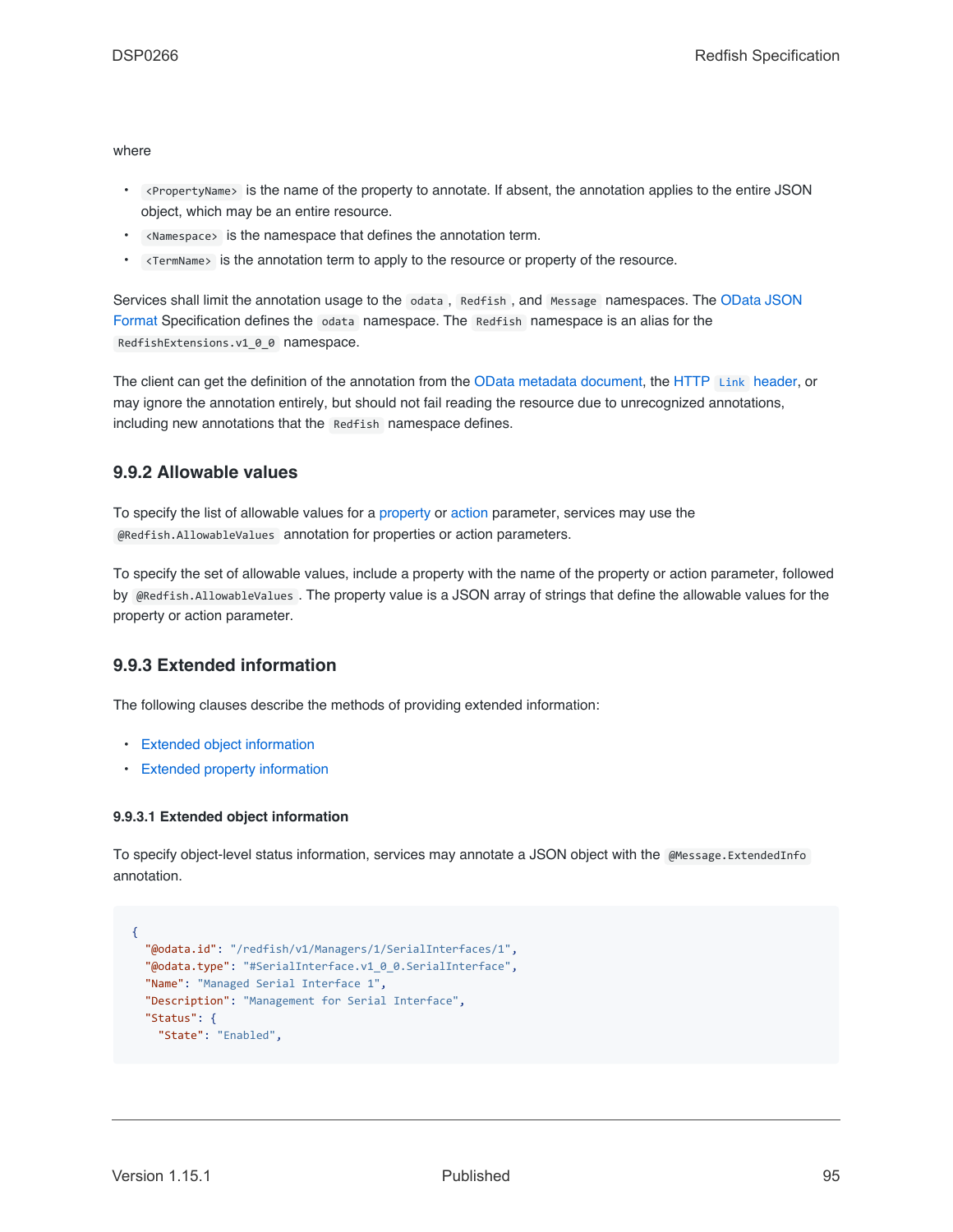where

- <PropertyName> is the name of the property to annotate. If absent, the annotation applies to the entire JSON object, which may be an entire resource.
- <Namespace> is the namespace that defines the annotation term.
- <TermName> is the annotation term to apply to the resource or property of the resource.

Services shall limit the annotation usage to the odata, Redfish, and Message namespaces. The [OData JSON](#page-201-0) [Format](#page-201-0) Specification defines the odata namespace. The Redfish namespace is an alias for the RedfishExtensions.v1\_0\_0 namespace.

The client can get the definition of the annotation from the [OData metadata document,](#page-68-0) the HTTP [Link](#page-65-0) [header](#page-65-0), or may ignore the annotation entirely, but should not fail reading the resource due to unrecognized annotations, including new annotations that the Redfish namespace defines.

### <span id="page-94-1"></span>**9.9.2 Allowable values**

To specify the list of allowable values for a [property](#page-81-0) or [action](#page-53-0) parameter, services may use the @Redfish.AllowableValues annotation for properties or action parameters.

To specify the set of allowable values, include a property with the name of the property or action parameter, followed by @Redfish.AllowableValues . The property value is a JSON array of strings that define the allowable values for the property or action parameter.

### **9.9.3 Extended information**

The following clauses describe the methods of providing extended information:

- [Extended object information](#page-94-0)
- [Extended property information](#page-95-0)

#### <span id="page-94-0"></span>**9.9.3.1 Extended object information**

To specify object-level status information, services may annotate a JSON object with the @Message.ExtendedInfo annotation.

```
{
 "@odata.id": "/redfish/v1/Managers/1/SerialInterfaces/1",
 "@odata.type": "#SerialInterface.v1_0_0.SerialInterface",
 "Name": "Managed Serial Interface 1",
 "Description": "Management for Serial Interface",
 "Status": {
   "State": "Enabled",
```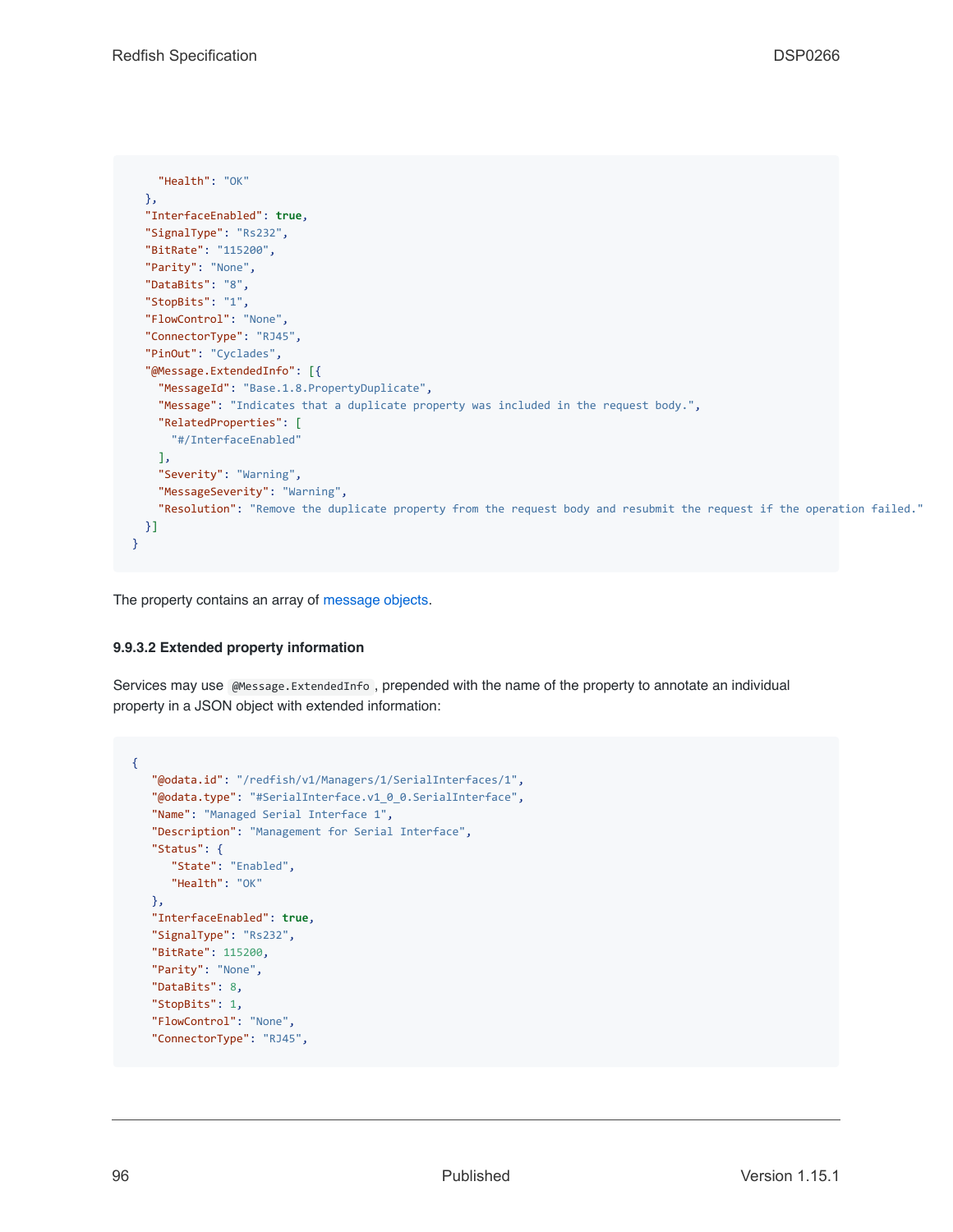```
"Health": "OK"
 },
  "InterfaceEnabled": true,
 "SignalType": "Rs232",
 "BitRate": "115200",
 "Parity": "None",
 "DataBits": "8",
 "StopBits": "1",
  "FlowControl": "None",
  "ConnectorType": "RJ45",
  "PinOut": "Cyclades",
  "@Message.ExtendedInfo": [{
    "MessageId": "Base.1.8.PropertyDuplicate",
   "Message": "Indicates that a duplicate property was included in the request body.",
   "RelatedProperties": [
     "#/InterfaceEnabled"
   ],
    "Severity": "Warning",
    "MessageSeverity": "Warning",
    "Resolution": "Remove the duplicate property from the request body and resubmit the request if the operation failed."
 }]
}
```
The property contains an array of [message objects](#page-79-1).

#### <span id="page-95-0"></span>**9.9.3.2 Extended property information**

Services may use @Message.ExtendedInfo , prepended with the name of the property to annotate an individual property in a JSON object with extended information:

```
{
   "@odata.id": "/redfish/v1/Managers/1/SerialInterfaces/1",
   "@odata.type": "#SerialInterface.v1_0_0.SerialInterface",
   "Name": "Managed Serial Interface 1",
   "Description": "Management for Serial Interface",
   "Status": {
     "State": "Enabled",
      "Health": "OK"
   },
   "InterfaceEnabled": true,
   "SignalType": "Rs232",
   "BitRate": 115200,
   "Parity": "None",
   "DataBits": 8,
   "StopBits": 1,
   "FlowControl": "None",
   "ConnectorType": "RJ45",
```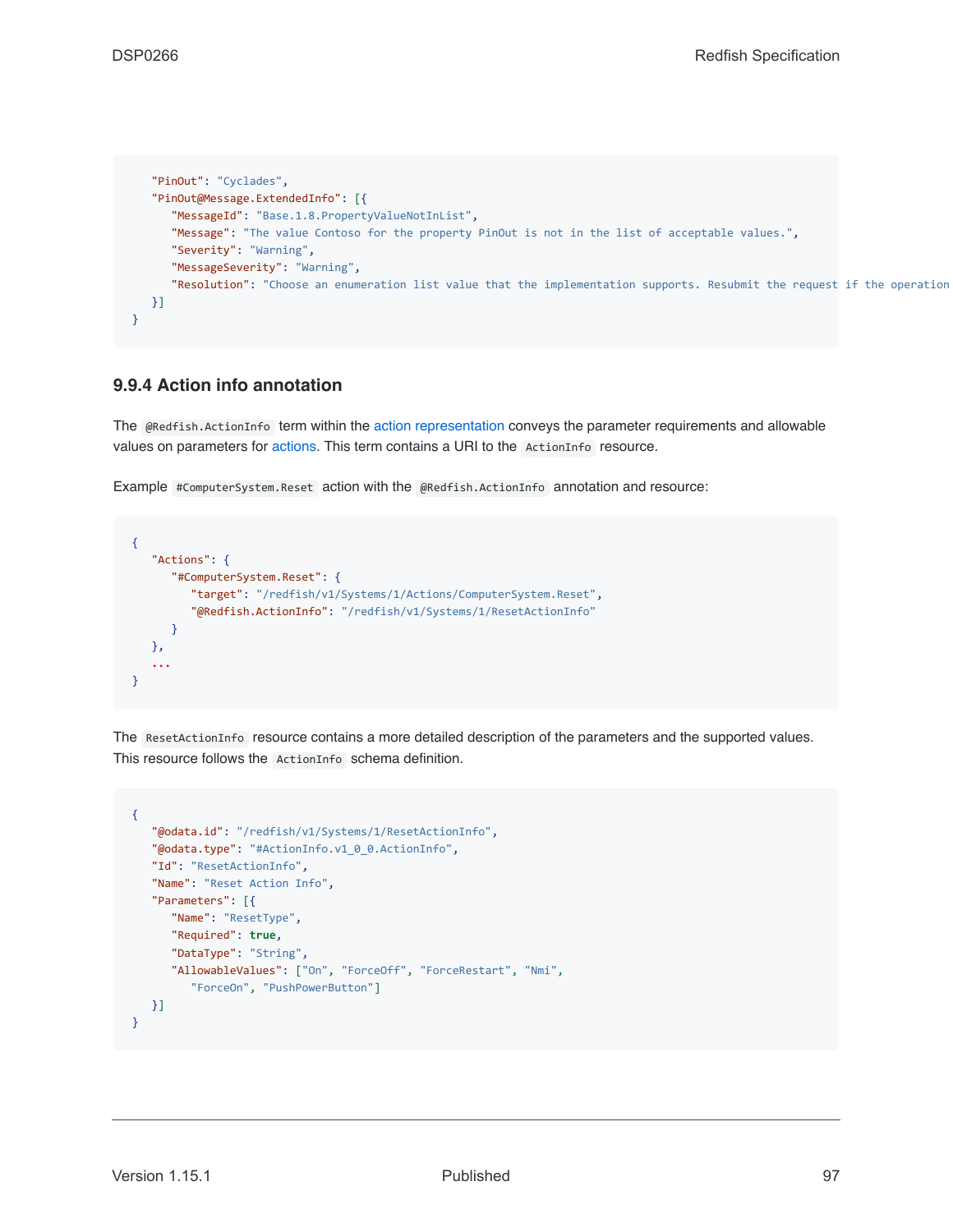```
"PinOut": "Cyclades",
  "PinOut@Message.ExtendedInfo": [{
     "MessageId": "Base.1.8.PropertyValueNotInList",
     "Message": "The value Contoso for the property PinOut is not in the list of acceptable values.",
     "Severity": "Warning",
     "MessageSeverity": "Warning",
      "Resolution": "Choose an enumeration list value that the implementation supports. Resubmit the request if the operation
  }]
}
```
# <span id="page-96-0"></span>**9.9.4 Action info annotation**

The @Redfish.ActionInfo term within the [action representation](#page-28-0) conveys the parameter requirements and allowable values on parameters for [actions](#page-53-0). This term contains a URI to the ActionInfo resource.

Example #ComputerSystem.Reset action with the @Redfish.ActionInfo annotation and resource:

```
{
   "Actions": {
      "#ComputerSystem.Reset": {
         "target": "/redfish/v1/Systems/1/Actions/ComputerSystem.Reset",
         "@Redfish.ActionInfo": "/redfish/v1/Systems/1/ResetActionInfo"
      }
   },
   ...
}
```
The ResetActionInfo resource contains a more detailed description of the parameters and the supported values. This resource follows the ActionInfo schema definition.

```
{
   "@odata.id": "/redfish/v1/Systems/1/ResetActionInfo",
   "@odata.type": "#ActionInfo.v1_0_0.ActionInfo",
   "Id": "ResetActionInfo",
   "Name": "Reset Action Info",
   "Parameters": [{
      "Name": "ResetType",
      "Required": true,
      "DataType": "String",
      "AllowableValues": ["On", "ForceOff", "ForceRestart", "Nmi",
         "ForceOn", "PushPowerButton"]
  }]
}
```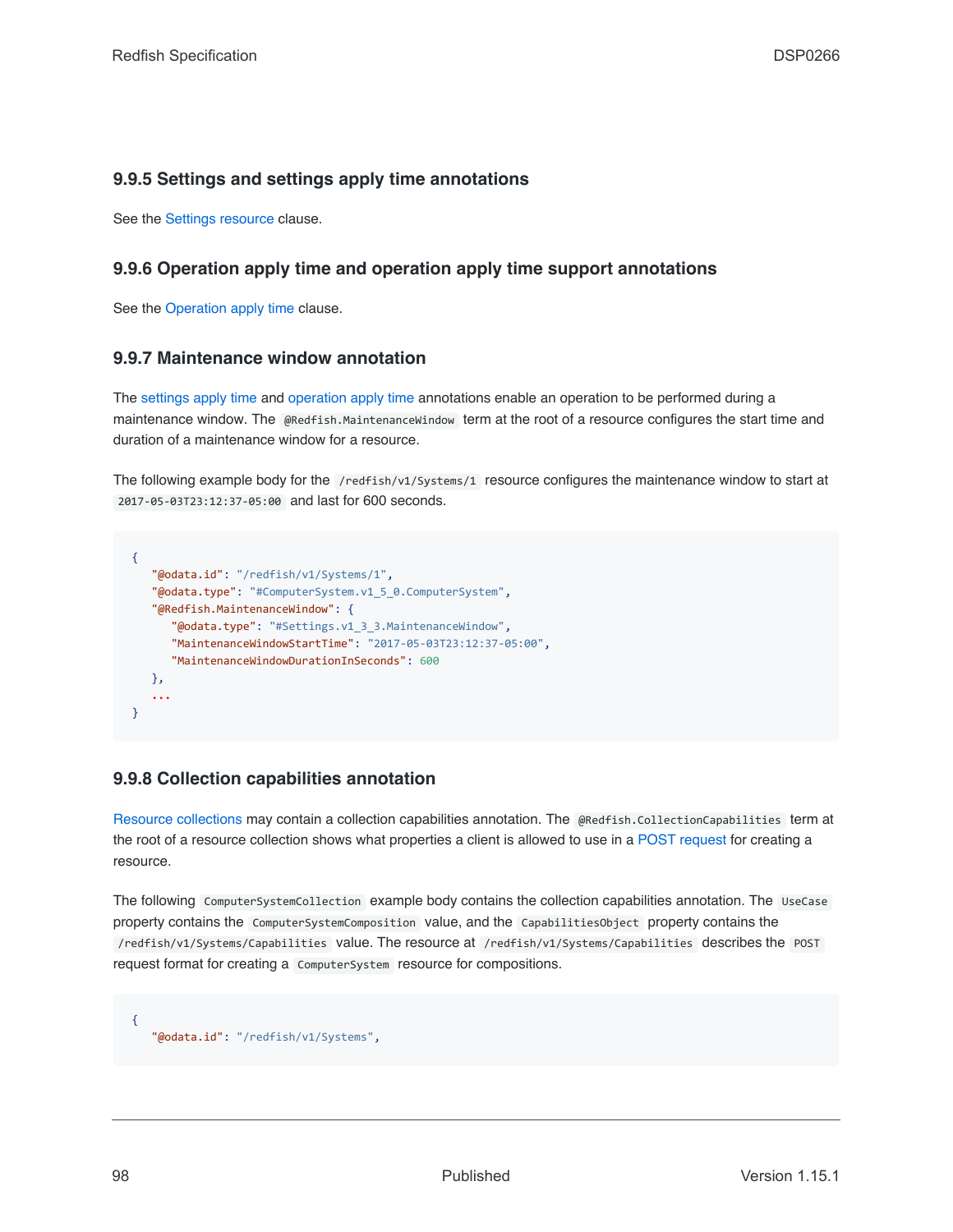## **9.9.5 Settings and settings apply time annotations**

See the [Settings resource](#page-101-0) clause.

### **9.9.6 Operation apply time and operation apply time support annotations**

See the [Operation apply time](#page-55-0) clause.

### **9.9.7 Maintenance window annotation**

The [settings apply time](#page-101-0) and [operation apply time](#page-55-0) annotations enable an operation to be performed during a maintenance window. The @Redfish.MaintenanceWindow term at the root of a resource configures the start time and duration of a maintenance window for a resource.

The following example body for the /redfish/v1/Systems/1 resource configures the maintenance window to start at 2017-05-03T23:12:37-05:00 and last for 600 seconds.

```
{
   "@odata.id": "/redfish/v1/Systems/1",
   "@odata.type": "#ComputerSystem.v1_5_0.ComputerSystem",
   "@Redfish.MaintenanceWindow": {
      "@odata.type": "#Settings.v1_3_3.MaintenanceWindow",
      "MaintenanceWindowStartTime": "2017-05-03T23:12:37-05:00",
      "MaintenanceWindowDurationInSeconds": 600
  },
   ...
}
```
# **9.9.8 Collection capabilities annotation**

[Resource collections](#page-74-1) may contain a collection capabilities annotation. The @Redfish.CollectionCapabilities term at the root of a resource collection shows what properties a client is allowed to use in a [POST request](#page-52-0) for creating a resource.

The following ComputerSystemCollection example body contains the collection capabilities annotation. The UseCase property contains the ComputerSystemComposition value, and the CapabilitiesObject property contains the /redfish/v1/Systems/Capabilities value. The resource at /redfish/v1/Systems/Capabilities describes the POST request format for creating a ComputerSystem resource for compositions.

"@odata.id": "/redfish/v1/Systems",

{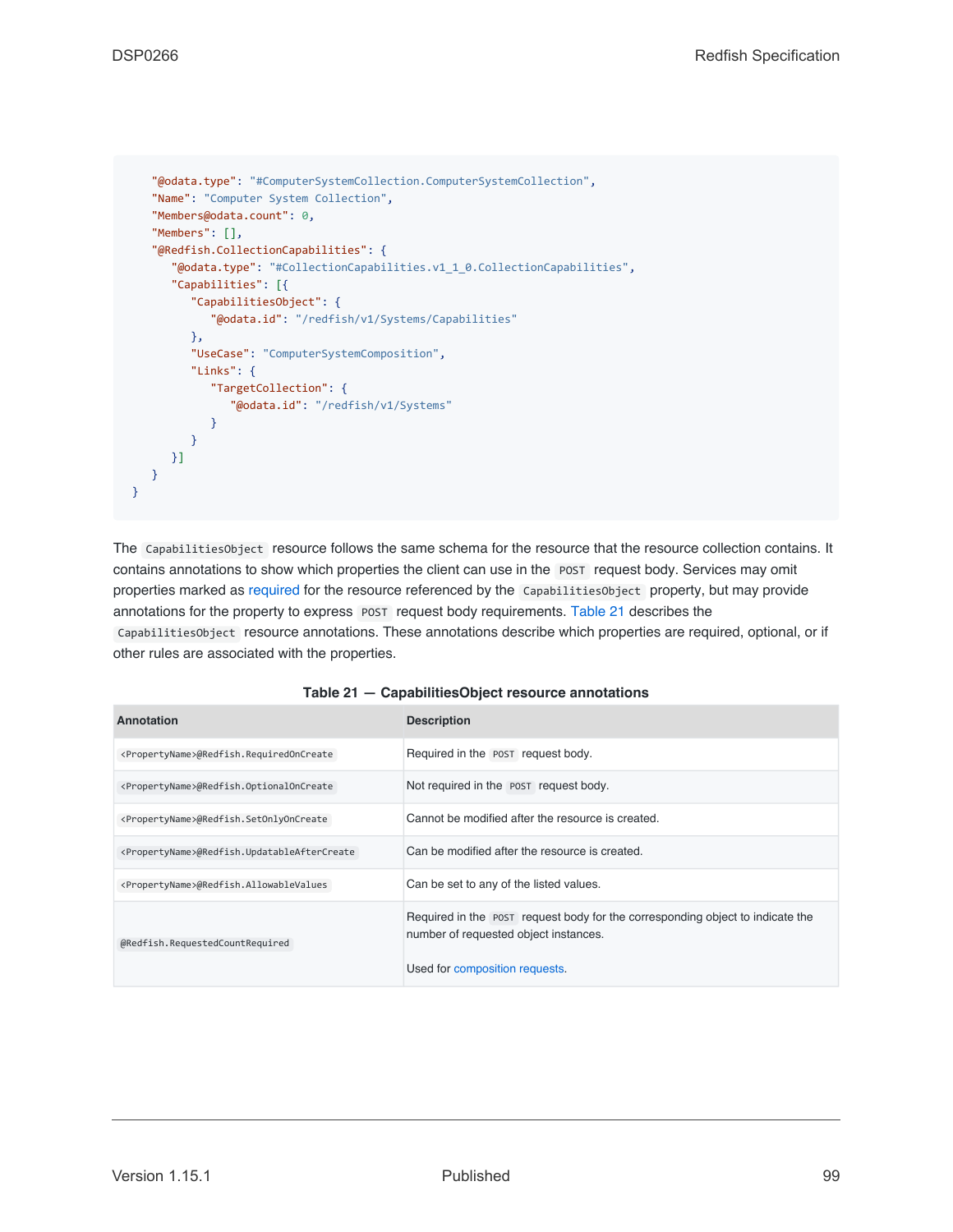```
"@odata.type": "#ComputerSystemCollection.ComputerSystemCollection",
   "Name": "Computer System Collection",
   "Members@odata.count": 0,
   "Members": [],
   "@Redfish.CollectionCapabilities": {
      "@odata.type": "#CollectionCapabilities.v1_1_0.CollectionCapabilities",
      "Capabilities": [{
         "CapabilitiesObject": {
            "@odata.id": "/redfish/v1/Systems/Capabilities"
         },
         "UseCase": "ComputerSystemComposition",
         "Links": {
            "TargetCollection": {
               "@odata.id": "/redfish/v1/Systems"
            }
         }
     }]
   }
}
```
The CapabilitiesObject resource follows the same schema for the resource that the resource collection contains. It contains annotations to show which properties the client can use in the POST request body. Services may omit properties marked as [required](#page-108-0) for the resource referenced by the CapabilitiesObject property, but may provide annotations for the property to express POST request body requirements. [Table 21](#page-98-0) describes the CapabilitiesObject resource annotations. These annotations describe which properties are required, optional, or if other rules are associated with the properties.

<span id="page-98-0"></span>

| Annotation                                                 | <b>Description</b>                                                                                                      |
|------------------------------------------------------------|-------------------------------------------------------------------------------------------------------------------------|
| <propertyname>@Redfish.RequiredOnCreate</propertyname>     | Required in the POST request body.                                                                                      |
| <propertyname>@Redfish.OptionalOnCreate</propertyname>     | Not required in the POST request body.                                                                                  |
| <propertyname>@Redfish.SetOnlyOnCreate</propertyname>      | Cannot be modified after the resource is created.                                                                       |
| <propertyname>@Redfish.UpdatableAfterCreate</propertyname> | Can be modified after the resource is created.                                                                          |
| <propertyname>@Redfish.AllowableValues</propertyname>      | Can be set to any of the listed values.                                                                                 |
| @Redfish.RequestedCountRequired                            | Required in the post request body for the corresponding object to indicate the<br>number of requested object instances. |
|                                                            | Used for composition requests.                                                                                          |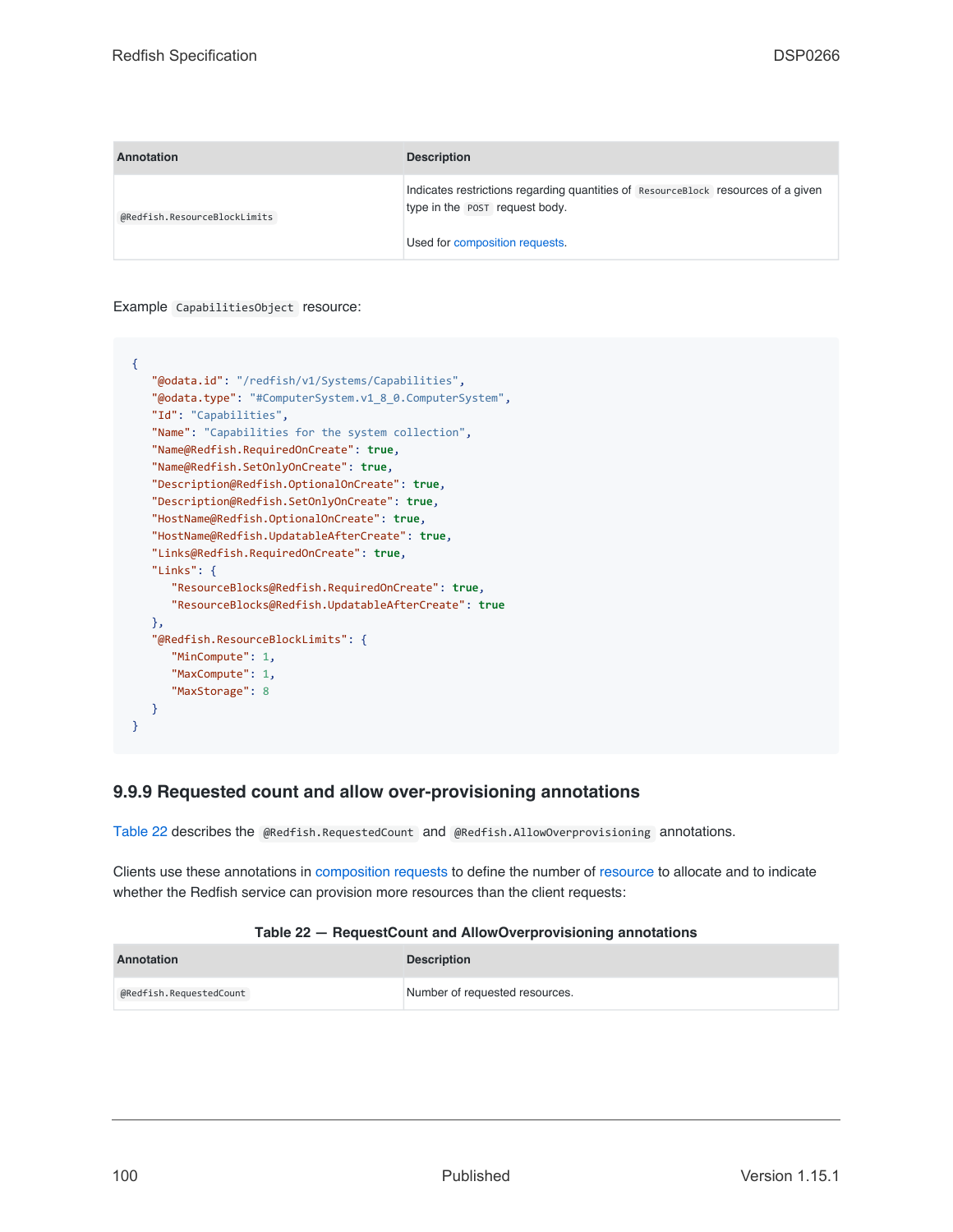| Annotation                   | <b>Description</b>                                                                                                  |  |
|------------------------------|---------------------------------------------------------------------------------------------------------------------|--|
| @Redfish.ResourceBlockLimits | Indicates restrictions regarding quantities of ResourceBlock resources of a given<br>type in the POST request body. |  |
|                              | Used for composition requests.                                                                                      |  |

Example CapabilitiesObject resource:

```
{
   "@odata.id": "/redfish/v1/Systems/Capabilities",
   "@odata.type": "#ComputerSystem.v1_8_0.ComputerSystem",
   "Id": "Capabilities",
   "Name": "Capabilities for the system collection",
   "Name@Redfish.RequiredOnCreate": true,
   "Name@Redfish.SetOnlyOnCreate": true,
   "Description@Redfish.OptionalOnCreate": true,
   "Description@Redfish.SetOnlyOnCreate": true,
   "HostName@Redfish.OptionalOnCreate": true,
   "HostName@Redfish.UpdatableAfterCreate": true,
   "Links@Redfish.RequiredOnCreate": true,
   "Links": {
      "ResourceBlocks@Redfish.RequiredOnCreate": true,
      "ResourceBlocks@Redfish.UpdatableAfterCreate": true
   },
   "@Redfish.ResourceBlockLimits": {
      "MinCompute": 1,
      "MaxCompute": 1,
      "MaxStorage": 8
  }
}
```
# **9.9.9 Requested count and allow over-provisioning annotations**

[Table 22](#page-99-0) describes the @Redfish.RequestedCount and @Redfish.AllowOverprovisioning annotations.

Clients use these annotations in [composition requests](#page-177-0) to define the number of [resource](#page-73-0) to allocate and to indicate whether the Redfish service can provision more resources than the client requests:

### **Table 22 — RequestCount and AllowOverprovisioning annotations**

<span id="page-99-0"></span>

| Annotation              | <b>Description</b>             |
|-------------------------|--------------------------------|
| @Redfish.RequestedCount | Number of requested resources. |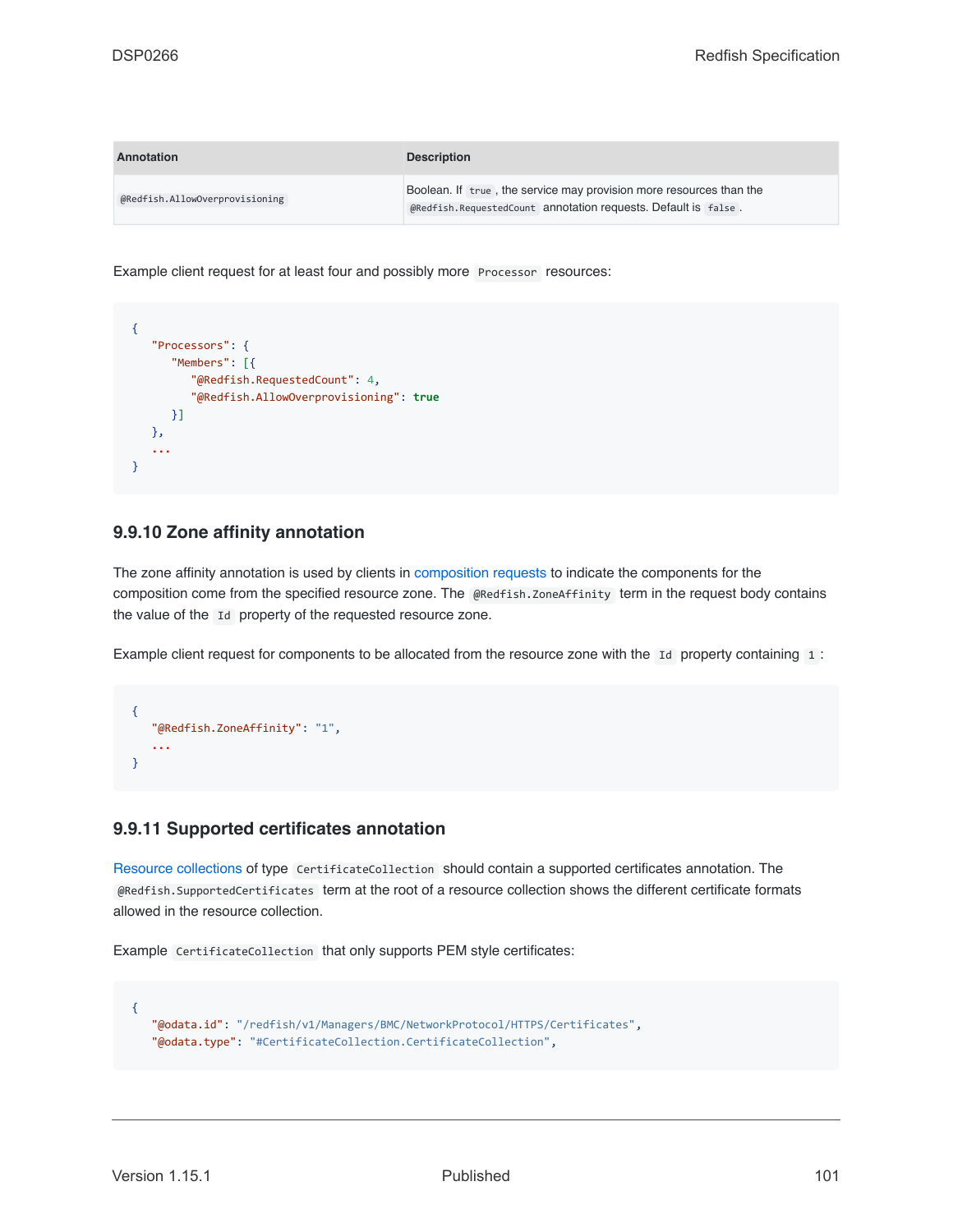| Annotation                     | <b>Description</b>                                                                                                                    |  |
|--------------------------------|---------------------------------------------------------------------------------------------------------------------------------------|--|
| @Redfish.AllowOverprovisioning | Boolean. If true, the service may provision more resources than the<br>@Redfish.RequestedCount annotation requests. Default is false. |  |

Example client request for at least four and possibly more Processor resources:

```
{
   "Processors": {
      "Members": [{
         "@Redfish.RequestedCount": 4,
         "@Redfish.AllowOverprovisioning": true
     }]
  },
   ...
}
```
### **9.9.10 Zone affinity annotation**

The zone affinity annotation is used by clients in [composition requests](#page-177-0) to indicate the components for the composition come from the specified resource zone. The @Redfish.ZoneAffinity term in the request body contains the value of the Id property of the requested resource zone.

Example client request for components to be allocated from the resource zone with the Id property containing 1:

```
{
   "@Redfish.ZoneAffinity": "1",
   ...
}
```
### **9.9.11 Supported certificates annotation**

[Resource collections](#page-74-1) of type CertificateCollection should contain a supported certificates annotation. The @Redfish.SupportedCertificates term at the root of a resource collection shows the different certificate formats allowed in the resource collection.

Example CertificateCollection that only supports PEM style certificates:

```
{
   "@odata.id": "/redfish/v1/Managers/BMC/NetworkProtocol/HTTPS/Certificates",
   "@odata.type": "#CertificateCollection.CertificateCollection",
```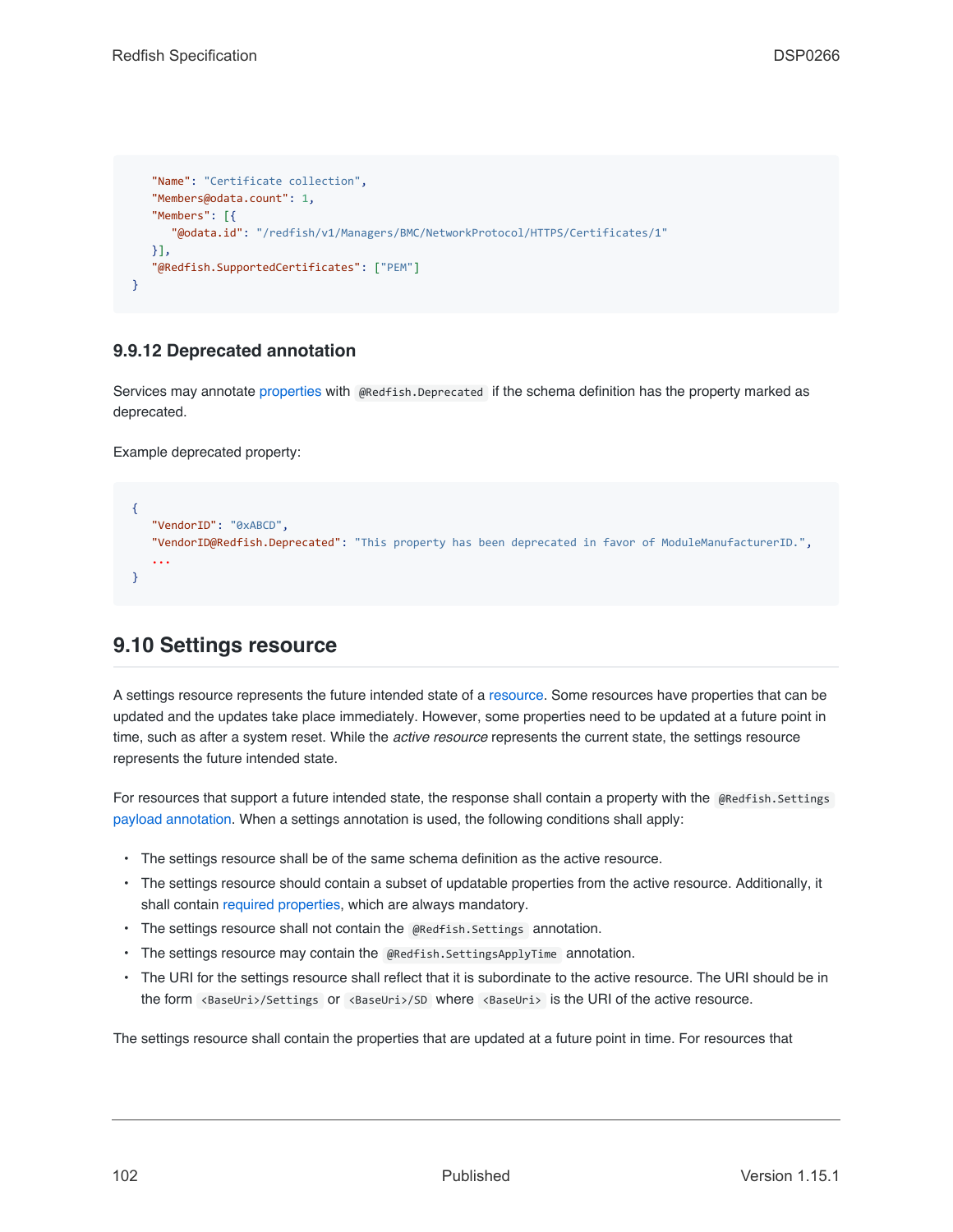```
"Name": "Certificate collection",
   "Members@odata.count": 1,
   "Members": [{
      "@odata.id": "/redfish/v1/Managers/BMC/NetworkProtocol/HTTPS/Certificates/1"
  }],
   "@Redfish.SupportedCertificates": ["PEM"]
}
```
# **9.9.12 Deprecated annotation**

Services may annotate [properties](#page-81-0) with @Redfish.Deprecated if the schema definition has the property marked as deprecated.

Example deprecated property:

```
{
   "VendorID": "0xABCD",
   "VendorID@Redfish.Deprecated": "This property has been deprecated in favor of ModuleManufacturerID.",
   ...
}
```
# <span id="page-101-0"></span>**9.10 Settings resource**

A settings resource represents the future intended state of a [resource](#page-73-0). Some resources have properties that can be updated and the updates take place immediately. However, some properties need to be updated at a future point in time, such as after a system reset. While the *active resource* represents the current state, the settings resource represents the future intended state.

For resources that support a future intended state, the response shall contain a property with the @Redfish.Settings [payload annotation.](#page-93-0) When a settings annotation is used, the following conditions shall apply:

- The settings resource shall be of the same schema definition as the active resource.
- The settings resource should contain a subset of updatable properties from the active resource. Additionally, it shall contain [required properties,](#page-108-0) which are always mandatory.
- The settings resource shall not contain the @Redfish.Settings annotation.
- The settings resource may contain the @Redfish.SettingsApplyTime annotation.
- The URI for the settings resource shall reflect that it is subordinate to the active resource. The URI should be in the form <BaseUri>/Settings or <BaseUri>/SD where <BaseUri> is the URI of the active resource.

The settings resource shall contain the properties that are updated at a future point in time. For resources that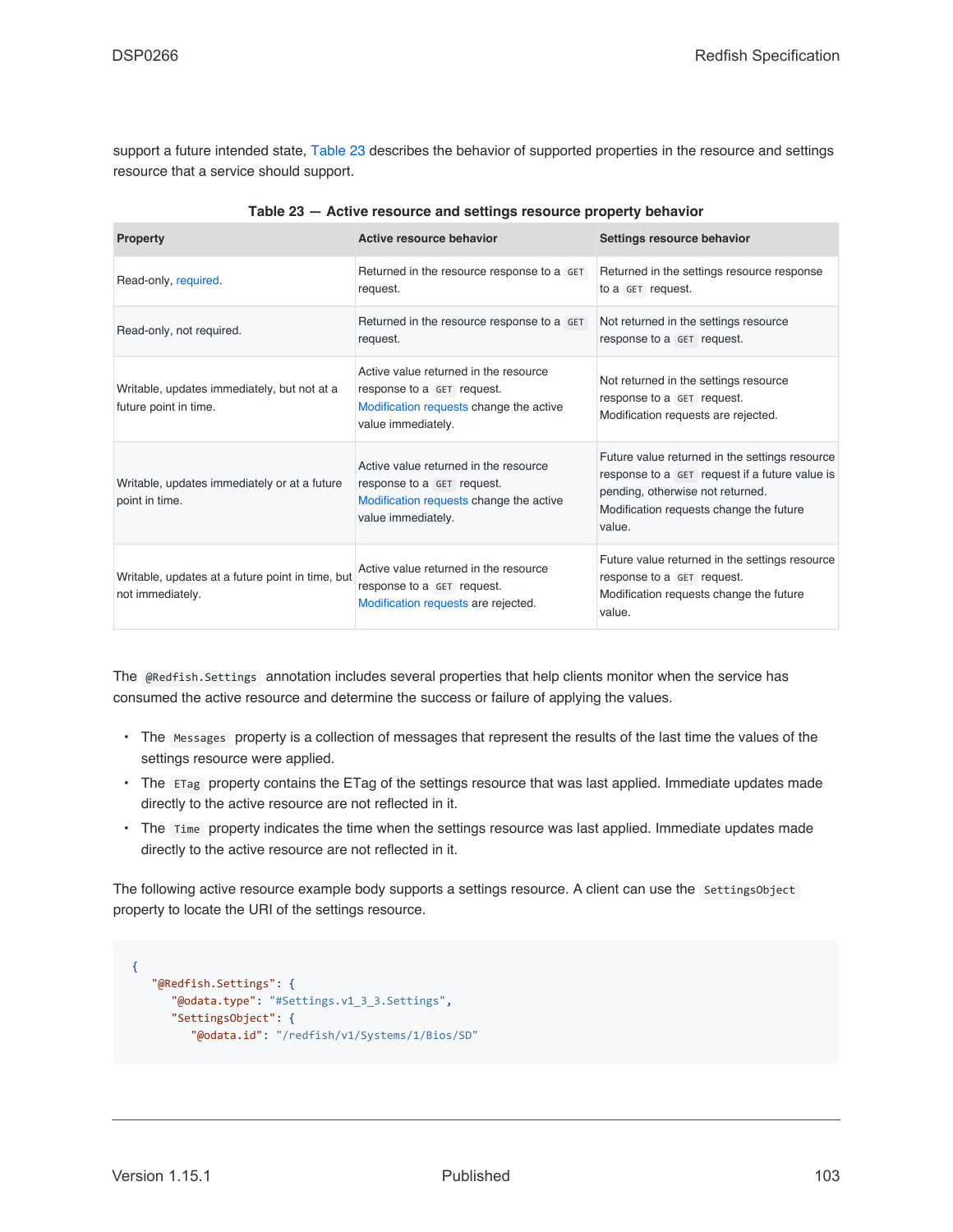support a future intended state, [Table 23](#page-102-0) describes the behavior of supported properties in the resource and settings resource that a service should support.

<span id="page-102-0"></span>

| <b>Property</b>                                                      | Active resource behavior                                                                                                             | Settings resource behavior                                                                                                                                                                |
|----------------------------------------------------------------------|--------------------------------------------------------------------------------------------------------------------------------------|-------------------------------------------------------------------------------------------------------------------------------------------------------------------------------------------|
| Read-only, required.                                                 | Returned in the resource response to a GET<br>request.                                                                               | Returned in the settings resource response<br>to a GET request.                                                                                                                           |
| Read-only, not required.                                             | Returned in the resource response to a GET<br>request.                                                                               | Not returned in the settings resource<br>response to a GET request.                                                                                                                       |
| Writable, updates immediately, but not at a<br>future point in time. | Active value returned in the resource<br>response to a GET request.<br>Modification requests change the active<br>value immediately. | Not returned in the settings resource<br>response to a GET request.<br>Modification requests are rejected.                                                                                |
| Writable, updates immediately or at a future<br>point in time.       | Active value returned in the resource<br>response to a GET request.<br>Modification requests change the active<br>value immediately. | Future value returned in the settings resource<br>response to a GET request if a future value is<br>pending, otherwise not returned.<br>Modification requests change the future<br>value. |
| Writable, updates at a future point in time, but<br>not immediately. | Active value returned in the resource<br>response to a GET request.<br>Modification requests are rejected.                           | Future value returned in the settings resource<br>response to a GET request.<br>Modification requests change the future<br>value.                                                         |

The @Redfish.Settings annotation includes several properties that help clients monitor when the service has consumed the active resource and determine the success or failure of applying the values.

- The Messages property is a collection of messages that represent the results of the last time the values of the settings resource were applied.
- The ETag property contains the ETag of the settings resource that was last applied. Immediate updates made directly to the active resource are not reflected in it.
- The Time property indicates the time when the settings resource was last applied. Immediate updates made directly to the active resource are not reflected in it.

The following active resource example body supports a settings resource. A client can use the SettingsObject property to locate the URI of the settings resource.

```
{
   "@Redfish.Settings": {
      "@odata.type": "#Settings.v1_3_3.Settings",
      "SettingsObject": {
         "@odata.id": "/redfish/v1/Systems/1/Bios/SD"
```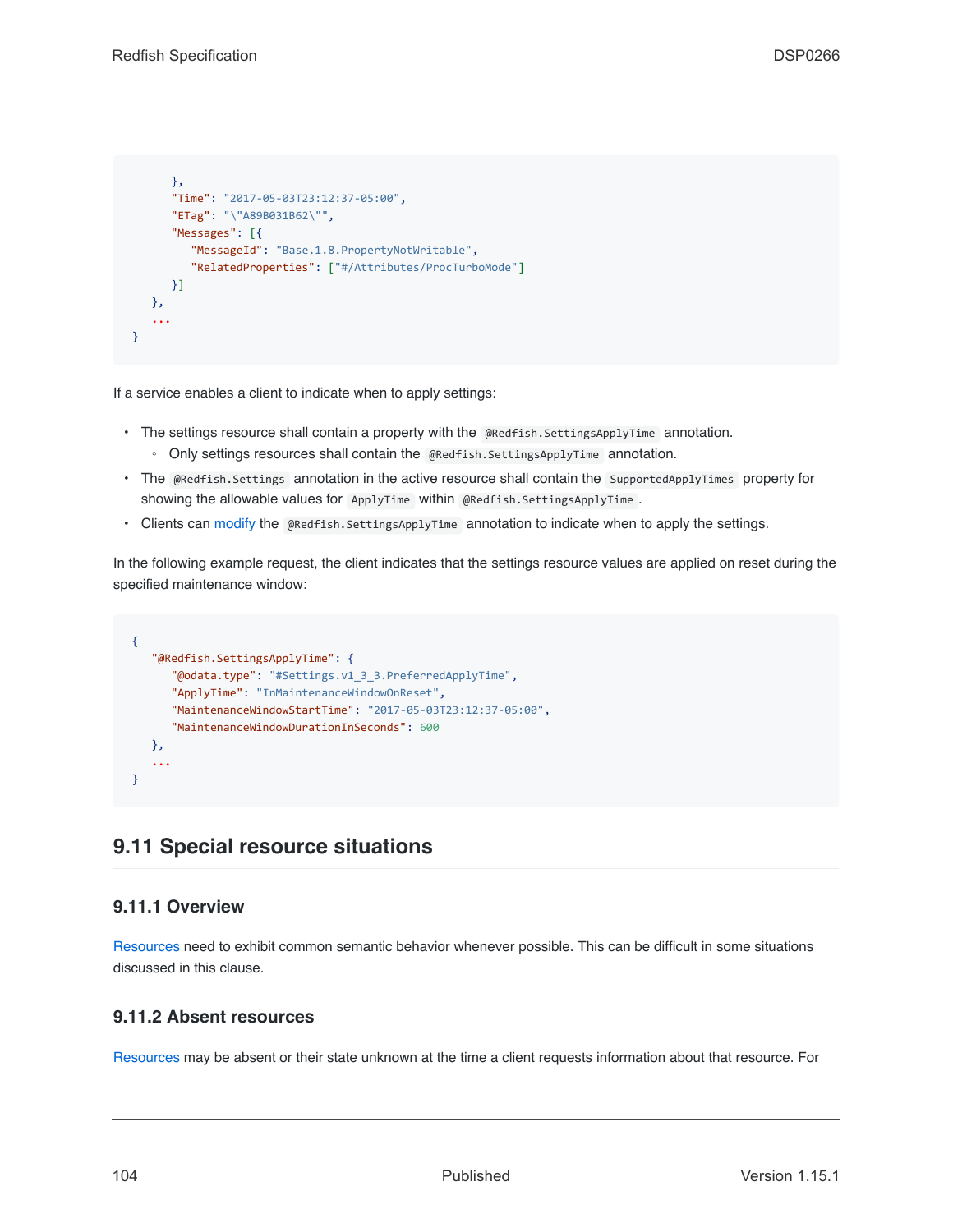```
},
      "Time": "2017-05-03T23:12:37-05:00",
      "ETag": "\"A89B031B62\"",
      "Messages": [{
        "MessageId": "Base.1.8.PropertyNotWritable",
         "RelatedProperties": ["#/Attributes/ProcTurboMode"]
      }]
   },
   ...
}
```
If a service enables a client to indicate when to apply settings:

- The settings resource shall contain a property with the @Redfish.SettingsApplyTime annotation.
	- Only settings resources shall contain the @Redfish.SettingsApplyTime annotation.
- The @Redfish.Settings annotation in the active resource shall contain the SupportedApplyTimes property for showing the allowable values for ApplyTime within @Redfish.SettingsApplyTime .
- Clients can [modify](#page-49-0) the @Redfish.SettingsApplyTime annotation to indicate when to apply the settings.

In the following example request, the client indicates that the settings resource values are applied on reset during the specified maintenance window:

```
{
   "@Redfish.SettingsApplyTime": {
      "@odata.type": "#Settings.v1_3_3.PreferredApplyTime",
      "ApplyTime": "InMaintenanceWindowOnReset",
      "MaintenanceWindowStartTime": "2017-05-03T23:12:37-05:00",
      "MaintenanceWindowDurationInSeconds": 600
   },
   ...
}
```
# <span id="page-103-0"></span>**9.11 Special resource situations**

### **9.11.1 Overview**

[Resources](#page-73-0) need to exhibit common semantic behavior whenever possible. This can be difficult in some situations discussed in this clause.

# **9.11.2 Absent resources**

[Resources](#page-73-0) may be absent or their state unknown at the time a client requests information about that resource. For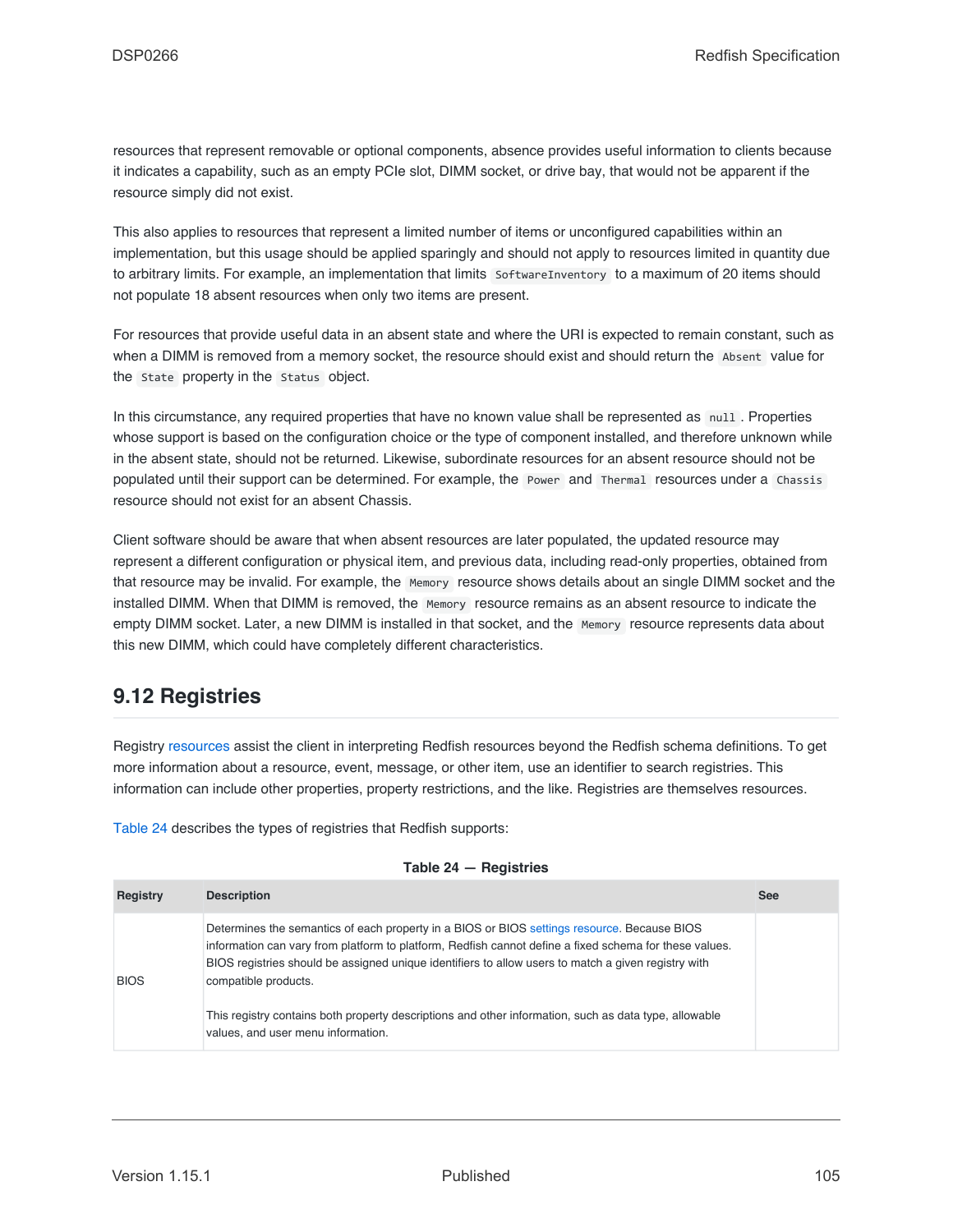resources that represent removable or optional components, absence provides useful information to clients because it indicates a capability, such as an empty PCIe slot, DIMM socket, or drive bay, that would not be apparent if the resource simply did not exist.

This also applies to resources that represent a limited number of items or unconfigured capabilities within an implementation, but this usage should be applied sparingly and should not apply to resources limited in quantity due to arbitrary limits. For example, an implementation that limits SoftwareInventory to a maximum of 20 items should not populate 18 absent resources when only two items are present.

For resources that provide useful data in an absent state and where the URI is expected to remain constant, such as when a DIMM is removed from a memory socket, the resource should exist and should return the Absent value for the State property in the Status object.

In this circumstance, any required properties that have no known value shall be represented as null. Properties whose support is based on the configuration choice or the type of component installed, and therefore unknown while in the absent state, should not be returned. Likewise, subordinate resources for an absent resource should not be populated until their support can be determined. For example, the Power and Thermal resources under a Chassis resource should not exist for an absent Chassis.

Client software should be aware that when absent resources are later populated, the updated resource may represent a different configuration or physical item, and previous data, including read-only properties, obtained from that resource may be invalid. For example, the Memory resource shows details about an single DIMM socket and the installed DIMM. When that DIMM is removed, the Memory resource remains as an absent resource to indicate the empty DIMM socket. Later, a new DIMM is installed in that socket, and the Memory resource represents data about this new DIMM, which could have completely different characteristics.

# <span id="page-104-0"></span>**9.12 Registries**

Registry [resources](#page-73-0) assist the client in interpreting Redfish resources beyond the Redfish schema definitions. To get more information about a resource, event, message, or other item, use an identifier to search registries. This information can include other properties, property restrictions, and the like. Registries are themselves resources.

[Table 24](#page-104-1) describes the types of registries that Redfish supports:

<span id="page-104-1"></span>

| Determines the semantics of each property in a BIOS or BIOS settings resource. Because BIOS<br>information can vary from platform to platform, Redfish cannot define a fixed schema for these values.<br>BIOS registries should be assigned unique identifiers to allow users to match a given registry with<br><b>BIOS</b><br>compatible products.<br>This registry contains both property descriptions and other information, such as data type, allowable<br>values, and user menu information. |  |
|----------------------------------------------------------------------------------------------------------------------------------------------------------------------------------------------------------------------------------------------------------------------------------------------------------------------------------------------------------------------------------------------------------------------------------------------------------------------------------------------------|--|

#### **Table 24 — Registries**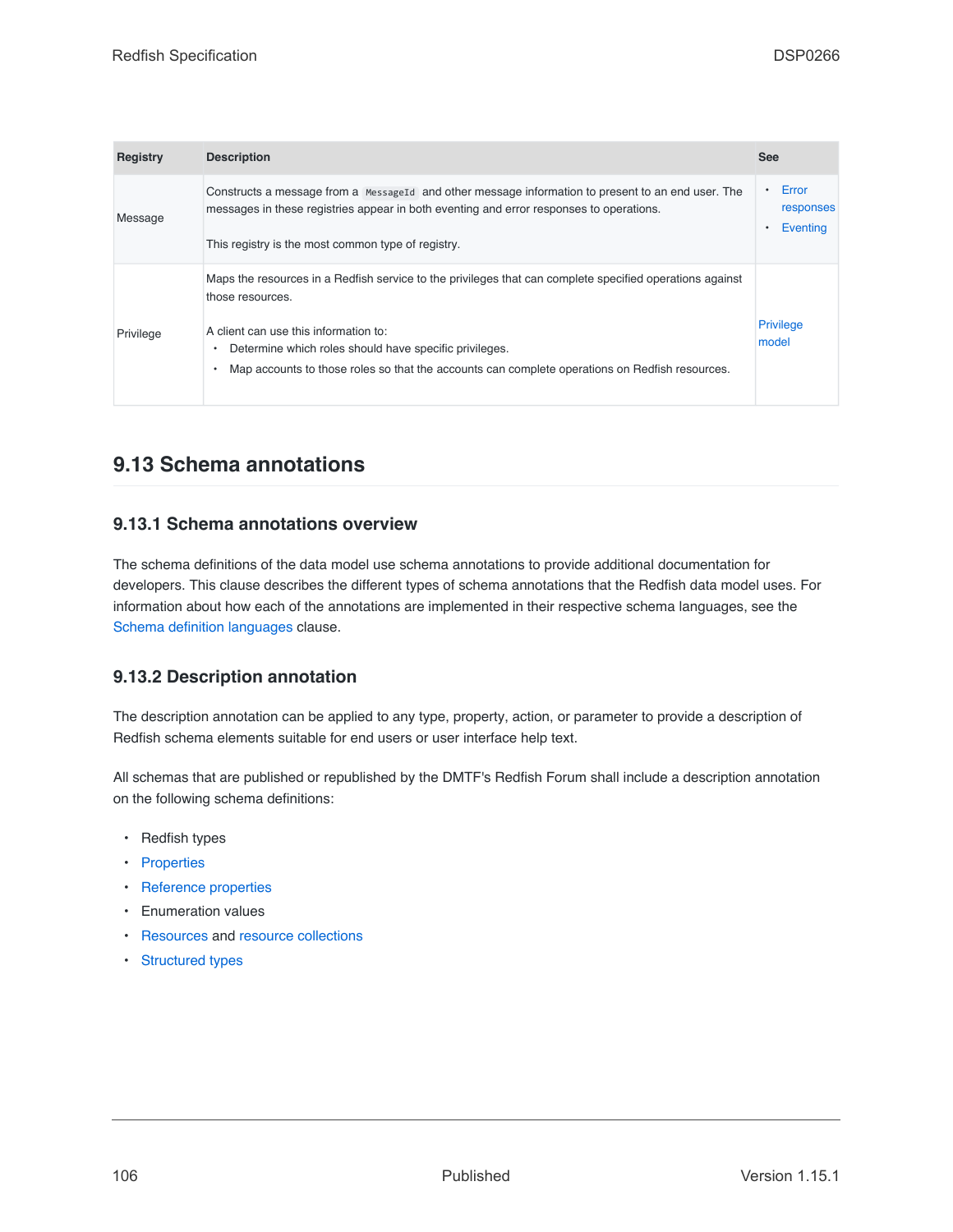| <b>Registry</b> | <b>Description</b>                                                                                                                                                                                                                                                                                                                          | <b>See</b>                     |
|-----------------|---------------------------------------------------------------------------------------------------------------------------------------------------------------------------------------------------------------------------------------------------------------------------------------------------------------------------------------------|--------------------------------|
| Message         | Constructs a message from a Message Id and other message information to present to an end user. The<br>messages in these registries appear in both eventing and error responses to operations.<br>This registry is the most common type of registry.                                                                                        | Error<br>responses<br>Eventing |
| Privilege       | Maps the resources in a Redfish service to the privileges that can complete specified operations against<br>those resources.<br>A client can use this information to:<br>Determine which roles should have specific privileges.<br>٠<br>Map accounts to those roles so that the accounts can complete operations on Redfish resources.<br>٠ | <b>Privilege</b><br>model      |

# **9.13 Schema annotations**

## **9.13.1 Schema annotations overview**

The schema definitions of the data model use schema annotations to provide additional documentation for developers. This clause describes the different types of schema annotations that the Redfish data model uses. For information about how each of the annotations are implemented in their respective schema languages, see the [Schema definition languages](#page-114-0) clause.

# **9.13.2 Description annotation**

The description annotation can be applied to any type, property, action, or parameter to provide a description of Redfish schema elements suitable for end users or user interface help text.

All schemas that are published or republished by the DMTF's Redfish Forum shall include a description annotation on the following schema definitions:

- Redfish types
- [Properties](#page-81-0)
- [Reference properties](#page-78-2)
- Enumeration values
- [Resources](#page-73-0) and [resource collections](#page-74-1)
- [Structured types](#page-79-0)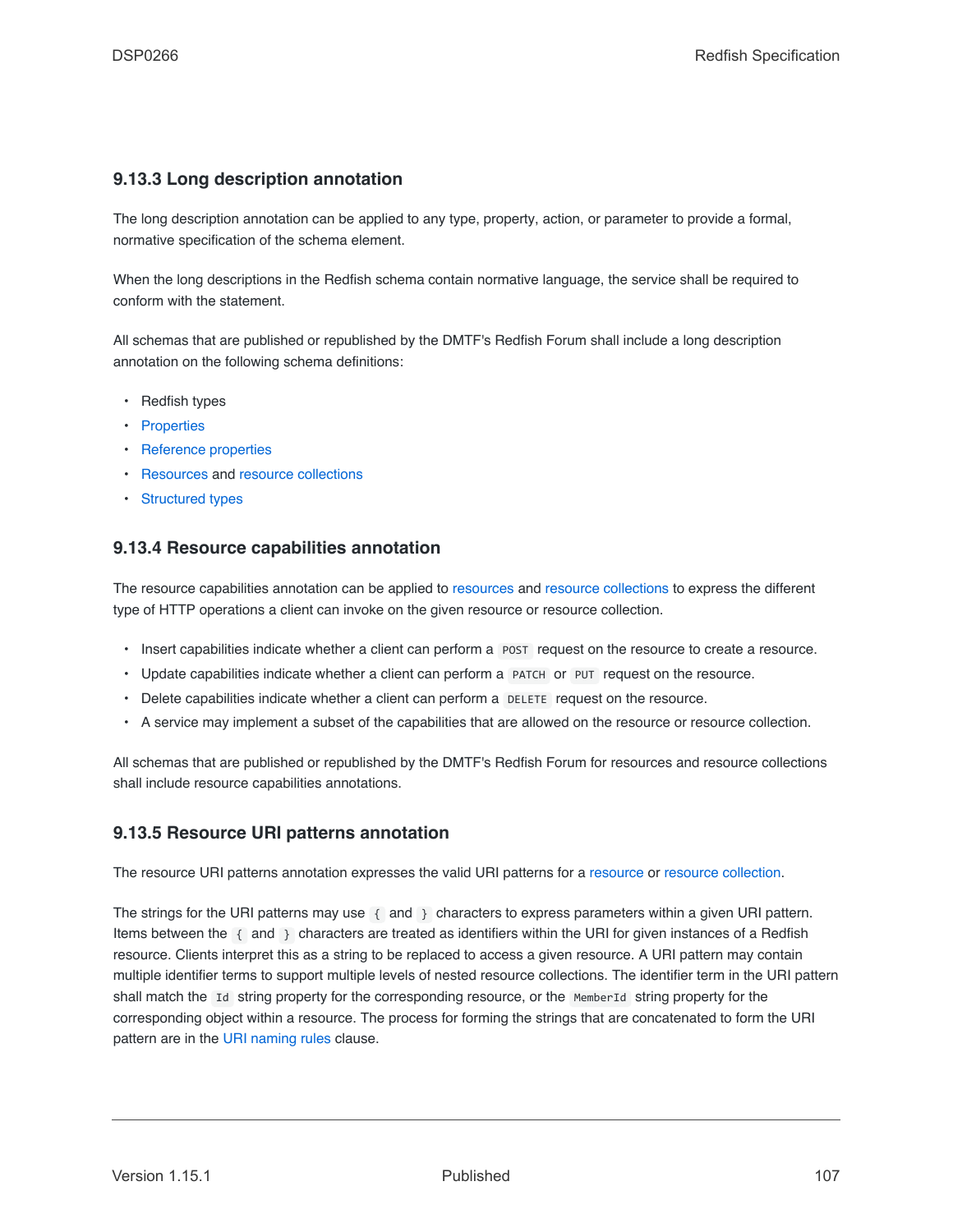## <span id="page-106-0"></span>**9.13.3 Long description annotation**

The long description annotation can be applied to any type, property, action, or parameter to provide a formal, normative specification of the schema element.

When the long descriptions in the Redfish schema contain normative language, the service shall be required to conform with the statement.

All schemas that are published or republished by the DMTF's Redfish Forum shall include a long description annotation on the following schema definitions:

- Redfish types
- [Properties](#page-81-0)
- [Reference properties](#page-78-2)
- [Resources](#page-73-0) and [resource collections](#page-74-1)
- [Structured types](#page-79-0)

## **9.13.4 Resource capabilities annotation**

The resource capabilities annotation can be applied to [resources](#page-73-0) and [resource collections](#page-74-1) to express the different type of HTTP operations a client can invoke on the given resource or resource collection.

- Insert capabilities indicate whether a client can perform a POST request on the resource to create a resource.
- Update capabilities indicate whether a client can perform a PATCH or PUT request on the resource.
- Delete capabilities indicate whether a client can perform a DELETE request on the resource.
- A service may implement a subset of the capabilities that are allowed on the resource or resource collection.

All schemas that are published or republished by the DMTF's Redfish Forum for resources and resource collections shall include resource capabilities annotations.

### <span id="page-106-1"></span>**9.13.5 Resource URI patterns annotation**

The resource URI patterns annotation expresses the valid URI patterns for a [resource](#page-73-0) or [resource collection.](#page-74-1)

The strings for the URI patterns may use { and } characters to express parameters within a given URI pattern. Items between the { and } characters are treated as identifiers within the URI for given instances of a Redfish resource. Clients interpret this as a string to be replaced to access a given resource. A URI pattern may contain multiple identifier terms to support multiple levels of nested resource collections. The identifier term in the URI pattern shall match the Id string property for the corresponding resource, or the MemberId string property for the corresponding object within a resource. The process for forming the strings that are concatenated to form the URI pattern are in the [URI naming rules](#page-89-1) clause.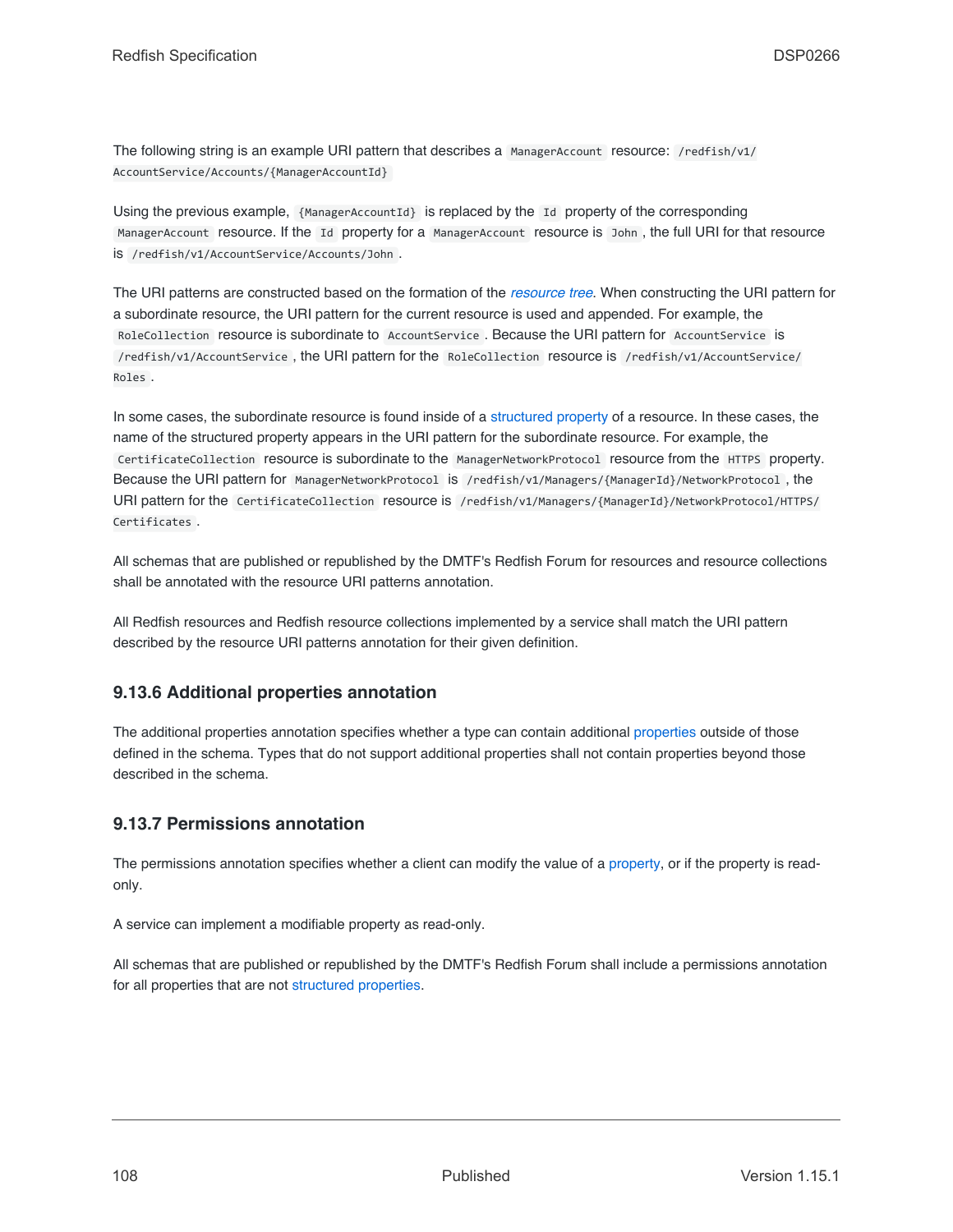The following string is an example URI pattern that describes a ManagerAccount resource: /redfish/v1/ AccountService/Accounts/{ManagerAccountId}

Using the previous example, {ManagerAccountId} is replaced by the Id property of the corresponding ManagerAccount resource. If the Id property for a ManagerAccount resource is John , the full URI for that resource is /redfish/v1/AccountService/Accounts/John .

The URI patterns are constructed based on the formation of the *[resource tree](#page-22-2)*. When constructing the URI pattern for a subordinate resource, the URI pattern for the current resource is used and appended. For example, the RoleCollection resource is subordinate to AccountService . Because the URI pattern for AccountService is /redfish/v1/AccountService , the URI pattern for the RoleCollection resource is /redfish/v1/AccountService/ Roles .

In some cases, the subordinate resource is found inside of a [structured property](#page-79-0) of a resource. In these cases, the name of the structured property appears in the URI pattern for the subordinate resource. For example, the CertificateCollection resource is subordinate to the ManagerNetworkProtocol resource from the HTTPS property. Because the URI pattern for ManagerNetworkProtocol is /redfish/v1/Managers/{ManagerId}/NetworkProtocol , the URI pattern for the CertificateCollection resource is /redfish/v1/Managers/{ManagerId}/NetworkProtocol/HTTPS/ Certificates .

All schemas that are published or republished by the DMTF's Redfish Forum for resources and resource collections shall be annotated with the resource URI patterns annotation.

All Redfish resources and Redfish resource collections implemented by a service shall match the URI pattern described by the resource URI patterns annotation for their given definition.

# **9.13.6 Additional properties annotation**

The additional properties annotation specifies whether a type can contain additional [properties](#page-81-0) outside of those defined in the schema. Types that do not support additional properties shall not contain properties beyond those described in the schema.

# **9.13.7 Permissions annotation**

The permissions annotation specifies whether a client can modify the value of a [property](#page-81-0), or if the property is readonly.

A service can implement a modifiable property as read-only.

All schemas that are published or republished by the DMTF's Redfish Forum shall include a permissions annotation for all properties that are not [structured properties](#page-79-0).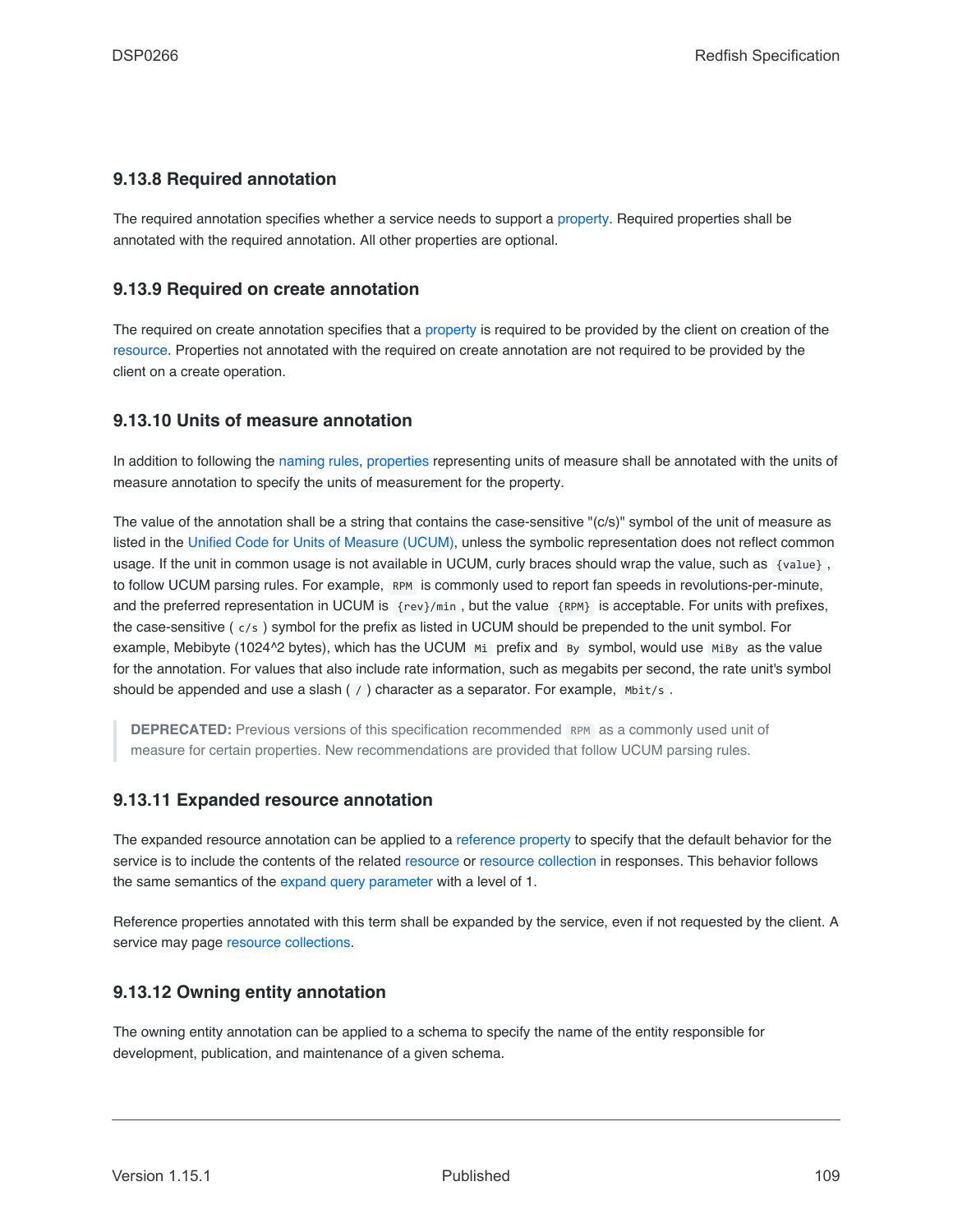## <span id="page-108-1"></span>**9.13.8 Required annotation**

The required annotation specifies whether a service needs to support a [property](#page-81-0). Required properties shall be annotated with the required annotation. All other properties are optional.

### <span id="page-108-2"></span>**9.13.9 Required on create annotation**

The required on create annotation specifies that a [property](#page-81-0) is required to be provided by the client on creation of the [resource.](#page-73-0) Properties not annotated with the required on create annotation are not required to be provided by the client on a create operation.

## <span id="page-108-3"></span>**9.13.10 Units of measure annotation**

In addition to following the [naming rules,](#page-87-0) [properties](#page-81-0) representing units of measure shall be annotated with the units of measure annotation to specify the units of measurement for the property.

The value of the annotation shall be a string that contains the case-sensitive "(c/s)" symbol of the unit of measure as listed in the [Unified Code for Units of Measure \(UCUM\),](#page-16-0) unless the symbolic representation does not reflect common usage. If the unit in common usage is not available in UCUM, curly braces should wrap the value, such as {value}, to follow UCUM parsing rules. For example, RPM is commonly used to report fan speeds in revolutions-per-minute, and the preferred representation in UCUM is {rev}/min , but the value {RPM} is acceptable. For units with prefixes, the case-sensitive ( c/s ) symbol for the prefix as listed in UCUM should be prepended to the unit symbol. For example, Mebibyte (1024<sup> $\triangle$ </sup>2 bytes), which has the UCUM Mi prefix and By symbol, would use MiBy as the value for the annotation. For values that also include rate information, such as megabits per second, the rate unit's symbol should be appended and use a slash  $( / )$  character as a separator. For example,  $M_{\text{b}}$  mbit/s.

**DEPRECATED:** Previous versions of this specification recommended RPM as a commonly used unit of measure for certain properties. New recommendations are provided that follow UCUM parsing rules.

## <span id="page-108-0"></span>**9.13.11 Expanded resource annotation**

The expanded resource annotation can be applied to a [reference property](#page-78-0) to specify that the default behavior for the service is to include the contents of the related [resource](#page-73-0) or [resource collection](#page-74-0) in responses. This behavior follows the same semantics of the [expand query parameter](#page-44-0) with a level of 1.

Reference properties annotated with this term shall be expanded by the service, even if not requested by the client. A service may page [resource collections](#page-74-0).

## <span id="page-108-4"></span>**9.13.12 Owning entity annotation**

The owning entity annotation can be applied to a schema to specify the name of the entity responsible for development, publication, and maintenance of a given schema.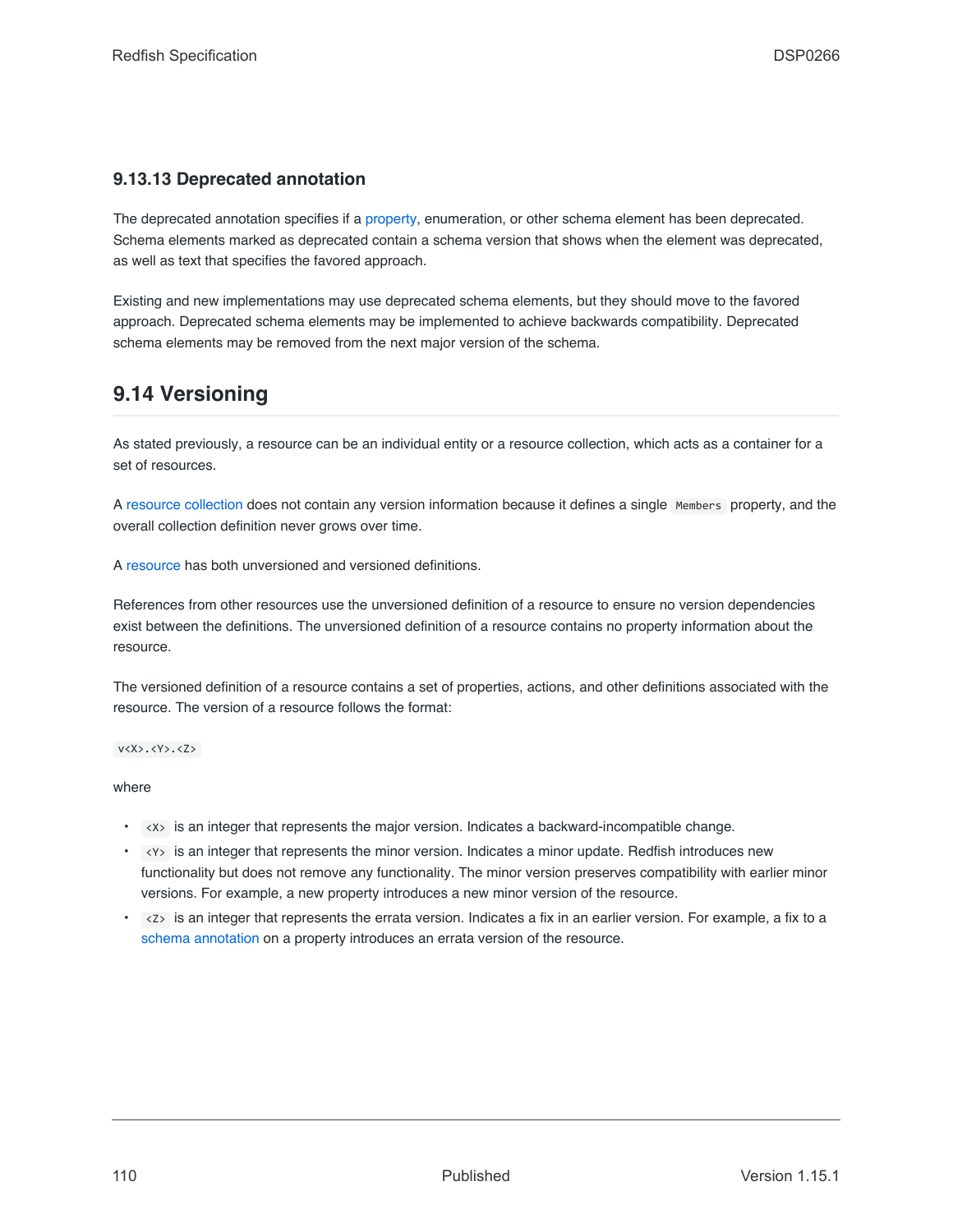## **9.13.13 Deprecated annotation**

The deprecated annotation specifies if a [property,](#page-81-0) enumeration, or other schema element has been deprecated. Schema elements marked as deprecated contain a schema version that shows when the element was deprecated, as well as text that specifies the favored approach.

Existing and new implementations may use deprecated schema elements, but they should move to the favored approach. Deprecated schema elements may be implemented to achieve backwards compatibility. Deprecated schema elements may be removed from the next major version of the schema.

## <span id="page-109-0"></span>**9.14 Versioning**

As stated previously, a resource can be an individual entity or a resource collection, which acts as a container for a set of resources.

A [resource collection](#page-74-0) does not contain any version information because it defines a single Members property, and the overall collection definition never grows over time.

A [resource](#page-73-0) has both unversioned and versioned definitions.

References from other resources use the unversioned definition of a resource to ensure no version dependencies exist between the definitions. The unversioned definition of a resource contains no property information about the resource.

The versioned definition of a resource contains a set of properties, actions, and other definitions associated with the resource. The version of a resource follows the format:

v<X>.<Y>.<Z>

where

- <X> is an integer that represents the major version. Indicates a backward-incompatible change.
- <Y> is an integer that represents the minor version. Indicates a minor update. Redfish introduces new functionality but does not remove any functionality. The minor version preserves compatibility with earlier minor versions. For example, a new property introduces a new minor version of the resource.
- $\langle z \rangle$  is an integer that represents the errata version. Indicates a fix in an earlier version. For example, a fix to a [schema annotation](#page-105-0) on a property introduces an errata version of the resource.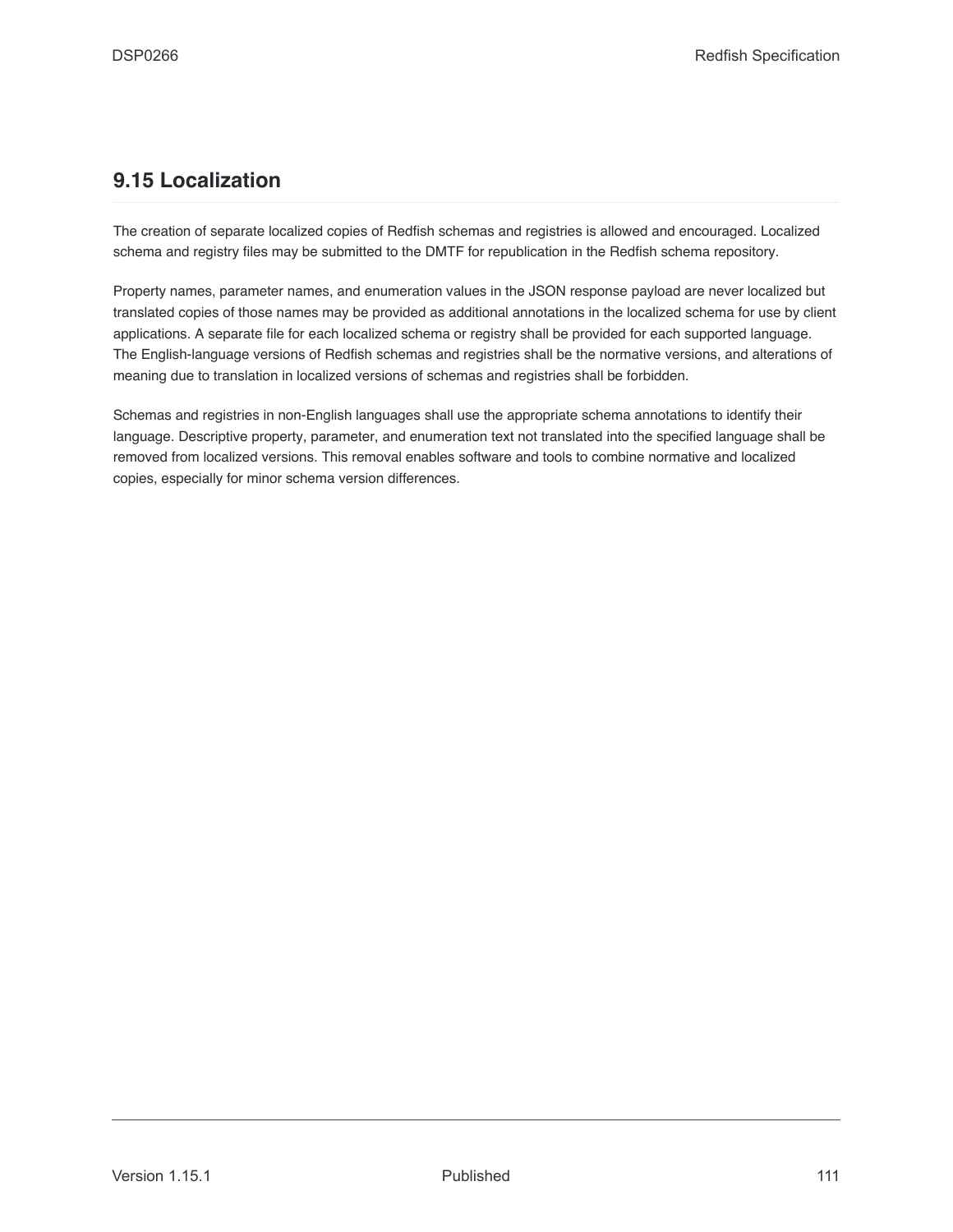## **9.15 Localization**

The creation of separate localized copies of Redfish schemas and registries is allowed and encouraged. Localized schema and registry files may be submitted to the DMTF for republication in the Redfish schema repository.

Property names, parameter names, and enumeration values in the JSON response payload are never localized but translated copies of those names may be provided as additional annotations in the localized schema for use by client applications. A separate file for each localized schema or registry shall be provided for each supported language. The English-language versions of Redfish schemas and registries shall be the normative versions, and alterations of meaning due to translation in localized versions of schemas and registries shall be forbidden.

Schemas and registries in non-English languages shall use the appropriate schema annotations to identify their language. Descriptive property, parameter, and enumeration text not translated into the specified language shall be removed from localized versions. This removal enables software and tools to combine normative and localized copies, especially for minor schema version differences.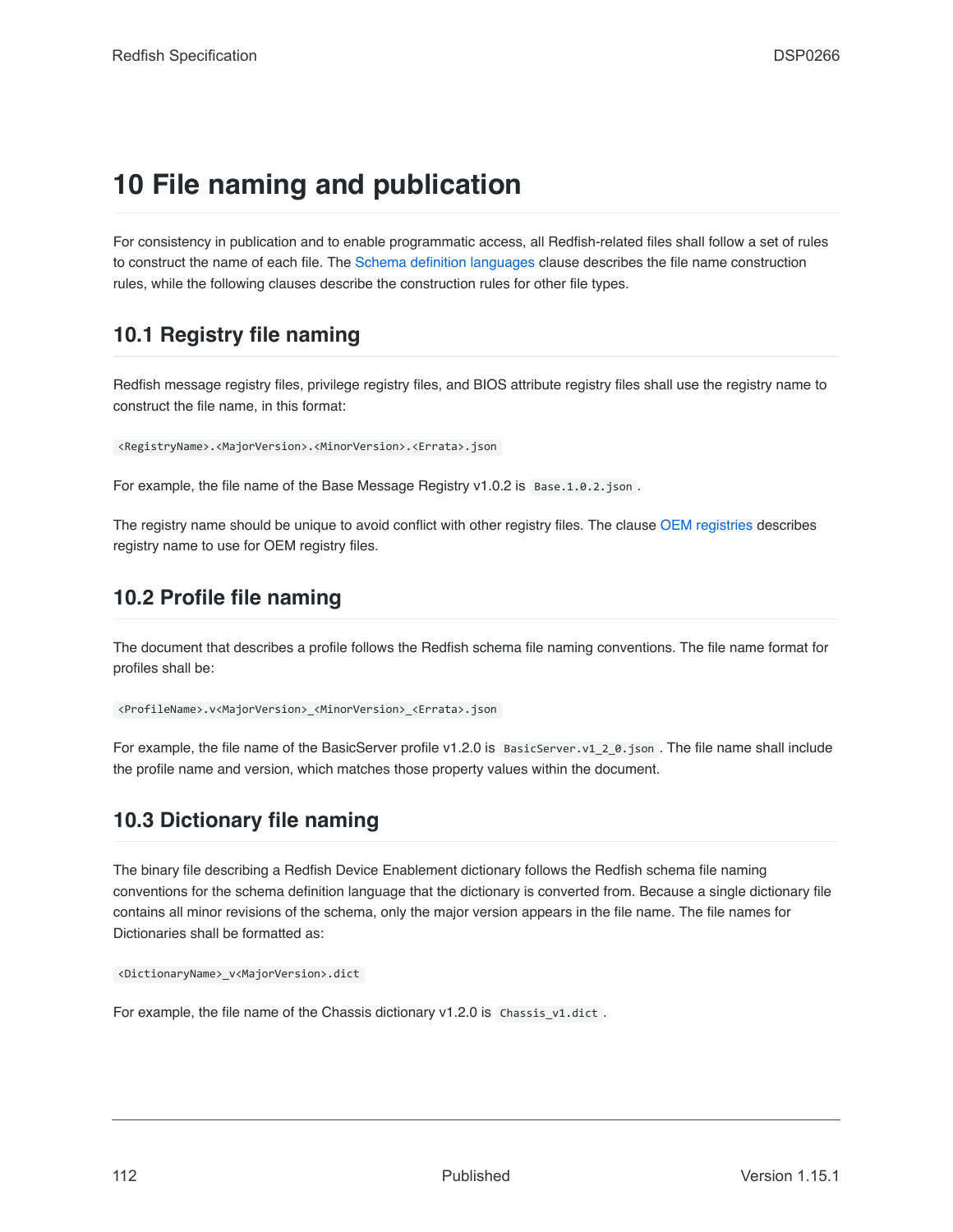# **10 File naming and publication**

For consistency in publication and to enable programmatic access, all Redfish-related files shall follow a set of rules to construct the name of each file. The [Schema definition languages](#page-114-0) clause describes the file name construction rules, while the following clauses describe the construction rules for other file types.

## **10.1 Registry file naming**

Redfish message registry files, privilege registry files, and BIOS attribute registry files shall use the registry name to construct the file name, in this format:

<RegistryName>.<MajorVersion>.<MinorVersion>.<Errata>.json

For example, the file name of the Base Message Registry v1.0.2 is Base.1.0.2.json.

The registry name should be unique to avoid conflict with other registry files. The clause [OEM registries](#page-91-0) describes registry name to use for OEM registry files.

## **10.2 Profile file naming**

The document that describes a profile follows the Redfish schema file naming conventions. The file name format for profiles shall be:

<ProfileName>.v<MajorVersion>\_<MinorVersion>\_<Errata>.json

For example, the file name of the BasicServer profile v1.2.0 is BasicServer.v1\_2\_0.json . The file name shall include the profile name and version, which matches those property values within the document.

## **10.3 Dictionary file naming**

The binary file describing a Redfish Device Enablement dictionary follows the Redfish schema file naming conventions for the schema definition language that the dictionary is converted from. Because a single dictionary file contains all minor revisions of the schema, only the major version appears in the file name. The file names for Dictionaries shall be formatted as:

<DictionaryName>\_v<MajorVersion>.dict

For example, the file name of the Chassis dictionary  $v1.2.0$  is Chassis  $v1.$ dict .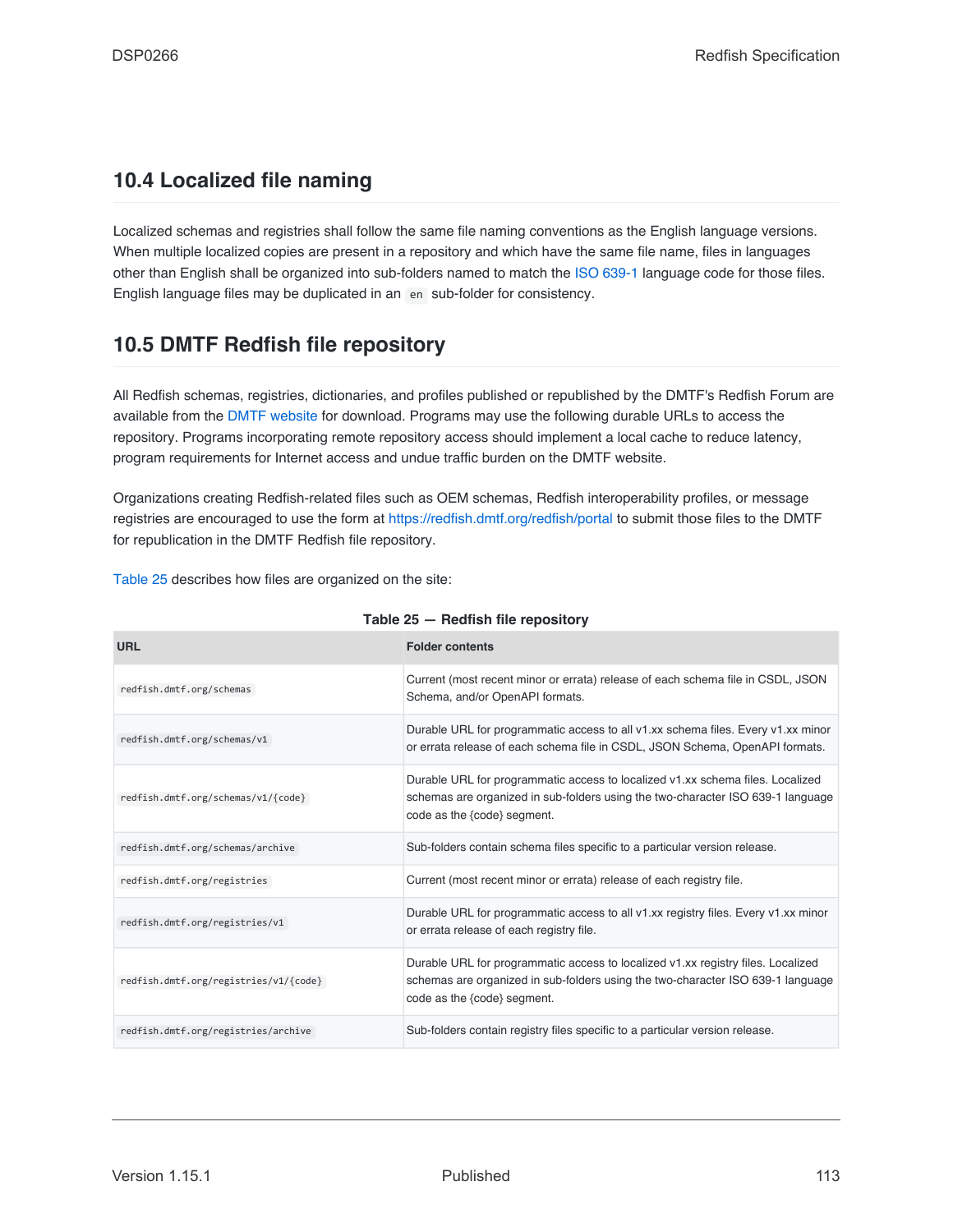## **10.4 Localized file naming**

Localized schemas and registries shall follow the same file naming conventions as the English language versions. When multiple localized copies are present in a repository and which have the same file name, files in languages other than English shall be organized into sub-folders named to match the [ISO 639-1](#page-16-1) language code for those files. English language files may be duplicated in an en sub-folder for consistency.

## **10.5 DMTF Redfish file repository**

All Redfish schemas, registries, dictionaries, and profiles published or republished by the DMTF's Redfish Forum are available from the [DMTF website](http://redfish.dmtf.org/) for download. Programs may use the following durable URLs to access the repository. Programs incorporating remote repository access should implement a local cache to reduce latency, program requirements for Internet access and undue traffic burden on the DMTF website.

Organizations creating Redfish-related files such as OEM schemas, Redfish interoperability profiles, or message registries are encouraged to use the form at <https://redfish.dmtf.org/redfish/portal> to submit those files to the DMTF for republication in the DMTF Redfish file repository.

[Table 25](#page-112-0) describes how files are organized on the site:

<span id="page-112-0"></span>

| <b>URL</b>                            | <b>Folder contents</b>                                                                                                                                                                             |
|---------------------------------------|----------------------------------------------------------------------------------------------------------------------------------------------------------------------------------------------------|
| redfish.dmtf.org/schemas              | Current (most recent minor or errata) release of each schema file in CSDL, JSON<br>Schema, and/or OpenAPI formats.                                                                                 |
| redfish.dmtf.org/schemas/v1           | Durable URL for programmatic access to all v1.xx schema files. Every v1.xx minor<br>or errata release of each schema file in CSDL, JSON Schema, OpenAPI formats.                                   |
| redfish.dmtf.org/schemas/v1/{code}    | Durable URL for programmatic access to localized v1.xx schema files. Localized<br>schemas are organized in sub-folders using the two-character ISO 639-1 language<br>code as the {code} segment.   |
| redfish.dmtf.org/schemas/archive      | Sub-folders contain schema files specific to a particular version release.                                                                                                                         |
| redfish.dmtf.org/registries           | Current (most recent minor or errata) release of each registry file.                                                                                                                               |
| redfish.dmtf.org/registries/v1        | Durable URL for programmatic access to all v1.xx registry files. Every v1.xx minor<br>or errata release of each registry file.                                                                     |
| redfish.dmtf.org/registries/v1/{code} | Durable URL for programmatic access to localized v1.xx registry files. Localized<br>schemas are organized in sub-folders using the two-character ISO 639-1 language<br>code as the {code} segment. |
| redfish.dmtf.org/registries/archive   | Sub-folders contain registry files specific to a particular version release.                                                                                                                       |

#### **Table 25 — Redfish file repository**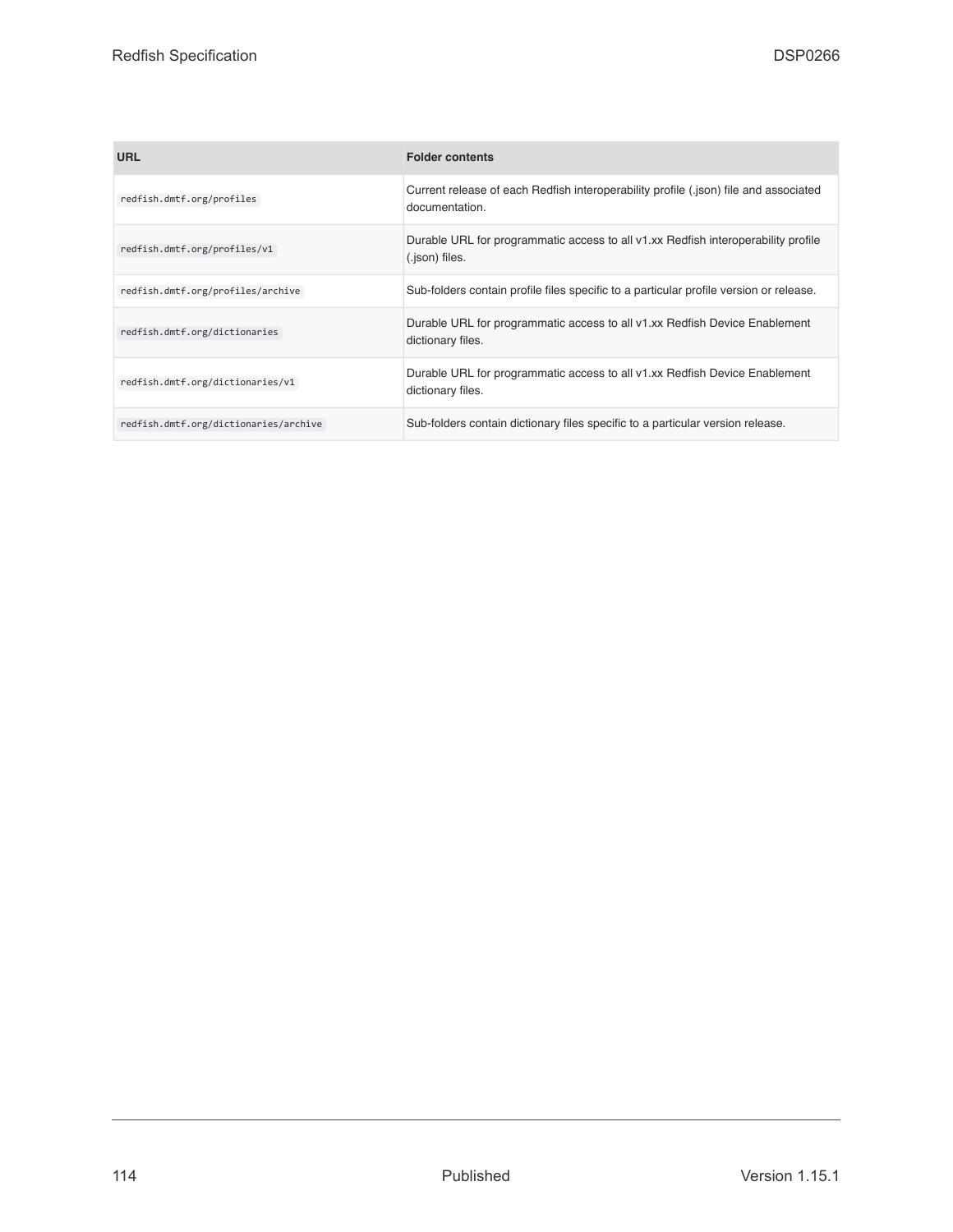| <b>URL</b>                            | <b>Folder contents</b>                                                                                 |
|---------------------------------------|--------------------------------------------------------------------------------------------------------|
| redfish.dmtf.org/profiles             | Current release of each Redfish interoperability profile (.json) file and associated<br>documentation. |
| redfish.dmtf.org/profiles/v1          | Durable URL for programmatic access to all v1.xx Redfish interoperability profile<br>(.json) files.    |
| redfish.dmtf.org/profiles/archive     | Sub-folders contain profile files specific to a particular profile version or release.                 |
| redfish.dmtf.org/dictionaries         | Durable URL for programmatic access to all v1.xx Redfish Device Enablement<br>dictionary files.        |
| redfish.dmtf.org/dictionaries/v1      | Durable URL for programmatic access to all v1.xx Redfish Device Enablement<br>dictionary files.        |
| redfish.dmtf.org/dictionaries/archive | Sub-folders contain dictionary files specific to a particular version release.                         |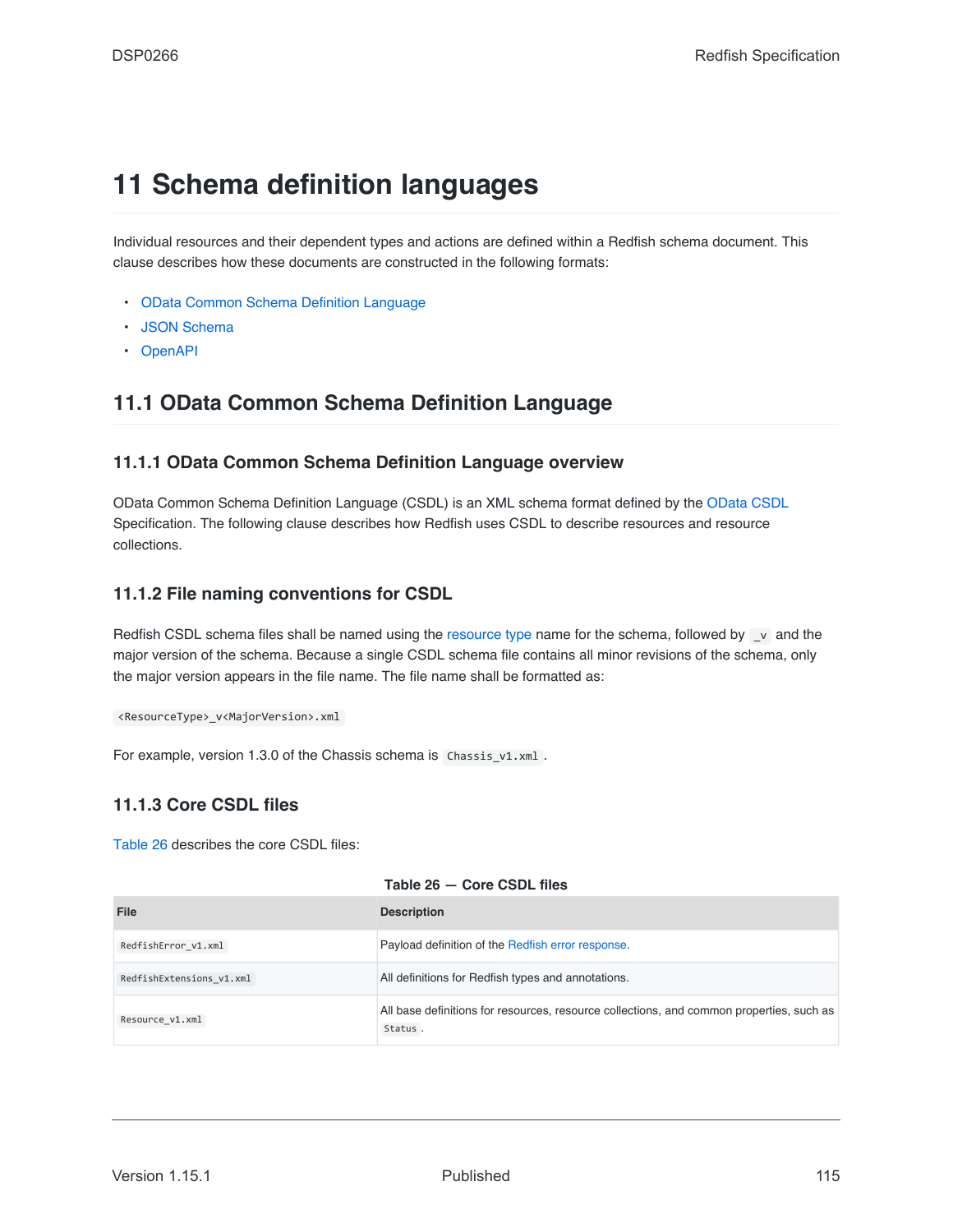# <span id="page-114-0"></span>**11 Schema definition languages**

Individual resources and their dependent types and actions are defined within a Redfish schema document. This clause describes how these documents are constructed in the following formats:

- [OData Common Schema Definition Language](#page-114-1)
- [JSON Schema](#page-124-0)
- [OpenAPI](#page-131-0)

## <span id="page-114-1"></span>**11.1 OData Common Schema Definition Language**

## **11.1.1 OData Common Schema Definition Language overview**

OData Common Schema Definition Language (CSDL) is an XML schema format defined by the [OData CSDL](#page-16-2) Specification. The following clause describes how Redfish uses CSDL to describe resources and resource collections.

## **11.1.2 File naming conventions for CSDL**

Redfish CSDL schema files shall be named using the [resource type](#page-22-0) name for the schema, followed by \_v and the major version of the schema. Because a single CSDL schema file contains all minor revisions of the schema, only the major version appears in the file name. The file name shall be formatted as:

<ResourceType>\_v<MajorVersion>.xml

For example, version 1.3.0 of the Chassis schema is Chassis v1.xml .

## **11.1.3 Core CSDL files**

[Table 26](#page-114-2) describes the core CSDL files:

<span id="page-114-2"></span>

| File                     | <b>Description</b>                                                                                  |
|--------------------------|-----------------------------------------------------------------------------------------------------|
| RedfishError v1.xml      | Payload definition of the Redfish error response.                                                   |
| RedfishExtensions v1.xml | All definitions for Redfish types and annotations.                                                  |
| Resource v1.xml          | All base definitions for resources, resource collections, and common properties, such as<br>Status. |

#### **Table 26 — Core CSDL files**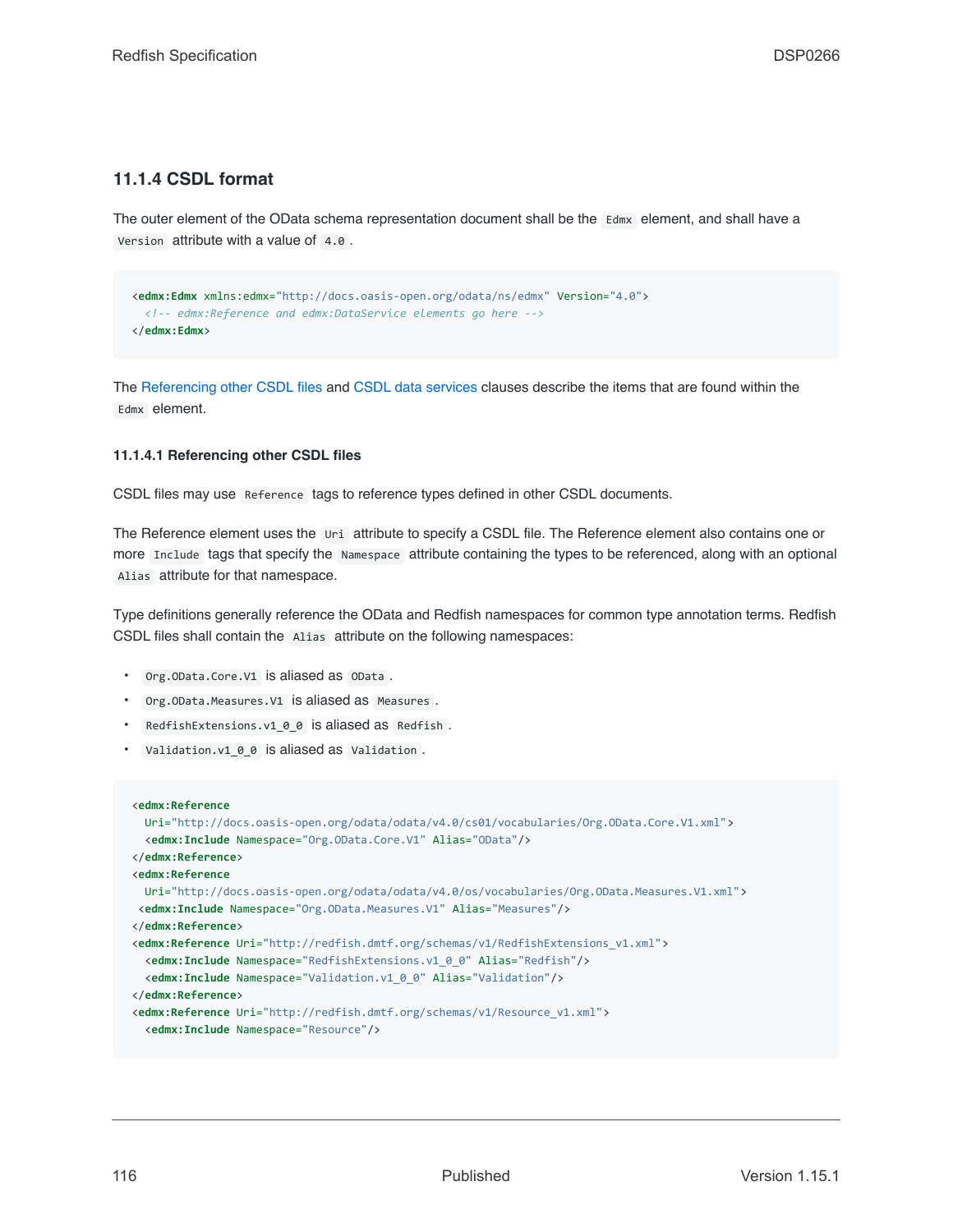### **11.1.4 CSDL format**

The outer element of the OData schema representation document shall be the Edmx element, and shall have a Version attribute with a value of 4.0 .

```
<edmx:Edmx xmlns:edmx="http://docs.oasis-open.org/odata/ns/edmx" Version="4.0">
 <!-- edmx:Reference and edmx:DataService elements go here -->
</edmx:Edmx>
```
The [Referencing other CSDL files](#page-115-0) and [CSDL data services](#page-116-0) clauses describe the items that are found within the Edmx element.

#### <span id="page-115-0"></span>**11.1.4.1 Referencing other CSDL files**

CSDL files may use Reference tags to reference types defined in other CSDL documents.

The Reference element uses the Uri attribute to specify a CSDL file. The Reference element also contains one or more Include tags that specify the Namespace attribute containing the types to be referenced, along with an optional Alias attribute for that namespace.

Type definitions generally reference the OData and Redfish namespaces for common type annotation terms. Redfish CSDL files shall contain the Alias attribute on the following namespaces:

- Org.OData.Core.V1 is aliased as OData .
- Org.OData.Measures.V1 is aliased as Measures .
- RedfishExtensions.v1\_0\_0 is aliased as Redfish.
- Validation.v1\_0\_0 is aliased as Validation .

```
<edmx:Reference
 Uri="http://docs.oasis-open.org/odata/odata/v4.0/cs01/vocabularies/Org.OData.Core.V1.xml">
 <edmx:Include Namespace="Org.OData.Core.V1" Alias="OData"/>
</edmx:Reference>
<edmx:Reference
 Uri="http://docs.oasis-open.org/odata/odata/v4.0/os/vocabularies/Org.OData.Measures.V1.xml">
<edmx:Include Namespace="Org.OData.Measures.V1" Alias="Measures"/>
</edmx:Reference>
<edmx:Reference Uri="http://redfish.dmtf.org/schemas/v1/RedfishExtensions_v1.xml">
 <edmx:Include Namespace="RedfishExtensions.v1_0_0" Alias="Redfish"/>
 <edmx:Include Namespace="Validation.v1_0_0" Alias="Validation"/>
</edmx:Reference>
<edmx:Reference Uri="http://redfish.dmtf.org/schemas/v1/Resource_v1.xml">
 <edmx:Include Namespace="Resource"/>
```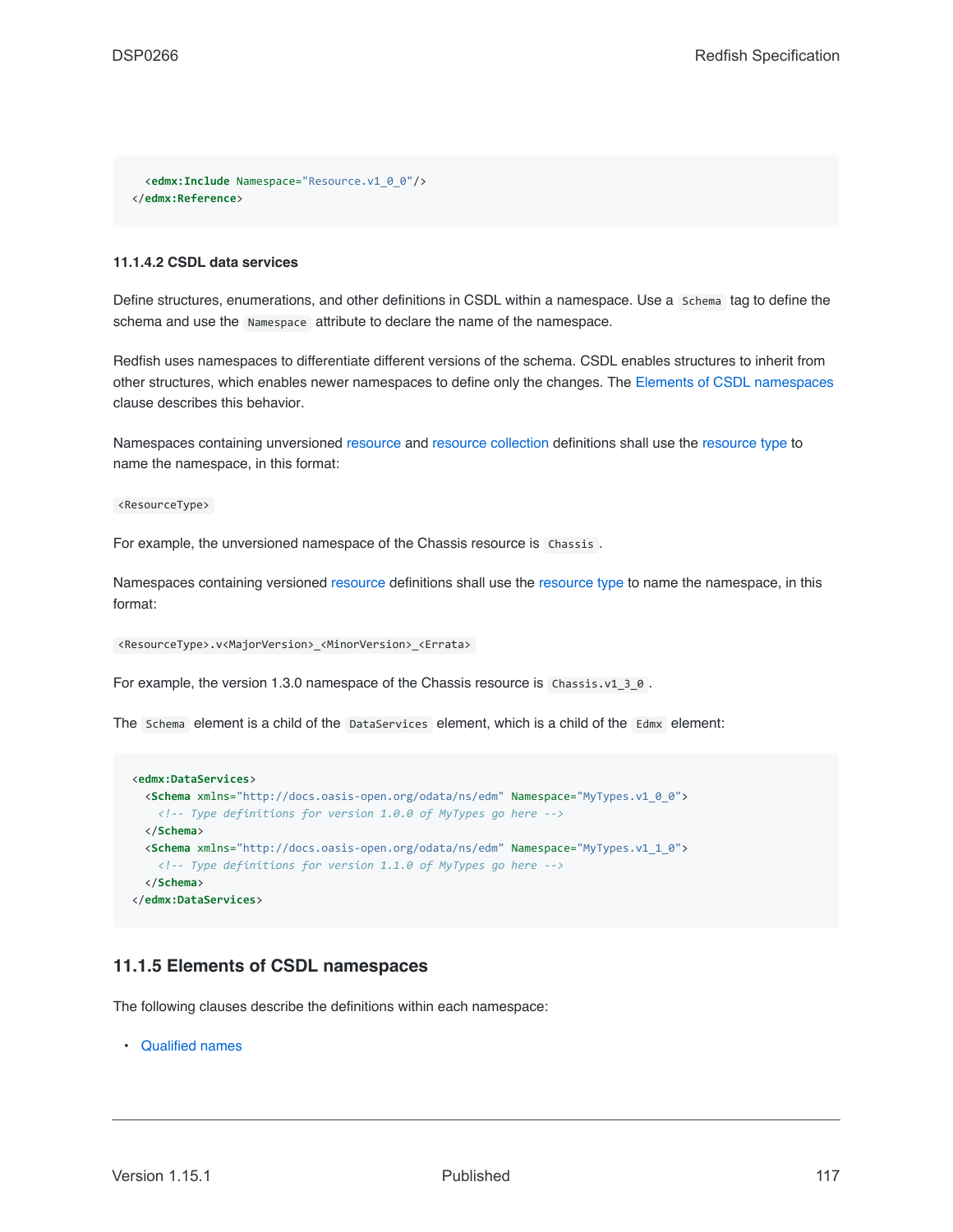```
<edmx:Include Namespace="Resource.v1_0_0"/>
</edmx:Reference>
```
#### <span id="page-116-0"></span>**11.1.4.2 CSDL data services**

Define structures, enumerations, and other definitions in CSDL within a namespace. Use a Schema tag to define the schema and use the Namespace attribute to declare the name of the namespace.

Redfish uses namespaces to differentiate different versions of the schema. CSDL enables structures to inherit from other structures, which enables newer namespaces to define only the changes. The [Elements of CSDL namespaces](#page-116-1) clause describes this behavior.

Namespaces containing unversioned [resource](#page-73-0) and [resource collection](#page-74-0) definitions shall use the [resource type](#page-22-0) to name the namespace, in this format:

<ResourceType>

For example, the unversioned namespace of the Chassis resource is Chassis.

Namespaces containing versioned [resource](#page-73-0) definitions shall use the [resource type](#page-22-0) to name the namespace, in this format:

```
<ResourceType>.v<MajorVersion>_<MinorVersion>_<Errata>
```
For example, the version 1.3.0 namespace of the Chassis resource is  $Chassis.v1_3_0$ .

The Schema element is a child of the DataServices element, which is a child of the Edmx element:

```
<edmx:DataServices>
 <Schema xmlns="http://docs.oasis-open.org/odata/ns/edm" Namespace="MyTypes.v1_0_0">
   <!-- Type definitions for version 1.0.0 of MyTypes go here -->
  </Schema>
 <Schema xmlns="http://docs.oasis-open.org/odata/ns/edm" Namespace="MyTypes.v1_1_0">
   <!-- Type definitions for version 1.1.0 of MyTypes go here -->
  </Schema>
</edmx:DataServices>
```
### <span id="page-116-1"></span>**11.1.5 Elements of CSDL namespaces**

The following clauses describe the definitions within each namespace:

• [Qualified names](#page-117-0)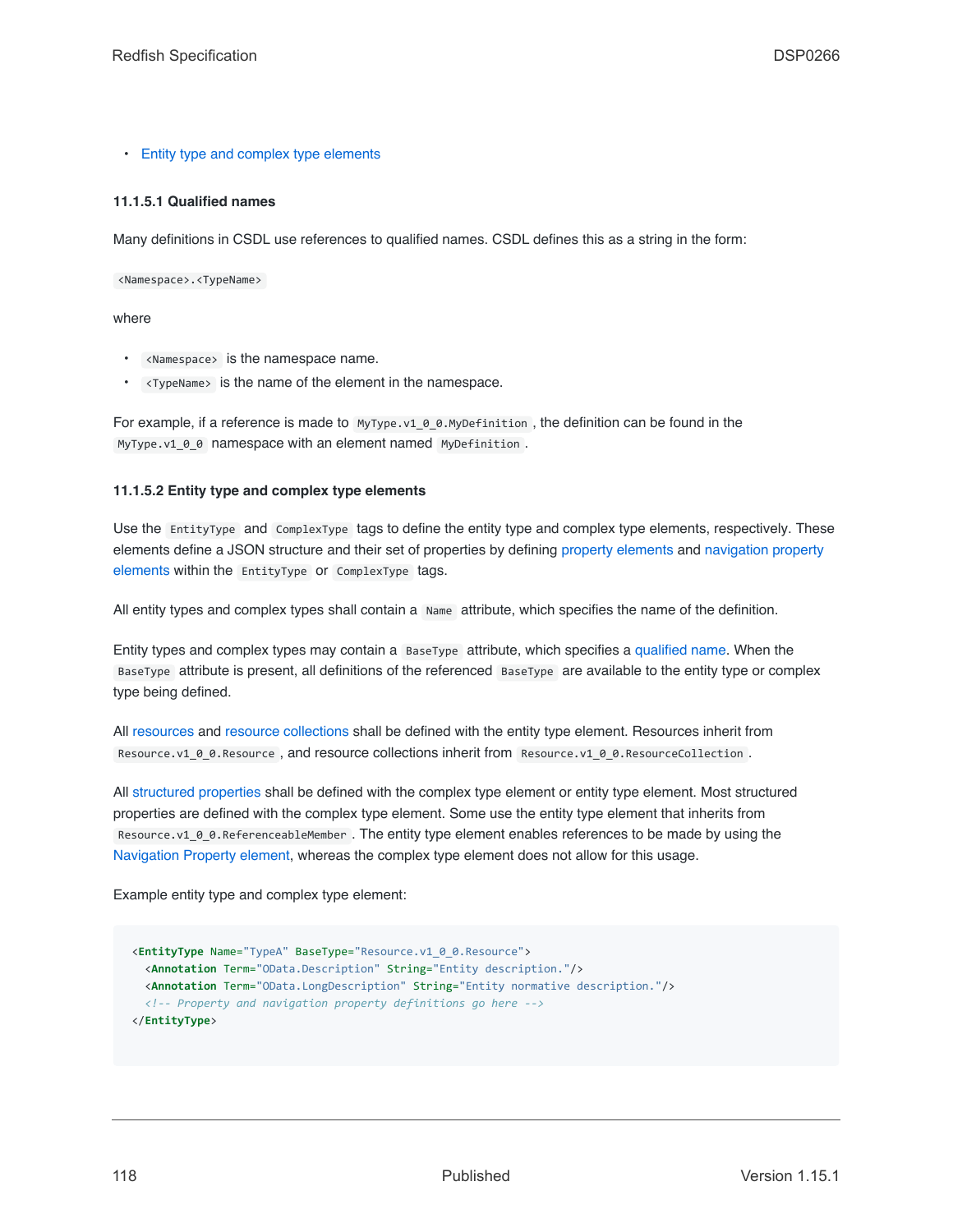• [Entity type and complex type elements](#page-117-1)

#### <span id="page-117-0"></span>**11.1.5.1 Qualified names**

Many definitions in CSDL use references to qualified names. CSDL defines this as a string in the form:

<Namespace>.<TypeName>

#### where

- <Namespace> is the namespace name.
- <TypeName> is the name of the element in the namespace.

For example, if a reference is made to  $MyType.v1$   $\theta$  0.MyDefinition, the definition can be found in the MyType.v1\_0\_0 namespace with an element named MyDefinition .

#### <span id="page-117-1"></span>**11.1.5.2 Entity type and complex type elements**

Use the EntityType and ComplexType tags to define the entity type and complex type elements, respectively. These elements define a JSON structure and their set of properties by defining [property elements](#page-120-0) and [navigation property](#page-121-0) [elements](#page-121-0) within the EntityType or ComplexType tags.

All entity types and complex types shall contain a Name attribute, which specifies the name of the definition.

Entity types and complex types may contain a BaseType attribute, which specifies a [qualified name.](#page-117-0) When the BaseType attribute is present, all definitions of the referenced BaseType are available to the entity type or complex type being defined.

All [resources](#page-73-0) and [resource collections](#page-74-0) shall be defined with the entity type element. Resources inherit from Resource.v1\_0\_0.Resource, and resource collections inherit from Resource.v1\_0\_0.ResourceCollection.

All [structured properties](#page-79-0) shall be defined with the complex type element or entity type element. Most structured properties are defined with the complex type element. Some use the entity type element that inherits from Resource.v1\_0\_0.ReferenceableMember . The entity type element enables references to be made by using the [Navigation Property element](#page-121-0), whereas the complex type element does not allow for this usage.

Example entity type and complex type element:

```
<EntityType Name="TypeA" BaseType="Resource.v1_0_0.Resource">
 <Annotation Term="OData.Description" String="Entity description."/>
  <Annotation Term="OData.LongDescription" String="Entity normative description."/>
  <!-- Property and navigation property definitions go here -->
</EntityType>
```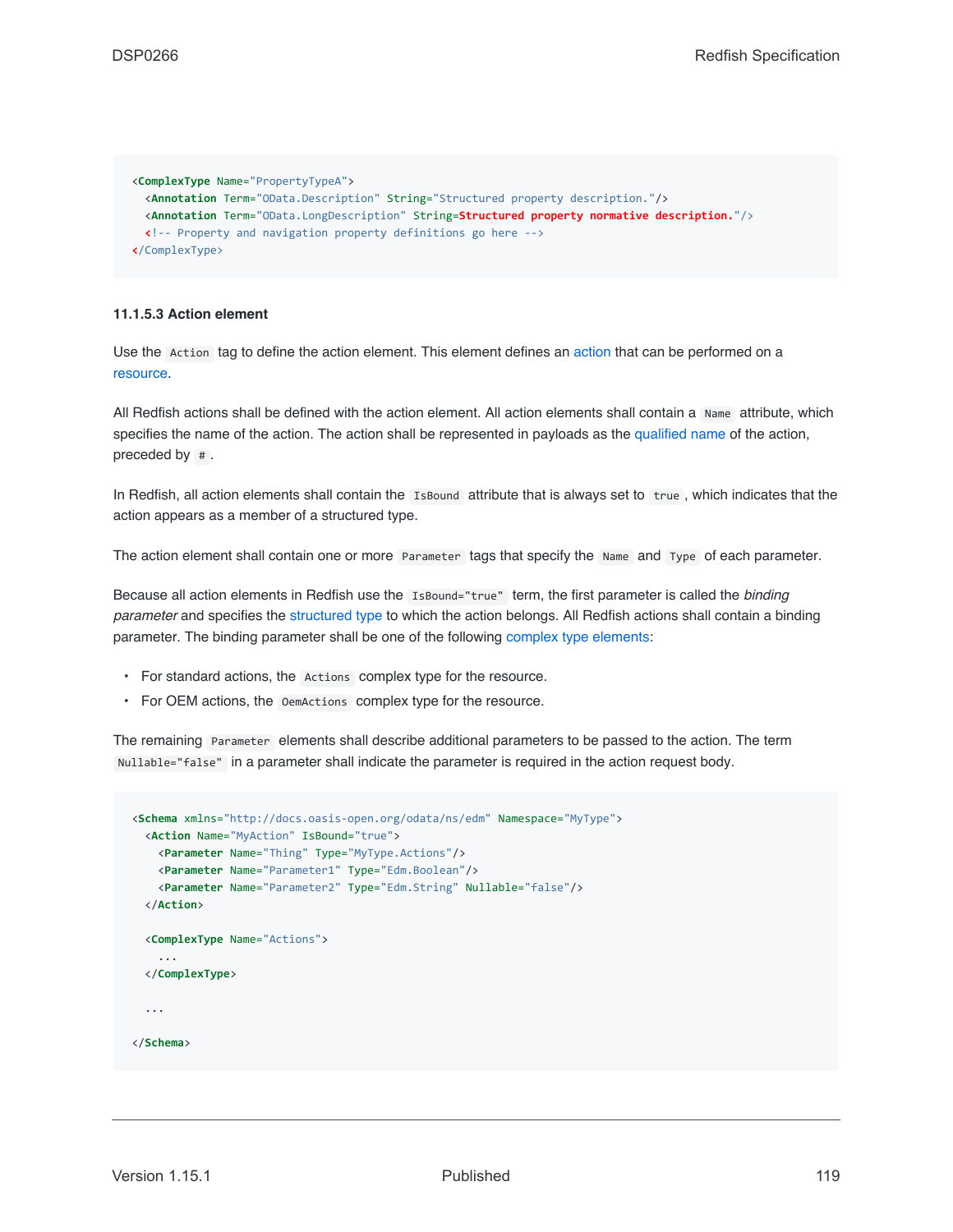```
<ComplexType Name="PropertyTypeA">
 <Annotation Term="OData.Description" String="Structured property description."/>
 <Annotation Term="OData.LongDescription" String=Structured property normative description."/>
 <!-- Property and navigation property definitions go here -->
</ComplexType>
```
#### **11.1.5.3 Action element**

Use the Action tag to define the action element. This element defines an [action](#page-53-0) that can be performed on a [resource.](#page-73-0)

All Redfish actions shall be defined with the action element. All action elements shall contain a Name attribute, which specifies the name of the action. The action shall be represented in payloads as the [qualified name](#page-117-0) of the action, preceded by # .

In Redfish, all action elements shall contain the IsBound attribute that is always set to true , which indicates that the action appears as a member of a structured type.

The action element shall contain one or more Parameter tags that specify the Name and Type of each parameter.

Because all action elements in Redfish use the IsBound="true" term, the first parameter is called the *binding parameter* and specifies the [structured type](#page-79-0) to which the action belongs. All Redfish actions shall contain a binding parameter. The binding parameter shall be one of the following [complex type elements](#page-117-1):

- For standard actions, the Actions complex type for the resource.
- For OEM actions, the OemActions complex type for the resource.

The remaining Parameter elements shall describe additional parameters to be passed to the action. The term Nullable="false" in a parameter shall indicate the parameter is required in the action request body.

```
<Schema xmlns="http://docs.oasis-open.org/odata/ns/edm" Namespace="MyType">
 <Action Name="MyAction" IsBound="true">
   <Parameter Name="Thing" Type="MyType.Actions"/>
   <Parameter Name="Parameter1" Type="Edm.Boolean"/>
   <Parameter Name="Parameter2" Type="Edm.String" Nullable="false"/>
 </Action>
 <ComplexType Name="Actions">
   ...
 </ComplexType>
  ...
</Schema>
```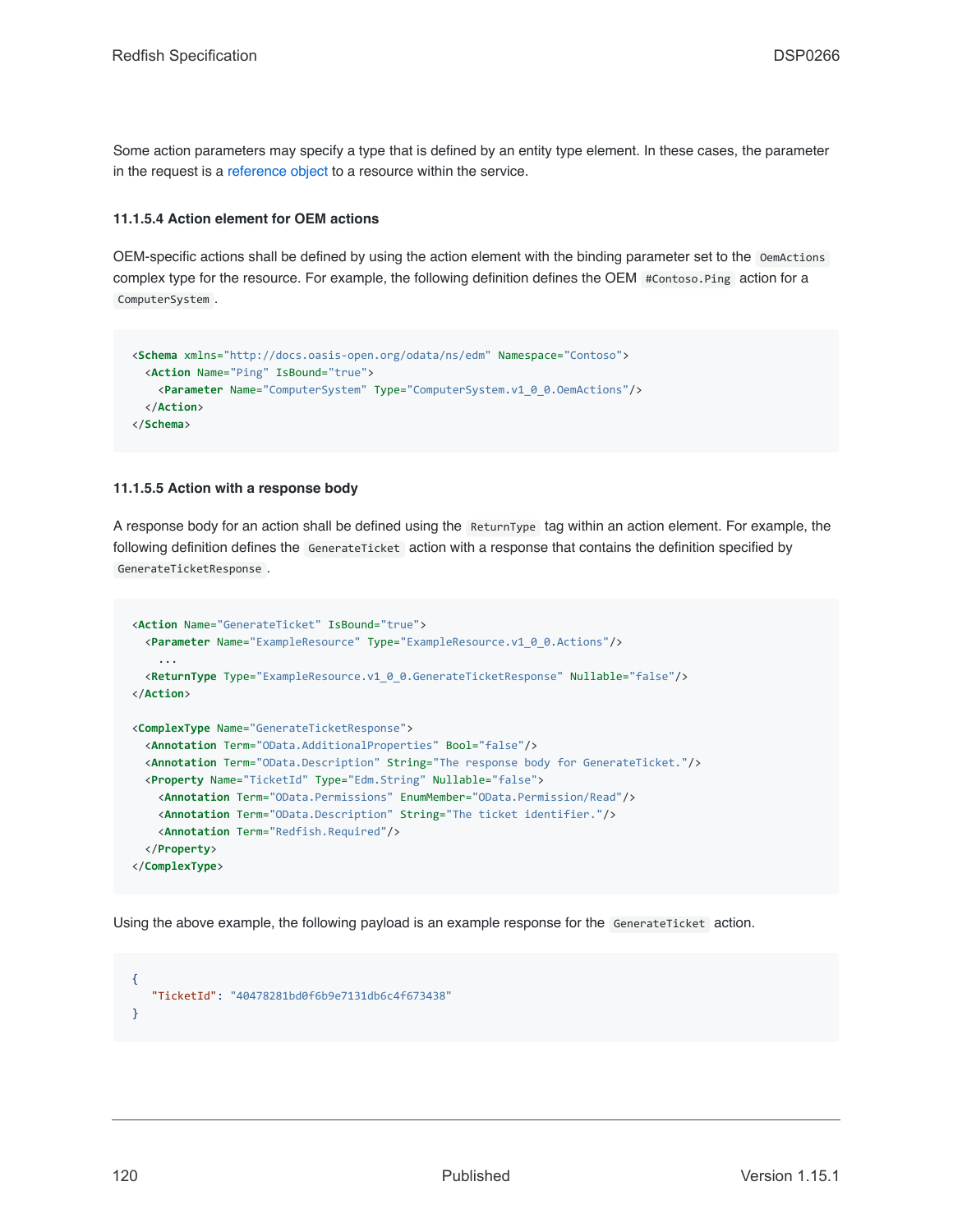Some action parameters may specify a type that is defined by an entity type element. In these cases, the parameter in the request is a [reference object](#page-78-0) to a resource within the service.

#### **11.1.5.4 Action element for OEM actions**

OEM-specific actions shall be defined by using the action element with the binding parameter set to the OemActions complex type for the resource. For example, the following definition defines the OEM #Contoso.Ping action for a ComputerSystem .

```
<Schema xmlns="http://docs.oasis-open.org/odata/ns/edm" Namespace="Contoso">
 <Action Name="Ping" IsBound="true">
   <Parameter Name="ComputerSystem" Type="ComputerSystem.v1_0_0.OemActions"/>
 </Action>
</Schema>
```
#### **11.1.5.5 Action with a response body**

A response body for an action shall be defined using the ReturnType tag within an action element. For example, the following definition defines the GenerateTicket action with a response that contains the definition specified by GenerateTicketResponse .

```
<Action Name="GenerateTicket" IsBound="true">
 <Parameter Name="ExampleResource" Type="ExampleResource.v1_0_0.Actions"/>
    ...
 <ReturnType Type="ExampleResource.v1_0_0.GenerateTicketResponse" Nullable="false"/>
</Action>
<ComplexType Name="GenerateTicketResponse">
 <Annotation Term="OData.AdditionalProperties" Bool="false"/>
 <Annotation Term="OData.Description" String="The response body for GenerateTicket."/>
 <Property Name="TicketId" Type="Edm.String" Nullable="false">
   <Annotation Term="OData.Permissions" EnumMember="OData.Permission/Read"/>
   <Annotation Term="OData.Description" String="The ticket identifier."/>
   <Annotation Term="Redfish.Required"/>
 </Property>
</ComplexType>
```
Using the above example, the following payload is an example response for the GenerateTicket action.

{ "TicketId": "40478281bd0f6b9e7131db6c4f673438" }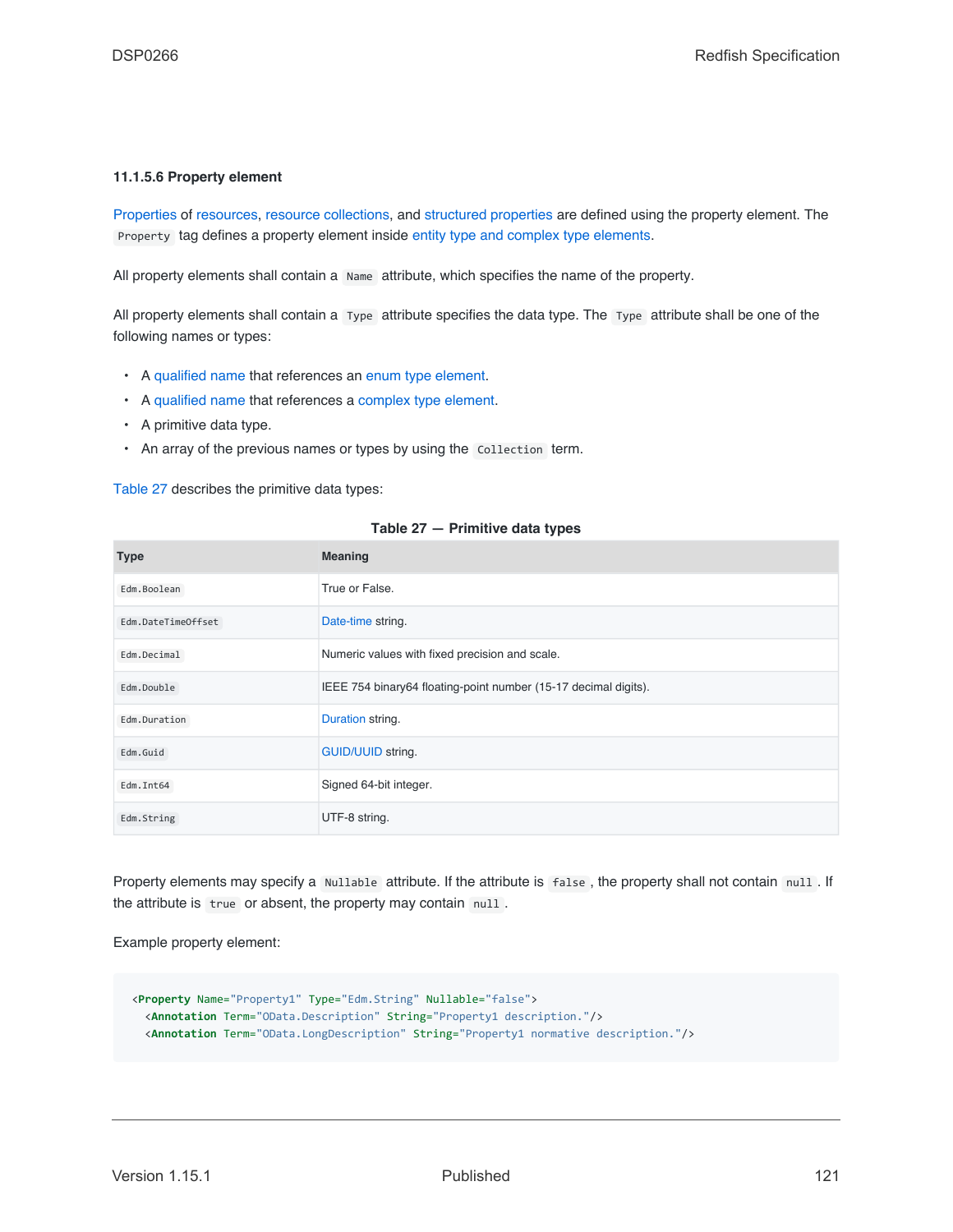#### <span id="page-120-0"></span>**11.1.5.6 Property element**

[Properties](#page-81-0) of [resources,](#page-73-0) [resource collections](#page-74-0), and [structured properties](#page-79-0) are defined using the property element. The Property tag defines a property element inside [entity type and complex type elements](#page-117-1).

All property elements shall contain a Name attribute, which specifies the name of the property.

All property elements shall contain a Type attribute specifies the data type. The Type attribute shall be one of the following names or types:

- A [qualified name](#page-117-0) that references an [enum type element.](#page-121-1)
- A [qualified name](#page-117-0) that references a [complex type element.](#page-117-1)
- A primitive data type.
- An array of the previous names or types by using the Collection term.

[Table 27](#page-120-1) describes the primitive data types:

<span id="page-120-1"></span>

| <b>Type</b>        | <b>Meaning</b>                                                  |
|--------------------|-----------------------------------------------------------------|
| Edm.Boolean        | True or False.                                                  |
| Edm.DateTimeOffset | Date-time string.                                               |
| Edm.Decimal        | Numeric values with fixed precision and scale.                  |
| Edm.Double         | IEEE 754 binary64 floating-point number (15-17 decimal digits). |
| Edm.Duration       | Duration string.                                                |
| Edm.Guid           | <b>GUID/UUID string.</b>                                        |
| Edm. Int64         | Signed 64-bit integer.                                          |
| Edm.String         | UTF-8 string.                                                   |

#### **Table 27 — Primitive data types**

Property elements may specify a Nullable attribute. If the attribute is false, the property shall not contain null. If the attribute is true or absent, the property may contain null.

Example property element:

```
<Property Name="Property1" Type="Edm.String" Nullable="false">
 <Annotation Term="OData.Description" String="Property1 description."/>
  <Annotation Term="OData.LongDescription" String="Property1 normative description."/>
```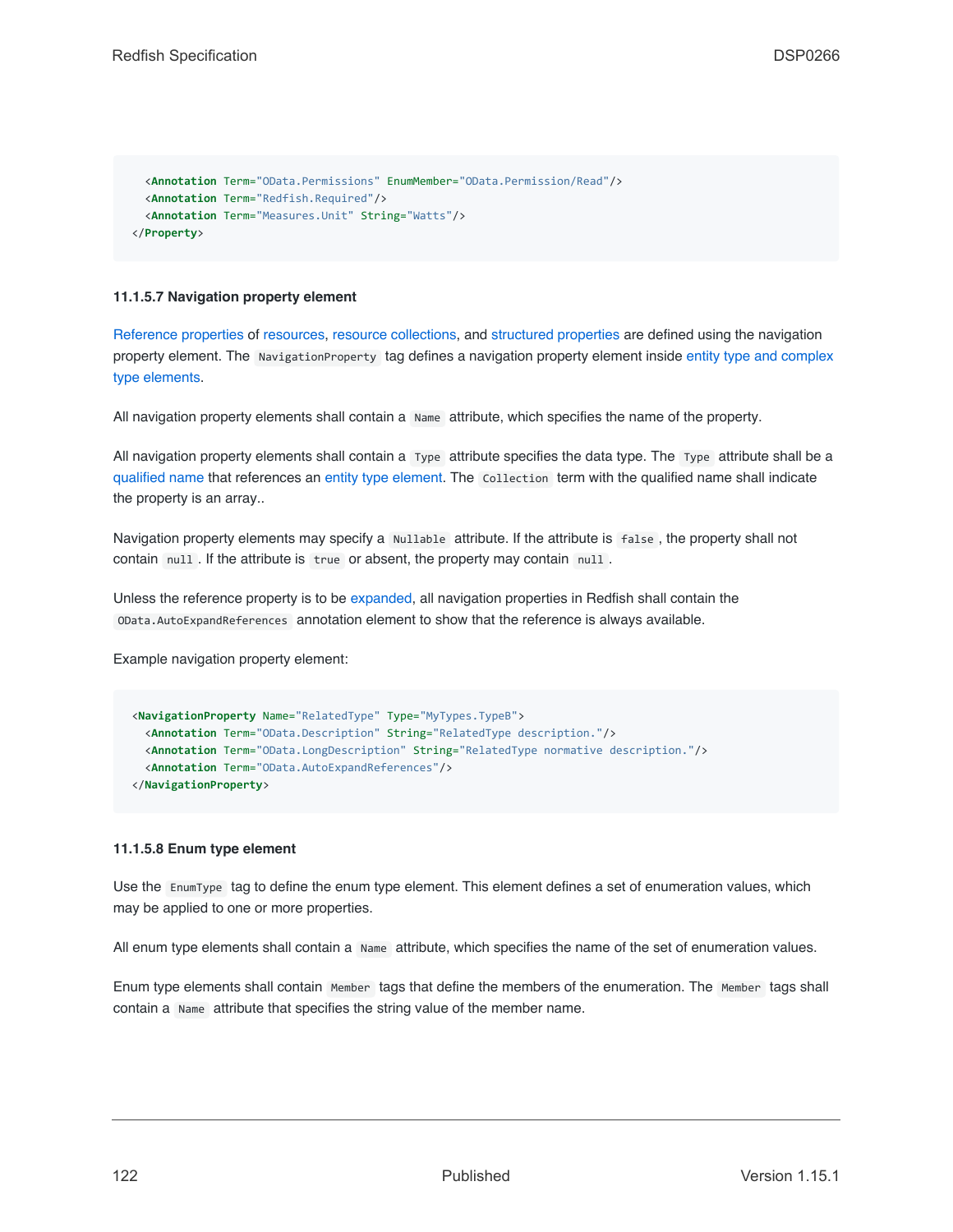```
<Annotation Term="OData.Permissions" EnumMember="OData.Permission/Read"/>
 <Annotation Term="Redfish.Required"/>
 <Annotation Term="Measures.Unit" String="Watts"/>
</Property>
```
#### <span id="page-121-0"></span>**11.1.5.7 Navigation property element**

[Reference properties](#page-78-0) of [resources,](#page-73-0) [resource collections](#page-74-0), and [structured properties](#page-79-0) are defined using the navigation property element. The NavigationProperty tag defines a navigation property element inside [entity type and complex](#page-117-1) [type elements.](#page-117-1)

All navigation property elements shall contain a Name attribute, which specifies the name of the property.

All navigation property elements shall contain a Type attribute specifies the data type. The Type attribute shall be a [qualified name](#page-117-0) that references an [entity type element](#page-117-1). The Collection term with the qualified name shall indicate the property is an array..

Navigation property elements may specify a Nullable attribute. If the attribute is false , the property shall not contain null . If the attribute is true or absent, the property may contain null.

Unless the reference property is to be [expanded,](#page-108-0) all navigation properties in Redfish shall contain the OData.AutoExpandReferences annotation element to show that the reference is always available.

Example navigation property element:

```
<NavigationProperty Name="RelatedType" Type="MyTypes.TypeB">
 <Annotation Term="OData.Description" String="RelatedType description."/>
 <Annotation Term="OData.LongDescription" String="RelatedType normative description."/>
 <Annotation Term="OData.AutoExpandReferences"/>
</NavigationProperty>
```
#### <span id="page-121-1"></span>**11.1.5.8 Enum type element**

Use the EnumType tag to define the enum type element. This element defines a set of enumeration values, which may be applied to one or more properties.

All enum type elements shall contain a Name attribute, which specifies the name of the set of enumeration values.

Enum type elements shall contain Member tags that define the members of the enumeration. The Member tags shall contain a Name attribute that specifies the string value of the member name.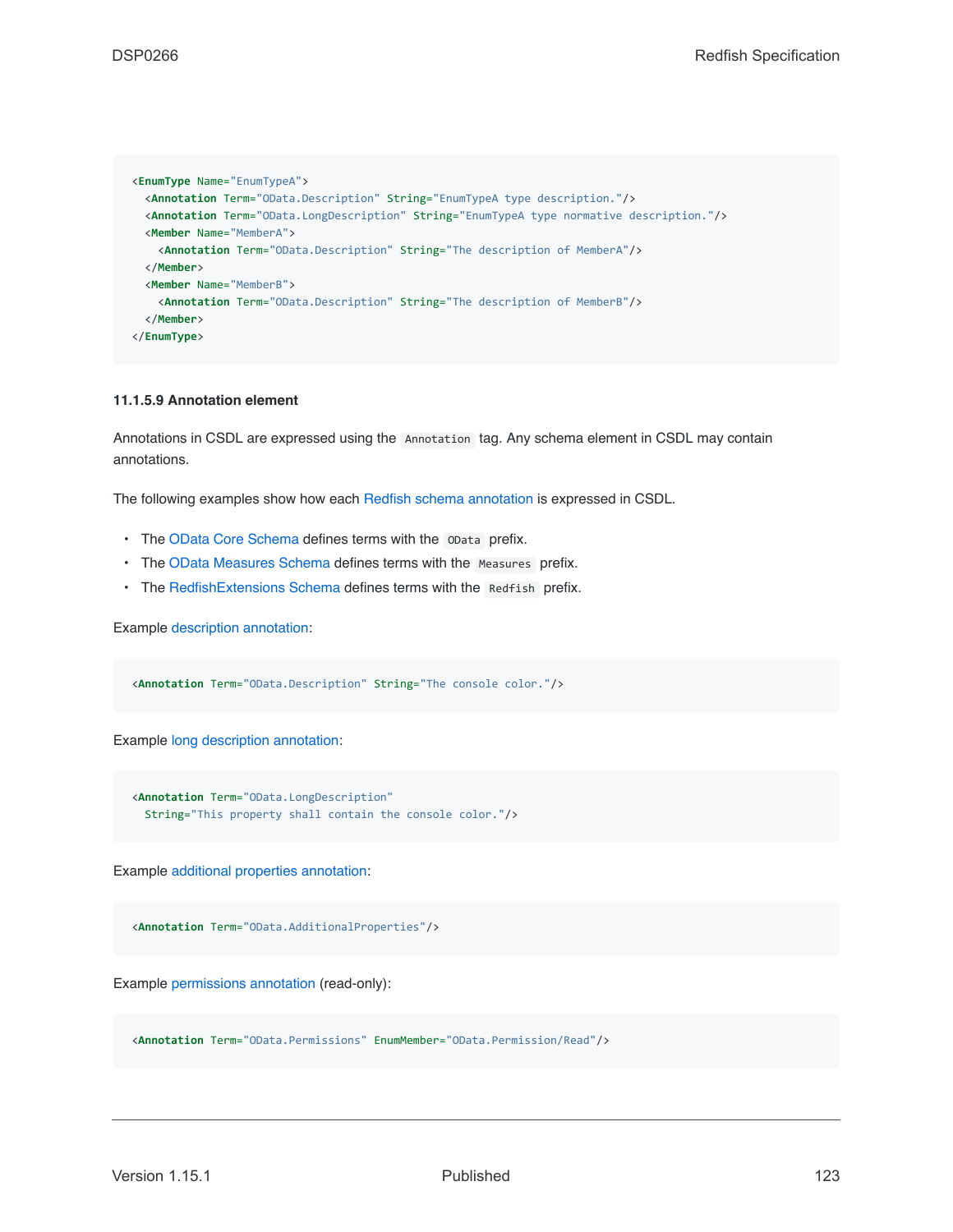```
<EnumType Name="EnumTypeA">
 <Annotation Term="OData.Description" String="EnumTypeA type description."/>
 <Annotation Term="OData.LongDescription" String="EnumTypeA type normative description."/>
 <Member Name="MemberA">
   <Annotation Term="OData.Description" String="The description of MemberA"/>
 </Member>
 <Member Name="MemberB">
   <Annotation Term="OData.Description" String="The description of MemberB"/>
  </Member>
</EnumType>
```
#### **11.1.5.9 Annotation element**

Annotations in CSDL are expressed using the Annotation tag. Any schema element in CSDL may contain annotations.

The following examples show how each [Redfish schema annotation](#page-105-0) is expressed in CSDL.

- The [OData Core Schema](#page-201-0) defines terms with the OData prefix.
- The [OData Measures Schema](#page-16-3) defines terms with the Measures prefix.
- The [RedfishExtensions Schema](#page-15-0) defines terms with the Redfish prefix.

Example [description annotation](#page-105-1):

<**Annotation** Term="OData.Description" String="The console color."/>

Example [long description annotation:](#page-106-0)

```
<Annotation Term="OData.LongDescription"
 String="This property shall contain the console color."/>
```
Example [additional properties annotation:](#page-107-0)

<**Annotation** Term="OData.AdditionalProperties"/>

Example [permissions annotation](#page-107-1) (read-only):

<**Annotation** Term="OData.Permissions" EnumMember="OData.Permission/Read"/>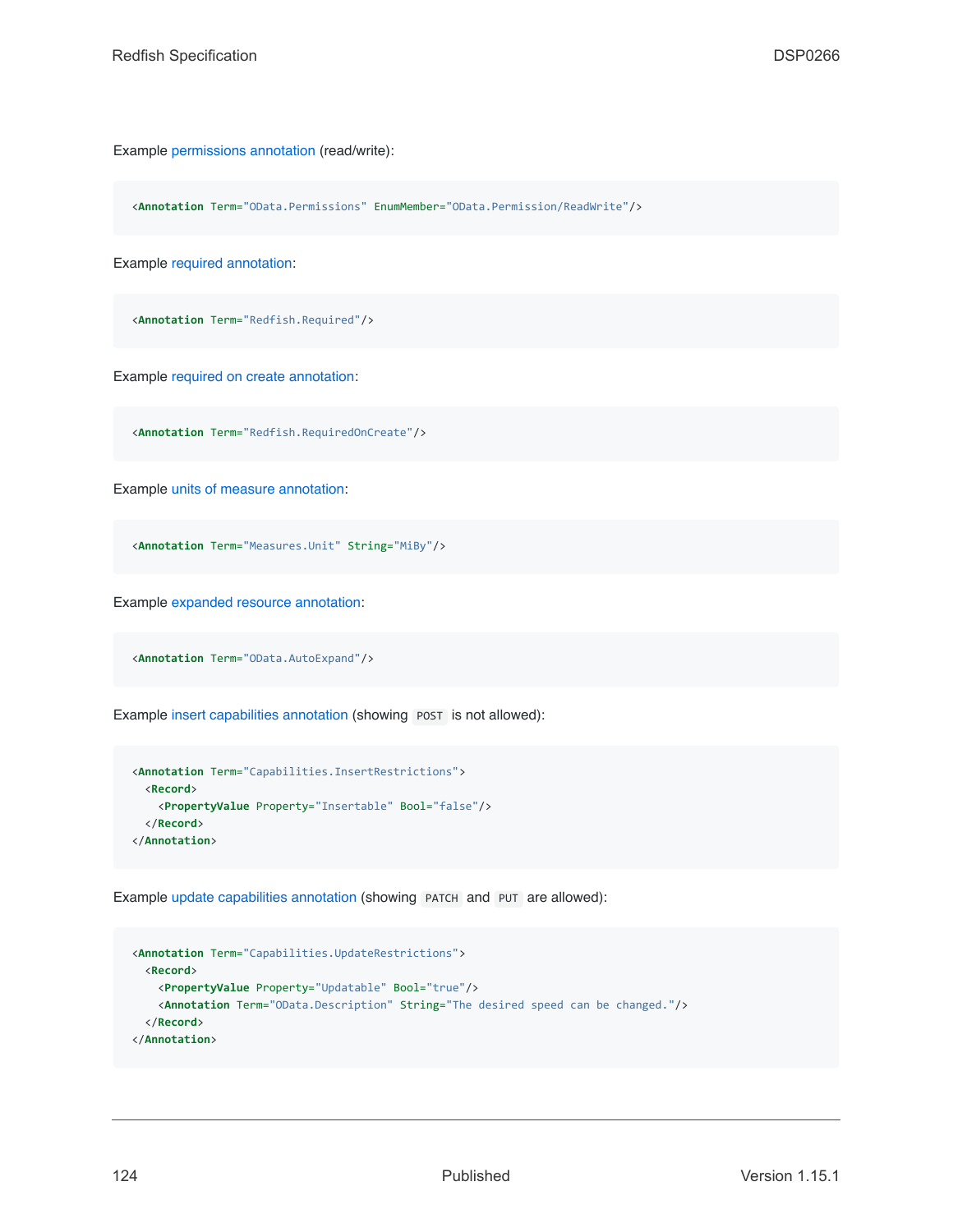Example [permissions annotation](#page-107-1) (read/write):

<**Annotation** Term="OData.Permissions" EnumMember="OData.Permission/ReadWrite"/>

Example [required annotation:](#page-108-1)

<**Annotation** Term="Redfish.Required"/>

Example [required on create annotation:](#page-108-2)

<**Annotation** Term="Redfish.RequiredOnCreate"/>

Example [units of measure annotation](#page-108-3):

<**Annotation** Term="Measures.Unit" String="MiBy"/>

Example [expanded resource annotation:](#page-108-0)

<**Annotation** Term="OData.AutoExpand"/>

Example [insert capabilities annotation](#page-106-1) (showing POST is not allowed):

```
<Annotation Term="Capabilities.InsertRestrictions">
 <Record>
   <PropertyValue Property="Insertable" Bool="false"/>
 </Record>
</Annotation>
```
Example [update capabilities annotation](#page-106-1) (showing PATCH and PUT are allowed):

```
<Annotation Term="Capabilities.UpdateRestrictions">
 <Record>
   <PropertyValue Property="Updatable" Bool="true"/>
   <Annotation Term="OData.Description" String="The desired speed can be changed."/>
 </Record>
</Annotation>
```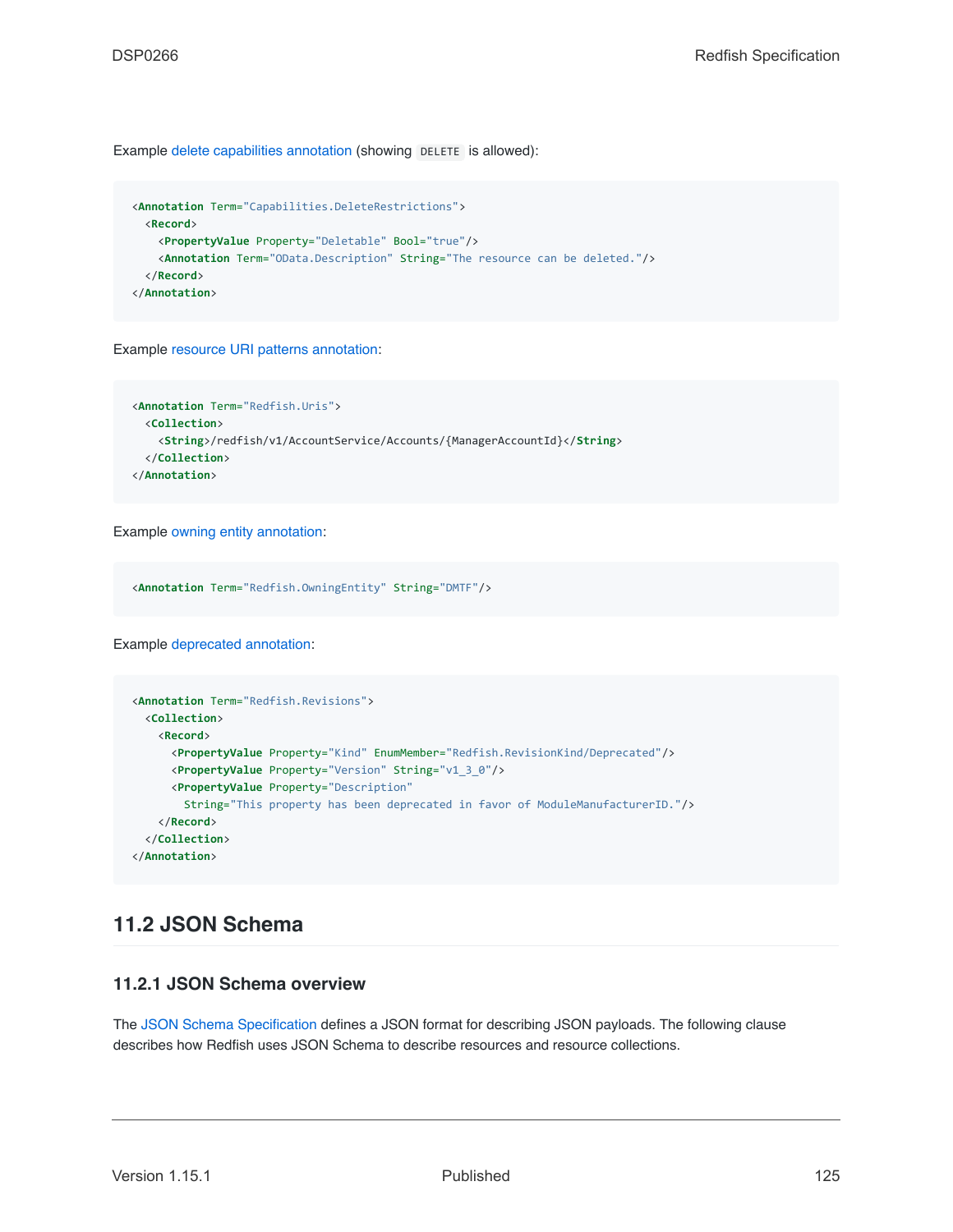Example [delete capabilities annotation](#page-106-1) (showing DELETE is allowed):

```
<Annotation Term="Capabilities.DeleteRestrictions">
 <Record>
   <PropertyValue Property="Deletable" Bool="true"/>
   <Annotation Term="OData.Description" String="The resource can be deleted."/>
 </Record>
</Annotation>
```
Example [resource URI patterns annotation:](#page-106-2)

```
<Annotation Term="Redfish.Uris">
 <Collection>
   <String>/redfish/v1/AccountService/Accounts/{ManagerAccountId}</String>
 </Collection>
</Annotation>
```
Example [owning entity annotation](#page-108-4):

<**Annotation** Term="Redfish.OwningEntity" String="DMTF"/>

Example [deprecated annotation:](#page-6-0)

```
<Annotation Term="Redfish.Revisions">
 <Collection>
   <Record>
     <PropertyValue Property="Kind" EnumMember="Redfish.RevisionKind/Deprecated"/>
     <PropertyValue Property="Version" String="v1_3_0"/>
     <PropertyValue Property="Description"
       String="This property has been deprecated in favor of ModuleManufacturerID."/>
   </Record>
 </Collection>
</Annotation>
```
## <span id="page-124-0"></span>**11.2 JSON Schema**

### **11.2.1 JSON Schema overview**

The [JSON Schema Specification](#page-15-1) defines a JSON format for describing JSON payloads. The following clause describes how Redfish uses JSON Schema to describe resources and resource collections.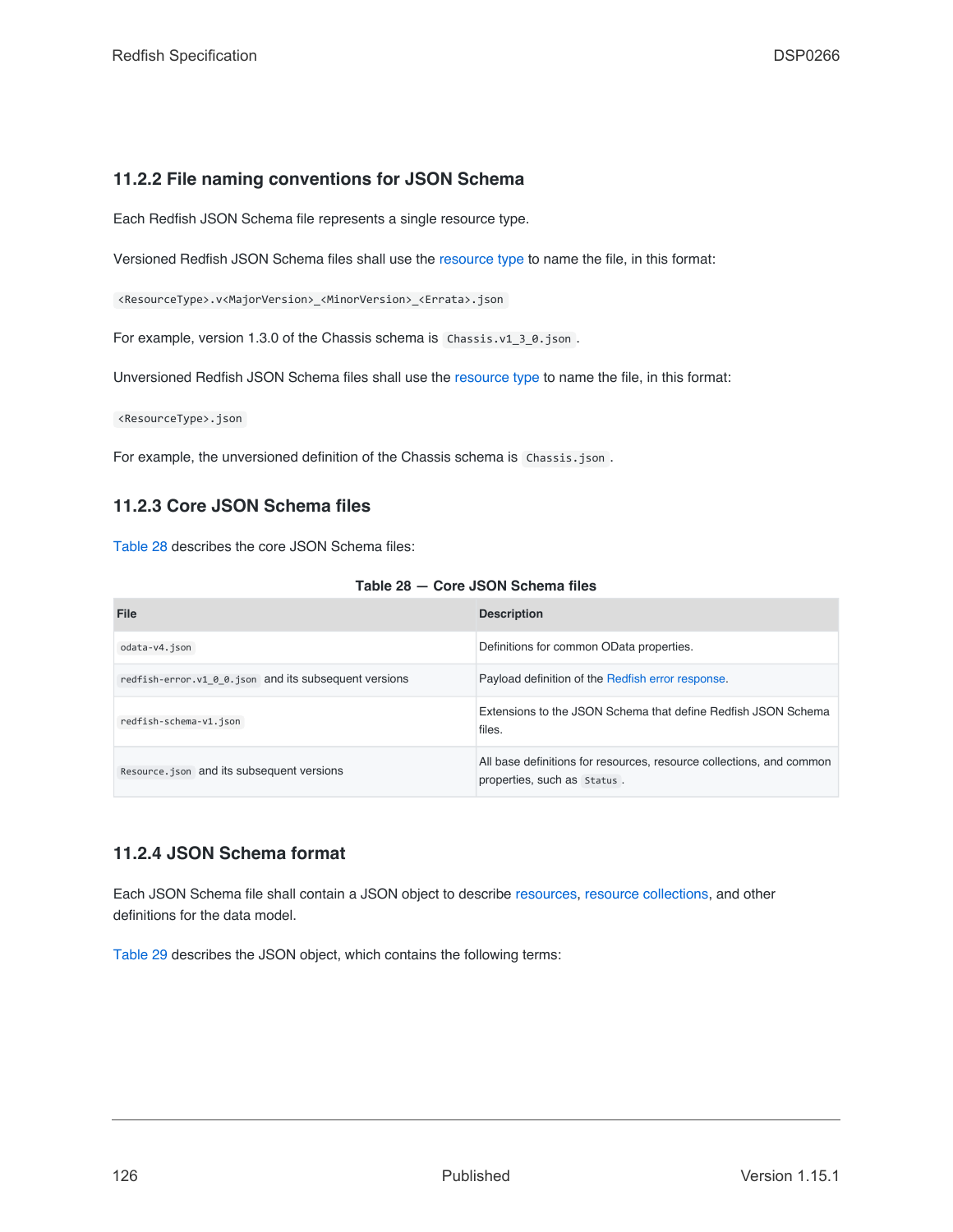## **11.2.2 File naming conventions for JSON Schema**

Each Redfish JSON Schema file represents a single resource type.

Versioned Redfish JSON Schema files shall use the [resource type](#page-22-0) to name the file, in this format:

<ResourceType>.v<MajorVersion>\_<MinorVersion>\_<Errata>.json

For example, version 1.3.0 of the Chassis schema is Chassis.v1\_3\_0.json.

Unversioned Redfish JSON Schema files shall use the [resource type](#page-22-0) to name the file, in this format:

<ResourceType>.json

For example, the unversioned definition of the Chassis schema is Chassis.json.

## **11.2.3 Core JSON Schema files**

[Table 28](#page-125-0) describes the core JSON Schema files:

| Table 28 - Core JSON Schema files |  |
|-----------------------------------|--|
|-----------------------------------|--|

<span id="page-125-0"></span>

| File                                                  | <b>Description</b>                                                                                  |
|-------------------------------------------------------|-----------------------------------------------------------------------------------------------------|
| odata-v4.json                                         | Definitions for common OData properties.                                                            |
| redfish-error.v1 0 0.json and its subsequent versions | Payload definition of the Redfish error response.                                                   |
| redfish-schema-v1.json                                | Extensions to the JSON Schema that define Redfish JSON Schema<br>files.                             |
| Resource.json and its subsequent versions             | All base definitions for resources, resource collections, and common<br>properties, such as Status. |

### **11.2.4 JSON Schema format**

Each JSON Schema file shall contain a JSON object to describe [resources,](#page-73-0) [resource collections](#page-74-0), and other definitions for the data model.

[Table 29](#page-126-0) describes the JSON object, which contains the following terms: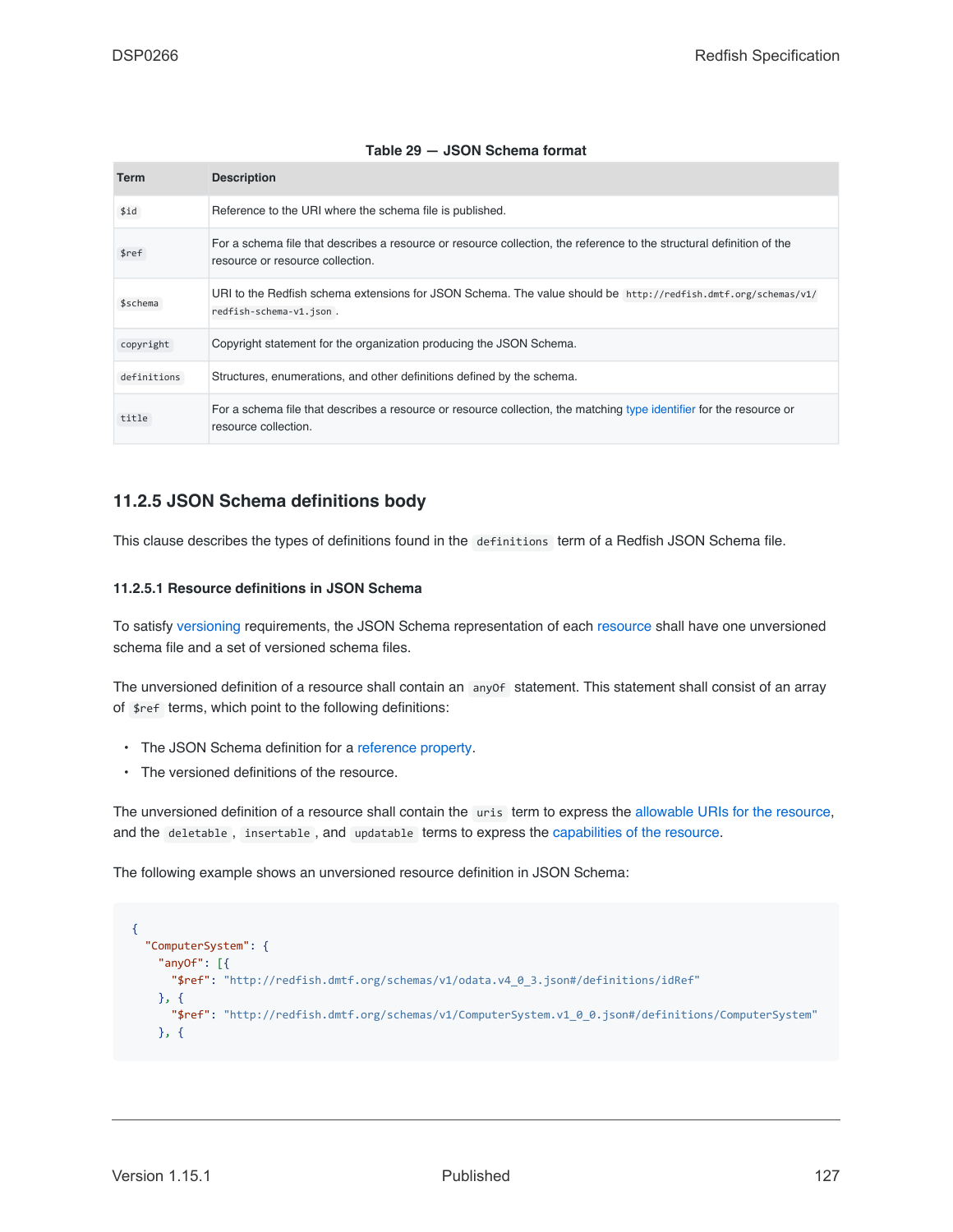| Table 29 - JSON Schema format |  |  |  |
|-------------------------------|--|--|--|
|-------------------------------|--|--|--|

<span id="page-126-0"></span>

| Term        | <b>Description</b>                                                                                                                                        |
|-------------|-----------------------------------------------------------------------------------------------------------------------------------------------------------|
| \$id        | Reference to the URI where the schema file is published.                                                                                                  |
| \$ref       | For a schema file that describes a resource or resource collection, the reference to the structural definition of the<br>resource or resource collection. |
| \$schema    | URI to the Redfish schema extensions for JSON Schema. The value should be http://redfish.dmtf.org/schemas/v1/<br>redfish-schema-v1.json.                  |
| copyright   | Copyright statement for the organization producing the JSON Schema.                                                                                       |
| definitions | Structures, enumerations, and other definitions defined by the schema.                                                                                    |
| title       | For a schema file that describes a resource or resource collection, the matching type identifier for the resource or<br>resource collection.              |

## **11.2.5 JSON Schema definitions body**

This clause describes the types of definitions found in the definitions term of a Redfish JSON Schema file.

#### **11.2.5.1 Resource definitions in JSON Schema**

To satisfy [versioning](#page-109-0) requirements, the JSON Schema representation of each [resource](#page-73-0) shall have one unversioned schema file and a set of versioned schema files.

The unversioned definition of a resource shall contain an anyof statement. This statement shall consist of an array of \$ref terms, which point to the following definitions:

- The JSON Schema definition for a [reference property](#page-78-0).
- The versioned definitions of the resource.

The unversioned definition of a resource shall contain the uris term to express the [allowable URIs for the resource,](#page-106-2) and the deletable , insertable , and updatable terms to express the [capabilities of the resource.](#page-106-1)

The following example shows an unversioned resource definition in JSON Schema:

```
{
  "ComputerSystem": {
   "anyOf": [{
     "$ref": "http://redfish.dmtf.org/schemas/v1/odata.v4_0_3.json#/definitions/idRef"
   }, {
      "$ref": "http://redfish.dmtf.org/schemas/v1/ComputerSystem.v1_0_0.json#/definitions/ComputerSystem"
   }, {
```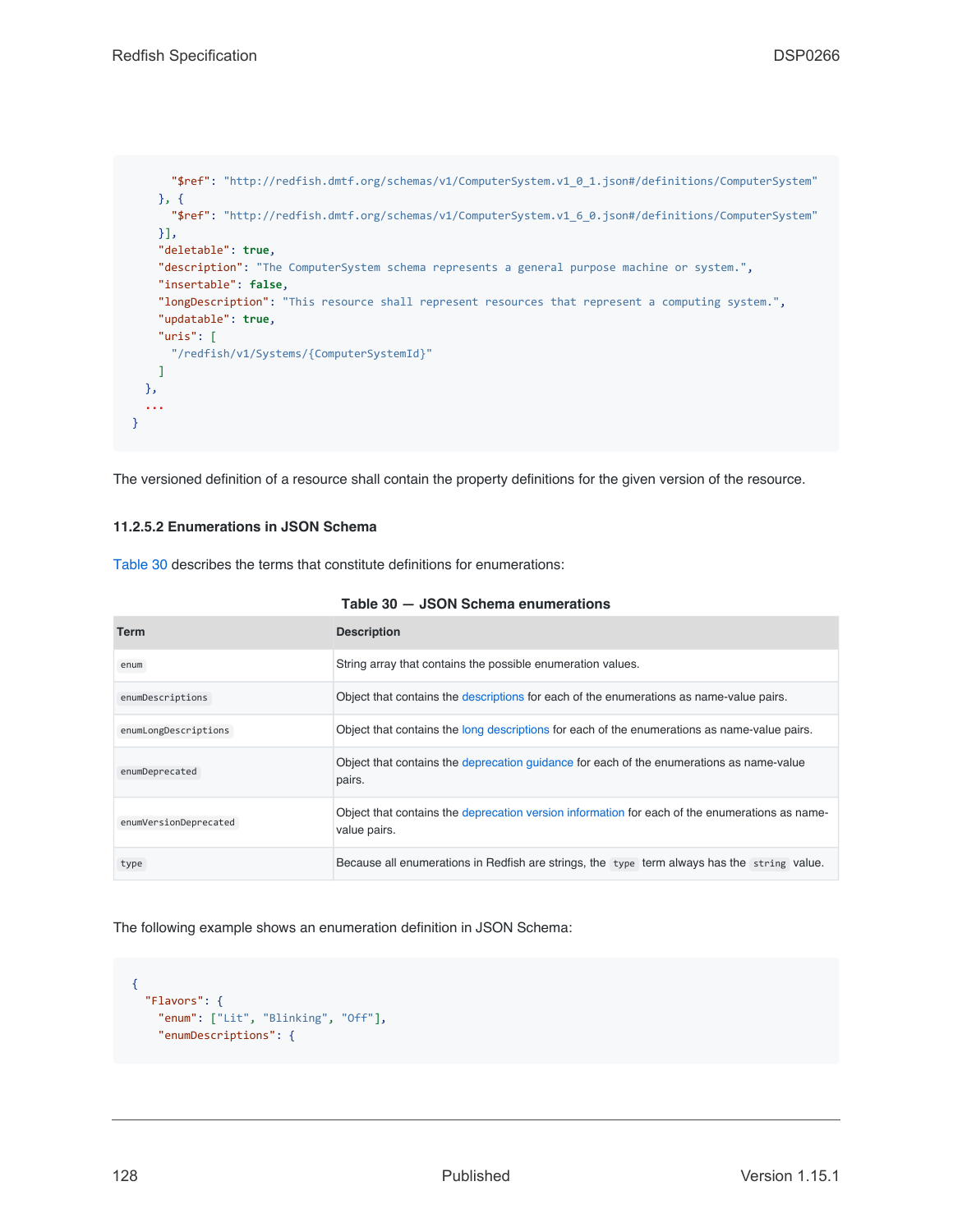```
"$ref": "http://redfish.dmtf.org/schemas/v1/ComputerSystem.v1_0_1.json#/definitions/ComputerSystem"
    }, {
      "$ref": "http://redfish.dmtf.org/schemas/v1/ComputerSystem.v1_6_0.json#/definitions/ComputerSystem"
    }],
    "deletable": true,
    "description": "The ComputerSystem schema represents a general purpose machine or system.",
    "insertable": false,
    "longDescription": "This resource shall represent resources that represent a computing system.",
    "updatable": true,
    "uris": [
     "/redfish/v1/Systems/{ComputerSystemId}"
    \mathbf{I}},
  ...
}
```
The versioned definition of a resource shall contain the property definitions for the given version of the resource.

#### **11.2.5.2 Enumerations in JSON Schema**

[Table 30](#page-127-0) describes the terms that constitute definitions for enumerations:

<span id="page-127-0"></span>

| Term                  | <b>Description</b>                                                                                             |
|-----------------------|----------------------------------------------------------------------------------------------------------------|
| enum                  | String array that contains the possible enumeration values.                                                    |
| enumDescriptions      | Object that contains the descriptions for each of the enumerations as name-value pairs.                        |
| enumLongDescriptions  | Object that contains the long descriptions for each of the enumerations as name-value pairs.                   |
| enumDeprecated        | Object that contains the deprecation quidance for each of the enumerations as name-value<br>pairs.             |
| enumVersionDeprecated | Object that contains the deprecation version information for each of the enumerations as name-<br>value pairs. |
| type                  | Because all enumerations in Redfish are strings, the type term always has the string value.                    |

#### **Table 30 — JSON Schema enumerations**

The following example shows an enumeration definition in JSON Schema:

```
{
 "Flavors": {
   "enum": ["Lit", "Blinking", "Off"],
    "enumDescriptions": {
```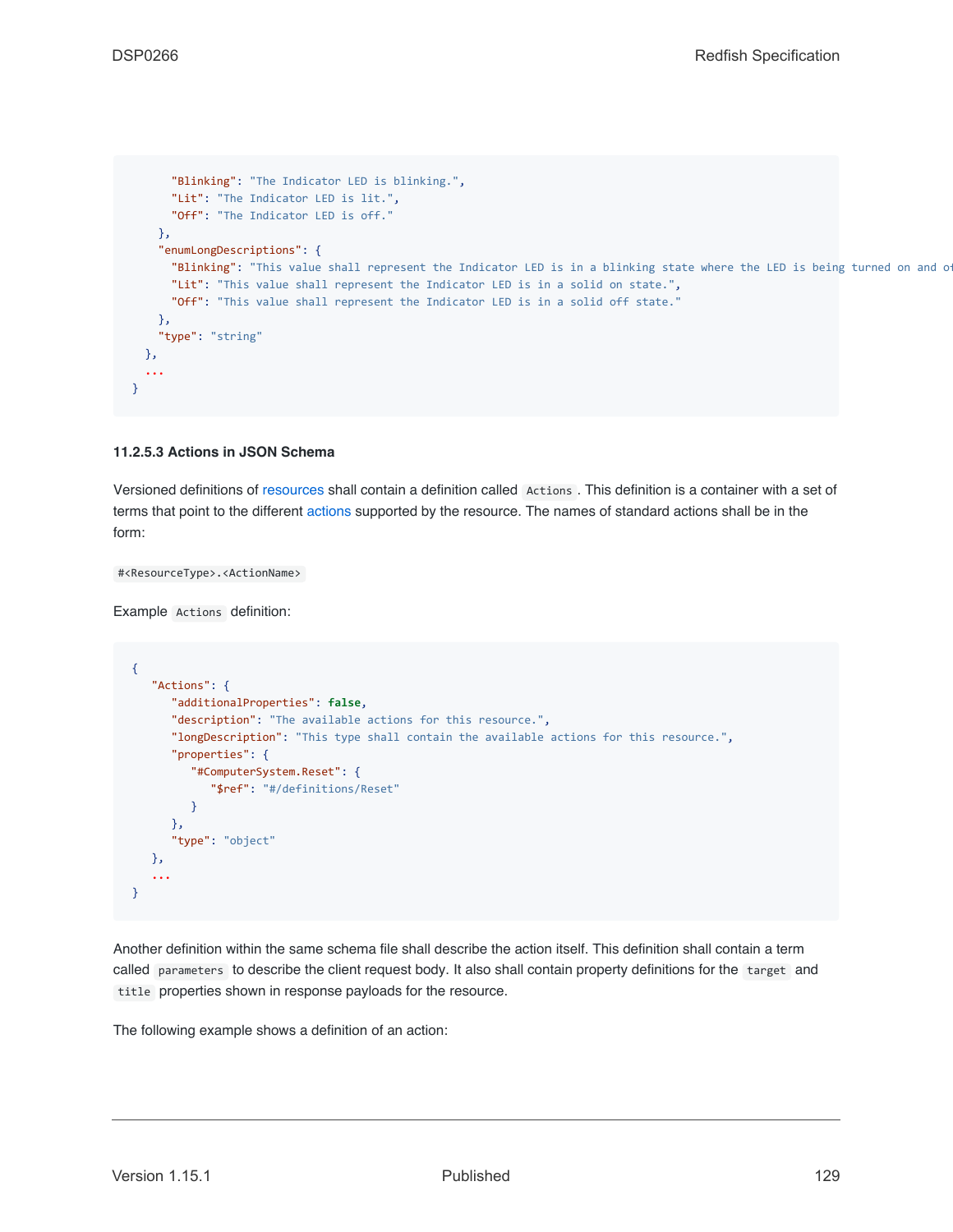```
"Blinking": "The Indicator LED is blinking.",
      "Lit": "The Indicator LED is lit.",
      "Off": "The Indicator LED is off."
   },
    "enumLongDescriptions": {
     "Blinking": "This value shall represent the Indicator LED is in a blinking state where the LED is being turned on and o
      "Lit": "This value shall represent the Indicator LED is in a solid on state.",
      "Off": "This value shall represent the Indicator LED is in a solid off state."
    },
    "type": "string"
 },
  ...
}
```
#### **11.2.5.3 Actions in JSON Schema**

Versioned definitions of [resources](#page-73-0) shall contain a definition called Actions . This definition is a container with a set of terms that point to the different [actions](#page-53-0) supported by the resource. The names of standard actions shall be in the form:

#<ResourceType>.<ActionName>

Example Actions definition:

```
{
   "Actions": {
      "additionalProperties": false,
      "description": "The available actions for this resource.",
      "longDescription": "This type shall contain the available actions for this resource.",
      "properties": {
         "#ComputerSystem.Reset": {
            "$ref": "#/definitions/Reset"
         }
      },
      "type": "object"
  },
   ...
}
```
Another definition within the same schema file shall describe the action itself. This definition shall contain a term called parameters to describe the client request body. It also shall contain property definitions for the target and title properties shown in response payloads for the resource.

The following example shows a definition of an action: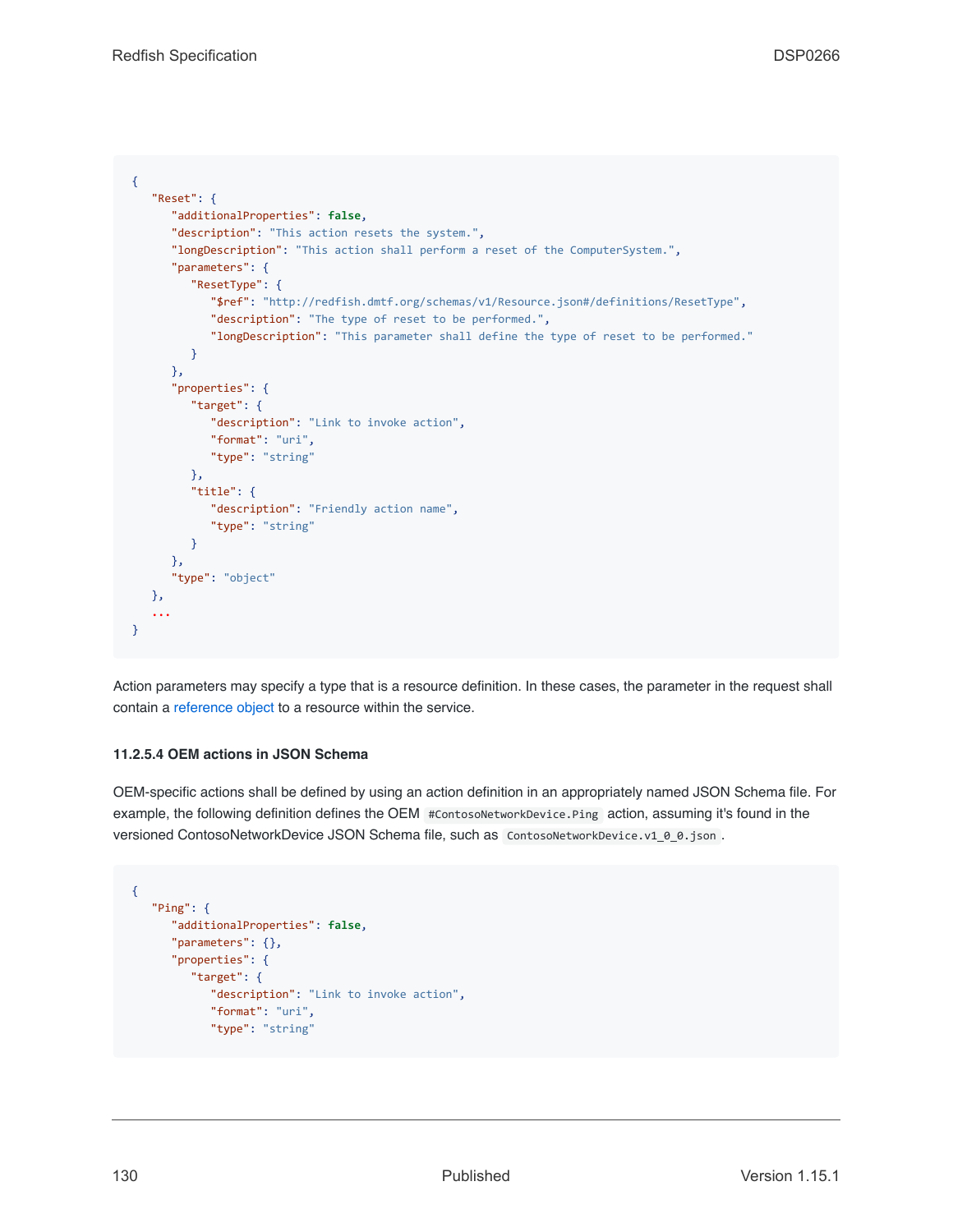```
{
   "Reset": {
      "additionalProperties": false,
      "description": "This action resets the system.",
      "longDescription": "This action shall perform a reset of the ComputerSystem.",
      "parameters": {
         "ResetType": {
            "$ref": "http://redfish.dmtf.org/schemas/v1/Resource.json#/definitions/ResetType",
            "description": "The type of reset to be performed.",
            "longDescription": "This parameter shall define the type of reset to be performed."
         }
      },
      "properties": {
        "target": {
           "description": "Link to invoke action",
            "format": "uri",
            "type": "string"
         },
         "title": {
            "description": "Friendly action name",
            "type": "string"
         }
      },
      "type": "object"
  },
   ...
}
```
Action parameters may specify a type that is a resource definition. In these cases, the parameter in the request shall contain a [reference object](#page-78-0) to a resource within the service.

#### **11.2.5.4 OEM actions in JSON Schema**

OEM-specific actions shall be defined by using an action definition in an appropriately named JSON Schema file. For example, the following definition defines the OEM #ContosoNetworkDevice.Ping action, assuming it's found in the versioned ContosoNetworkDevice JSON Schema file, such as ContosoNetworkDevice.v1\_0\_0.json.

```
{
   "Ping": {
      "additionalProperties": false,
      "parameters": {},
      "properties": {
         "target": {
            "description": "Link to invoke action",
            "format": "uri",
            "type": "string"
```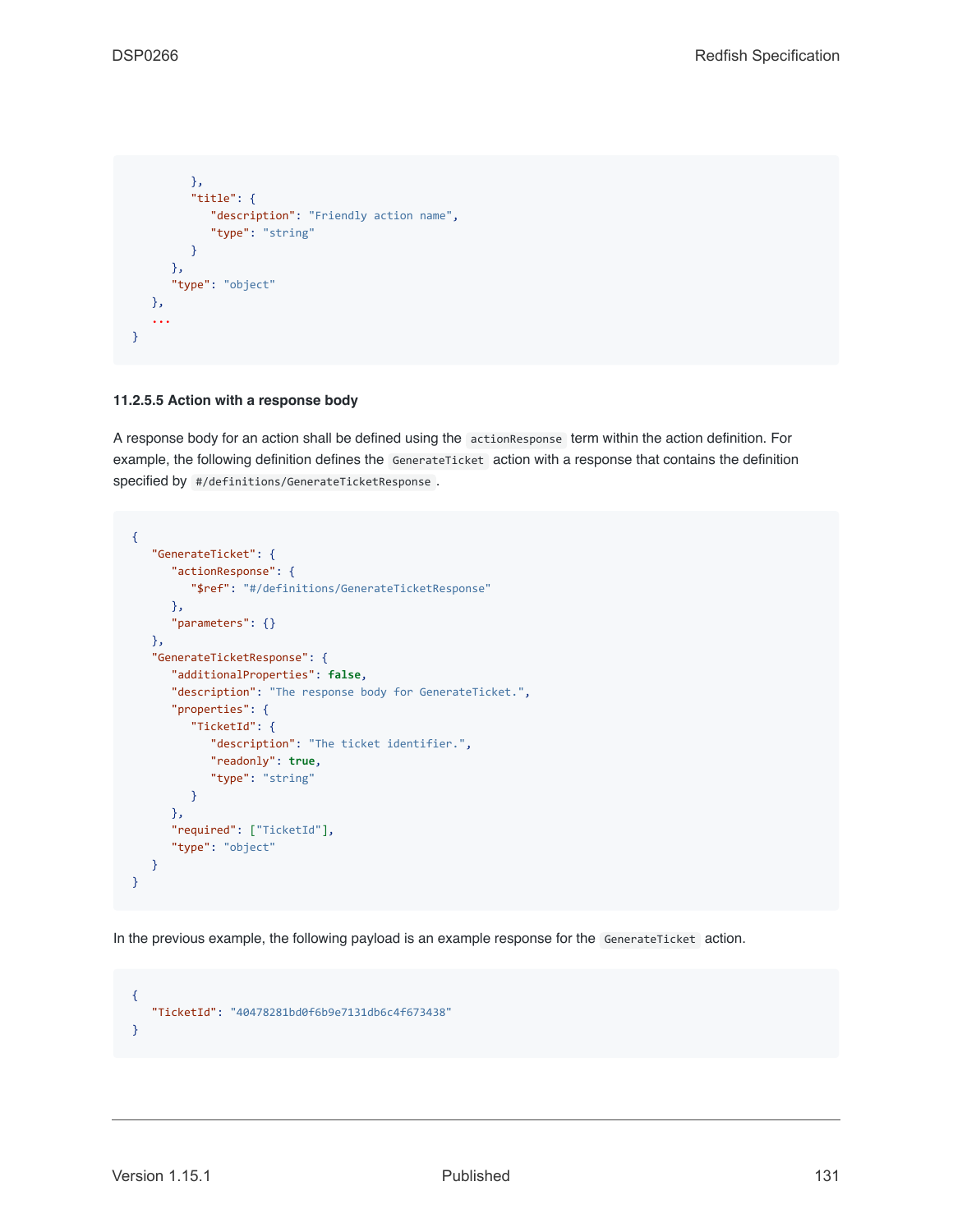```
},
         "title": {
            "description": "Friendly action name",
            "type": "string"
        }
     },
      "type": "object"
  },
   ...
}
```
#### **11.2.5.5 Action with a response body**

A response body for an action shall be defined using the actionResponse term within the action definition. For example, the following definition defines the GenerateTicket action with a response that contains the definition specified by #/definitions/GenerateTicketResponse .

```
{
   "GenerateTicket": {
     "actionResponse": {
         "$ref": "#/definitions/GenerateTicketResponse"
     },
      "parameters": {}
  },
   "GenerateTicketResponse": {
      "additionalProperties": false,
     "description": "The response body for GenerateTicket.",
     "properties": {
        "TicketId": {
           "description": "The ticket identifier.",
           "readonly": true,
            "type": "string"
         }
     },
      "required": ["TicketId"],
      "type": "object"
   }
}
```
In the previous example, the following payload is an example response for the GenerateTicket action.

```
{
   "TicketId": "40478281bd0f6b9e7131db6c4f673438"
}
```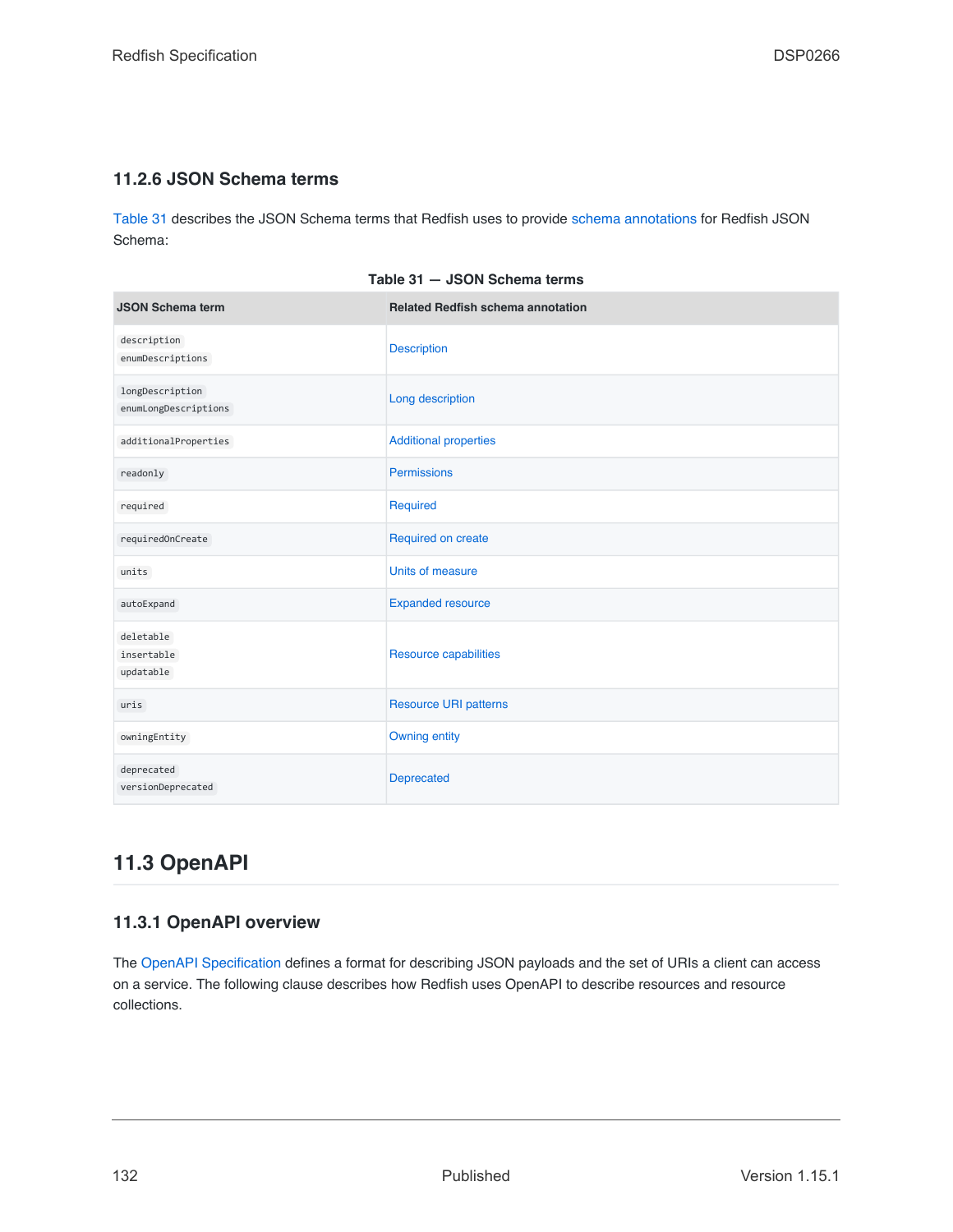## **11.2.6 JSON Schema terms**

[Table 31](#page-131-1) describes the JSON Schema terms that Redfish uses to provide [schema annotations](#page-105-0) for Redfish JSON Schema:

<span id="page-131-1"></span>

| <b>JSON Schema term</b>                 | <b>Related Redfish schema annotation</b> |
|-----------------------------------------|------------------------------------------|
| description<br>enumDescriptions         | <b>Description</b>                       |
| longDescription<br>enumLongDescriptions | Long description                         |
| additionalProperties                    | <b>Additional properties</b>             |
| readonly                                | <b>Permissions</b>                       |
| required                                | Required                                 |
| requiredOnCreate                        | Required on create                       |
| units                                   | Units of measure                         |
| autoExpand                              | <b>Expanded resource</b>                 |
| deletable<br>insertable<br>updatable    | Resource capabilities                    |
| uris                                    | <b>Resource URI patterns</b>             |
| owningEntity                            | <b>Owning entity</b>                     |
| deprecated<br>versionDeprecated         | Deprecated                               |

**Table 31 — JSON Schema terms**

## <span id="page-131-0"></span>**11.3 OpenAPI**

## **11.3.1 OpenAPI overview**

The [OpenAPI Specification](#page-16-4) defines a format for describing JSON payloads and the set of URIs a client can access on a service. The following clause describes how Redfish uses OpenAPI to describe resources and resource collections.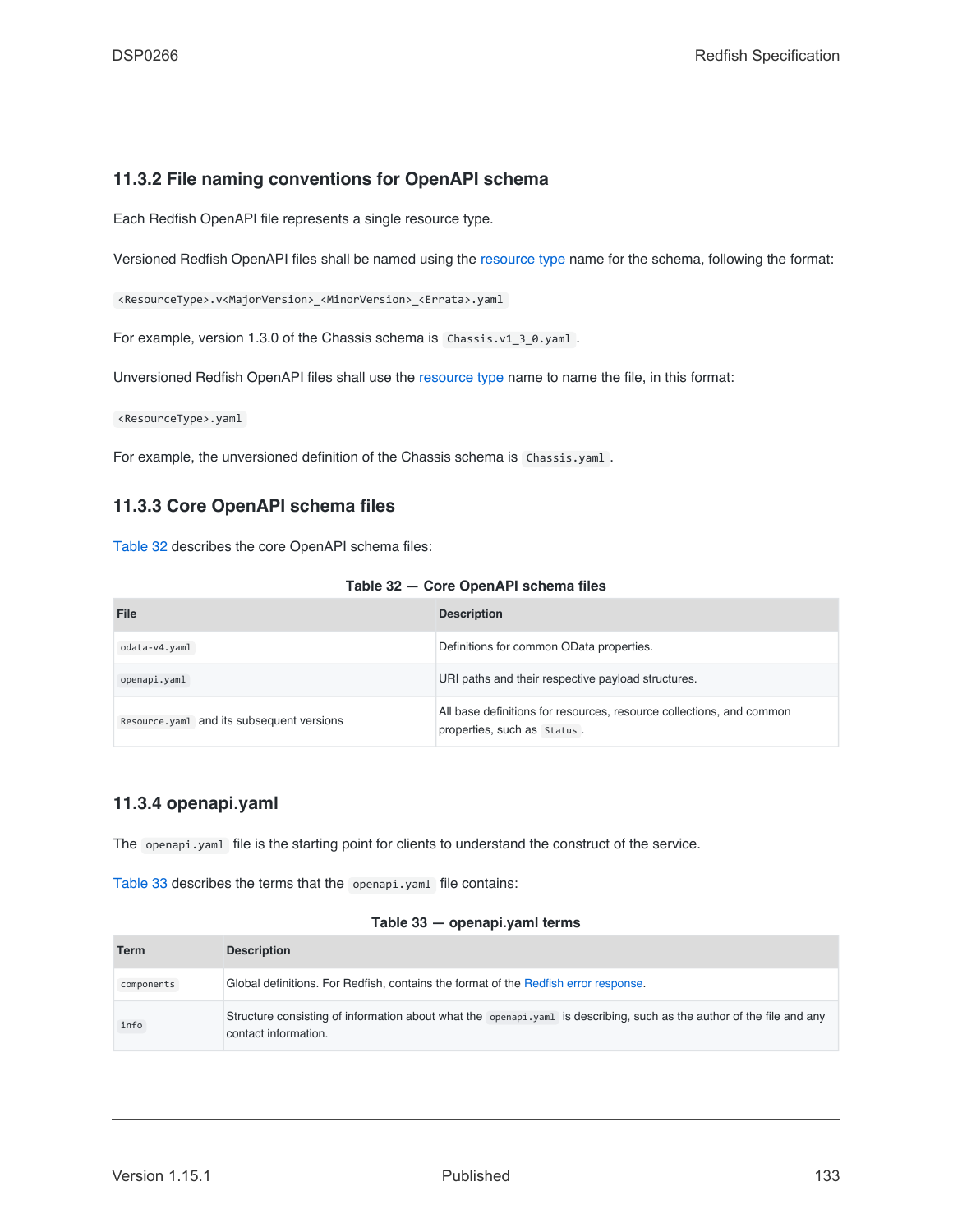### **11.3.2 File naming conventions for OpenAPI schema**

Each Redfish OpenAPI file represents a single resource type.

Versioned Redfish OpenAPI files shall be named using the [resource type](#page-22-0) name for the schema, following the format:

<ResourceType>.v<MajorVersion>\_<MinorVersion>\_<Errata>.yaml

For example, version 1.3.0 of the Chassis schema is Chassis.v1\_3\_0.yaml.

Unversioned Redfish OpenAPI files shall use the [resource type](#page-22-0) name to name the file, in this format:

<ResourceType>.yaml

For example, the unversioned definition of the Chassis schema is Chassis.yaml.

### **11.3.3 Core OpenAPI schema files**

[Table 32](#page-132-0) describes the core OpenAPI schema files:

<span id="page-132-0"></span>

| File                                      | <b>Description</b>                                                                                  |
|-------------------------------------------|-----------------------------------------------------------------------------------------------------|
| odata-v4.yaml                             | Definitions for common OData properties.                                                            |
| openapi.yaml                              | URI paths and their respective payload structures.                                                  |
| Resource.yam1 and its subsequent versions | All base definitions for resources, resource collections, and common<br>properties, such as Status. |

#### **11.3.4 openapi.yaml**

The openapi.yaml file is the starting point for clients to understand the construct of the service.

[Table 33](#page-132-1) describes the terms that the openapi.yaml file contains:

#### **Table 33 — openapi.yaml terms**

<span id="page-132-1"></span>

| <b>Term</b> | <b>Description</b>                                                                                                                             |
|-------------|------------------------------------------------------------------------------------------------------------------------------------------------|
| components  | Global definitions. For Redfish, contains the format of the Redfish error response.                                                            |
| info        | Structure consisting of information about what the openapi, yaml is describing, such as the author of the file and any<br>contact information. |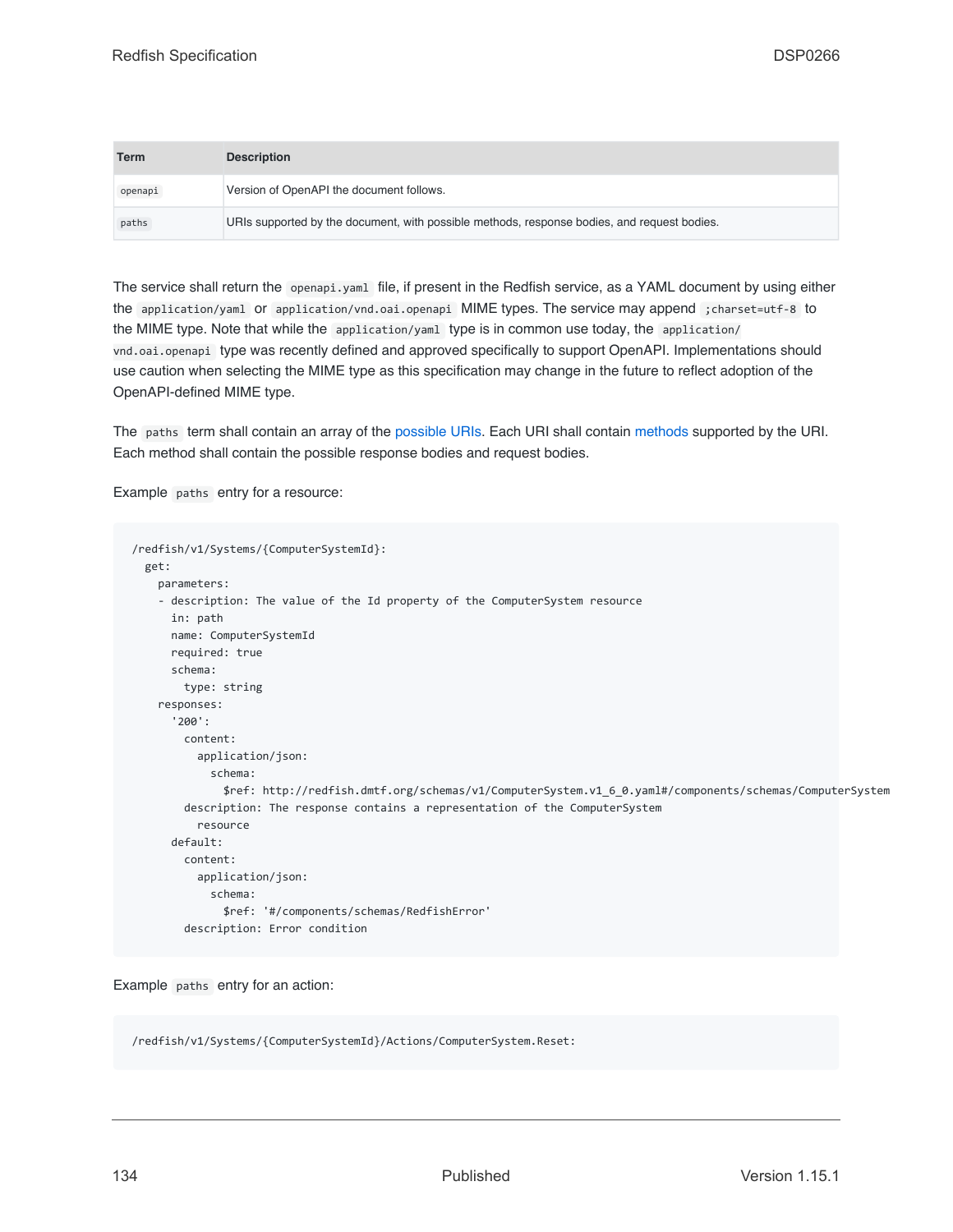| <b>Term</b> | <b>Description</b>                                                                          |
|-------------|---------------------------------------------------------------------------------------------|
| openapi     | Version of OpenAPI the document follows.                                                    |
| paths       | URIs supported by the document, with possible methods, response bodies, and request bodies. |

The service shall return the openapi.yaml file, if present in the Redfish service, as a YAML document by using either the application/yaml or application/vnd.oai.openapi MIME types. The service may append ;charset=utf-8 to the MIME type. Note that while the application/yaml type is in common use today, the application/ vnd.oai.openapi type was recently defined and approved specifically to support OpenAPI. Implementations should use caution when selecting the MIME type as this specification may change in the future to reflect adoption of the OpenAPI-defined MIME type.

The paths term shall contain an array of the [possible URIs](#page-106-2). Each URI shall contain [methods](#page-106-1) supported by the URI. Each method shall contain the possible response bodies and request bodies.

Example paths entry for a resource:

```
/redfish/v1/Systems/{ComputerSystemId}:
 get:
   parameters:
    - description: The value of the Id property of the ComputerSystem resource
     in: path
     name: ComputerSystemId
     required: true
     schema:
       type: string
   responses:
      '200':
       content:
         application/json:
           schema:
             $ref: http://redfish.dmtf.org/schemas/v1/ComputerSystem.v1_6_0.yaml#/components/schemas/ComputerSystem
       description: The response contains a representation of the ComputerSystem
         resource
     default:
       content:
         application/json:
           schema:
              $ref: '#/components/schemas/RedfishError'
       description: Error condition
```
Example paths entry for an action:

/redfish/v1/Systems/{ComputerSystemId}/Actions/ComputerSystem.Reset: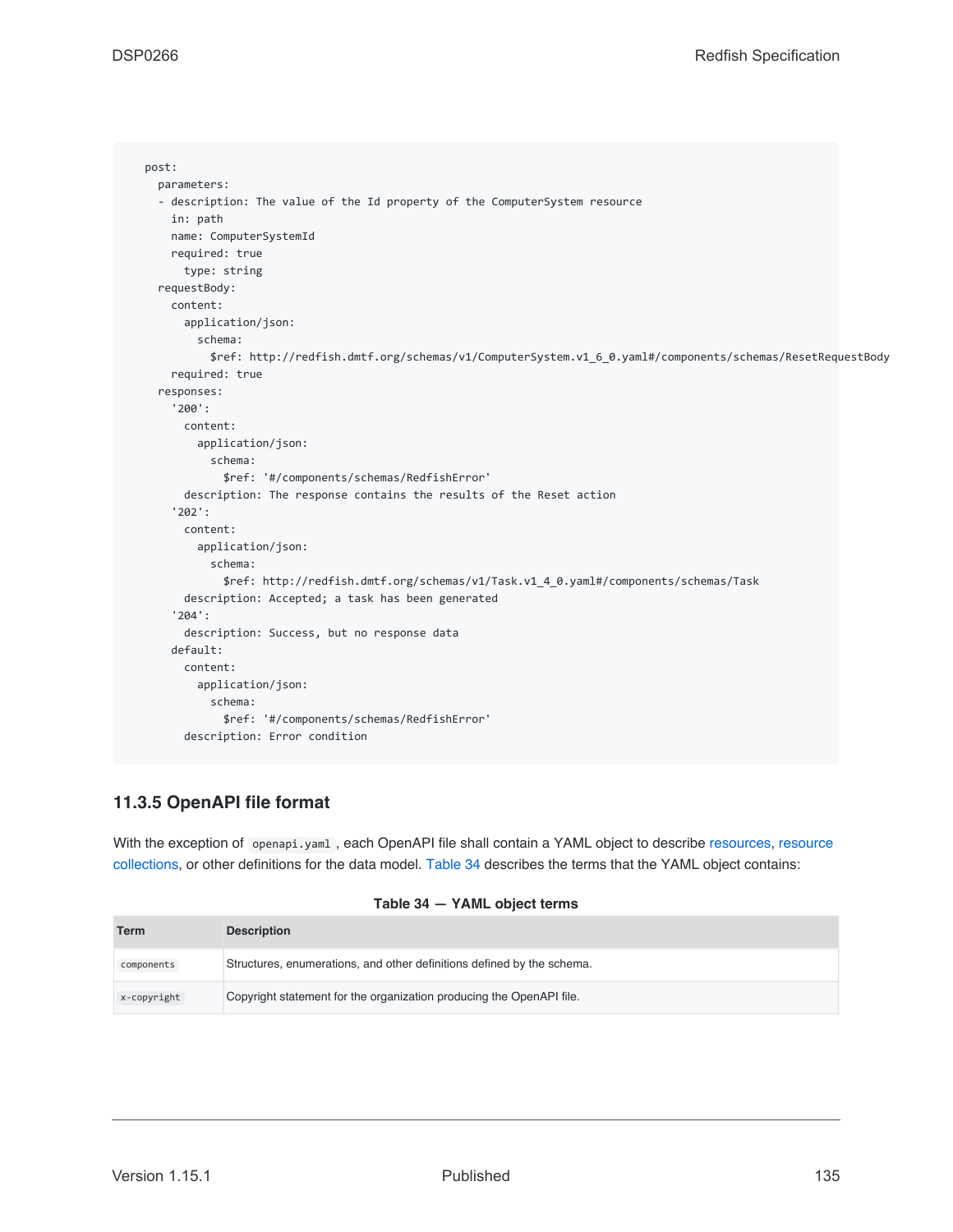```
post:
 parameters:
  - description: The value of the Id property of the ComputerSystem resource
   in: path
   name: ComputerSystemId
   required: true
     type: string
  requestBody:
   content:
     application/json:
       schema:
         $ref: http://redfish.dmtf.org/schemas/v1/ComputerSystem.v1_6_0.yaml#/components/schemas/ResetRequestBody
   required: true
  responses:
    '200':
      content:
       application/json:
         schema:
            $ref: '#/components/schemas/RedfishError'
     description: The response contains the results of the Reset action
    '202':
     content:
       application/json:
         schema:
            $ref: http://redfish.dmtf.org/schemas/v1/Task.v1_4_0.yaml#/components/schemas/Task
      description: Accepted; a task has been generated
    '204':
      description: Success, but no response data
    default:
     content:
       application/json:
         schema:
            $ref: '#/components/schemas/RedfishError'
      description: Error condition
```
## **11.3.5 OpenAPI file format**

With the exception of openapi.yaml, each OpenAPI file shall contain a YAML object to describe [resources,](#page-73-0) [resource](#page-74-0) [collections,](#page-74-0) or other definitions for the data model. [Table 34](#page-134-0) describes the terms that the YAML object contains:

| Table 34 - YAML object terms |  |  |
|------------------------------|--|--|
|------------------------------|--|--|

<span id="page-134-0"></span>

| <b>Term</b> | <b>Description</b>                                                     |
|-------------|------------------------------------------------------------------------|
| components  | Structures, enumerations, and other definitions defined by the schema. |
| x-copyright | Copyright statement for the organization producing the OpenAPI file.   |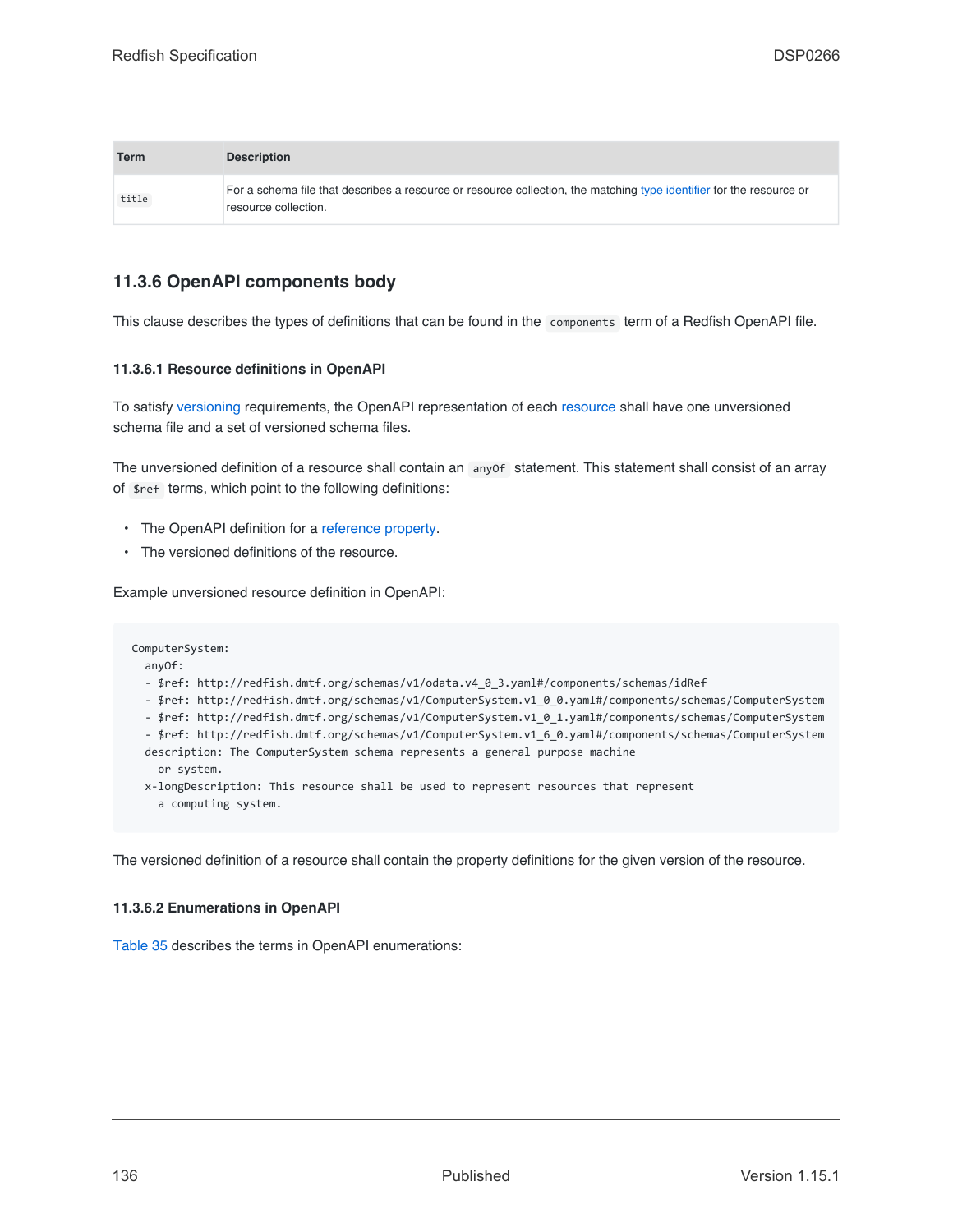| <b>Term</b> | <b>Description</b>                                                                                                                           |
|-------------|----------------------------------------------------------------------------------------------------------------------------------------------|
| title       | For a schema file that describes a resource or resource collection, the matching type identifier for the resource or<br>resource collection. |

## **11.3.6 OpenAPI components body**

This clause describes the types of definitions that can be found in the components term of a Redfish OpenAPI file.

#### **11.3.6.1 Resource definitions in OpenAPI**

To satisfy [versioning](#page-109-0) requirements, the OpenAPI representation of each [resource](#page-73-0) shall have one unversioned schema file and a set of versioned schema files.

The unversioned definition of a resource shall contain an anyof statement. This statement shall consist of an array of \$ref terms, which point to the following definitions:

- The OpenAPI definition for a [reference property](#page-78-0).
- The versioned definitions of the resource.

Example unversioned resource definition in OpenAPI:

ComputerSystem: anyOf:

- \$ref: http://redfish.dmtf.org/schemas/v1/odata.v4\_0\_3.yaml#/components/schemas/idRef
- \$ref: http://redfish.dmtf.org/schemas/v1/ComputerSystem.v1\_0\_0.yaml#/components/schemas/ComputerSystem
- \$ref: http://redfish.dmtf.org/schemas/v1/ComputerSystem.v1\_0\_1.yaml#/components/schemas/ComputerSystem
- \$ref: http://redfish.dmtf.org/schemas/v1/ComputerSystem.v1\_6\_0.yaml#/components/schemas/ComputerSystem
- description: The ComputerSystem schema represents a general purpose machine or system.
- x-longDescription: This resource shall be used to represent resources that represent a computing system.

The versioned definition of a resource shall contain the property definitions for the given version of the resource.

#### **11.3.6.2 Enumerations in OpenAPI**

[Table 35](#page-136-0) describes the terms in OpenAPI enumerations: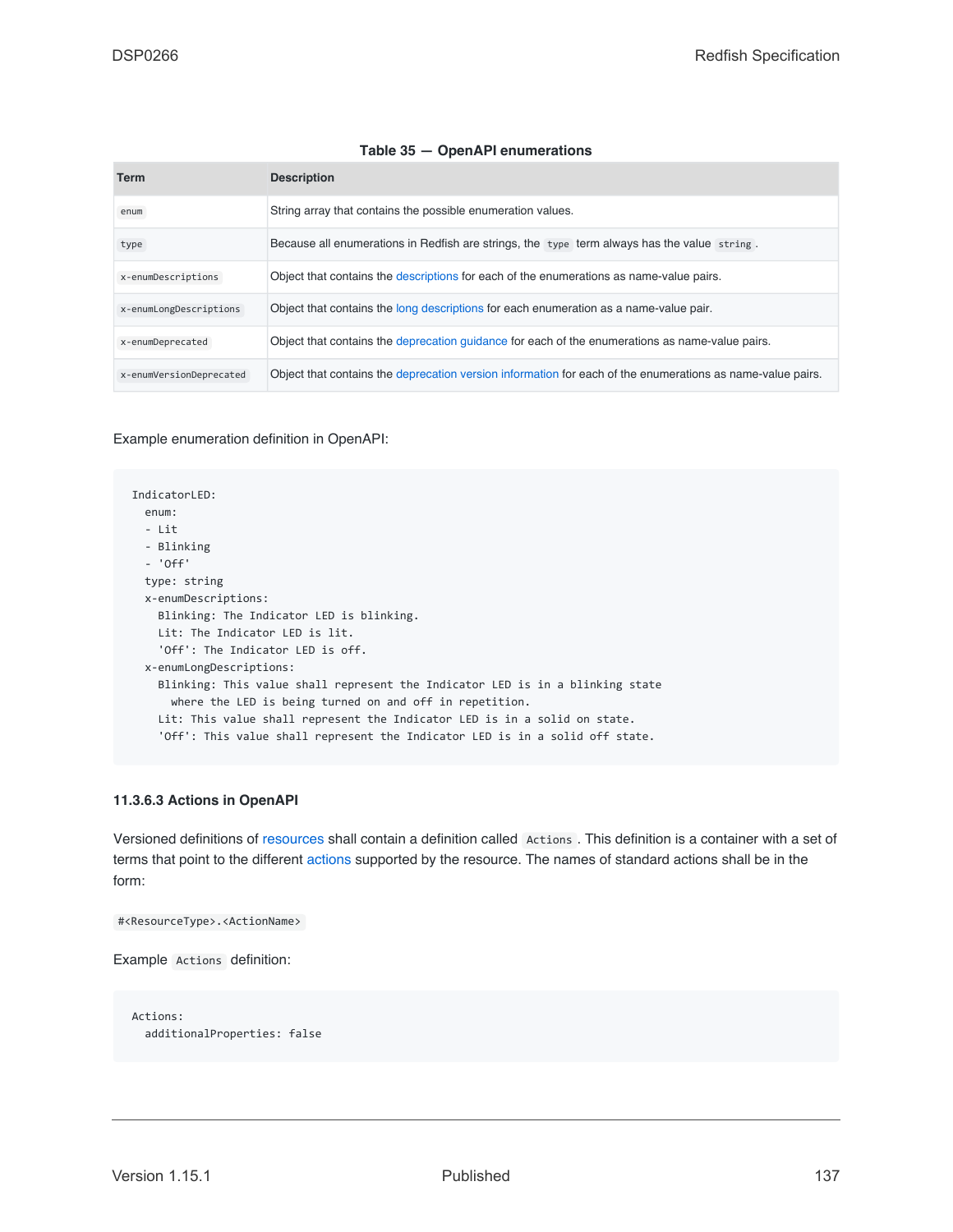#### **Table 35 — OpenAPI enumerations**

<span id="page-136-0"></span>

| <b>Term</b>             | <b>Description</b>                                                                                         |
|-------------------------|------------------------------------------------------------------------------------------------------------|
| enum                    | String array that contains the possible enumeration values.                                                |
| type                    | Because all enumerations in Redfish are strings, the type term always has the value string.                |
| x-enumDescriptions      | Object that contains the descriptions for each of the enumerations as name-value pairs.                    |
| x-enumLongDescriptions  | Object that contains the long descriptions for each enumeration as a name-value pair.                      |
| x-enumDeprecated        | Object that contains the deprecation quidance for each of the enumerations as name-value pairs.            |
| x-enumVersionDeprecated | Object that contains the deprecation version information for each of the enumerations as name-value pairs. |

Example enumeration definition in OpenAPI:

IndicatorLED: enum: - Lit - Blinking - 'Off' type: string x-enumDescriptions: Blinking: The Indicator LED is blinking. Lit: The Indicator LED is lit. 'Off': The Indicator LED is off. x-enumLongDescriptions: Blinking: This value shall represent the Indicator LED is in a blinking state where the LED is being turned on and off in repetition. Lit: This value shall represent the Indicator LED is in a solid on state. 'Off': This value shall represent the Indicator LED is in a solid off state.

#### **11.3.6.3 Actions in OpenAPI**

Versioned definitions of [resources](#page-73-0) shall contain a definition called Actions . This definition is a container with a set of terms that point to the different [actions](#page-53-0) supported by the resource. The names of standard actions shall be in the form:

#<ResourceType>.<ActionName>

Example Actions definition:

Actions: additionalProperties: false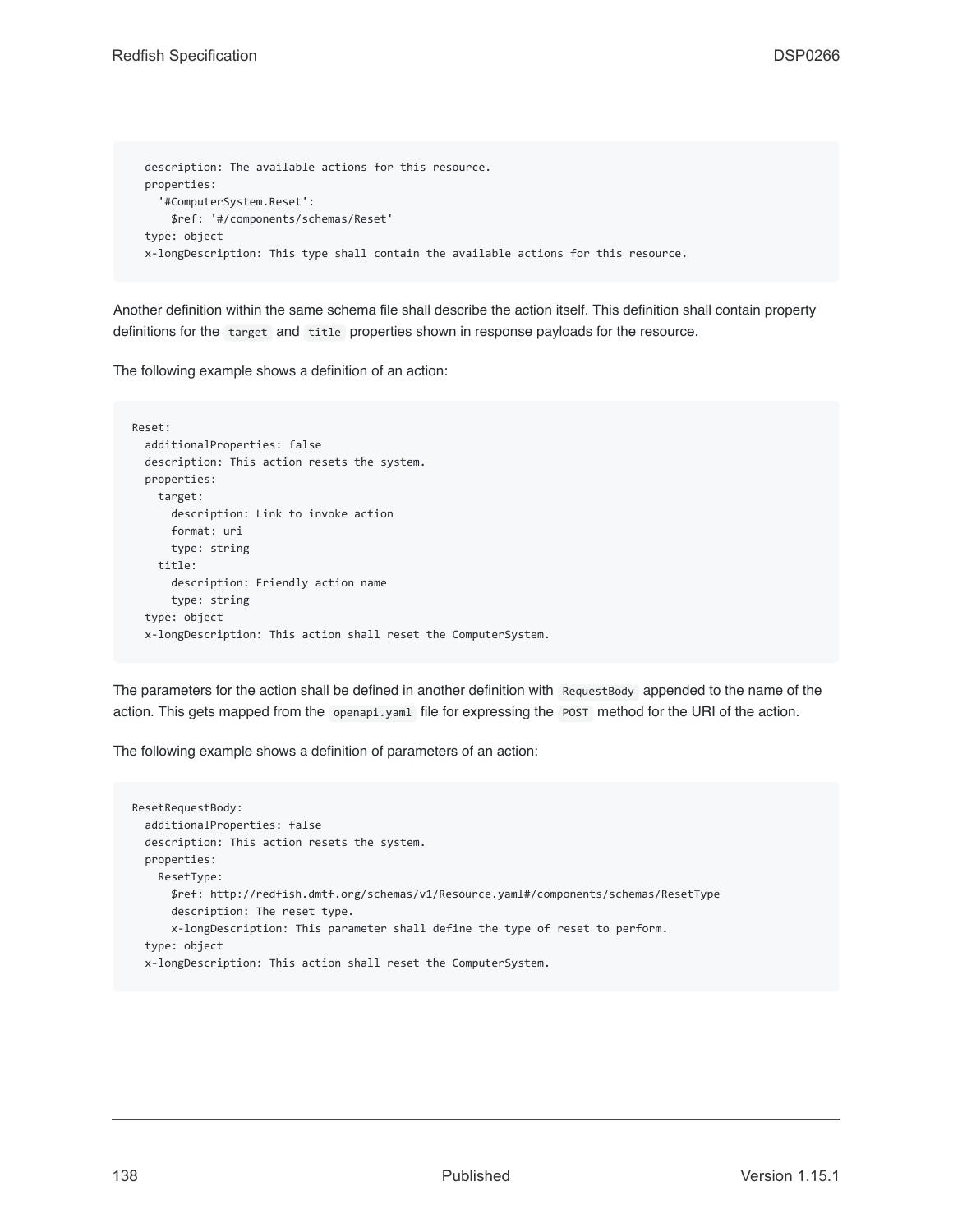```
description: The available actions for this resource.
properties:
  '#ComputerSystem.Reset':
   $ref: '#/components/schemas/Reset'
type: object
x-longDescription: This type shall contain the available actions for this resource.
```
Another definition within the same schema file shall describe the action itself. This definition shall contain property definitions for the target and title properties shown in response payloads for the resource.

The following example shows a definition of an action:

```
Reset:
 additionalProperties: false
 description: This action resets the system.
 properties:
   target:
     description: Link to invoke action
    format: uri
     type: string
   title:
     description: Friendly action name
     type: string
 type: object
 x-longDescription: This action shall reset the ComputerSystem.
```
The parameters for the action shall be defined in another definition with RequestBody appended to the name of the action. This gets mapped from the openapi.yaml file for expressing the POST method for the URI of the action.

The following example shows a definition of parameters of an action:

```
ResetRequestBody:
 additionalProperties: false
 description: This action resets the system.
 properties:
   ResetType:
     $ref: http://redfish.dmtf.org/schemas/v1/Resource.yaml#/components/schemas/ResetType
     description: The reset type.
      x-longDescription: This parameter shall define the type of reset to perform.
 type: object
 x-longDescription: This action shall reset the ComputerSystem.
```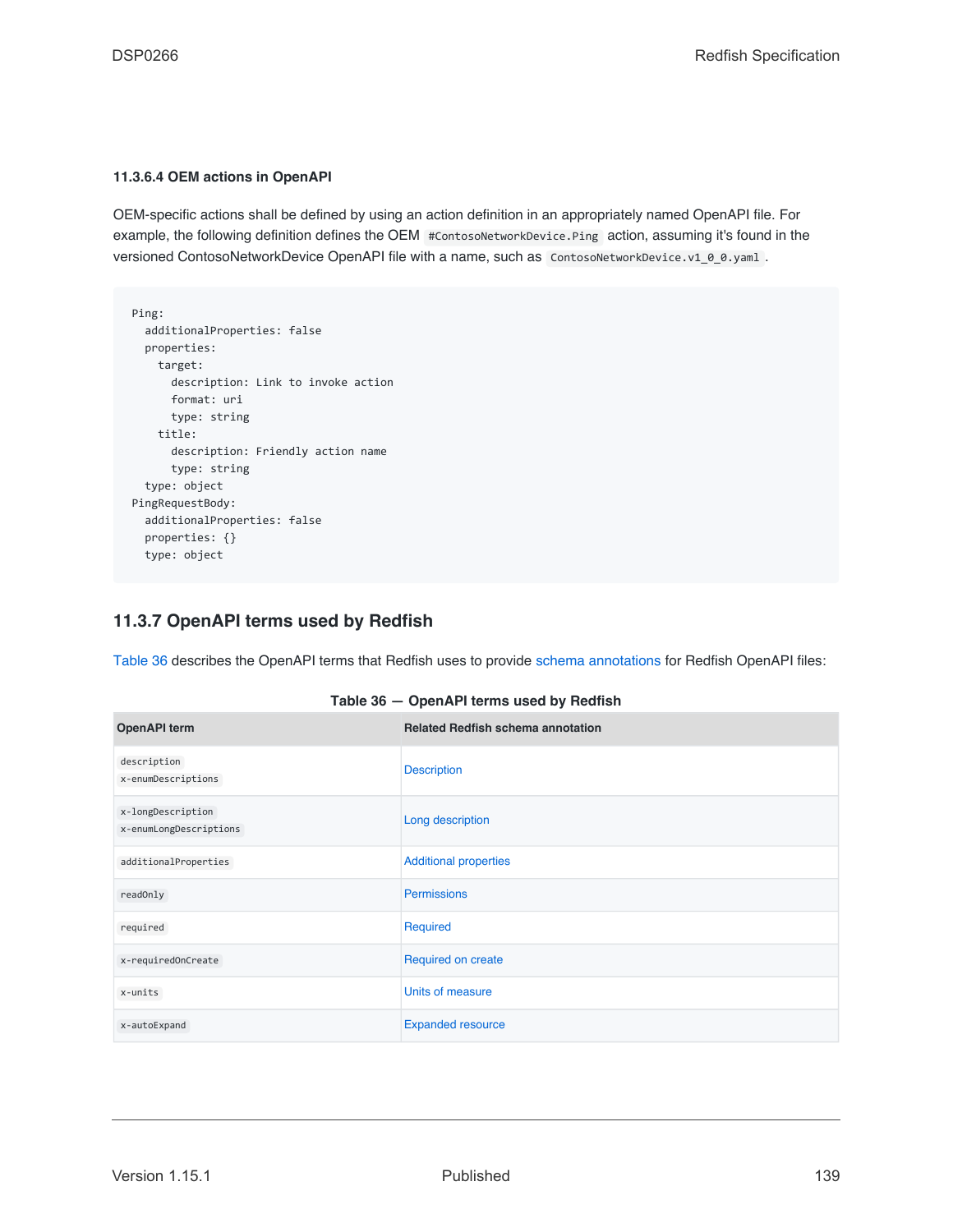#### **11.3.6.4 OEM actions in OpenAPI**

OEM-specific actions shall be defined by using an action definition in an appropriately named OpenAPI file. For example, the following definition defines the OEM #ContosoNetworkDevice.Ping action, assuming it's found in the versioned ContosoNetworkDevice OpenAPI file with a name, such as ContosoNetworkDevice.v1\_0\_0.yaml.

```
Ping:
 additionalProperties: false
  properties:
   target:
     description: Link to invoke action
     format: uri
     type: string
   title:
     description: Friendly action name
     type: string
  type: object
PingRequestBody:
  additionalProperties: false
  properties: {}
  type: object
```
## **11.3.7 OpenAPI terms used by Redfish**

[Table 36](#page-138-0) describes the OpenAPI terms that Redfish uses to provide [schema annotations](#page-105-0) for Redfish OpenAPI files:

<span id="page-138-0"></span>

| <b>OpenAPI</b> term                         | <b>Related Redfish schema annotation</b> |
|---------------------------------------------|------------------------------------------|
| description<br>x-enumDescriptions           | <b>Description</b>                       |
| x-longDescription<br>x-enumLongDescriptions | Long description                         |
| additionalProperties                        | <b>Additional properties</b>             |
| readOnly                                    | Permissions                              |
| required                                    | Required                                 |
| x-requiredOnCreate                          | Required on create                       |
| x-units                                     | Units of measure                         |
| x-autoExpand                                | <b>Expanded resource</b>                 |

| Table 36 - OpenAPI terms used by Redfish |  |  |
|------------------------------------------|--|--|
|------------------------------------------|--|--|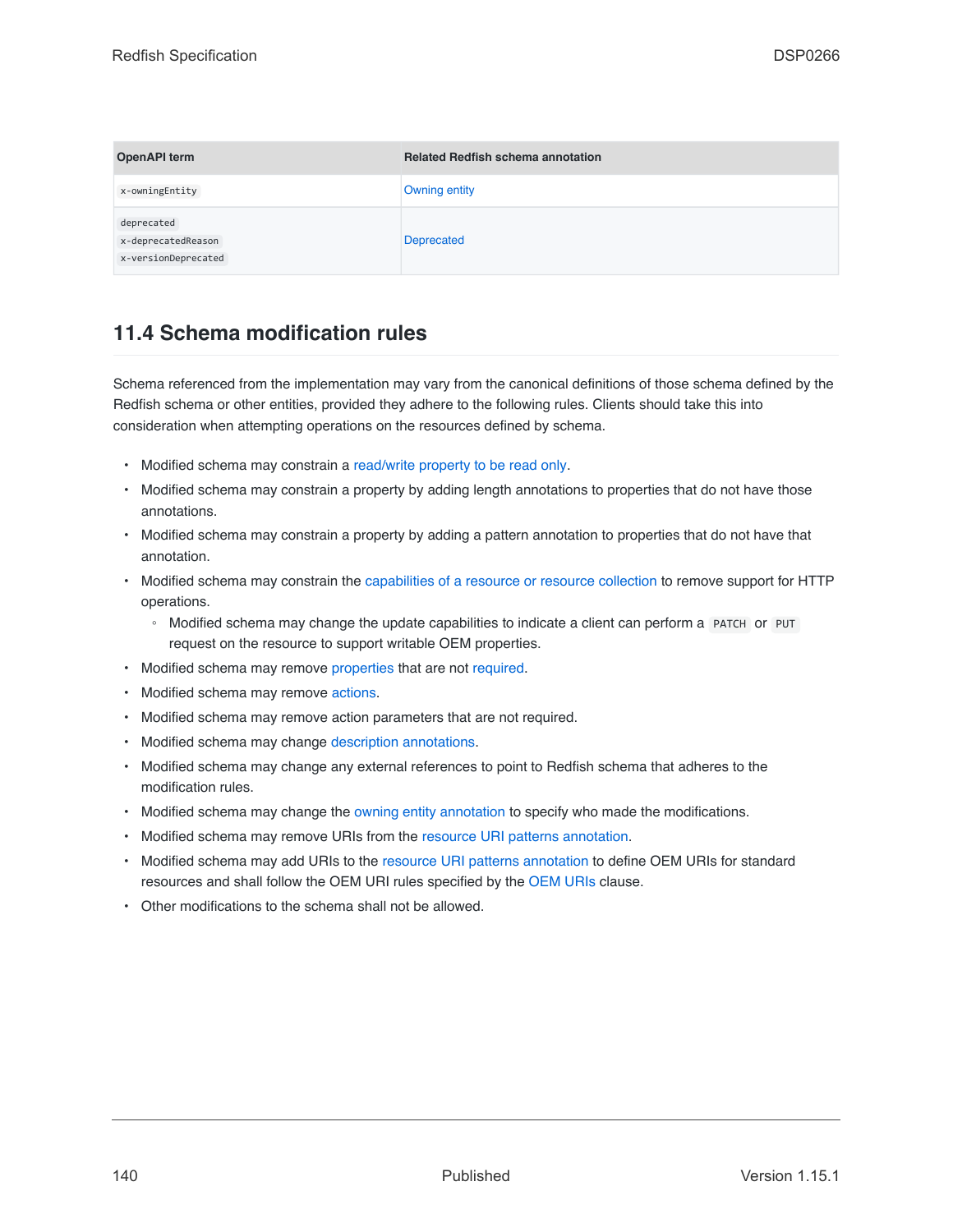| <b>OpenAPI term</b>                                     | <b>Related Redfish schema annotation</b> |
|---------------------------------------------------------|------------------------------------------|
| x-owningEntity                                          | Owning entity                            |
| deprecated<br>x-deprecatedReason<br>x-versionDeprecated | Deprecated                               |

## **11.4 Schema modification rules**

Schema referenced from the implementation may vary from the canonical definitions of those schema defined by the Redfish schema or other entities, provided they adhere to the following rules. Clients should take this into consideration when attempting operations on the resources defined by schema.

- Modified schema may constrain a [read/write property to be read only](#page-107-1).
- Modified schema may constrain a property by adding length annotations to properties that do not have those annotations.
- Modified schema may constrain a property by adding a pattern annotation to properties that do not have that annotation.
- Modified schema may constrain the [capabilities of a resource or resource collection](#page-106-1) to remove support for HTTP operations.
	- Modified schema may change the update capabilities to indicate a client can perform a PATCH or PUT request on the resource to support writable OEM properties.
- Modified schema may remove [properties](#page-81-0) that are not [required.](#page-108-1)
- Modified schema may remove [actions.](#page-85-0)
- Modified schema may remove action parameters that are not required.
- Modified schema may change [description annotations](#page-105-1).
- Modified schema may change any external references to point to Redfish schema that adheres to the modification rules.
- Modified schema may change the [owning entity annotation](#page-108-4) to specify who made the modifications.
- Modified schema may remove URIs from the [resource URI patterns annotation.](#page-106-2)
- Modified schema may add URIs to the [resource URI patterns annotation](#page-106-2) to define OEM URIs for standard resources and shall follow the OEM URI rules specified by the [OEM URIs](#page-91-1) clause.
- Other modifications to the schema shall not be allowed.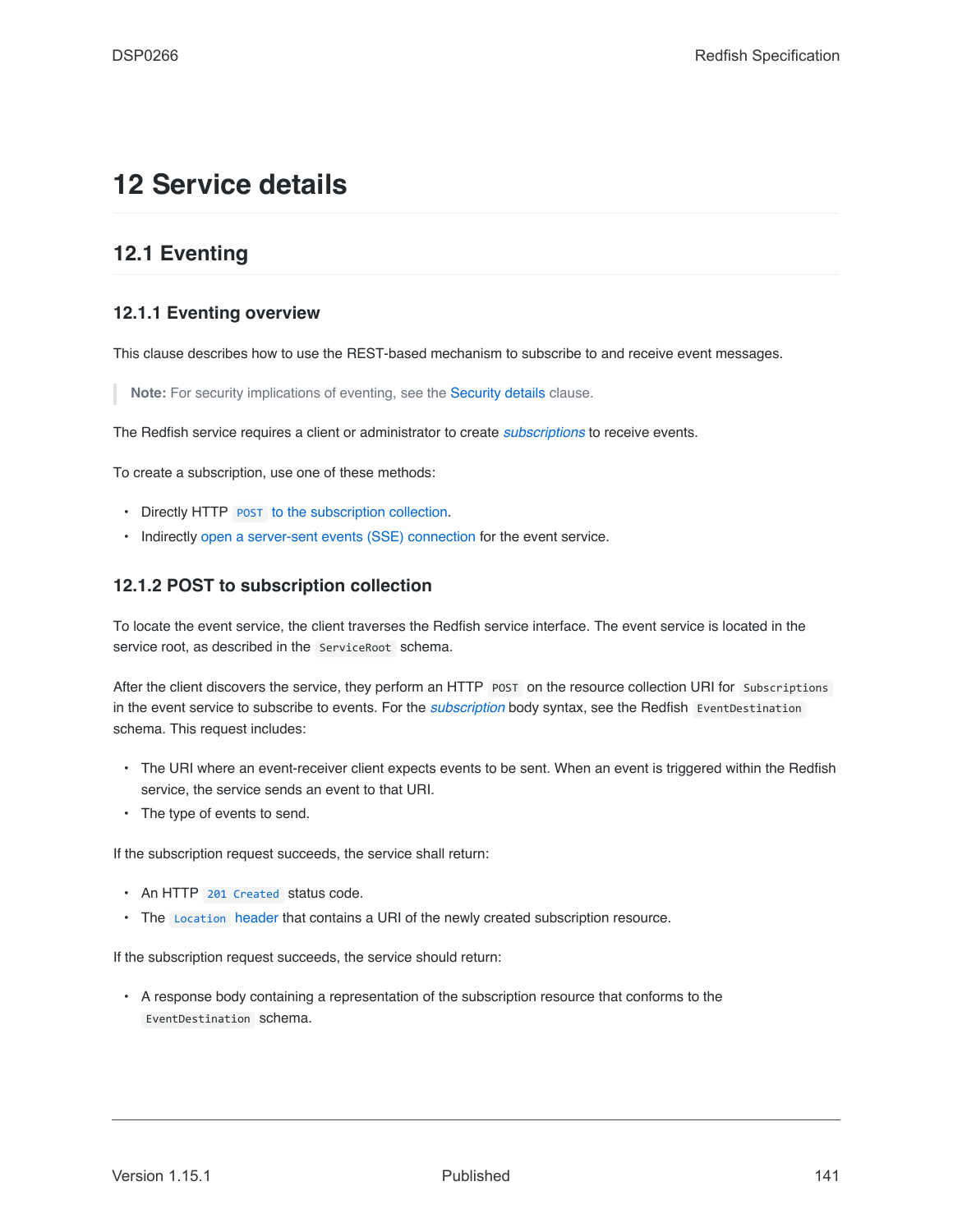# **12 Service details**

## **12.1 Eventing**

## **12.1.1 Eventing overview**

This clause describes how to use the REST-based mechanism to subscribe to and receive event messages.

**Note:** For security implications of eventing, see the [Security details](#page-157-0) clause.

The Redfish service requires a client or administrator to create *[subscriptions](#page-20-0)* to receive events.

To create a subscription, use one of these methods:

- Directly HTTP [POST](#page-140-0) [to the subscription collection.](#page-140-0)
- Indirectly [open a server-sent events \(SSE\) connection](#page-141-0) for the event service.

## <span id="page-140-0"></span>**12.1.2 POST to subscription collection**

To locate the event service, the client traverses the Redfish service interface. The event service is located in the service root, as described in the ServiceRoot schema.

After the client discovers the service, they perform an HTTP POST on the resource collection URI for Subscriptions in the event service to subscribe to events. For the *[subscription](#page-20-0)* body syntax, see the Redfish EventDestination schema. This request includes:

- The URI where an event-receiver client expects events to be sent. When an event is triggered within the Redfish service, the service sends an event to that URI.
- The type of events to send.

If the subscription request succeeds, the service shall return:

- An HTTP [201 Created](#page-66-0) status code.
- The [Location](#page-64-0) header that contains a URI of the newly created subscription resource.

If the subscription request succeeds, the service should return:

• A response body containing a representation of the subscription resource that conforms to the EventDestination schema.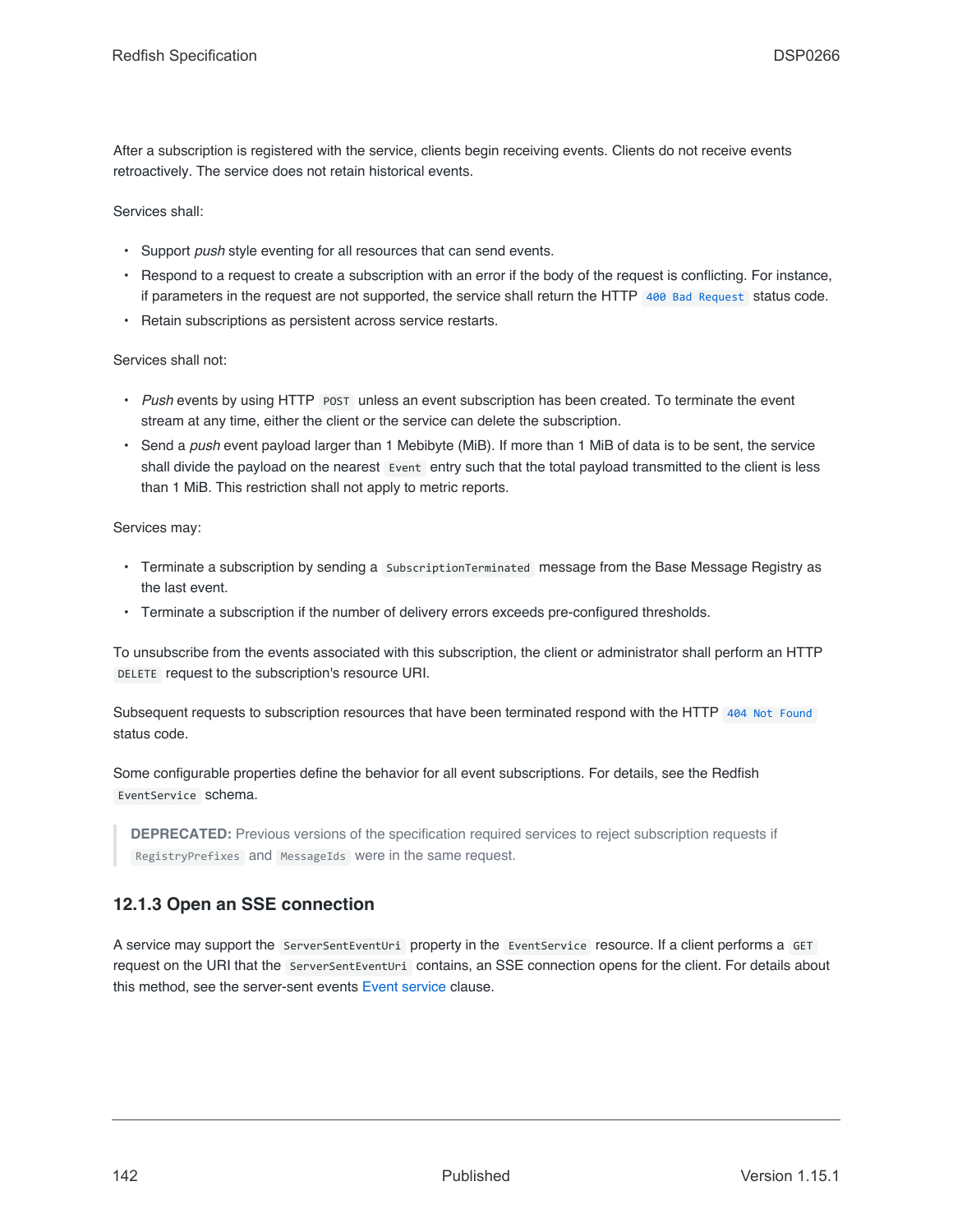After a subscription is registered with the service, clients begin receiving events. Clients do not receive events retroactively. The service does not retain historical events.

Services shall:

- Support *push* style eventing for all resources that can send events.
- Respond to a request to create a subscription with an error if the body of the request is conflicting. For instance, if parameters in the request are not supported, the service shall return the HTTP [400 Bad Request](#page-67-0) status code.
- Retain subscriptions as persistent across service restarts.

Services shall not:

- Push events by using HTTP POST unless an event subscription has been created. To terminate the event stream at any time, either the client or the service can delete the subscription.
- Send a *push* event payload larger than 1 Mebibyte (MiB). If more than 1 MiB of data is to be sent, the service shall divide the payload on the nearest Event entry such that the total payload transmitted to the client is less than 1 MiB. This restriction shall not apply to metric reports.

Services may:

- Terminate a subscription by sending a SubscriptionTerminated message from the Base Message Registry as the last event.
- Terminate a subscription if the number of delivery errors exceeds pre-configured thresholds.

To unsubscribe from the events associated with this subscription, the client or administrator shall perform an HTTP DELETE request to the subscription's resource URI.

Subsequent requests to subscription resources that have been terminated respond with the HTTP [404 Not Found](#page-67-1) status code.

Some configurable properties define the behavior for all event subscriptions. For details, see the Redfish EventService schema.

**DEPRECATED:** Previous versions of the specification required services to reject subscription requests if RegistryPrefixes and MessageIds were in the same request.

## <span id="page-141-0"></span>**12.1.3 Open an SSE connection**

A service may support the ServerSentEventUri property in the EventService resource. If a client performs a GET request on the URI that the ServerSentEventUri contains, an SSE connection opens for the client. For details about this method, see the server-sent events [Event service](#page-150-0) clause.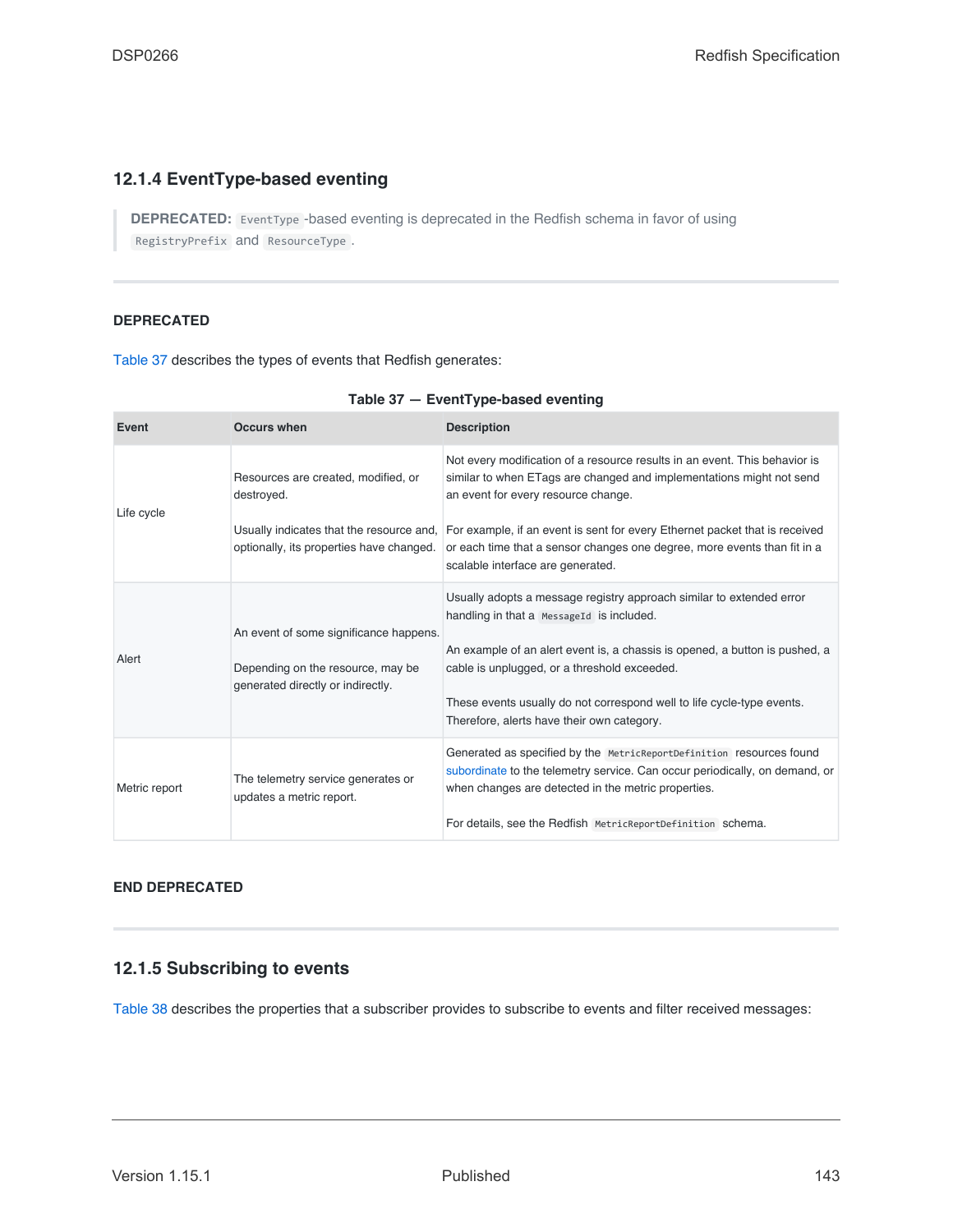## **12.1.4 EventType-based eventing**

**DEPRECATED:** EventType -based eventing is deprecated in the Redfish schema in favor of using RegistryPrefix and ResourceType .

#### **DEPRECATED**

[Table 37](#page-142-0) describes the types of events that Redfish generates:

<span id="page-142-0"></span>

| Event         | <b>Occurs when</b>                                                                                               | <b>Description</b>                                                                                                                                                                                                                                                                                                                                                       |
|---------------|------------------------------------------------------------------------------------------------------------------|--------------------------------------------------------------------------------------------------------------------------------------------------------------------------------------------------------------------------------------------------------------------------------------------------------------------------------------------------------------------------|
| Life cycle    | Resources are created, modified, or<br>destroyed.                                                                | Not every modification of a resource results in an event. This behavior is<br>similar to when ETags are changed and implementations might not send<br>an event for every resource change.                                                                                                                                                                                |
|               | Usually indicates that the resource and,<br>optionally, its properties have changed.                             | For example, if an event is sent for every Ethernet packet that is received<br>or each time that a sensor changes one degree, more events than fit in a<br>scalable interface are generated.                                                                                                                                                                             |
| Alert         | An event of some significance happens.<br>Depending on the resource, may be<br>generated directly or indirectly. | Usually adopts a message registry approach similar to extended error<br>handling in that a MessageId is included.<br>An example of an alert event is, a chassis is opened, a button is pushed, a<br>cable is unplugged, or a threshold exceeded.<br>These events usually do not correspond well to life cycle-type events.<br>Therefore, alerts have their own category. |
| Metric report | The telemetry service generates or<br>updates a metric report.                                                   | Generated as specified by the MetricReportDefinition resources found<br>subordinate to the telemetry service. Can occur periodically, on demand, or<br>when changes are detected in the metric properties.<br>For details, see the Redfish MetricReportDefinition schema.                                                                                                |

#### **END DEPRECATED**

## **12.1.5 Subscribing to events**

[Table 38](#page-143-0) describes the properties that a subscriber provides to subscribe to events and filter received messages: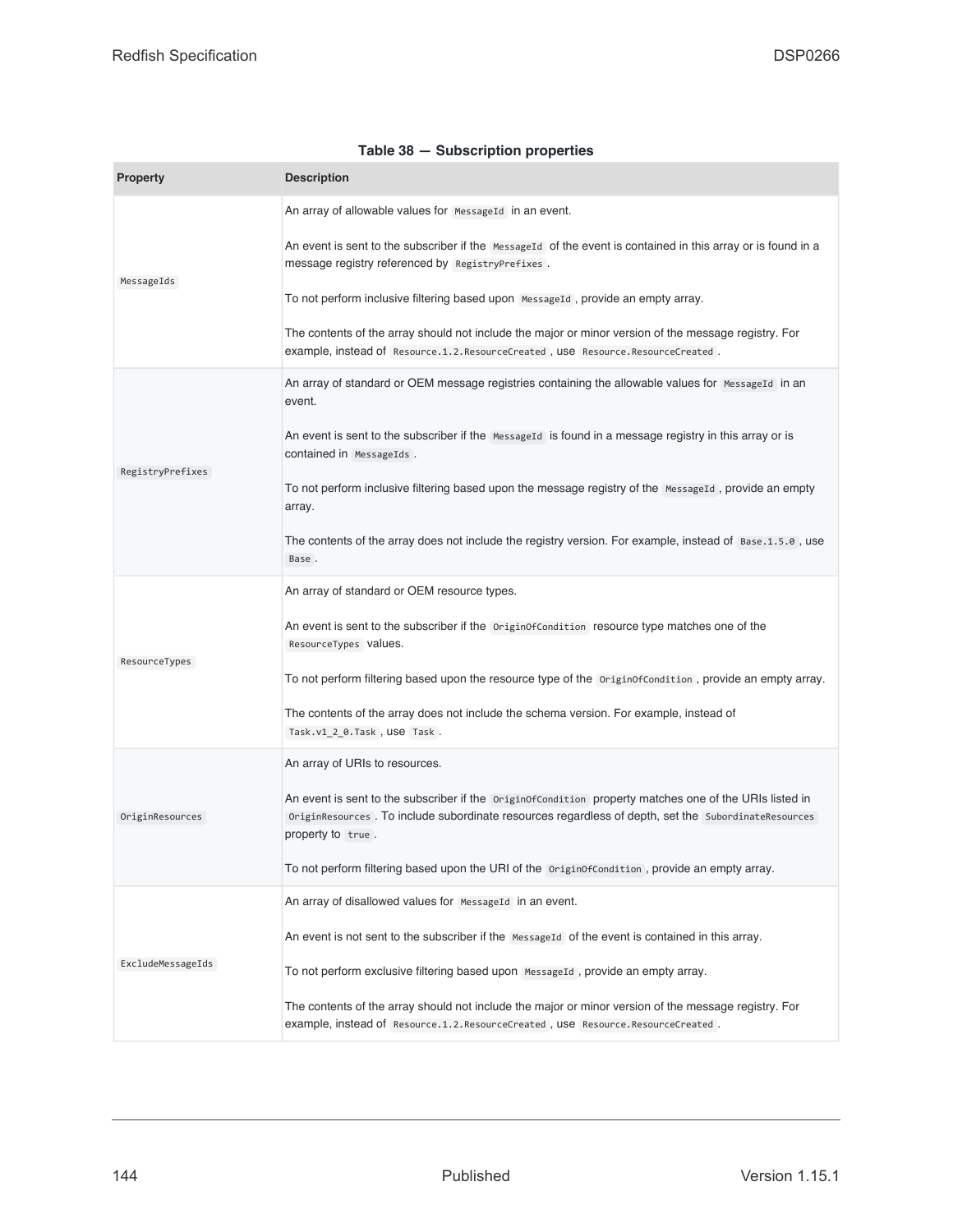<span id="page-143-0"></span>

| <b>Property</b>   | <b>Description</b>                                                                                                                                                                                                                 |  |
|-------------------|------------------------------------------------------------------------------------------------------------------------------------------------------------------------------------------------------------------------------------|--|
|                   | An array of allowable values for Messageld in an event.                                                                                                                                                                            |  |
| MessageIds        | An event is sent to the subscriber if the MessageId of the event is contained in this array or is found in a<br>message registry referenced by RegistryPrefixes.                                                                   |  |
|                   | To not perform inclusive filtering based upon MessageId, provide an empty array.                                                                                                                                                   |  |
|                   | The contents of the array should not include the major or minor version of the message registry. For<br>example, instead of Resource.1.2.ResourceCreated, USe Resource.ResourceCreated.                                            |  |
|                   | An array of standard or OEM message registries containing the allowable values for MessageId in an<br>event.                                                                                                                       |  |
|                   | An event is sent to the subscriber if the Message Id is found in a message registry in this array or is<br>contained in MessageIds.                                                                                                |  |
| RegistryPrefixes  | To not perform inclusive filtering based upon the message registry of the MessageId, provide an empty<br>array.                                                                                                                    |  |
|                   | The contents of the array does not include the registry version. For example, instead of Base.1.5.0, use<br>Base.                                                                                                                  |  |
|                   | An array of standard or OEM resource types.                                                                                                                                                                                        |  |
|                   | An event is sent to the subscriber if the originof Condition resource type matches one of the<br>ResourceTypes Values.                                                                                                             |  |
| ResourceTypes     | To not perform filtering based upon the resource type of the originof Condition, provide an empty array.                                                                                                                           |  |
|                   | The contents of the array does not include the schema version. For example, instead of<br>Task.v1_2_0.Task, USe Task.                                                                                                              |  |
|                   | An array of URIs to resources.                                                                                                                                                                                                     |  |
| OriginResources   | An event is sent to the subscriber if the OriginOfCondition property matches one of the URIs listed in<br>OriginResources. To include subordinate resources regardless of depth, set the SubordinateResources<br>property to true. |  |
|                   | To not perform filtering based upon the URI of the originofCondition, provide an empty array.                                                                                                                                      |  |
|                   | An array of disallowed values for Messageld in an event.                                                                                                                                                                           |  |
|                   | An event is not sent to the subscriber if the Message Id of the event is contained in this array.                                                                                                                                  |  |
| ExcludeMessageIds | To not perform exclusive filtering based upon MessageId, provide an empty array.                                                                                                                                                   |  |
|                   | The contents of the array should not include the major or minor version of the message registry. For<br>example, instead of Resource.1.2.ResourceCreated, USe Resource.ResourceCreated.                                            |  |

#### **Table 38 — Subscription properties**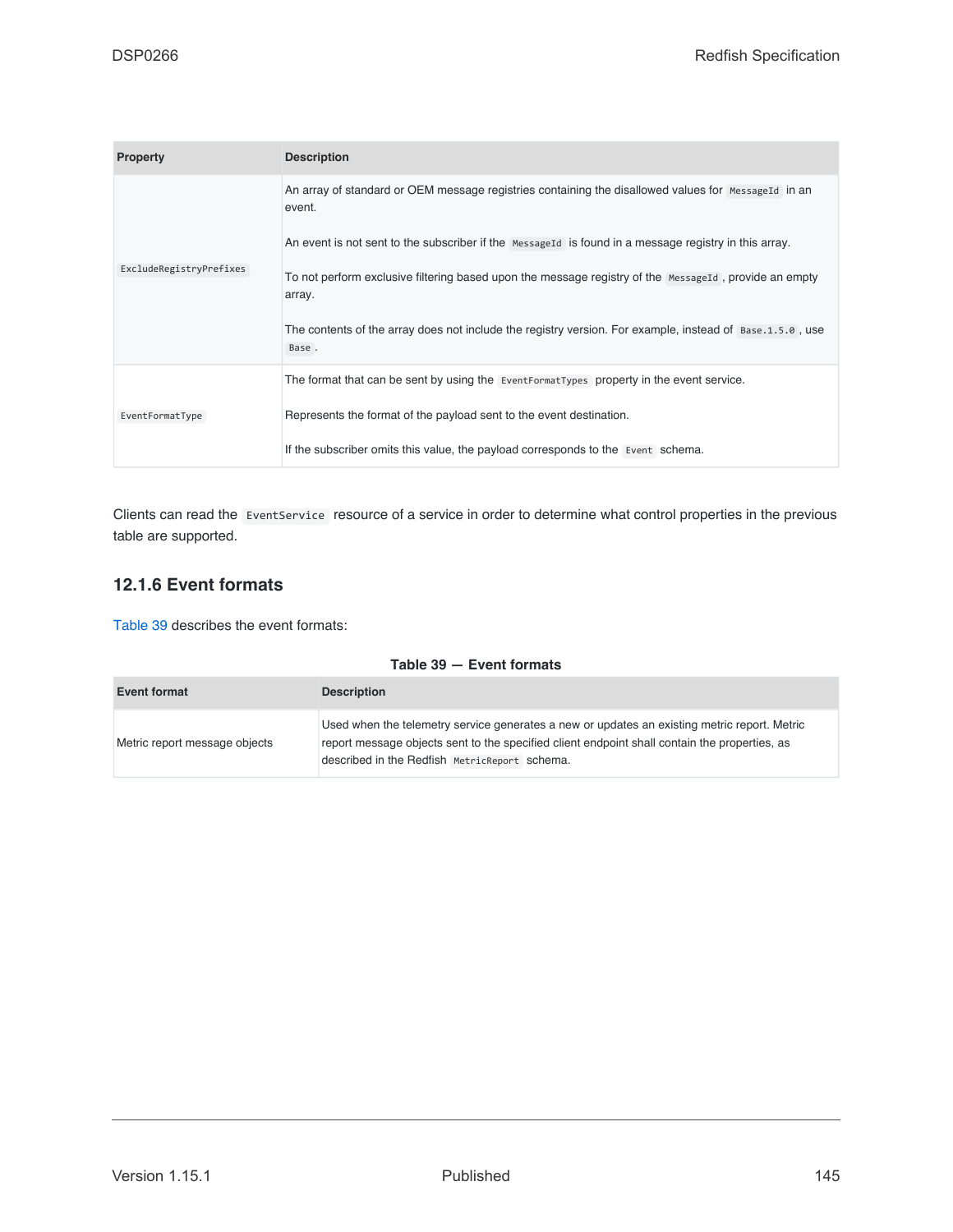| <b>Property</b>         | <b>Description</b>                                                                                                |
|-------------------------|-------------------------------------------------------------------------------------------------------------------|
|                         | An array of standard or OEM message registries containing the disallowed values for MessageId in an<br>event.     |
|                         | An event is not sent to the subscriber if the Message Id is found in a message registry in this array.            |
| ExcludeRegistryPrefixes | To not perform exclusive filtering based upon the message registry of the MessageId, provide an empty<br>array.   |
|                         | The contents of the array does not include the registry version. For example, instead of Base.1.5.0, use<br>Base. |
|                         | The format that can be sent by using the EventFormatTypes property in the event service.                          |
| EventFormatType         | Represents the format of the payload sent to the event destination.                                               |
|                         | If the subscriber omits this value, the payload corresponds to the Event schema.                                  |

Clients can read the EventService resource of a service in order to determine what control properties in the previous table are supported.

# **12.1.6 Event formats**

[Table 39](#page-144-0) describes the event formats:

### **Table 39 — Event formats**

<span id="page-144-1"></span><span id="page-144-0"></span>

| <b>Event format</b>           | <b>Description</b>                                                                                                                                                                                                                             |
|-------------------------------|------------------------------------------------------------------------------------------------------------------------------------------------------------------------------------------------------------------------------------------------|
| Metric report message objects | Used when the telemetry service generates a new or updates an existing metric report. Metric<br>report message objects sent to the specified client endpoint shall contain the properties, as<br>described in the Redfish MetricReport schema. |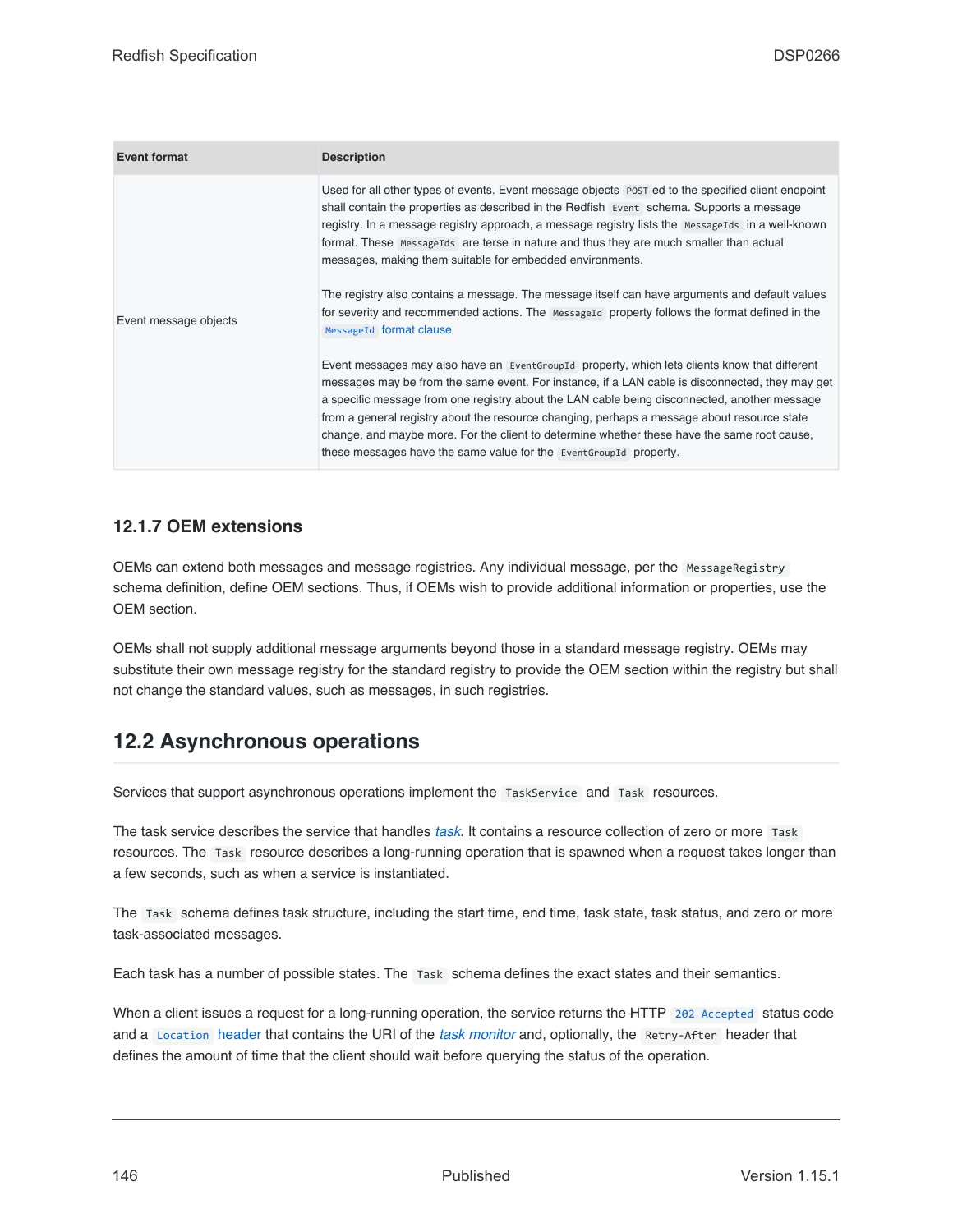<span id="page-145-0"></span>

| <b>Event format</b>   | <b>Description</b>                                                                                                                                                                                                                                                                                                                                                                                                                                                                                                                                                                                                                                                                                                                                                                                                                                                                                                                                                                                                                                                                                |
|-----------------------|---------------------------------------------------------------------------------------------------------------------------------------------------------------------------------------------------------------------------------------------------------------------------------------------------------------------------------------------------------------------------------------------------------------------------------------------------------------------------------------------------------------------------------------------------------------------------------------------------------------------------------------------------------------------------------------------------------------------------------------------------------------------------------------------------------------------------------------------------------------------------------------------------------------------------------------------------------------------------------------------------------------------------------------------------------------------------------------------------|
| Event message objects | Used for all other types of events. Event message objects post ed to the specified client endpoint<br>shall contain the properties as described in the Redfish Event schema. Supports a message<br>registry. In a message registry approach, a message registry lists the Message Ids in a well-known<br>format. These Message Ids are terse in nature and thus they are much smaller than actual<br>messages, making them suitable for embedded environments.<br>The registry also contains a message. The message itself can have arguments and default values<br>for severity and recommended actions. The Message Id property follows the format defined in the<br>MessageId format clause<br>Event messages may also have an EventGroupId property, which lets clients know that different<br>messages may be from the same event. For instance, if a LAN cable is disconnected, they may get<br>a specific message from one registry about the LAN cable being disconnected, another message<br>from a general registry about the resource changing, perhaps a message about resource state |
|                       | change, and maybe more. For the client to determine whether these have the same root cause,<br>these messages have the same value for the Event Group Id property.                                                                                                                                                                                                                                                                                                                                                                                                                                                                                                                                                                                                                                                                                                                                                                                                                                                                                                                                |

# **12.1.7 OEM extensions**

OEMs can extend both messages and message registries. Any individual message, per the MessageRegistry schema definition, define OEM sections. Thus, if OEMs wish to provide additional information or properties, use the OEM section.

OEMs shall not supply additional message arguments beyond those in a standard message registry. OEMs may substitute their own message registry for the standard registry to provide the OEM section within the registry but shall not change the standard values, such as messages, in such registries.

# <span id="page-145-1"></span>**12.2 Asynchronous operations**

Services that support asynchronous operations implement the TaskService and Task resources.

The task service describes the service that handles *[task](#page-20-0)*. It contains a resource collection of zero or more Task resources. The Task resource describes a long-running operation that is spawned when a request takes longer than a few seconds, such as when a service is instantiated.

The Task schema defines task structure, including the start time, end time, task state, task status, and zero or more task-associated messages.

Each task has a number of possible states. The Task schema defines the exact states and their semantics.

When a client issues a request for a long-running operation, the service returns the HTTP [202 Accepted](#page-66-0) status code and a [Location](#page-64-0) header that contains the URI of the *[task monitor](#page-20-1)* and, optionally, the Retry-After header that defines the amount of time that the client should wait before querying the status of the operation.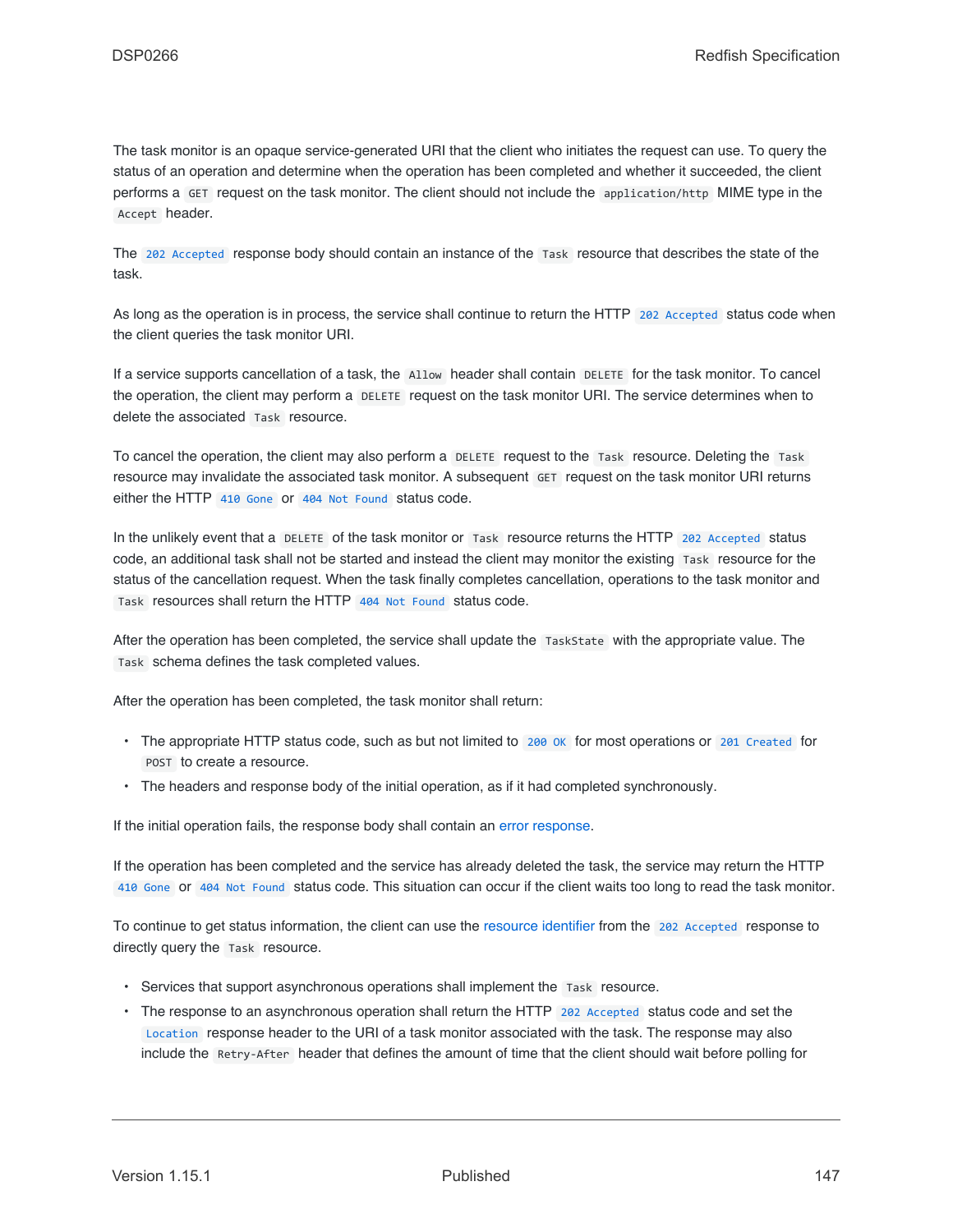The task monitor is an opaque service-generated URI that the client who initiates the request can use. To query the status of an operation and determine when the operation has been completed and whether it succeeded, the client performs a GET request on the task monitor. The client should not include the application/http MIME type in the Accept header.

The [202 Accepted](#page-66-0) response body should contain an instance of the Task resource that describes the state of the task.

As long as the operation is in process, the service shall continue to return the HTTP [202 Accepted](#page-66-0) status code when the client queries the task monitor URI.

If a service supports cancellation of a task, the Allow header shall contain DELETE for the task monitor. To cancel the operation, the client may perform a DELETE request on the task monitor URI. The service determines when to delete the associated Task resource.

To cancel the operation, the client may also perform a DELETE request to the Task resource. Deleting the Task resource may invalidate the associated task monitor. A subsequent GET request on the task monitor URI returns either the HTTP [410 Gone](#page-67-0) or [404 Not Found](#page-67-1) status code.

In the unlikely event that a DELETE of the task monitor or Task resource returns the HTTP [202 Accepted](#page-66-0) status code, an additional task shall not be started and instead the client may monitor the existing Task resource for the status of the cancellation request. When the task finally completes cancellation, operations to the task monitor and Task resources shall return the HTTP [404 Not Found](#page-67-1) status code.

After the operation has been completed, the service shall update the TaskState with the appropriate value. The Task schema defines the task completed values.

After the operation has been completed, the task monitor shall return:

- The appropriate HTTP status code, such as but not limited to 200 ok for most operations or [201 Created](#page-66-2) for POST to create a resource.
- The headers and response body of the initial operation, as if it had completed synchronously.

If the initial operation fails, the response body shall contain an [error response](#page-71-0).

If the operation has been completed and the service has already deleted the task, the service may return the HTTP [410 Gone](#page-67-0) or [404 Not Found](#page-67-1) status code. This situation can occur if the client waits too long to read the task monitor.

To continue to get status information, the client can use the [resource identifier](#page-82-0) from the [202 Accepted](#page-66-0) response to directly query the Task resource.

- Services that support asynchronous operations shall implement the Task resource.
- The response to an asynchronous operation shall return the HTTP [202 Accepted](#page-66-0) status code and set the [Location](#page-64-0) response header to the URI of a task monitor associated with the task. The response may also include the Retry-After header that defines the amount of time that the client should wait before polling for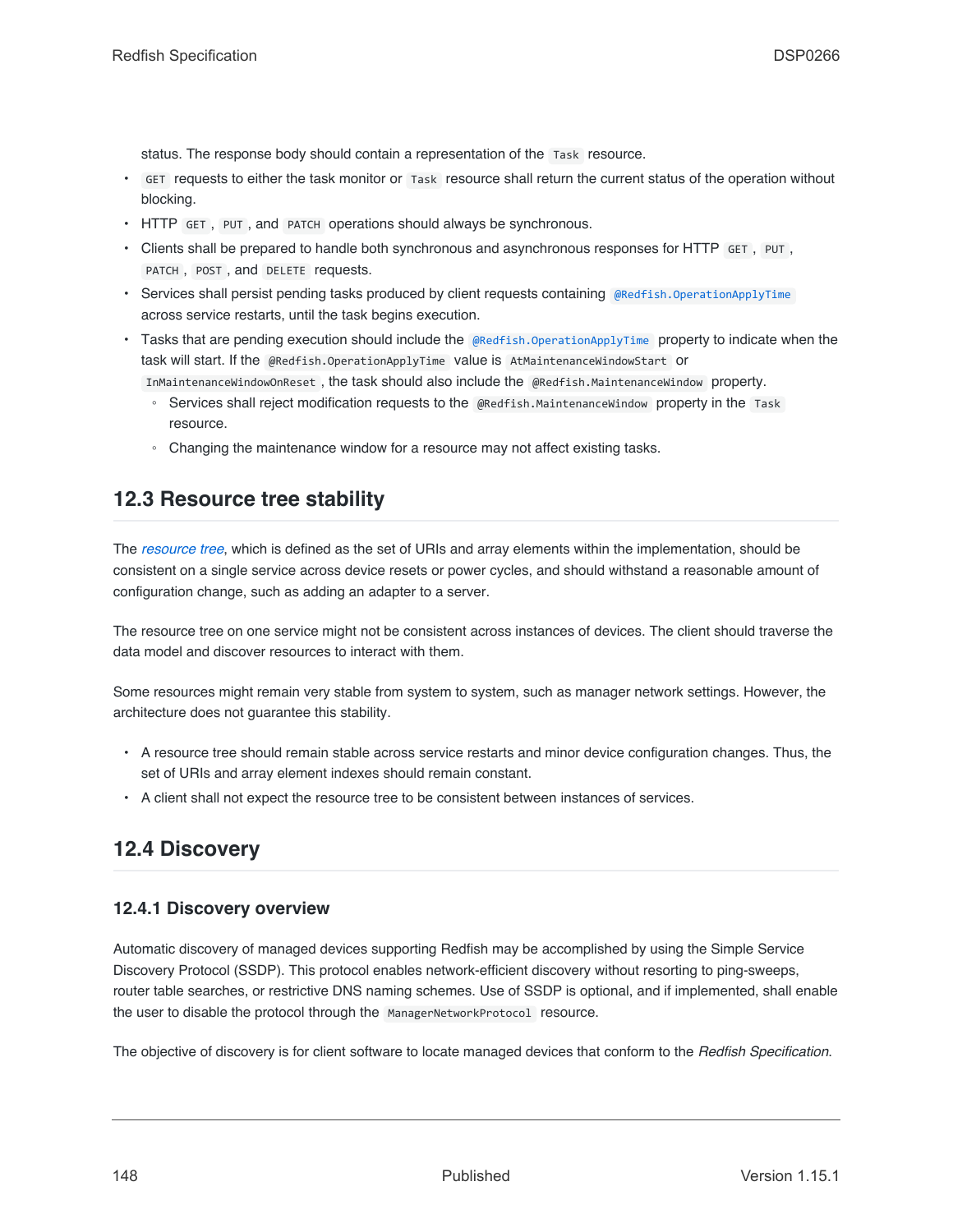status. The response body should contain a representation of the Task resource.

- GET requests to either the task monitor or Task resource shall return the current status of the operation without blocking.
- HTTP GET , PUT , and PATCH operations should always be synchronous.
- Clients shall be prepared to handle both synchronous and asynchronous responses for HTTP GET , PUT , PATCH , POST , and DELETE requests.
- Services shall persist pending tasks produced by client requests containing [@Redfish.OperationApplyTime](#page-55-0) across service restarts, until the task begins execution.
- Tasks that are pending execution should include the [@Redfish.OperationApplyTime](#page-55-0) property to indicate when the task will start. If the @Redfish.OperationApplyTime value is AtMaintenanceWindowStart or InMaintenanceWindowOnReset , the task should also include the @Redfish.MaintenanceWindow property.
	- Services shall reject modification requests to the @Redfish.MaintenanceWindow property in the Task resource.
	- Changing the maintenance window for a resource may not affect existing tasks.

# **12.3 Resource tree stability**

The *[resource tree](#page-22-0)*, which is defined as the set of URIs and array elements within the implementation, should be consistent on a single service across device resets or power cycles, and should withstand a reasonable amount of configuration change, such as adding an adapter to a server.

The resource tree on one service might not be consistent across instances of devices. The client should traverse the data model and discover resources to interact with them.

Some resources might remain very stable from system to system, such as manager network settings. However, the architecture does not guarantee this stability.

- A resource tree should remain stable across service restarts and minor device configuration changes. Thus, the set of URIs and array element indexes should remain constant.
- A client shall not expect the resource tree to be consistent between instances of services.

# **12.4 Discovery**

### **12.4.1 Discovery overview**

Automatic discovery of managed devices supporting Redfish may be accomplished by using the Simple Service Discovery Protocol (SSDP). This protocol enables network-efficient discovery without resorting to ping-sweeps, router table searches, or restrictive DNS naming schemes. Use of SSDP is optional, and if implemented, shall enable the user to disable the protocol through the ManagerNetworkProtocol resource.

The objective of discovery is for client software to locate managed devices that conform to the *Redfish Specification*.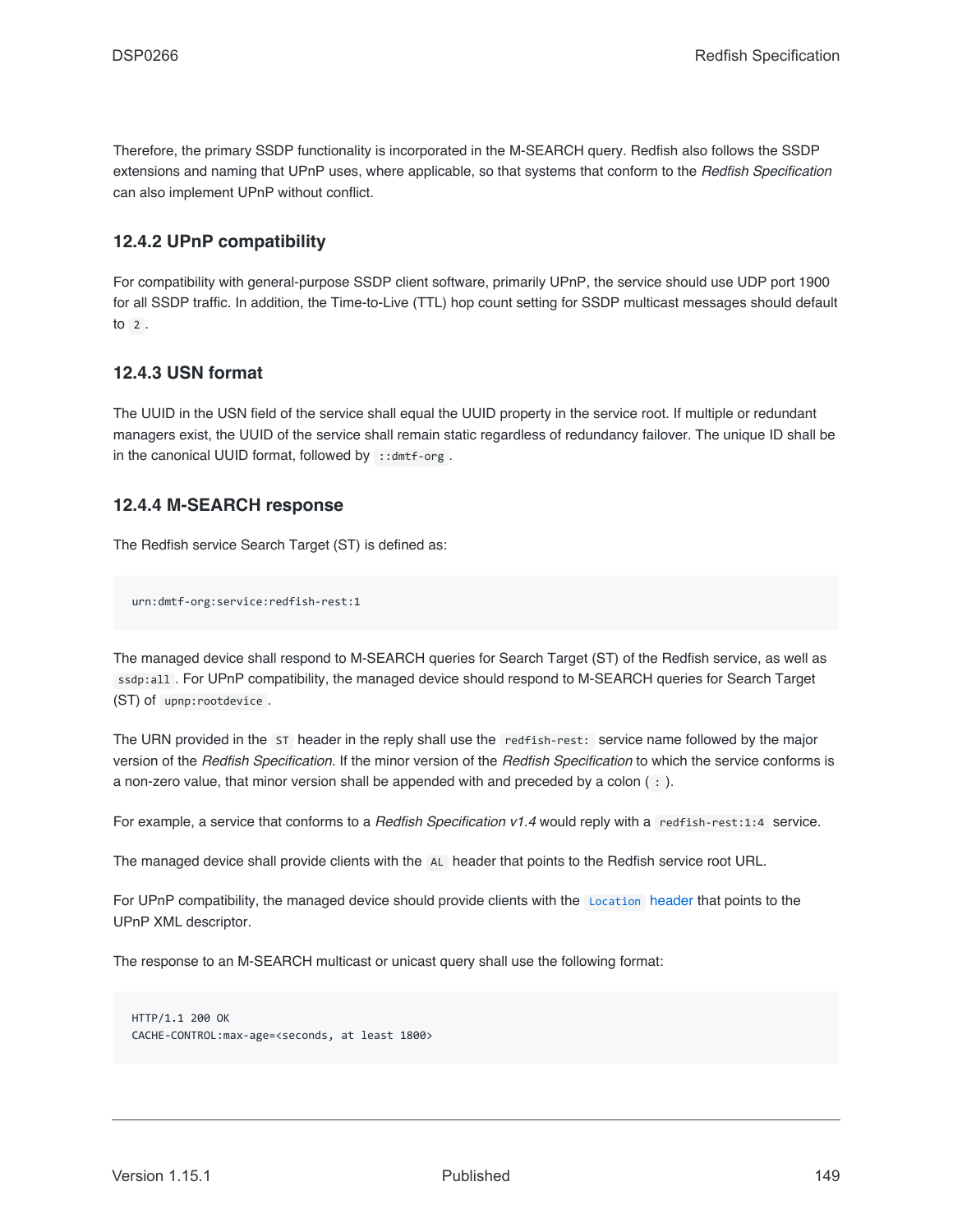Therefore, the primary SSDP functionality is incorporated in the M-SEARCH query. Redfish also follows the SSDP extensions and naming that UPnP uses, where applicable, so that systems that conform to the *Redfish Specification* can also implement UPnP without conflict.

## **12.4.2 UPnP compatibility**

For compatibility with general-purpose SSDP client software, primarily UPnP, the service should use UDP port 1900 for all SSDP traffic. In addition, the Time-to-Live (TTL) hop count setting for SSDP multicast messages should default  $\frac{1}{2}$ 

# **12.4.3 USN format**

The UUID in the USN field of the service shall equal the UUID property in the service root. If multiple or redundant managers exist, the UUID of the service shall remain static regardless of redundancy failover. The unique ID shall be in the canonical UUID format, followed by ::dmtf-org.

# **12.4.4 M-SEARCH response**

The Redfish service Search Target (ST) is defined as:

urn:dmtf-org:service:redfish-rest:1

The managed device shall respond to M-SEARCH queries for Search Target (ST) of the Redfish service, as well as ssdp:all . For UPnP compatibility, the managed device should respond to M-SEARCH queries for Search Target (ST) of upnp:rootdevice .

The URN provided in the ST header in the reply shall use the redfish-rest: service name followed by the major version of the *Redfish Specification*. If the minor version of the *Redfish Specification* to which the service conforms is a non-zero value, that minor version shall be appended with and preceded by a colon ( : ).

For example, a service that conforms to a *Redfish Specification v1.4* would reply with a redfish-rest:1:4 service.

The managed device shall provide clients with the AL header that points to the Redfish service root URL.

For UPnP compatibility, the managed device should provide clients with the [Location](#page-64-0) header that points to the UPnP XML descriptor.

The response to an M-SEARCH multicast or unicast query shall use the following format:

```
HTTP/1.1 200 OK
CACHE-CONTROL:max-age=<seconds, at least 1800>
```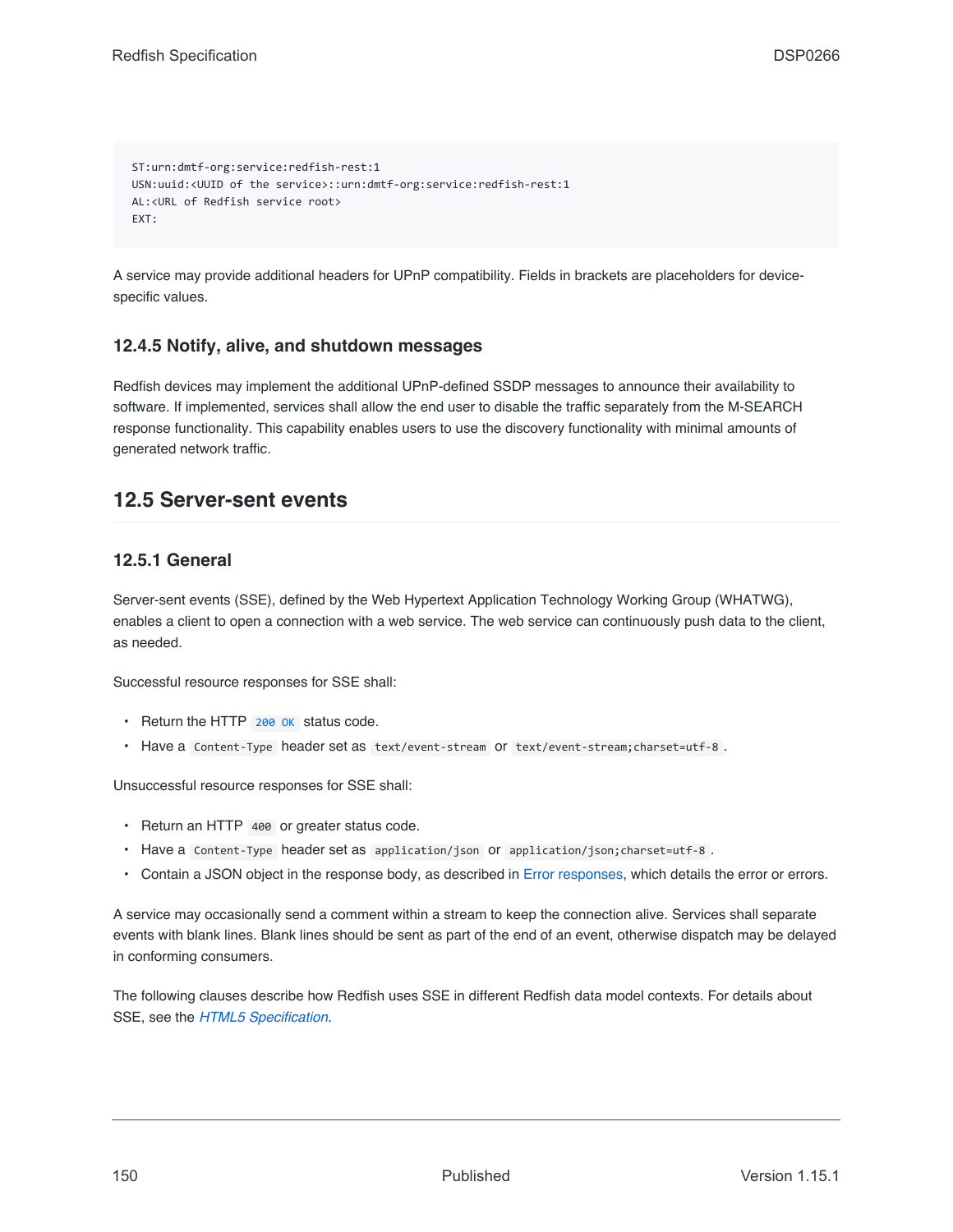```
ST:urn:dmtf-org:service:redfish-rest:1
USN:uuid:<UUID of the service>::urn:dmtf-org:service:redfish-rest:1
AL:<URL of Redfish service root>
EXT:
```
A service may provide additional headers for UPnP compatibility. Fields in brackets are placeholders for devicespecific values.

# **12.4.5 Notify, alive, and shutdown messages**

Redfish devices may implement the additional UPnP-defined SSDP messages to announce their availability to software. If implemented, services shall allow the end user to disable the traffic separately from the M-SEARCH response functionality. This capability enables users to use the discovery functionality with minimal amounts of generated network traffic.

# <span id="page-149-0"></span>**12.5 Server-sent events**

# **12.5.1 General**

Server-sent events (SSE), defined by the Web Hypertext Application Technology Working Group (WHATWG), enables a client to open a connection with a web service. The web service can continuously push data to the client, as needed.

Successful resource responses for SSE shall:

- Return the HTTP [200 OK](#page-66-1) status code.
- Have a Content-Type header set as text/event-stream or text/event-stream;charset=utf-8 .

Unsuccessful resource responses for SSE shall:

- Return an HTTP 400 or greater status code.
- Have a Content-Type header set as application/json or application/json;charset=utf-8 .
- Contain a JSON object in the response body, as described in [Error responses](#page-71-0), which details the error or errors.

A service may occasionally send a comment within a stream to keep the connection alive. Services shall separate events with blank lines. Blank lines should be sent as part of the end of an event, otherwise dispatch may be delayed in conforming consumers.

The following clauses describe how Redfish uses SSE in different Redfish data model contexts. For details about SSE, see the *[HTML5 Specification](#page-16-0)*.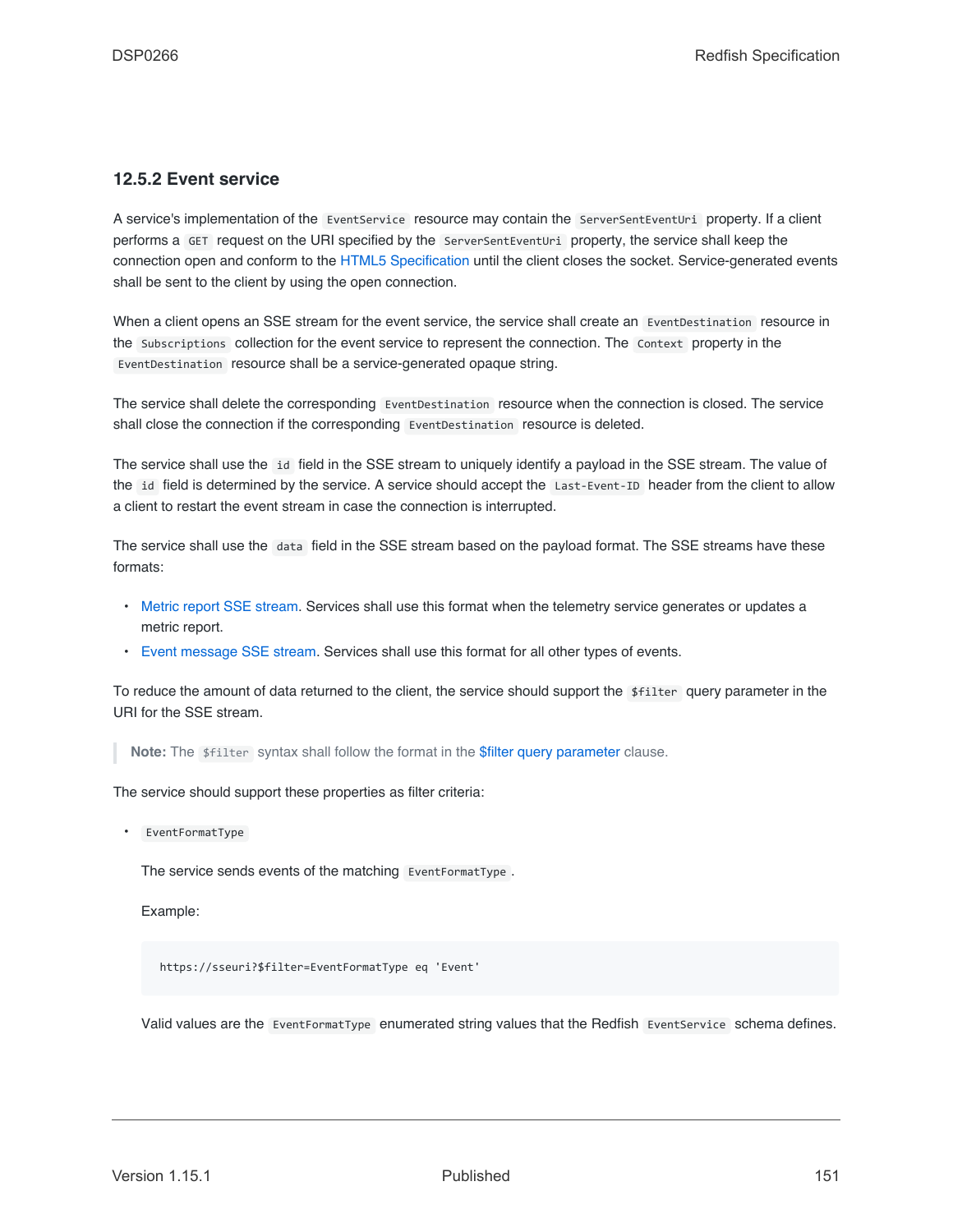## **12.5.2 Event service**

A service's implementation of the EventService resource may contain the ServerSentEventUri property. If a client performs a GET request on the URI specified by the ServerSentEventUri property, the service shall keep the connection open and conform to the [HTML5 Specification](#page-16-0) until the client closes the socket. Service-generated events shall be sent to the client by using the open connection.

When a client opens an SSE stream for the event service, the service shall create an EventDestination resource in the Subscriptions collection for the event service to represent the connection. The Context property in the EventDestination resource shall be a service-generated opaque string.

The service shall delete the corresponding EventDestination resource when the connection is closed. The service shall close the connection if the corresponding EventDestination resource is deleted.

The service shall use the id field in the SSE stream to uniquely identify a payload in the SSE stream. The value of the id field is determined by the service. A service should accept the Last-Event-ID header from the client to allow a client to restart the event stream in case the connection is interrupted.

The service shall use the data field in the SSE stream based on the payload format. The SSE streams have these formats:

- [Metric report SSE stream.](#page-153-0) Services shall use this format when the telemetry service generates or updates a metric report.
- [Event message SSE stream](#page-152-0). Services shall use this format for all other types of events.

To reduce the amount of data returned to the client, the service should support the \$filter query parameter in the URI for the SSE stream.

**Note:** The \$filter syntax shall follow the format in the [\\$filter query parameter](#page-47-0) clause.

The service should support these properties as filter criteria:

• EventFormatType

The service sends events of the matching EventFormatType .

Example:

https://sseuri?\$filter=EventFormatType eq 'Event'

Valid values are the EventFormatType enumerated string values that the Redfish EventService schema defines.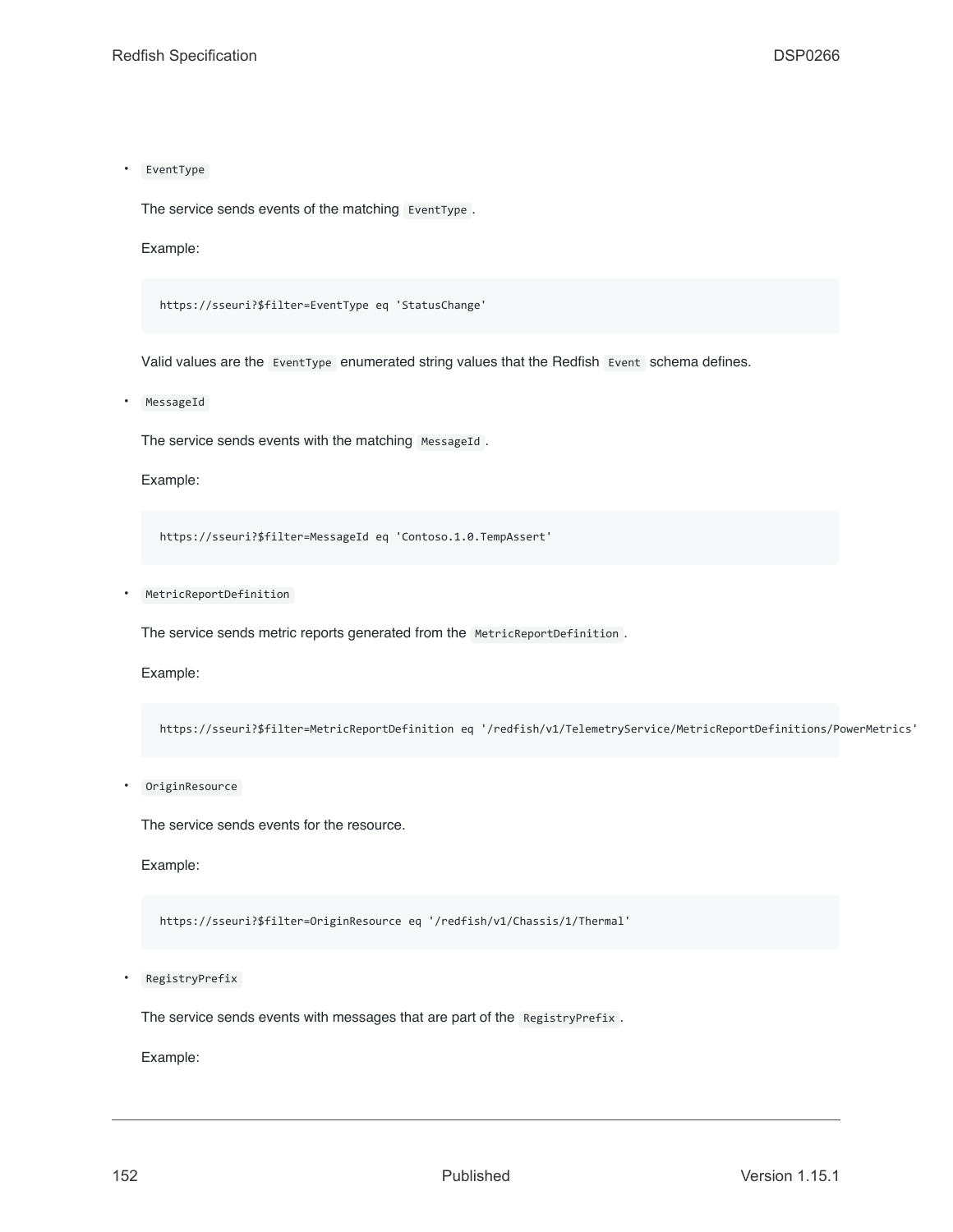• EventType

The service sends events of the matching EventType .

Example:

https://sseuri?\$filter=EventType eq 'StatusChange'

Valid values are the EventType enumerated string values that the Redfish Event schema defines.

**MessageId** 

The service sends events with the matching MessageId.

Example:

https://sseuri?\$filter=MessageId eq 'Contoso.1.0.TempAssert'

• MetricReportDefinition

The service sends metric reports generated from the MetricReportDefinition.

Example:

https://sseuri?\$filter=MetricReportDefinition eq '/redfish/v1/TelemetryService/MetricReportDefinitions/PowerMetrics'

• OriginResource

The service sends events for the resource.

Example:

https://sseuri?\$filter=OriginResource eq '/redfish/v1/Chassis/1/Thermal'

• RegistryPrefix

The service sends events with messages that are part of the RegistryPrefix.

Example: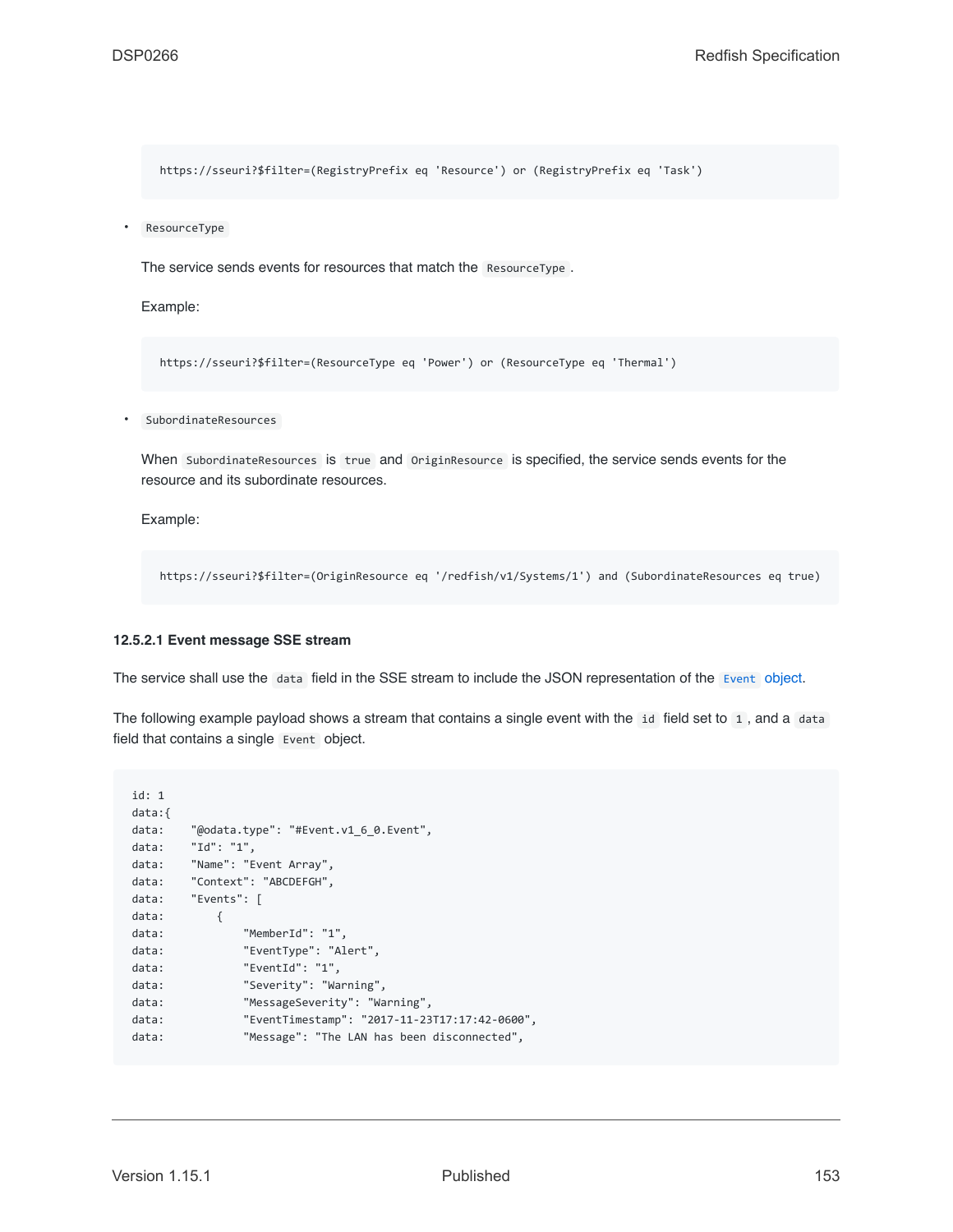https://sseuri?\$filter=(RegistryPrefix eq 'Resource') or (RegistryPrefix eq 'Task')

• ResourceType

The service sends events for resources that match the ResourceType .

Example:

https://sseuri?\$filter=(ResourceType eq 'Power') or (ResourceType eq 'Thermal')

• SubordinateResources

When SubordinateResources is true and OriginResource is specified, the service sends events for the resource and its subordinate resources.

Example:

https://sseuri?\$filter=(OriginResource eq '/redfish/v1/Systems/1') and (SubordinateResources eq true)

#### <span id="page-152-0"></span>**12.5.2.1 Event message SSE stream**

The service shall use the data field in the SSE stream to include the JSON representation of the [Event](#page-145-0) [object.](#page-145-0)

The following example payload shows a stream that contains a single event with the id field set to 1, and a data field that contains a single Event object.

```
id: 1
data:{
data: "@odata.type": "#Event.v1_6_0.Event",
data: "Id": "1",
data: "Name": "Event Array",
data: "Context": "ABCDEFGH",
data: "Events": [
data: {
data: "MemberId": "1",
data: "EventType": "Alert",
data: "EventId": "1",
data: "Severity": "Warning",
data: "MessageSeverity": "Warning",
data: "EventTimestamp": "2017-11-23T17:17:42-0600",
data: "Message": "The LAN has been disconnected",
```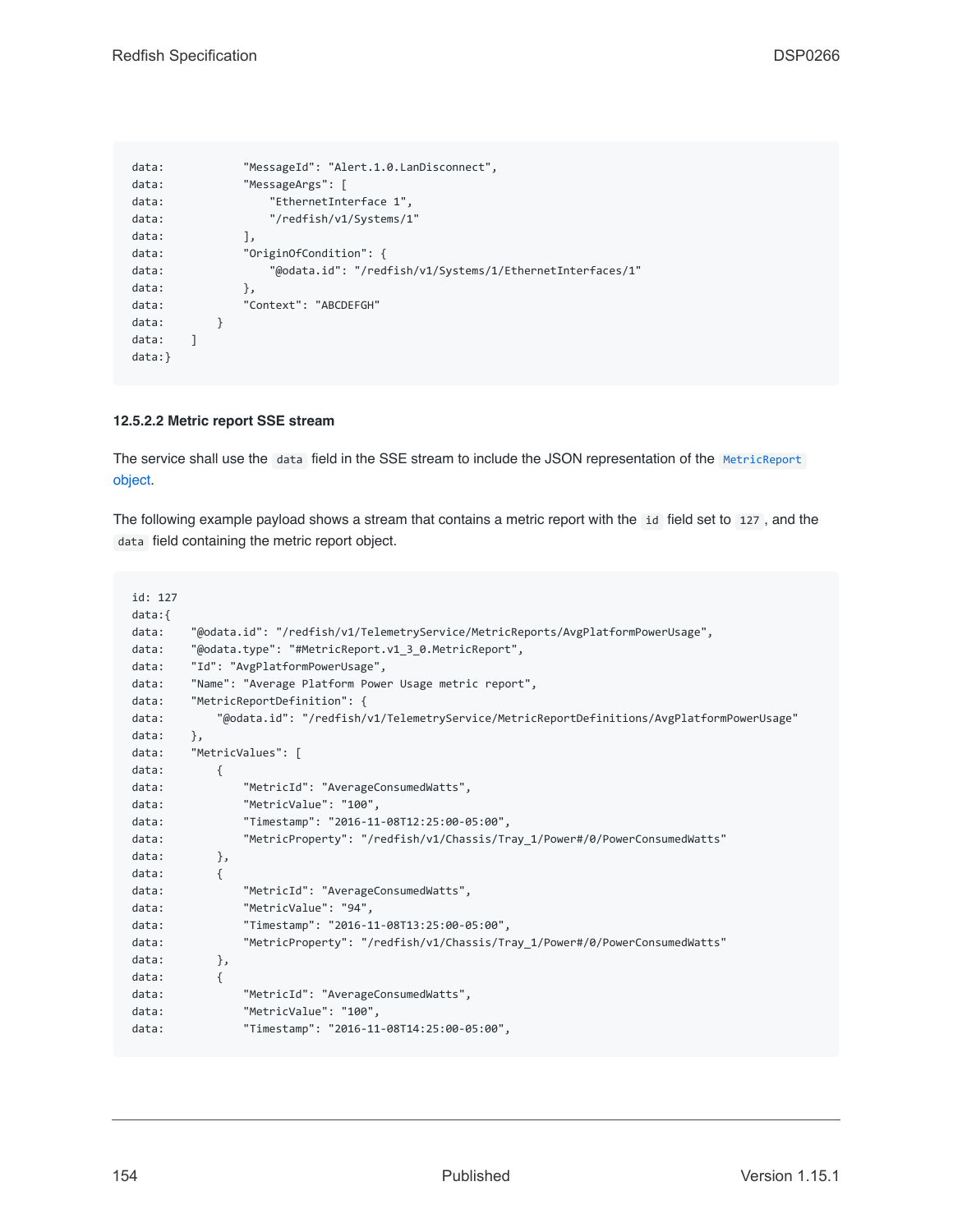```
data: "MessageId": "Alert.1.0.LanDisconnect",
data: "MessageArgs": [
data: "EthernetInterface 1",
data: "/redfish/v1/Systems/1"
data: ],
data: "OriginOfCondition": {
data: "@odata.id": "/redfish/v1/Systems/1/EthernetInterfaces/1"
data: },
data: "Context": "ABCDEFGH"
data: }
data: ]
data:}
```
### <span id="page-153-0"></span>**12.5.2.2 Metric report SSE stream**

The service shall use the data field in the SSE stream to include the JSON representation of the [MetricReport](#page-144-1) [object.](#page-144-1)

The following example payload shows a stream that contains a metric report with the id field set to 127 , and the data field containing the metric report object.

```
id: 127
data:{
data: "@odata.id": "/redfish/v1/TelemetryService/MetricReports/AvgPlatformPowerUsage",
data: "@odata.type": "#MetricReport.v1_3_0.MetricReport",
data: "Id": "AvgPlatformPowerUsage",
data: "Name": "Average Platform Power Usage metric report",
data: "MetricReportDefinition": {
data: "@odata.id": "/redfish/v1/TelemetryService/MetricReportDefinitions/AvgPlatformPowerUsage"
data: },
data: "MetricValues": [
data: {
data: "MetricId": "AverageConsumedWatts",
data: "MetricValue": "100",
data: "Timestamp": "2016-11-08T12:25:00-05:00",
data: "MetricProperty": "/redfish/v1/Chassis/Tray_1/Power#/0/PowerConsumedWatts"
data: },
data: {
data: "MetricId": "AverageConsumedWatts",
data: "MetricValue": "94",
data: "Timestamp": "2016-11-08T13:25:00-05:00",
data: "MetricProperty": "/redfish/v1/Chassis/Tray_1/Power#/0/PowerConsumedWatts"
data: },
data: {
data: "MetricId": "AverageConsumedWatts",
data: "MetricValue": "100",
data: "Timestamp": "2016-11-08T14:25:00-05:00",
```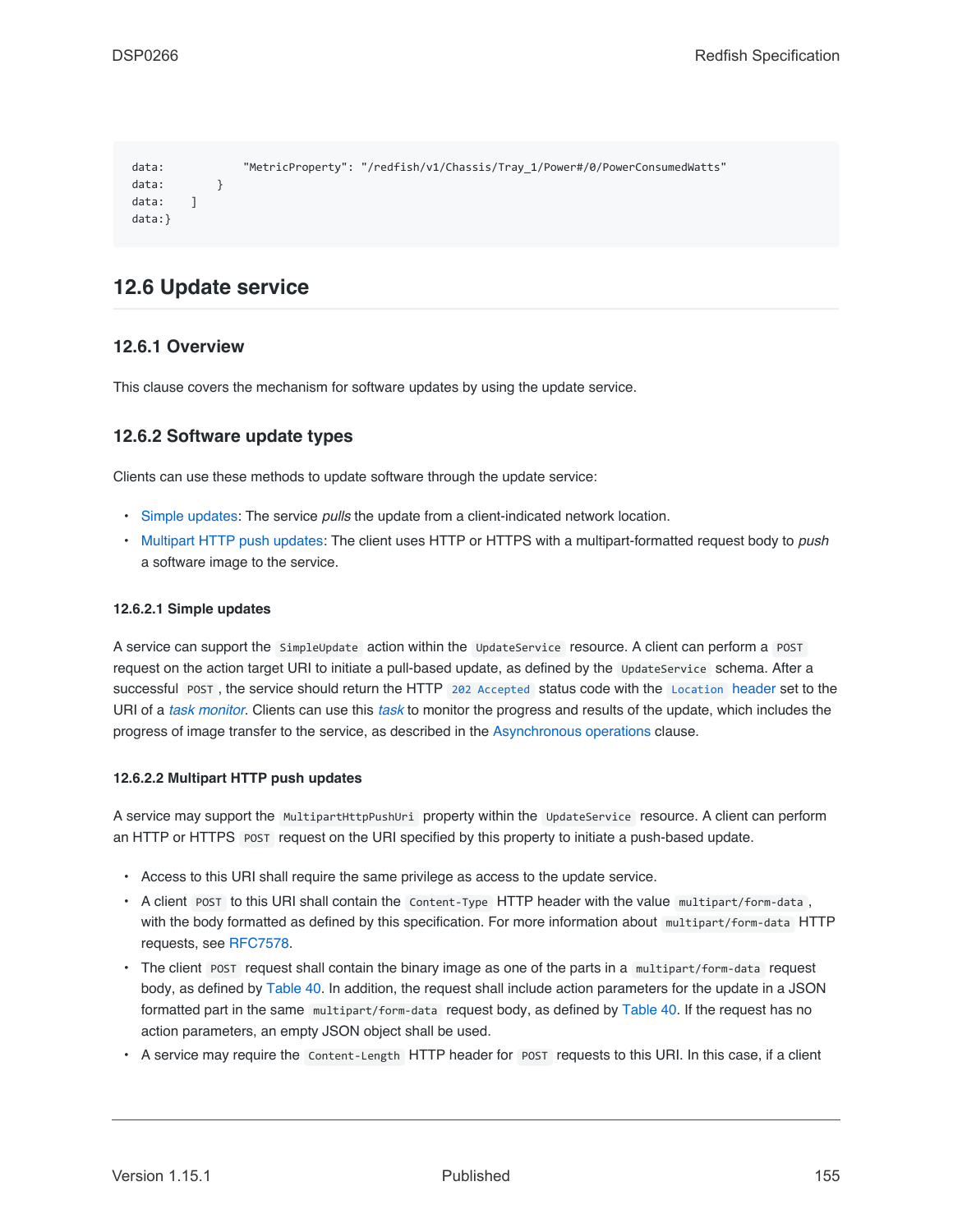```
data: "MetricProperty": "/redfish/v1/Chassis/Tray_1/Power#/0/PowerConsumedWatts"
data: }
data: 1
data:}
```
# <span id="page-154-2"></span>**12.6 Update service**

### **12.6.1 Overview**

This clause covers the mechanism for software updates by using the update service.

### **12.6.2 Software update types**

Clients can use these methods to update software through the update service:

- [Simple updates:](#page-154-0) The service *pulls* the update from a client-indicated network location.
- [Multipart HTTP push updates:](#page-154-1) The client uses HTTP or HTTPS with a multipart-formatted request body to *push* a software image to the service.

#### <span id="page-154-0"></span>**12.6.2.1 Simple updates**

A service can support the SimpleUpdate action within the UpdateService resource. A client can perform a POST request on the action target URI to initiate a pull-based update, as defined by the UpdateService schema. After a successful POST , the service should return the HTTP [202 Accepted](#page-66-0) status code with the [Location](#page-64-0) header set to the URI of a *[task monitor](#page-20-1)*. Clients can use this *[task](#page-20-0)* to monitor the progress and results of the update, which includes the progress of image transfer to the service, as described in the [Asynchronous operations](#page-145-1) clause.

#### <span id="page-154-1"></span>**12.6.2.2 Multipart HTTP push updates**

A service may support the MultipartHttpPushUri property within the UpdateService resource. A client can perform an HTTP or HTTPS POST request on the URI specified by this property to initiate a push-based update.

- Access to this URI shall require the same privilege as access to the update service.
- A client POST to this URI shall contain the Content-Type HTTP header with the value multipart/form-data , with the body formatted as defined by this specification. For more information about multipart/form-data HTTP requests, see [RFC7578.](#page-15-0)
- The client POST request shall contain the binary image as one of the parts in a multipart/form-data request body, as defined by [Table 40](#page-155-0). In addition, the request shall include action parameters for the update in a JSON formatted part in the same multipart/form-data request body, as defined by [Table 40.](#page-155-0) If the request has no action parameters, an empty JSON object shall be used.
- A service may require the Content-Length HTTP header for POST requests to this URI. In this case, if a client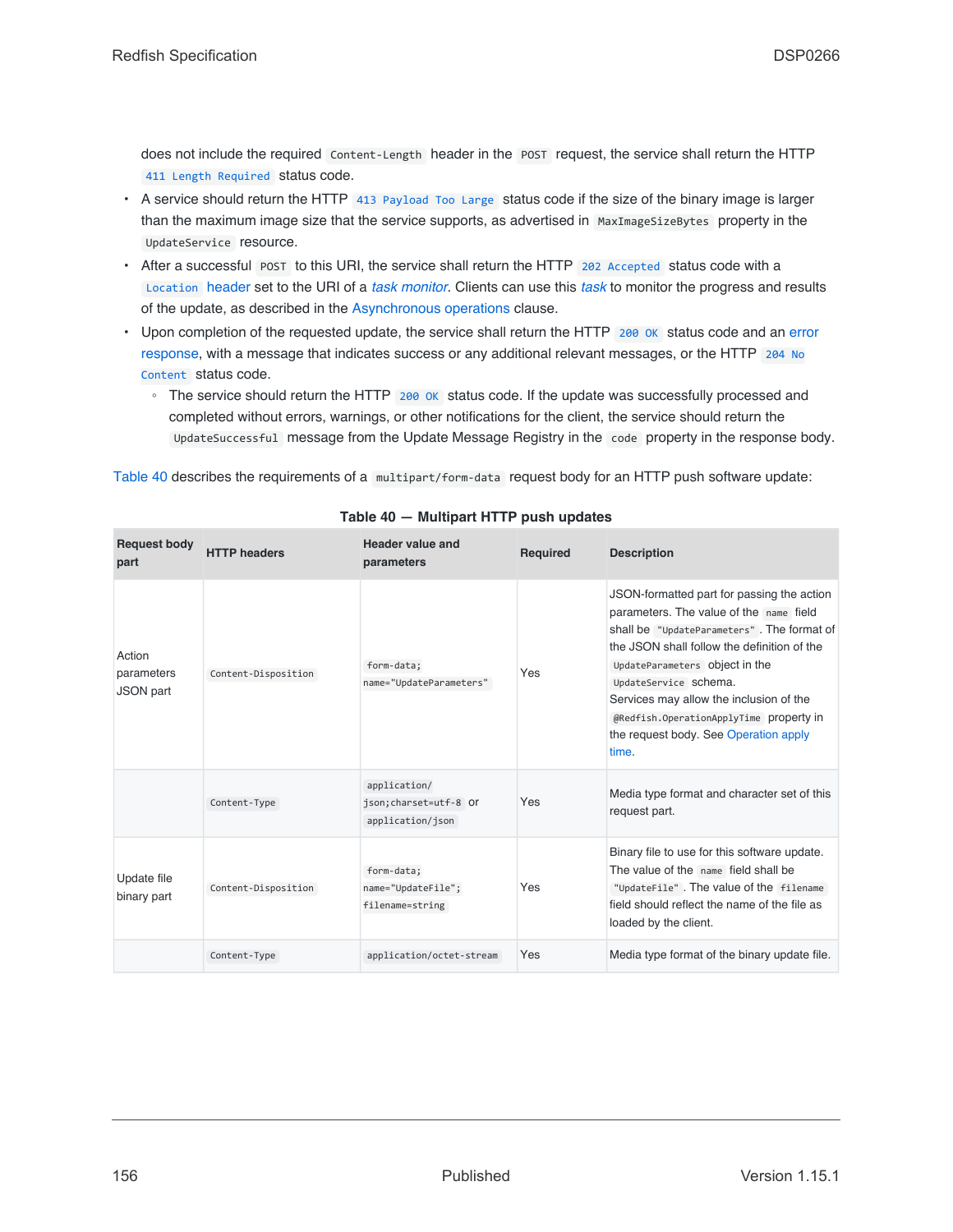does not include the required Content-Length header in the POST request, the service shall return the HTTP [411 Length Required](#page-67-2) status code.

- A service should return the HTTP [413 Payload Too Large](#page-67-3) status code if the size of the binary image is larger than the maximum image size that the service supports, as advertised in MaxImageSizeBytes property in the UpdateService resource.
- After a successful POST to this URI, the service shall return the HTTP [202 Accepted](#page-66-0) status code with a [Location](#page-64-0) header set to the URI of a *[task monitor](#page-20-1)*. Clients can use this *[task](#page-20-0)* to monitor the progress and results of the update, as described in the [Asynchronous operations](#page-145-1) clause.
- Upon completion of the requested update, the service shall return the HTTP [200 OK](#page-66-1) status code and an [error](#page-71-0) [response,](#page-71-0) with a message that indicates success or any additional relevant messages, or the HTTP [204 No](#page-66-3) [Content](#page-66-3) status code.
	- The service should return the HTTP [200 OK](#page-66-1) status code. If the update was successfully processed and completed without errors, warnings, or other notifications for the client, the service should return the UpdateSuccessful message from the Update Message Registry in the code property in the response body.

[Table 40](#page-155-0) describes the requirements of a multipart/form-data request body for an HTTP push software update:

<span id="page-155-0"></span>

| <b>Request body</b><br>part              | <b>HTTP headers</b> | <b>Header value and</b><br>parameters                      | <b>Required</b> | <b>Description</b>                                                                                                                                                                                                                                                                                                                                                                    |
|------------------------------------------|---------------------|------------------------------------------------------------|-----------------|---------------------------------------------------------------------------------------------------------------------------------------------------------------------------------------------------------------------------------------------------------------------------------------------------------------------------------------------------------------------------------------|
| Action<br>parameters<br><b>JSON</b> part | Content-Disposition | form-data;<br>name="UpdateParameters"                      | Yes             | JSON-formatted part for passing the action<br>parameters. The value of the name field<br>shall be "UpdateParameters". The format of<br>the JSON shall follow the definition of the<br>UpdateParameters Object in the<br>UpdateService Schema.<br>Services may allow the inclusion of the<br>@Redfish.OperationApplyTime property in<br>the request body. See Operation apply<br>time. |
|                                          | Content-Type        | application/<br>json; charset=utf-8 Or<br>application/json | Yes             | Media type format and character set of this<br>request part.                                                                                                                                                                                                                                                                                                                          |
| Update file<br>binary part               | Content-Disposition | form-data;<br>name="UpdateFile";<br>filename=string        | Yes             | Binary file to use for this software update.<br>The value of the name field shall be<br>"UpdateFile". The value of the filename<br>field should reflect the name of the file as<br>loaded by the client.                                                                                                                                                                              |
|                                          | Content-Type        | application/octet-stream                                   | Yes             | Media type format of the binary update file.                                                                                                                                                                                                                                                                                                                                          |

### **Table 40 — Multipart HTTP push updates**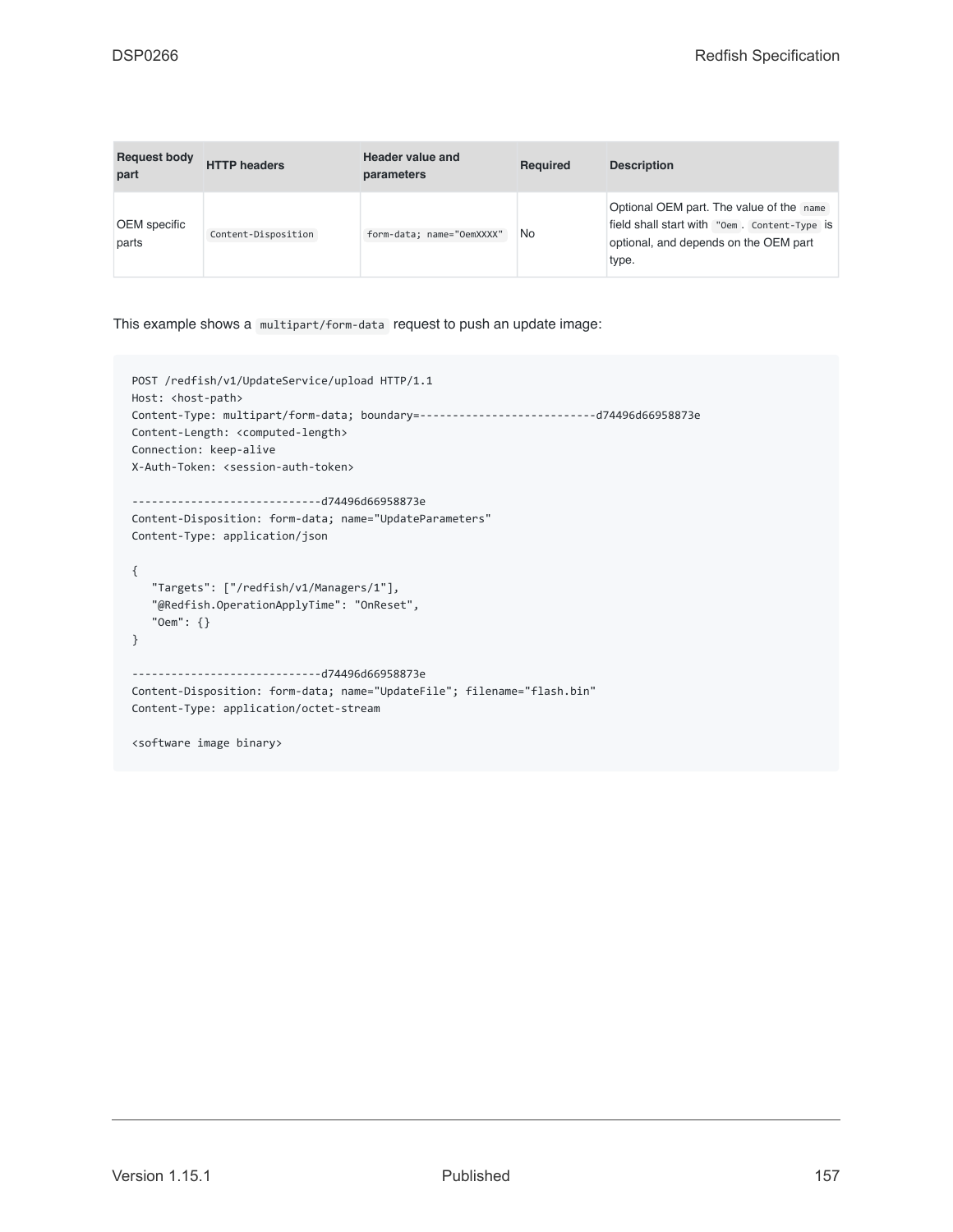| <b>Request body</b><br>part | <b>HTTP</b> headers | Header value and<br>parameters | Required | <b>Description</b>                                                                                                                         |
|-----------------------------|---------------------|--------------------------------|----------|--------------------------------------------------------------------------------------------------------------------------------------------|
| OEM specific<br>parts       | Content-Disposition | form-data; name="OemXXXX"      | No       | Optional OEM part. The value of the name<br>field shall start with "Oem. Content-Type is<br>optional, and depends on the OEM part<br>type. |

This example shows a multipart/form-data request to push an update image:

```
POST /redfish/v1/UpdateService/upload HTTP/1.1
Host: <host-path>
Content-Type: multipart/form-data; boundary=---------------------------d74496d66958873e
Content-Length: <computed-length>
Connection: keep-alive
X-Auth-Token: <session-auth-token>
-----------------------------d74496d66958873e
Content-Disposition: form-data; name="UpdateParameters"
Content-Type: application/json
{
   "Targets": ["/redfish/v1/Managers/1"],
   "@Redfish.OperationApplyTime": "OnReset",
   "Oem": {}
}
     -----------------------------d74496d66958873e
Content-Disposition: form-data; name="UpdateFile"; filename="flash.bin"
Content-Type: application/octet-stream
<software image binary>
```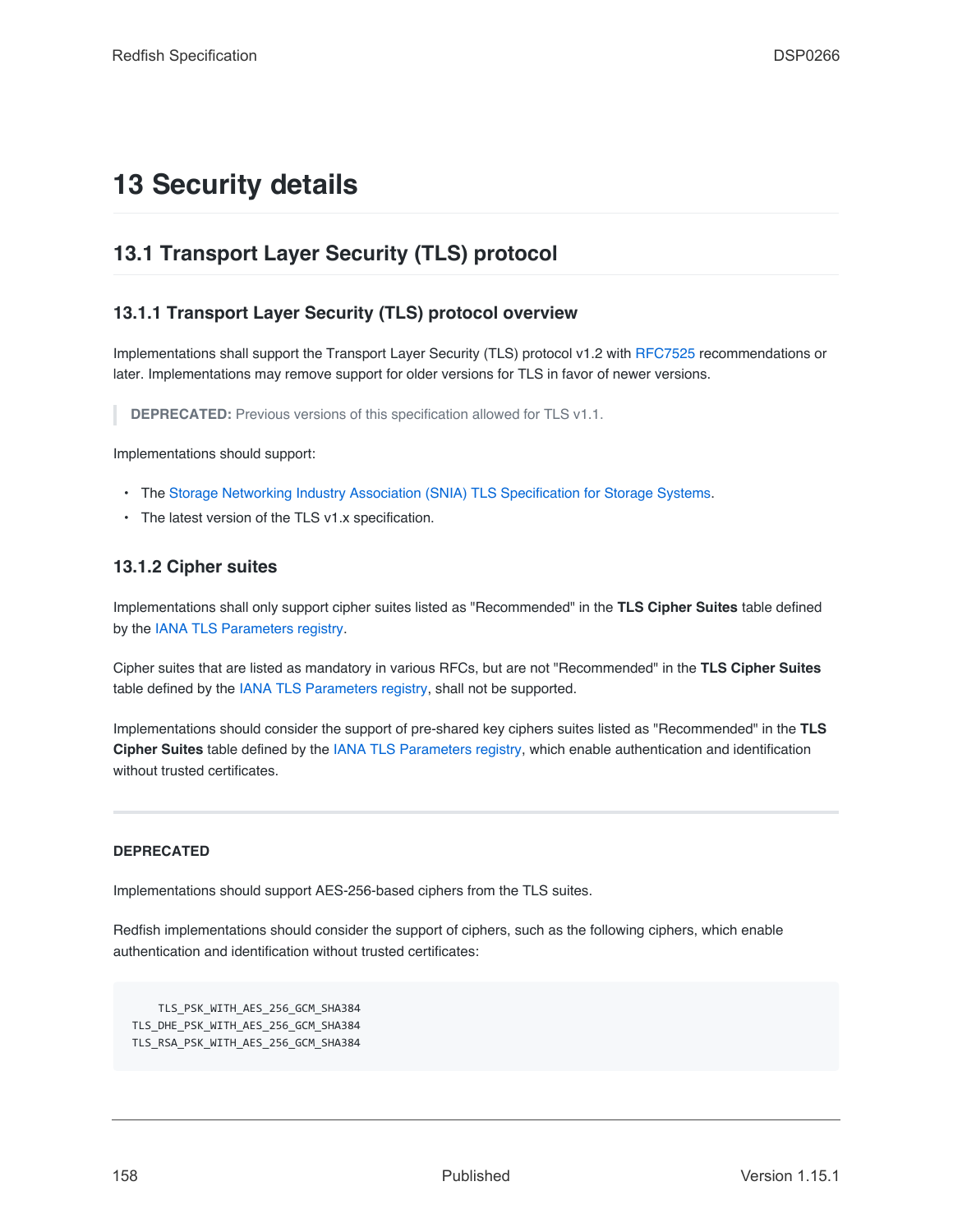# **13 Security details**

# **13.1 Transport Layer Security (TLS) protocol**

# **13.1.1 Transport Layer Security (TLS) protocol overview**

Implementations shall support the Transport Layer Security (TLS) protocol v1.2 with [RFC7525](#page-15-1) recommendations or later. Implementations may remove support for older versions for TLS in favor of newer versions.

**DEPRECATED:** Previous versions of this specification allowed for TLS v1.1.

Implementations should support:

- The [Storage Networking Industry Association \(SNIA\) TLS Specification for Storage Systems.](#page-16-1)
- The latest version of the TLS v1.x specification.

# **13.1.2 Cipher suites**

Implementations shall only support cipher suites listed as "Recommended" in the **TLS Cipher Suites** table defined by the [IANA TLS Parameters registry.](#page-15-2)

Cipher suites that are listed as mandatory in various RFCs, but are not "Recommended" in the **TLS Cipher Suites** table defined by the [IANA TLS Parameters registry,](#page-15-2) shall not be supported.

Implementations should consider the support of pre-shared key ciphers suites listed as "Recommended" in the **TLS Cipher Suites** table defined by the [IANA TLS Parameters registry](#page-15-2), which enable authentication and identification without trusted certificates.

### **DEPRECATED**

Implementations should support AES-256-based ciphers from the TLS suites.

Redfish implementations should consider the support of ciphers, such as the following ciphers, which enable authentication and identification without trusted certificates:

TLS\_PSK\_WITH\_AES\_256\_GCM\_SHA384 TLS\_DHE\_PSK\_WITH\_AES\_256\_GCM\_SHA384 TLS\_RSA\_PSK\_WITH\_AES\_256\_GCM\_SHA384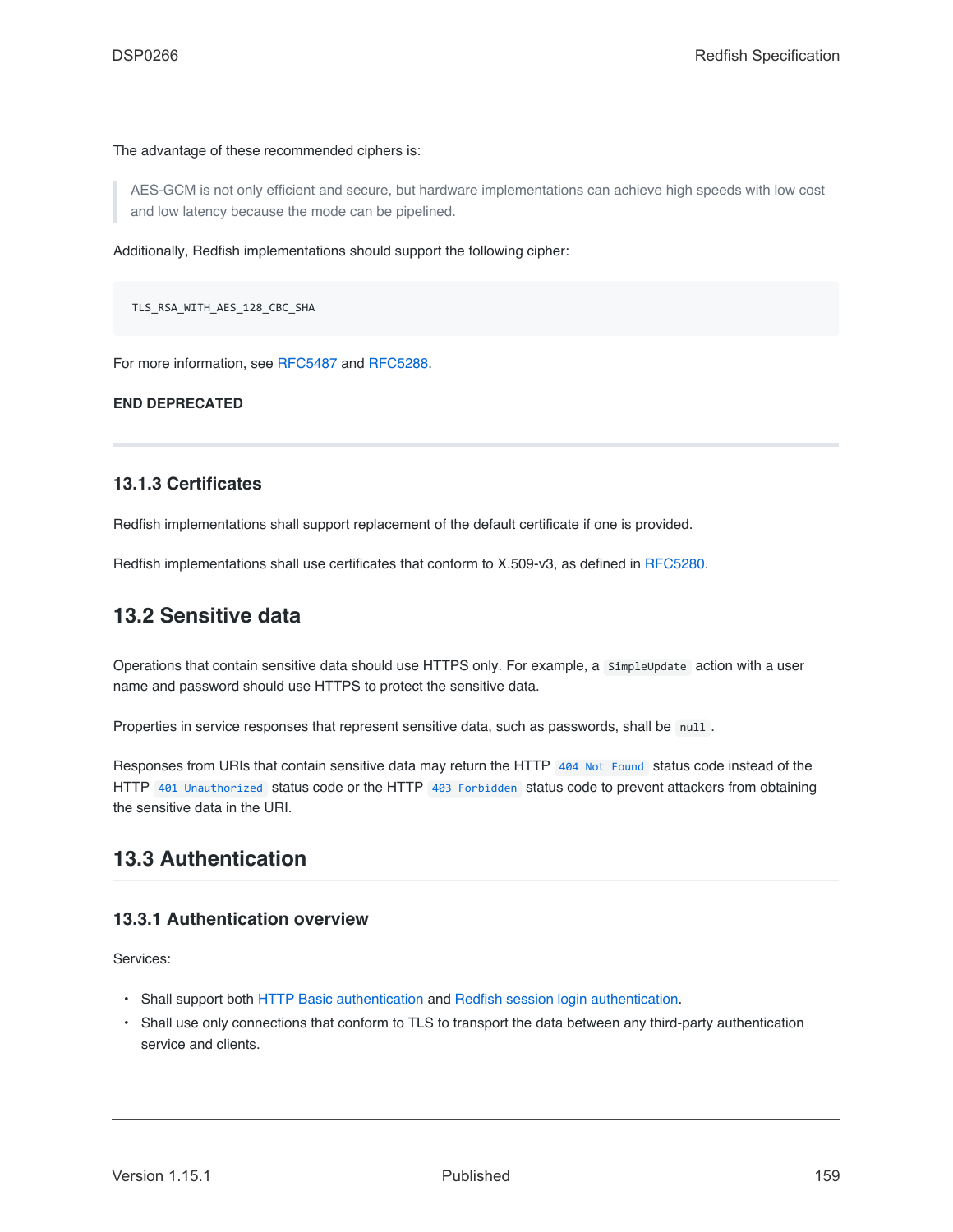### The advantage of these recommended ciphers is:

AES-GCM is not only efficient and secure, but hardware implementations can achieve high speeds with low cost and low latency because the mode can be pipelined.

Additionally, Redfish implementations should support the following cipher:

TLS\_RSA\_WITH\_AES\_128\_CBC\_SHA

For more information, see [RFC5487](#page-201-0) and [RFC5288](#page-201-1).

**END DEPRECATED**

### **13.1.3 Certificates**

Redfish implementations shall support replacement of the default certificate if one is provided.

Redfish implementations shall use certificates that conform to X.509-v3, as defined in [RFC5280.](#page-15-3)

# **13.2 Sensitive data**

Operations that contain sensitive data should use HTTPS only. For example, a SimpleUpdate action with a user name and password should use HTTPS to protect the sensitive data.

Properties in service responses that represent sensitive data, such as passwords, shall be null .

Responses from URIs that contain sensitive data may return the HTTP [404 Not Found](#page-67-1) status code instead of the HTTP [401 Unauthorized](#page-67-4) status code or the HTTP [403 Forbidden](#page-67-5) status code to prevent attackers from obtaining the sensitive data in the URI.

# **13.3 Authentication**

### **13.3.1 Authentication overview**

Services:

- Shall support both [HTTP Basic authentication](#page-160-0) and [Redfish session login authentication.](#page-160-1)
- Shall use only connections that conform to TLS to transport the data between any third-party authentication service and clients.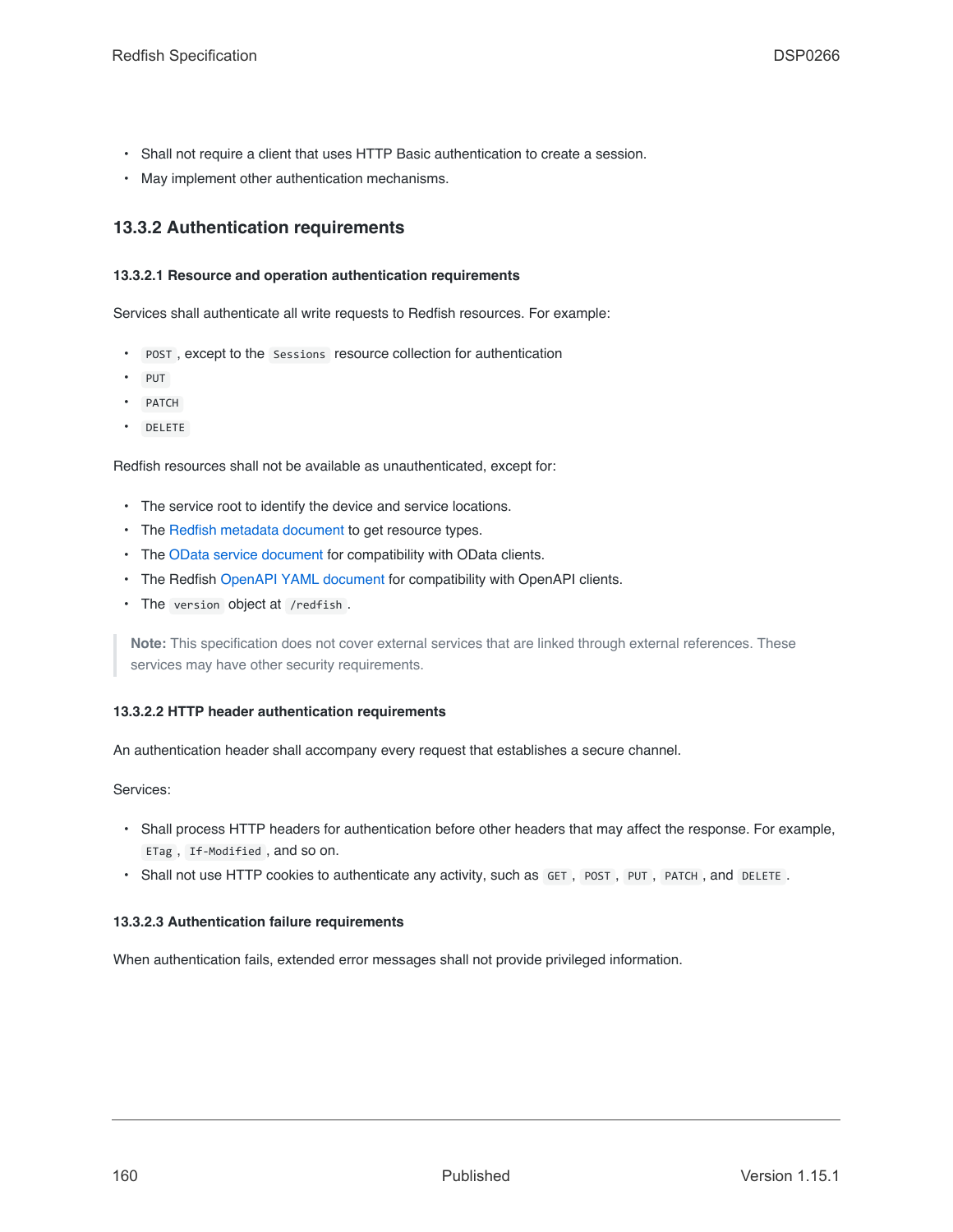- Shall not require a client that uses HTTP Basic authentication to create a session.
- May implement other authentication mechanisms.

# **13.3.2 Authentication requirements**

### **13.3.2.1 Resource and operation authentication requirements**

Services shall authenticate all write requests to Redfish resources. For example:

- POST , except to the Sessions resource collection for authentication
- PUT
- PATCH
- DELETE

Redfish resources shall not be available as unauthenticated, except for:

- The service root to identify the device and service locations.
- The [Redfish metadata document](#page-41-0) to get resource types.
- The [OData service document](#page-19-0) for compatibility with OData clients.
- The Redfish [OpenAPI YAML document](#page-132-0) for compatibility with OpenAPI clients.
- The version object at /redfish .

**Note:** This specification does not cover external services that are linked through external references. These services may have other security requirements.

### **13.3.2.2 HTTP header authentication requirements**

An authentication header shall accompany every request that establishes a secure channel.

Services:

- Shall process HTTP headers for authentication before other headers that may affect the response. For example, ETag , If-Modified , and so on.
- Shall not use HTTP cookies to authenticate any activity, such as GET, POST, PUT, PATCH, and DELETE.

### **13.3.2.3 Authentication failure requirements**

When authentication fails, extended error messages shall not provide privileged information.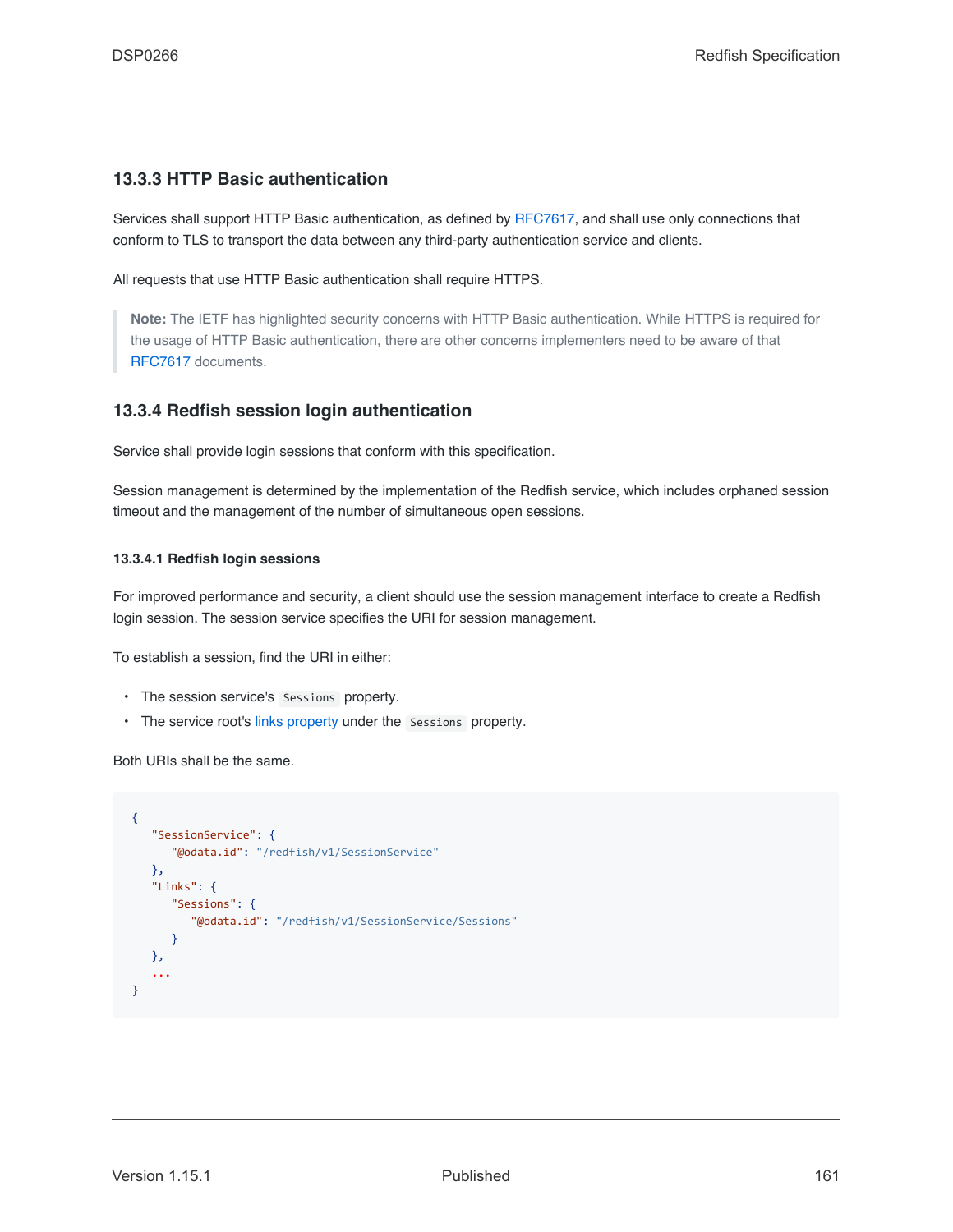## <span id="page-160-0"></span>**13.3.3 HTTP Basic authentication**

Services shall support HTTP Basic authentication, as defined by [RFC7617](#page-15-4), and shall use only connections that conform to TLS to transport the data between any third-party authentication service and clients.

All requests that use HTTP Basic authentication shall require HTTPS.

**Note:** The IETF has highlighted security concerns with HTTP Basic authentication. While HTTPS is required for the usage of HTTP Basic authentication, there are other concerns implementers need to be aware of that [RFC7617](#page-15-4) documents.

### <span id="page-160-1"></span>**13.3.4 Redfish session login authentication**

Service shall provide login sessions that conform with this specification.

Session management is determined by the implementation of the Redfish service, which includes orphaned session timeout and the management of the number of simultaneous open sessions.

#### **13.3.4.1 Redfish login sessions**

For improved performance and security, a client should use the session management interface to create a Redfish login session. The session service specifies the URI for session management.

To establish a session, find the URI in either:

- The session service's Sessions property.
- The service root's [links property](#page-84-0) under the Sessions property.

Both URIs shall be the same.

```
{
   "SessionService": {
      "@odata.id": "/redfish/v1/SessionService"
  },
   "Links": {
      "Sessions": {
         "@odata.id": "/redfish/v1/SessionService/Sessions"
      }
   },
   ...
}
```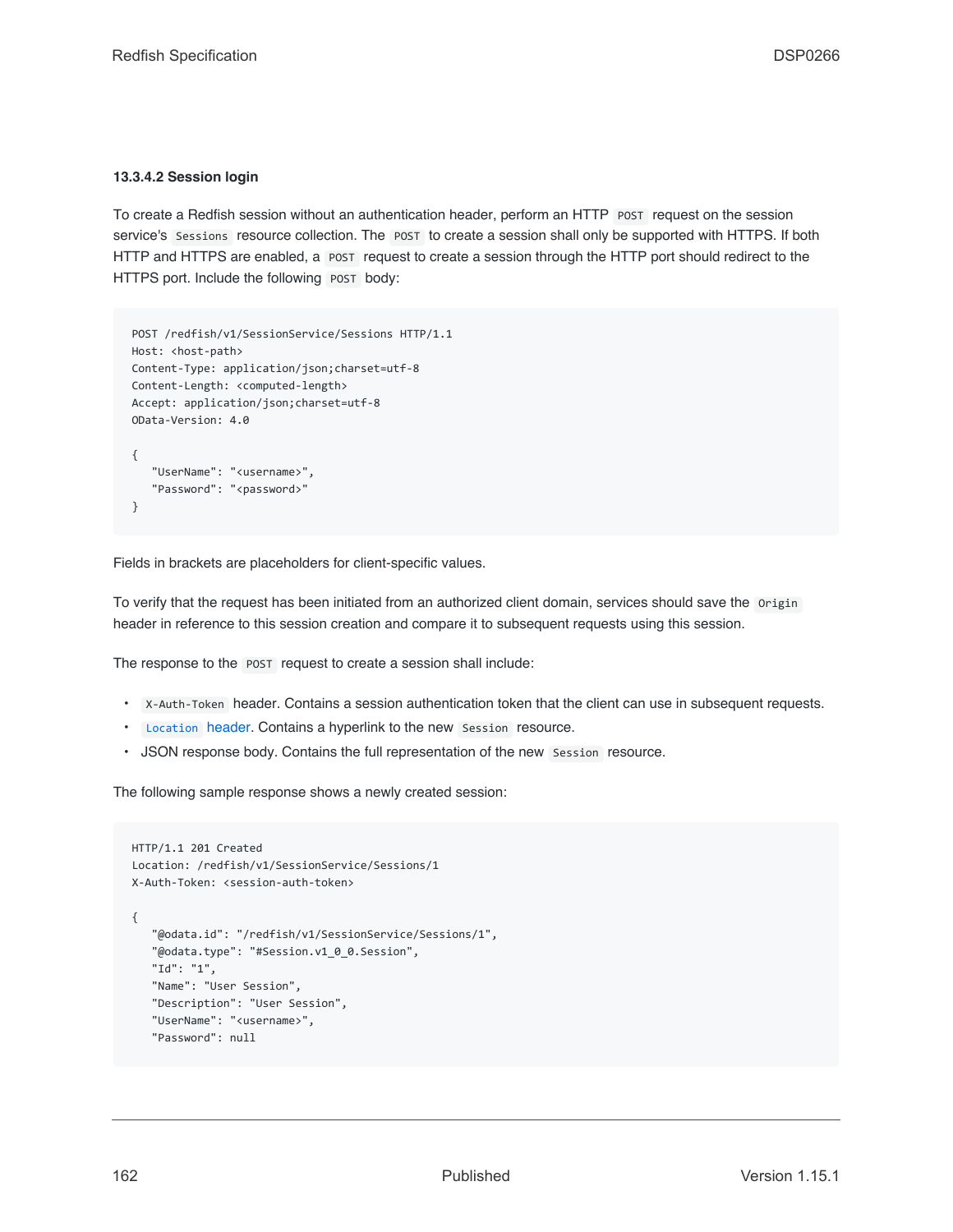### **13.3.4.2 Session login**

To create a Redfish session without an authentication header, perform an HTTP POST request on the session service's Sessions resource collection. The POST to create a session shall only be supported with HTTPS. If both HTTP and HTTPS are enabled, a POST request to create a session through the HTTP port should redirect to the HTTPS port. Include the following POST body:

```
POST /redfish/v1/SessionService/Sessions HTTP/1.1
Host: <host-path>
Content-Type: application/json;charset=utf-8
Content-Length: <computed-length>
Accept: application/json;charset=utf-8
OData-Version: 4.0
{
   "UserName": "<username>",
   "Password": "<password>"
}
```
Fields in brackets are placeholders for client-specific values.

To verify that the request has been initiated from an authorized client domain, services should save the Origin header in reference to this session creation and compare it to subsequent requests using this session.

The response to the POST request to create a session shall include:

- X-Auth-Token header. Contains a session authentication token that the client can use in subsequent requests.
- [Location](#page-64-0) header. Contains a hyperlink to the new Session resource.
- JSON response body. Contains the full representation of the new Session resource.

The following sample response shows a newly created session:

```
HTTP/1.1 201 Created
Location: /redfish/v1/SessionService/Sessions/1
X-Auth-Token: <session-auth-token>
{
   "@odata.id": "/redfish/v1/SessionService/Sessions/1",
   "@odata.type": "#Session.v1_0_0.Session",
   "Id": "1",
   "Name": "User Session",
   "Description": "User Session",
   "UserName": "<username>",
   "Password": null
```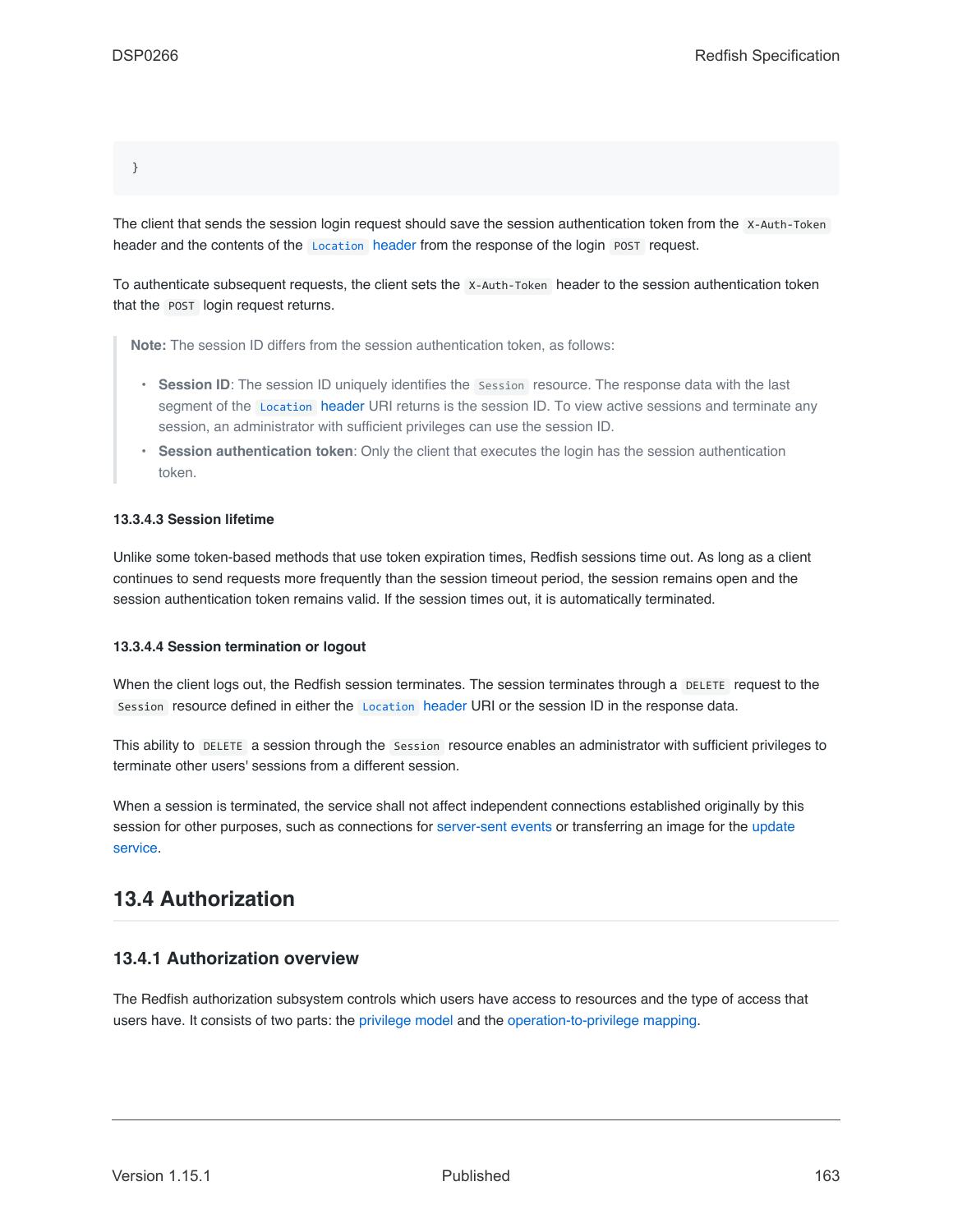}

The client that sends the session login request should save the session authentication token from the X-Auth-Token header and the contents of the [Location](#page-64-0) header from the response of the login POST request.

To authenticate subsequent requests, the client sets the X-Auth-Token header to the session authentication token that the POST login request returns.

**Note:** The session ID differs from the session authentication token, as follows:

- **Session ID**: The session ID uniquely identifies the Session resource. The response data with the last segment of the [Location](#page-64-0) header URI returns is the session ID. To view active sessions and terminate any session, an administrator with sufficient privileges can use the session ID.
- **Session authentication token**: Only the client that executes the login has the session authentication token.

### **13.3.4.3 Session lifetime**

Unlike some token-based methods that use token expiration times, Redfish sessions time out. As long as a client continues to send requests more frequently than the session timeout period, the session remains open and the session authentication token remains valid. If the session times out, it is automatically terminated.

### **13.3.4.4 Session termination or logout**

When the client logs out, the Redfish session terminates. The session terminates through a DELETE request to the Session resource defined in either the [Location](#page-64-0) header URI or the session ID in the response data.

This ability to DELETE a session through the Session resource enables an administrator with sufficient privileges to terminate other users' sessions from a different session.

When a session is terminated, the service shall not affect independent connections established originally by this session for other purposes, such as connections for [server-sent events](#page-149-0) or transferring an image for the [update](#page-154-2) [service](#page-154-2).

# **13.4 Authorization**

# **13.4.1 Authorization overview**

The Redfish authorization subsystem controls which users have access to resources and the type of access that users have. It consists of two parts: the [privilege model](#page-163-0) and the [operation-to-privilege mapping.](#page-165-0)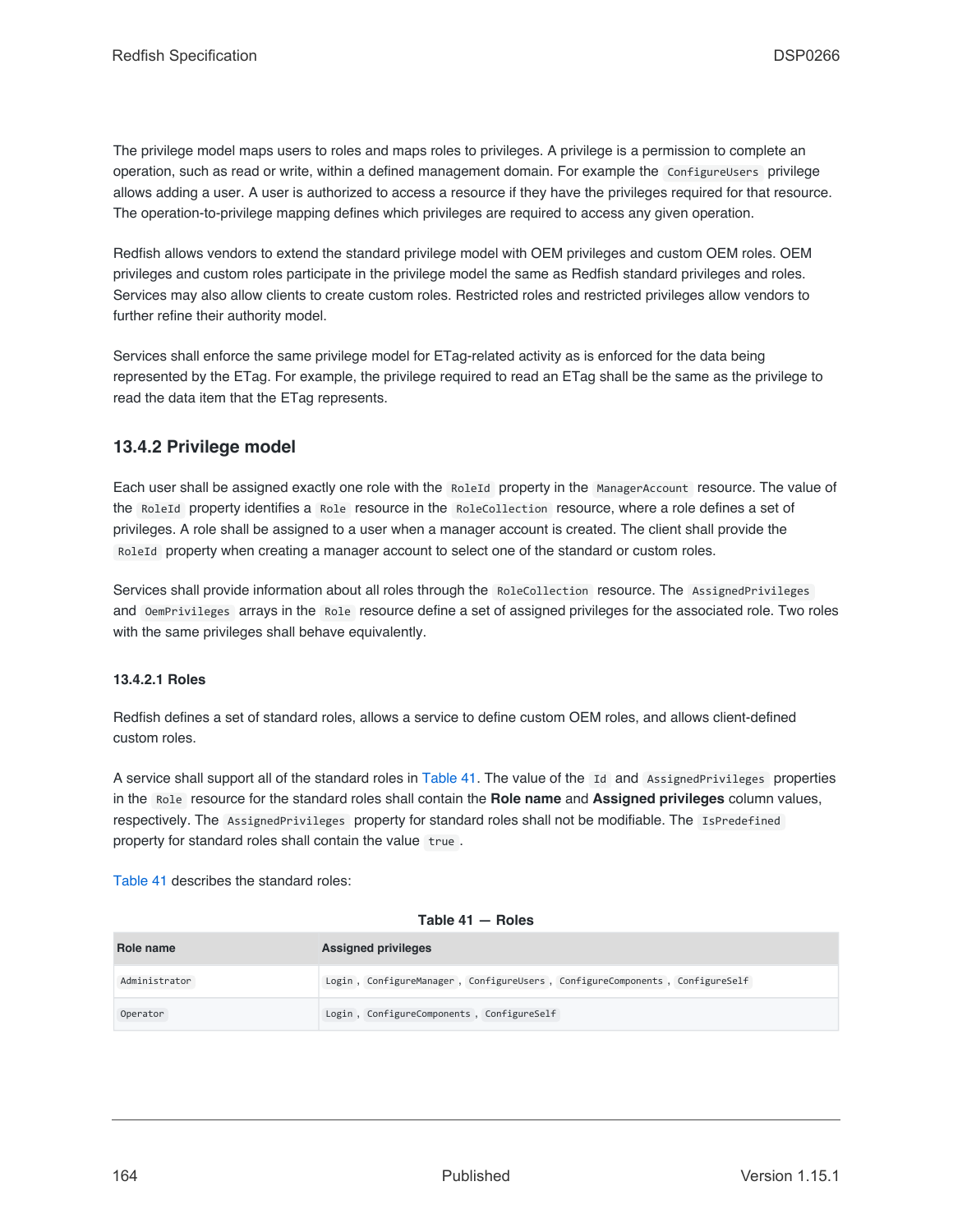The privilege model maps users to roles and maps roles to privileges. A privilege is a permission to complete an operation, such as read or write, within a defined management domain. For example the ConfigureUsers privilege allows adding a user. A user is authorized to access a resource if they have the privileges required for that resource. The operation-to-privilege mapping defines which privileges are required to access any given operation.

Redfish allows vendors to extend the standard privilege model with OEM privileges and custom OEM roles. OEM privileges and custom roles participate in the privilege model the same as Redfish standard privileges and roles. Services may also allow clients to create custom roles. Restricted roles and restricted privileges allow vendors to further refine their authority model.

Services shall enforce the same privilege model for ETag-related activity as is enforced for the data being represented by the ETag. For example, the privilege required to read an ETag shall be the same as the privilege to read the data item that the ETag represents.

# <span id="page-163-0"></span>**13.4.2 Privilege model**

Each user shall be assigned exactly one role with the RoleId property in the ManagerAccount resource. The value of the RoleId property identifies a Role resource in the RoleCollection resource, where a role defines a set of privileges. A role shall be assigned to a user when a manager account is created. The client shall provide the RoleId property when creating a manager account to select one of the standard or custom roles.

Services shall provide information about all roles through the RoleCollection resource. The AssignedPrivileges and OemPrivileges arrays in the Role resource define a set of assigned privileges for the associated role. Two roles with the same privileges shall behave equivalently.

### <span id="page-163-2"></span>**13.4.2.1 Roles**

Redfish defines a set of standard roles, allows a service to define custom OEM roles, and allows client-defined custom roles.

A service shall support all of the standard roles in [Table 41](#page-163-1). The value of the Id and AssignedPrivileges properties in the Role resource for the standard roles shall contain the **Role name** and **Assigned privileges** column values, respectively. The AssignedPrivileges property for standard roles shall not be modifiable. The IsPredefined property for standard roles shall contain the value true.

[Table 41](#page-163-1) describes the standard roles:

### **Table 41 — Roles**

<span id="page-163-1"></span>

| Role name     | <b>Assigned privileges</b>                                                  |  |  |
|---------------|-----------------------------------------------------------------------------|--|--|
| Administrator | Login, ConfigureManager, ConfigureUsers, ConfigureComponents, ConfigureSelf |  |  |
| Operator      | Login, ConfigureComponents, ConfigureSelf                                   |  |  |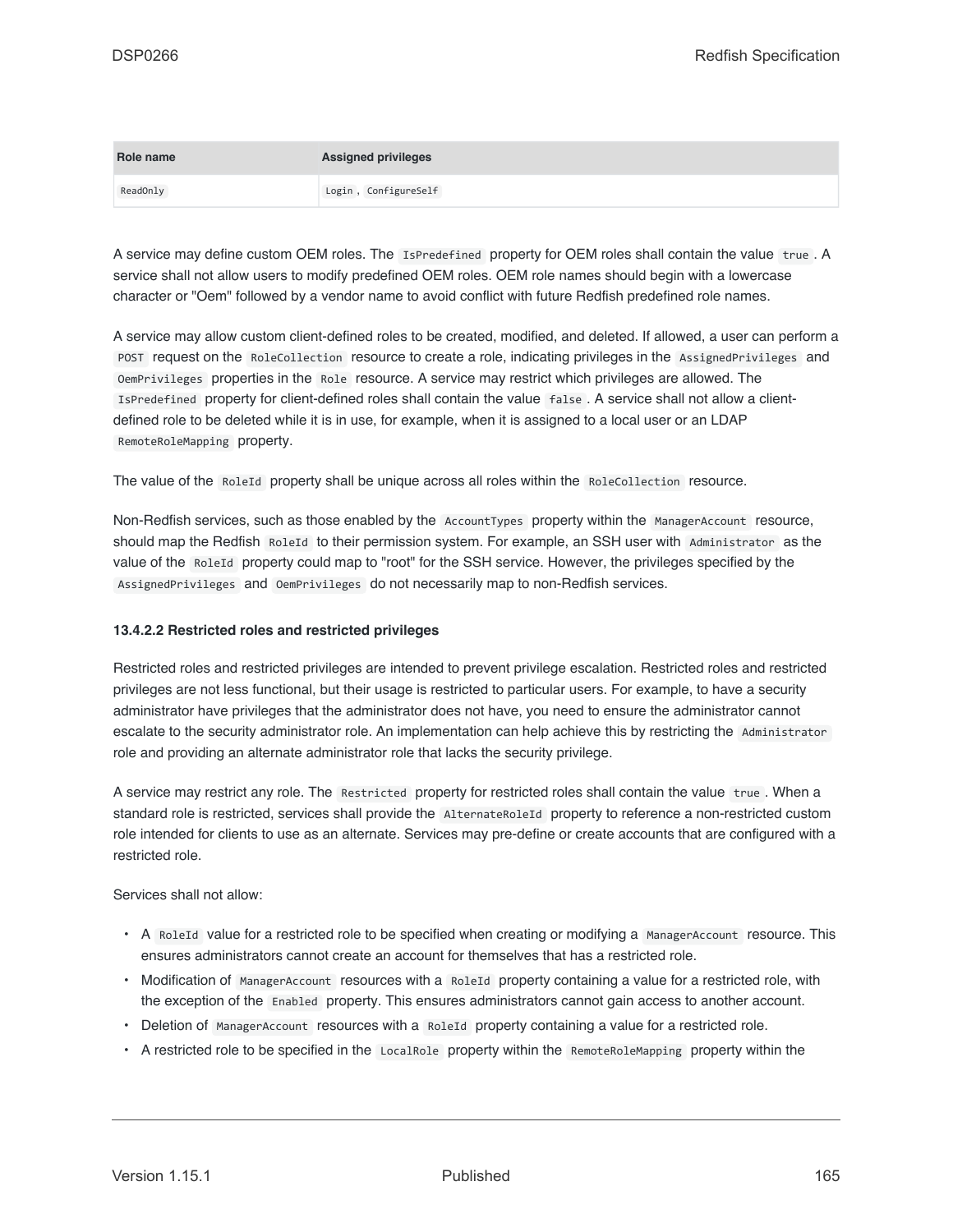| Role name | <b>Assigned privileges</b> |
|-----------|----------------------------|
| ReadOnly  | Login, ConfigureSelf       |

A service may define custom OEM roles. The IsPredefined property for OEM roles shall contain the value true . A service shall not allow users to modify predefined OEM roles. OEM role names should begin with a lowercase character or "Oem" followed by a vendor name to avoid conflict with future Redfish predefined role names.

A service may allow custom client-defined roles to be created, modified, and deleted. If allowed, a user can perform a POST request on the RoleCollection resource to create a role, indicating privileges in the AssignedPrivileges and OemPrivileges properties in the Role resource. A service may restrict which privileges are allowed. The IsPredefined property for client-defined roles shall contain the value false . A service shall not allow a clientdefined role to be deleted while it is in use, for example, when it is assigned to a local user or an LDAP RemoteRoleMapping property.

The value of the RoleId property shall be unique across all roles within the RoleCollection resource.

Non-Redfish services, such as those enabled by the AccountTypes property within the ManagerAccount resource, should map the Redfish RoleId to their permission system. For example, an SSH user with Administrator as the value of the RoleId property could map to "root" for the SSH service. However, the privileges specified by the AssignedPrivileges and OemPrivileges do not necessarily map to non-Redfish services.

### **13.4.2.2 Restricted roles and restricted privileges**

Restricted roles and restricted privileges are intended to prevent privilege escalation. Restricted roles and restricted privileges are not less functional, but their usage is restricted to particular users. For example, to have a security administrator have privileges that the administrator does not have, you need to ensure the administrator cannot escalate to the security administrator role. An implementation can help achieve this by restricting the Administrator role and providing an alternate administrator role that lacks the security privilege.

A service may restrict any role. The Restricted property for restricted roles shall contain the value true . When a standard role is restricted, services shall provide the AlternateRoleId property to reference a non-restricted custom role intended for clients to use as an alternate. Services may pre-define or create accounts that are configured with a restricted role.

Services shall not allow:

- A RoleId value for a restricted role to be specified when creating or modifying a ManagerAccount resource. This ensures administrators cannot create an account for themselves that has a restricted role.
- Modification of ManagerAccount resources with a RoleId property containing a value for a restricted role, with the exception of the Enabled property. This ensures administrators cannot gain access to another account.
- Deletion of ManagerAccount resources with a RoleId property containing a value for a restricted role.
- A restricted role to be specified in the LocalRole property within the RemoteRoleMapping property within the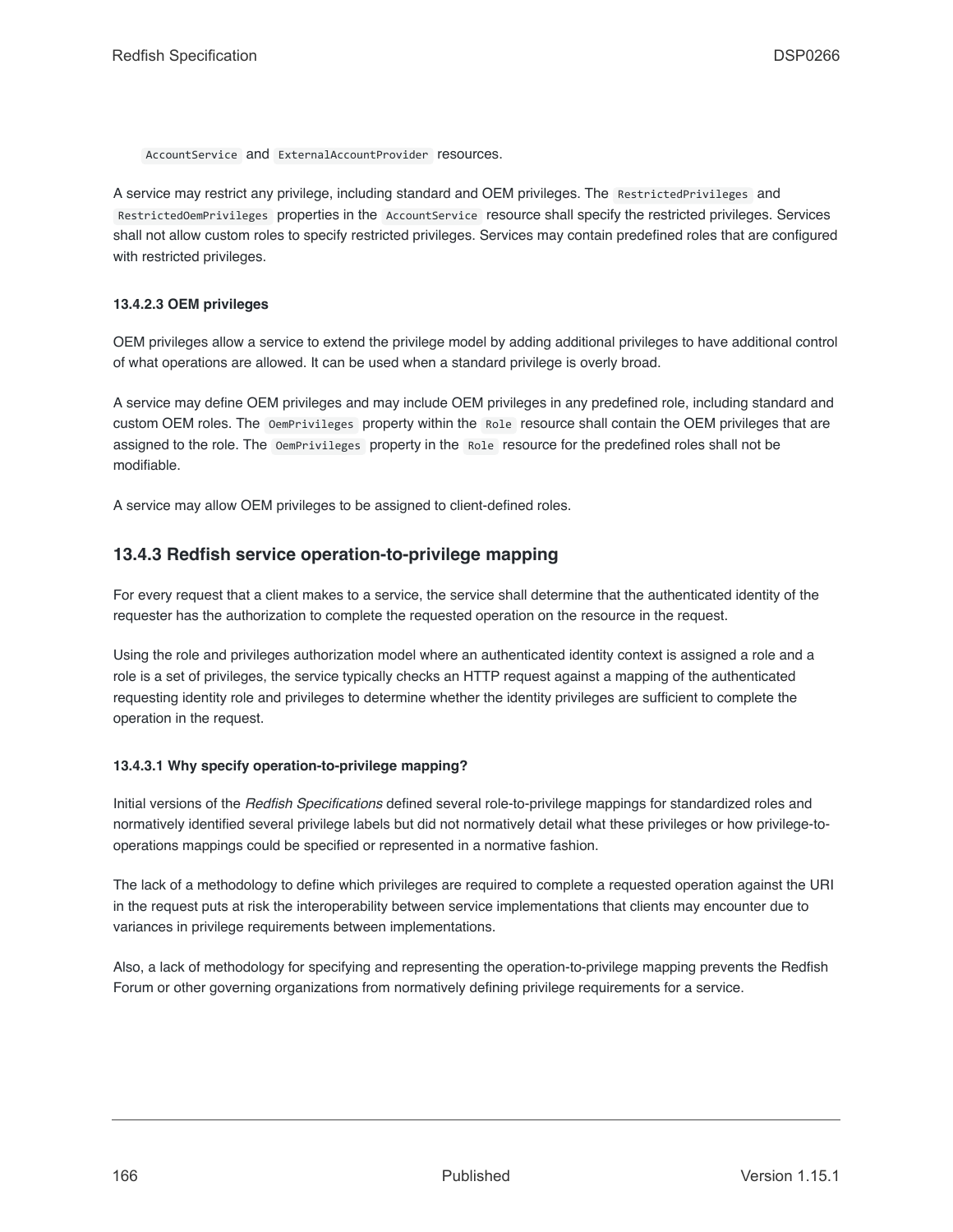AccountService and ExternalAccountProvider resources.

A service may restrict any privilege, including standard and OEM privileges. The RestrictedPrivileges and RestrictedOemPrivileges properties in the AccountService resource shall specify the restricted privileges. Services shall not allow custom roles to specify restricted privileges. Services may contain predefined roles that are configured with restricted privileges.

### <span id="page-165-1"></span>**13.4.2.3 OEM privileges**

OEM privileges allow a service to extend the privilege model by adding additional privileges to have additional control of what operations are allowed. It can be used when a standard privilege is overly broad.

A service may define OEM privileges and may include OEM privileges in any predefined role, including standard and custom OEM roles. The OemPrivileges property within the Role resource shall contain the OEM privileges that are assigned to the role. The OemPrivileges property in the Role resource for the predefined roles shall not be modifiable.

A service may allow OEM privileges to be assigned to client-defined roles.

### <span id="page-165-0"></span>**13.4.3 Redfish service operation-to-privilege mapping**

For every request that a client makes to a service, the service shall determine that the authenticated identity of the requester has the authorization to complete the requested operation on the resource in the request.

Using the role and privileges authorization model where an authenticated identity context is assigned a role and a role is a set of privileges, the service typically checks an HTTP request against a mapping of the authenticated requesting identity role and privileges to determine whether the identity privileges are sufficient to complete the operation in the request.

### **13.4.3.1 Why specify operation-to-privilege mapping?**

Initial versions of the *Redfish Specifications* defined several role-to-privilege mappings for standardized roles and normatively identified several privilege labels but did not normatively detail what these privileges or how privilege-tooperations mappings could be specified or represented in a normative fashion.

The lack of a methodology to define which privileges are required to complete a requested operation against the URI in the request puts at risk the interoperability between service implementations that clients may encounter due to variances in privilege requirements between implementations.

Also, a lack of methodology for specifying and representing the operation-to-privilege mapping prevents the Redfish Forum or other governing organizations from normatively defining privilege requirements for a service.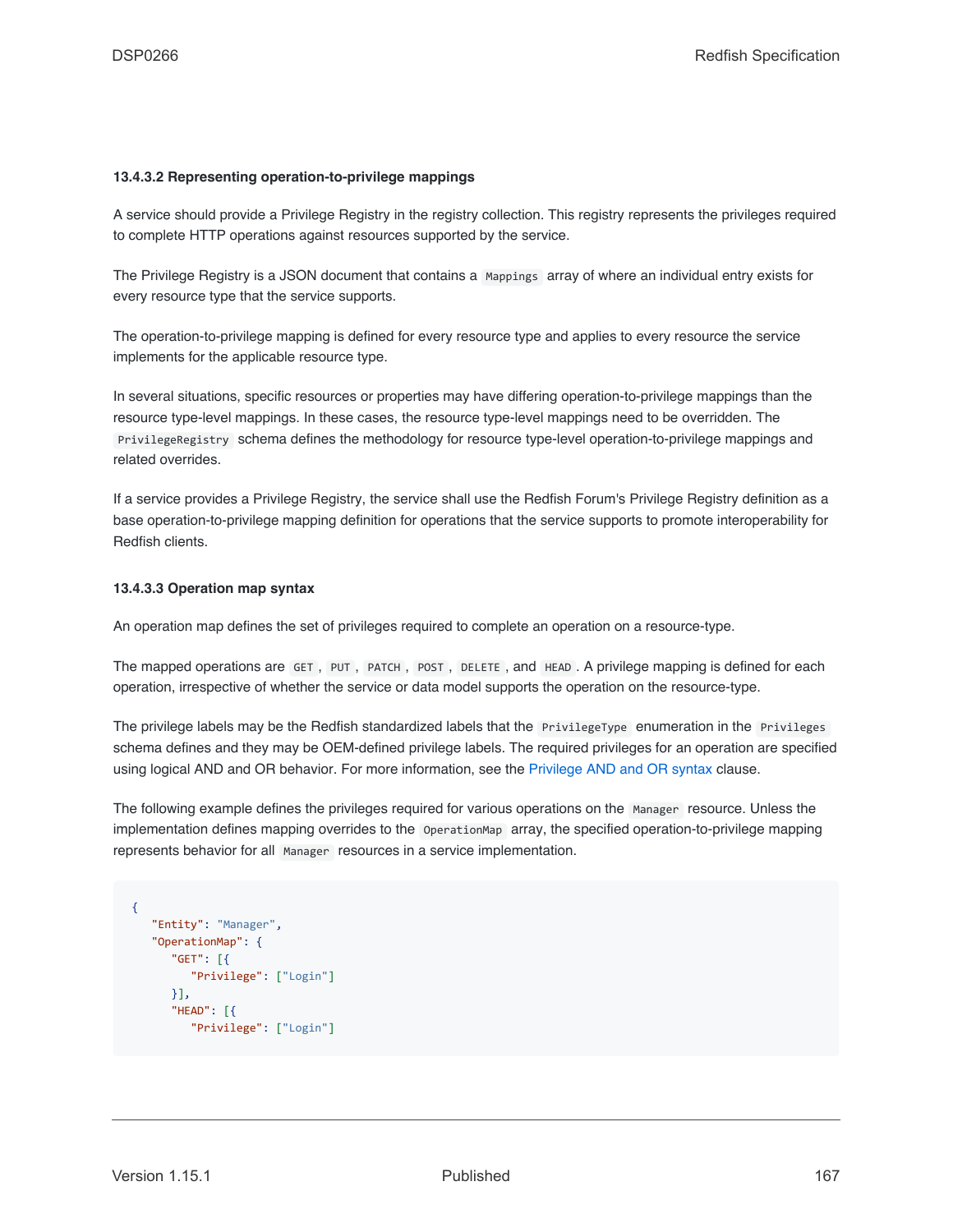### **13.4.3.2 Representing operation-to-privilege mappings**

A service should provide a Privilege Registry in the registry collection. This registry represents the privileges required to complete HTTP operations against resources supported by the service.

The Privilege Registry is a JSON document that contains a Mappings array of where an individual entry exists for every resource type that the service supports.

The operation-to-privilege mapping is defined for every resource type and applies to every resource the service implements for the applicable resource type.

In several situations, specific resources or properties may have differing operation-to-privilege mappings than the resource type-level mappings. In these cases, the resource type-level mappings need to be overridden. The PrivilegeRegistry schema defines the methodology for resource type-level operation-to-privilege mappings and related overrides.

If a service provides a Privilege Registry, the service shall use the Redfish Forum's Privilege Registry definition as a base operation-to-privilege mapping definition for operations that the service supports to promote interoperability for Redfish clients.

#### **13.4.3.3 Operation map syntax**

An operation map defines the set of privileges required to complete an operation on a resource-type.

The mapped operations are GET , PUT , PATCH , POST , DELETE , and HEAD . A privilege mapping is defined for each operation, irrespective of whether the service or data model supports the operation on the resource-type.

The privilege labels may be the Redfish standardized labels that the PrivilegeType enumeration in the Privileges schema defines and they may be OEM-defined privilege labels. The required privileges for an operation are specified using logical AND and OR behavior. For more information, see the [Privilege AND and OR syntax](#page-170-0) clause.

The following example defines the privileges required for various operations on the Manager resource. Unless the implementation defines mapping overrides to the OperationMap array, the specified operation-to-privilege mapping represents behavior for all Manager resources in a service implementation.

```
{
  "Entity": "Manager",
  "OperationMap": {
     "GET": [{
         "Privilege": ["Login"]
     }],
      "HEAD": [{
         "Privilege": ["Login"]
```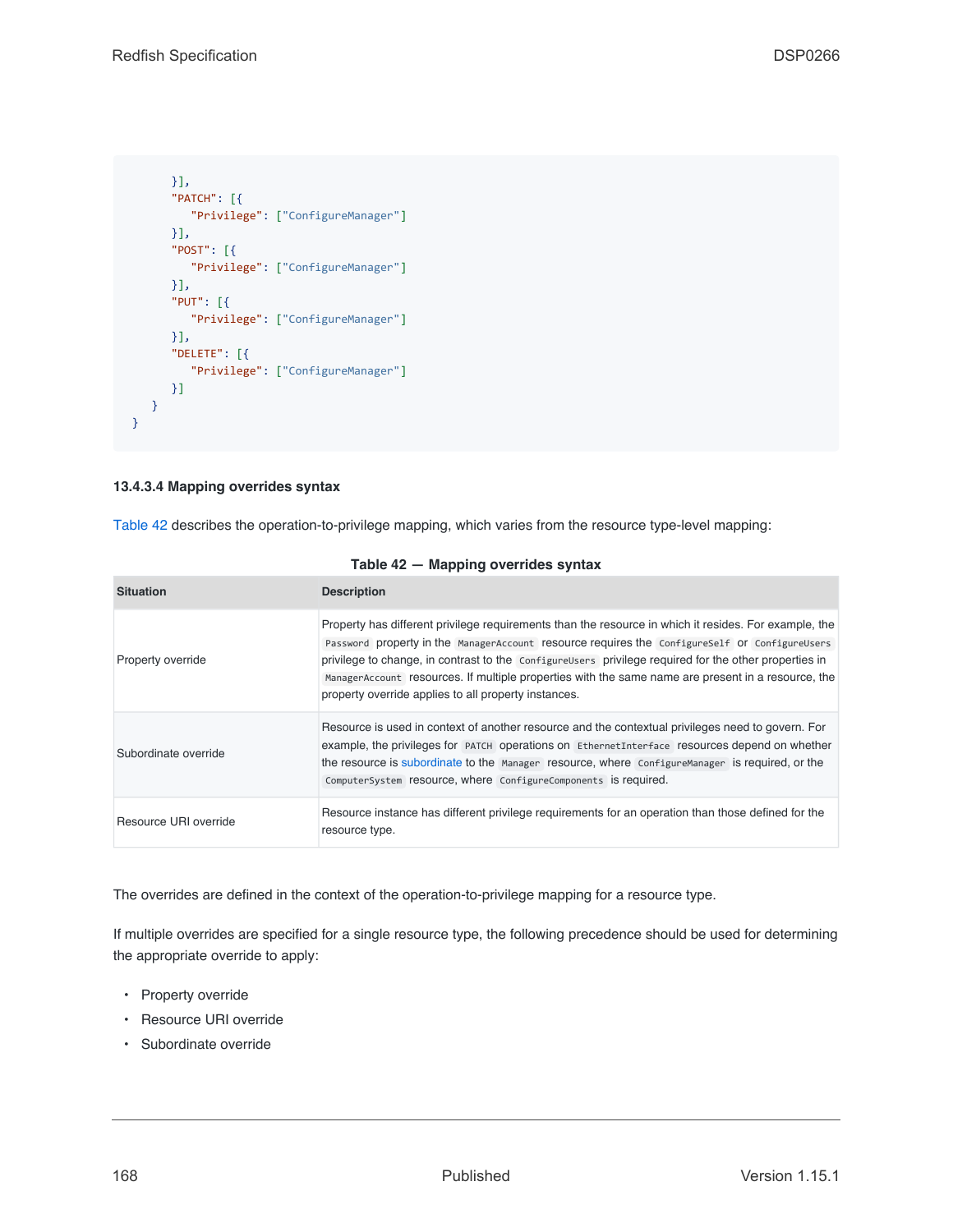```
}],
      "PATCH": [{
        "Privilege": ["ConfigureManager"]
     }],
      "POST": [{
        "Privilege": ["ConfigureManager"]
      }],
      "PUT": [{
        "Privilege": ["ConfigureManager"]
     }],
      "DELETE": [{
         "Privilege": ["ConfigureManager"]
      }]
   }
}
```
### **13.4.3.4 Mapping overrides syntax**

[Table 42](#page-167-0) describes the operation-to-privilege mapping, which varies from the resource type-level mapping:

<span id="page-167-0"></span>

| <b>Situation</b>      | <b>Description</b>                                                                                                                                                                                                                                                                                                                                                                                                                                                              |
|-----------------------|---------------------------------------------------------------------------------------------------------------------------------------------------------------------------------------------------------------------------------------------------------------------------------------------------------------------------------------------------------------------------------------------------------------------------------------------------------------------------------|
| Property override     | Property has different privilege requirements than the resource in which it resides. For example, the<br>Password property in the ManagerAccount resource requires the ConfigureSelf Or ConfigureUsers<br>privilege to change, in contrast to the Configurellsers privilege required for the other properties in<br>Manager Account resources. If multiple properties with the same name are present in a resource, the<br>property override applies to all property instances. |
| Subordinate override  | Resource is used in context of another resource and the contextual privileges need to govern. For<br>example, the privileges for PATCH operations on EthernetInterface resources depend on whether<br>the resource is subordinate to the Manager resource, where ConfigureManager is required, or the<br>ComputerSystem resource, where ConfigureComponents is required.                                                                                                        |
| Resource URI override | Resource instance has different privilege requirements for an operation than those defined for the<br>resource type.                                                                                                                                                                                                                                                                                                                                                            |

### **Table 42 — Mapping overrides syntax**

The overrides are defined in the context of the operation-to-privilege mapping for a resource type.

If multiple overrides are specified for a single resource type, the following precedence should be used for determining the appropriate override to apply:

- Property override
- Resource URI override
- Subordinate override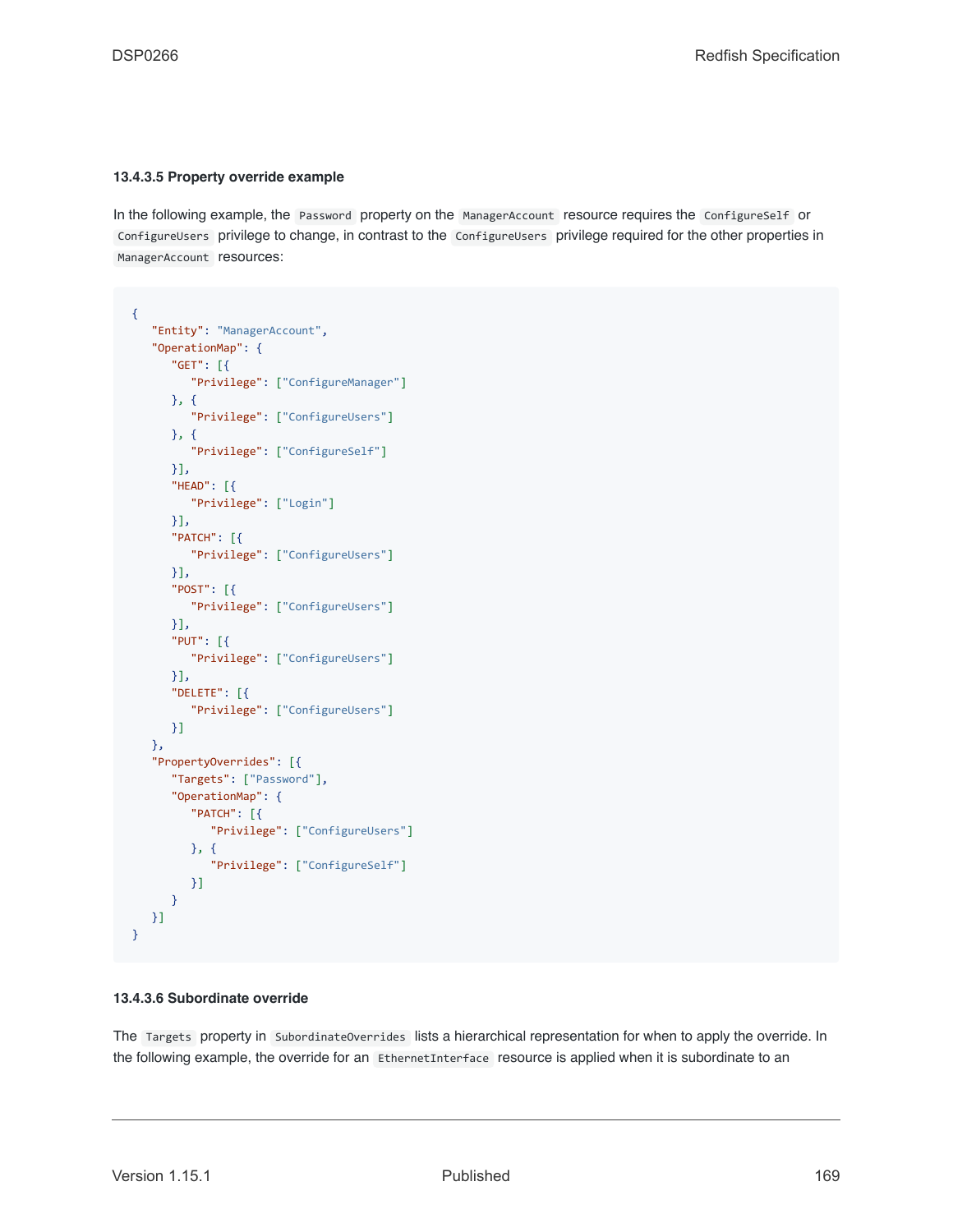### **13.4.3.5 Property override example**

In the following example, the Password property on the ManagerAccount resource requires the ConfigureSelf or ConfigureUsers privilege to change, in contrast to the ConfigureUsers privilege required for the other properties in ManagerAccount resources:

```
{
   "Entity": "ManagerAccount",
   "OperationMap": {
      "GET": [{
         "Privilege": ["ConfigureManager"]
      }, {
         "Privilege": ["ConfigureUsers"]
      }, {
         "Privilege": ["ConfigureSelf"]
      }],
      "HEAD": [{
        "Privilege": ["Login"]
      }],
      "PATCH": [{
         "Privilege": ["ConfigureUsers"]
      }],
      "POST": [{
        "Privilege": ["ConfigureUsers"]
      }],
      "PUT": [{
        "Privilege": ["ConfigureUsers"]
      }],
      "DELETE": [{
         "Privilege": ["ConfigureUsers"]
      }]
   },
   "PropertyOverrides": [{
      "Targets": ["Password"],
      "OperationMap": {
         "PATCH": [{
            "Privilege": ["ConfigureUsers"]
         }, {
            "Privilege": ["ConfigureSelf"]
         }]
      }
  }]
}
```
### **13.4.3.6 Subordinate override**

The Targets property in SubordinateOverrides lists a hierarchical representation for when to apply the override. In the following example, the override for an EthernetInterface resource is applied when it is subordinate to an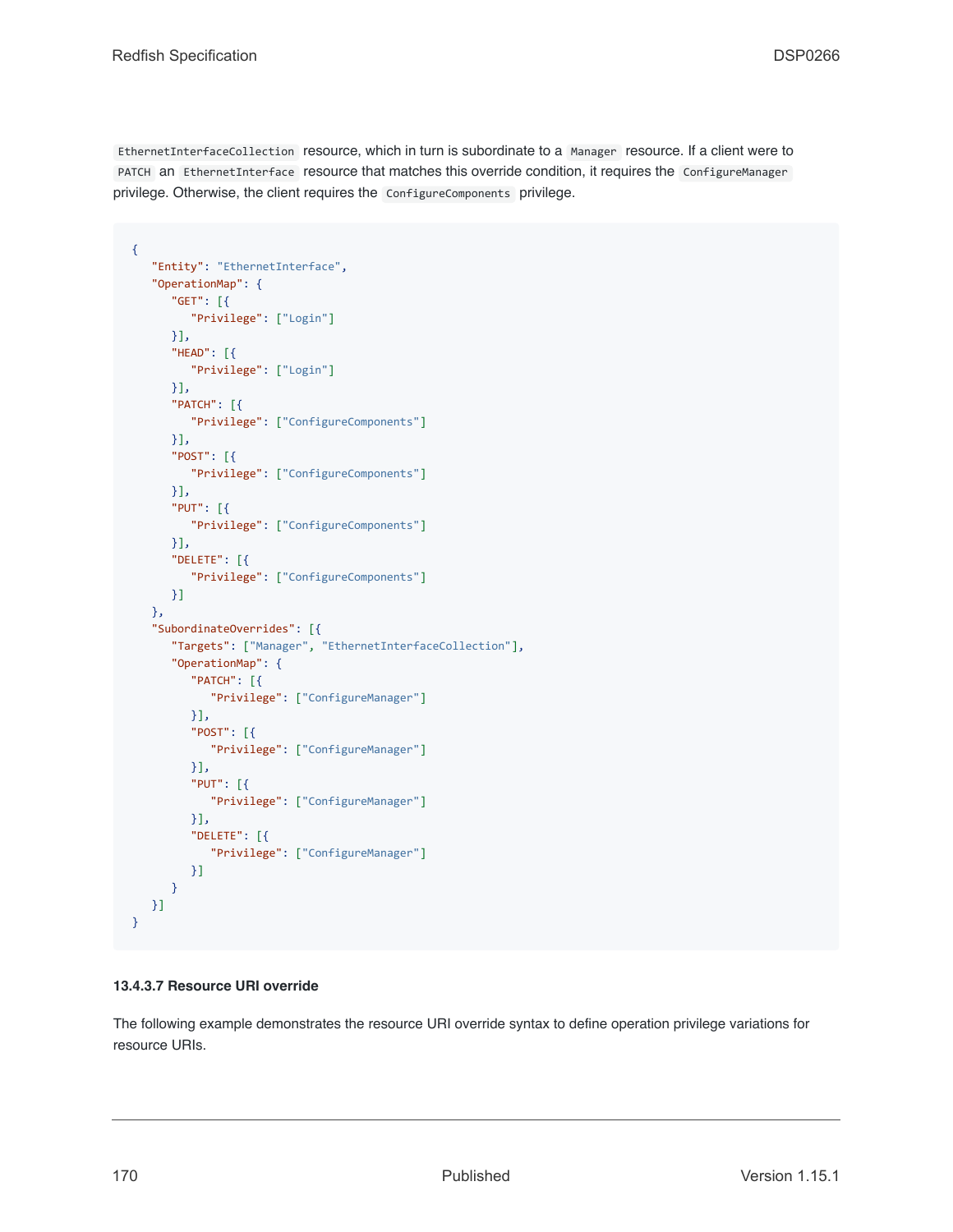EthernetInterfaceCollection resource, which in turn is subordinate to a Manager resource. If a client were to PATCH an EthernetInterface resource that matches this override condition, it requires the ConfigureManager privilege. Otherwise, the client requires the ConfigureComponents privilege.

```
{
   "Entity": "EthernetInterface",
   "OperationMap": {
      "GET": [{
         "Privilege": ["Login"]
      }],
      "HEAD": [{
         "Privilege": ["Login"]
     }],
      "PATCH": [{
         "Privilege": ["ConfigureComponents"]
     }],
      "POST": [{
        "Privilege": ["ConfigureComponents"]
     }],
      "PUT": [{
        "Privilege": ["ConfigureComponents"]
     }],
      "DELETE": [{
         "Privilege": ["ConfigureComponents"]
     }]
   },
   "SubordinateOverrides": [{
      "Targets": ["Manager", "EthernetInterfaceCollection"],
      "OperationMap": {
         "PATCH": [{
            "Privilege": ["ConfigureManager"]
         }],
         "POST": [{
           "Privilege": ["ConfigureManager"]
         }],
         "PUT": [{
           "Privilege": ["ConfigureManager"]
         }],
         "DELETE": [{
            "Privilege": ["ConfigureManager"]
         }]
      }
  }]
}
```
### **13.4.3.7 Resource URI override**

The following example demonstrates the resource URI override syntax to define operation privilege variations for resource URIs.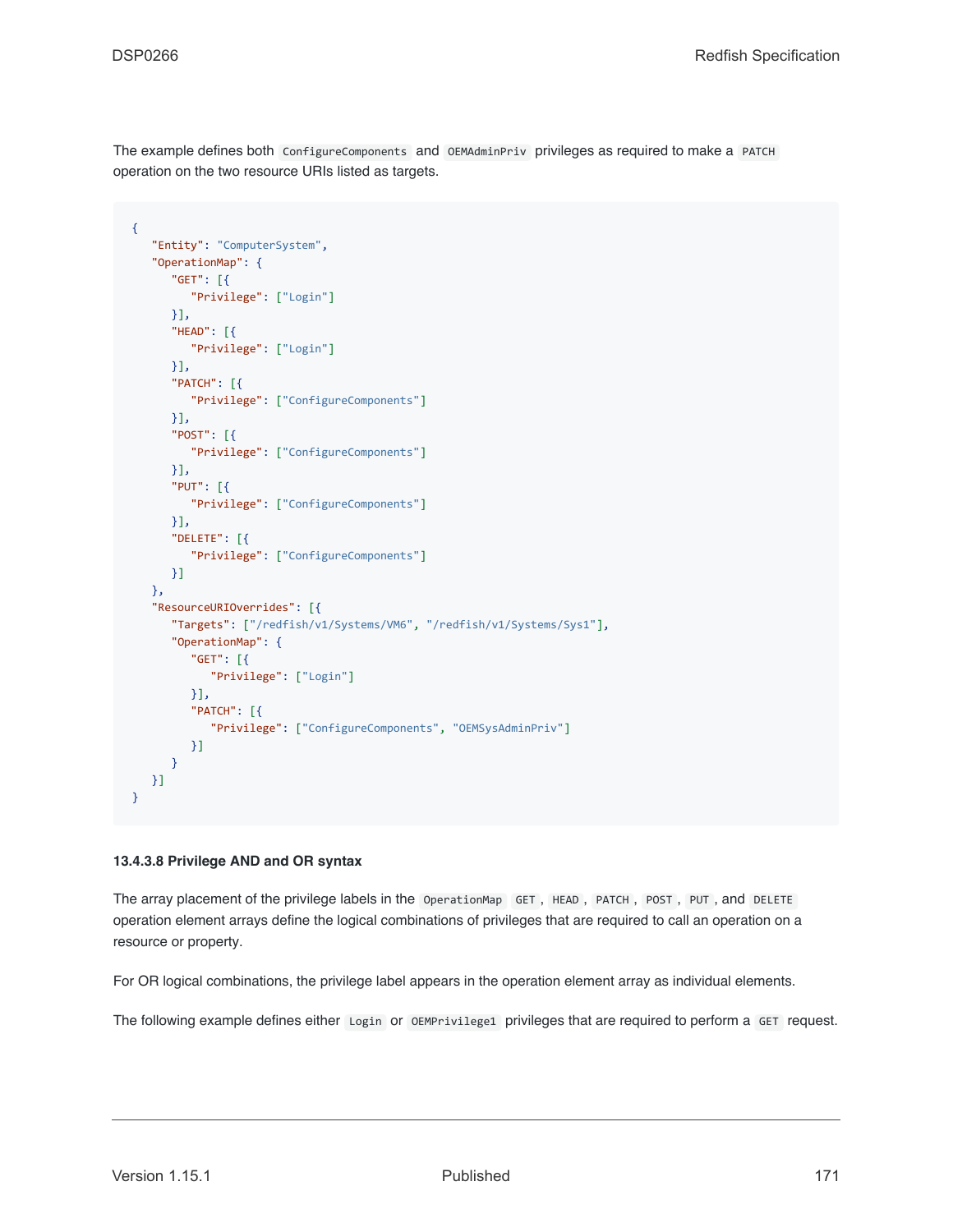The example defines both ConfigureComponents and OEMAdminPriv privileges as required to make a PATCH operation on the two resource URIs listed as targets.

```
{
   "Entity": "ComputerSystem",
   "OperationMap": {
     "GET": [{
        "Privilege": ["Login"]
     }],
      "HEAD": [{
        "Privilege": ["Login"]
     }],
      "PATCH": [{
         "Privilege": ["ConfigureComponents"]
      }],
      "POST": [{
         "Privilege": ["ConfigureComponents"]
     }],
      "PUT": [{
        "Privilege": ["ConfigureComponents"]
     }],
      "DELETE": [{
         "Privilege": ["ConfigureComponents"]
     }]
   },
   "ResourceURIOverrides": [{
      "Targets": ["/redfish/v1/Systems/VM6", "/redfish/v1/Systems/Sys1"],
      "OperationMap": {
         "GET": [{
           "Privilege": ["Login"]
        }],
         "PATCH": [{
            "Privilege": ["ConfigureComponents", "OEMSysAdminPriv"]
         }]
      }
  }]
}
```
### <span id="page-170-0"></span>**13.4.3.8 Privilege AND and OR syntax**

The array placement of the privilege labels in the OperationMap GET , HEAD , PATCH , POST , PUT , and DELETE operation element arrays define the logical combinations of privileges that are required to call an operation on a resource or property.

For OR logical combinations, the privilege label appears in the operation element array as individual elements.

The following example defines either Login or OEMPrivilege1 privileges that are required to perform a GET request.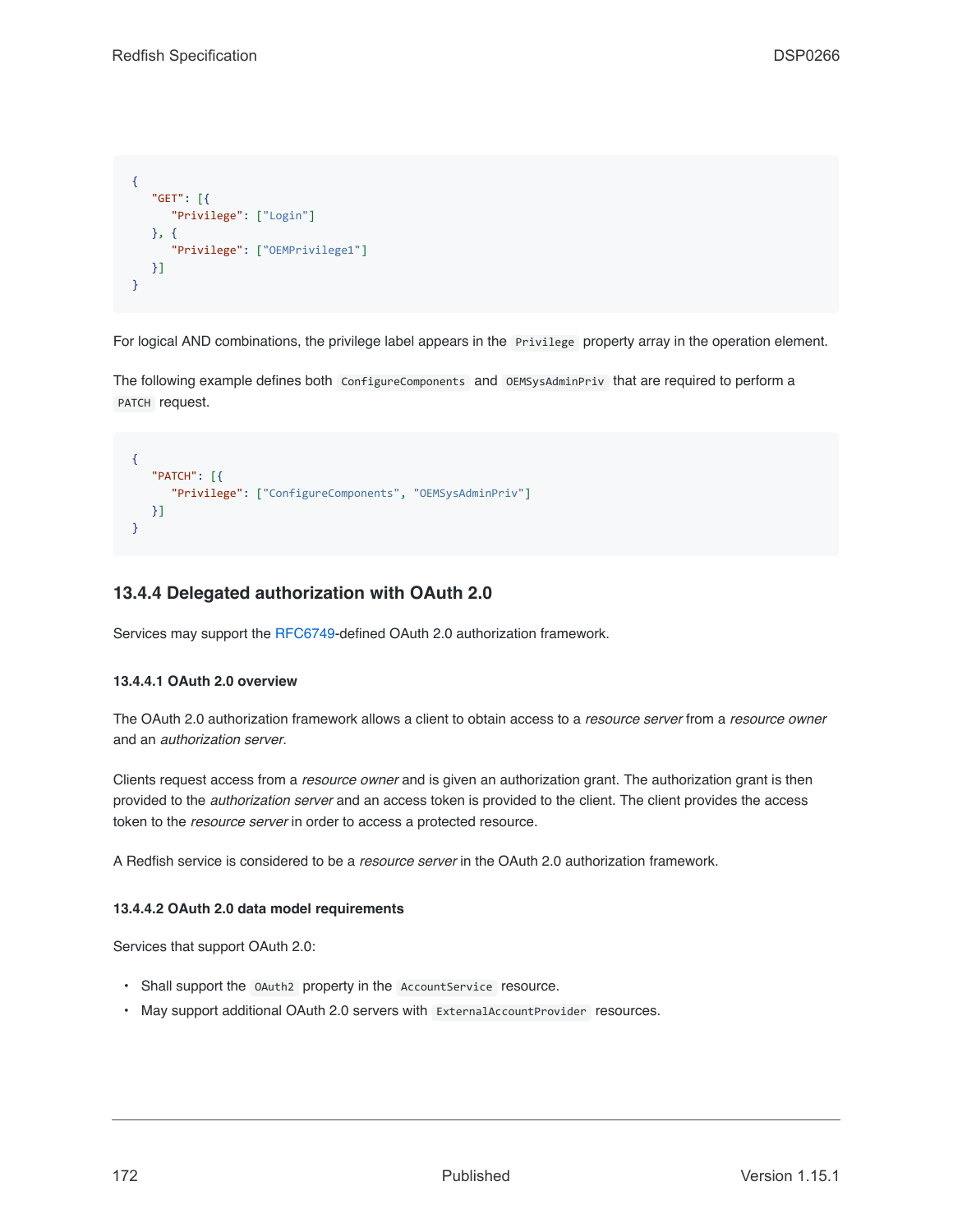```
{
   "GET": [{
     "Privilege": ["Login"]
   }, {
      "Privilege": ["OEMPrivilege1"]
   }]
}
```
For logical AND combinations, the privilege label appears in the Privilege property array in the operation element.

The following example defines both ConfigureComponents and OEMSysAdminPriv that are required to perform a PATCH request.

```
{
   "PATCH": [{
      "Privilege": ["ConfigureComponents", "OEMSysAdminPriv"]
  }]
}
```
# **13.4.4 Delegated authorization with OAuth 2.0**

Services may support the [RFC6749](#page-15-5)-defined OAuth 2.0 authorization framework.

### **13.4.4.1 OAuth 2.0 overview**

The OAuth 2.0 authorization framework allows a client to obtain access to a *resource server* from a *resource owner* and an *authorization server*.

Clients request access from a *resource owner* and is given an authorization grant. The authorization grant is then provided to the *authorization server* and an access token is provided to the client. The client provides the access token to the *resource server* in order to access a protected resource.

A Redfish service is considered to be a *resource server* in the OAuth 2.0 authorization framework.

### **13.4.4.2 OAuth 2.0 data model requirements**

Services that support OAuth 2.0:

- Shall support the OAuth2 property in the AccountService resource.
- May support additional OAuth 2.0 servers with ExternalAccountProvider resources.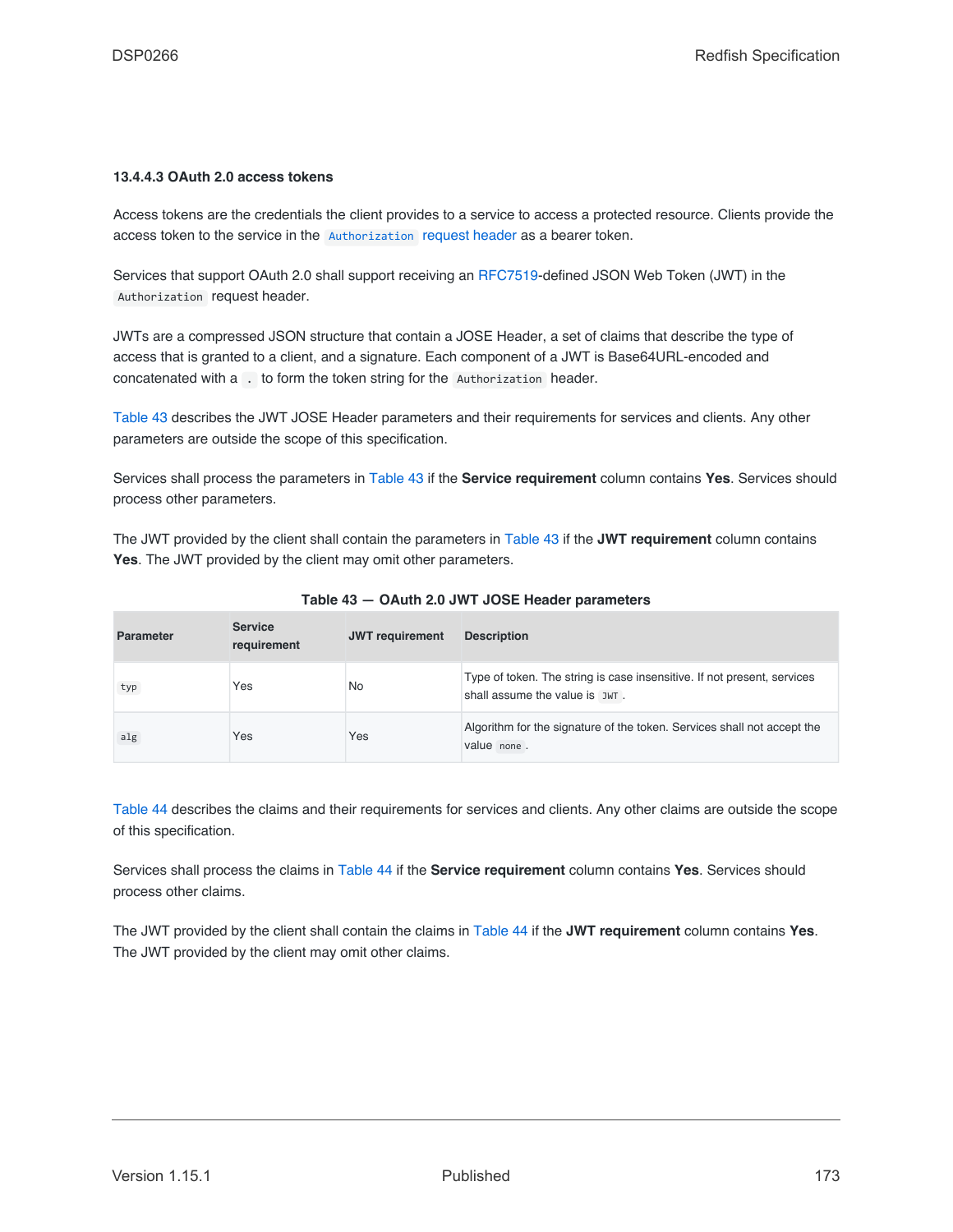### **13.4.4.3 OAuth 2.0 access tokens**

Access tokens are the credentials the client provides to a service to access a protected resource. Clients provide the access token to the service in the [Authorization](#page-36-0) [request header](#page-36-0) as a bearer token.

Services that support OAuth 2.0 shall support receiving an [RFC7519-](#page-15-6)defined JSON Web Token (JWT) in the Authorization request header.

JWTs are a compressed JSON structure that contain a JOSE Header, a set of claims that describe the type of access that is granted to a client, and a signature. Each component of a JWT is Base64URL-encoded and concatenated with a . to form the token string for the Authorization header.

[Table 43](#page-172-0) describes the JWT JOSE Header parameters and their requirements for services and clients. Any other parameters are outside the scope of this specification.

Services shall process the parameters in [Table 43](#page-172-0) if the **Service requirement** column contains **Yes**. Services should process other parameters.

The JWT provided by the client shall contain the parameters in [Table 43](#page-172-0) if the **JWT requirement** column contains **Yes**. The JWT provided by the client may omit other parameters.

<span id="page-172-0"></span>

| <b>Parameter</b> | <b>Service</b><br>requirement | <b>JWT</b> requirement | <b>Description</b>                                                                                        |
|------------------|-------------------------------|------------------------|-----------------------------------------------------------------------------------------------------------|
| typ              | Yes                           | No                     | Type of token. The string is case insensitive. If not present, services<br>shall assume the value is JWT. |
| alg              | Yes                           | Yes                    | Algorithm for the signature of the token. Services shall not accept the<br>value none.                    |

**Table 43 — OAuth 2.0 JWT JOSE Header parameters**

[Table 44](#page-173-0) describes the claims and their requirements for services and clients. Any other claims are outside the scope of this specification.

Services shall process the claims in [Table 44](#page-173-0) if the **Service requirement** column contains **Yes**. Services should process other claims.

The JWT provided by the client shall contain the claims in [Table 44](#page-173-0) if the **JWT requirement** column contains **Yes**. The JWT provided by the client may omit other claims.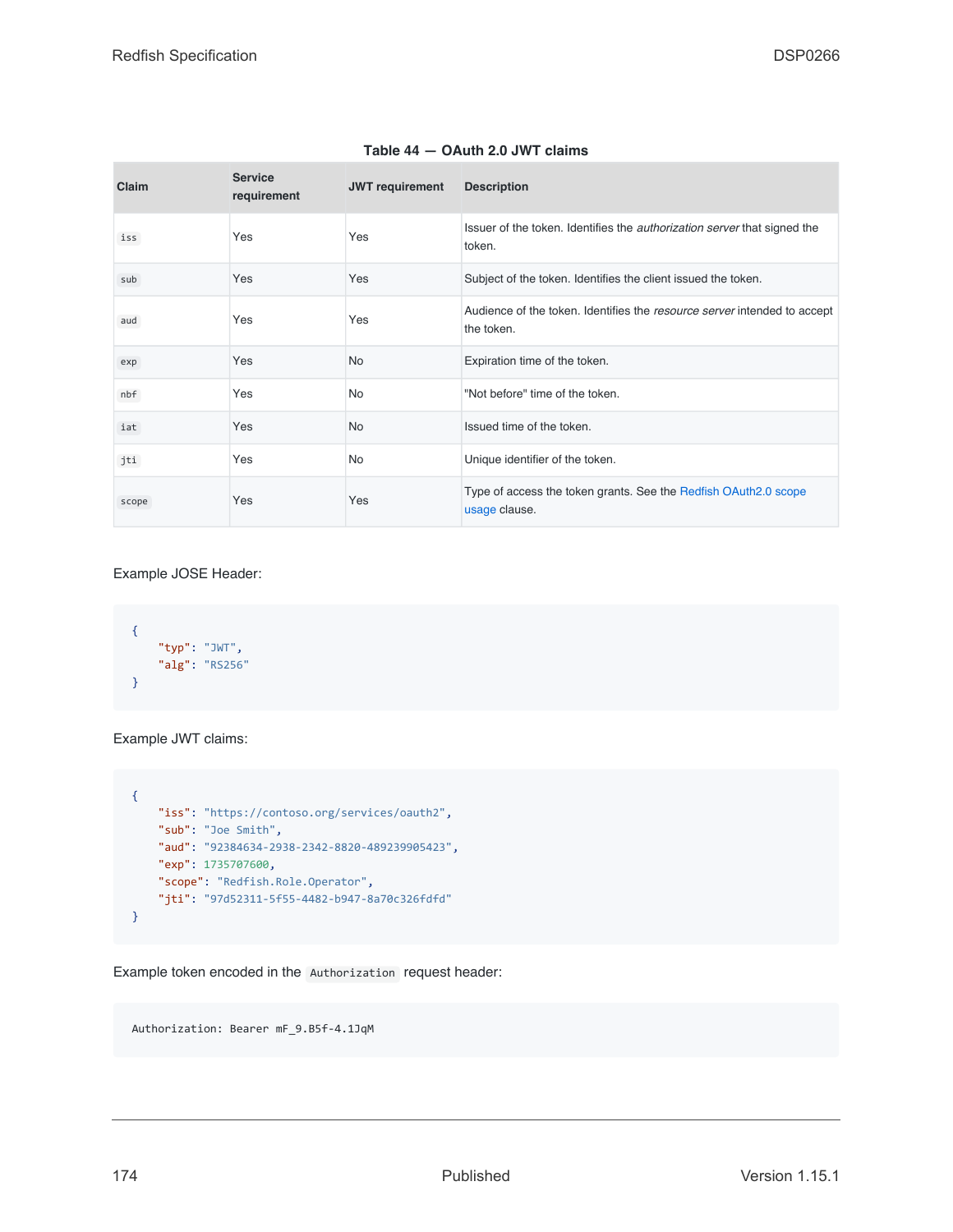<span id="page-173-0"></span>

| Claim | <b>Service</b><br>requirement | <b>JWT</b> requirement | <b>Description</b>                                                                        |
|-------|-------------------------------|------------------------|-------------------------------------------------------------------------------------------|
| iss   | Yes                           | Yes                    | Issuer of the token. Identifies the <i>authorization server</i> that signed the<br>token. |
| sub   | Yes                           | Yes                    | Subject of the token. Identifies the client issued the token.                             |
| aud   | Yes                           | Yes                    | Audience of the token. Identifies the resource server intended to accept<br>the token.    |
| exp   | Yes                           | <b>No</b>              | Expiration time of the token.                                                             |
| nbf   | Yes                           | <b>No</b>              | "Not before" time of the token.                                                           |
| iat   | Yes                           | <b>No</b>              | Issued time of the token.                                                                 |
| jti   | Yes                           | <b>No</b>              | Unique identifier of the token.                                                           |
| scope | Yes                           | Yes                    | Type of access the token grants. See the Redfish OAuth2.0 scope<br>usage clause.          |

### **Table 44 — OAuth 2.0 JWT claims**

Example JOSE Header:

```
\left\{ \right."typ": "JWT",
    "alg": "RS256"
}
```
Example JWT claims:

```
\left\{ \right."iss": "https://contoso.org/services/oauth2",
    "sub": "Joe Smith",
    "aud": "92384634-2938-2342-8820-489239905423",
    "exp": 1735707600,
    "scope": "Redfish.Role.Operator",
    "jti": "97d52311-5f55-4482-b947-8a70c326fdfd"
}
```
Example token encoded in the Authorization request header:

Authorization: Bearer mF\_9.B5f-4.1JqM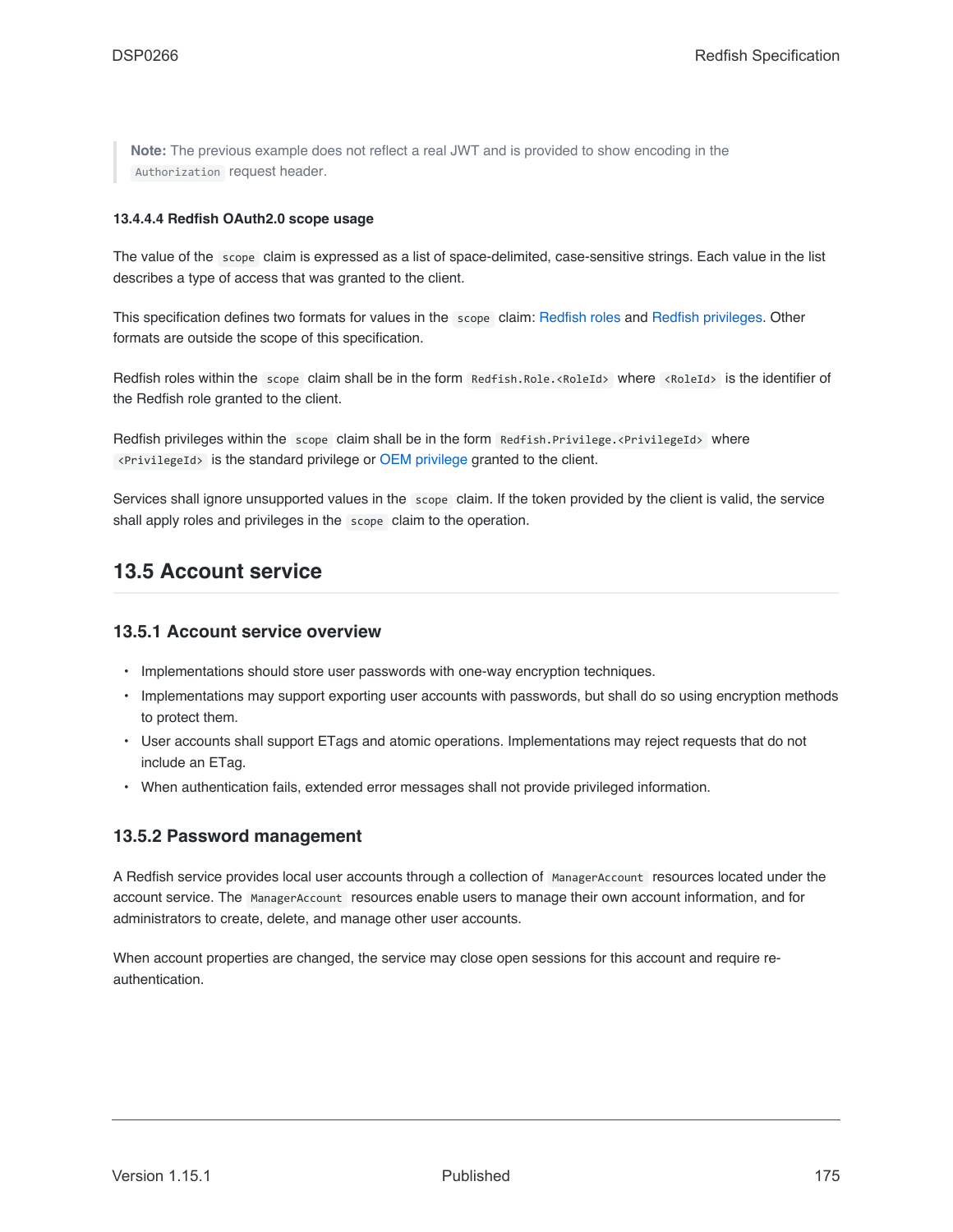**Note:** The previous example does not reflect a real JWT and is provided to show encoding in the Authorization request header.

### <span id="page-174-0"></span>**13.4.4.4 Redfish OAuth2.0 scope usage**

The value of the scope claim is expressed as a list of space-delimited, case-sensitive strings. Each value in the list describes a type of access that was granted to the client.

This specification defines two formats for values in the scope claim: [Redfish roles](#page-163-2) and [Redfish privileges](#page-165-0). Other formats are outside the scope of this specification.

Redfish roles within the scope claim shall be in the form Redfish.Role.<RoleId> where <RoleId> is the identifier of the Redfish role granted to the client.

Redfish privileges within the scope claim shall be in the form Redfish. Privilege. <PrivilegeId> where <PrivilegeId> is the standard privilege or [OEM privilege](#page-165-1) granted to the client.

Services shall ignore unsupported values in the scope claim. If the token provided by the client is valid, the service shall apply roles and privileges in the scope claim to the operation.

# **13.5 Account service**

### **13.5.1 Account service overview**

- Implementations should store user passwords with one-way encryption techniques.
- Implementations may support exporting user accounts with passwords, but shall do so using encryption methods to protect them.
- User accounts shall support ETags and atomic operations. Implementations may reject requests that do not include an ETag.
- When authentication fails, extended error messages shall not provide privileged information.

### **13.5.2 Password management**

A Redfish service provides local user accounts through a collection of ManagerAccount resources located under the account service. The ManagerAccount resources enable users to manage their own account information, and for administrators to create, delete, and manage other user accounts.

When account properties are changed, the service may close open sessions for this account and require reauthentication.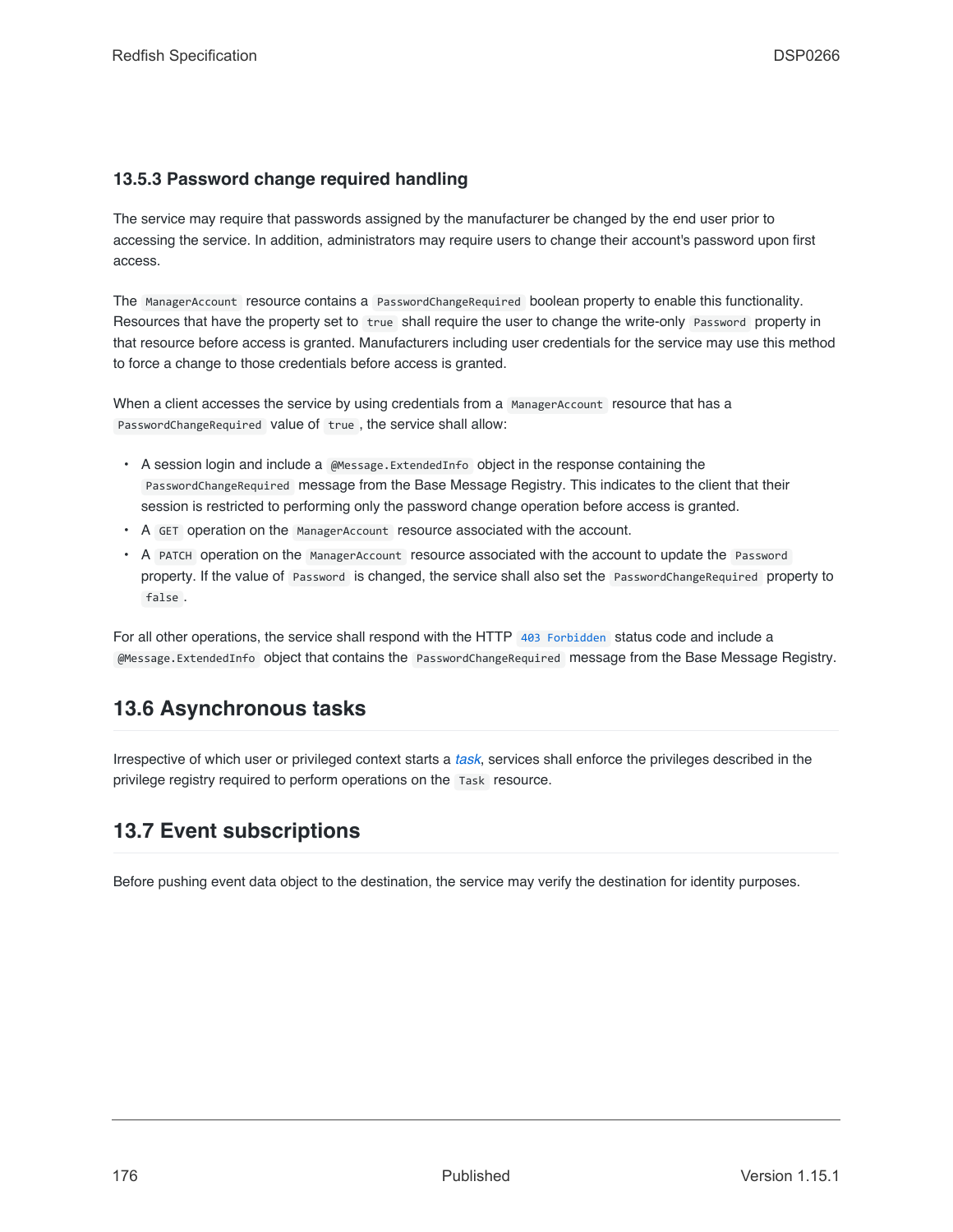# **13.5.3 Password change required handling**

The service may require that passwords assigned by the manufacturer be changed by the end user prior to accessing the service. In addition, administrators may require users to change their account's password upon first access.

The ManagerAccount resource contains a PasswordChangeRequired boolean property to enable this functionality. Resources that have the property set to true shall require the user to change the write-only Password property in that resource before access is granted. Manufacturers including user credentials for the service may use this method to force a change to those credentials before access is granted.

When a client accesses the service by using credentials from a ManagerAccount resource that has a PasswordChangeRequired value of true, the service shall allow:

- A session login and include a @Message.ExtendedInfo object in the response containing the PasswordChangeRequired message from the Base Message Registry. This indicates to the client that their session is restricted to performing only the password change operation before access is granted.
- A GET operation on the ManagerAccount resource associated with the account.
- A PATCH operation on the ManagerAccount resource associated with the account to update the Password property. If the value of Password is changed, the service shall also set the PasswordChangeRequired property to false .

For all other operations, the service shall respond with the HTTP [403 Forbidden](#page-67-5) status code and include a @Message.ExtendedInfo object that contains the PasswordChangeRequired message from the Base Message Registry.

# **13.6 Asynchronous tasks**

Irrespective of which user or privileged context starts a *[task](#page-20-0)*, services shall enforce the privileges described in the privilege registry required to perform operations on the Task resource.

# **13.7 Event subscriptions**

Before pushing event data object to the destination, the service may verify the destination for identity purposes.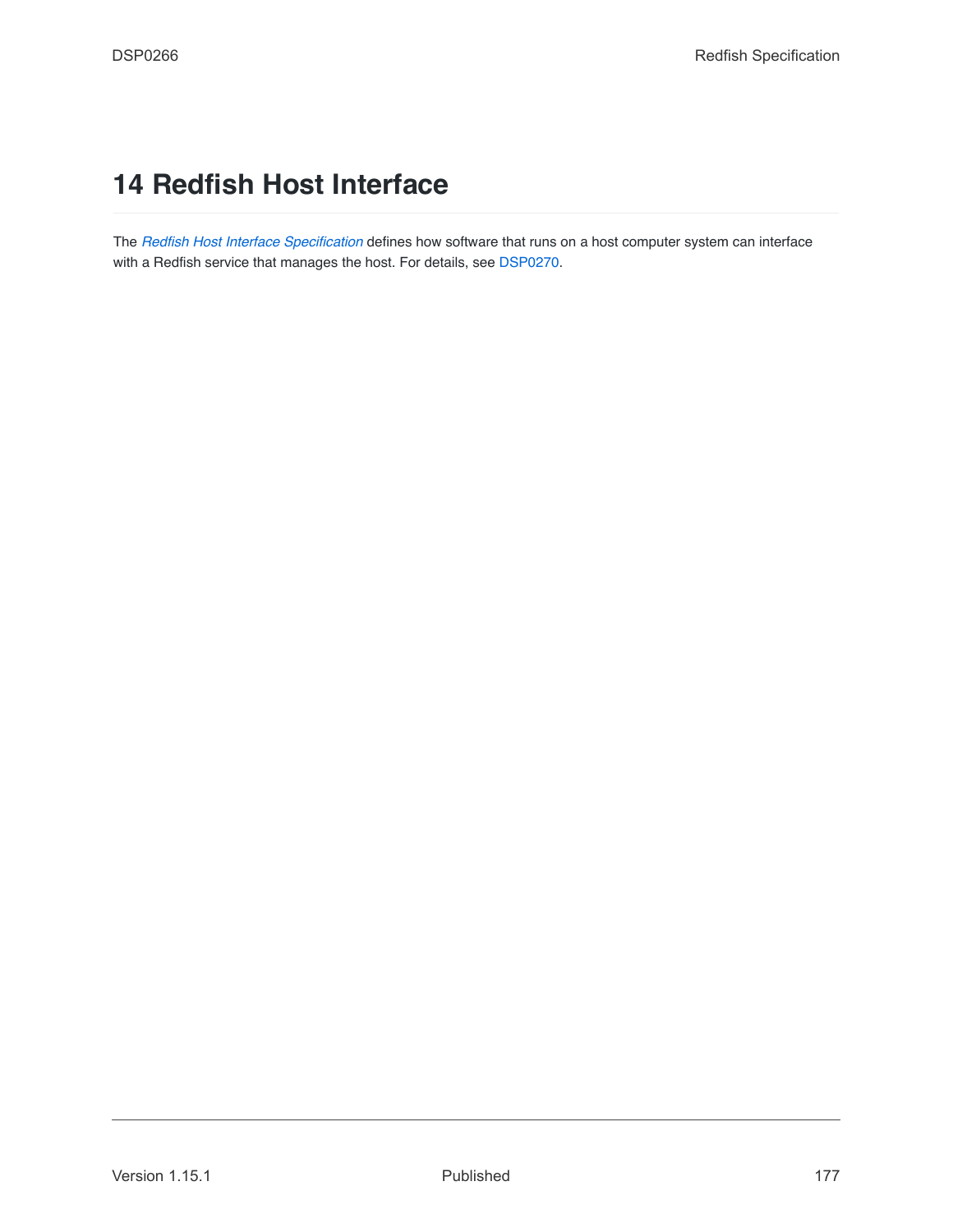# **14 Redfish Host Interface**

The *[Redfish Host Interface Specification](#page-15-7)* defines how software that runs on a host computer system can interface with a Redfish service that manages the host. For details, see [DSP0270](#page-15-7).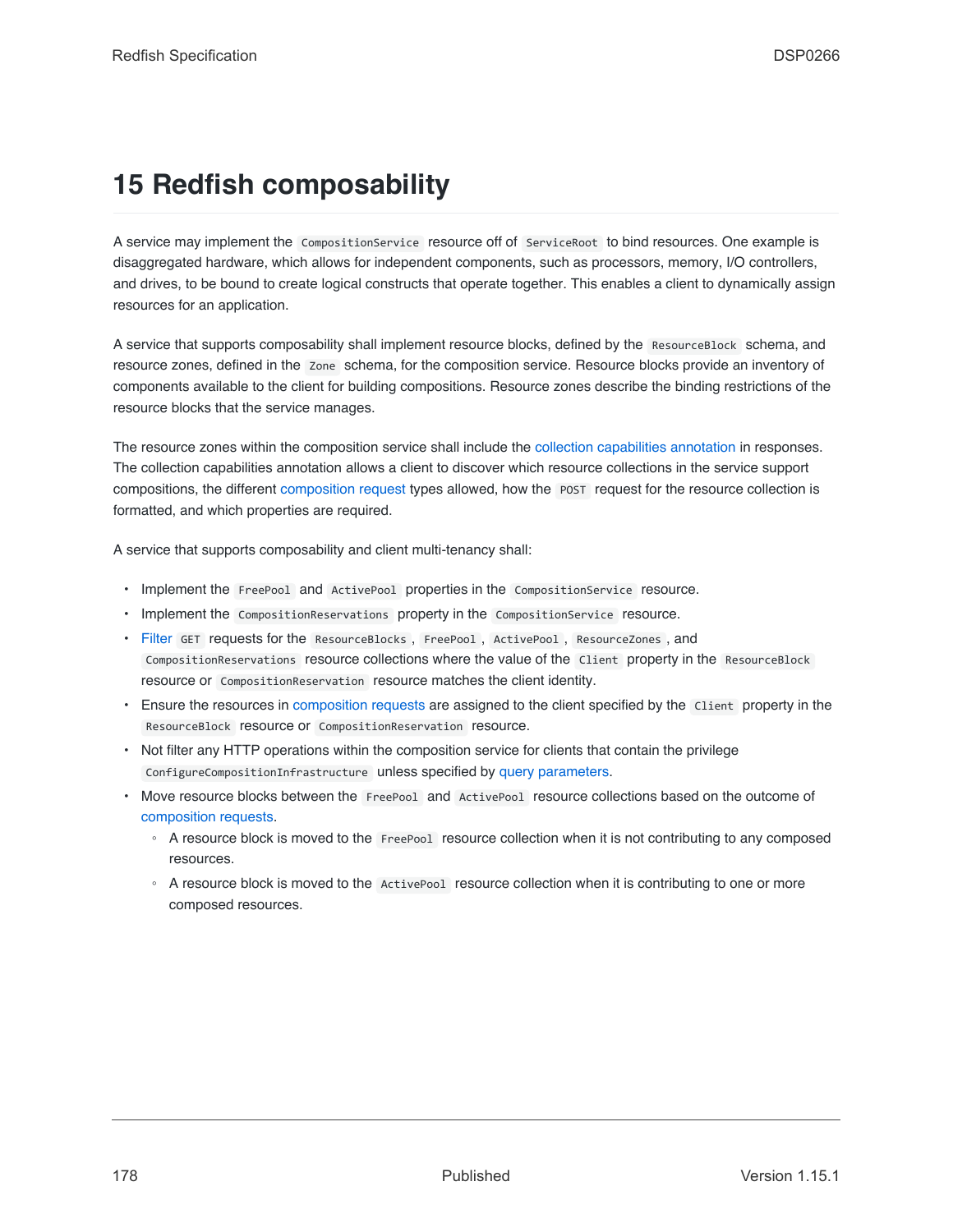# **15 Redfish composability**

A service may implement the CompositionService resource off of ServiceRoot to bind resources. One example is disaggregated hardware, which allows for independent components, such as processors, memory, I/O controllers, and drives, to be bound to create logical constructs that operate together. This enables a client to dynamically assign resources for an application.

A service that supports composability shall implement resource blocks, defined by the ResourceBlock schema, and resource zones, defined in the Zone schema, for the composition service. Resource blocks provide an inventory of components available to the client for building compositions. Resource zones describe the binding restrictions of the resource blocks that the service manages.

The resource zones within the composition service shall include the [collection capabilities annotation](#page-97-0) in responses. The collection capabilities annotation allows a client to discover which resource collections in the service support compositions, the different [composition request](#page-178-0) types allowed, how the POST request for the resource collection is formatted, and which properties are required.

A service that supports composability and client multi-tenancy shall:

- Implement the FreePool and ActivePool properties in the CompositionService resource.
- Implement the CompositionReservations property in the CompositionService resource.
- [Filter](#page-47-0) GET requests for the ResourceBlocks , FreePool , ActivePool , ResourceZones , and CompositionReservations resource collections where the value of the Client property in the ResourceBlock resource or CompositionReservation resource matches the client identity.
- Ensure the resources in [composition requests](#page-178-0) are assigned to the client specified by the Client property in the ResourceBlock resource or CompositionReservation resource.
- Not filter any HTTP operations within the composition service for clients that contain the privilege ConfigureCompositionInfrastructure unless specified by [query parameters](#page-41-1).
- Move resource blocks between the FreePool and ActivePool resource collections based on the outcome of [composition requests.](#page-178-0)
	- A resource block is moved to the FreePool resource collection when it is not contributing to any composed resources.
	- A resource block is moved to the ActivePool resource collection when it is contributing to one or more composed resources.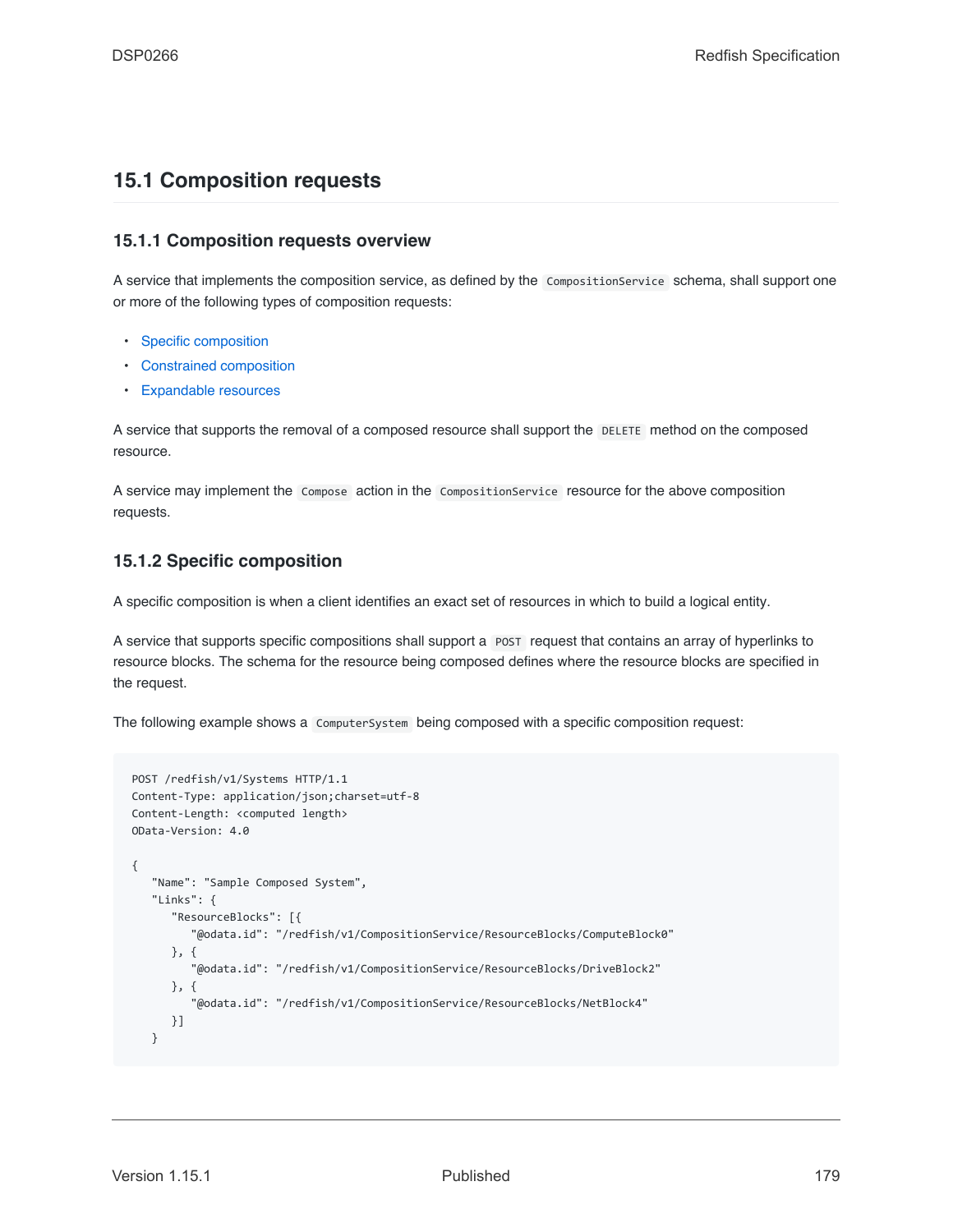# <span id="page-178-0"></span>**15.1 Composition requests**

# **15.1.1 Composition requests overview**

A service that implements the composition service, as defined by the CompositionService schema, shall support one or more of the following types of composition requests:

- [Specific composition](#page-178-1)
- [Constrained composition](#page-179-0)
- [Expandable resources](#page-180-0)

A service that supports the removal of a composed resource shall support the DELETE method on the composed resource.

A service may implement the Compose action in the CompositionService resource for the above composition requests.

# <span id="page-178-1"></span>**15.1.2 Specific composition**

A specific composition is when a client identifies an exact set of resources in which to build a logical entity.

A service that supports specific compositions shall support a POST request that contains an array of hyperlinks to resource blocks. The schema for the resource being composed defines where the resource blocks are specified in the request.

The following example shows a ComputerSystem being composed with a specific composition request:

```
POST /redfish/v1/Systems HTTP/1.1
Content-Type: application/json;charset=utf-8
Content-Length: <computed length>
OData-Version: 4.0
{
   "Name": "Sample Composed System",
   "Links": {
      "ResourceBlocks": [{
         "@odata.id": "/redfish/v1/CompositionService/ResourceBlocks/ComputeBlock0"
     }, {
         "@odata.id": "/redfish/v1/CompositionService/ResourceBlocks/DriveBlock2"
     }, {
         "@odata.id": "/redfish/v1/CompositionService/ResourceBlocks/NetBlock4"
      }]
   }
```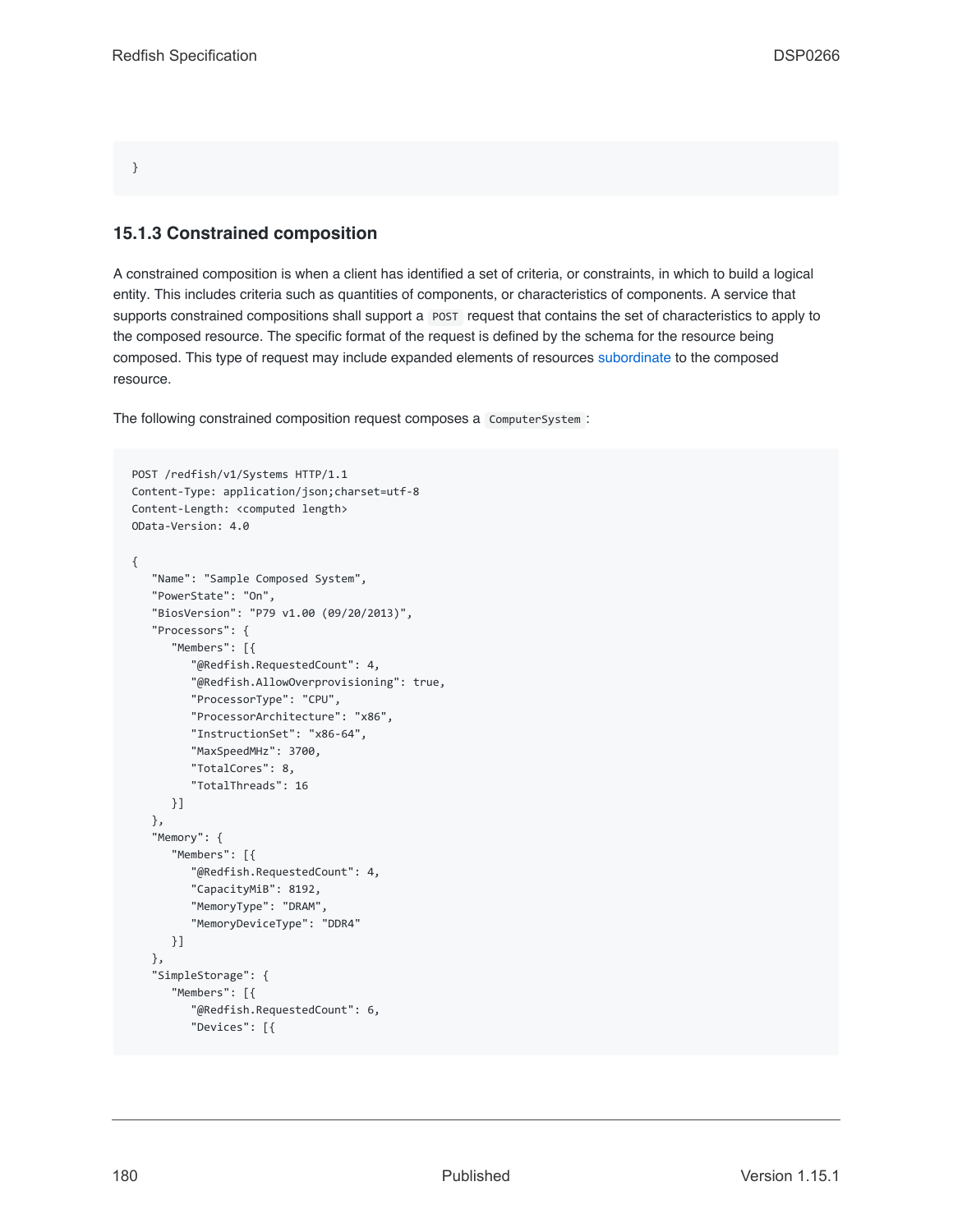}

### <span id="page-179-0"></span>**15.1.3 Constrained composition**

A constrained composition is when a client has identified a set of criteria, or constraints, in which to build a logical entity. This includes criteria such as quantities of components, or characteristics of components. A service that supports constrained compositions shall support a POST request that contains the set of characteristics to apply to the composed resource. The specific format of the request is defined by the schema for the resource being composed. This type of request may include expanded elements of resources [subordinate](#page-22-1) to the composed resource.

The following constrained composition request composes a ComputerSystem :

```
POST /redfish/v1/Systems HTTP/1.1
Content-Type: application/json;charset=utf-8
Content-Length: <computed length>
OData-Version: 4.0
{
   "Name": "Sample Composed System",
   "PowerState": "On",
   "BiosVersion": "P79 v1.00 (09/20/2013)",
   "Processors": {
      "Members": [{
         "@Redfish.RequestedCount": 4,
         "@Redfish.AllowOverprovisioning": true,
         "ProcessorType": "CPU",
         "ProcessorArchitecture": "x86",
         "InstructionSet": "x86-64",
        "MaxSpeedMHz": 3700,
        "TotalCores": 8,
         "TotalThreads": 16
     }]
   },
   "Memory": {
      "Members": [{
         "@Redfish.RequestedCount": 4,
         "CapacityMiB": 8192,
         "MemoryType": "DRAM",
         "MemoryDeviceType": "DDR4"
     }]
   },
   "SimpleStorage": {
      "Members": [{
         "@Redfish.RequestedCount": 6,
         "Devices": [{
```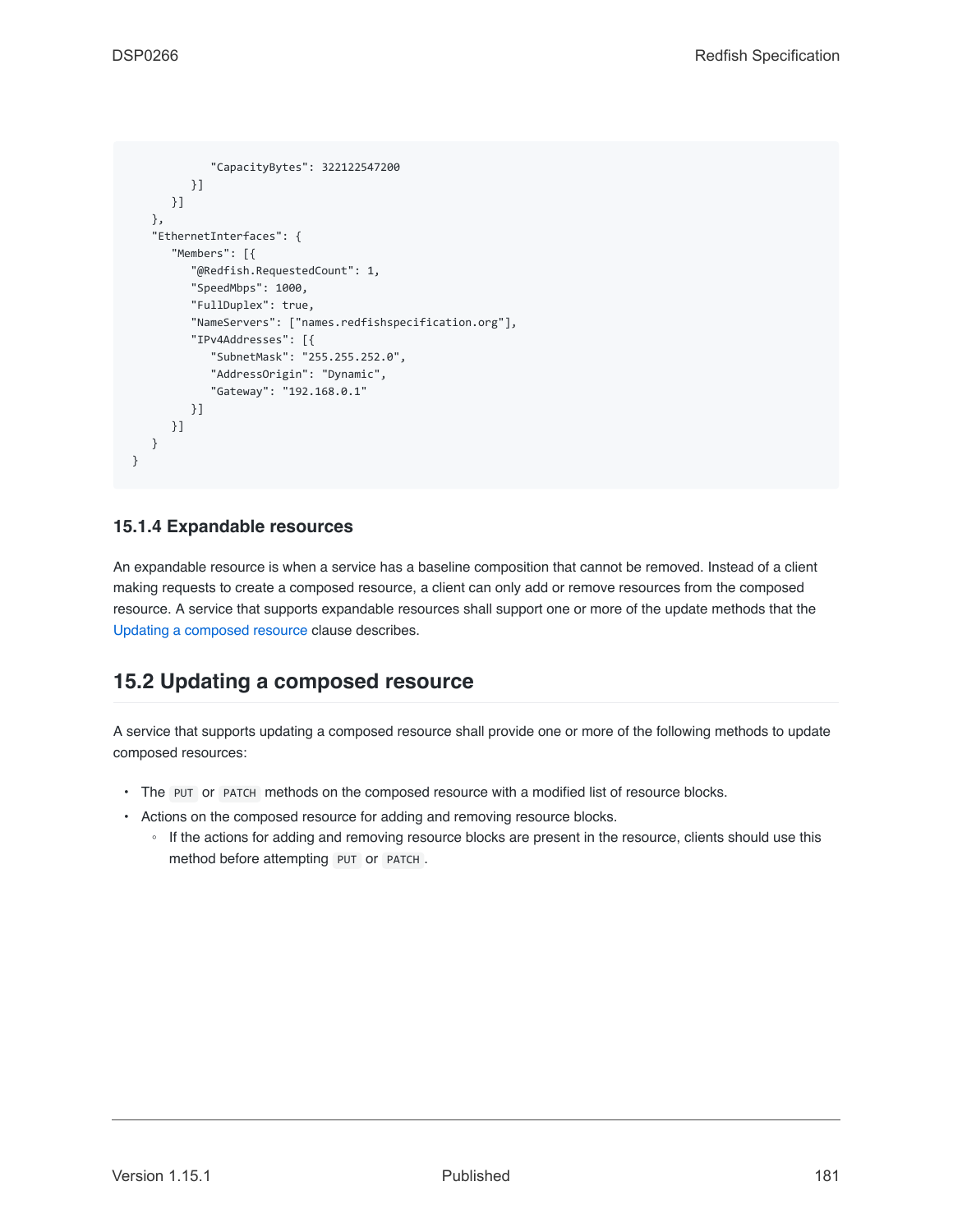```
"CapacityBytes": 322122547200
        }]
     }]
   },
   "EthernetInterfaces": {
      "Members": [{
         "@Redfish.RequestedCount": 1,
         "SpeedMbps": 1000,
         "FullDuplex": true,
         "NameServers": ["names.redfishspecification.org"],
         "IPv4Addresses": [{
            "SubnetMask": "255.255.252.0",
            "AddressOrigin": "Dynamic",
            "Gateway": "192.168.0.1"
         }]
      }]
  }
}
```
#### **15.1.4 Expandable resources**

An expandable resource is when a service has a baseline composition that cannot be removed. Instead of a client making requests to create a composed resource, a client can only add or remove resources from the composed resource. A service that supports expandable resources shall support one or more of the update methods that the [Updating a composed resource](#page-180-0) clause describes.

### <span id="page-180-0"></span>**15.2 Updating a composed resource**

A service that supports updating a composed resource shall provide one or more of the following methods to update composed resources:

- The PUT or PATCH methods on the composed resource with a modified list of resource blocks.
- Actions on the composed resource for adding and removing resource blocks.
	- If the actions for adding and removing resource blocks are present in the resource, clients should use this method before attempting PUT or PATCH .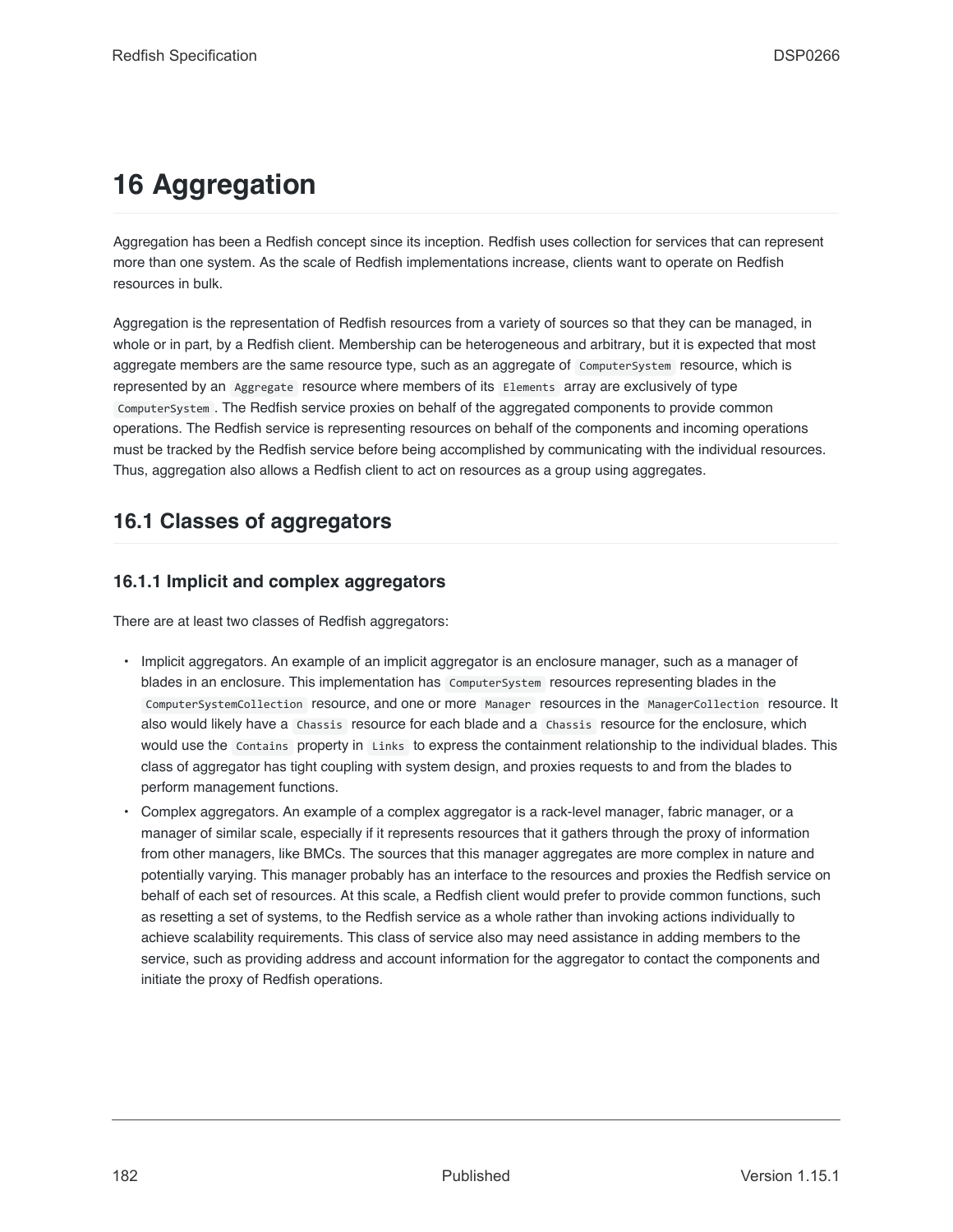# **16 Aggregation**

Aggregation has been a Redfish concept since its inception. Redfish uses collection for services that can represent more than one system. As the scale of Redfish implementations increase, clients want to operate on Redfish resources in bulk.

Aggregation is the representation of Redfish resources from a variety of sources so that they can be managed, in whole or in part, by a Redfish client. Membership can be heterogeneous and arbitrary, but it is expected that most aggregate members are the same resource type, such as an aggregate of ComputerSystem resource, which is represented by an Aggregate resource where members of its Elements array are exclusively of type ComputerSystem . The Redfish service proxies on behalf of the aggregated components to provide common operations. The Redfish service is representing resources on behalf of the components and incoming operations must be tracked by the Redfish service before being accomplished by communicating with the individual resources. Thus, aggregation also allows a Redfish client to act on resources as a group using aggregates.

## **16.1 Classes of aggregators**

#### **16.1.1 Implicit and complex aggregators**

There are at least two classes of Redfish aggregators:

- Implicit aggregators. An example of an implicit aggregator is an enclosure manager, such as a manager of blades in an enclosure. This implementation has ComputerSystem resources representing blades in the ComputerSystemCollection resource, and one or more Manager resources in the ManagerCollection resource. It also would likely have a Chassis resource for each blade and a Chassis resource for the enclosure, which would use the Contains property in Links to express the containment relationship to the individual blades. This class of aggregator has tight coupling with system design, and proxies requests to and from the blades to perform management functions.
- Complex aggregators. An example of a complex aggregator is a rack-level manager, fabric manager, or a manager of similar scale, especially if it represents resources that it gathers through the proxy of information from other managers, like BMCs. The sources that this manager aggregates are more complex in nature and potentially varying. This manager probably has an interface to the resources and proxies the Redfish service on behalf of each set of resources. At this scale, a Redfish client would prefer to provide common functions, such as resetting a set of systems, to the Redfish service as a whole rather than invoking actions individually to achieve scalability requirements. This class of service also may need assistance in adding members to the service, such as providing address and account information for the aggregator to contact the components and initiate the proxy of Redfish operations.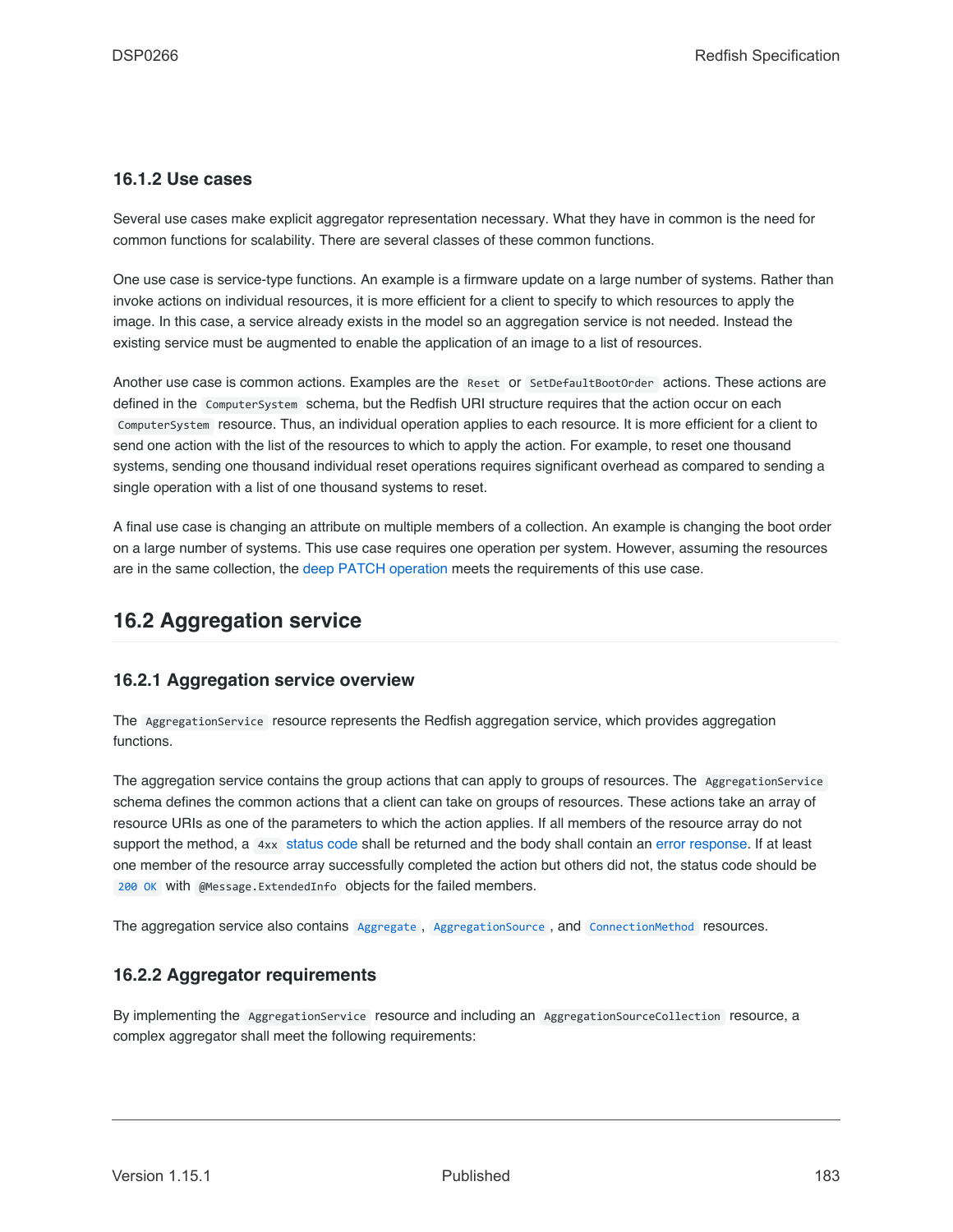#### **16.1.2 Use cases**

Several use cases make explicit aggregator representation necessary. What they have in common is the need for common functions for scalability. There are several classes of these common functions.

One use case is service-type functions. An example is a firmware update on a large number of systems. Rather than invoke actions on individual resources, it is more efficient for a client to specify to which resources to apply the image. In this case, a service already exists in the model so an aggregation service is not needed. Instead the existing service must be augmented to enable the application of an image to a list of resources.

Another use case is common actions. Examples are the Reset or SetDefaultBootOrder actions. These actions are defined in the ComputerSystem schema, but the Redfish URI structure requires that the action occur on each ComputerSystem resource. Thus, an individual operation applies to each resource. It is more efficient for a client to send one action with the list of the resources to which to apply the action. For example, to reset one thousand systems, sending one thousand individual reset operations requires significant overhead as compared to sending a single operation with a list of one thousand systems to reset.

A final use case is changing an attribute on multiple members of a collection. An example is changing the boot order on a large number of systems. This use case requires one operation per system. However, assuming the resources are in the same collection, the [deep PATCH operation](#page-58-0) meets the requirements of this use case.

## **16.2 Aggregation service**

#### **16.2.1 Aggregation service overview**

The AggregationService resource represents the Redfish aggregation service, which provides aggregation functions.

The aggregation service contains the group actions that can apply to groups of resources. The AggregationService schema defines the common actions that a client can take on groups of resources. These actions take an array of resource URIs as one of the parameters to which the action applies. If all members of the resource array do not support the method, a 4xx [status code](#page-65-0) shall be returned and the body shall contain an [error response](#page-71-0). If at least one member of the resource array successfully completed the action but others did not, the status code should be [200 OK](#page-66-0) with @Message.ExtendedInfo objects for the failed members.

The aggregation service also contains [Aggregate](#page-183-0), [AggregationSource](#page-183-1), and [ConnectionMethod](#page-183-1) resources.

#### **16.2.2 Aggregator requirements**

By implementing the AggregationService resource and including an AggregationSourceCollection resource, a complex aggregator shall meet the following requirements: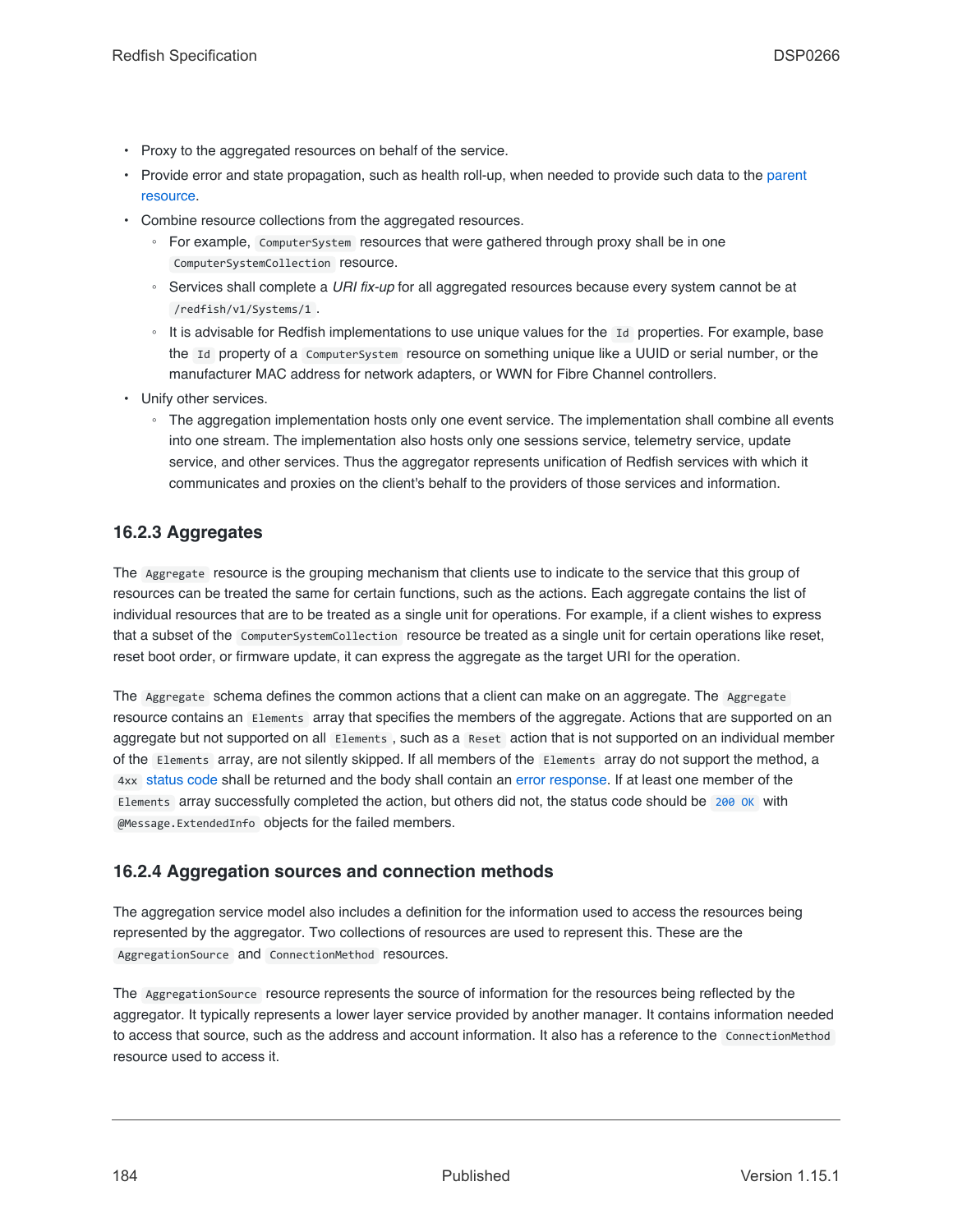- Proxy to the aggregated resources on behalf of the service.
- Provide error and state propagation, such as health roll-up, when needed to provide such data to the [parent](#page-20-0) [resource.](#page-20-0)
- Combine resource collections from the aggregated resources.
	- For example, ComputerSystem resources that were gathered through proxy shall be in one ComputerSystemCollection resource.
	- Services shall complete a *URI fix-up* for all aggregated resources because every system cannot be at /redfish/v1/Systems/1 .
	- It is advisable for Redfish implementations to use unique values for the Id properties. For example, base the Id property of a ComputerSystem resource on something unique like a UUID or serial number, or the manufacturer MAC address for network adapters, or WWN for Fibre Channel controllers.
- Unify other services.
	- The aggregation implementation hosts only one event service. The implementation shall combine all events into one stream. The implementation also hosts only one sessions service, telemetry service, update service, and other services. Thus the aggregator represents unification of Redfish services with which it communicates and proxies on the client's behalf to the providers of those services and information.

#### <span id="page-183-0"></span>**16.2.3 Aggregates**

The Aggregate resource is the grouping mechanism that clients use to indicate to the service that this group of resources can be treated the same for certain functions, such as the actions. Each aggregate contains the list of individual resources that are to be treated as a single unit for operations. For example, if a client wishes to express that a subset of the ComputerSystemCollection resource be treated as a single unit for certain operations like reset, reset boot order, or firmware update, it can express the aggregate as the target URI for the operation.

The Aggregate schema defines the common actions that a client can make on an aggregate. The Aggregate resource contains an Elements array that specifies the members of the aggregate. Actions that are supported on an aggregate but not supported on all Elements , such as a Reset action that is not supported on an individual member of the Elements array, are not silently skipped. If all members of the Elements array do not support the method, a 4xx [status code](#page-65-0) shall be returned and the body shall contain an [error response](#page-71-0). If at least one member of the Elements array successfully completed the action, but others did not, the status code should be [200 OK](#page-66-0) with @Message.ExtendedInfo objects for the failed members.

#### <span id="page-183-1"></span>**16.2.4 Aggregation sources and connection methods**

The aggregation service model also includes a definition for the information used to access the resources being represented by the aggregator. Two collections of resources are used to represent this. These are the AggregationSource and ConnectionMethod resources.

The AggregationSource resource represents the source of information for the resources being reflected by the aggregator. It typically represents a lower layer service provided by another manager. It contains information needed to access that source, such as the address and account information. It also has a reference to the ConnectionMethod resource used to access it.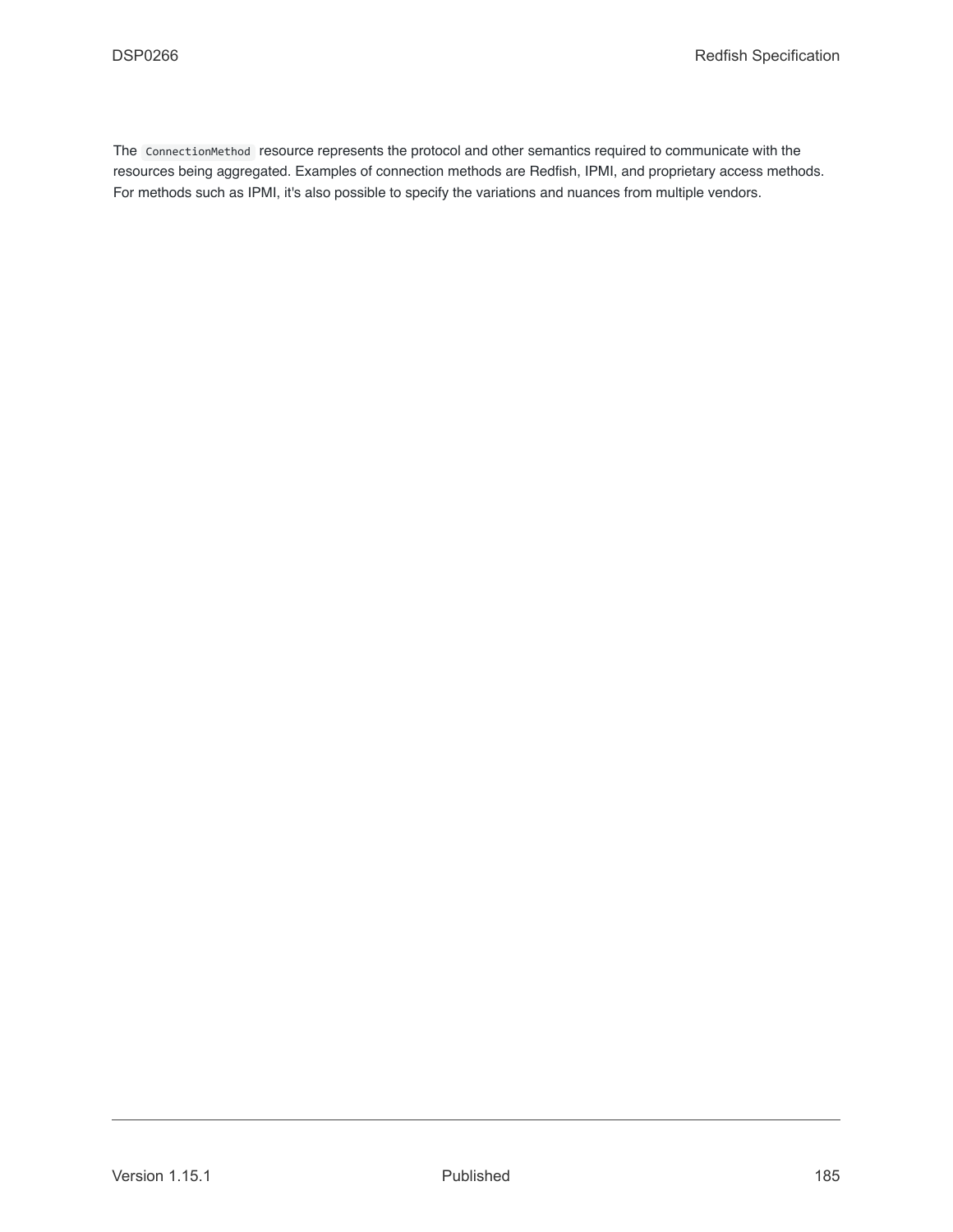The ConnectionMethod resource represents the protocol and other semantics required to communicate with the resources being aggregated. Examples of connection methods are Redfish, IPMI, and proprietary access methods. For methods such as IPMI, it's also possible to specify the variations and nuances from multiple vendors.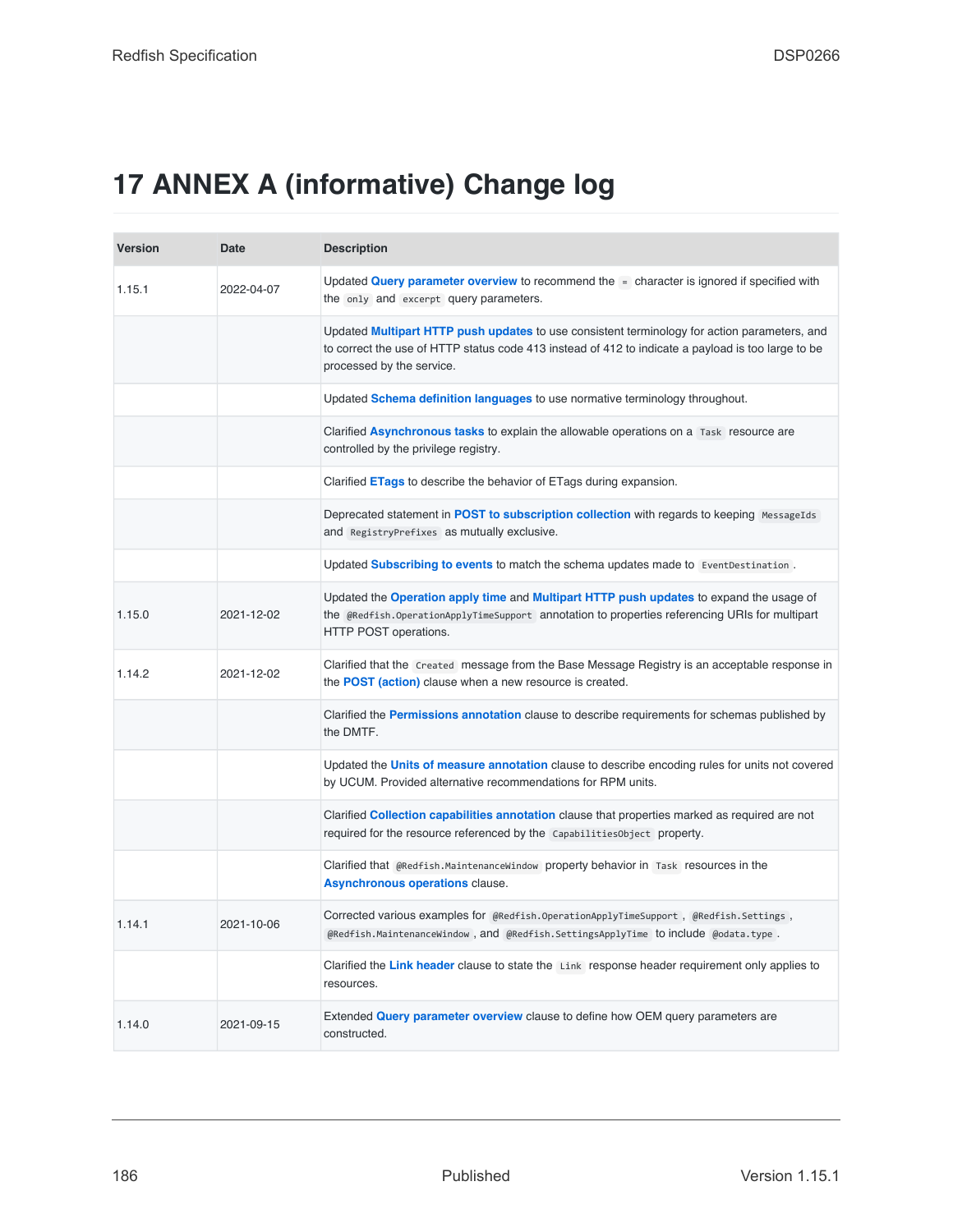# **17 ANNEX A (informative) Change log**

| <b>Version</b> | Date       | <b>Description</b>                                                                                                                                                                                                                     |
|----------------|------------|----------------------------------------------------------------------------------------------------------------------------------------------------------------------------------------------------------------------------------------|
| 1.15.1         | 2022-04-07 | Updated <b>Query parameter overview</b> to recommend the $=$ character is ignored if specified with<br>the only and excerpt query parameters.                                                                                          |
|                |            | Updated <b>Multipart HTTP push updates</b> to use consistent terminology for action parameters, and<br>to correct the use of HTTP status code 413 instead of 412 to indicate a payload is too large to be<br>processed by the service. |
|                |            | Updated Schema definition languages to use normative terminology throughout.                                                                                                                                                           |
|                |            | Clarified Asynchronous tasks to explain the allowable operations on a Task resource are<br>controlled by the privilege registry.                                                                                                       |
|                |            | Clarified <b>ETags</b> to describe the behavior of ETags during expansion.                                                                                                                                                             |
|                |            | Deprecated statement in POST to subscription collection with regards to keeping MessageIds<br>and RegistryPrefixes as mutually exclusive.                                                                                              |
|                |            | Updated Subscribing to events to match the schema updates made to EventDestination.                                                                                                                                                    |
| 1.15.0         | 2021-12-02 | Updated the Operation apply time and Multipart HTTP push updates to expand the usage of<br>the @Redfish.OperationApplyTimeSupport annotation to properties referencing URIs for multipart<br>HTTP POST operations.                     |
| 1.14.2         | 2021-12-02 | Clarified that the Created message from the Base Message Registry is an acceptable response in<br>the <b>POST</b> (action) clause when a new resource is created.                                                                      |
|                |            | Clarified the Permissions annotation clause to describe requirements for schemas published by<br>the DMTF.                                                                                                                             |
|                |            | Updated the Units of measure annotation clause to describe encoding rules for units not covered<br>by UCUM. Provided alternative recommendations for RPM units.                                                                        |
|                |            | Clarified <b>Collection capabilities annotation</b> clause that properties marked as required are not<br>required for the resource referenced by the Capabilities Object property.                                                     |
|                |            | Clarified that @Redfish.MaintenanceWindow property behavior in Task resources in the<br><b>Asynchronous operations clause.</b>                                                                                                         |
| 1.14.1         | 2021-10-06 | $\rm Corrected$ various examples for @Redfish.OperationApplyTimeSupport , @Redfish.Settings ,<br>@Redfish.MaintenanceWindow, and @Redfish.SettingsApplyTime to include @odata.type.                                                    |
|                |            | Clarified the Link header clause to state the Link response header requirement only applies to<br>resources.                                                                                                                           |
| 1.14.0         | 2021-09-15 | Extended Query parameter overview clause to define how OEM query parameters are<br>constructed.                                                                                                                                        |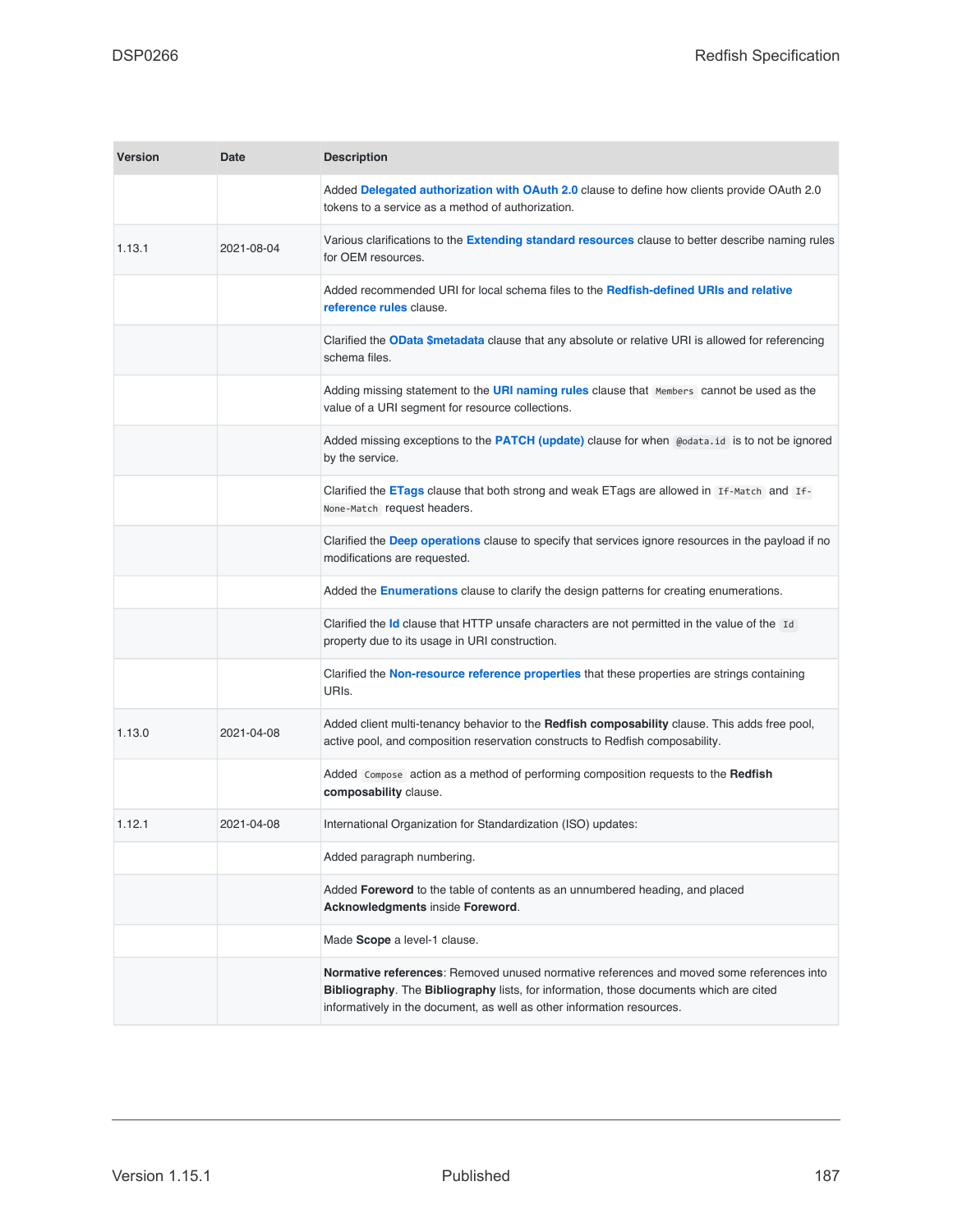| <b>Version</b> | Date       | <b>Description</b>                                                                                                                                                                                                                                           |
|----------------|------------|--------------------------------------------------------------------------------------------------------------------------------------------------------------------------------------------------------------------------------------------------------------|
|                |            | Added Delegated authorization with OAuth 2.0 clause to define how clients provide OAuth 2.0<br>tokens to a service as a method of authorization.                                                                                                             |
| 1.13.1         | 2021-08-04 | Various clarifications to the <b>Extending standard resources</b> clause to better describe naming rules<br>for OEM resources.                                                                                                                               |
|                |            | Added recommended URI for local schema files to the Redfish-defined URIs and relative<br>reference rules clause.                                                                                                                                             |
|                |            | Clarified the OData \$metadata clause that any absolute or relative URI is allowed for referencing<br>schema files.                                                                                                                                          |
|                |            | Adding missing statement to the URI naming rules clause that Members cannot be used as the<br>value of a URI segment for resource collections.                                                                                                               |
|                |            | Added missing exceptions to the <b>PATCH</b> (update) clause for when $\omega$ <sub>ddatarid</sub> is to not be ignored<br>by the service.                                                                                                                   |
|                |            | Clarified the <b>ETags</b> clause that both strong and weak ETags are allowed in If-Match and If-<br>None-Match request headers.                                                                                                                             |
|                |            | Clarified the Deep operations clause to specify that services ignore resources in the payload if no<br>modifications are requested.                                                                                                                          |
|                |            | Added the <b>Enumerations</b> clause to clarify the design patterns for creating enumerations.                                                                                                                                                               |
|                |            | Clarified the Id clause that HTTP unsafe characters are not permitted in the value of the Id<br>property due to its usage in URI construction.                                                                                                               |
|                |            | Clarified the Non-resource reference properties that these properties are strings containing<br>URIs.                                                                                                                                                        |
| 1.13.0         | 2021-04-08 | Added client multi-tenancy behavior to the Redfish composability clause. This adds free pool,<br>active pool, and composition reservation constructs to Redfish composability.                                                                               |
|                |            | Added compose action as a method of performing composition requests to the Redfish<br>composability clause.                                                                                                                                                  |
| 1.12.1         | 2021-04-08 | International Organization for Standardization (ISO) updates:                                                                                                                                                                                                |
|                |            | Added paragraph numbering.                                                                                                                                                                                                                                   |
|                |            | Added <b>Foreword</b> to the table of contents as an unnumbered heading, and placed<br>Acknowledgments inside Foreword.                                                                                                                                      |
|                |            | Made Scope a level-1 clause.                                                                                                                                                                                                                                 |
|                |            | Normative references: Removed unused normative references and moved some references into<br>Bibliography. The Bibliography lists, for information, those documents which are cited<br>informatively in the document, as well as other information resources. |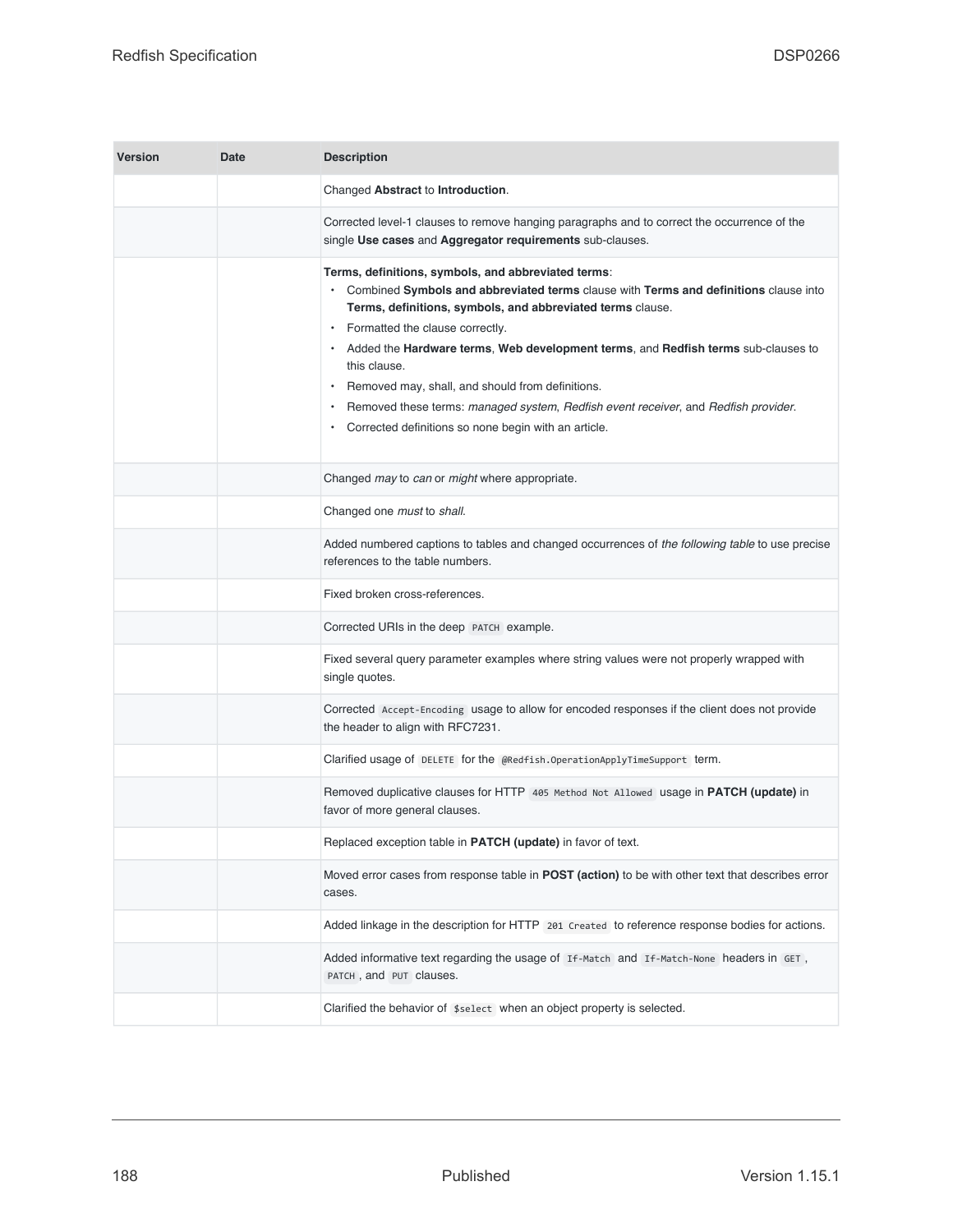| <b>Version</b> | Date | <b>Description</b>                                                                                                                                                                                                                                                                                                                                                                                                                                                                                                                                    |
|----------------|------|-------------------------------------------------------------------------------------------------------------------------------------------------------------------------------------------------------------------------------------------------------------------------------------------------------------------------------------------------------------------------------------------------------------------------------------------------------------------------------------------------------------------------------------------------------|
|                |      | Changed Abstract to Introduction.                                                                                                                                                                                                                                                                                                                                                                                                                                                                                                                     |
|                |      | Corrected level-1 clauses to remove hanging paragraphs and to correct the occurrence of the<br>single Use cases and Aggregator requirements sub-clauses.                                                                                                                                                                                                                                                                                                                                                                                              |
|                |      | Terms, definitions, symbols, and abbreviated terms:<br>Combined Symbols and abbreviated terms clause with Terms and definitions clause into<br>Terms, definitions, symbols, and abbreviated terms clause.<br>Formatted the clause correctly.<br>• Added the Hardware terms, Web development terms, and Redfish terms sub-clauses to<br>this clause.<br>Removed may, shall, and should from definitions.<br>Removed these terms: managed system, Redfish event receiver, and Redfish provider.<br>Corrected definitions so none begin with an article. |
|                |      | Changed may to can or might where appropriate.                                                                                                                                                                                                                                                                                                                                                                                                                                                                                                        |
|                |      | Changed one must to shall.                                                                                                                                                                                                                                                                                                                                                                                                                                                                                                                            |
|                |      | Added numbered captions to tables and changed occurrences of the following table to use precise<br>references to the table numbers.                                                                                                                                                                                                                                                                                                                                                                                                                   |
|                |      | Fixed broken cross-references.                                                                                                                                                                                                                                                                                                                                                                                                                                                                                                                        |
|                |      | Corrected URIs in the deep PATCH example.                                                                                                                                                                                                                                                                                                                                                                                                                                                                                                             |
|                |      | Fixed several query parameter examples where string values were not properly wrapped with<br>single quotes.                                                                                                                                                                                                                                                                                                                                                                                                                                           |
|                |      | Corrected Accept-Encoding usage to allow for encoded responses if the client does not provide<br>the header to align with RFC7231.                                                                                                                                                                                                                                                                                                                                                                                                                    |
|                |      | Clarified usage of DELETE for the @Redfish.OperationApplyTimeSupport term.                                                                                                                                                                                                                                                                                                                                                                                                                                                                            |
|                |      | Removed duplicative clauses for HTTP 405 Method Not Allowed usage in PATCH (update) in<br>favor of more general clauses.                                                                                                                                                                                                                                                                                                                                                                                                                              |
|                |      | Replaced exception table in PATCH (update) in favor of text.                                                                                                                                                                                                                                                                                                                                                                                                                                                                                          |
|                |      | Moved error cases from response table in <b>POST</b> (action) to be with other text that describes error<br>cases.                                                                                                                                                                                                                                                                                                                                                                                                                                    |
|                |      | Added linkage in the description for HTTP 201 Created to reference response bodies for actions.                                                                                                                                                                                                                                                                                                                                                                                                                                                       |
|                |      | Added informative text regarding the usage of If-Match and If-Match-None headers in GET,<br>PATCH, and PUT clauses.                                                                                                                                                                                                                                                                                                                                                                                                                                   |
|                |      | Clarified the behavior of \$select when an object property is selected.                                                                                                                                                                                                                                                                                                                                                                                                                                                                               |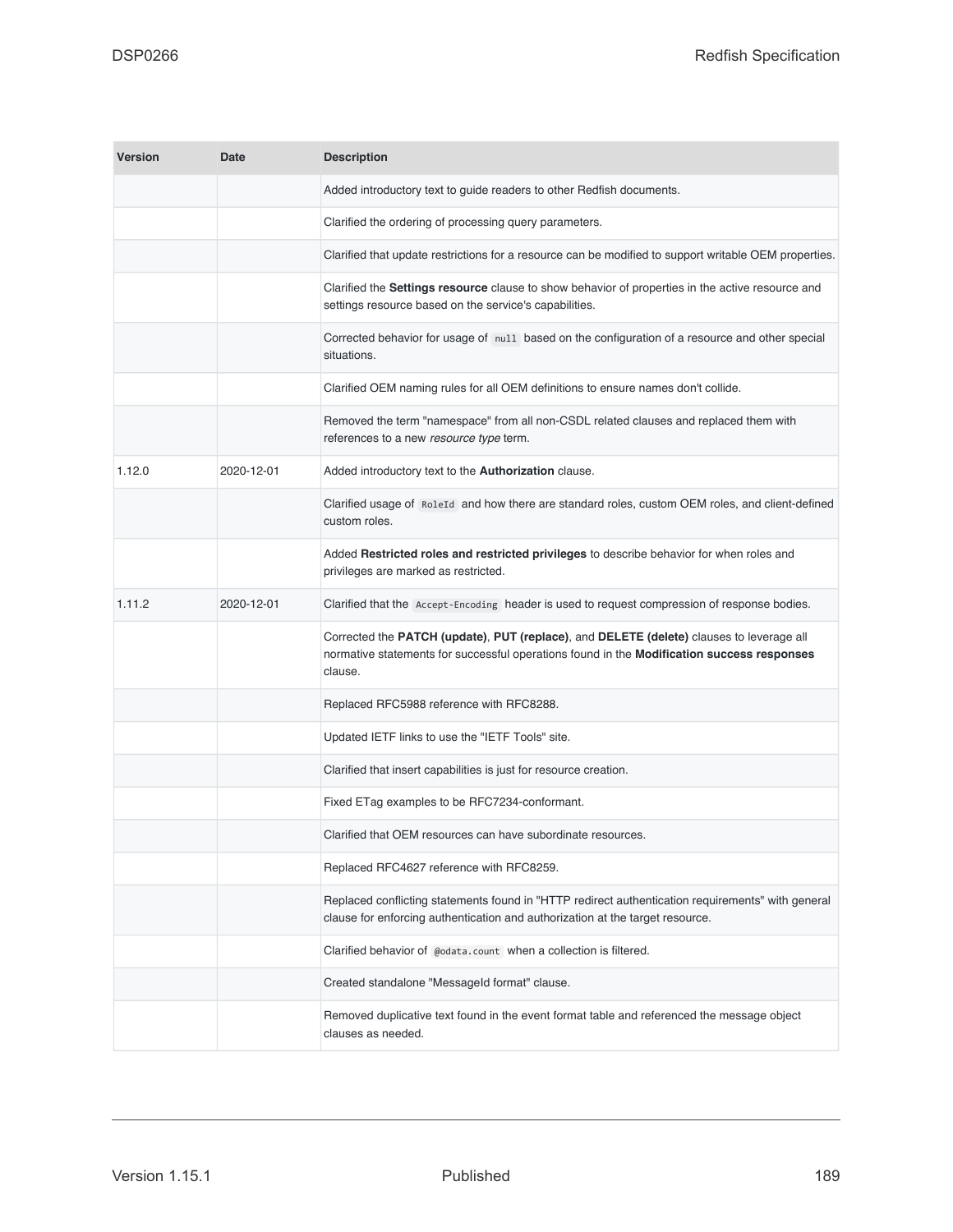| <b>Version</b> | <b>Date</b> | <b>Description</b>                                                                                                                                                                                |
|----------------|-------------|---------------------------------------------------------------------------------------------------------------------------------------------------------------------------------------------------|
|                |             | Added introductory text to guide readers to other Redfish documents.                                                                                                                              |
|                |             | Clarified the ordering of processing query parameters.                                                                                                                                            |
|                |             | Clarified that update restrictions for a resource can be modified to support writable OEM properties.                                                                                             |
|                |             | Clarified the Settings resource clause to show behavior of properties in the active resource and<br>settings resource based on the service's capabilities.                                        |
|                |             | Corrected behavior for usage of null based on the configuration of a resource and other special<br>situations.                                                                                    |
|                |             | Clarified OEM naming rules for all OEM definitions to ensure names don't collide.                                                                                                                 |
|                |             | Removed the term "namespace" from all non-CSDL related clauses and replaced them with<br>references to a new resource type term.                                                                  |
| 1.12.0         | 2020-12-01  | Added introductory text to the Authorization clause.                                                                                                                                              |
|                |             | Clarified usage of RoleId and how there are standard roles, custom OEM roles, and client-defined<br>custom roles.                                                                                 |
|                |             | Added Restricted roles and restricted privileges to describe behavior for when roles and<br>privileges are marked as restricted.                                                                  |
| 1.11.2         | 2020-12-01  | Clarified that the Accept-Encoding header is used to request compression of response bodies.                                                                                                      |
|                |             | Corrected the PATCH (update), PUT (replace), and DELETE (delete) clauses to leverage all<br>normative statements for successful operations found in the Modification success responses<br>clause. |
|                |             | Replaced RFC5988 reference with RFC8288.                                                                                                                                                          |
|                |             | Updated IETF links to use the "IETF Tools" site.                                                                                                                                                  |
|                |             | Clarified that insert capabilities is just for resource creation.                                                                                                                                 |
|                |             | Fixed ETag examples to be RFC7234-conformant.                                                                                                                                                     |
|                |             | Clarified that OEM resources can have subordinate resources.                                                                                                                                      |
|                |             | Replaced RFC4627 reference with RFC8259.                                                                                                                                                          |
|                |             | Replaced conflicting statements found in "HTTP redirect authentication requirements" with general<br>clause for enforcing authentication and authorization at the target resource.                |
|                |             | Clarified behavior of @odata.count when a collection is filtered.                                                                                                                                 |
|                |             | Created standalone "Messageld format" clause.                                                                                                                                                     |
|                |             | Removed duplicative text found in the event format table and referenced the message object<br>clauses as needed.                                                                                  |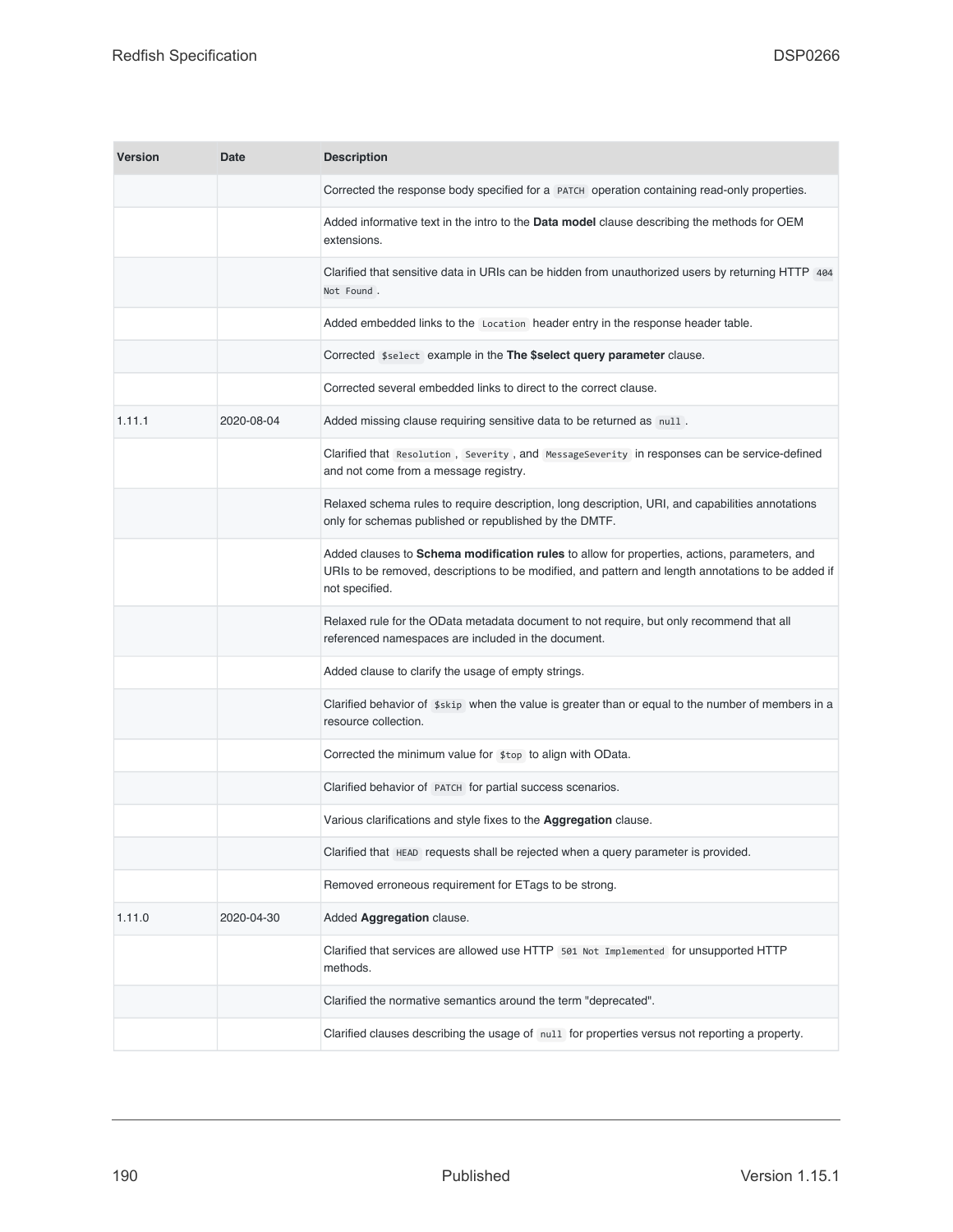| <b>Version</b> | Date       | <b>Description</b>                                                                                                                                                                                                   |
|----------------|------------|----------------------------------------------------------------------------------------------------------------------------------------------------------------------------------------------------------------------|
|                |            | Corrected the response body specified for a PATCH operation containing read-only properties.                                                                                                                         |
|                |            | Added informative text in the intro to the Data model clause describing the methods for OEM<br>extensions.                                                                                                           |
|                |            | Clarified that sensitive data in URIs can be hidden from unauthorized users by returning HTTP 404<br>Not Found.                                                                                                      |
|                |            | Added embedded links to the Location header entry in the response header table.                                                                                                                                      |
|                |            | Corrected \$select example in the The \$select query parameter clause.                                                                                                                                               |
|                |            | Corrected several embedded links to direct to the correct clause.                                                                                                                                                    |
| 1.11.1         | 2020-08-04 | Added missing clause requiring sensitive data to be returned as null.                                                                                                                                                |
|                |            | Clarified that Resolution, Severity, and MessageSeverity in responses can be service-defined<br>and not come from a message registry.                                                                                |
|                |            | Relaxed schema rules to require description, long description, URI, and capabilities annotations<br>only for schemas published or republished by the DMTF.                                                           |
|                |            | Added clauses to Schema modification rules to allow for properties, actions, parameters, and<br>URIs to be removed, descriptions to be modified, and pattern and length annotations to be added if<br>not specified. |
|                |            | Relaxed rule for the OData metadata document to not require, but only recommend that all<br>referenced namespaces are included in the document.                                                                      |
|                |            | Added clause to clarify the usage of empty strings.                                                                                                                                                                  |
|                |            | Clarified behavior of $\frac{1}{2}$ skip when the value is greater than or equal to the number of members in a<br>resource collection.                                                                               |
|                |            | Corrected the minimum value for \$top to align with OData.                                                                                                                                                           |
|                |            | Clarified behavior of PATCH for partial success scenarios.                                                                                                                                                           |
|                |            | Various clarifications and style fixes to the <b>Aggregation</b> clause.                                                                                                                                             |
|                |            | Clarified that HEAD requests shall be rejected when a query parameter is provided.                                                                                                                                   |
|                |            | Removed erroneous requirement for ETags to be strong.                                                                                                                                                                |
| 1.11.0         | 2020-04-30 | Added Aggregation clause.                                                                                                                                                                                            |
|                |            | Clarified that services are allowed use HTTP 501 Not Implemented for unsupported HTTP<br>methods.                                                                                                                    |
|                |            | Clarified the normative semantics around the term "deprecated".                                                                                                                                                      |
|                |            | Clarified clauses describing the usage of null for properties versus not reporting a property.                                                                                                                       |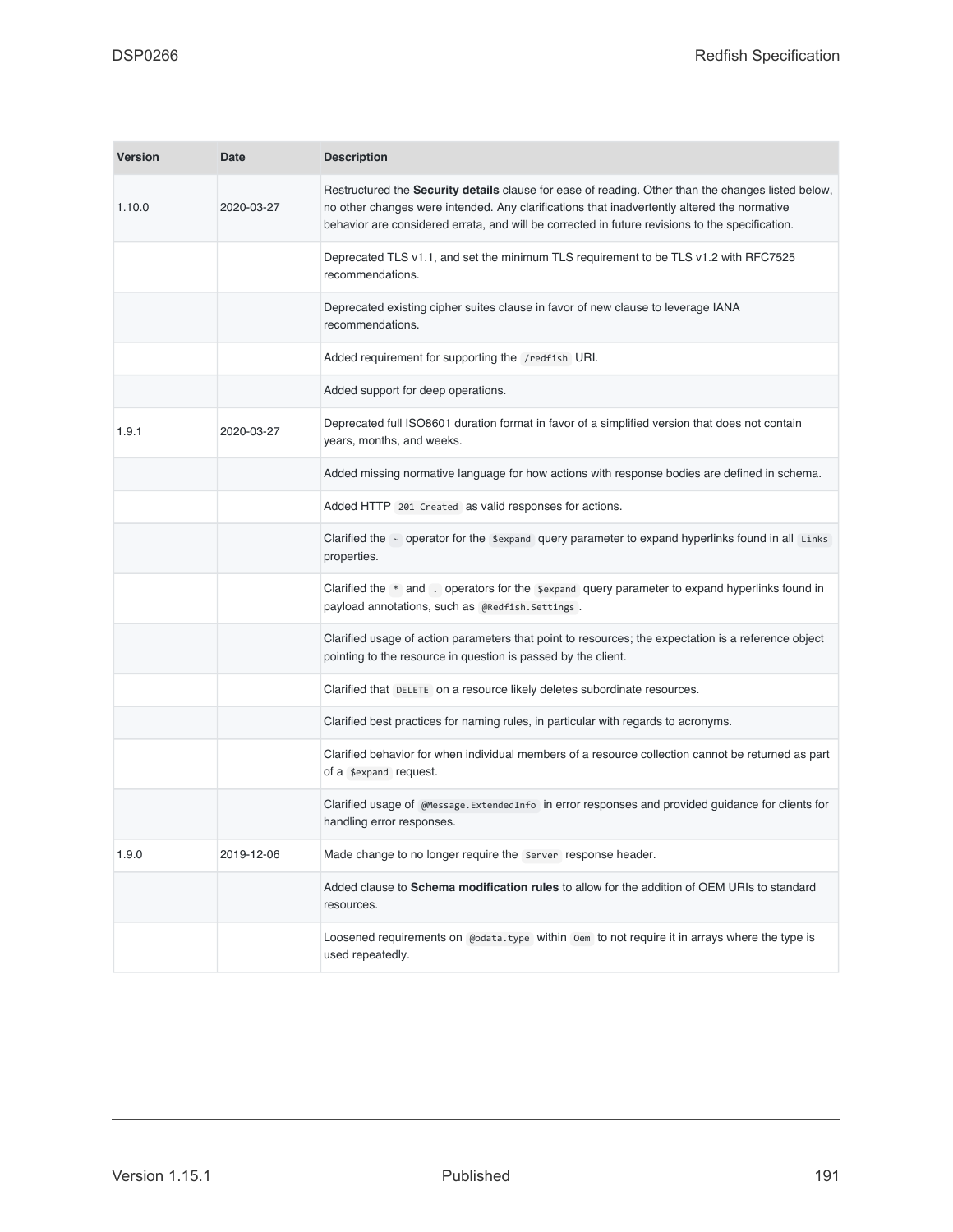| <b>Version</b> | <b>Date</b> | <b>Description</b>                                                                                                                                                                                                                                                                                          |
|----------------|-------------|-------------------------------------------------------------------------------------------------------------------------------------------------------------------------------------------------------------------------------------------------------------------------------------------------------------|
| 1.10.0         | 2020-03-27  | Restructured the <b>Security details</b> clause for ease of reading. Other than the changes listed below,<br>no other changes were intended. Any clarifications that inadvertently altered the normative<br>behavior are considered errata, and will be corrected in future revisions to the specification. |
|                |             | Deprecated TLS v1.1, and set the minimum TLS requirement to be TLS v1.2 with RFC7525<br>recommendations.                                                                                                                                                                                                    |
|                |             | Deprecated existing cipher suites clause in favor of new clause to leverage IANA<br>recommendations.                                                                                                                                                                                                        |
|                |             | Added requirement for supporting the /redfish URI.                                                                                                                                                                                                                                                          |
|                |             | Added support for deep operations.                                                                                                                                                                                                                                                                          |
| 1.9.1          | 2020-03-27  | Deprecated full ISO8601 duration format in favor of a simplified version that does not contain<br>years, months, and weeks.                                                                                                                                                                                 |
|                |             | Added missing normative language for how actions with response bodies are defined in schema.                                                                                                                                                                                                                |
|                |             | Added HTTP 201 Created as valid responses for actions.                                                                                                                                                                                                                                                      |
|                |             | Clarified the $\sim$ operator for the $\frac{4}{3}$ expand query parameter to expand hyperlinks found in all Links<br>properties.                                                                                                                                                                           |
|                |             | Clarified the $*$ and . operators for the $*$ expand query parameter to expand hyperlinks found in<br>payload annotations, such as @Redfish.Settings.                                                                                                                                                       |
|                |             | Clarified usage of action parameters that point to resources; the expectation is a reference object<br>pointing to the resource in question is passed by the client.                                                                                                                                        |
|                |             | Clarified that DELETE on a resource likely deletes subordinate resources.                                                                                                                                                                                                                                   |
|                |             | Clarified best practices for naming rules, in particular with regards to acronyms.                                                                                                                                                                                                                          |
|                |             | Clarified behavior for when individual members of a resource collection cannot be returned as part<br>of a \$expand request.                                                                                                                                                                                |
|                |             | Clarified usage of @Message.ExtendedInfo in error responses and provided guidance for clients for<br>handling error responses.                                                                                                                                                                              |
| 1.9.0          | 2019-12-06  | Made change to no longer require the Server response header.                                                                                                                                                                                                                                                |
|                |             | Added clause to <b>Schema modification rules</b> to allow for the addition of OEM URIs to standard<br>resources.                                                                                                                                                                                            |
|                |             | Loosened requirements on @odata.type within 0em to not require it in arrays where the type is<br>used repeatedly.                                                                                                                                                                                           |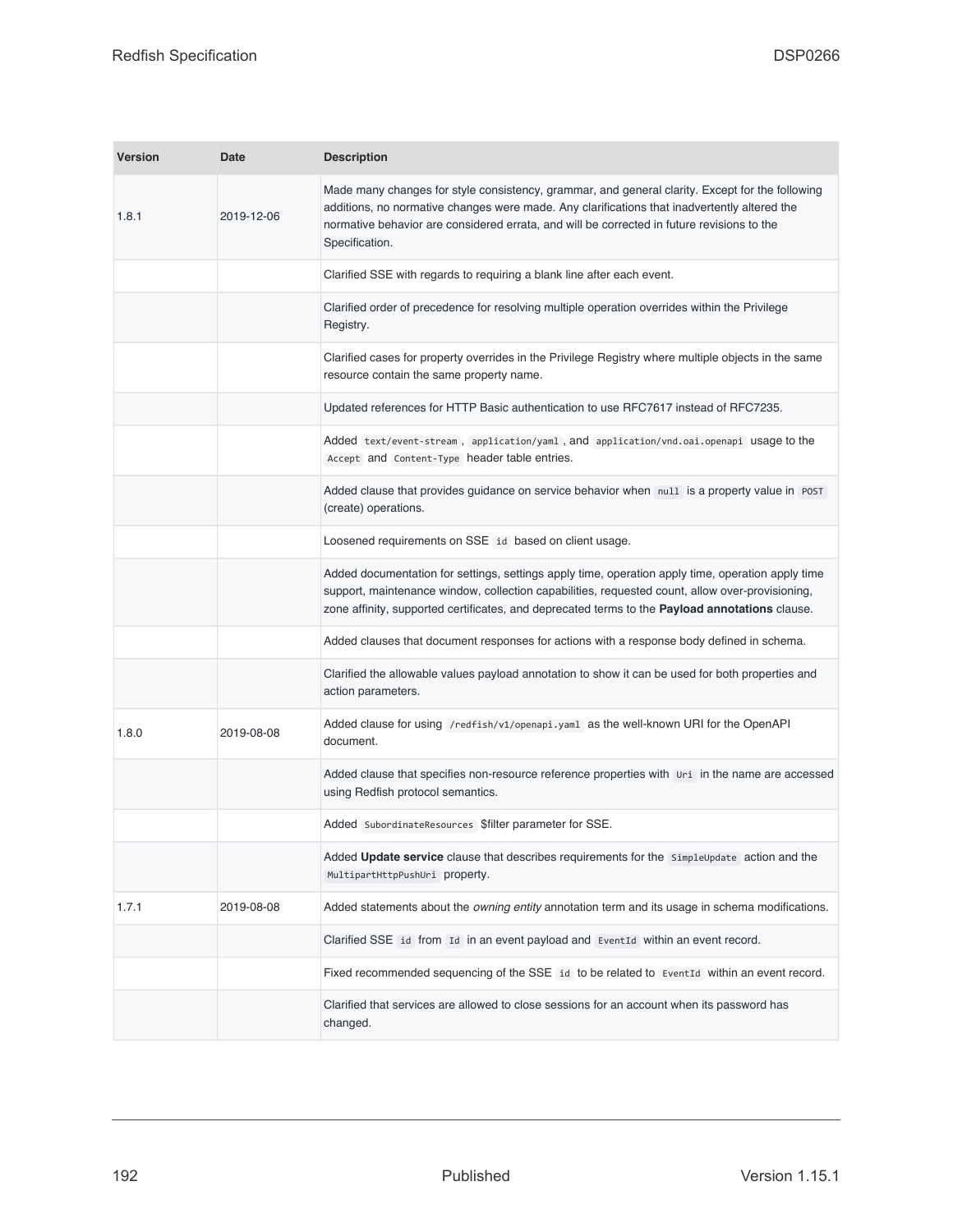| <b>Version</b> | <b>Date</b> | <b>Description</b>                                                                                                                                                                                                                                                                                              |
|----------------|-------------|-----------------------------------------------------------------------------------------------------------------------------------------------------------------------------------------------------------------------------------------------------------------------------------------------------------------|
| 1.8.1          | 2019-12-06  | Made many changes for style consistency, grammar, and general clarity. Except for the following<br>additions, no normative changes were made. Any clarifications that inadvertently altered the<br>normative behavior are considered errata, and will be corrected in future revisions to the<br>Specification. |
|                |             | Clarified SSE with regards to requiring a blank line after each event.                                                                                                                                                                                                                                          |
|                |             | Clarified order of precedence for resolving multiple operation overrides within the Privilege<br>Registry.                                                                                                                                                                                                      |
|                |             | Clarified cases for property overrides in the Privilege Registry where multiple objects in the same<br>resource contain the same property name.                                                                                                                                                                 |
|                |             | Updated references for HTTP Basic authentication to use RFC7617 instead of RFC7235.                                                                                                                                                                                                                             |
|                |             | Added text/event-stream, application/yaml, and application/vnd.oai.openapi usage to the<br>Accept and Content-Type header table entries.                                                                                                                                                                        |
|                |             | Added clause that provides guidance on service behavior when null is a property value in POST<br>(create) operations.                                                                                                                                                                                           |
|                |             | Loosened requirements on SSE id based on client usage.                                                                                                                                                                                                                                                          |
|                |             | Added documentation for settings, settings apply time, operation apply time, operation apply time<br>support, maintenance window, collection capabilities, requested count, allow over-provisioning,<br>zone affinity, supported certificates, and deprecated terms to the Payload annotations clause.          |
|                |             | Added clauses that document responses for actions with a response body defined in schema.                                                                                                                                                                                                                       |
|                |             | Clarified the allowable values payload annotation to show it can be used for both properties and<br>action parameters.                                                                                                                                                                                          |
| 1.8.0          | 2019-08-08  | Added clause for using /redfish/v1/openapi.yam1 as the well-known URI for the OpenAPI<br>document.                                                                                                                                                                                                              |
|                |             | Added clause that specifies non-resource reference properties with Uri in the name are accessed<br>using Redfish protocol semantics.                                                                                                                                                                            |
|                |             | Added SubordinateResources \$filter parameter for SSE.                                                                                                                                                                                                                                                          |
|                |             | Added Update service clause that describes requirements for the SimpleUpdate action and the<br>MultipartHttpPushUri property.                                                                                                                                                                                   |
| 1.7.1          | 2019-08-08  | Added statements about the owning entity annotation term and its usage in schema modifications.                                                                                                                                                                                                                 |
|                |             | Clarified SSE id from Id in an event payload and EventId within an event record.                                                                                                                                                                                                                                |
|                |             | Fixed recommended sequencing of the SSE id to be related to EventId within an event record.                                                                                                                                                                                                                     |
|                |             | Clarified that services are allowed to close sessions for an account when its password has<br>changed.                                                                                                                                                                                                          |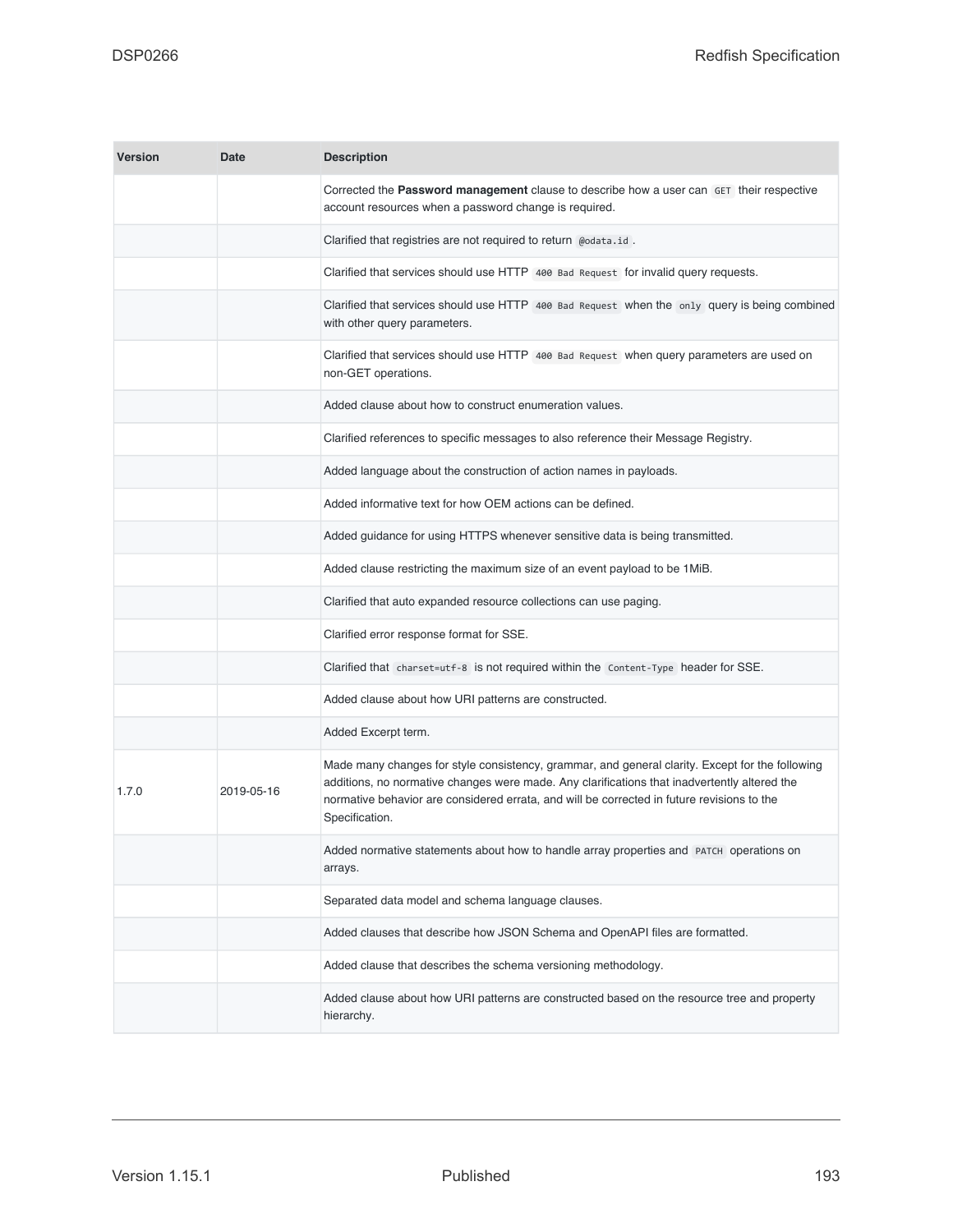| <b>Version</b> | <b>Date</b> | <b>Description</b>                                                                                                                                                                                                                                                                                              |
|----------------|-------------|-----------------------------------------------------------------------------------------------------------------------------------------------------------------------------------------------------------------------------------------------------------------------------------------------------------------|
|                |             | Corrected the Password management clause to describe how a user can GET their respective<br>account resources when a password change is required.                                                                                                                                                               |
|                |             | Clarified that registries are not required to return @odata.id.                                                                                                                                                                                                                                                 |
|                |             | Clarified that services should use HTTP 400 Bad Request for invalid query requests.                                                                                                                                                                                                                             |
|                |             | Clarified that services should use HTTP 400 Bad Request when the only query is being combined<br>with other query parameters.                                                                                                                                                                                   |
|                |             | Clarified that services should use HTTP 400 Bad Request when query parameters are used on<br>non-GET operations.                                                                                                                                                                                                |
|                |             | Added clause about how to construct enumeration values.                                                                                                                                                                                                                                                         |
|                |             | Clarified references to specific messages to also reference their Message Registry.                                                                                                                                                                                                                             |
|                |             | Added language about the construction of action names in payloads.                                                                                                                                                                                                                                              |
|                |             | Added informative text for how OEM actions can be defined.                                                                                                                                                                                                                                                      |
|                |             | Added guidance for using HTTPS whenever sensitive data is being transmitted.                                                                                                                                                                                                                                    |
|                |             | Added clause restricting the maximum size of an event payload to be 1MiB.                                                                                                                                                                                                                                       |
|                |             | Clarified that auto expanded resource collections can use paging.                                                                                                                                                                                                                                               |
|                |             | Clarified error response format for SSE.                                                                                                                                                                                                                                                                        |
|                |             | Clarified that charset=utf-8 is not required within the Content-Type header for SSE.                                                                                                                                                                                                                            |
|                |             | Added clause about how URI patterns are constructed.                                                                                                                                                                                                                                                            |
|                |             | Added Excerpt term.                                                                                                                                                                                                                                                                                             |
| 1.7.0          | 2019-05-16  | Made many changes for style consistency, grammar, and general clarity. Except for the following<br>additions, no normative changes were made. Any clarifications that inadvertently altered the<br>normative behavior are considered errata, and will be corrected in future revisions to the<br>Specification. |
|                |             | Added normative statements about how to handle array properties and PATCH operations on<br>arrays.                                                                                                                                                                                                              |
|                |             | Separated data model and schema language clauses.                                                                                                                                                                                                                                                               |
|                |             | Added clauses that describe how JSON Schema and OpenAPI files are formatted.                                                                                                                                                                                                                                    |
|                |             | Added clause that describes the schema versioning methodology.                                                                                                                                                                                                                                                  |
|                |             | Added clause about how URI patterns are constructed based on the resource tree and property<br>hierarchy.                                                                                                                                                                                                       |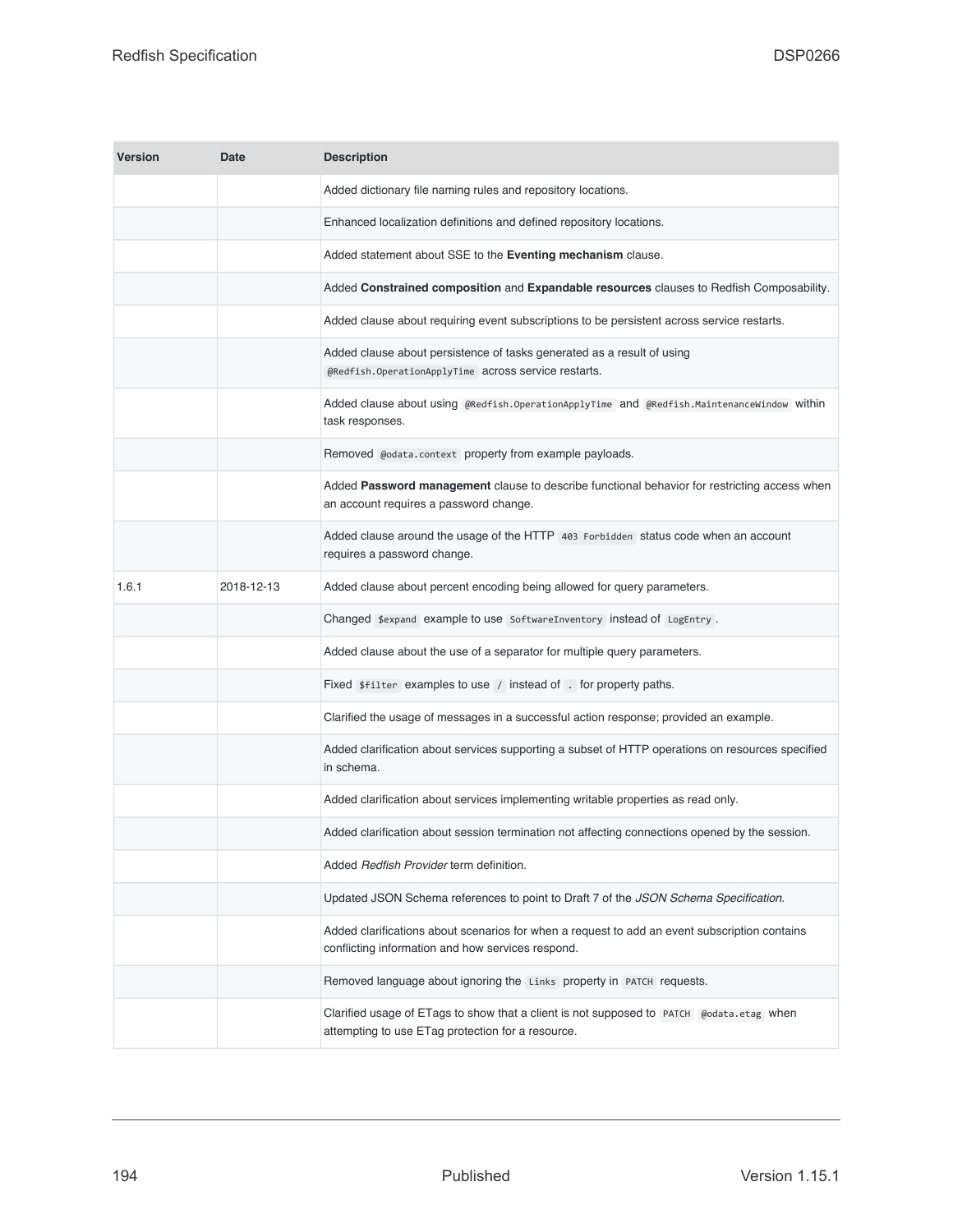| <b>Version</b> | Date       | <b>Description</b>                                                                                                                                 |
|----------------|------------|----------------------------------------------------------------------------------------------------------------------------------------------------|
|                |            | Added dictionary file naming rules and repository locations.                                                                                       |
|                |            | Enhanced localization definitions and defined repository locations.                                                                                |
|                |            | Added statement about SSE to the Eventing mechanism clause.                                                                                        |
|                |            | Added Constrained composition and Expandable resources clauses to Redfish Composability.                                                           |
|                |            | Added clause about requiring event subscriptions to be persistent across service restarts.                                                         |
|                |            | Added clause about persistence of tasks generated as a result of using<br>@Redfish.OperationApplyTime across service restarts.                     |
|                |            | Added clause about using @Redfish.OperationApplyTime and @Redfish.MaintenanceWindow Within<br>task responses.                                      |
|                |            | Removed @odata.context property from example payloads.                                                                                             |
|                |            | Added Password management clause to describe functional behavior for restricting access when<br>an account requires a password change.             |
|                |            | Added clause around the usage of the HTTP 403 Forbidden status code when an account<br>requires a password change.                                 |
| 1.6.1          | 2018-12-13 | Added clause about percent encoding being allowed for query parameters.                                                                            |
|                |            | Changed \$expand example to use SoftwareInventory instead of LogEntry.                                                                             |
|                |            | Added clause about the use of a separator for multiple query parameters.                                                                           |
|                |            | Fixed \$filter examples to use / instead of . for property paths.                                                                                  |
|                |            | Clarified the usage of messages in a successful action response; provided an example.                                                              |
|                |            | Added clarification about services supporting a subset of HTTP operations on resources specified<br>in schema.                                     |
|                |            | Added clarification about services implementing writable properties as read only.                                                                  |
|                |            | Added clarification about session termination not affecting connections opened by the session.                                                     |
|                |            | Added Redfish Provider term definition.                                                                                                            |
|                |            | Updated JSON Schema references to point to Draft 7 of the JSON Schema Specification.                                                               |
|                |            | Added clarifications about scenarios for when a request to add an event subscription contains<br>conflicting information and how services respond. |
|                |            | Removed language about ignoring the Links property in PATCH requests.                                                                              |
|                |            | Clarified usage of ETags to show that a client is not supposed to PATCH @odata.etag when<br>attempting to use ETag protection for a resource.      |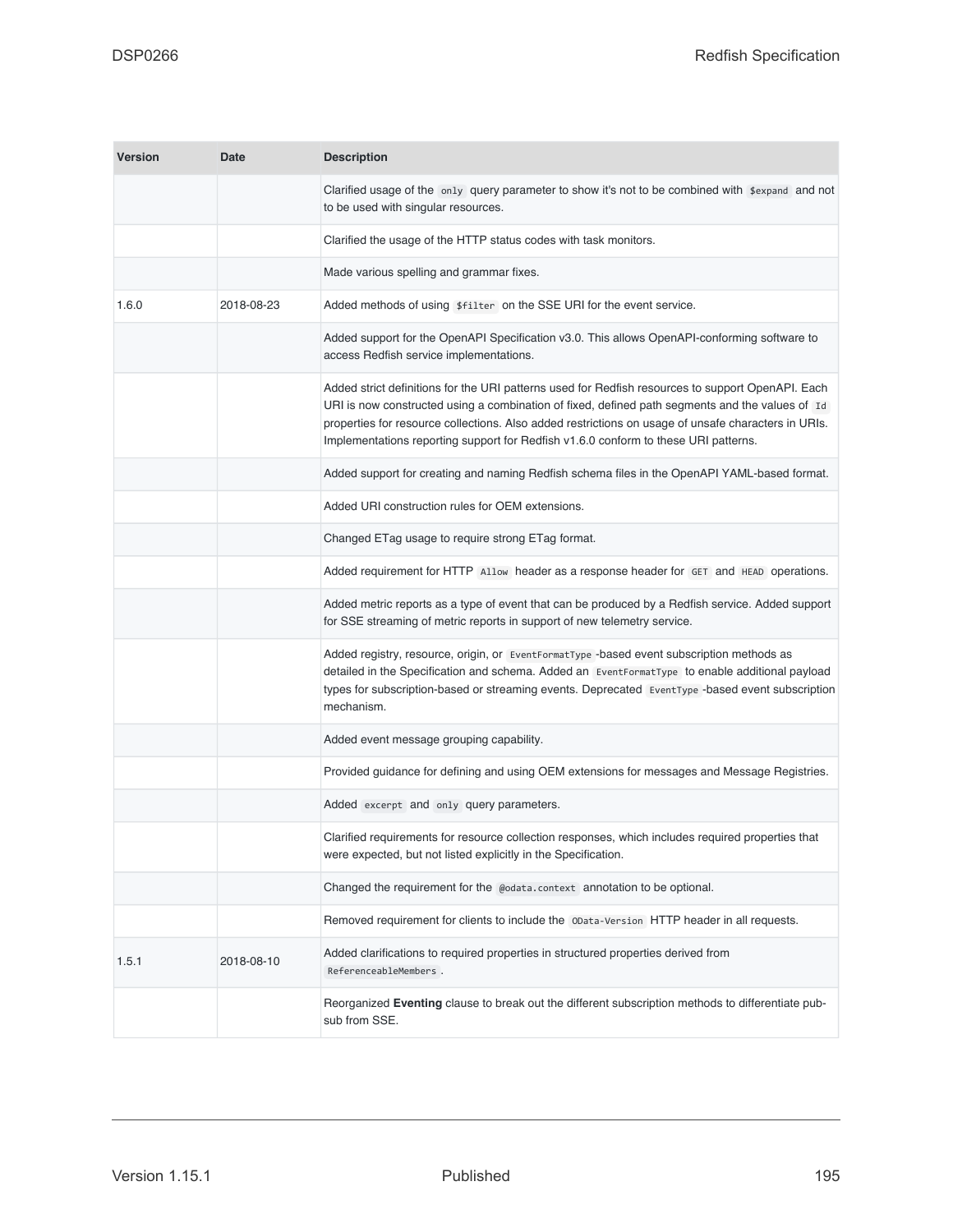| <b>Version</b> | Date       | <b>Description</b>                                                                                                                                                                                                                                                                                                                                                                                 |
|----------------|------------|----------------------------------------------------------------------------------------------------------------------------------------------------------------------------------------------------------------------------------------------------------------------------------------------------------------------------------------------------------------------------------------------------|
|                |            | Clarified usage of the $\omega_{\text{m1}}$ query parameter to show it's not to be combined with $\frac{4}{3}$ expand and not<br>to be used with singular resources.                                                                                                                                                                                                                               |
|                |            | Clarified the usage of the HTTP status codes with task monitors.                                                                                                                                                                                                                                                                                                                                   |
|                |            | Made various spelling and grammar fixes.                                                                                                                                                                                                                                                                                                                                                           |
| 1.6.0          | 2018-08-23 | Added methods of using \$filter on the SSE URI for the event service.                                                                                                                                                                                                                                                                                                                              |
|                |            | Added support for the OpenAPI Specification v3.0. This allows OpenAPI-conforming software to<br>access Redfish service implementations.                                                                                                                                                                                                                                                            |
|                |            | Added strict definitions for the URI patterns used for Redfish resources to support OpenAPI. Each<br>URI is now constructed using a combination of fixed, defined path segments and the values of Id<br>properties for resource collections. Also added restrictions on usage of unsafe characters in URIs.<br>Implementations reporting support for Redfish v1.6.0 conform to these URI patterns. |
|                |            | Added support for creating and naming Redfish schema files in the OpenAPI YAML-based format.                                                                                                                                                                                                                                                                                                       |
|                |            | Added URI construction rules for OEM extensions.                                                                                                                                                                                                                                                                                                                                                   |
|                |            | Changed ETag usage to require strong ETag format.                                                                                                                                                                                                                                                                                                                                                  |
|                |            | Added requirement for HTTP Allow header as a response header for GET and HEAD operations.                                                                                                                                                                                                                                                                                                          |
|                |            | Added metric reports as a type of event that can be produced by a Redfish service. Added support<br>for SSE streaming of metric reports in support of new telemetry service.                                                                                                                                                                                                                       |
|                |            | Added registry, resource, origin, or EventFormatType -based event subscription methods as<br>detailed in the Specification and schema. Added an EventFormatType to enable additional payload<br>types for subscription-based or streaming events. Deprecated EventType -based event subscription<br>mechanism.                                                                                     |
|                |            | Added event message grouping capability.                                                                                                                                                                                                                                                                                                                                                           |
|                |            | Provided guidance for defining and using OEM extensions for messages and Message Registries.                                                                                                                                                                                                                                                                                                       |
|                |            | Added excerpt and only query parameters.                                                                                                                                                                                                                                                                                                                                                           |
|                |            | Clarified requirements for resource collection responses, which includes required properties that<br>were expected, but not listed explicitly in the Specification.                                                                                                                                                                                                                                |
|                |            | Changed the requirement for the @odata.context annotation to be optional.                                                                                                                                                                                                                                                                                                                          |
|                |            | Removed requirement for clients to include the 0Data-Version HTTP header in all requests.                                                                                                                                                                                                                                                                                                          |
| 1.5.1          | 2018-08-10 | Added clarifications to required properties in structured properties derived from<br>ReferenceableMembers.                                                                                                                                                                                                                                                                                         |
|                |            | Reorganized Eventing clause to break out the different subscription methods to differentiate pub-<br>sub from SSE.                                                                                                                                                                                                                                                                                 |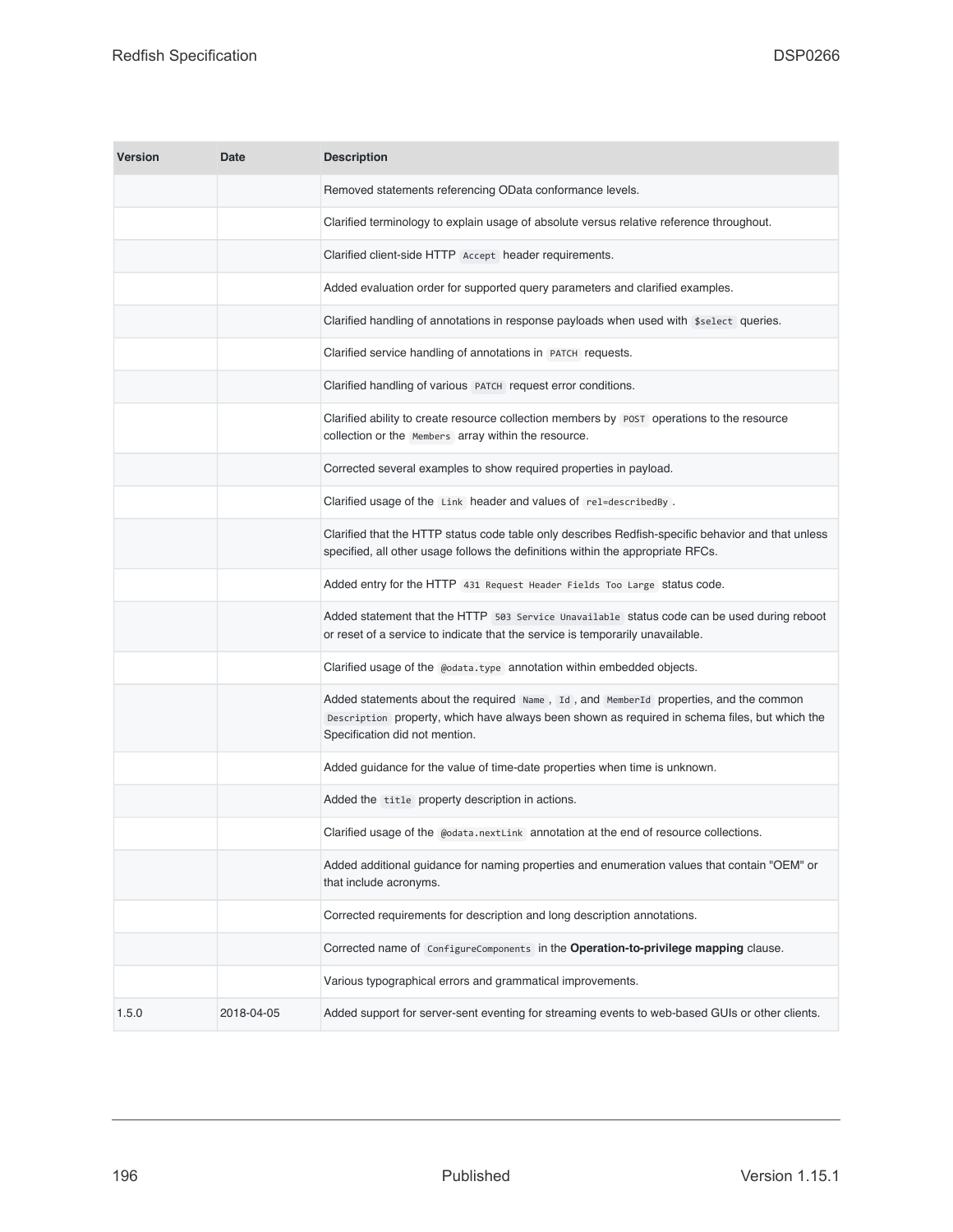| <b>Version</b> | Date       | <b>Description</b>                                                                                                                                                                                                       |
|----------------|------------|--------------------------------------------------------------------------------------------------------------------------------------------------------------------------------------------------------------------------|
|                |            | Removed statements referencing OData conformance levels.                                                                                                                                                                 |
|                |            | Clarified terminology to explain usage of absolute versus relative reference throughout.                                                                                                                                 |
|                |            | Clarified client-side HTTP Accept header requirements.                                                                                                                                                                   |
|                |            | Added evaluation order for supported query parameters and clarified examples.                                                                                                                                            |
|                |            | Clarified handling of annotations in response payloads when used with \$select queries.                                                                                                                                  |
|                |            | Clarified service handling of annotations in PATCH requests.                                                                                                                                                             |
|                |            | Clarified handling of various PATCH request error conditions.                                                                                                                                                            |
|                |            | Clarified ability to create resource collection members by POST operations to the resource<br>collection or the Members array within the resource.                                                                       |
|                |            | Corrected several examples to show required properties in payload.                                                                                                                                                       |
|                |            | Clarified usage of the Link header and values of relescribed By.                                                                                                                                                         |
|                |            | Clarified that the HTTP status code table only describes Redfish-specific behavior and that unless<br>specified, all other usage follows the definitions within the appropriate RFCs.                                    |
|                |            | Added entry for the HTTP 431 Request Header Fields Too Large Status code.                                                                                                                                                |
|                |            | Added statement that the HTTP 503 Service Unavailable status code can be used during reboot<br>or reset of a service to indicate that the service is temporarily unavailable.                                            |
|                |            | Clarified usage of the @odata.type annotation within embedded objects.                                                                                                                                                   |
|                |            | Added statements about the required Name, Id, and MemberId properties, and the common<br>Description property, which have always been shown as required in schema files, but which the<br>Specification did not mention. |
|                |            | Added guidance for the value of time-date properties when time is unknown.                                                                                                                                               |
|                |            | Added the title property description in actions.                                                                                                                                                                         |
|                |            | Clarified usage of the @odata.nextLink annotation at the end of resource collections.                                                                                                                                    |
|                |            | Added additional guidance for naming properties and enumeration values that contain "OEM" or<br>that include acronyms.                                                                                                   |
|                |            | Corrected requirements for description and long description annotations.                                                                                                                                                 |
|                |            | Corrected name of ConfigureComponents in the Operation-to-privilege mapping clause.                                                                                                                                      |
|                |            | Various typographical errors and grammatical improvements.                                                                                                                                                               |
| 1.5.0          | 2018-04-05 | Added support for server-sent eventing for streaming events to web-based GUIs or other clients.                                                                                                                          |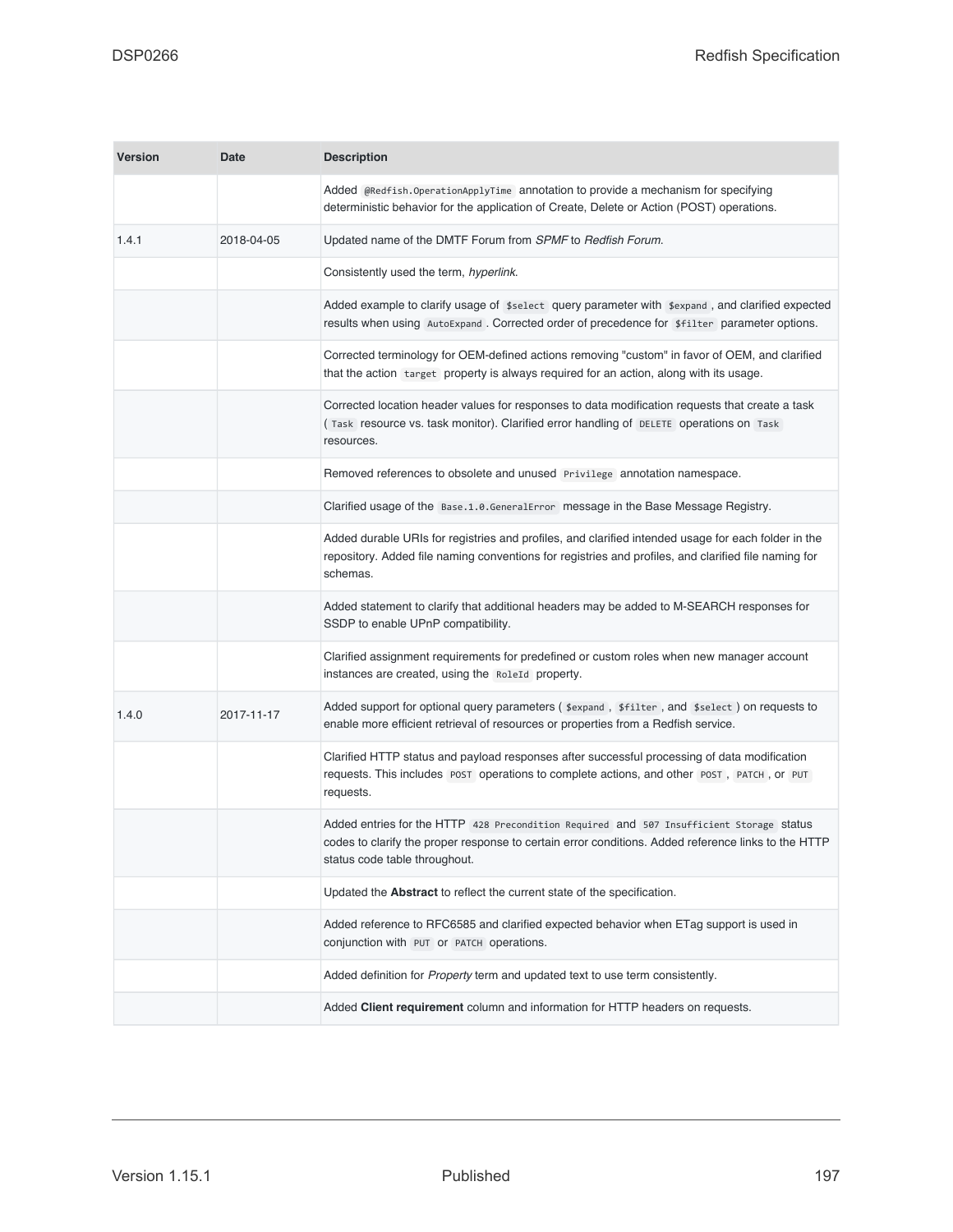| <b>Version</b> | <b>Date</b> | <b>Description</b>                                                                                                                                                                                                               |
|----------------|-------------|----------------------------------------------------------------------------------------------------------------------------------------------------------------------------------------------------------------------------------|
|                |             | Added @Redfish.OperationApplyTime annotation to provide a mechanism for specifying<br>deterministic behavior for the application of Create, Delete or Action (POST) operations.                                                  |
| 1.4.1          | 2018-04-05  | Updated name of the DMTF Forum from SPMF to Redfish Forum.                                                                                                                                                                       |
|                |             | Consistently used the term, hyperlink.                                                                                                                                                                                           |
|                |             | Added example to clarify usage of \$select query parameter with \$expand, and clarified expected<br>results when using AutoExpand. Corrected order of precedence for \$filter parameter options.                                 |
|                |             | Corrected terminology for OEM-defined actions removing "custom" in favor of OEM, and clarified<br>that the action target property is always required for an action, along with its usage.                                        |
|                |             | Corrected location header values for responses to data modification requests that create a task<br>(Task resource vs. task monitor). Clarified error handling of DELETE operations on Task<br>resources.                         |
|                |             | Removed references to obsolete and unused Privilege annotation namespace.                                                                                                                                                        |
|                |             | Clarified usage of the Base.1.0.GeneralError message in the Base Message Registry.                                                                                                                                               |
|                |             | Added durable URIs for registries and profiles, and clarified intended usage for each folder in the<br>repository. Added file naming conventions for registries and profiles, and clarified file naming for<br>schemas.          |
|                |             | Added statement to clarify that additional headers may be added to M-SEARCH responses for<br>SSDP to enable UPnP compatibility.                                                                                                  |
|                |             | Clarified assignment requirements for predefined or custom roles when new manager account<br>instances are created, using the RoleId property.                                                                                   |
| 1.4.0          | 2017-11-17  | Added support for optional query parameters (\$expand, \$filter, and \$select) on requests to<br>enable more efficient retrieval of resources or properties from a Redfish service.                                              |
|                |             | Clarified HTTP status and payload responses after successful processing of data modification<br>requests. This includes post operations to complete actions, and other post, patch, or put<br>requests.                          |
|                |             | Added entries for the HTTP 428 Precondition Required and 507 Insufficient Storage Status<br>codes to clarify the proper response to certain error conditions. Added reference links to the HTTP<br>status code table throughout. |
|                |             | Updated the Abstract to reflect the current state of the specification.                                                                                                                                                          |
|                |             | Added reference to RFC6585 and clarified expected behavior when ETag support is used in<br>conjunction with PUT or PATCH operations.                                                                                             |
|                |             | Added definition for Property term and updated text to use term consistently.                                                                                                                                                    |
|                |             | Added Client requirement column and information for HTTP headers on requests.                                                                                                                                                    |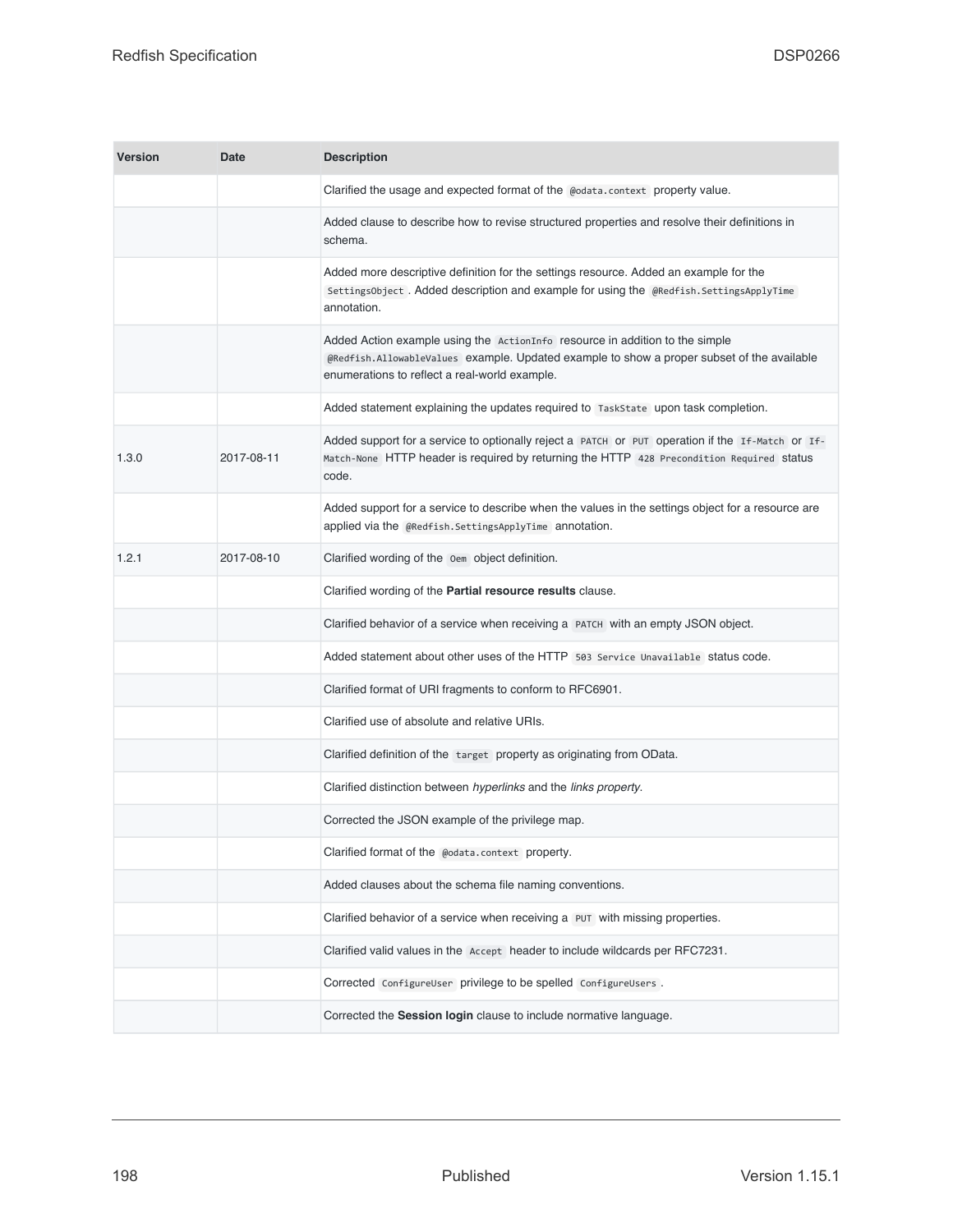| <b>Version</b> | <b>Date</b> | <b>Description</b>                                                                                                                                                                                                          |
|----------------|-------------|-----------------------------------------------------------------------------------------------------------------------------------------------------------------------------------------------------------------------------|
|                |             | Clarified the usage and expected format of the @odata.context property value.                                                                                                                                               |
|                |             | Added clause to describe how to revise structured properties and resolve their definitions in<br>schema.                                                                                                                    |
|                |             | Added more descriptive definition for the settings resource. Added an example for the<br>SettingsObject. Added description and example for using the @Redfish.SettingsApplyTime<br>annotation.                              |
|                |             | Added Action example using the ActionInfo resource in addition to the simple<br>@Redfish.AllowableValues example. Updated example to show a proper subset of the available<br>enumerations to reflect a real-world example. |
|                |             | Added statement explaining the updates required to TaskState upon task completion.                                                                                                                                          |
| 1.3.0          | 2017-08-11  | Added support for a service to optionally reject a PATCH or PUT operation if the If-Match or If-<br>Match-None HTTP header is required by returning the HTTP 428 Precondition Required status<br>code.                      |
|                |             | Added support for a service to describe when the values in the settings object for a resource are<br>applied via the @Redfish.SettingsApplyTime annotation.                                                                 |
| 1.2.1          | 2017-08-10  | Clarified wording of the Oem object definition.                                                                                                                                                                             |
|                |             | Clarified wording of the Partial resource results clause.                                                                                                                                                                   |
|                |             | Clarified behavior of a service when receiving a PATCH with an empty JSON object.                                                                                                                                           |
|                |             | Added statement about other uses of the HTTP 503 Service Unavailable status code.                                                                                                                                           |
|                |             | Clarified format of URI fragments to conform to RFC6901.                                                                                                                                                                    |
|                |             | Clarified use of absolute and relative URIs.                                                                                                                                                                                |
|                |             | Clarified definition of the target property as originating from OData.                                                                                                                                                      |
|                |             | Clarified distinction between hyperlinks and the links property.                                                                                                                                                            |
|                |             | Corrected the JSON example of the privilege map.                                                                                                                                                                            |
|                |             | Clarified format of the @odata.context property.                                                                                                                                                                            |
|                |             | Added clauses about the schema file naming conventions.                                                                                                                                                                     |
|                |             | Clarified behavior of a service when receiving a PUT with missing properties.                                                                                                                                               |
|                |             | Clarified valid values in the Accept header to include wildcards per RFC7231.                                                                                                                                               |
|                |             | Corrected ConfigureUser privilege to be spelled ConfigureUsers.                                                                                                                                                             |
|                |             | Corrected the Session login clause to include normative language.                                                                                                                                                           |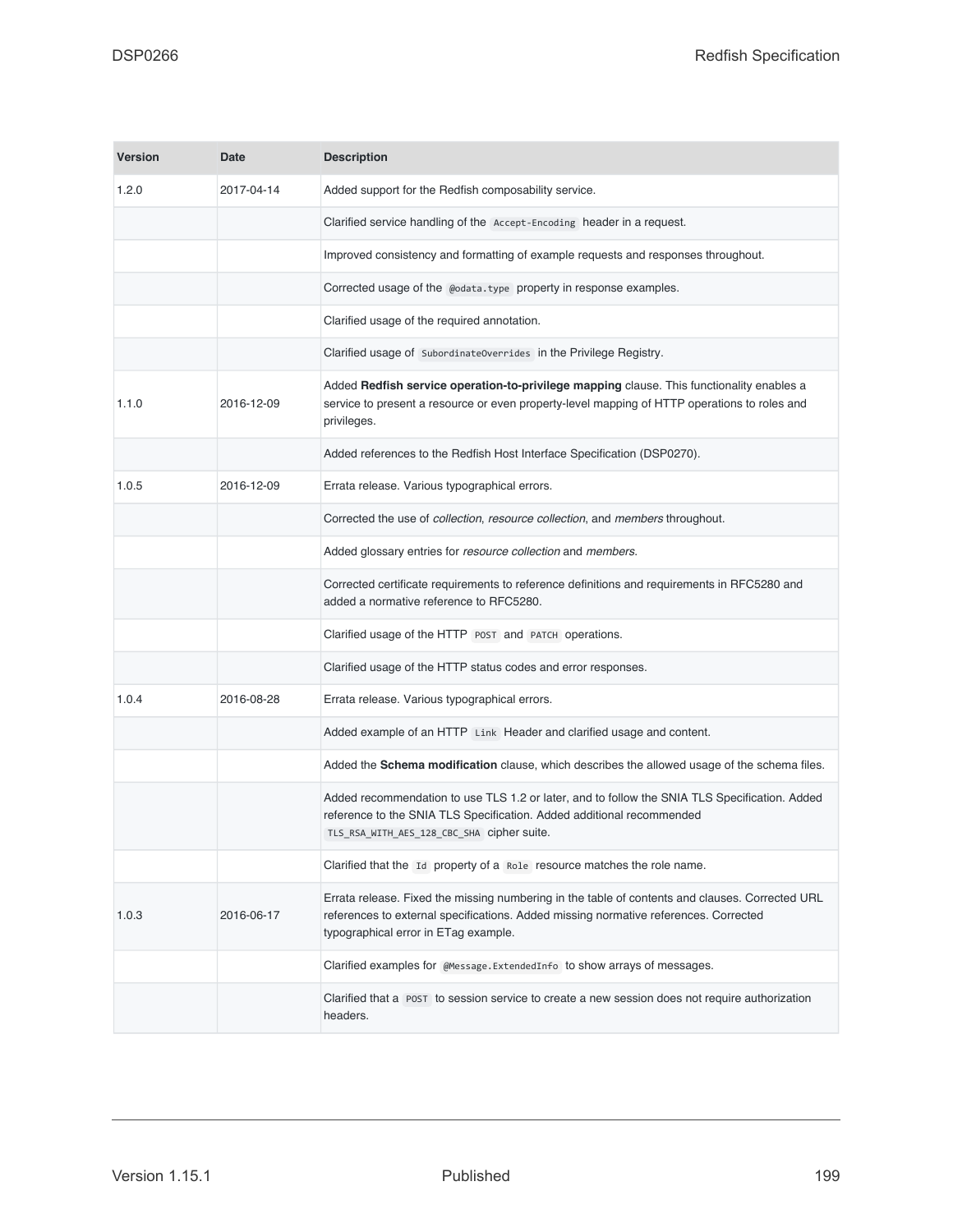| <b>Version</b> | <b>Date</b> | <b>Description</b>                                                                                                                                                                                                              |
|----------------|-------------|---------------------------------------------------------------------------------------------------------------------------------------------------------------------------------------------------------------------------------|
| 1.2.0          | 2017-04-14  | Added support for the Redfish composability service.                                                                                                                                                                            |
|                |             | Clarified service handling of the Accept-Encoding header in a request.                                                                                                                                                          |
|                |             | Improved consistency and formatting of example requests and responses throughout.                                                                                                                                               |
|                |             | Corrected usage of the @odata.type property in response examples.                                                                                                                                                               |
|                |             | Clarified usage of the required annotation.                                                                                                                                                                                     |
|                |             | Clarified usage of SubordinateOverrides in the Privilege Registry.                                                                                                                                                              |
| 1.1.0          | 2016-12-09  | Added Redfish service operation-to-privilege mapping clause. This functionality enables a<br>service to present a resource or even property-level mapping of HTTP operations to roles and<br>privileges.                        |
|                |             | Added references to the Redfish Host Interface Specification (DSP0270).                                                                                                                                                         |
| 1.0.5          | 2016-12-09  | Errata release. Various typographical errors.                                                                                                                                                                                   |
|                |             | Corrected the use of collection, resource collection, and members throughout.                                                                                                                                                   |
|                |             | Added glossary entries for resource collection and members.                                                                                                                                                                     |
|                |             | Corrected certificate requirements to reference definitions and requirements in RFC5280 and<br>added a normative reference to RFC5280.                                                                                          |
|                |             | Clarified usage of the HTTP POST and PATCH operations.                                                                                                                                                                          |
|                |             | Clarified usage of the HTTP status codes and error responses.                                                                                                                                                                   |
| 1.0.4          | 2016-08-28  | Errata release. Various typographical errors.                                                                                                                                                                                   |
|                |             | Added example of an HTTP Link Header and clarified usage and content.                                                                                                                                                           |
|                |             | Added the Schema modification clause, which describes the allowed usage of the schema files.                                                                                                                                    |
|                |             | Added recommendation to use TLS 1.2 or later, and to follow the SNIA TLS Specification. Added<br>reference to the SNIA TLS Specification. Added additional recommended<br>TLS_RSA_WITH_AES_128_CBC_SHA cipher suite.            |
|                |             | Clarified that the Id property of a Role resource matches the role name.                                                                                                                                                        |
| 1.0.3          | 2016-06-17  | Errata release. Fixed the missing numbering in the table of contents and clauses. Corrected URL<br>references to external specifications. Added missing normative references. Corrected<br>typographical error in ETag example. |
|                |             | Clarified examples for @Message.ExtendedInfo to show arrays of messages.                                                                                                                                                        |
|                |             | Clarified that a POST to session service to create a new session does not require authorization<br>headers.                                                                                                                     |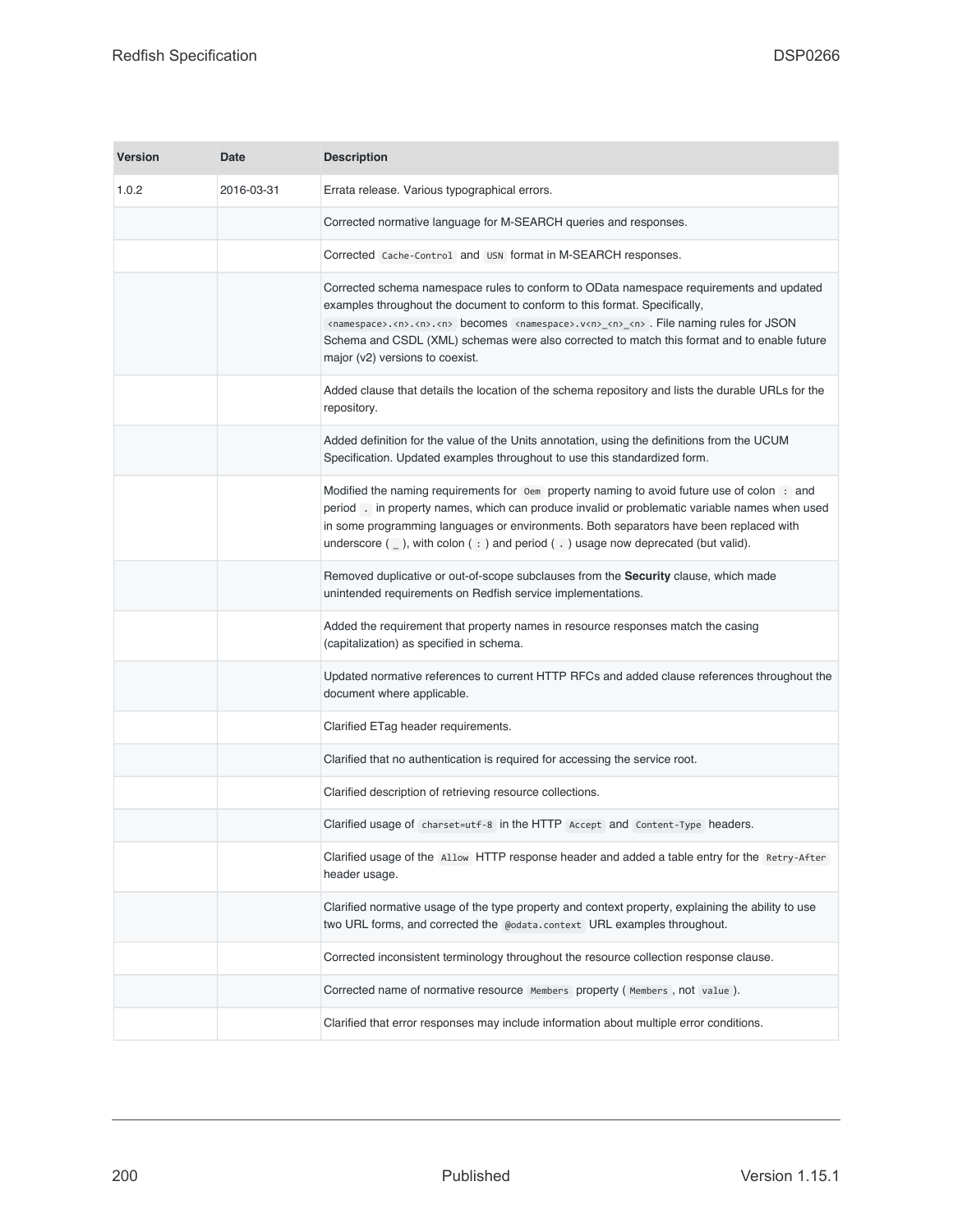| <b>Version</b> | Date       | <b>Description</b>                                                                                                                                                                                                                                                                                                                                                                                                                              |
|----------------|------------|-------------------------------------------------------------------------------------------------------------------------------------------------------------------------------------------------------------------------------------------------------------------------------------------------------------------------------------------------------------------------------------------------------------------------------------------------|
| 1.0.2          | 2016-03-31 | Errata release. Various typographical errors.                                                                                                                                                                                                                                                                                                                                                                                                   |
|                |            | Corrected normative language for M-SEARCH queries and responses.                                                                                                                                                                                                                                                                                                                                                                                |
|                |            | Corrected Cache-Control and USN format in M-SEARCH responses.                                                                                                                                                                                                                                                                                                                                                                                   |
|                |            | Corrected schema namespace rules to conform to OData namespace requirements and updated<br>examples throughout the document to conform to this format. Specifically,<br><namespace>.<n>.<n>.<n> becomes <namespace>.v<n>_<n>_<n>.File naming rules for JSON<br/>Schema and CSDL (XML) schemas were also corrected to match this format and to enable future<br/>major (v2) versions to coexist.</n></n></n></namespace></n></n></n></namespace> |
|                |            | Added clause that details the location of the schema repository and lists the durable URLs for the<br>repository.                                                                                                                                                                                                                                                                                                                               |
|                |            | Added definition for the value of the Units annotation, using the definitions from the UCUM<br>Specification. Updated examples throughout to use this standardized form.                                                                                                                                                                                                                                                                        |
|                |            | Modified the naming requirements for or property naming to avoid future use of colon : and<br>period . in property names, which can produce invalid or problematic variable names when used<br>in some programming languages or environments. Both separators have been replaced with<br>underscore $($ ], with colon $($ : $)$ and period $($ . $)$ usage now deprecated (but valid).                                                          |
|                |            | Removed duplicative or out-of-scope subclauses from the Security clause, which made<br>unintended requirements on Redfish service implementations.                                                                                                                                                                                                                                                                                              |
|                |            | Added the requirement that property names in resource responses match the casing<br>(capitalization) as specified in schema.                                                                                                                                                                                                                                                                                                                    |
|                |            | Updated normative references to current HTTP RFCs and added clause references throughout the<br>document where applicable.                                                                                                                                                                                                                                                                                                                      |
|                |            | Clarified ETag header requirements.                                                                                                                                                                                                                                                                                                                                                                                                             |
|                |            | Clarified that no authentication is required for accessing the service root.                                                                                                                                                                                                                                                                                                                                                                    |
|                |            | Clarified description of retrieving resource collections.                                                                                                                                                                                                                                                                                                                                                                                       |
|                |            | Clarified usage of charset=utf-8 in the HTTP Accept and Content-Type headers.                                                                                                                                                                                                                                                                                                                                                                   |
|                |            | Clarified usage of the Allow HTTP response header and added a table entry for the Retry-After<br>header usage.                                                                                                                                                                                                                                                                                                                                  |
|                |            | Clarified normative usage of the type property and context property, explaining the ability to use<br>two URL forms, and corrected the @odata.context URL examples throughout.                                                                                                                                                                                                                                                                  |
|                |            | Corrected inconsistent terminology throughout the resource collection response clause.                                                                                                                                                                                                                                                                                                                                                          |
|                |            | Corrected name of normative resource Members property (Members, not value).                                                                                                                                                                                                                                                                                                                                                                     |
|                |            | Clarified that error responses may include information about multiple error conditions.                                                                                                                                                                                                                                                                                                                                                         |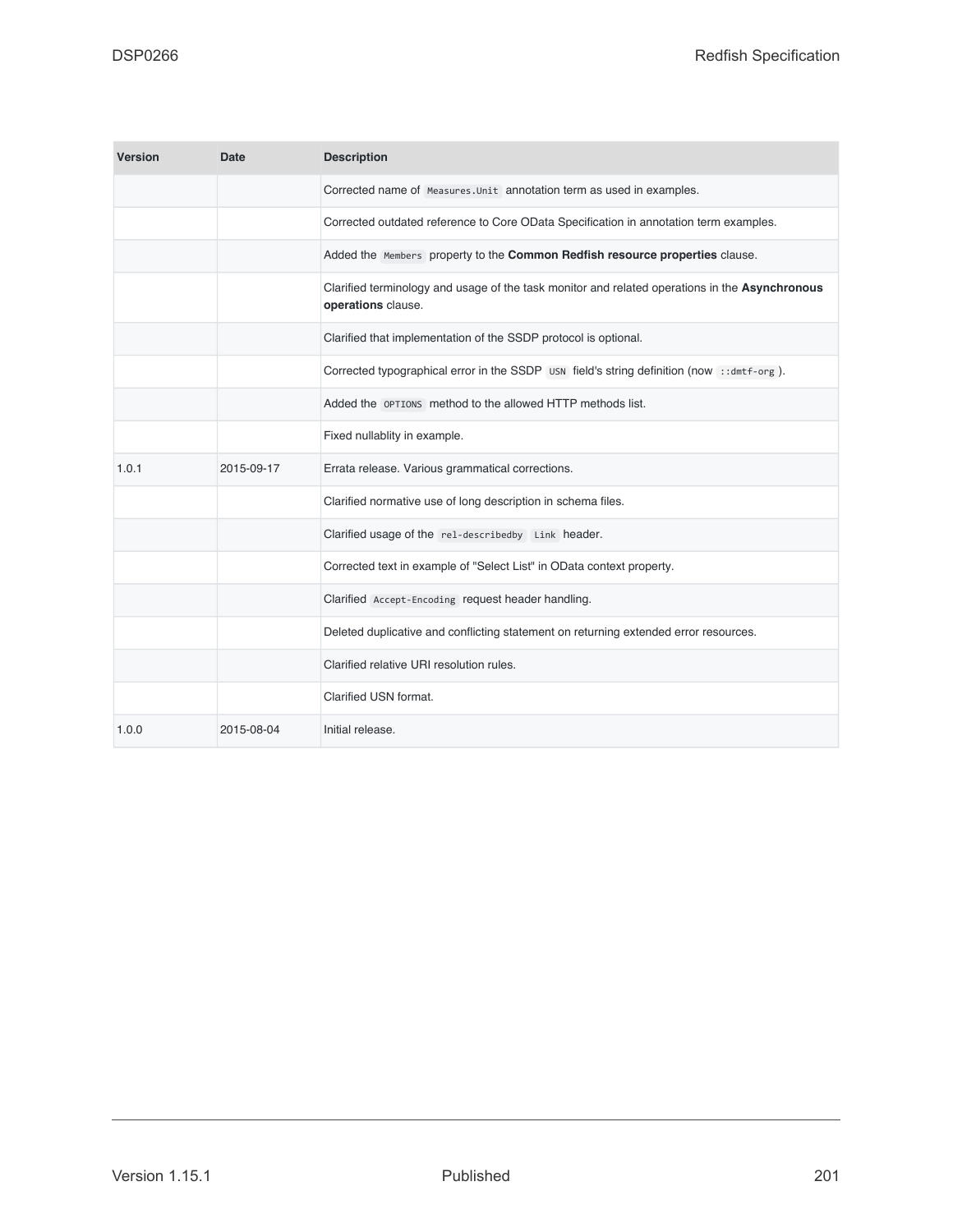| <b>Version</b> | Date       | <b>Description</b>                                                                                                   |
|----------------|------------|----------------------------------------------------------------------------------------------------------------------|
|                |            | Corrected name of Measures. Unit annotation term as used in examples.                                                |
|                |            | Corrected outdated reference to Core OData Specification in annotation term examples.                                |
|                |            | Added the Members property to the Common Redfish resource properties clause.                                         |
|                |            | Clarified terminology and usage of the task monitor and related operations in the Asynchronous<br>operations clause. |
|                |            | Clarified that implementation of the SSDP protocol is optional.                                                      |
|                |            | Corrected typographical error in the SSDP USN field's string definition (now ::dmtf-org).                            |
|                |            | Added the OPTIONS method to the allowed HTTP methods list.                                                           |
|                |            | Fixed nullablity in example.                                                                                         |
| 1.0.1          | 2015-09-17 | Errata release. Various grammatical corrections.                                                                     |
|                |            | Clarified normative use of long description in schema files.                                                         |
|                |            | Clarified usage of the rel-describedby Link header.                                                                  |
|                |            | Corrected text in example of "Select List" in OData context property.                                                |
|                |            | Clarified Accept-Encoding request header handling.                                                                   |
|                |            | Deleted duplicative and conflicting statement on returning extended error resources.                                 |
|                |            | Clarified relative URI resolution rules.                                                                             |
|                |            | Clarified USN format.                                                                                                |
| 1.0.0          | 2015-08-04 | Initial release.                                                                                                     |